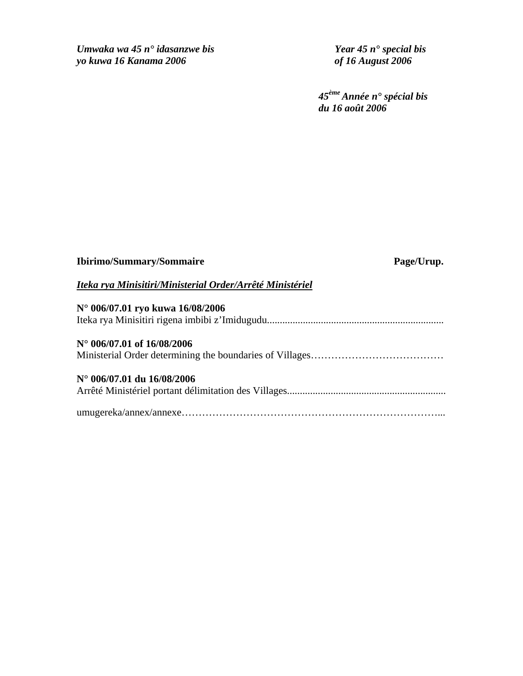*Umwaka wa 45 n° idasanzwe bis Year 45 n° special bis yo kuwa 16 Kanama 2006 of 16 August 2006* 

*45ème Année n° spécial bis du 16 août 2006* 

| <b>Ibirimo/Summary/Sommaire</b> | Page/Urup. |
|---------------------------------|------------|
|                                 |            |

# *Iteka rya Minisitiri/Ministerial Order/Arrêté Ministériel*

| N° 006/07.01 ryo kuwa 16/08/2006    |
|-------------------------------------|
|                                     |
|                                     |
| $N^{\circ}$ 006/07.01 of 16/08/2006 |
|                                     |
|                                     |
| $N^{\circ}$ 006/07.01 du 16/08/2006 |
|                                     |
|                                     |
|                                     |
|                                     |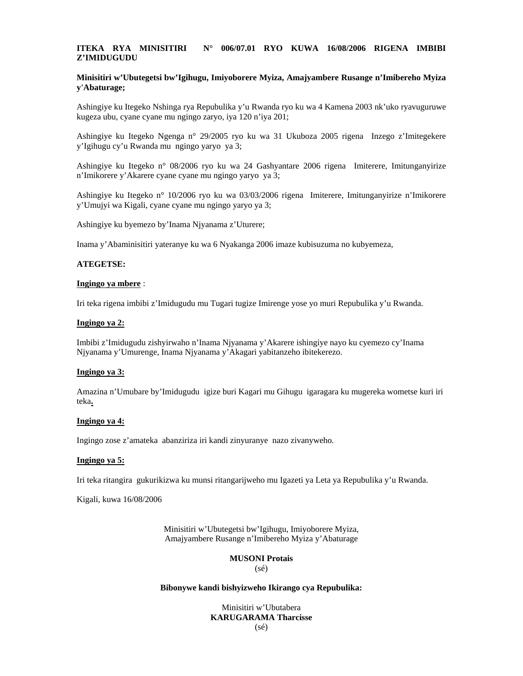## **ITEKA RYA MINISITIRI N° 006/07.01 RYO KUWA 16/08/2006 RIGENA IMBIBI Z'IMIDUGUDU**

## **Minisitiri w'Ubutegetsi bw'Igihugu, Imiyoborere Myiza, Amajyambere Rusange n'Imibereho Myiza y'Abaturage;**

Ashingiye ku Itegeko Nshinga rya Repubulika y'u Rwanda ryo ku wa 4 Kamena 2003 nk'uko ryavuguruwe kugeza ubu, cyane cyane mu ngingo zaryo, iya 120 n'iya 201;

Ashingiye ku Itegeko Ngenga n° 29/2005 ryo ku wa 31 Ukuboza 2005 rigena Inzego z'Imitegekere y'Igihugu cy'u Rwanda mu ngingo yaryo ya 3;

Ashingiye ku Itegeko n° 08/2006 ryo ku wa 24 Gashyantare 2006 rigena Imiterere, Imitunganyirize n'Imikorere y'Akarere cyane cyane mu ngingo yaryo ya 3;

Ashingiye ku Itegeko n° 10/2006 ryo ku wa 03/03/2006 rigena Imiterere, Imitunganyirize n'Imikorere y'Umujyi wa Kigali, cyane cyane mu ngingo yaryo ya 3;

Ashingiye ku byemezo by'Inama Njyanama z'Uturere;

Inama y'Abaminisitiri yateranye ku wa 6 Nyakanga 2006 imaze kubisuzuma no kubyemeza,

## **ATEGETSE:**

#### **Ingingo ya mbere** :

Iri teka rigena imbibi z'Imidugudu mu Tugari tugize Imirenge yose yo muri Repubulika y'u Rwanda.

#### **Ingingo ya 2:**

Imbibi z'Imidugudu zishyirwaho n'Inama Njyanama y'Akarere ishingiye nayo ku cyemezo cy'Inama Njyanama y'Umurenge, Inama Njyanama y'Akagari yabitanzeho ibitekerezo.

#### **Ingingo ya 3:**

Amazina n'Umubare by'Imidugudu igize buri Kagari mu Gihugu igaragara ku mugereka wometse kuri iri teka**.**

#### **Ingingo ya 4:**

Ingingo zose z'amateka abanziriza iri kandi zinyuranye nazo zivanyweho.

#### **Ingingo ya 5:**

Iri teka ritangira gukurikizwa ku munsi ritangarijweho mu Igazeti ya Leta ya Repubulika y'u Rwanda.

Kigali, kuwa 16/08/2006

Minisitiri w'Ubutegetsi bw'Igihugu, Imiyoborere Myiza, Amajyambere Rusange n'Imibereho Myiza y'Abaturage

# **MUSONI Protais**

(sé)

### **Bibonywe kandi bishyizweho Ikirango cya Repubulika:**

Minisitiri w'Ubutabera **KARUGARAMA Tharcisse**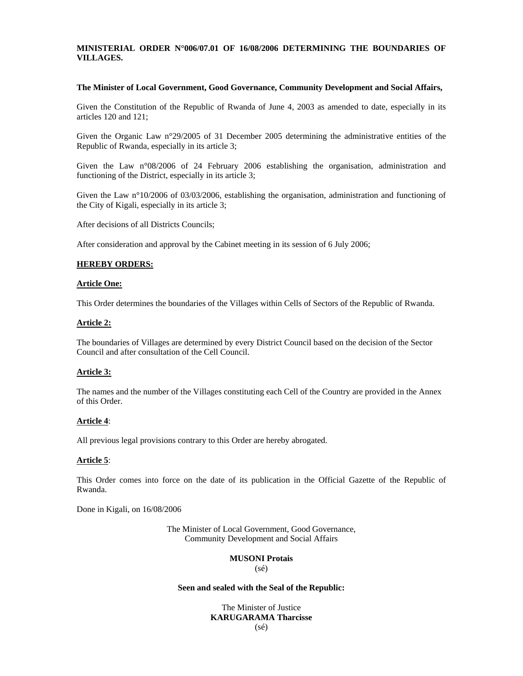## **MINISTERIAL ORDER N°006/07.01 OF 16/08/2006 DETERMINING THE BOUNDARIES OF VILLAGES.**

## **The Minister of Local Government, Good Governance, Community Development and Social Affairs,**

Given the Constitution of the Republic of Rwanda of June 4, 2003 as amended to date, especially in its articles 120 and 121;

Given the Organic Law n°29/2005 of 31 December 2005 determining the administrative entities of the Republic of Rwanda, especially in its article 3;

Given the Law n°08/2006 of 24 February 2006 establishing the organisation, administration and functioning of the District, especially in its article 3;

Given the Law n°10/2006 of 03/03/2006, establishing the organisation, administration and functioning of the City of Kigali, especially in its article 3;

After decisions of all Districts Councils;

After consideration and approval by the Cabinet meeting in its session of 6 July 2006;

## **HEREBY ORDERS:**

#### **Article One:**

This Order determines the boundaries of the Villages within Cells of Sectors of the Republic of Rwanda.

#### **Article 2:**

The boundaries of Villages are determined by every District Council based on the decision of the Sector Council and after consultation of the Cell Council.

## **Article 3:**

The names and the number of the Villages constituting each Cell of the Country are provided in the Annex of this Order.

## **Article 4**:

All previous legal provisions contrary to this Order are hereby abrogated.

## **Article 5**:

This Order comes into force on the date of its publication in the Official Gazette of the Republic of Rwanda.

Done in Kigali, on 16/08/2006

The Minister of Local Government, Good Governance, Community Development and Social Affairs

# **MUSONI Protais**

(sé)

### **Seen and sealed with the Seal of the Republic:**

The Minister of Justice **KARUGARAMA Tharcisse**  (sé)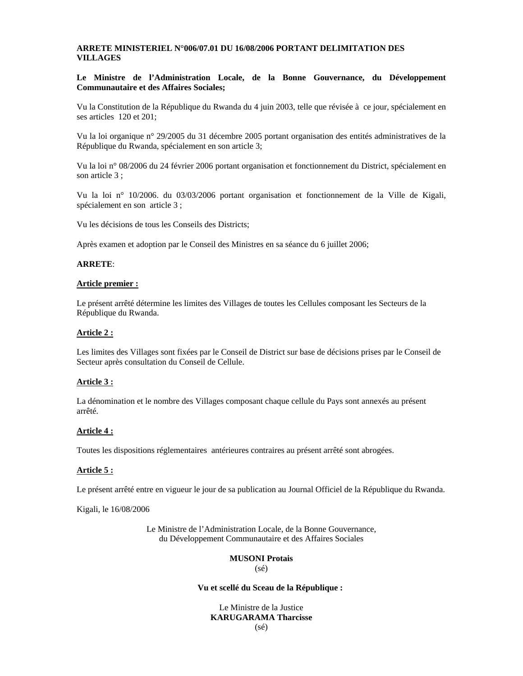## **ARRETE MINISTERIEL N°006/07.01 DU 16/08/2006 PORTANT DELIMITATION DES VILLAGES**

## **Le Ministre de l'Administration Locale, de la Bonne Gouvernance, du Développement Communautaire et des Affaires Sociales;**

Vu la Constitution de la République du Rwanda du 4 juin 2003, telle que révisée à ce jour, spécialement en ses articles 120 et 201;

Vu la loi organique n° 29/2005 du 31 décembre 2005 portant organisation des entités administratives de la République du Rwanda, spécialement en son article 3;

Vu la loi n° 08/2006 du 24 février 2006 portant organisation et fonctionnement du District, spécialement en son article 3 ;

Vu la loi n° 10/2006. du 03/03/2006 portant organisation et fonctionnement de la Ville de Kigali, spécialement en son article 3 ;

Vu les décisions de tous les Conseils des Districts;

Après examen et adoption par le Conseil des Ministres en sa séance du 6 juillet 2006;

### **ARRETE**:

## **Article premier :**

Le présent arrêté détermine les limites des Villages de toutes les Cellules composant les Secteurs de la République du Rwanda.

#### **Article 2 :**

Les limites des Villages sont fixées par le Conseil de District sur base de décisions prises par le Conseil de Secteur après consultation du Conseil de Cellule.

## **Article 3 :**

La dénomination et le nombre des Villages composant chaque cellule du Pays sont annexés au présent arrêté.

## **Article 4 :**

Toutes les dispositions réglementaires antérieures contraires au présent arrêté sont abrogées.

## **Article 5 :**

Le présent arrêté entre en vigueur le jour de sa publication au Journal Officiel de la République du Rwanda.

Kigali, le 16/08/2006

Le Ministre de l'Administration Locale, de la Bonne Gouvernance, du Développement Communautaire et des Affaires Sociales

# **MUSONI Protais**

(sé)

### **Vu et scellé du Sceau de la République :**

Le Ministre de la Justice **KARUGARAMA Tharcisse** (sé)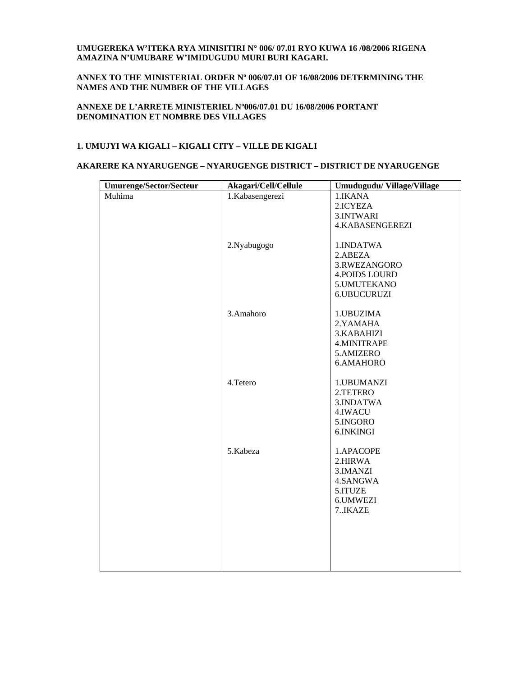## **UMUGEREKA W'ITEKA RYA MINISITIRI N° 006/ 07.01 RYO KUWA 16 /08/2006 RIGENA AMAZINA N'UMUBARE W'IMIDUGUDU MURI BURI KAGARI.**

## **ANNEX TO THE MINISTERIAL ORDER Nº 006/07.01 OF 16/08/2006 DETERMINING THE NAMES AND THE NUMBER OF THE VILLAGES**

## **ANNEXE DE L'ARRETE MINISTERIEL Nº006/07.01 DU 16/08/2006 PORTANT DENOMINATION ET NOMBRE DES VILLAGES**

## **1. UMUJYI WA KIGALI – KIGALI CITY – VILLE DE KIGALI**

## **AKARERE KA NYARUGENGE – NYARUGENGE DISTRICT – DISTRICT DE NYARUGENGE**

| <b>Umurenge/Sector/Secteur</b> | Akagari/Cell/Cellule | Umudugudu/Village/Village                                                       |
|--------------------------------|----------------------|---------------------------------------------------------------------------------|
| Muhima                         | 1.Kabasengerezi      | 1.IKANA<br>2.ICYEZA<br>3.INTWARI                                                |
|                                |                      | <b>4.KABASENGEREZI</b>                                                          |
|                                | 2.Nyabugogo          | 1.INDATWA<br>2.ABEZA<br>3.RWEZANGORO                                            |
|                                |                      | <b>4.POIDS LOURD</b><br>5. UMUTEKANO<br>6.UBUCURUZI                             |
|                                | 3.Amahoro            | 1. UBUZIMA<br>2.YAMAHA<br>3.KABAHIZI<br>4.MINITRAPE<br>5.AMIZERO<br>6.AMAHORO   |
|                                | 4. Tetero            | 1.UBUMANZI<br>2.TETERO<br>3.INDATWA<br>4.IWACU<br>5.INGORO<br>6.INKINGI         |
|                                | 5.Kabeza             | 1.APACOPE<br>2.HIRWA<br>3. IMANZI<br>4.SANGWA<br>5.ITUZE<br>6.UMWEZI<br>7.IKAZE |
|                                |                      |                                                                                 |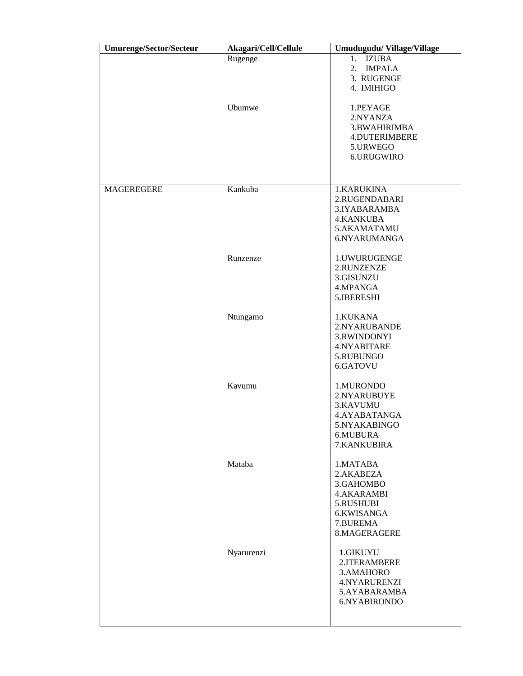| <b>Umurenge/Sector/Secteur</b> | Akagari/Cell/Cellule | Umudugudu/Village/Village |
|--------------------------------|----------------------|---------------------------|
|                                | Rugenge              | <b>IZUBA</b><br>1.        |
|                                |                      | 2.<br><b>IMPALA</b>       |
|                                |                      | 3. RUGENGE                |
|                                |                      | 4. IMIHIGO                |
|                                |                      |                           |
|                                |                      |                           |
|                                | Ubumwe               | 1.PEYAGE                  |
|                                |                      | 2.NYANZA                  |
|                                |                      | 3.BWAHIRIMBA              |
|                                |                      | <b>4.DUTERIMBERE</b>      |
|                                |                      | 5.URWEGO                  |
|                                |                      | 6.URUGWIRO                |
|                                |                      |                           |
|                                |                      |                           |
|                                |                      |                           |
| MAGEREGERE                     | Kankuba              | 1.KARUKINA                |
|                                |                      | 2.RUGENDABARI             |
|                                |                      | 3.IYABARAMBA              |
|                                |                      | <b>4.KANKUBA</b>          |
|                                |                      | 5.AKAMATAMU               |
|                                |                      | 6.NYARUMANGA              |
|                                |                      |                           |
|                                | Runzenze             | 1.UWURUGENGE              |
|                                |                      | 2.RUNZENZE                |
|                                |                      | 3.GISUNZU                 |
|                                |                      | 4.MPANGA                  |
|                                |                      |                           |
|                                |                      | 5.IBERESHI                |
|                                |                      |                           |
|                                | Ntungamo             | 1.KUKANA                  |
|                                |                      | 2.NYARUBANDE              |
|                                |                      | 3.RWINDONYI               |
|                                |                      | 4.NYABITARE               |
|                                |                      | 5.RUBUNGO                 |
|                                |                      | 6.GATOVU                  |
|                                |                      |                           |
|                                | Kavumu               | 1.MURONDO                 |
|                                |                      | 2.NYARUBUYE               |
|                                |                      | 3.KAVUMU                  |
|                                |                      | 4.AYABATANGA              |
|                                |                      |                           |
|                                |                      | 5.NYAKABINGO              |
|                                |                      | 6.MUBURA                  |
|                                |                      | 7.KANKUBIRA               |
|                                |                      |                           |
|                                | Mataba               | 1.MATABA                  |
|                                |                      | 2.AKABEZA                 |
|                                |                      | 3.GAHOMBO                 |
|                                |                      | <b>4.AKARAMBI</b>         |
|                                |                      | 5.RUSHUBI                 |
|                                |                      | 6.KWISANGA                |
|                                |                      | 7.BUREMA                  |
|                                |                      | 8.MAGERAGERE              |
|                                |                      |                           |
|                                | Nyarurenzi           | 1.GIKUYU                  |
|                                |                      |                           |
|                                |                      | 2.ITERAMBERE              |
|                                |                      | 3.AMAHORO                 |
|                                |                      | 4.NYARURENZI              |
|                                |                      | 5.AYABARAMBA              |
|                                |                      | 6.NYABIRONDO              |
|                                |                      |                           |
|                                |                      |                           |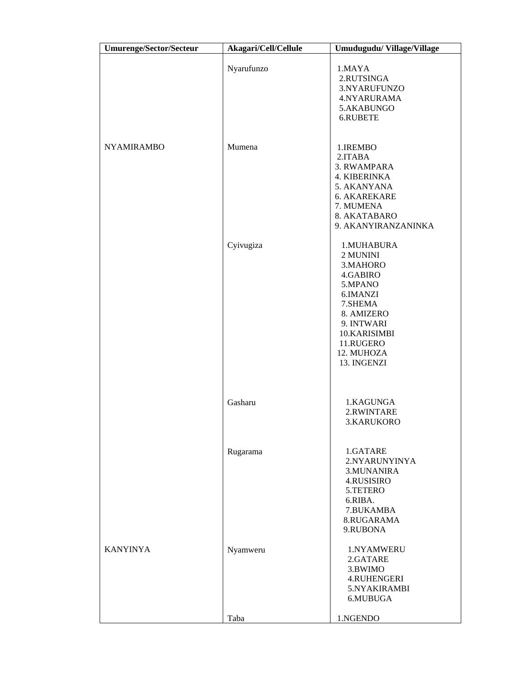| <b>Umurenge/Sector/Secteur</b> | Akagari/Cell/Cellule | Umudugudu/Village/Village                                                                                                                                              |
|--------------------------------|----------------------|------------------------------------------------------------------------------------------------------------------------------------------------------------------------|
|                                | Nyarufunzo           | 1.MAYA<br>2.RUTSINGA<br>3.NYARUFUNZO<br>4.NYARURAMA<br>5.AKABUNGO<br>6.RUBETE                                                                                          |
| <b>NYAMIRAMBO</b>              | Mumena               | 1.IREMBO<br>2.ITABA<br>3. RWAMPARA<br><b>4. KIBERINKA</b><br>5. AKANYANA<br><b>6. AKAREKARE</b><br>7. MUMENA<br>8. AKATABARO<br>9. AKANYIRANZANINKA                    |
|                                | Cyivugiza            | 1.MUHABURA<br>2 MUNINI<br>3.MAHORO<br>4.GABIRO<br>5.MPANO<br>6.IMANZI<br>7.SHEMA<br>8. AMIZERO<br>9. INTWARI<br>10.KARISIMBI<br>11.RUGERO<br>12. MUHOZA<br>13. INGENZI |
|                                | Gasharu              | 1.KAGUNGA<br>2.RWINTARE<br>3.KARUKORO                                                                                                                                  |
|                                | Rugarama             | 1.GATARE<br>2.NYARUNYINYA<br>3.MUNANIRA<br>4.RUSISIRO<br>5.TETERO<br>6.RIBA.<br>7.BUKAMBA<br>8.RUGARAMA<br>9.RUBONA                                                    |
| <b>KANYINYA</b>                | Nyamweru             | 1.NYAMWERU<br>2.GATARE<br>3.BWIMO<br><b>4.RUHENGERI</b><br>5.NYAKIRAMBI<br>6.MUBUGA                                                                                    |
|                                | Taba                 | 1.NGENDO                                                                                                                                                               |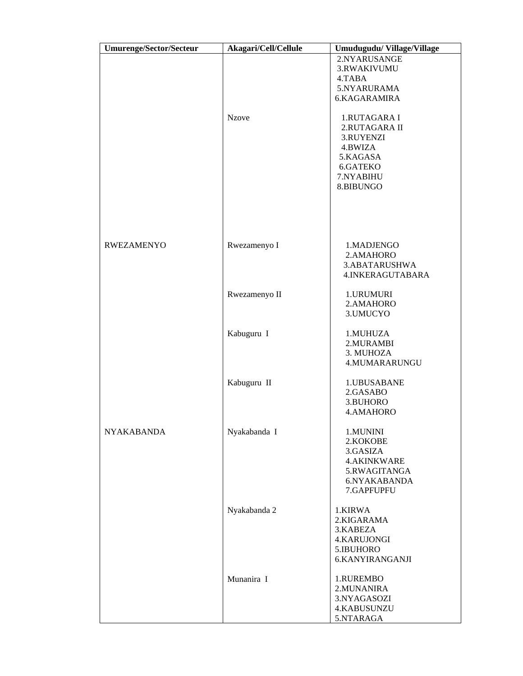| <b>Umurenge/Sector/Secteur</b> | Akagari/Cell/Cellule | Umudugudu/Village/Village |
|--------------------------------|----------------------|---------------------------|
|                                |                      | 2.NYARUSANGE              |
|                                |                      | 3.RWAKIVUMU               |
|                                |                      | 4.TABA                    |
|                                |                      | 5.NYARURAMA               |
|                                |                      | 6.KAGARAMIRA              |
|                                | <b>Nzove</b>         | 1.RUTAGARA I              |
|                                |                      | 2.RUTAGARA II             |
|                                |                      | 3.RUYENZI                 |
|                                |                      | 4.BWIZA                   |
|                                |                      | 5.KAGASA                  |
|                                |                      | 6.GATEKO<br>7.NYABIHU     |
|                                |                      | 8.BIBUNGO                 |
|                                |                      |                           |
|                                |                      |                           |
|                                |                      |                           |
| <b>RWEZAMENYO</b>              | Rwezamenyo I         | 1.MADJENGO                |
|                                |                      | 2.AMAHORO                 |
|                                |                      | 3.ABATARUSHWA             |
|                                |                      | 4.INKERAGUTABARA          |
|                                | Rwezamenyo II        | 1.URUMURI                 |
|                                |                      | 2.AMAHORO                 |
|                                |                      | 3.UMUCYO                  |
|                                | Kabuguru I           | 1.MUHUZA                  |
|                                |                      | 2.MURAMBI                 |
|                                |                      | 3. MUHOZA                 |
|                                |                      | 4.MUMARARUNGU             |
|                                | Kabuguru II          | 1.UBUSABANE               |
|                                |                      | 2.GASABO                  |
|                                |                      | 3.BUHORO                  |
|                                |                      | 4.AMAHORO                 |
| <b>NYAKABANDA</b>              | Nyakabanda I         | 1.MUNINI                  |
|                                |                      | 2.KOKOBE                  |
|                                |                      | 3.GASIZA                  |
|                                |                      | <b>4.AKINKWARE</b>        |
|                                |                      | 5.RWAGITANGA              |
|                                |                      | 6.NYAKABANDA              |
|                                |                      | 7.GAPFUPFU                |
|                                | Nyakabanda 2         | 1.KIRWA                   |
|                                |                      | 2.KIGARAMA                |
|                                |                      | 3.KABEZA                  |
|                                |                      | <b>4.KARUJONGI</b>        |
|                                |                      | 5.IBUHORO                 |
|                                |                      | 6.KANYIRANGANJI           |
|                                | Munanira I           | 1.RUREMBO                 |
|                                |                      | 2. MUNANIRA               |
|                                |                      | 3.NYAGASOZI               |
|                                |                      | 4.KABUSUNZU               |
|                                |                      | 5.NTARAGA                 |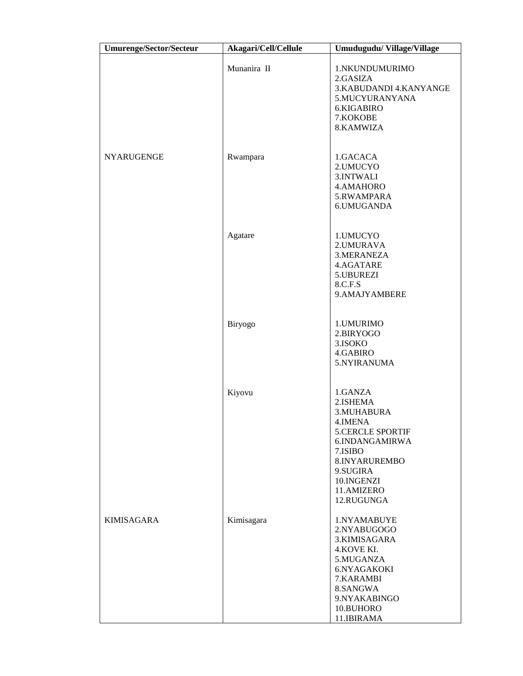| <b>Umurenge/Sector/Secteur</b> | Akagari/Cell/Cellule | Umudugudu/Village/Village                                                                                                                                            |
|--------------------------------|----------------------|----------------------------------------------------------------------------------------------------------------------------------------------------------------------|
|                                | Munanira II          | 1.NKUNDUMURIMO<br>2.GASIZA<br>3.KABUDANDI 4.KANYANGE<br>5.MUCYURANYANA<br>6.KIGABIRO<br>7.KOKOBE<br>8.KAMWIZA                                                        |
| <b>NYARUGENGE</b>              | Rwampara             | 1.GACACA<br>2.UMUCYO<br>3.INTWALI<br>4.AMAHORO<br>5.RWAMPARA<br>6.UMUGANDA                                                                                           |
|                                | Agatare              | 1.UMUCYO<br>2.UMURAVA<br>3. MERANEZA<br>4.AGATARE<br>5.UBUREZI<br>8.C.F.S<br>9.AMAJYAMBERE                                                                           |
|                                | Biryogo              | 1. UMURIMO<br>2.BIRYOGO<br>3.ISOKO<br>4.GABIRO<br>5.NYIRANUMA                                                                                                        |
|                                | Kiyovu               | 1.GANZA<br>2.ISHEMA<br>3.MUHABURA<br>4.IMENA<br>5.CERCLE SPORTIF<br>6.INDANGAMIRWA<br>7.ISIBO<br>8.INYARUREMBO<br>9.SUGIRA<br>10.INGENZI<br>11.AMIZERO<br>12.RUGUNGA |
| <b>KIMISAGARA</b>              | Kimisagara           | 1.NYAMABUYE<br>2.NYABUGOGO<br>3.KIMISAGARA<br>4.KOVE KI.<br>5.MUGANZA<br>6.NYAGAKOKI<br>7.KARAMBI<br>8.SANGWA<br>9.NYAKABINGO<br>10.BUHORO<br>11.IBIRAMA             |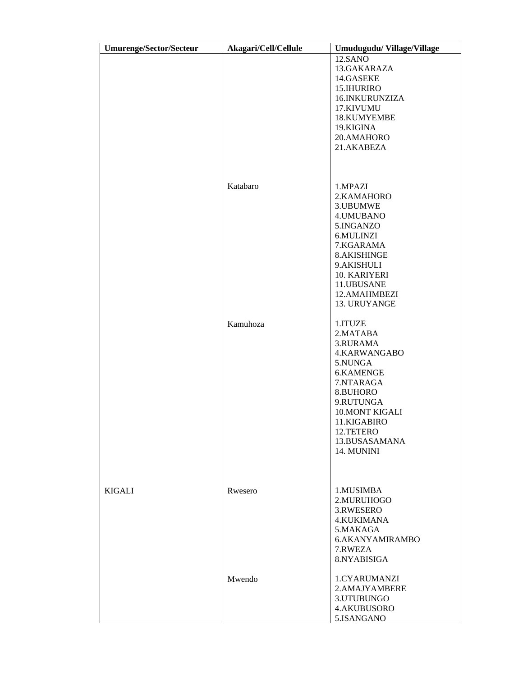| Umurenge/Sector/Secteur | Akagari/Cell/Cellule | Umudugudu/Village/Village   |
|-------------------------|----------------------|-----------------------------|
|                         |                      | 12.SANO                     |
|                         |                      | 13.GAKARAZA                 |
|                         |                      | 14.GASEKE                   |
|                         |                      | 15.IHURIRO                  |
|                         |                      | 16.INKURUNZIZA              |
|                         |                      | 17.KIVUMU                   |
|                         |                      | 18.KUMYEMBE                 |
|                         |                      | 19.KIGINA                   |
|                         |                      | 20.AMAHORO                  |
|                         |                      | 21.AKABEZA                  |
|                         |                      |                             |
|                         |                      |                             |
|                         |                      |                             |
|                         | Katabaro             | 1.MPAZI                     |
|                         |                      | 2.KAMAHORO                  |
|                         |                      | 3.UBUMWE                    |
|                         |                      | 4. UMUBANO                  |
|                         |                      | 5.INGANZO                   |
|                         |                      | 6.MULINZI                   |
|                         |                      | 7.KGARAMA                   |
|                         |                      | 8.AKISHINGE                 |
|                         |                      | 9.AKISHULI                  |
|                         |                      | 10. KARIYERI<br>11.UBUSANE  |
|                         |                      | 12.AMAHMBEZI                |
|                         |                      | 13. URUYANGE                |
|                         |                      |                             |
|                         | Kamuhoza             | 1.ITUZE                     |
|                         |                      | 2.MATABA                    |
|                         |                      | 3.RURAMA                    |
|                         |                      | 4.KARWANGABO                |
|                         |                      | 5.NUNGA                     |
|                         |                      | 6.KAMENGE                   |
|                         |                      | 7.NTARAGA                   |
|                         |                      | 8.BUHORO                    |
|                         |                      | 9.RUTUNGA                   |
|                         |                      | 10. MONT KIGALI             |
|                         |                      | 11.KIGABIRO                 |
|                         |                      | 12.TETERO                   |
|                         |                      | 13.BUSASAMANA               |
|                         |                      | 14. MUNINI                  |
|                         |                      |                             |
|                         |                      |                             |
|                         |                      |                             |
| <b>KIGALI</b>           | Rwesero              | 1.MUSIMBA                   |
|                         |                      | 2.MURUHOGO                  |
|                         |                      | 3.RWESERO                   |
|                         |                      | <b>4.KUKIMANA</b>           |
|                         |                      | 5.MAKAGA<br>6.AKANYAMIRAMBO |
|                         |                      | 7.RWEZA                     |
|                         |                      | 8.NYABISIGA                 |
|                         |                      |                             |
|                         | Mwendo               | 1.CYARUMANZI                |
|                         |                      | 2.AMAJYAMBERE               |
|                         |                      | 3.UTUBUNGO                  |
|                         |                      | 4.AKUBUSORO                 |
|                         |                      | 5.ISANGANO                  |
|                         |                      |                             |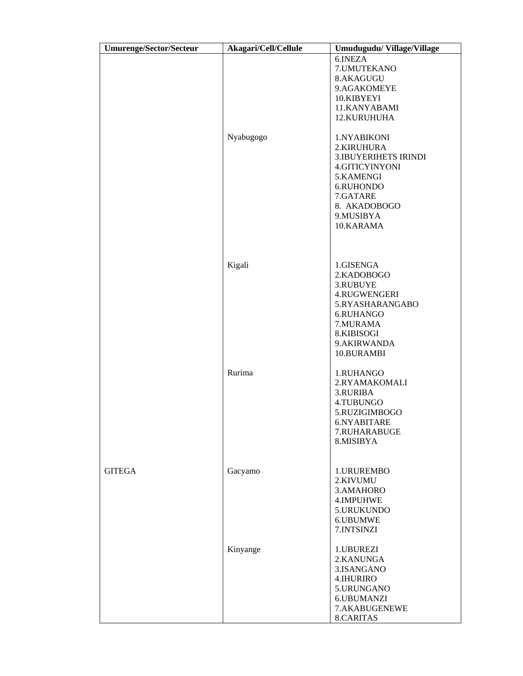| <b>Umurenge/Sector/Secteur</b> | Akagari/Cell/Cellule | Umudugudu/Village/Village   |
|--------------------------------|----------------------|-----------------------------|
|                                |                      | 6.INEZA                     |
|                                |                      | 7. UMUTEKANO                |
|                                |                      | 8.AKAGUGU                   |
|                                |                      | 9.AGAKOMEYE                 |
|                                |                      | 10.KIBYEYI                  |
|                                |                      | 11.KANYABAMI                |
|                                |                      | 12.KURUHUHA                 |
|                                | Nyabugogo            | 1.NYABIKONI<br>2.KIRUHURA   |
|                                |                      | <b>3.IBUYERIHETS IRINDI</b> |
|                                |                      | 4.GITICYINYONI              |
|                                |                      | 5.KAMENGI                   |
|                                |                      | 6.RUHONDO                   |
|                                |                      | 7.GATARE                    |
|                                |                      | 8. AKADOBOGO                |
|                                |                      | 9.MUSIBYA                   |
|                                |                      | 10.KARAMA                   |
|                                |                      |                             |
|                                |                      |                             |
|                                | Kigali               | 1.GISENGA                   |
|                                |                      | 2.KADOBOGO                  |
|                                |                      | 3.RUBUYE                    |
|                                |                      | 4.RUGWENGERI                |
|                                |                      | 5.RYASHARANGABO             |
|                                |                      | 6.RUHANGO                   |
|                                |                      | 7.MURAMA                    |
|                                |                      | 8.KIBISOGI                  |
|                                |                      | 9.AKIRWANDA                 |
|                                |                      | 10.BURAMBI                  |
|                                | Rurima               | 1.RUHANGO                   |
|                                |                      | 2.RYAMAKOMALI               |
|                                |                      | 3.RURIBA                    |
|                                |                      | 4.TUBUNGO                   |
|                                |                      | 5.RUZIGIMBOGO               |
|                                |                      | 6.NYABITARE                 |
|                                |                      | 7.RUHARABUGE                |
|                                |                      | 8.MISIBYA                   |
|                                |                      |                             |
| <b>GITEGA</b>                  | Gacyamo              | 1.URUREMBO                  |
|                                |                      | 2.KIVUMU                    |
|                                |                      | 3.AMAHORO                   |
|                                |                      | 4.IMPUHWE                   |
|                                |                      | 5.URUKUNDO                  |
|                                |                      | 6.UBUMWE                    |
|                                |                      | 7.INTSINZI                  |
|                                | Kinyange             | 1.UBUREZI                   |
|                                |                      | 2.KANUNGA                   |
|                                |                      | 3.ISANGANO                  |
|                                |                      | 4.IHURIRO                   |
|                                |                      | 5.URUNGANO                  |
|                                |                      | 6.UBUMANZI                  |
|                                |                      | 7.AKABUGENEWE               |
|                                |                      | 8.CARITAS                   |
|                                |                      |                             |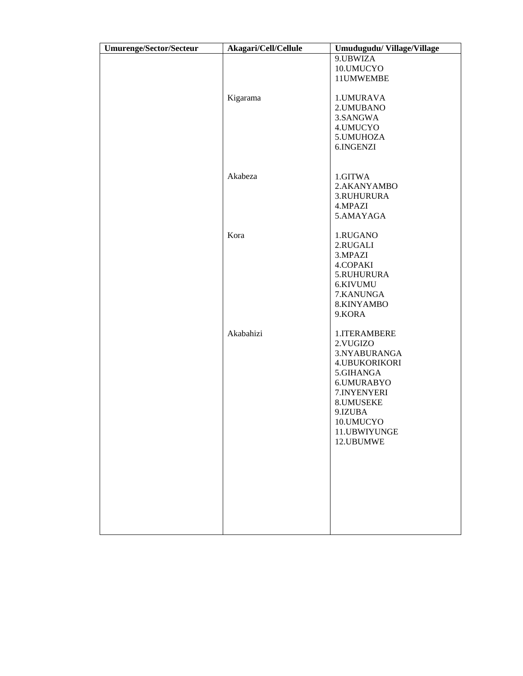| <b>Umurenge/Sector/Secteur</b> | Akagari/Cell/Cellule | Umudugudu/Village/Village                                                                                                                                                     |
|--------------------------------|----------------------|-------------------------------------------------------------------------------------------------------------------------------------------------------------------------------|
|                                |                      | 9.UBWIZA<br>10.UMUCYO<br>11UMWEMBE                                                                                                                                            |
|                                | Kigarama             | 1.UMURAVA<br>2. UMUBANO<br>3.SANGWA<br>4.UMUCYO<br>5. UMUHOZA<br>6.INGENZI                                                                                                    |
|                                | Akabeza              | 1.GITWA<br>2.AKANYAMBO<br>3.RUHURURA<br>4.MPAZI<br>5.AMAYAGA                                                                                                                  |
|                                | Kora                 | 1.RUGANO<br>2.RUGALI<br>3.MPAZI<br>4.COPAKI<br>5.RUHURURA<br>6.KIVUMU<br>7.KANUNGA<br>8.KINYAMBO<br>9.KORA                                                                    |
|                                | Akabahizi            | 1.ITERAMBERE<br>2. VUGIZO<br>3.NYABURANGA<br><b>4.UBUKORIKORI</b><br>5.GIHANGA<br>6.UMURABYO<br>7.INYENYERI<br>8.UMUSEKE<br>9.IZUBA<br>10.UMUCYO<br>11.UBWIYUNGE<br>12.UBUMWE |
|                                |                      |                                                                                                                                                                               |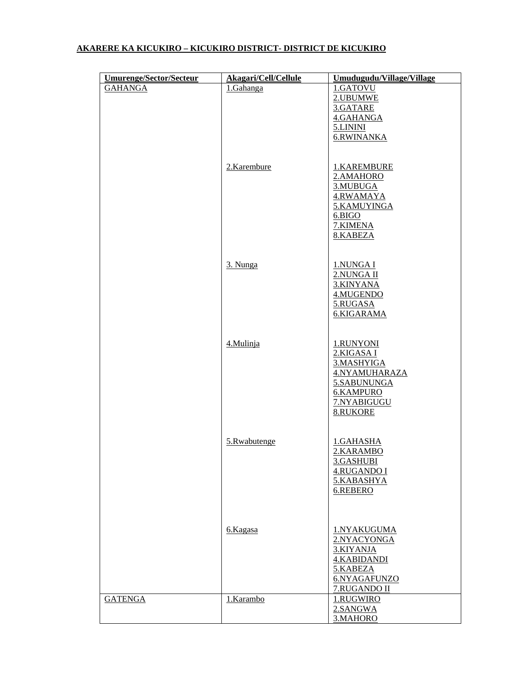# **AKARERE KA KICUKIRO – KICUKIRO DISTRICT- DISTRICT DE KICUKIRO**

| <b>Umurenge/Sector/Secteur</b> | Akagari/Cell/Cellule | Umudugudu/Village/Village                                                                                            |
|--------------------------------|----------------------|----------------------------------------------------------------------------------------------------------------------|
| <b>GAHANGA</b>                 | 1.Gahanga            | 1.GATOVU<br>2.UBUMWE<br>3.GATARE<br>4.GAHANGA<br>5.LININI<br>6.RWINANKA                                              |
|                                | 2.Karembure          | 1.KAREMBURE<br>2.AMAHORO<br>3.MUBUGA<br>4.RWAMAYA<br>5.KAMUYINGA<br>6.BIGO<br>7.KIMENA<br>8.KABEZA                   |
|                                | 3. Nunga             | 1.NUNGA I<br>2.NUNGA II<br>3.KINYANA<br>4.MUGENDO<br>5.RUGASA<br>6.KIGARAMA                                          |
|                                | 4.Mulinja            | 1.RUNYONI<br>2.KIGASA I<br>3.MASHYIGA<br>4.NYAMUHARAZA<br>5.SABUNUNGA<br><b>6.KAMPURO</b><br>7.NYABIGUGU<br>8.RUKORE |
|                                | 5.Rwabutenge         | 1.GAHASHA<br>2.KARAMBO<br>3.GASHUBI<br><b>4.RUGANDO I</b><br>5.KABASHYA<br>6.REBERO                                  |
|                                | 6.Kagasa             | 1.NYAKUGUMA<br>2.NYACYONGA<br>3.KIYANJA<br>4.KABIDANDI<br>5.KABEZA<br>6.NYAGAFUNZO<br>7.RUGANDO II                   |
| <b>GATENGA</b>                 | 1.Karambo            | 1.RUGWIRO<br>2.SANGWA<br>3.MAHORO                                                                                    |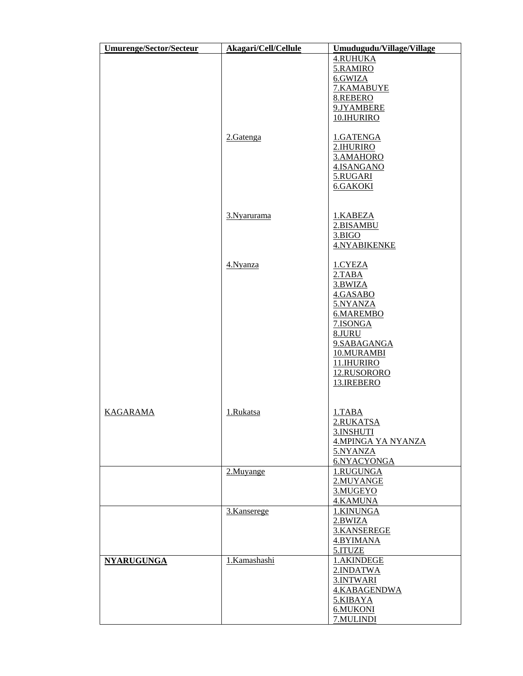| <b>Umurenge/Sector/Secteur</b> | Akagari/Cell/Cellule | Umudugudu/Village/Village                                                                                                                                       |
|--------------------------------|----------------------|-----------------------------------------------------------------------------------------------------------------------------------------------------------------|
|                                | 2.Gatenga            | <b>4.RUHUKA</b><br>5.RAMIRO<br>6.GWIZA<br>7.KAMABUYE<br>8.REBERO<br>9.JYAMBERE<br>10.IHURIRO<br>1.GATENGA                                                       |
|                                | 3. Nyarurama         | 2.IHURIRO<br>3.AMAHORO<br>4.ISANGANO<br>5.RUGARI<br><b>6.GAKOKI</b><br>1.KABEZA                                                                                 |
|                                |                      | 2.BISAMBU<br>3.BIGO<br>4.NYABIKENKE                                                                                                                             |
|                                | 4. Nyanza            | 1.CYEZA<br>2.TABA<br>3.BWIZA<br>4.GASABO<br>5.NYANZA<br>6.MAREMBO<br>7.ISONGA<br>8.JURU<br>9.SABAGANGA<br>10.MURAMBI<br>11.IHURIRO<br>12.RUSORORO<br>13.IREBERO |
| <b>KAGARAMA</b>                | 1.Rukatsa            | 1.TABA<br>2.RUKATSA<br>3.INSHUTI<br><b>4.MPINGA YA NYANZA</b><br>5.NYANZA<br>6.NYACYONGA                                                                        |
|                                | 2.Muyange            | 1.RUGUNGA<br>2.MUYANGE<br>3.MUGEYO<br>4.KAMUNA                                                                                                                  |
|                                | 3.Kanserege          | 1.KINUNGA<br>2.BWIZA<br>3.KANSEREGE<br>4.BYIMANA<br>5.ITUZE                                                                                                     |
| <b>NYARUGUNGA</b>              | 1.Kamashashi         | 1.AKINDEGE<br>2.INDATWA<br>3.INTWARI<br>4.KABAGENDWA<br>5.KIBAYA<br>6.MUKONI<br>7.MULINDI                                                                       |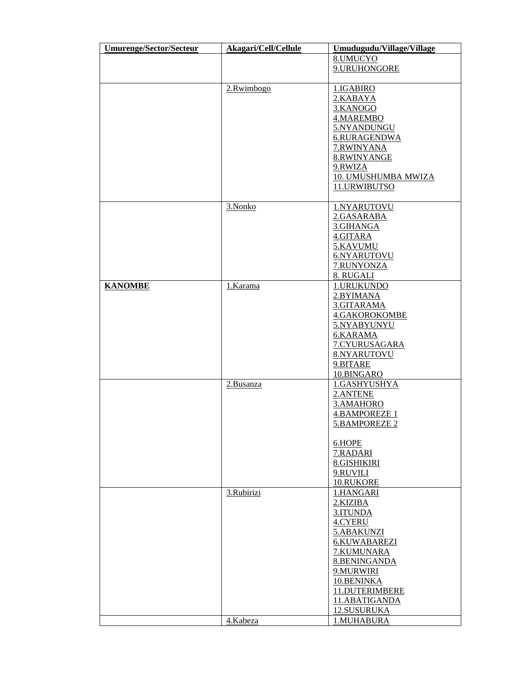| <b>Umurenge/Sector/Secteur</b> | Akagari/Cell/Cellule | Umudugudu/Village/Village |
|--------------------------------|----------------------|---------------------------|
|                                |                      | 8.UMUCYO                  |
|                                |                      | 9.URUHONGORE              |
|                                |                      |                           |
|                                | 2.Rwimbogo           | 1.IGABIRO                 |
|                                |                      | 2.KABAYA                  |
|                                |                      | 3.KANOGO                  |
|                                |                      | 4.MAREMBO                 |
|                                |                      | 5.NYANDUNGU               |
|                                |                      | 6.RURAGENDWA              |
|                                |                      | 7.RWINYANA                |
|                                |                      | 8.RWINYANGE               |
|                                |                      | 9.RWIZA                   |
|                                |                      | 10. UMUSHUMBA MWIZA       |
|                                |                      | 11.URWIBUTSO              |
|                                |                      |                           |
|                                | 3.Nonko              | 1.NYARUTOVU               |
|                                |                      | 2.GASARABA                |
|                                |                      | 3.GIHANGA                 |
|                                |                      | 4.GITARA                  |
|                                |                      | 5.KAVUMU                  |
|                                |                      | 6.NYARUTOVU               |
|                                |                      | 7.RUNYONZA                |
|                                |                      | 8. RUGALI                 |
| <b>KANOMBE</b>                 | 1.Karama             | 1.URUKUNDO                |
|                                |                      | 2.BYIMANA                 |
|                                |                      | 3.GITARAMA                |
|                                |                      | 4.GAKOROKOMBE             |
|                                |                      | 5.NYABYUNYU               |
|                                |                      | 6.KARAMA                  |
|                                |                      | 7.CYURUSAGARA             |
|                                |                      | 8.NYARUTOVU               |
|                                |                      | 9.BITARE                  |
|                                |                      | 10.BINGARO                |
|                                | 2.Busanza            | 1.GASHYUSHYA              |
|                                |                      | 2.ANTENE                  |
|                                |                      | 3.AMAHORO                 |
|                                |                      | <b>4.BAMPOREZE 1</b>      |
|                                |                      | 5.BAMPOREZE 2             |
|                                |                      |                           |
|                                |                      | 6.HOPE                    |
|                                |                      | 7.RADARI                  |
|                                |                      | <b>8.GISHIKIRI</b>        |
|                                |                      | 9.RUVILI                  |
|                                |                      | 10.RUKORE                 |
|                                | 3.Rubirizi           | 1.HANGARI                 |
|                                |                      | 2.KIZIBA                  |
|                                |                      | 3.ITUNDA                  |
|                                |                      | 4.CYERU                   |
|                                |                      | 5.ABAKUNZI                |
|                                |                      | 6.KUWABAREZI              |
|                                |                      |                           |
|                                |                      | 7.KUMUNARA                |
|                                |                      | <b>8.BENINGANDA</b>       |
|                                |                      | 9.MURWIRI                 |
|                                |                      | 10.BENINKA                |
|                                |                      | 11.DUTERIMBERE            |
|                                |                      | 11.ABATIGANDA             |
|                                |                      | 12.SUSURUKA               |
|                                | 4.Kabeza             | 1.MUHABURA                |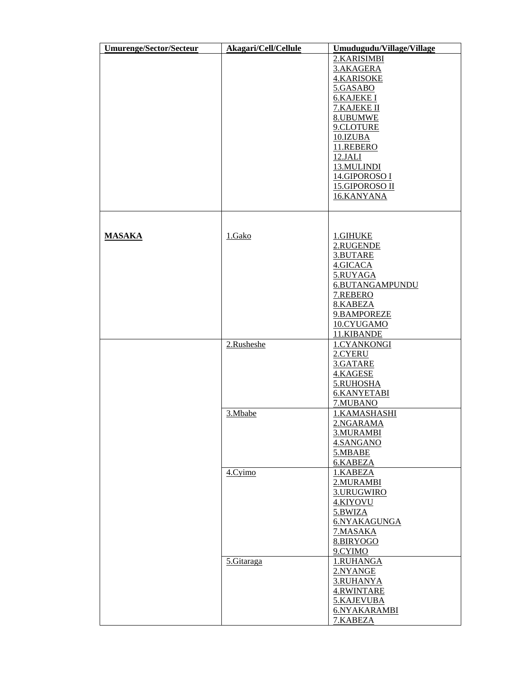| <b>Umurenge/Sector/Secteur</b> | Akagari/Cell/Cellule | Umudugudu/Village/Village |
|--------------------------------|----------------------|---------------------------|
|                                |                      | 2.KARISIMBI               |
|                                |                      | 3.AKAGERA                 |
|                                |                      | <b>4.KARISOKE</b>         |
|                                |                      | 5.GASABO                  |
|                                |                      | <b>6.KAJEKE I</b>         |
|                                |                      | 7.KAJEKE II               |
|                                |                      | 8.UBUMWE                  |
|                                |                      | 9.CLOTURE                 |
|                                |                      | 10.IZUBA                  |
|                                |                      | 11.REBERO                 |
|                                |                      |                           |
|                                |                      | <b>12.JALI</b>            |
|                                |                      | 13.MULINDI                |
|                                |                      | 14.GIPOROSO I             |
|                                |                      | 15.GIPOROSO II            |
|                                |                      | 16.KANYANA                |
|                                |                      |                           |
|                                |                      |                           |
|                                |                      |                           |
| <b>MASAKA</b>                  | 1.Gako               | 1.GIHUKE                  |
|                                |                      | 2.RUGENDE                 |
|                                |                      | 3.BUTARE                  |
|                                |                      | 4.GICACA                  |
|                                |                      | 5.RUYAGA                  |
|                                |                      | 6.BUTANGAMPUNDU           |
|                                |                      | 7.REBERO                  |
|                                |                      | 8.KABEZA                  |
|                                |                      | 9.BAMPOREZE               |
|                                |                      | 10.CYUGAMO                |
|                                |                      | 11.KIBANDE                |
|                                | 2.Rusheshe           | 1.CYANKONGI               |
|                                |                      | 2.CYERU                   |
|                                |                      | 3.GATARE                  |
|                                |                      | 4.KAGESE                  |
|                                |                      | 5.RUHOSHA                 |
|                                |                      | <b>6.KANYETABI</b>        |
|                                |                      | 7.MUBANO                  |
|                                | 3.Mbabe              | 1.KAMASHASHI              |
|                                |                      | 2.NGARAMA                 |
|                                |                      | 3.MURAMBI                 |
|                                |                      | 4.SANGANO                 |
|                                |                      | 5.MBABE                   |
|                                |                      | 6.KABEZA                  |
|                                |                      | 1.KABEZA                  |
|                                | 4.Cyimo              |                           |
|                                |                      | 2. MURAMBI                |
|                                |                      | 3.URUGWIRO                |
|                                |                      | 4.KIYOVU                  |
|                                |                      | 5.BWIZA                   |
|                                |                      | 6.NYAKAGUNGA              |
|                                |                      | 7.MASAKA                  |
|                                |                      | 8.BIRYOGO                 |
|                                |                      | 9.CYIMO                   |
|                                | 5.Gitaraga           | 1.RUHANGA                 |
|                                |                      | 2.NYANGE                  |
|                                |                      | 3.RUHANYA                 |
|                                |                      | 4.RWINTARE                |
|                                |                      | 5.KAJEVUBA                |
|                                |                      | 6.NYAKARAMBI              |
|                                |                      | 7.KABEZA                  |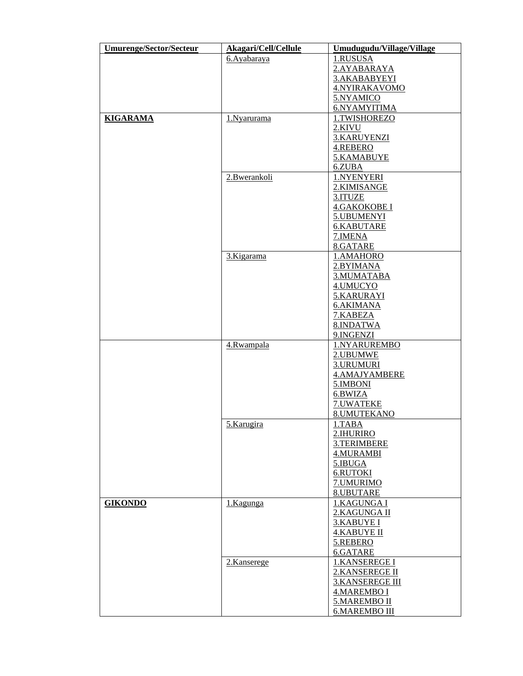| <b>Umurenge/Sector/Secteur</b> | Akagari/Cell/Cellule | Umudugudu/Village/Village |
|--------------------------------|----------------------|---------------------------|
|                                | 6. Ayabaraya         | 1.RUSUSA                  |
|                                |                      | 2.AYABARAYA               |
|                                |                      | 3.AKABABYEYI              |
|                                |                      | 4.NYIRAKAVOMO             |
|                                |                      | 5.NYAMICO                 |
|                                |                      | 6.NYAMYITIMA              |
| <b>KIGARAMA</b>                | 1.Nyarurama          | 1.TWISHOREZO              |
|                                |                      | 2.KIVU                    |
|                                |                      |                           |
|                                |                      | 3.KARUYENZI               |
|                                |                      | 4.REBERO                  |
|                                |                      | 5.KAMABUYE                |
|                                |                      | 6.ZUBA                    |
|                                | 2.Bwerankoli         | 1.NYENYERI                |
|                                |                      | 2.KIMISANGE               |
|                                |                      | 3.ITUZE                   |
|                                |                      | 4.GAKOKOBE I              |
|                                |                      | 5.UBUMENYI                |
|                                |                      | 6.KABUTARE                |
|                                |                      | 7. IMENA                  |
|                                |                      | 8.GATARE                  |
|                                | 3.Kigarama           | 1.AMAHORO                 |
|                                |                      | 2.BYIMANA                 |
|                                |                      | 3.MUMATABA                |
|                                |                      | 4.UMUCYO                  |
|                                |                      | 5.KARURAYI                |
|                                |                      | <b>6.AKIMANA</b>          |
|                                |                      |                           |
|                                |                      | 7.KABEZA                  |
|                                |                      | 8.INDATWA                 |
|                                |                      | 9.INGENZI                 |
|                                | 4.Rwampala           | 1.NYARUREMBO              |
|                                |                      | 2.UBUMWE                  |
|                                |                      | 3.URUMURI                 |
|                                |                      | <b>4.AMAJYAMBERE</b>      |
|                                |                      | 5.IMBONI                  |
|                                |                      | 6.BWIZA                   |
|                                |                      | 7.UWATEKE                 |
|                                |                      | 8.UMUTEKANO               |
|                                | 5.Karugira           | 1.TABA                    |
|                                |                      | 2.IHURIRO                 |
|                                |                      | 3.TERIMBERE               |
|                                |                      | 4.MURAMBI                 |
|                                |                      | 5.IBUGA                   |
|                                |                      | <b>6.RUTOKI</b>           |
|                                |                      | 7.UMURIMO                 |
|                                |                      | 8.UBUTARE                 |
| <b>GIKONDO</b>                 | 1.Kagunga            | 1.KAGUNGA I               |
|                                |                      | 2.KAGUNGA II              |
|                                |                      | 3.KABUYE I                |
|                                |                      | <b>4.KABUYE II</b>        |
|                                |                      | 5.REBERO                  |
|                                |                      | 6.GATARE                  |
|                                |                      |                           |
|                                | 2.Kanserege          | 1.KANSEREGE I             |
|                                |                      | 2.KANSEREGE II            |
|                                |                      | <b>3.KANSEREGE III</b>    |
|                                |                      | 4.MAREMBO I               |
|                                |                      | 5.MAREMBO II              |
|                                |                      | <b>6.MAREMBO III</b>      |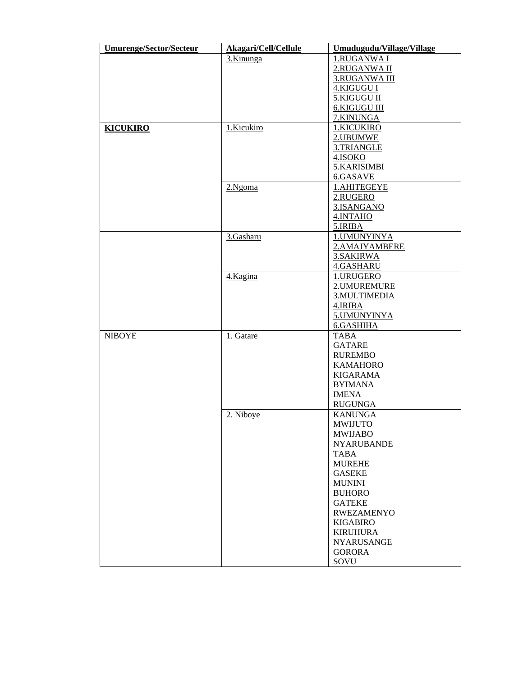| <b>Umurenge/Sector/Secteur</b> | Akagari/Cell/Cellule | Umudugudu/Village/Village      |
|--------------------------------|----------------------|--------------------------------|
|                                | 3.Kinunga            | 1.RUGANWA I                    |
|                                |                      | 2.RUGANWA II                   |
|                                |                      | 3.RUGANWA III                  |
|                                |                      | 4.KIGUGU I                     |
|                                |                      | 5.KIGUGU II                    |
|                                |                      | <b>6.KIGUGU III</b>            |
|                                |                      | 7.KINUNGA                      |
| <b>KICUKIRO</b>                | 1.Kicukiro           | 1.KICUKIRO                     |
|                                |                      | 2.UBUMWE                       |
|                                |                      | 3.TRIANGLE                     |
|                                |                      | 4.ISOKO                        |
|                                |                      | 5.KARISIMBI                    |
|                                |                      | 6.GASAVE                       |
|                                | 2.Ngoma              | 1.AHITEGEYE                    |
|                                |                      | 2.RUGERO                       |
|                                |                      | 3.ISANGANO                     |
|                                |                      | 4.INTAHO                       |
|                                |                      | 5.IRIBA                        |
|                                | 3.Gasharu            | 1. UMUNYINYA                   |
|                                |                      | 2.AMAJYAMBERE                  |
|                                |                      | 3.SAKIRWA                      |
|                                |                      | 4.GASHARU                      |
|                                | 4.Kagina             | 1.URUGERO                      |
|                                |                      | 2.UMUREMURE                    |
|                                |                      | 3.MULTIMEDIA                   |
|                                |                      | 4.IRIBA                        |
|                                |                      | 5.UMUNYINYA                    |
|                                |                      | 6.GASHIHA                      |
| <b>NIBOYE</b>                  | 1. Gatare            | <b>TABA</b>                    |
|                                |                      | <b>GATARE</b>                  |
|                                |                      | <b>RUREMBO</b>                 |
|                                |                      | <b>KAMAHORO</b>                |
|                                |                      | KIGARAMA                       |
|                                |                      | <b>BYIMANA</b>                 |
|                                |                      | <b>IMENA</b>                   |
|                                |                      | <b>RUGUNGA</b>                 |
|                                | 2. Niboye            | <b>KANUNGA</b>                 |
|                                |                      | MWIJUTO                        |
|                                |                      | <b>MWIJABO</b>                 |
|                                |                      | <b>NYARUBANDE</b>              |
|                                |                      | TABA                           |
|                                |                      | <b>MUREHE</b>                  |
|                                |                      | <b>GASEKE</b>                  |
|                                |                      |                                |
|                                |                      | <b>MUNINI</b><br><b>BUHORO</b> |
|                                |                      |                                |
|                                |                      | <b>GATEKE</b>                  |
|                                |                      | <b>RWEZAMENYO</b>              |
|                                |                      | <b>KIGABIRO</b>                |
|                                |                      | <b>KIRUHURA</b>                |
|                                |                      | <b>NYARUSANGE</b>              |
|                                |                      | <b>GORORA</b>                  |
|                                |                      | SOVU                           |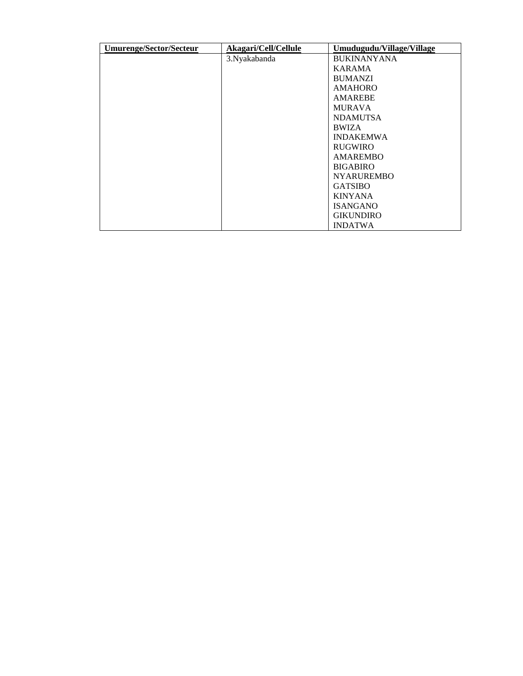| <b>Umurenge/Sector/Secteur</b> | Akagari/Cell/Cellule | Umudugudu/Village/Village |
|--------------------------------|----------------------|---------------------------|
|                                | 3. Nyakabanda        | <b>BUKINANYANA</b>        |
|                                |                      | <b>KARAMA</b>             |
|                                |                      | <b>BUMANZI</b>            |
|                                |                      | <b>AMAHORO</b>            |
|                                |                      | <b>AMAREBE</b>            |
|                                |                      | <b>MURAVA</b>             |
|                                |                      | <b>NDAMUTSA</b>           |
|                                |                      | <b>BWIZA</b>              |
|                                |                      | <b>INDAKEMWA</b>          |
|                                |                      | <b>RUGWIRO</b>            |
|                                |                      | <b>AMAREMBO</b>           |
|                                |                      | <b>BIGABIRO</b>           |
|                                |                      | <b>NYARUREMBO</b>         |
|                                |                      | <b>GATSIBO</b>            |
|                                |                      | <b>KINYANA</b>            |
|                                |                      | <b>ISANGANO</b>           |
|                                |                      | <b>GIKUNDIRO</b>          |
|                                |                      | <b>INDATWA</b>            |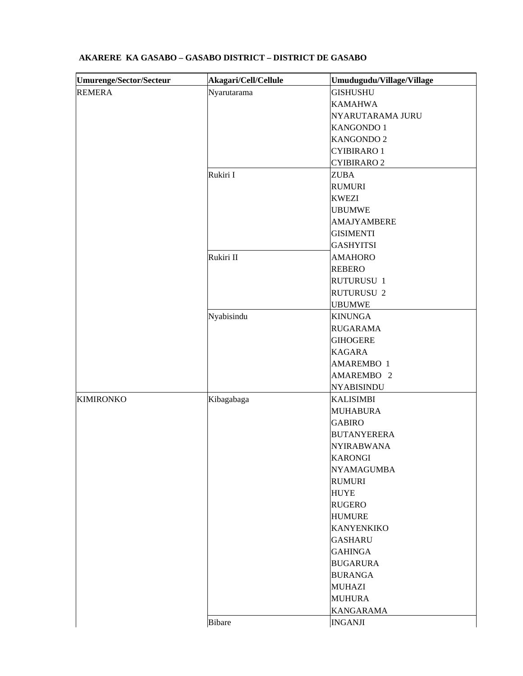| <b>Umurenge/Sector/Secteur</b> | Akagari/Cell/Cellule | Umudugudu/Village/Village |
|--------------------------------|----------------------|---------------------------|
| <b>REMERA</b>                  | Nyarutarama          | <b>GISHUSHU</b>           |
|                                |                      | <b>KAMAHWA</b>            |
|                                |                      | NYARUTARAMA JURU          |
|                                |                      | KANGONDO 1                |
|                                |                      | KANGONDO 2                |
|                                |                      | <b>CYIBIRARO1</b>         |
|                                |                      | <b>CYIBIRARO 2</b>        |
|                                | Rukiri I             | <b>ZUBA</b>               |
|                                |                      | <b>RUMURI</b>             |
|                                |                      | <b>KWEZI</b>              |
|                                |                      | <b>UBUMWE</b>             |
|                                |                      | <b>AMAJYAMBERE</b>        |
|                                |                      | <b>GISIMENTI</b>          |
|                                |                      | <b>GASHYITSI</b>          |
|                                | Rukiri II            | <b>AMAHORO</b>            |
|                                |                      | <b>REBERO</b>             |
|                                |                      | RUTURUSU 1                |
|                                |                      | <b>RUTURUSU 2</b>         |
|                                |                      | <b>UBUMWE</b>             |
|                                | Nyabisindu           | <b>KINUNGA</b>            |
|                                |                      | <b>RUGARAMA</b>           |
|                                |                      | <b>GIHOGERE</b>           |
|                                |                      | <b>KAGARA</b>             |
|                                |                      | AMAREMBO 1                |
|                                |                      | AMAREMBO <sub>2</sub>     |
|                                |                      | <b>NYABISINDU</b>         |
| <b>KIMIRONKO</b>               | Kibagabaga           | <b>KALISIMBI</b>          |
|                                |                      | <b>MUHABURA</b>           |
|                                |                      | <b>GABIRO</b>             |
|                                |                      | <b>BUTANYERERA</b>        |
|                                |                      | <b>NYIRABWANA</b>         |
|                                |                      | <b>KARONGI</b>            |
|                                |                      | <b>NYAMAGUMBA</b>         |
|                                |                      | <b>RUMURI</b>             |
|                                |                      | <b>HUYE</b>               |
|                                |                      | <b>RUGERO</b>             |
|                                |                      | <b>HUMURE</b>             |
|                                |                      | <b>KANYENKIKO</b>         |
|                                |                      | <b>GASHARU</b>            |
|                                |                      | <b>GAHINGA</b>            |
|                                |                      | <b>BUGARURA</b>           |
|                                |                      | <b>BURANGA</b>            |
|                                |                      | <b>MUHAZI</b>             |
|                                |                      | <b>MUHURA</b>             |
|                                |                      | <b>KANGARAMA</b>          |
|                                | <b>Bibare</b>        | <b>INGANJI</b>            |
|                                |                      |                           |

# **AKARERE KA GASABO – GASABO DISTRICT – DISTRICT DE GASABO**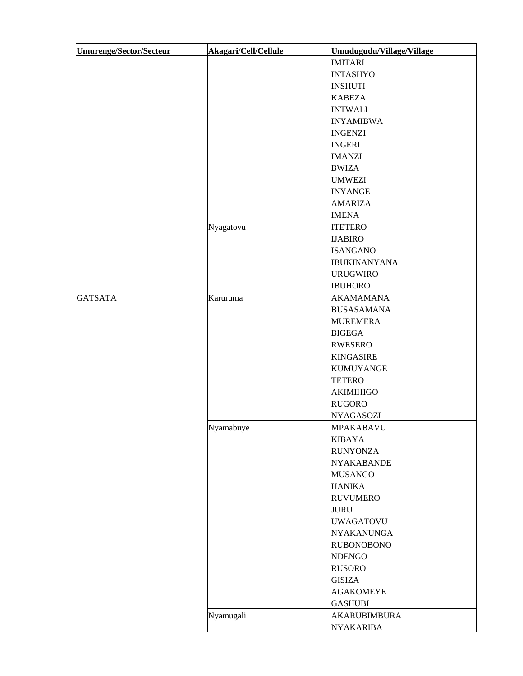| Umurenge/Sector/Secteur | Akagari/Cell/Cellule | Umudugudu/Village/Village |
|-------------------------|----------------------|---------------------------|
|                         |                      | <b>IMITARI</b>            |
|                         |                      | <b>INTASHYO</b>           |
|                         |                      | <b>INSHUTI</b>            |
|                         |                      | <b>KABEZA</b>             |
|                         |                      | <b>INTWALI</b>            |
|                         |                      | <b>INYAMIBWA</b>          |
|                         |                      | <b>INGENZI</b>            |
|                         |                      | <b>INGERI</b>             |
|                         |                      | <b>IMANZI</b>             |
|                         |                      | <b>BWIZA</b>              |
|                         |                      | <b>UMWEZI</b>             |
|                         |                      | <b>INYANGE</b>            |
|                         |                      | <b>AMARIZA</b>            |
|                         |                      | <b>IMENA</b>              |
|                         | Nyagatovu            | <b>ITETERO</b>            |
|                         |                      | <b>IJABIRO</b>            |
|                         |                      | <b>ISANGANO</b>           |
|                         |                      | <b>IBUKINANYANA</b>       |
|                         |                      | <b>URUGWIRO</b>           |
|                         |                      | <b>IBUHORO</b>            |
| <b>GATSATA</b>          | Karuruma             | <b>AKAMAMANA</b>          |
|                         |                      | <b>BUSASAMANA</b>         |
|                         |                      | <b>MUREMERA</b>           |
|                         |                      | <b>BIGEGA</b>             |
|                         |                      | <b>RWESERO</b>            |
|                         |                      | <b>KINGASIRE</b>          |
|                         |                      | <b>KUMUYANGE</b>          |
|                         |                      | <b>TETERO</b>             |
|                         |                      | <b>AKIMIHIGO</b>          |
|                         |                      | <b>RUGORO</b>             |
|                         |                      | <b>NYAGASOZI</b>          |
|                         |                      | <b>MPAKABAVU</b>          |
|                         | Nyamabuye            |                           |
|                         |                      | <b>KIBAYA</b>             |
|                         |                      | <b>RUNYONZA</b>           |
|                         |                      | <b>NYAKABANDE</b>         |
|                         |                      | <b>MUSANGO</b>            |
|                         |                      | <b>HANIKA</b>             |
|                         |                      | <b>RUVUMERO</b>           |
|                         |                      | <b>JURU</b>               |
|                         |                      | <b>UWAGATOVU</b>          |
|                         |                      | <b>NYAKANUNGA</b>         |
|                         |                      | <b>RUBONOBONO</b>         |
|                         |                      | <b>NDENGO</b>             |
|                         |                      | <b>RUSORO</b>             |
|                         |                      | <b>GISIZA</b>             |
|                         |                      | <b>AGAKOMEYE</b>          |
|                         |                      | <b>GASHUBI</b>            |
|                         | Nyamugali            | <b>AKARUBIMBURA</b>       |
|                         |                      | <b>NYAKARIBA</b>          |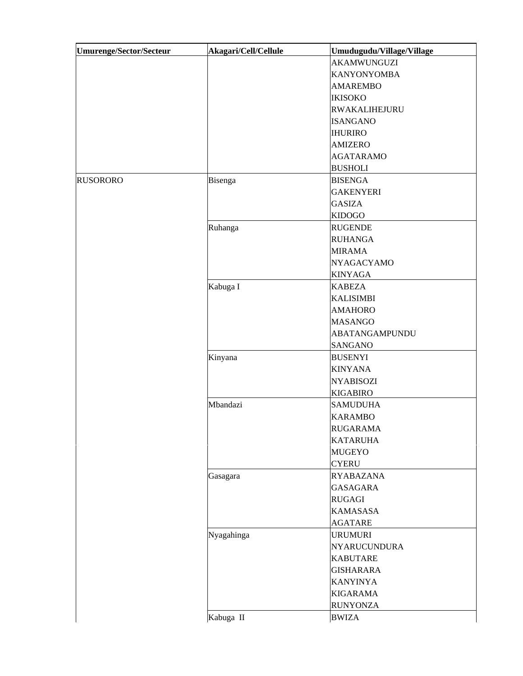| <b>Umurenge/Sector/Secteur</b> | Akagari/Cell/Cellule | Umudugudu/Village/Village |
|--------------------------------|----------------------|---------------------------|
|                                |                      | <b>AKAMWUNGUZI</b>        |
|                                |                      | <b>KANYONYOMBA</b>        |
|                                |                      | <b>AMAREMBO</b>           |
|                                |                      | <b>IKISOKO</b>            |
|                                |                      | RWAKALIHEJURU             |
|                                |                      | <b>ISANGANO</b>           |
|                                |                      | <b>IHURIRO</b>            |
|                                |                      | <b>AMIZERO</b>            |
|                                |                      | <b>AGATARAMO</b>          |
|                                |                      | <b>BUSHOLI</b>            |
| <b>RUSORORO</b>                | Bisenga              | <b>BISENGA</b>            |
|                                |                      | <b>GAKENYERI</b>          |
|                                |                      | <b>GASIZA</b>             |
|                                |                      | <b>KIDOGO</b>             |
|                                | Ruhanga              | <b>RUGENDE</b>            |
|                                |                      | <b>RUHANGA</b>            |
|                                |                      | <b>MIRAMA</b>             |
|                                |                      | <b>NYAGACYAMO</b>         |
|                                |                      | <b>KINYAGA</b>            |
|                                | Kabuga I             | <b>KABEZA</b>             |
|                                |                      | <b>KALISIMBI</b>          |
|                                |                      | <b>AMAHORO</b>            |
|                                |                      | <b>MASANGO</b>            |
|                                |                      | ABATANGAMPUNDU            |
|                                |                      | <b>SANGANO</b>            |
|                                | Kinyana              | <b>BUSENYI</b>            |
|                                |                      | <b>KINYANA</b>            |
|                                |                      | <b>NYABISOZI</b>          |
|                                |                      | <b>KIGABIRO</b>           |
|                                | Mbandazi             | <b>SAMUDUHA</b>           |
|                                |                      | <b>KARAMBO</b>            |
|                                |                      | <b>RUGARAMA</b>           |
|                                |                      | <b>KATARUHA</b>           |
|                                |                      | <b>MUGEYO</b>             |
|                                |                      | <b>CYERU</b>              |
|                                | Gasagara             | <b>RYABAZANA</b>          |
|                                |                      | <b>GASAGARA</b>           |
|                                |                      | <b>RUGAGI</b>             |
|                                |                      | <b>KAMASASA</b>           |
|                                |                      | <b>AGATARE</b>            |
|                                | Nyagahinga           | <b>URUMURI</b>            |
|                                |                      | NYARUCUNDURA              |
|                                |                      | <b>KABUTARE</b>           |
|                                |                      | <b>GISHARARA</b>          |
|                                |                      | <b>KANYINYA</b>           |
|                                |                      | <b>KIGARAMA</b>           |
|                                |                      | <b>RUNYONZA</b>           |
|                                | Kabuga II            | <b>BWIZA</b>              |
|                                |                      |                           |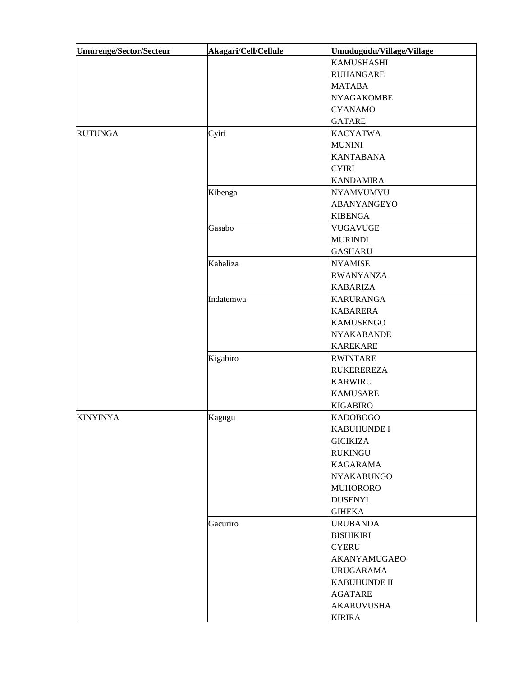|                 | Cyiri     | <b>KAMUSHASHI</b><br><b>RUHANGARE</b><br><b>MATABA</b><br><b>NYAGAKOMBE</b><br><b>CYANAMO</b><br><b>GATARE</b><br><b>KACYATWA</b> |
|-----------------|-----------|-----------------------------------------------------------------------------------------------------------------------------------|
|                 |           |                                                                                                                                   |
|                 |           |                                                                                                                                   |
|                 |           |                                                                                                                                   |
|                 |           |                                                                                                                                   |
|                 |           |                                                                                                                                   |
|                 |           |                                                                                                                                   |
| <b>RUTUNGA</b>  |           |                                                                                                                                   |
|                 |           | <b>MUNINI</b>                                                                                                                     |
|                 |           | <b>KANTABANA</b>                                                                                                                  |
|                 |           | <b>CYIRI</b>                                                                                                                      |
|                 |           | <b>KANDAMIRA</b>                                                                                                                  |
|                 | Kibenga   | <b>NYAMVUMVU</b>                                                                                                                  |
|                 |           | ABANYANGEYO                                                                                                                       |
|                 |           | <b>KIBENGA</b>                                                                                                                    |
|                 | Gasabo    | <b>VUGAVUGE</b>                                                                                                                   |
|                 |           | <b>MURINDI</b>                                                                                                                    |
|                 |           | <b>GASHARU</b>                                                                                                                    |
|                 | Kabaliza  | <b>NYAMISE</b>                                                                                                                    |
|                 |           | <b>RWANYANZA</b>                                                                                                                  |
|                 |           | <b>KABARIZA</b>                                                                                                                   |
|                 | Indatemwa | <b>KARURANGA</b>                                                                                                                  |
|                 |           | <b>KABARERA</b>                                                                                                                   |
|                 |           | <b>KAMUSENGO</b>                                                                                                                  |
|                 |           | <b>NYAKABANDE</b>                                                                                                                 |
|                 |           | <b>KAREKARE</b>                                                                                                                   |
|                 | Kigabiro  | <b>RWINTARE</b>                                                                                                                   |
|                 |           | <b>RUKEREREZA</b>                                                                                                                 |
|                 |           | <b>KARWIRU</b>                                                                                                                    |
|                 |           | <b>KAMUSARE</b>                                                                                                                   |
|                 |           | <b>KIGABIRO</b>                                                                                                                   |
| <b>KINYINYA</b> | Kagugu    | <b>KADOBOGO</b>                                                                                                                   |
|                 |           | <b>KABUHUNDE I</b>                                                                                                                |
|                 |           | <b>GICIKIZA</b>                                                                                                                   |
|                 |           | <b>RUKINGU</b>                                                                                                                    |
|                 |           | <b>KAGARAMA</b>                                                                                                                   |
|                 |           | <b>NYAKABUNGO</b>                                                                                                                 |
|                 |           | <b>MUHORORO</b>                                                                                                                   |
|                 |           | <b>DUSENYI</b>                                                                                                                    |
|                 |           | <b>GIHEKA</b>                                                                                                                     |
|                 | Gacuriro  | <b>URUBANDA</b>                                                                                                                   |
|                 |           | <b>BISHIKIRI</b>                                                                                                                  |
|                 |           | <b>CYERU</b>                                                                                                                      |
|                 |           | <b>AKANYAMUGABO</b>                                                                                                               |
|                 |           | <b>URUGARAMA</b>                                                                                                                  |
|                 |           | <b>KABUHUNDE II</b>                                                                                                               |
|                 |           | <b>AGATARE</b>                                                                                                                    |
|                 |           | <b>AKARUVUSHA</b>                                                                                                                 |
|                 |           | <b>KIRIRA</b>                                                                                                                     |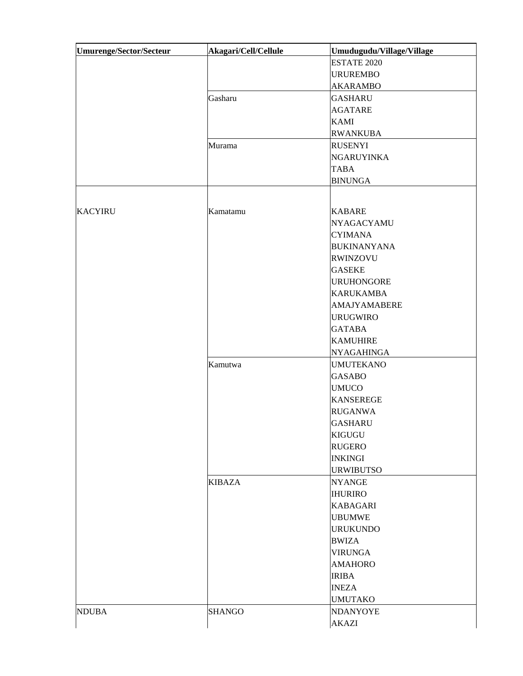| Umurenge/Sector/Secteur | Akagari/Cell/Cellule | Umudugudu/Village/Village |
|-------------------------|----------------------|---------------------------|
|                         |                      | <b>ESTATE 2020</b>        |
|                         |                      | <b>URUREMBO</b>           |
|                         |                      | <b>AKARAMBO</b>           |
|                         | Gasharu              | <b>GASHARU</b>            |
|                         |                      | <b>AGATARE</b>            |
|                         |                      | <b>KAMI</b>               |
|                         |                      | <b>RWANKUBA</b>           |
|                         | Murama               | <b>RUSENYI</b>            |
|                         |                      | <b>NGARUYINKA</b>         |
|                         |                      | <b>TABA</b>               |
|                         |                      | <b>BINUNGA</b>            |
|                         |                      |                           |
|                         |                      |                           |
| <b>KACYIRU</b>          | Kamatamu             | <b>KABARE</b>             |
|                         |                      | <b>NYAGACYAMU</b>         |
|                         |                      | <b>CYIMANA</b>            |
|                         |                      | <b>BUKINANYANA</b>        |
|                         |                      | <b>RWINZOVU</b>           |
|                         |                      | <b>GASEKE</b>             |
|                         |                      | <b>URUHONGORE</b>         |
|                         |                      | <b>KARUKAMBA</b>          |
|                         |                      | AMAJYAMABERE              |
|                         |                      | <b>URUGWIRO</b>           |
|                         |                      | <b>GATABA</b>             |
|                         |                      | <b>KAMUHIRE</b>           |
|                         |                      | <b>NYAGAHINGA</b>         |
|                         | Kamutwa              | <b>UMUTEKANO</b>          |
|                         |                      | <b>GASABO</b>             |
|                         |                      | <b>UMUCO</b>              |
|                         |                      | <b>KANSEREGE</b>          |
|                         |                      | <b>RUGANWA</b>            |
|                         |                      | <b>GASHARU</b>            |
|                         |                      | <b>KIGUGU</b>             |
|                         |                      | <b>RUGERO</b>             |
|                         |                      | <b>INKINGI</b>            |
|                         |                      | <b>URWIBUTSO</b>          |
|                         | <b>KIBAZA</b>        | <b>NYANGE</b>             |
|                         |                      | <b>IHURIRO</b>            |
|                         |                      | <b>KABAGARI</b>           |
|                         |                      | <b>UBUMWE</b>             |
|                         |                      | <b>URUKUNDO</b>           |
|                         |                      | <b>BWIZA</b>              |
|                         |                      | <b>VIRUNGA</b>            |
|                         |                      | <b>AMAHORO</b>            |
|                         |                      |                           |
|                         |                      | <b>IRIBA</b>              |
|                         |                      | <b>INEZA</b>              |
|                         |                      | <b>UMUTAKO</b>            |
| <b>NDUBA</b>            | <b>SHANGO</b>        | <b>NDANYOYE</b>           |
|                         |                      | <b>AKAZI</b>              |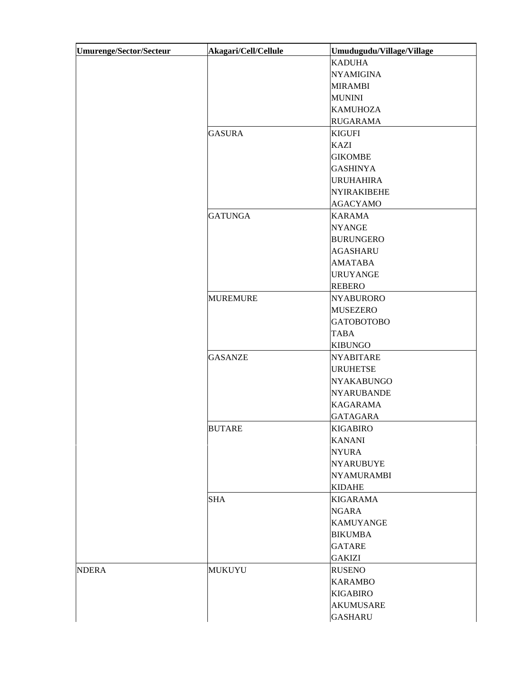| <b>Umurenge/Sector/Secteur</b> | Akagari/Cell/Cellule | Umudugudu/Village/Village |
|--------------------------------|----------------------|---------------------------|
|                                |                      | <b>KADUHA</b>             |
|                                |                      | <b>NYAMIGINA</b>          |
|                                |                      | <b>MIRAMBI</b>            |
|                                |                      | <b>MUNINI</b>             |
|                                |                      | <b>KAMUHOZA</b>           |
|                                |                      | <b>RUGARAMA</b>           |
|                                | <b>GASURA</b>        | <b>KIGUFI</b>             |
|                                |                      | <b>KAZI</b>               |
|                                |                      | <b>GIKOMBE</b>            |
|                                |                      | <b>GASHINYA</b>           |
|                                |                      | <b>URUHAHIRA</b>          |
|                                |                      | <b>NYIRAKIBEHE</b>        |
|                                |                      | <b>AGACYAMO</b>           |
|                                | <b>GATUNGA</b>       | <b>KARAMA</b>             |
|                                |                      | <b>NYANGE</b>             |
|                                |                      | <b>BURUNGERO</b>          |
|                                |                      | <b>AGASHARU</b>           |
|                                |                      | <b>AMATABA</b>            |
|                                |                      | <b>URUYANGE</b>           |
|                                |                      | <b>REBERO</b>             |
|                                | <b>MUREMURE</b>      | <b>NYABURORO</b>          |
|                                |                      | <b>MUSEZERO</b>           |
|                                |                      | <b>GATOBOTOBO</b>         |
|                                |                      | <b>TABA</b>               |
|                                |                      | <b>KIBUNGO</b>            |
|                                | <b>GASANZE</b>       | <b>NYABITARE</b>          |
|                                |                      | <b>URUHETSE</b>           |
|                                |                      | <b>NYAKABUNGO</b>         |
|                                |                      | <b>NYARUBANDE</b>         |
|                                |                      | <b>KAGARAMA</b>           |
|                                |                      | <b>GATAGARA</b>           |
|                                | BUTARE               | KIGABIRO                  |
|                                |                      | <b>KANANI</b>             |
|                                |                      | <b>NYURA</b>              |
|                                |                      | <b>NYARUBUYE</b>          |
|                                |                      | <b>NYAMURAMBI</b>         |
|                                |                      | <b>KIDAHE</b>             |
|                                | <b>SHA</b>           | <b>KIGARAMA</b>           |
|                                |                      | <b>NGARA</b>              |
|                                |                      | <b>KAMUYANGE</b>          |
|                                |                      | <b>BIKUMBA</b>            |
|                                |                      | <b>GATARE</b>             |
|                                |                      | <b>GAKIZI</b>             |
| <b>NDERA</b>                   | <b>MUKUYU</b>        | <b>RUSENO</b>             |
|                                |                      | <b>KARAMBO</b>            |
|                                |                      | <b>KIGABIRO</b>           |
|                                |                      | <b>AKUMUSARE</b>          |
|                                |                      | <b>GASHARU</b>            |
|                                |                      |                           |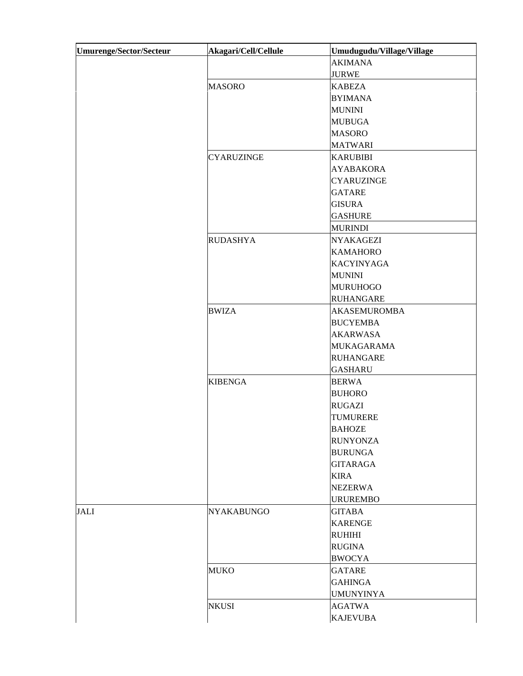| <b>Umurenge/Sector/Secteur</b> | Akagari/Cell/Cellule | Umudugudu/Village/Village |
|--------------------------------|----------------------|---------------------------|
|                                |                      | <b>AKIMANA</b>            |
|                                |                      | <b>JURWE</b>              |
|                                | <b>MASORO</b>        | <b>KABEZA</b>             |
|                                |                      | <b>BYIMANA</b>            |
|                                |                      | <b>MUNINI</b>             |
|                                |                      | <b>MUBUGA</b>             |
|                                |                      | <b>MASORO</b>             |
|                                |                      | <b>MATWARI</b>            |
|                                | <b>CYARUZINGE</b>    | <b>KARUBIBI</b>           |
|                                |                      | <b>AYABAKORA</b>          |
|                                |                      | <b>CYARUZINGE</b>         |
|                                |                      | <b>GATARE</b>             |
|                                |                      | <b>GISURA</b>             |
|                                |                      | <b>GASHURE</b>            |
|                                |                      | <b>MURINDI</b>            |
|                                | <b>RUDASHYA</b>      | <b>NYAKAGEZI</b>          |
|                                |                      | <b>KAMAHORO</b>           |
|                                |                      | <b>KACYINYAGA</b>         |
|                                |                      | <b>MUNINI</b>             |
|                                |                      | <b>MURUHOGO</b>           |
|                                |                      | <b>RUHANGARE</b>          |
|                                | <b>BWIZA</b>         | <b>AKASEMUROMBA</b>       |
|                                |                      | <b>BUCYEMBA</b>           |
|                                |                      | <b>AKARWASA</b>           |
|                                |                      | <b>MUKAGARAMA</b>         |
|                                |                      | <b>RUHANGARE</b>          |
|                                |                      | <b>GASHARU</b>            |
|                                | <b>KIBENGA</b>       | <b>BERWA</b>              |
|                                |                      | <b>BUHORO</b>             |
|                                |                      | <b>RUGAZI</b>             |
|                                |                      | <b>TUMURERE</b>           |
|                                |                      | <b>BAHOZE</b>             |
|                                |                      | <b>RUNYONZA</b>           |
|                                |                      | <b>BURUNGA</b>            |
|                                |                      | <b>GITARAGA</b>           |
|                                |                      | <b>KIRA</b>               |
|                                |                      | <b>NEZERWA</b>            |
|                                |                      | <b>URUREMBO</b>           |
| <b>JALI</b>                    | <b>NYAKABUNGO</b>    | <b>GITABA</b>             |
|                                |                      | <b>KARENGE</b>            |
|                                |                      | <b>RUHIHI</b>             |
|                                |                      | <b>RUGINA</b>             |
|                                |                      | <b>BWOCYA</b>             |
|                                | <b>MUKO</b>          | <b>GATARE</b>             |
|                                |                      | <b>GAHINGA</b>            |
|                                |                      | <b>UMUNYINYA</b>          |
|                                | <b>NKUSI</b>         | <b>AGATWA</b>             |
|                                |                      | <b>KAJEVUBA</b>           |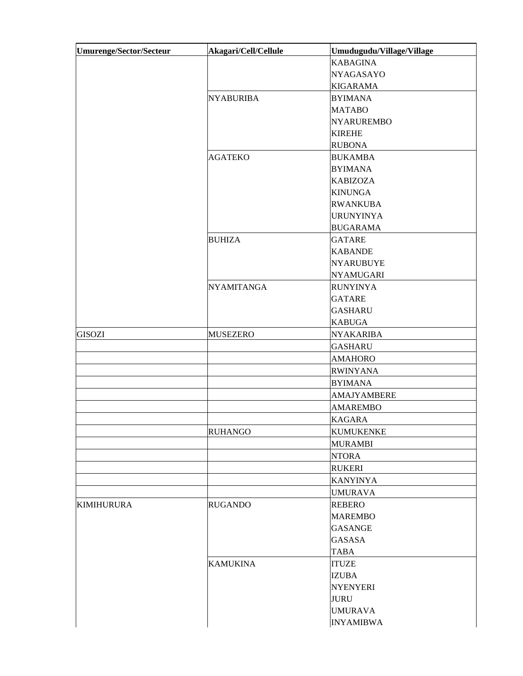| <b>KABAGINA</b><br><b>NYAGASAYO</b><br><b>KIGARAMA</b><br><b>NYABURIBA</b><br><b>BYIMANA</b><br><b>MATABO</b><br><b>NYARUREMBO</b><br><b>KIREHE</b><br><b>RUBONA</b><br><b>AGATEKO</b><br><b>BUKAMBA</b><br><b>BYIMANA</b><br><b>KABIZOZA</b><br><b>KINUNGA</b><br><b>RWANKUBA</b><br><b>URUNYINYA</b><br><b>BUGARAMA</b><br><b>BUHIZA</b><br><b>GATARE</b><br><b>KABANDE</b><br><b>NYARUBUYE</b><br><b>NYAMUGARI</b><br><b>NYAMITANGA</b><br><b>RUNYINYA</b><br><b>GATARE</b><br><b>GASHARU</b><br><b>KABUGA</b><br><b>GISOZI</b><br><b>MUSEZERO</b><br><b>NYAKARIBA</b><br><b>GASHARU</b><br><b>AMAHORO</b><br><b>RWINYANA</b><br><b>BYIMANA</b><br><b>AMAJYAMBERE</b><br><b>AMAREMBO</b><br><b>KAGARA</b><br><b>RUHANGO</b><br><b>KUMUKENKE</b><br><b>MURAMBI</b><br><b>NTORA</b><br><b>RUKERI</b><br><b>KANYINYA</b><br><b>UMURAVA</b><br><b>RUGANDO</b><br><b>KIMIHURURA</b><br><b>REBERO</b><br><b>MAREMBO</b><br><b>GASANGE</b><br><b>GASASA</b><br><b>TABA</b><br><b>KAMUKINA</b><br><b>ITUZE</b><br><b>IZUBA</b> | Umurenge/Sector/Secteur | Akagari/Cell/Cellule | Umudugudu/Village/Village |
|---------------------------------------------------------------------------------------------------------------------------------------------------------------------------------------------------------------------------------------------------------------------------------------------------------------------------------------------------------------------------------------------------------------------------------------------------------------------------------------------------------------------------------------------------------------------------------------------------------------------------------------------------------------------------------------------------------------------------------------------------------------------------------------------------------------------------------------------------------------------------------------------------------------------------------------------------------------------------------------------------------------------------|-------------------------|----------------------|---------------------------|
|                                                                                                                                                                                                                                                                                                                                                                                                                                                                                                                                                                                                                                                                                                                                                                                                                                                                                                                                                                                                                           |                         |                      |                           |
|                                                                                                                                                                                                                                                                                                                                                                                                                                                                                                                                                                                                                                                                                                                                                                                                                                                                                                                                                                                                                           |                         |                      |                           |
|                                                                                                                                                                                                                                                                                                                                                                                                                                                                                                                                                                                                                                                                                                                                                                                                                                                                                                                                                                                                                           |                         |                      |                           |
|                                                                                                                                                                                                                                                                                                                                                                                                                                                                                                                                                                                                                                                                                                                                                                                                                                                                                                                                                                                                                           |                         |                      |                           |
|                                                                                                                                                                                                                                                                                                                                                                                                                                                                                                                                                                                                                                                                                                                                                                                                                                                                                                                                                                                                                           |                         |                      |                           |
|                                                                                                                                                                                                                                                                                                                                                                                                                                                                                                                                                                                                                                                                                                                                                                                                                                                                                                                                                                                                                           |                         |                      |                           |
|                                                                                                                                                                                                                                                                                                                                                                                                                                                                                                                                                                                                                                                                                                                                                                                                                                                                                                                                                                                                                           |                         |                      |                           |
|                                                                                                                                                                                                                                                                                                                                                                                                                                                                                                                                                                                                                                                                                                                                                                                                                                                                                                                                                                                                                           |                         |                      |                           |
|                                                                                                                                                                                                                                                                                                                                                                                                                                                                                                                                                                                                                                                                                                                                                                                                                                                                                                                                                                                                                           |                         |                      |                           |
|                                                                                                                                                                                                                                                                                                                                                                                                                                                                                                                                                                                                                                                                                                                                                                                                                                                                                                                                                                                                                           |                         |                      |                           |
|                                                                                                                                                                                                                                                                                                                                                                                                                                                                                                                                                                                                                                                                                                                                                                                                                                                                                                                                                                                                                           |                         |                      |                           |
|                                                                                                                                                                                                                                                                                                                                                                                                                                                                                                                                                                                                                                                                                                                                                                                                                                                                                                                                                                                                                           |                         |                      |                           |
|                                                                                                                                                                                                                                                                                                                                                                                                                                                                                                                                                                                                                                                                                                                                                                                                                                                                                                                                                                                                                           |                         |                      |                           |
|                                                                                                                                                                                                                                                                                                                                                                                                                                                                                                                                                                                                                                                                                                                                                                                                                                                                                                                                                                                                                           |                         |                      |                           |
|                                                                                                                                                                                                                                                                                                                                                                                                                                                                                                                                                                                                                                                                                                                                                                                                                                                                                                                                                                                                                           |                         |                      |                           |
|                                                                                                                                                                                                                                                                                                                                                                                                                                                                                                                                                                                                                                                                                                                                                                                                                                                                                                                                                                                                                           |                         |                      |                           |
|                                                                                                                                                                                                                                                                                                                                                                                                                                                                                                                                                                                                                                                                                                                                                                                                                                                                                                                                                                                                                           |                         |                      |                           |
|                                                                                                                                                                                                                                                                                                                                                                                                                                                                                                                                                                                                                                                                                                                                                                                                                                                                                                                                                                                                                           |                         |                      |                           |
|                                                                                                                                                                                                                                                                                                                                                                                                                                                                                                                                                                                                                                                                                                                                                                                                                                                                                                                                                                                                                           |                         |                      |                           |
|                                                                                                                                                                                                                                                                                                                                                                                                                                                                                                                                                                                                                                                                                                                                                                                                                                                                                                                                                                                                                           |                         |                      |                           |
|                                                                                                                                                                                                                                                                                                                                                                                                                                                                                                                                                                                                                                                                                                                                                                                                                                                                                                                                                                                                                           |                         |                      |                           |
|                                                                                                                                                                                                                                                                                                                                                                                                                                                                                                                                                                                                                                                                                                                                                                                                                                                                                                                                                                                                                           |                         |                      |                           |
|                                                                                                                                                                                                                                                                                                                                                                                                                                                                                                                                                                                                                                                                                                                                                                                                                                                                                                                                                                                                                           |                         |                      |                           |
|                                                                                                                                                                                                                                                                                                                                                                                                                                                                                                                                                                                                                                                                                                                                                                                                                                                                                                                                                                                                                           |                         |                      |                           |
|                                                                                                                                                                                                                                                                                                                                                                                                                                                                                                                                                                                                                                                                                                                                                                                                                                                                                                                                                                                                                           |                         |                      |                           |
|                                                                                                                                                                                                                                                                                                                                                                                                                                                                                                                                                                                                                                                                                                                                                                                                                                                                                                                                                                                                                           |                         |                      |                           |
|                                                                                                                                                                                                                                                                                                                                                                                                                                                                                                                                                                                                                                                                                                                                                                                                                                                                                                                                                                                                                           |                         |                      |                           |
|                                                                                                                                                                                                                                                                                                                                                                                                                                                                                                                                                                                                                                                                                                                                                                                                                                                                                                                                                                                                                           |                         |                      |                           |
|                                                                                                                                                                                                                                                                                                                                                                                                                                                                                                                                                                                                                                                                                                                                                                                                                                                                                                                                                                                                                           |                         |                      |                           |
|                                                                                                                                                                                                                                                                                                                                                                                                                                                                                                                                                                                                                                                                                                                                                                                                                                                                                                                                                                                                                           |                         |                      |                           |
|                                                                                                                                                                                                                                                                                                                                                                                                                                                                                                                                                                                                                                                                                                                                                                                                                                                                                                                                                                                                                           |                         |                      |                           |
|                                                                                                                                                                                                                                                                                                                                                                                                                                                                                                                                                                                                                                                                                                                                                                                                                                                                                                                                                                                                                           |                         |                      |                           |
|                                                                                                                                                                                                                                                                                                                                                                                                                                                                                                                                                                                                                                                                                                                                                                                                                                                                                                                                                                                                                           |                         |                      |                           |
|                                                                                                                                                                                                                                                                                                                                                                                                                                                                                                                                                                                                                                                                                                                                                                                                                                                                                                                                                                                                                           |                         |                      |                           |
|                                                                                                                                                                                                                                                                                                                                                                                                                                                                                                                                                                                                                                                                                                                                                                                                                                                                                                                                                                                                                           |                         |                      |                           |
|                                                                                                                                                                                                                                                                                                                                                                                                                                                                                                                                                                                                                                                                                                                                                                                                                                                                                                                                                                                                                           |                         |                      |                           |
|                                                                                                                                                                                                                                                                                                                                                                                                                                                                                                                                                                                                                                                                                                                                                                                                                                                                                                                                                                                                                           |                         |                      |                           |
|                                                                                                                                                                                                                                                                                                                                                                                                                                                                                                                                                                                                                                                                                                                                                                                                                                                                                                                                                                                                                           |                         |                      |                           |
|                                                                                                                                                                                                                                                                                                                                                                                                                                                                                                                                                                                                                                                                                                                                                                                                                                                                                                                                                                                                                           |                         |                      |                           |
|                                                                                                                                                                                                                                                                                                                                                                                                                                                                                                                                                                                                                                                                                                                                                                                                                                                                                                                                                                                                                           |                         |                      |                           |
|                                                                                                                                                                                                                                                                                                                                                                                                                                                                                                                                                                                                                                                                                                                                                                                                                                                                                                                                                                                                                           |                         |                      |                           |
|                                                                                                                                                                                                                                                                                                                                                                                                                                                                                                                                                                                                                                                                                                                                                                                                                                                                                                                                                                                                                           |                         |                      |                           |
|                                                                                                                                                                                                                                                                                                                                                                                                                                                                                                                                                                                                                                                                                                                                                                                                                                                                                                                                                                                                                           |                         |                      |                           |
|                                                                                                                                                                                                                                                                                                                                                                                                                                                                                                                                                                                                                                                                                                                                                                                                                                                                                                                                                                                                                           |                         |                      |                           |
| <b>NYENYERI</b>                                                                                                                                                                                                                                                                                                                                                                                                                                                                                                                                                                                                                                                                                                                                                                                                                                                                                                                                                                                                           |                         |                      |                           |
| <b>JURU</b>                                                                                                                                                                                                                                                                                                                                                                                                                                                                                                                                                                                                                                                                                                                                                                                                                                                                                                                                                                                                               |                         |                      |                           |
| <b>UMURAVA</b>                                                                                                                                                                                                                                                                                                                                                                                                                                                                                                                                                                                                                                                                                                                                                                                                                                                                                                                                                                                                            |                         |                      |                           |
| <b>INYAMIBWA</b>                                                                                                                                                                                                                                                                                                                                                                                                                                                                                                                                                                                                                                                                                                                                                                                                                                                                                                                                                                                                          |                         |                      |                           |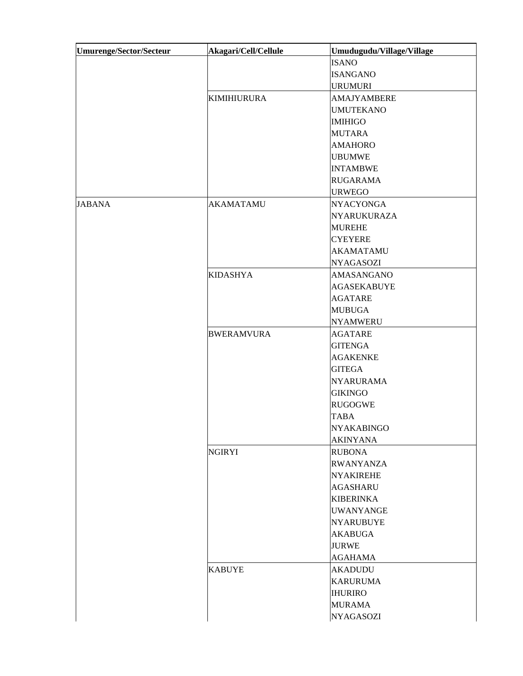| Umurenge/Sector/Secteur | Akagari/Cell/Cellule | Umudugudu/Village/Village |
|-------------------------|----------------------|---------------------------|
|                         |                      | <b>ISANO</b>              |
|                         |                      | <b>ISANGANO</b>           |
|                         |                      | <b>URUMURI</b>            |
|                         | <b>KIMIHIURURA</b>   | AMAJYAMBERE               |
|                         |                      | <b>UMUTEKANO</b>          |
|                         |                      | <b>IMIHIGO</b>            |
|                         |                      | <b>MUTARA</b>             |
|                         |                      | <b>AMAHORO</b>            |
|                         |                      | <b>UBUMWE</b>             |
|                         |                      | <b>INTAMBWE</b>           |
|                         |                      | <b>RUGARAMA</b>           |
|                         |                      | <b>URWEGO</b>             |
| <b>JABANA</b>           | <b>AKAMATAMU</b>     | <b>NYACYONGA</b>          |
|                         |                      | <b>NYARUKURAZA</b>        |
|                         |                      | <b>MUREHE</b>             |
|                         |                      | <b>CYEYERE</b>            |
|                         |                      | <b>AKAMATAMU</b>          |
|                         |                      | <b>NYAGASOZI</b>          |
|                         | <b>KIDASHYA</b>      | <b>AMASANGANO</b>         |
|                         |                      | <b>AGASEKABUYE</b>        |
|                         |                      | <b>AGATARE</b>            |
|                         |                      | <b>MUBUGA</b>             |
|                         |                      | <b>NYAMWERU</b>           |
|                         | <b>BWERAMVURA</b>    | <b>AGATARE</b>            |
|                         |                      | <b>GITENGA</b>            |
|                         |                      | <b>AGAKENKE</b>           |
|                         |                      | <b>GITEGA</b>             |
|                         |                      | <b>NYARURAMA</b>          |
|                         |                      | <b>GIKINGO</b>            |
|                         |                      | <b>RUGOGWE</b>            |
|                         |                      | <b>TABA</b>               |
|                         |                      | <b>NYAKABINGO</b>         |
|                         |                      | <b>AKINYANA</b>           |
|                         |                      |                           |
|                         | <b>NGIRYI</b>        | <b>RUBONA</b>             |
|                         |                      | <b>RWANYANZA</b>          |
|                         |                      | <b>NYAKIREHE</b>          |
|                         |                      | <b>AGASHARU</b>           |
|                         |                      | <b>KIBERINKA</b>          |
|                         |                      | <b>UWANYANGE</b>          |
|                         |                      | <b>NYARUBUYE</b>          |
|                         |                      | <b>AKABUGA</b>            |
|                         |                      | <b>JURWE</b>              |
|                         |                      | <b>AGAHAMA</b>            |
|                         | <b>KABUYE</b>        | <b>AKADUDU</b>            |
|                         |                      | <b>KARURUMA</b>           |
|                         |                      | <b>IHURIRO</b>            |
|                         |                      | <b>MURAMA</b>             |
|                         |                      | <b>NYAGASOZI</b>          |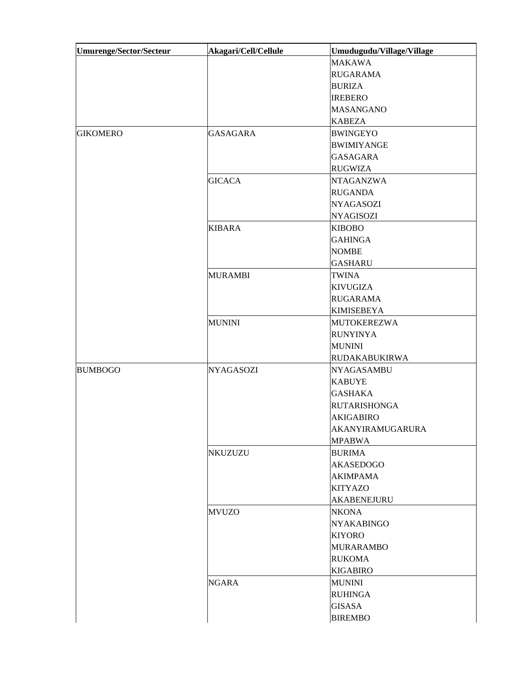| <b>Umurenge/Sector/Secteur</b> | Akagari/Cell/Cellule | Umudugudu/Village/Village |
|--------------------------------|----------------------|---------------------------|
|                                |                      | <b>MAKAWA</b>             |
|                                |                      | <b>RUGARAMA</b>           |
|                                |                      | <b>BURIZA</b>             |
|                                |                      | <b>IREBERO</b>            |
|                                |                      | <b>MASANGANO</b>          |
|                                |                      | <b>KABEZA</b>             |
| <b>GIKOMERO</b>                | <b>GASAGARA</b>      | <b>BWINGEYO</b>           |
|                                |                      | <b>BWIMIYANGE</b>         |
|                                |                      | <b>GASAGARA</b>           |
|                                |                      | <b>RUGWIZA</b>            |
|                                | <b>GICACA</b>        | <b>NTAGANZWA</b>          |
|                                |                      | <b>RUGANDA</b>            |
|                                |                      | <b>NYAGASOZI</b>          |
|                                |                      | <b>NYAGISOZI</b>          |
|                                | <b>KIBARA</b>        | <b>KIBOBO</b>             |
|                                |                      | <b>GAHINGA</b>            |
|                                |                      | <b>NOMBE</b>              |
|                                |                      | <b>GASHARU</b>            |
|                                | <b>MURAMBI</b>       | <b>TWINA</b>              |
|                                |                      | <b>KIVUGIZA</b>           |
|                                |                      | <b>RUGARAMA</b>           |
|                                |                      | <b>KIMISEBEYA</b>         |
|                                | <b>MUNINI</b>        | <b>MUTOKEREZWA</b>        |
|                                |                      | <b>RUNYINYA</b>           |
|                                |                      | <b>MUNINI</b>             |
|                                |                      | <b>RUDAKABUKIRWA</b>      |
| <b>BUMBOGO</b>                 | <b>NYAGASOZI</b>     | <b>NYAGASAMBU</b>         |
|                                |                      | <b>KABUYE</b>             |
|                                |                      | <b>GASHAKA</b>            |
|                                |                      | <b>RUTARISHONGA</b>       |
|                                |                      | <b>AKIGABIRO</b>          |
|                                |                      | AKANYIRAMUGARURA          |
|                                |                      | <b>MPABWA</b>             |
|                                | NKUZUZU              | <b>BURIMA</b>             |
|                                |                      | <b>AKASEDOGO</b>          |
|                                |                      | <b>AKIMPAMA</b>           |
|                                |                      | <b>KITYAZO</b>            |
|                                |                      | AKABENEJURU               |
|                                | <b>MVUZO</b>         | <b>NKONA</b>              |
|                                |                      | <b>NYAKABINGO</b>         |
|                                |                      | <b>KIYORO</b>             |
|                                |                      | <b>MURARAMBO</b>          |
|                                |                      | <b>RUKOMA</b>             |
|                                |                      | <b>KIGABIRO</b>           |
|                                | <b>NGARA</b>         | <b>MUNINI</b>             |
|                                |                      | <b>RUHINGA</b>            |
|                                |                      | <b>GISASA</b>             |
|                                |                      | <b>BIREMBO</b>            |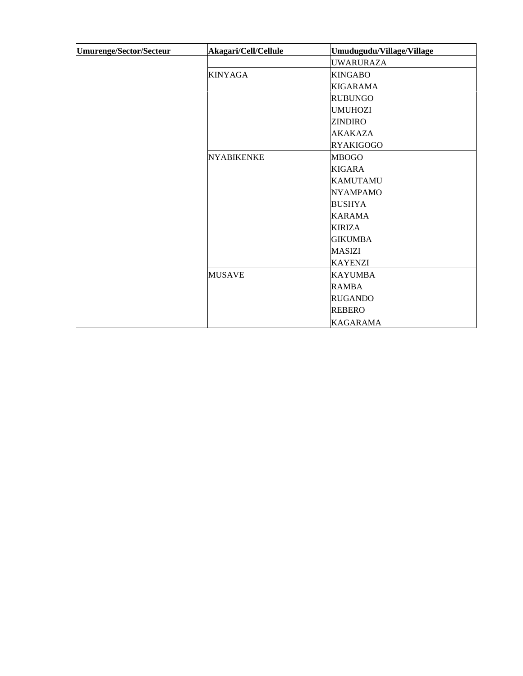| Umurenge/Sector/Secteur | Akagari/Cell/Cellule | Umudugudu/Village/Village |
|-------------------------|----------------------|---------------------------|
|                         |                      | <b>UWARURAZA</b>          |
|                         | <b>KINYAGA</b>       | <b>KINGABO</b>            |
|                         |                      | <b>KIGARAMA</b>           |
|                         |                      | <b>RUBUNGO</b>            |
|                         |                      | <b>UMUHOZI</b>            |
|                         |                      | <b>ZINDIRO</b>            |
|                         |                      | <b>AKAKAZA</b>            |
|                         |                      | <b>RYAKIGOGO</b>          |
|                         | <b>NYABIKENKE</b>    | <b>MBOGO</b>              |
|                         |                      | <b>KIGARA</b>             |
|                         |                      | <b>KAMUTAMU</b>           |
|                         |                      | <b>NYAMPAMO</b>           |
|                         |                      | <b>BUSHYA</b>             |
|                         |                      | <b>KARAMA</b>             |
|                         |                      | <b>KIRIZA</b>             |
|                         |                      | <b>GIKUMBA</b>            |
|                         |                      | <b>MASIZI</b>             |
|                         |                      | <b>KAYENZI</b>            |
|                         | <b>MUSAVE</b>        | <b>KAYUMBA</b>            |
|                         |                      | <b>RAMBA</b>              |
|                         |                      | <b>RUGANDO</b>            |
|                         |                      | <b>REBERO</b>             |
|                         |                      | <b>KAGARAMA</b>           |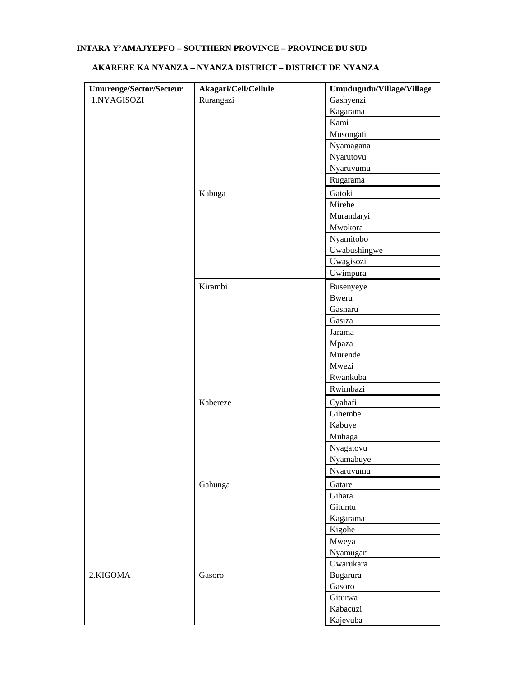# **INTARA Y'AMAJYEPFO – SOUTHERN PROVINCE – PROVINCE DU SUD**

| <b>Umurenge/Sector/Secteur</b> | Akagari/Cell/Cellule | Umudugudu/Village/Village |
|--------------------------------|----------------------|---------------------------|
| 1.NYAGISOZI                    | Rurangazi            | Gashyenzi                 |
|                                |                      | Kagarama                  |
|                                |                      | Kami                      |
|                                |                      | Musongati                 |
|                                |                      | Nyamagana                 |
|                                |                      | Nyarutovu                 |
|                                |                      | Nyaruvumu                 |
|                                |                      | Rugarama                  |
|                                | Kabuga               | Gatoki                    |
|                                |                      | Mirehe                    |
|                                |                      | Murandaryi                |
|                                |                      | Mwokora                   |
|                                |                      | Nyamitobo                 |
|                                |                      | Uwabushingwe              |
|                                |                      | Uwagisozi                 |
|                                |                      | Uwimpura                  |
|                                | Kirambi              | Busenyeye                 |
|                                |                      | <b>Bweru</b>              |
|                                |                      | Gasharu                   |
|                                |                      | Gasiza                    |
|                                |                      | Jarama                    |
|                                |                      | Mpaza                     |
|                                |                      | Murende                   |
|                                |                      | Mwezi                     |
|                                |                      | Rwankuba                  |
|                                |                      | Rwimbazi                  |
|                                | Kabereze             | Cyahafi                   |
|                                |                      | Gihembe                   |
|                                |                      | Kabuye                    |
|                                |                      | Muhaga                    |
|                                |                      | Nyagatovu                 |
|                                |                      | Nyamabuye                 |
|                                |                      | Nyaruvumu                 |
|                                | Gahunga              | Gatare                    |
|                                |                      | Gihara                    |
|                                |                      | Gituntu                   |
|                                |                      | Kagarama                  |
|                                |                      | Kigohe                    |
|                                |                      | Mweya                     |
|                                |                      | Nyamugari                 |
|                                |                      | Uwarukara                 |
| 2.KIGOMA                       | Gasoro               | Bugarura                  |
|                                |                      | Gasoro                    |
|                                |                      | Giturwa                   |
|                                |                      | Kabacuzi                  |
|                                |                      | Kajevuba                  |

# **AKARERE KA NYANZA – NYANZA DISTRICT – DISTRICT DE NYANZA**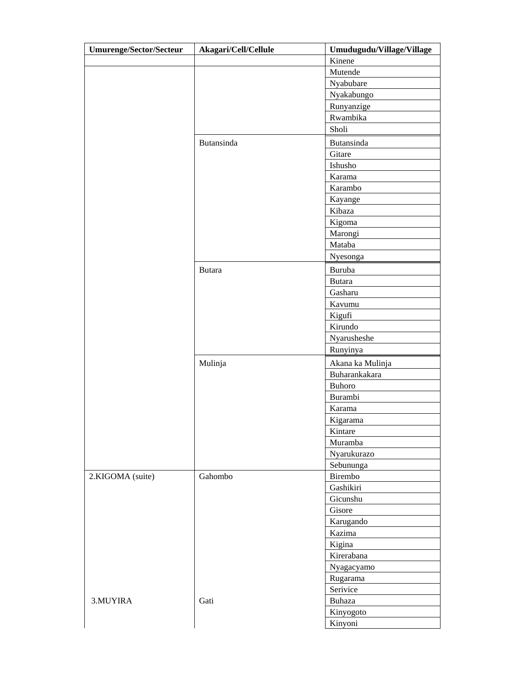| <b>Umurenge/Sector/Secteur</b> | Akagari/Cell/Cellule | Umudugudu/Village/Village |
|--------------------------------|----------------------|---------------------------|
|                                |                      | Kinene                    |
|                                |                      | Mutende                   |
|                                |                      | Nyabubare                 |
|                                |                      | Nyakabungo                |
|                                |                      | Runyanzige                |
|                                |                      | Rwambika                  |
|                                |                      | Sholi                     |
|                                | Butansinda           | Butansinda                |
|                                |                      | Gitare                    |
|                                |                      | Ishusho                   |
|                                |                      | Karama                    |
|                                |                      | Karambo                   |
|                                |                      | Kayange                   |
|                                |                      | Kibaza                    |
|                                |                      | Kigoma                    |
|                                |                      | Marongi                   |
|                                |                      | Mataba                    |
|                                |                      | Nyesonga                  |
|                                | <b>Butara</b>        | Buruba                    |
|                                |                      | <b>Butara</b>             |
|                                |                      | Gasharu                   |
|                                |                      | Kavumu                    |
|                                |                      | Kigufi                    |
|                                |                      | Kirundo                   |
|                                |                      | Nyarusheshe               |
|                                |                      | Runyinya                  |
|                                | Mulinja              | Akana ka Mulinja          |
|                                |                      | Buharankakara             |
|                                |                      | <b>Buhoro</b>             |
|                                |                      | <b>Burambi</b>            |
|                                |                      | Karama                    |
|                                |                      | Kigarama                  |
|                                |                      | Kintare                   |
|                                |                      | Muramba                   |
|                                |                      | Nyarukurazo               |
|                                |                      | Sebununga                 |
| 2.KIGOMA (suite)               | Gahombo              | Birembo                   |
|                                |                      | Gashikiri                 |
|                                |                      | Gicunshu                  |
|                                |                      | Gisore                    |
|                                |                      | Karugando<br>Kazima       |
|                                |                      | Kigina                    |
|                                |                      | Kirerabana                |
|                                |                      |                           |
|                                |                      | Nyagacyamo<br>Rugarama    |
|                                |                      | Serivice                  |
| 3.MUYIRA                       | Gati                 | Buhaza                    |
|                                |                      | Kinyogoto                 |
|                                |                      | Kinyoni                   |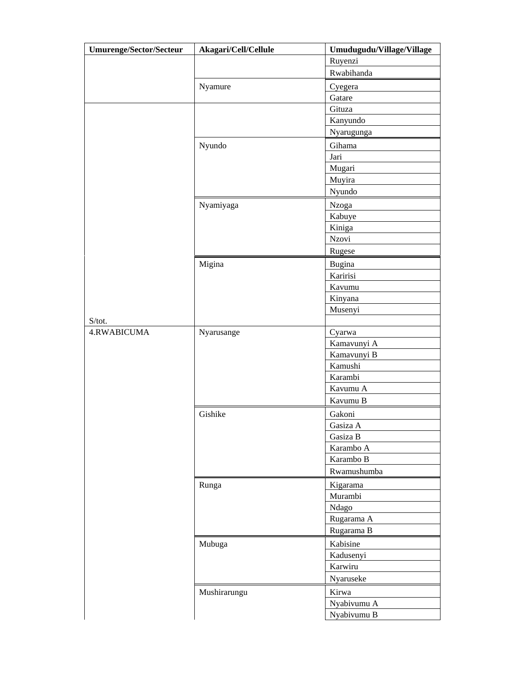| <b>Umurenge/Sector/Secteur</b> | Akagari/Cell/Cellule | Umudugudu/Village/Village |
|--------------------------------|----------------------|---------------------------|
|                                |                      | Ruyenzi                   |
|                                |                      | Rwabihanda                |
|                                | Nyamure              | Cyegera                   |
|                                |                      | Gatare                    |
|                                |                      | Gituza                    |
|                                |                      | Kanyundo                  |
|                                |                      | Nyarugunga                |
|                                | Nyundo               | Gihama                    |
|                                |                      | Jari                      |
|                                |                      | Mugari                    |
|                                |                      | Muyira                    |
|                                |                      | Nyundo                    |
|                                | Nyamiyaga            | Nzoga                     |
|                                |                      | Kabuye                    |
|                                |                      | Kiniga                    |
|                                |                      | Nzovi                     |
|                                |                      | Rugese                    |
|                                |                      |                           |
|                                | Migina               | Bugina<br>Karirisi        |
|                                |                      | Kavumu                    |
|                                |                      |                           |
|                                |                      | Kinyana<br>Musenyi        |
| S/tot.                         |                      |                           |
| 4.RWABICUMA                    | Nyarusange           | Cyarwa                    |
|                                |                      | Kamavunyi A               |
|                                |                      | Kamavunyi B               |
|                                |                      | Kamushi                   |
|                                |                      | Karambi                   |
|                                |                      | Kavumu A                  |
|                                |                      | Kavumu B                  |
|                                | Gishike              | Gakoni                    |
|                                |                      | Gasiza A                  |
|                                |                      | Gasiza B                  |
|                                |                      | Karambo A                 |
|                                |                      | Karambo B                 |
|                                |                      | Rwamushumba               |
|                                |                      |                           |
|                                | Runga                | Kigarama<br>Murambi       |
|                                |                      | Ndago                     |
|                                |                      | Rugarama A                |
|                                |                      |                           |
|                                |                      | Rugarama B                |
|                                | Mubuga               | Kabisine                  |
|                                |                      | Kadusenyi                 |
|                                |                      | Karwiru                   |
|                                |                      | Nyaruseke                 |
|                                | Mushirarungu         | Kirwa                     |
|                                |                      | Nyabivumu A               |
|                                |                      | Nyabivumu B               |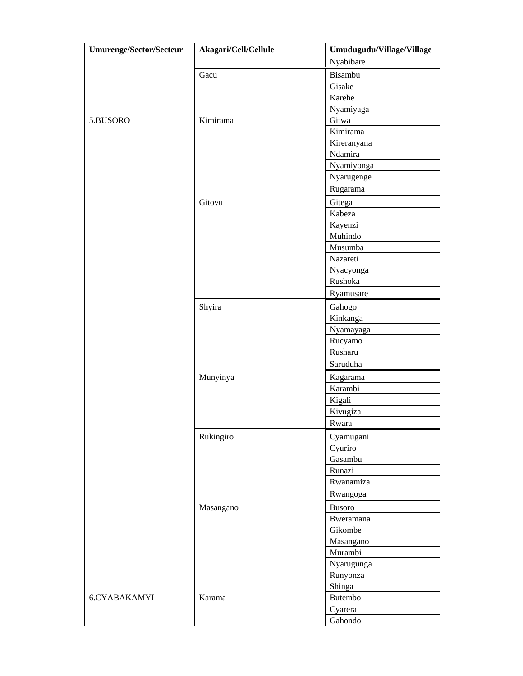| <b>Umurenge/Sector/Secteur</b> | Akagari/Cell/Cellule | Umudugudu/Village/Village |
|--------------------------------|----------------------|---------------------------|
|                                |                      | Nyabibare                 |
|                                | Gacu                 | Bisambu                   |
|                                |                      | Gisake                    |
|                                |                      | Karehe                    |
|                                |                      | Nyamiyaga                 |
| 5.BUSORO                       | Kimirama             | Gitwa                     |
|                                |                      | Kimirama                  |
|                                |                      | Kireranyana               |
|                                |                      | Ndamira                   |
|                                |                      | Nyamiyonga                |
|                                |                      | Nyarugenge                |
|                                |                      | Rugarama                  |
|                                | Gitovu               | Gitega                    |
|                                |                      | Kabeza                    |
|                                |                      | Kayenzi                   |
|                                |                      | Muhindo                   |
|                                |                      | Musumba                   |
|                                |                      | Nazareti                  |
|                                |                      | Nyacyonga                 |
|                                |                      | Rushoka                   |
|                                |                      | Ryamusare                 |
|                                |                      |                           |
|                                | Shyira               | Gahogo                    |
|                                |                      | Kinkanga                  |
|                                |                      | Nyamayaga                 |
|                                |                      | Rucyamo<br>Rusharu        |
|                                |                      | Saruduha                  |
|                                |                      |                           |
|                                | Munyinya             | Kagarama                  |
|                                |                      | Karambi                   |
|                                |                      | Kigali                    |
|                                |                      | Kivugiza                  |
|                                |                      | Rwara                     |
|                                | Rukingiro            | Cyamugani                 |
|                                |                      | Cyuriro                   |
|                                |                      | Gasambu                   |
|                                |                      | Runazi                    |
|                                |                      | Rwanamiza                 |
|                                |                      | Rwangoga                  |
|                                | Masangano            | <b>Busoro</b>             |
|                                |                      | Bweramana                 |
|                                |                      | Gikombe                   |
|                                |                      | Masangano                 |
|                                |                      | Murambi                   |
|                                |                      | Nyarugunga                |
|                                |                      | Runyonza                  |
|                                |                      | Shinga                    |
| 6.CYABAKAMYI                   | Karama               | Butembo                   |
|                                |                      | Cyarera                   |
|                                |                      | Gahondo                   |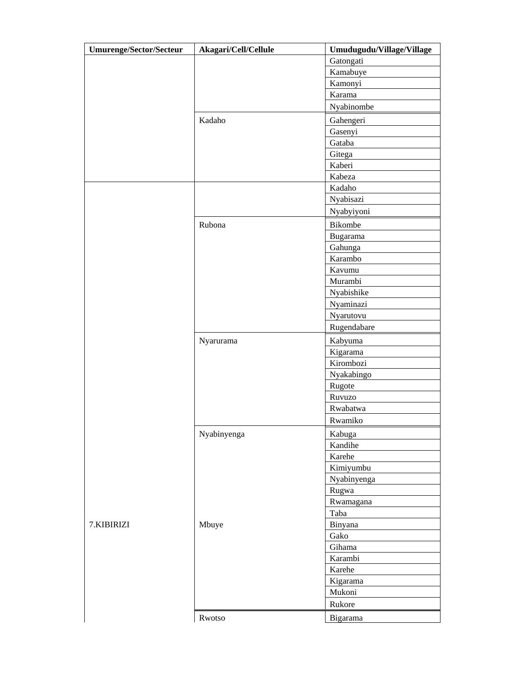| <b>Umurenge/Sector/Secteur</b> | Akagari/Cell/Cellule | Umudugudu/Village/Village |
|--------------------------------|----------------------|---------------------------|
|                                |                      | Gatongati                 |
|                                |                      | Kamabuye                  |
|                                |                      | Kamonyi                   |
|                                |                      | Karama                    |
|                                |                      | Nyabinombe                |
|                                | Kadaho               | Gahengeri                 |
|                                |                      | Gasenyi                   |
|                                |                      | Gataba                    |
|                                |                      | Gitega                    |
|                                |                      | Kaberi                    |
|                                |                      | Kabeza                    |
|                                |                      | Kadaho                    |
|                                |                      | Nyabisazi                 |
|                                |                      | Nyabyiyoni                |
|                                | Rubona               | Bikombe                   |
|                                |                      | Bugarama                  |
|                                |                      | Gahunga                   |
|                                |                      | Karambo                   |
|                                |                      | Kavumu                    |
|                                |                      | Murambi                   |
|                                |                      | Nyabishike                |
|                                |                      | Nyaminazi                 |
|                                |                      | Nyarutovu                 |
|                                |                      | Rugendabare               |
|                                | Nyarurama            | Kabyuma                   |
|                                |                      | Kigarama                  |
|                                |                      | Kirombozi                 |
|                                |                      | Nyakabingo                |
|                                |                      | Rugote                    |
|                                |                      | Ruvuzo                    |
|                                |                      | Rwabatwa                  |
|                                |                      | Rwamiko                   |
|                                | Nyabinyenga          | Kabuga                    |
|                                |                      | Kandihe                   |
|                                |                      | Karehe                    |
|                                |                      | Kimiyumbu                 |
|                                |                      | Nyabinyenga               |
|                                |                      | Rugwa                     |
|                                |                      | Rwamagana                 |
|                                |                      | Taba                      |
| 7.KIBIRIZI                     | Mbuye                | Binyana                   |
|                                |                      | Gako                      |
|                                |                      | Gihama                    |
|                                |                      | Karambi                   |
|                                |                      | Karehe                    |
|                                |                      | Kigarama                  |
|                                |                      | Mukoni                    |
|                                |                      | Rukore                    |
|                                | Rwotso               | Bigarama                  |
|                                |                      |                           |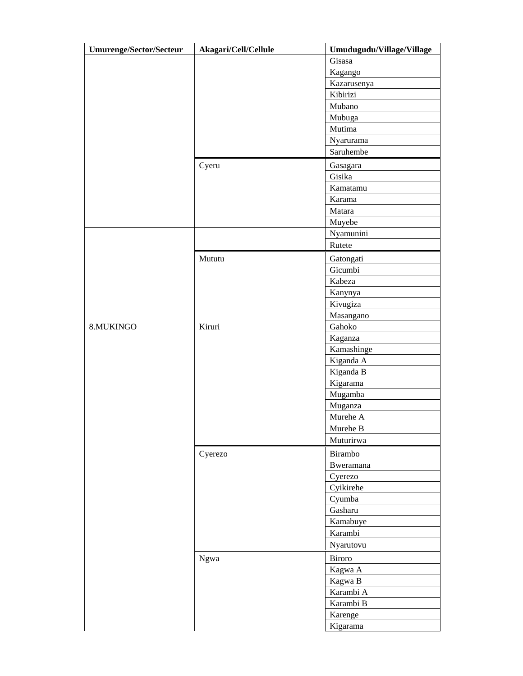| <b>Umurenge/Sector/Secteur</b> | Akagari/Cell/Cellule | Umudugudu/Village/Village |
|--------------------------------|----------------------|---------------------------|
|                                |                      | Gisasa                    |
|                                |                      | Kagango                   |
|                                |                      | Kazarusenya               |
|                                |                      | Kibirizi                  |
|                                |                      | Mubano                    |
|                                |                      | Mubuga                    |
|                                |                      | Mutima                    |
|                                |                      | Nyarurama                 |
|                                |                      | Saruhembe                 |
|                                | Cyeru                | Gasagara                  |
|                                |                      | Gisika                    |
|                                |                      | Kamatamu                  |
|                                |                      | Karama                    |
|                                |                      | Matara                    |
|                                |                      | Muyebe                    |
|                                |                      | Nyamunini                 |
|                                |                      | Rutete                    |
|                                | Mututu               | Gatongati                 |
|                                |                      | Gicumbi                   |
|                                |                      | Kabeza                    |
|                                |                      | Kanynya                   |
|                                |                      | Kivugiza                  |
|                                |                      | Masangano                 |
| 8.MUKINGO                      | Kiruri               | Gahoko                    |
|                                |                      | Kaganza                   |
|                                |                      | Kamashinge                |
|                                |                      | Kiganda A                 |
|                                |                      | Kiganda B                 |
|                                |                      | Kigarama                  |
|                                |                      | Mugamba                   |
|                                |                      | Muganza                   |
|                                |                      | Murehe A                  |
|                                |                      | Murehe B                  |
|                                |                      | Muturirwa                 |
|                                | Cyerezo              | Birambo                   |
|                                |                      | <b>Bweramana</b>          |
|                                |                      | Cyerezo                   |
|                                |                      | Cyikirehe                 |
|                                |                      | Cyumba                    |
|                                |                      | Gasharu                   |
|                                |                      | Kamabuye                  |
|                                |                      | Karambi                   |
|                                |                      | Nyarutovu                 |
|                                |                      | Biroro                    |
|                                | Ngwa                 |                           |
|                                |                      | Kagwa A                   |
|                                |                      | Kagwa B<br>Karambi A      |
|                                |                      | Karambi B                 |
|                                |                      | Karenge                   |
|                                |                      |                           |
|                                |                      | Kigarama                  |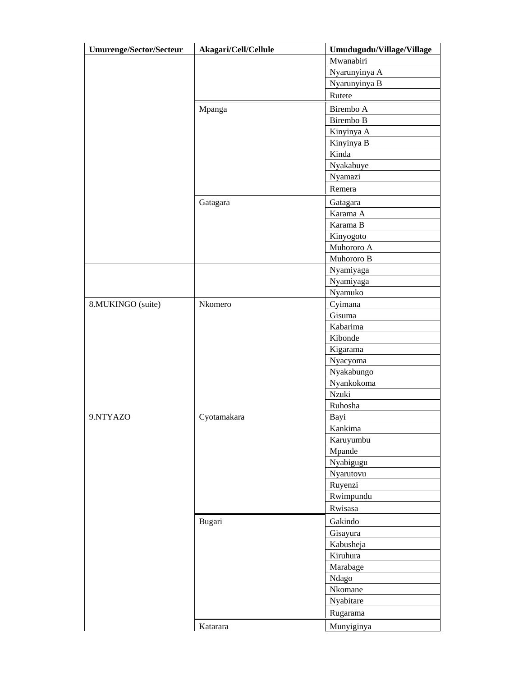| <b>Umurenge/Sector/Secteur</b> | Akagari/Cell/Cellule | Umudugudu/Village/Village |
|--------------------------------|----------------------|---------------------------|
|                                |                      | Mwanabiri                 |
|                                |                      | Nyarunyinya A             |
|                                |                      | Nyarunyinya B             |
|                                |                      | Rutete                    |
|                                | Mpanga               | Birembo A                 |
|                                |                      | Birembo B                 |
|                                |                      | Kinyinya A                |
|                                |                      | Kinyinya B                |
|                                |                      | Kinda                     |
|                                |                      | Nyakabuye                 |
|                                |                      | Nyamazi                   |
|                                |                      | Remera                    |
|                                | Gatagara             | Gatagara                  |
|                                |                      | Karama A                  |
|                                |                      | Karama B                  |
|                                |                      | Kinyogoto                 |
|                                |                      | Muhororo A                |
|                                |                      | Muhororo B                |
|                                |                      | Nyamiyaga                 |
|                                |                      | Nyamiyaga                 |
|                                |                      | Nyamuko                   |
| 8.MUKINGO (suite)              | Nkomero              | Cyimana                   |
|                                |                      | Gisuma                    |
|                                |                      | Kabarima                  |
|                                |                      | Kibonde                   |
|                                |                      | Kigarama                  |
|                                |                      | Nyacyoma                  |
|                                |                      | Nyakabungo                |
|                                |                      | Nyankokoma                |
|                                |                      | Nzuki                     |
|                                |                      | Ruhosha                   |
| 9.NTYAZO                       | Cyotamakara          | Bayi                      |
|                                |                      | Kankima                   |
|                                |                      | Karuyumbu                 |
|                                |                      | Mpande                    |
|                                |                      | Nyabigugu                 |
|                                |                      | Nyarutovu                 |
|                                |                      | Ruyenzi                   |
|                                |                      | Rwimpundu                 |
|                                |                      | Rwisasa                   |
|                                | Bugari               | Gakindo                   |
|                                |                      | Gisayura                  |
|                                |                      | Kabusheja                 |
|                                |                      | Kiruhura                  |
|                                |                      | Marabage                  |
|                                |                      | Ndago                     |
|                                |                      | Nkomane                   |
|                                |                      | Nyabitare                 |
|                                |                      | Rugarama                  |
|                                | Katarara             | Munyiginya                |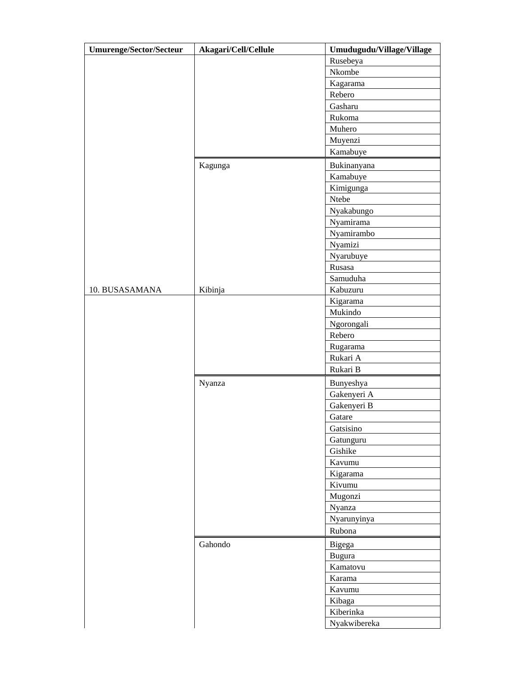| <b>Umurenge/Sector/Secteur</b> | Akagari/Cell/Cellule | Umudugudu/Village/Village |
|--------------------------------|----------------------|---------------------------|
|                                |                      | Rusebeya                  |
|                                |                      | Nkombe                    |
|                                |                      | Kagarama                  |
|                                |                      | Rebero                    |
|                                |                      | Gasharu                   |
|                                |                      | Rukoma                    |
|                                |                      | Muhero                    |
|                                |                      | Muyenzi                   |
|                                |                      | Kamabuye                  |
|                                | Kagunga              | Bukinanyana               |
|                                |                      | Kamabuye                  |
|                                |                      | Kimigunga                 |
|                                |                      | Ntebe                     |
|                                |                      | Nyakabungo                |
|                                |                      | Nyamirama                 |
|                                |                      | Nyamirambo                |
|                                |                      | Nyamizi                   |
|                                |                      | Nyarubuye                 |
|                                |                      | Rusasa                    |
|                                |                      | Samuduha                  |
| 10. BUSASAMANA                 | Kibinja              | Kabuzuru                  |
|                                |                      | Kigarama                  |
|                                |                      | Mukindo                   |
|                                |                      | Ngorongali                |
|                                |                      | Rebero                    |
|                                |                      | Rugarama                  |
|                                |                      | Rukari A                  |
|                                |                      | Rukari B                  |
|                                | Nyanza               | Bunyeshya                 |
|                                |                      | Gakenyeri A               |
|                                |                      | Gakenyeri B               |
|                                |                      | Gatare                    |
|                                |                      | Gatsisino                 |
|                                |                      | Gatunguru                 |
|                                |                      | Gishike                   |
|                                |                      | Kavumu                    |
|                                |                      | Kigarama                  |
|                                |                      | Kivumu                    |
|                                |                      | Mugonzi                   |
|                                |                      | Nyanza                    |
|                                |                      | Nyarunyinya               |
|                                |                      | Rubona                    |
|                                | Gahondo              |                           |
|                                |                      | Bigega                    |
|                                |                      | Bugura<br>Kamatovu        |
|                                |                      |                           |
|                                |                      | Karama<br>Kavumu          |
|                                |                      | Kibaga                    |
|                                |                      | Kiberinka                 |
|                                |                      |                           |
|                                |                      | Nyakwibereka              |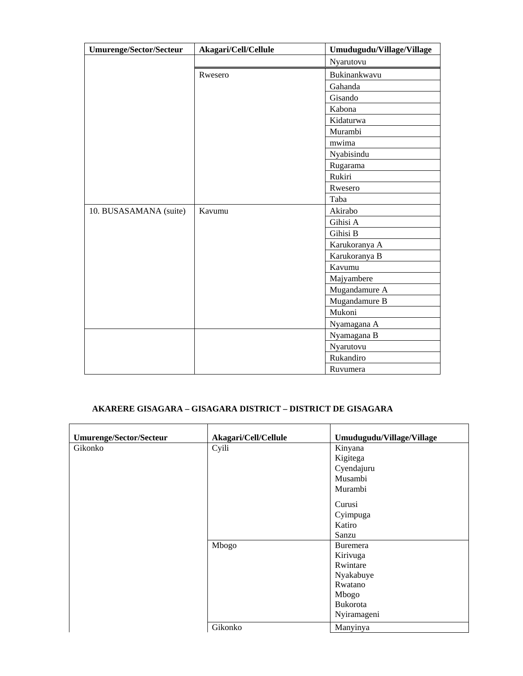| <b>Umurenge/Sector/Secteur</b> | Akagari/Cell/Cellule | Umudugudu/Village/Village |
|--------------------------------|----------------------|---------------------------|
|                                |                      | Nyarutovu                 |
|                                | Rwesero              | Bukinankwavu              |
|                                |                      | Gahanda                   |
|                                |                      | Gisando                   |
|                                |                      | Kabona                    |
|                                |                      | Kidaturwa                 |
|                                |                      | Murambi                   |
|                                |                      | mwima                     |
|                                |                      | Nyabisindu                |
|                                |                      | Rugarama                  |
|                                |                      | Rukiri                    |
|                                |                      | Rwesero                   |
|                                |                      | Taba                      |
| 10. BUSASAMANA (suite)         | Kavumu               | Akirabo                   |
|                                |                      | Gihisi A                  |
|                                |                      | Gihisi B                  |
|                                |                      | Karukoranya A             |
|                                |                      | Karukoranya B             |
|                                |                      | Kavumu                    |
|                                |                      | Majyambere                |
|                                |                      | Mugandamure A             |
|                                |                      | Mugandamure B             |
|                                |                      | Mukoni                    |
|                                |                      | Nyamagana A               |
|                                |                      | Nyamagana B               |
|                                |                      | Nyarutovu                 |
|                                |                      | Rukandiro                 |
|                                |                      | Ruvumera                  |

## **AKARERE GISAGARA – GISAGARA DISTRICT – DISTRICT DE GISAGARA**

| Umurenge/Sector/Secteur | Akagari/Cell/Cellule | Umudugudu/Village/Village |
|-------------------------|----------------------|---------------------------|
| Gikonko                 | Cyili                | Kinyana                   |
|                         |                      | Kigitega                  |
|                         |                      | Cyendajuru                |
|                         |                      | Musambi                   |
|                         |                      | Murambi                   |
|                         |                      | Curusi                    |
|                         |                      | Cyimpuga                  |
|                         |                      | Katiro                    |
|                         |                      | Sanzu                     |
|                         | Mbogo                | Buremera                  |
|                         |                      | Kirivuga                  |
|                         |                      | Rwintare                  |
|                         |                      | Nyakabuye                 |
|                         |                      | Rwatano                   |
|                         |                      | Mbogo                     |
|                         |                      | Bukorota                  |
|                         |                      | Nyiramageni               |
|                         | Gikonko              | Manyinya                  |

 $\overline{\phantom{a}}$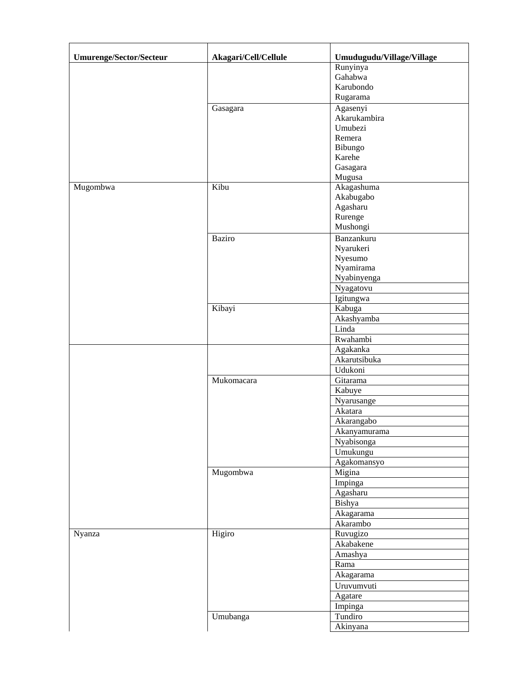| <b>Umurenge/Sector/Secteur</b> | Akagari/Cell/Cellule | Umudugudu/Village/Village |
|--------------------------------|----------------------|---------------------------|
|                                |                      | Runyinya                  |
|                                |                      | Gahabwa                   |
|                                |                      | Karubondo                 |
|                                |                      | Rugarama                  |
|                                |                      | Agasenyi                  |
|                                | Gasagara             | Akarukambira              |
|                                |                      | Umubezi                   |
|                                |                      | Remera                    |
|                                |                      | Bibungo                   |
|                                |                      | Karehe                    |
|                                |                      | Gasagara                  |
|                                |                      | Mugusa                    |
| Mugombwa                       | Kibu                 | Akagashuma                |
|                                |                      | Akabugabo                 |
|                                |                      | Agasharu                  |
|                                |                      | Rurenge                   |
|                                |                      | Mushongi                  |
|                                |                      |                           |
|                                | <b>Baziro</b>        | Banzankuru                |
|                                |                      | Nyarukeri                 |
|                                |                      | Nyesumo                   |
|                                |                      | Nyamirama                 |
|                                |                      | Nyabinyenga               |
|                                |                      | Nyagatovu                 |
|                                |                      | Igitungwa                 |
|                                | Kibayi               | Kabuga                    |
|                                |                      | Akashyamba                |
|                                |                      | Linda                     |
|                                |                      | Rwahambi                  |
|                                |                      | Agakanka                  |
|                                |                      | Akarutsibuka              |
|                                |                      | Udukoni                   |
|                                | Mukomacara           | Gitarama                  |
|                                |                      | Kabuye                    |
|                                |                      | Nyarusange                |
|                                |                      | Akatara                   |
|                                |                      | Akarangabo                |
|                                |                      | Akanyamurama              |
|                                |                      | Nyabisonga                |
|                                |                      | Umukungu                  |
|                                |                      | Agakomansyo               |
|                                | Mugombwa             | Migina                    |
|                                |                      | Impinga                   |
|                                |                      | Agasharu                  |
|                                |                      | Bishya                    |
|                                |                      | Akagarama                 |
|                                |                      | Akarambo                  |
| Nyanza                         | Higiro               | Ruvugizo                  |
|                                |                      |                           |
|                                |                      | Akabakene                 |
|                                |                      | Amashya                   |
|                                |                      | Rama                      |
|                                |                      | Akagarama                 |
|                                |                      | Uruvumvuti                |
|                                |                      | Agatare                   |
|                                |                      | Impinga                   |
|                                | Umubanga             | Tundiro                   |
|                                |                      | Akinyana                  |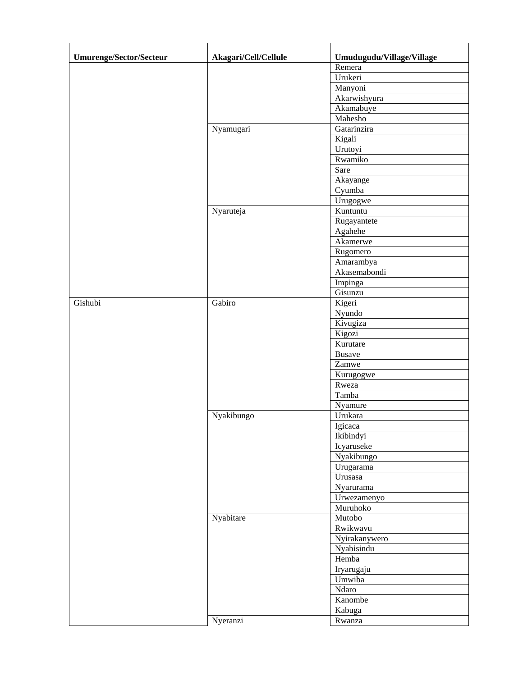| <b>Umurenge/Sector/Secteur</b> | Akagari/Cell/Cellule | Umudugudu/Village/Village |
|--------------------------------|----------------------|---------------------------|
|                                |                      | Remera                    |
|                                |                      | Urukeri                   |
|                                |                      | Manyoni                   |
|                                |                      | Akarwishyura              |
|                                |                      | Akamabuye                 |
|                                |                      | Mahesho                   |
|                                | Nyamugari            | Gatarinzira               |
|                                |                      | Kigali                    |
|                                |                      | Urutoyi                   |
|                                |                      | Rwamiko                   |
|                                |                      | Sare                      |
|                                |                      | Akayange                  |
|                                |                      | Cyumba                    |
|                                |                      | Urugogwe                  |
|                                | Nyaruteja            | Kuntuntu                  |
|                                |                      | Rugayantete               |
|                                |                      | Agahehe                   |
|                                |                      | Akamerwe                  |
|                                |                      | Rugomero                  |
|                                |                      | Amarambya                 |
|                                |                      | Akasemabondi              |
|                                |                      | Impinga                   |
|                                |                      | Gisunzu                   |
| Gishubi                        | Gabiro               | Kigeri                    |
|                                |                      | Nyundo                    |
|                                |                      | Kivugiza                  |
|                                |                      | Kigozi                    |
|                                |                      | Kurutare                  |
|                                |                      | <b>Busave</b>             |
|                                |                      | Zamwe                     |
|                                |                      | Kurugogwe                 |
|                                |                      | Rweza                     |
|                                |                      | Tamba                     |
|                                |                      | Nyamure                   |
|                                | Nyakibungo           | Urukara                   |
|                                |                      | Igicaca                   |
|                                |                      | Ikibindyi                 |
|                                |                      | Icyaruseke                |
|                                |                      | Nyakibungo                |
|                                |                      | Urugarama                 |
|                                |                      | Urusasa                   |
|                                |                      | Nyarurama                 |
|                                |                      | Urwezamenyo               |
|                                |                      | Muruhoko                  |
|                                | Nyabitare            | Mutobo                    |
|                                |                      | Rwikwavu                  |
|                                |                      | Nyirakanywero             |
|                                |                      | Nyabisindu                |
|                                |                      | Hemba                     |
|                                |                      | Iryarugaju                |
|                                |                      | Umwiba                    |
|                                |                      | Ndaro                     |
|                                |                      | Kanombe                   |
|                                |                      |                           |
|                                |                      | Kabuga                    |
|                                | Nyeranzi             | Rwanza                    |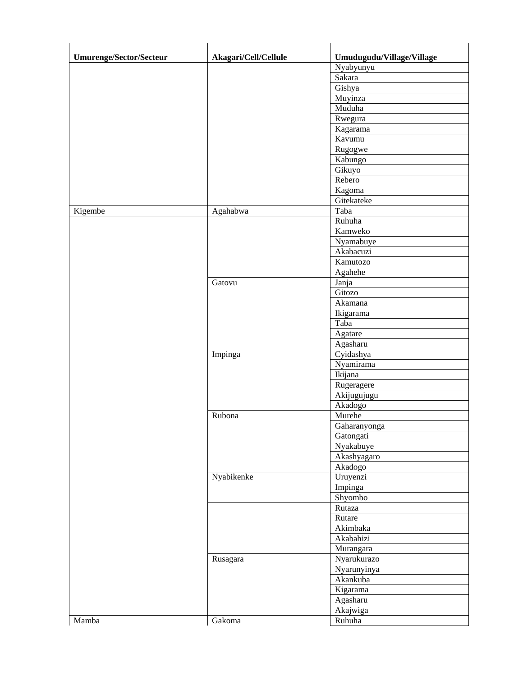| <b>Umurenge/Sector/Secteur</b> | Akagari/Cell/Cellule | Umudugudu/Village/Village |
|--------------------------------|----------------------|---------------------------|
|                                |                      | Nyabyunyu                 |
|                                |                      | Sakara                    |
|                                |                      | Gishya                    |
|                                |                      | Muyinza                   |
|                                |                      | Muduha                    |
|                                |                      | Rwegura                   |
|                                |                      | Kagarama                  |
|                                |                      | Kavumu                    |
|                                |                      | Rugogwe                   |
|                                |                      | Kabungo                   |
|                                |                      | Gikuyo                    |
|                                |                      | Rebero                    |
|                                |                      | Kagoma                    |
|                                |                      | Gitekateke                |
| Kigembe                        | Agahabwa             | Taba                      |
|                                |                      | Ruhuha                    |
|                                |                      | Kamweko                   |
|                                |                      |                           |
|                                |                      | Nyamabuye<br>Akabacuzi    |
|                                |                      |                           |
|                                |                      | Kamutozo                  |
|                                |                      | Agahehe                   |
|                                | Gatovu               | Janja                     |
|                                |                      | Gitozo                    |
|                                |                      | Akamana                   |
|                                |                      | Ikigarama                 |
|                                |                      | Taba                      |
|                                |                      | Agatare                   |
|                                |                      | Agasharu                  |
|                                | Impinga              | Cyidashya                 |
|                                |                      | Nyamirama                 |
|                                |                      | Ikijana                   |
|                                |                      | Rugeragere                |
|                                |                      | Akijugujugu               |
|                                |                      | Akadogo                   |
|                                | Rubona               | Murehe                    |
|                                |                      | Gaharanvonga              |
|                                |                      | Gatongati                 |
|                                |                      | Nyakabuye                 |
|                                |                      | Akashyagaro               |
|                                |                      | Akadogo                   |
|                                | Nyabikenke           | Uruyenzi                  |
|                                |                      | Impinga                   |
|                                |                      | Shyombo                   |
|                                |                      | Rutaza                    |
|                                |                      | Rutare                    |
|                                |                      | Akimbaka                  |
|                                |                      | Akabahizi                 |
|                                |                      | Murangara                 |
|                                |                      |                           |
|                                | Rusagara             | Nyarukurazo               |
|                                |                      | Nyarunyinya               |
|                                |                      | Akankuba                  |
|                                |                      | Kigarama                  |
|                                |                      | Agasharu                  |
|                                |                      | Akajwiga                  |
| Mamba                          | Gakoma               | Ruhuha                    |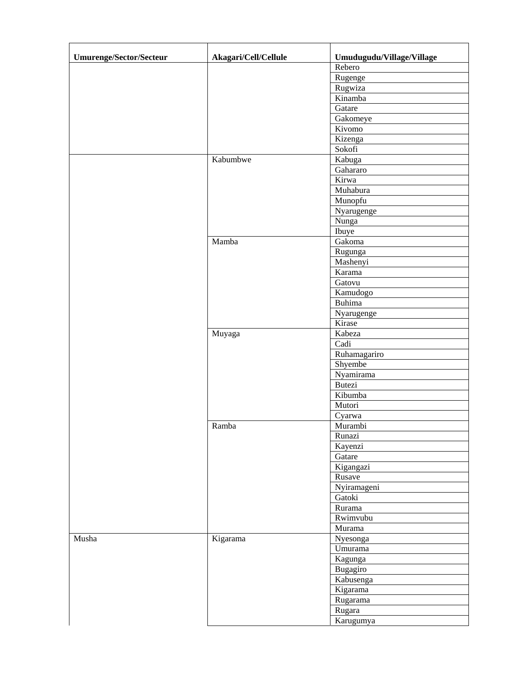| <b>Umurenge/Sector/Secteur</b> | Akagari/Cell/Cellule | Umudugudu/Village/Village |
|--------------------------------|----------------------|---------------------------|
|                                |                      | Rebero                    |
|                                |                      | Rugenge                   |
|                                |                      | Rugwiza                   |
|                                |                      | Kinamba                   |
|                                |                      | Gatare                    |
|                                |                      | Gakomeye                  |
|                                |                      | Kivomo                    |
|                                |                      | Kizenga                   |
|                                |                      | Sokofi                    |
|                                | Kabumbwe             | Kabuga                    |
|                                |                      | Gahararo                  |
|                                |                      | Kirwa                     |
|                                |                      |                           |
|                                |                      | Muhabura                  |
|                                |                      | Munopfu                   |
|                                |                      | Nyarugenge                |
|                                |                      | Nunga                     |
|                                |                      | Ibuye                     |
|                                | Mamba                | Gakoma                    |
|                                |                      | Rugunga                   |
|                                |                      | Mashenyi                  |
|                                |                      | Karama                    |
|                                |                      | Gatovu                    |
|                                |                      | Kamudogo                  |
|                                |                      | Buhima                    |
|                                |                      | Nyarugenge                |
|                                |                      | Kirase                    |
|                                | Muyaga               | Kabeza                    |
|                                |                      | Cadi                      |
|                                |                      | Ruhamagariro              |
|                                |                      | Shyembe                   |
|                                |                      | Nyamirama                 |
|                                |                      | <b>Butezi</b>             |
|                                |                      | Kibumba                   |
|                                |                      | Mutori                    |
|                                |                      | Cyarwa                    |
|                                | Ramba                | Murambi                   |
|                                |                      | Runazi                    |
|                                |                      | Kayenzi                   |
|                                |                      | Gatare                    |
|                                |                      | Kigangazi                 |
|                                |                      | Rusave                    |
|                                |                      |                           |
|                                |                      | Nyiramageni               |
|                                |                      | Gatoki                    |
|                                |                      | Rurama                    |
|                                |                      | Rwimvubu                  |
|                                |                      | Murama                    |
| Musha                          | Kigarama             | Nyesonga                  |
|                                |                      | Umurama                   |
|                                |                      | Kagunga                   |
|                                |                      | Bugagiro                  |
|                                |                      | Kabusenga                 |
|                                |                      | Kigarama                  |
|                                |                      | Rugarama                  |
|                                |                      | Rugara                    |
|                                |                      | Karugumya                 |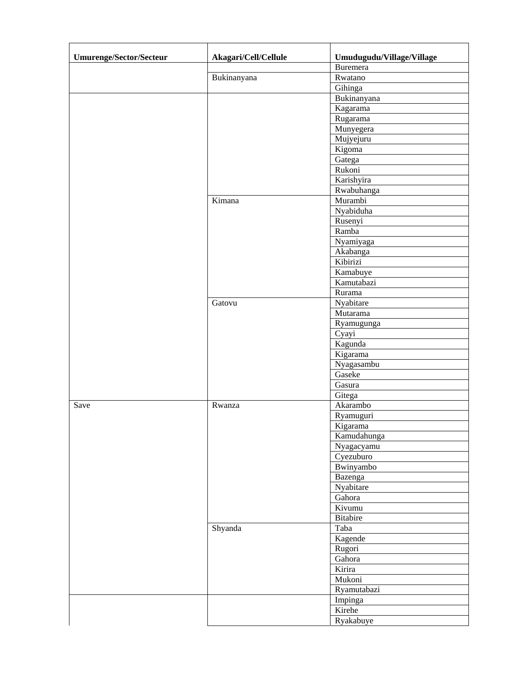| <b>Umurenge/Sector/Secteur</b> | Akagari/Cell/Cellule | Umudugudu/Village/Village |
|--------------------------------|----------------------|---------------------------|
|                                |                      | <b>Buremera</b>           |
|                                | Bukinanyana          | Rwatano                   |
|                                |                      | Gihinga                   |
|                                |                      | Bukinanyana               |
|                                |                      | Kagarama                  |
|                                |                      | Rugarama                  |
|                                |                      | Munyegera                 |
|                                |                      | Mujyejuru                 |
|                                |                      | Kigoma                    |
|                                |                      | Gatega                    |
|                                |                      | Rukoni                    |
|                                |                      | Karishyira                |
|                                |                      | Rwabuhanga                |
|                                | Kimana               | Murambi                   |
|                                |                      | Nyabiduha                 |
|                                |                      | Rusenyi                   |
|                                |                      | Ramba                     |
|                                |                      | Nyamiyaga                 |
|                                |                      | Akabanga                  |
|                                |                      | Kibirizi                  |
|                                |                      | Kamabuye                  |
|                                |                      | Kamutabazi                |
|                                |                      | Rurama                    |
|                                | Gatovu               | Nyabitare                 |
|                                |                      | Mutarama                  |
|                                |                      |                           |
|                                |                      | Ryamugunga                |
|                                |                      | Cyayi                     |
|                                |                      | Kagunda                   |
|                                |                      | Kigarama                  |
|                                |                      | Nyagasambu                |
|                                |                      | Gaseke                    |
|                                |                      | Gasura                    |
|                                |                      | Gitega                    |
| Save                           | Rwanza               | Akarambo                  |
|                                |                      | Ryamuguri                 |
|                                |                      | Kigarama                  |
|                                |                      | Kamudahunga               |
|                                |                      | Nyagacyamu                |
|                                |                      | Cyezuburo                 |
|                                |                      | Bwinyambo                 |
|                                |                      | Bazenga                   |
|                                |                      | Nyabitare                 |
|                                |                      | Gahora                    |
|                                |                      | Kivumu                    |
|                                |                      | Bitabire                  |
|                                | Shyanda              | Taba                      |
|                                |                      | Kagende                   |
|                                |                      | Rugori                    |
|                                |                      | Gahora                    |
|                                |                      | Kirira                    |
|                                |                      | Mukoni                    |
|                                |                      | Ryamutabazi               |
|                                |                      | Impinga                   |
|                                |                      | Kirehe                    |
|                                |                      | Ryakabuye                 |
|                                |                      |                           |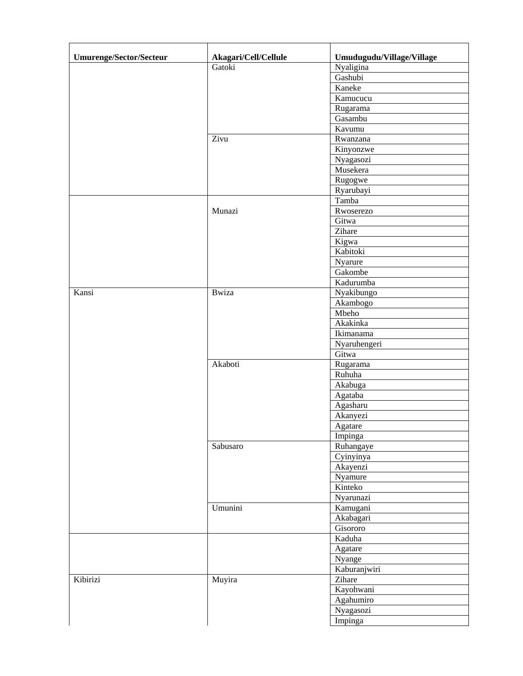| <b>Umurenge/Sector/Secteur</b> | Akagari/Cell/Cellule | Umudugudu/Village/Village |
|--------------------------------|----------------------|---------------------------|
|                                | Gatoki               | Nyaligina                 |
|                                |                      | Gashubi                   |
|                                |                      | Kaneke                    |
|                                |                      | Kamucucu                  |
|                                |                      | Rugarama                  |
|                                |                      | Gasambu                   |
|                                |                      | Kavumu                    |
|                                | Zivu                 | Rwanzana                  |
|                                |                      | Kinyonzwe                 |
|                                |                      | Nyagasozi                 |
|                                |                      | Musekera                  |
|                                |                      | Rugogwe                   |
|                                |                      | Ryarubayi                 |
|                                |                      | Tamba                     |
|                                | Munazi               | Rwoserezo                 |
|                                |                      | Gitwa                     |
|                                |                      | Zihare                    |
|                                |                      | Kigwa                     |
|                                |                      | Kabitoki                  |
|                                |                      | Nyarure                   |
|                                |                      | Gakombe                   |
|                                |                      | Kadurumba                 |
| Kansi                          | <b>B</b> wiza        | Nyakibungo                |
|                                |                      | Akambogo                  |
|                                |                      | Mbeho                     |
|                                |                      | Akakinka                  |
|                                |                      | Ikimanama                 |
|                                |                      | Nyaruhengeri              |
|                                |                      | Gitwa                     |
|                                | Akaboti              | Rugarama                  |
|                                |                      | Ruhuha                    |
|                                |                      | Akabuga                   |
|                                |                      | Agataba                   |
|                                |                      | Agasharu                  |
|                                |                      | Akanyezi                  |
|                                |                      | Agatare                   |
|                                |                      | Impinga                   |
|                                | Sabusaro             | Ruhangaye                 |
|                                |                      | Cyinyinya                 |
|                                |                      | Akayenzi                  |
|                                |                      | Nyamure                   |
|                                |                      | Kinteko                   |
|                                |                      | Nyarunazi                 |
|                                | Umunini              | Kamugani                  |
|                                |                      | Akabagari                 |
|                                |                      | Gisororo                  |
|                                |                      | Kaduha                    |
|                                |                      | Agatare                   |
|                                |                      | Nyange                    |
|                                |                      | Kaburanjwiri              |
| Kibirizi                       | Muyira               | Zihare                    |
|                                |                      | Kayohwani                 |
|                                |                      | Agahumiro                 |
|                                |                      | Nyagasozi                 |
|                                |                      | Impinga                   |
|                                |                      |                           |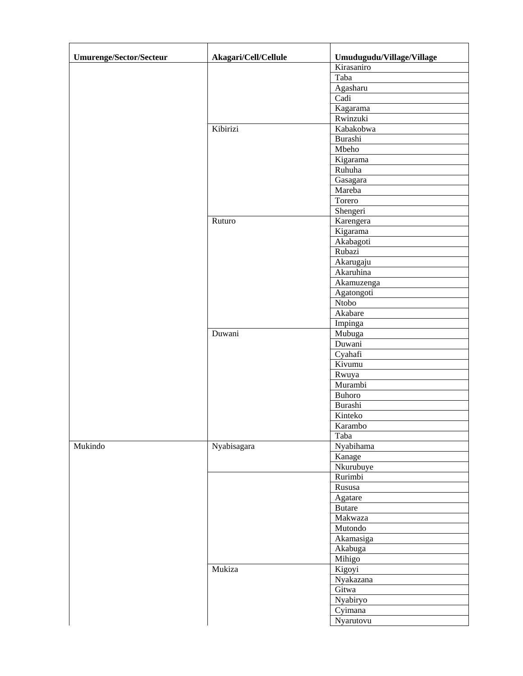| <b>Umurenge/Sector/Secteur</b> | Akagari/Cell/Cellule | Umudugudu/Village/Village       |
|--------------------------------|----------------------|---------------------------------|
|                                |                      | $\overline{\text{K}}$ irasaniro |
|                                |                      | Taba                            |
|                                |                      | Agasharu                        |
|                                |                      | Cadi                            |
|                                |                      | Kagarama                        |
|                                |                      | Rwinzuki                        |
|                                | Kibirizi             | Kabakobwa                       |
|                                |                      | Burashi                         |
|                                |                      | Mbeho                           |
|                                |                      | Kigarama                        |
|                                |                      | Ruhuha                          |
|                                |                      | Gasagara                        |
|                                |                      | Mareba                          |
|                                |                      | Torero                          |
|                                |                      | Shengeri                        |
|                                | Ruturo               | Karengera                       |
|                                |                      | Kigarama                        |
|                                |                      | Akabagoti                       |
|                                |                      |                                 |
|                                |                      | Rubazi                          |
|                                |                      | Akarugaju                       |
|                                |                      | Akaruhina                       |
|                                |                      | Akamuzenga                      |
|                                |                      | Agatongoti                      |
|                                |                      | Ntobo                           |
|                                |                      | Akabare                         |
|                                |                      | Impinga                         |
|                                | Duwani               | Mubuga                          |
|                                |                      | Duwani                          |
|                                |                      | Cyahafi                         |
|                                |                      | Kivumu                          |
|                                |                      | Rwuya                           |
|                                |                      | Murambi                         |
|                                |                      | Buhoro                          |
|                                |                      | Burashi                         |
|                                |                      | Kinteko                         |
|                                |                      | Karambo                         |
|                                |                      | Taba                            |
| Mukindo                        | Nyabisagara          | Nyabihama                       |
|                                |                      | Kanage                          |
|                                |                      | Nkurubuye                       |
|                                |                      | Rurimbi                         |
|                                |                      | Rususa                          |
|                                |                      | Agatare                         |
|                                |                      | <b>Butare</b>                   |
|                                |                      | Makwaza                         |
|                                |                      | Mutondo                         |
|                                |                      | Akamasiga                       |
|                                |                      | Akabuga                         |
|                                |                      | Mihigo                          |
|                                | Mukiza               | Kigoyi                          |
|                                |                      | Nyakazana                       |
|                                |                      | Gitwa                           |
|                                |                      | Nyabiryo                        |
|                                |                      | $\overline{Cyimana}$            |
|                                |                      | Nyarutovu                       |
|                                |                      |                                 |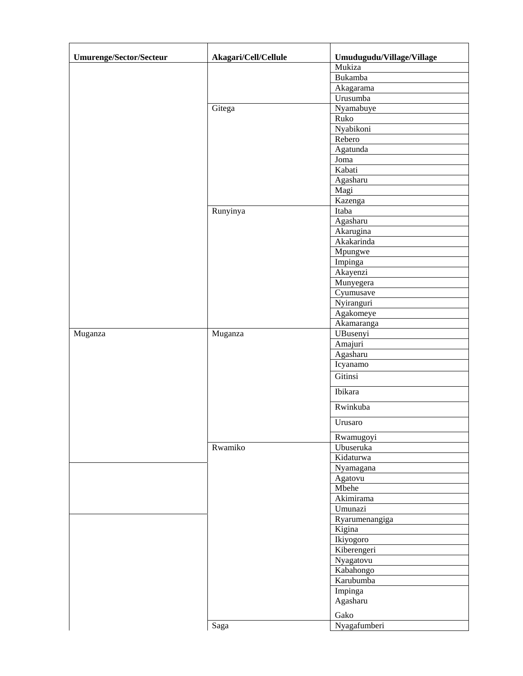| <b>Umurenge/Sector/Secteur</b> | Akagari/Cell/Cellule | Umudugudu/Village/Village |
|--------------------------------|----------------------|---------------------------|
|                                |                      | Mukiza                    |
|                                |                      | Bukamba                   |
|                                |                      | Akagarama                 |
|                                |                      | Urusumba                  |
|                                | Gitega               | Nyamabuye                 |
|                                |                      | Ruko                      |
|                                |                      | Nyabikoni                 |
|                                |                      | Rebero                    |
|                                |                      | Agatunda                  |
|                                |                      | Joma                      |
|                                |                      | Kabati                    |
|                                |                      | Agasharu                  |
|                                |                      | Magi                      |
|                                |                      | Kazenga                   |
|                                | Runyinya             | Itaba                     |
|                                |                      | Agasharu                  |
|                                |                      | Akarugina                 |
|                                |                      | Akakarinda                |
|                                |                      | Mpungwe                   |
|                                |                      | Impinga                   |
|                                |                      | Akayenzi                  |
|                                |                      | Munyegera                 |
|                                |                      | Cyumusave                 |
|                                |                      | Nyiranguri                |
|                                |                      | Agakomeye                 |
|                                |                      | Akamaranga                |
| Muganza                        | Muganza              | UBusenyi                  |
|                                |                      | Amajuri                   |
|                                |                      | Agasharu                  |
|                                |                      | Icyanamo                  |
|                                |                      | Gitinsi                   |
|                                |                      | Ibikara                   |
|                                |                      | Rwinkuba                  |
|                                |                      | Urusaro                   |
|                                |                      | Rwamugoyi                 |
|                                | Rwamiko              | Ubuseruka                 |
|                                |                      | Kidaturwa                 |
|                                |                      | Nyamagana                 |
|                                |                      | Agatovu                   |
|                                |                      | Mbehe                     |
|                                |                      | Akimirama                 |
|                                |                      | Umunazi                   |
|                                |                      | Ryarumenangiga            |
|                                |                      | Kigina                    |
|                                |                      | Ikiyogoro                 |
|                                |                      | Kiberengeri               |
|                                |                      | Nyagatovu                 |
|                                |                      | Kabahongo                 |
|                                |                      | Karubumba                 |
|                                |                      | Impinga                   |
|                                |                      | Agasharu                  |
|                                |                      | Gako                      |
|                                | Saga                 | Nyagafumberi              |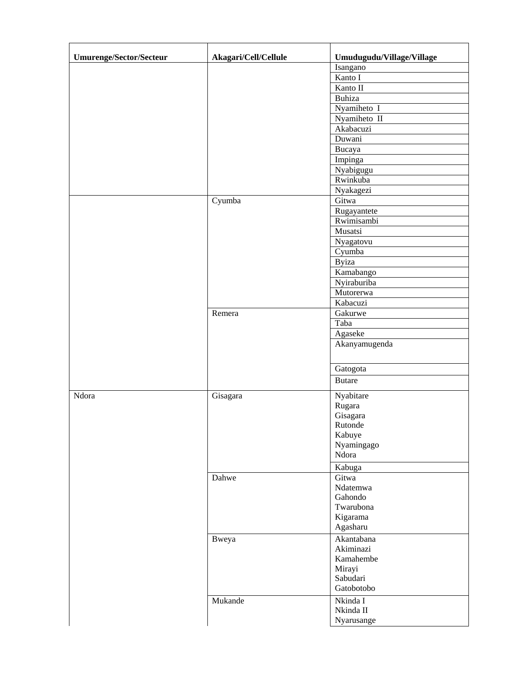| <b>Umurenge/Sector/Secteur</b> | Akagari/Cell/Cellule | Umudugudu/Village/Village |
|--------------------------------|----------------------|---------------------------|
|                                |                      | Isangano                  |
|                                |                      | Kanto I                   |
|                                |                      | Kanto II                  |
|                                |                      | Buhiza                    |
|                                |                      | Nyamiheto I               |
|                                |                      | Nyamiheto II              |
|                                |                      | Akabacuzi                 |
|                                |                      | Duwani                    |
|                                |                      | Bucaya                    |
|                                |                      | Impinga                   |
|                                |                      | Nyabigugu                 |
|                                |                      | Rwinkuba                  |
|                                |                      | Nyakagezi                 |
|                                | Cyumba               | Gitwa                     |
|                                |                      | Rugayantete               |
|                                |                      | Rwimisambi                |
|                                |                      | Musatsi                   |
|                                |                      | Nyagatovu                 |
|                                |                      | Cyumba                    |
|                                |                      | <b>Byiza</b>              |
|                                |                      | Kamabango                 |
|                                |                      | Nyiraburiba               |
|                                |                      | Mutorerwa                 |
|                                |                      | Kabacuzi                  |
|                                | Remera               | Gakurwe                   |
|                                |                      | Taba                      |
|                                |                      |                           |
|                                |                      | Agaseke                   |
|                                |                      | Akanyamugenda             |
|                                |                      | Gatogota                  |
|                                |                      | <b>Butare</b>             |
| Ndora                          | Gisagara             | Nyabitare                 |
|                                |                      | Rugara                    |
|                                |                      | Gisagara                  |
|                                |                      | Rutonde                   |
|                                |                      | Kabuye                    |
|                                |                      | Nyamingago                |
|                                |                      | Ndora                     |
|                                |                      | Kabuga                    |
|                                | Dahwe                | Gitwa                     |
|                                |                      | Ndatemwa                  |
|                                |                      | Gahondo                   |
|                                |                      | Twarubona                 |
|                                |                      | Kigarama                  |
|                                |                      | Agasharu                  |
|                                | Bweya                | Akantabana                |
|                                |                      | Akiminazi                 |
|                                |                      | Kamahembe                 |
|                                |                      | Mirayi                    |
|                                |                      | Sabudari                  |
|                                |                      | Gatobotobo                |
|                                | Mukande              | Nkinda I                  |
|                                |                      | Nkinda II                 |
|                                |                      | Nyarusange                |
|                                |                      |                           |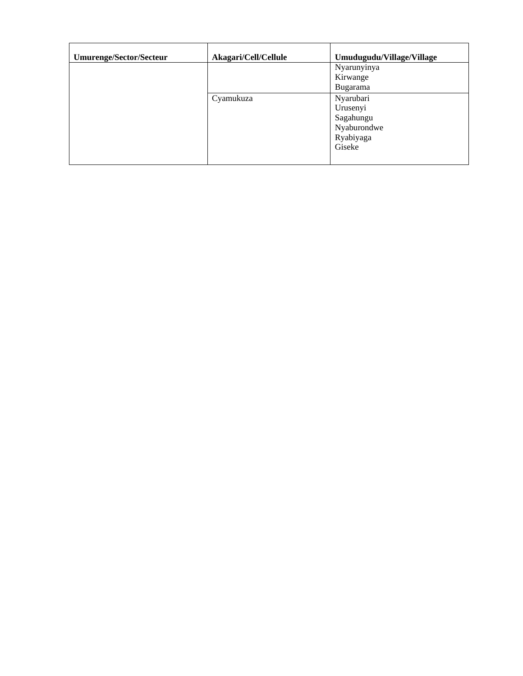| <b>Umurenge/Sector/Secteur</b> | Akagari/Cell/Cellule | Umudugudu/Village/Village |
|--------------------------------|----------------------|---------------------------|
|                                |                      | Nyarunyinya               |
|                                |                      | Kirwange                  |
|                                |                      | Bugarama                  |
|                                | Cyamukuza            | Nyarubari                 |
|                                |                      | Urusenyi                  |
|                                |                      | Sagahungu                 |
|                                |                      | Nyaburondwe               |
|                                |                      | Ryabiyaga                 |
|                                |                      | Giseke                    |
|                                |                      |                           |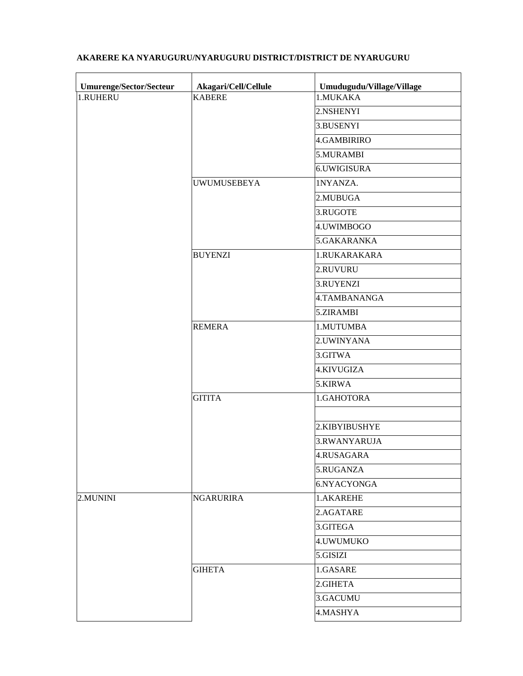| Umurenge/Sector/Secteur | Akagari/Cell/Cellule | Umudugudu/Village/Village |
|-------------------------|----------------------|---------------------------|
| 1.RUHERU                | <b>KABERE</b>        | 1.MUKAKA                  |
|                         |                      | 2.NSHENYI                 |
|                         |                      | 3.BUSENYI                 |
|                         |                      | <b>4.GAMBIRIRO</b>        |
|                         |                      | 5.MURAMBI                 |
|                         |                      | 6.UWIGISURA               |
|                         | <b>UWUMUSEBEYA</b>   | 1NYANZA.                  |
|                         |                      | 2.MUBUGA                  |
|                         |                      | 3.RUGOTE                  |
|                         |                      | 4.UWIMBOGO                |
|                         |                      | 5.GAKARANKA               |
|                         | <b>BUYENZI</b>       | 1.RUKARAKARA              |
|                         |                      | 2.RUVURU                  |
|                         |                      | 3.RUYENZI                 |
|                         |                      | 4.TAMBANANGA              |
|                         |                      | 5.ZIRAMBI                 |
|                         | <b>REMERA</b>        | 1.MUTUMBA                 |
|                         |                      | 2. UWINYANA               |
|                         |                      | 3.GITWA                   |
|                         |                      | 4.KIVUGIZA                |
|                         |                      | 5.KIRWA                   |
|                         | <b>GITITA</b>        | 1.GAHOTORA                |
|                         |                      |                           |
|                         |                      | 2.KIBYIBUSHYE             |
|                         |                      | 3.RWANYARUJA              |
|                         |                      | 4.RUSAGARA                |
|                         |                      | 5.RUGANZA                 |
|                         |                      | 6.NYACYONGA               |
| 2.MUNINI                | <b>NGARURIRA</b>     | 1.AKAREHE                 |
|                         |                      | 2.AGATARE                 |
|                         |                      | 3.GITEGA                  |
|                         |                      | 4. UWUMUKO                |
|                         |                      | 5.GISIZI                  |
|                         | <b>GIHETA</b>        | 1.GASARE                  |
|                         |                      | 2.GIHETA                  |
|                         |                      | 3.GACUMU                  |
|                         |                      | 4.MASHYA                  |

## **AKARERE KA NYARUGURU/NYARUGURU DISTRICT/DISTRICT DE NYARUGURU**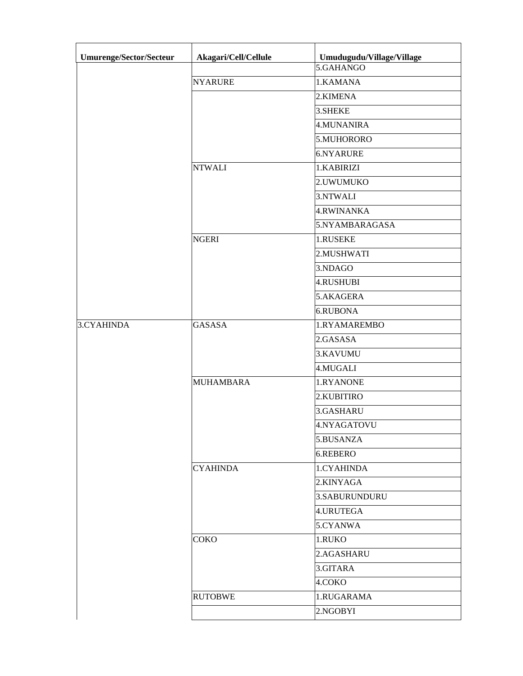| Umurenge/Sector/Secteur | Akagari/Cell/Cellule | Umudugudu/Village/Village |
|-------------------------|----------------------|---------------------------|
|                         |                      | 5.GAHANGO                 |
|                         | <b>NYARURE</b>       | 1.KAMANA                  |
|                         |                      | 2.KIMENA                  |
|                         |                      | 3.SHEKE                   |
|                         |                      | <b>4.MUNANIRA</b>         |
|                         |                      | 5.MUHORORO                |
|                         |                      | 6.NYARURE                 |
|                         | <b>NTWALI</b>        | 1.KABIRIZI                |
|                         |                      | 2.UWUMUKO                 |
|                         |                      | 3.NTWALI                  |
|                         |                      | <b>4.RWINANKA</b>         |
|                         |                      | 5.NYAMBARAGASA            |
|                         | <b>NGERI</b>         | 1.RUSEKE                  |
|                         |                      | 2.MUSHWATI                |
|                         |                      | 3.NDAGO                   |
|                         |                      | <b>4.RUSHUBI</b>          |
|                         |                      | 5.AKAGERA                 |
|                         |                      | 6.RUBONA                  |
| 3.CYAHINDA              | <b>GASASA</b>        | 1.RYAMAREMBO              |
|                         |                      | 2.GASASA                  |
|                         |                      | 3.KAVUMU                  |
|                         |                      | 4.MUGALI                  |
|                         | <b>MUHAMBARA</b>     | 1.RYANONE                 |
|                         |                      | 2.KUBITIRO                |
|                         |                      | 3.GASHARU                 |
|                         |                      | 4.NYAGATOVU               |
|                         |                      | 5.BUSANZA                 |
|                         |                      | 6.REBERO                  |
|                         | <b>CYAHINDA</b>      | 1.CYAHINDA                |
|                         |                      | 2.KINYAGA                 |
|                         |                      | 3.SABURUNDURU             |
|                         |                      | 4.URUTEGA                 |
|                         |                      | 5.CYANWA                  |
|                         | COKO                 | 1.RUKO                    |
|                         |                      | 2.AGASHARU                |
|                         |                      | 3.GITARA                  |
|                         |                      | 4.COKO                    |
|                         | <b>RUTOBWE</b>       | 1.RUGARAMA                |
|                         |                      | 2.NGOBYI                  |
|                         |                      |                           |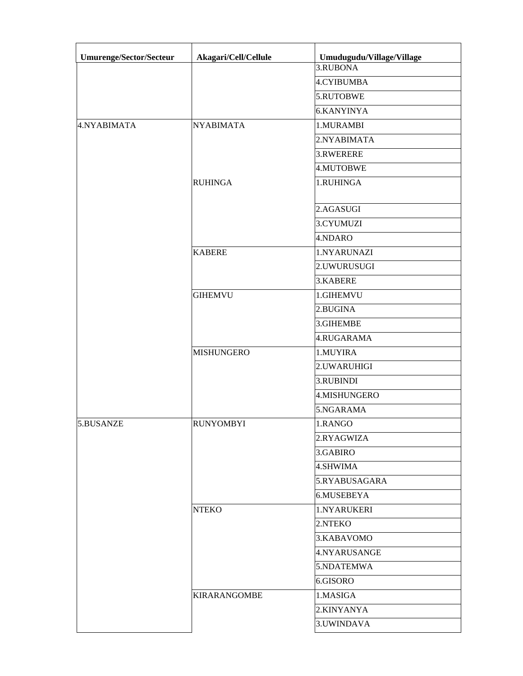| <b>Umurenge/Sector/Secteur</b> | Akagari/Cell/Cellule | Umudugudu/Village/Village |
|--------------------------------|----------------------|---------------------------|
|                                |                      | 3.RUBONA                  |
|                                |                      | <b>4.CYIBUMBA</b>         |
|                                |                      | 5.RUTOBWE                 |
|                                |                      | <b>6.KANYINYA</b>         |
| 4.NYABIMATA                    | <b>NYABIMATA</b>     | 1.MURAMBI                 |
|                                |                      | 2.NYABIMATA               |
|                                |                      | 3.RWERERE                 |
|                                |                      | 4.MUTOBWE                 |
|                                | <b>RUHINGA</b>       | 1.RUHINGA                 |
|                                |                      | 2.AGASUGI                 |
|                                |                      | 3.CYUMUZI                 |
|                                |                      | 4.NDARO                   |
|                                | <b>KABERE</b>        | 1.NYARUNAZI               |
|                                |                      | 2.UWURUSUGI               |
|                                |                      | 3.KABERE                  |
|                                | <b>GIHEMVU</b>       | 1.GIHEMVU                 |
|                                |                      | 2.BUGINA                  |
|                                |                      | 3.GIHEMBE                 |
|                                |                      | 4.RUGARAMA                |
|                                | <b>MISHUNGERO</b>    | 1.MUYIRA                  |
|                                |                      | 2.UWARUHIGI               |
|                                |                      | 3.RUBINDI                 |
|                                |                      | 4.MISHUNGERO              |
|                                |                      | 5.NGARAMA                 |
| 5.BUSANZE                      | <b>RUNYOMBYI</b>     | 1.RANGO                   |
|                                |                      | 2.RYAGWIZA                |
|                                |                      | 3.GABIRO                  |
|                                |                      | 4.SHWIMA                  |
|                                |                      | 5.RYABUSAGARA             |
|                                |                      | 6.MUSEBEYA                |
|                                | <b>NTEKO</b>         | 1.NYARUKERI               |
|                                |                      | 2.NTEKO                   |
|                                |                      | 3.KABAVOMO                |
|                                |                      | 4.NYARUSANGE              |
|                                |                      | 5.NDATEMWA                |
|                                |                      | 6.GISORO                  |
|                                | <b>KIRARANGOMBE</b>  | 1.MASIGA                  |
|                                |                      | 2.KINYANYA                |
|                                |                      | 3. UWINDAVA               |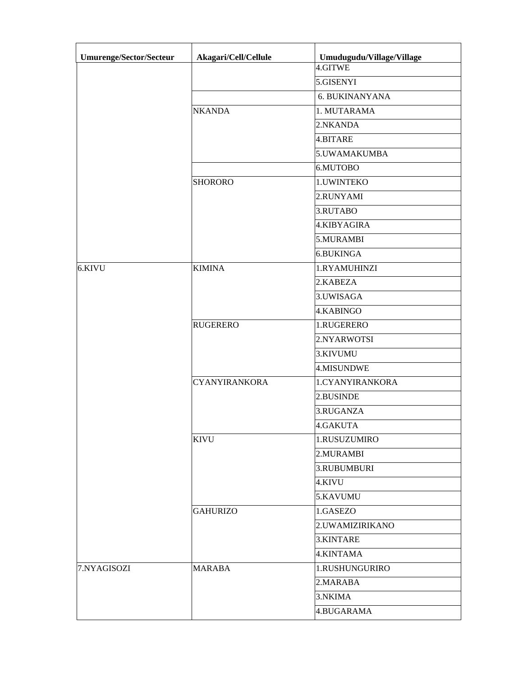| Umurenge/Sector/Secteur | Akagari/Cell/Cellule | Umudugudu/Village/Village |
|-------------------------|----------------------|---------------------------|
|                         |                      | 4.GITWE                   |
|                         |                      | 5.GISENYI                 |
|                         |                      | <b>6. BUKINANYANA</b>     |
|                         | <b>NKANDA</b>        | 1. MUTARAMA               |
|                         |                      | 2.NKANDA                  |
|                         |                      | 4.BITARE                  |
|                         |                      | 5.UWAMAKUMBA              |
|                         |                      | 6.MUTOBO                  |
|                         | <b>SHORORO</b>       | 1. UWINTEKO               |
|                         |                      | 2.RUNYAMI                 |
|                         |                      | 3.RUTABO                  |
|                         |                      | 4.KIBYAGIRA               |
|                         |                      | 5.MURAMBI                 |
|                         |                      | <b>6.BUKINGA</b>          |
| 6.KIVU                  | <b>KIMINA</b>        | 1.RYAMUHINZI              |
|                         |                      | 2.KABEZA                  |
|                         |                      | 3.UWISAGA                 |
|                         |                      | 4.KABINGO                 |
|                         | <b>RUGERERO</b>      | 1.RUGERERO                |
|                         |                      | 2.NYARWOTSI               |
|                         |                      | 3.KIVUMU                  |
|                         |                      | <b>4.MISUNDWE</b>         |
|                         | <b>CYANYIRANKORA</b> | 1.CYANYIRANKORA           |
|                         |                      | 2.BUSINDE                 |
|                         |                      | 3.RUGANZA                 |
|                         |                      | 4.GAKUTA                  |
|                         | <b>KIVU</b>          | 1.RUSUZUMIRO              |
|                         |                      | 2.MURAMBI                 |
|                         |                      | 3.RUBUMBURI               |
|                         |                      | 4.KIVU                    |
|                         |                      | 5.KAVUMU                  |
|                         | <b>GAHURIZO</b>      | 1.GASEZO                  |
|                         |                      | 2.UWAMIZIRIKANO           |
|                         |                      | 3.KINTARE                 |
|                         |                      | 4.KINTAMA                 |
| 7.NYAGISOZI             | <b>MARABA</b>        | 1.RUSHUNGURIRO            |
|                         |                      | 2.MARABA                  |
|                         |                      | 3.NKIMA                   |
|                         |                      | 4.BUGARAMA                |
|                         |                      |                           |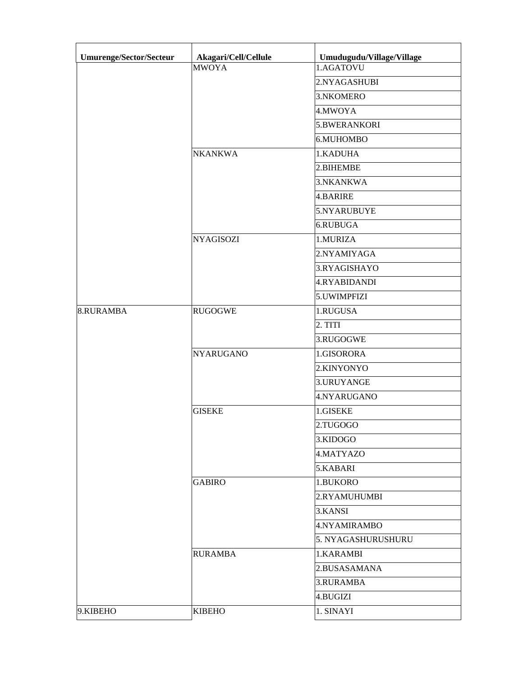| <b>MWOYA</b><br>1.AGATOVU<br>2.NYAGASHUBI<br>3.NKOMERO<br>4.MWOYA<br>5.BWERANKORI<br>6.MUHOMBO<br><b>NKANKWA</b><br>1.KADUHA<br>2.BIHEMBE<br>3.NKANKWA<br>4.BARIRE<br>5.NYARUBUYE<br>6.RUBUGA<br><b>NYAGISOZI</b><br>1.MURIZA<br>2.NYAMIYAGA<br>3.RYAGISHAYO<br>4.RYABIDANDI<br>5.UWIMPFIZI<br>1.RUGUSA<br>8.RURAMBA<br><b>RUGOGWE</b><br>2. TITI<br>3.RUGOGWE<br><b>NYARUGANO</b><br>1.GISORORA<br>2.KINYONYO<br>3.URUYANGE<br>4.NYARUGANO<br><b>GISEKE</b><br>1.GISEKE<br>2.TUGOGO<br>3.KIDOGO<br>4.MATYAZO<br>5.KABARI<br><b>GABIRO</b><br>1.BUKORO<br>2.RYAMUHUMBI<br>3.KANSI<br>4.NYAMIRAMBO<br>5. NYAGASHURUSHURU<br><b>RURAMBA</b><br>1.KARAMBI<br>2.BUSASAMANA<br>3.RURAMBA<br>4.BUGIZI<br><b>KIBEHO</b><br>1. SINAYI | Umurenge/Sector/Secteur | Akagari/Cell/Cellule | Umudugudu/Village/Village |
|-------------------------------------------------------------------------------------------------------------------------------------------------------------------------------------------------------------------------------------------------------------------------------------------------------------------------------------------------------------------------------------------------------------------------------------------------------------------------------------------------------------------------------------------------------------------------------------------------------------------------------------------------------------------------------------------------------------------------------|-------------------------|----------------------|---------------------------|
|                                                                                                                                                                                                                                                                                                                                                                                                                                                                                                                                                                                                                                                                                                                               |                         |                      |                           |
|                                                                                                                                                                                                                                                                                                                                                                                                                                                                                                                                                                                                                                                                                                                               |                         |                      |                           |
|                                                                                                                                                                                                                                                                                                                                                                                                                                                                                                                                                                                                                                                                                                                               |                         |                      |                           |
|                                                                                                                                                                                                                                                                                                                                                                                                                                                                                                                                                                                                                                                                                                                               |                         |                      |                           |
|                                                                                                                                                                                                                                                                                                                                                                                                                                                                                                                                                                                                                                                                                                                               |                         |                      |                           |
|                                                                                                                                                                                                                                                                                                                                                                                                                                                                                                                                                                                                                                                                                                                               |                         |                      |                           |
|                                                                                                                                                                                                                                                                                                                                                                                                                                                                                                                                                                                                                                                                                                                               |                         |                      |                           |
|                                                                                                                                                                                                                                                                                                                                                                                                                                                                                                                                                                                                                                                                                                                               |                         |                      |                           |
|                                                                                                                                                                                                                                                                                                                                                                                                                                                                                                                                                                                                                                                                                                                               |                         |                      |                           |
|                                                                                                                                                                                                                                                                                                                                                                                                                                                                                                                                                                                                                                                                                                                               |                         |                      |                           |
|                                                                                                                                                                                                                                                                                                                                                                                                                                                                                                                                                                                                                                                                                                                               |                         |                      |                           |
|                                                                                                                                                                                                                                                                                                                                                                                                                                                                                                                                                                                                                                                                                                                               |                         |                      |                           |
|                                                                                                                                                                                                                                                                                                                                                                                                                                                                                                                                                                                                                                                                                                                               |                         |                      |                           |
|                                                                                                                                                                                                                                                                                                                                                                                                                                                                                                                                                                                                                                                                                                                               |                         |                      |                           |
|                                                                                                                                                                                                                                                                                                                                                                                                                                                                                                                                                                                                                                                                                                                               |                         |                      |                           |
|                                                                                                                                                                                                                                                                                                                                                                                                                                                                                                                                                                                                                                                                                                                               |                         |                      |                           |
|                                                                                                                                                                                                                                                                                                                                                                                                                                                                                                                                                                                                                                                                                                                               |                         |                      |                           |
|                                                                                                                                                                                                                                                                                                                                                                                                                                                                                                                                                                                                                                                                                                                               |                         |                      |                           |
|                                                                                                                                                                                                                                                                                                                                                                                                                                                                                                                                                                                                                                                                                                                               |                         |                      |                           |
|                                                                                                                                                                                                                                                                                                                                                                                                                                                                                                                                                                                                                                                                                                                               |                         |                      |                           |
|                                                                                                                                                                                                                                                                                                                                                                                                                                                                                                                                                                                                                                                                                                                               |                         |                      |                           |
|                                                                                                                                                                                                                                                                                                                                                                                                                                                                                                                                                                                                                                                                                                                               |                         |                      |                           |
|                                                                                                                                                                                                                                                                                                                                                                                                                                                                                                                                                                                                                                                                                                                               |                         |                      |                           |
|                                                                                                                                                                                                                                                                                                                                                                                                                                                                                                                                                                                                                                                                                                                               |                         |                      |                           |
|                                                                                                                                                                                                                                                                                                                                                                                                                                                                                                                                                                                                                                                                                                                               |                         |                      |                           |
|                                                                                                                                                                                                                                                                                                                                                                                                                                                                                                                                                                                                                                                                                                                               |                         |                      |                           |
|                                                                                                                                                                                                                                                                                                                                                                                                                                                                                                                                                                                                                                                                                                                               |                         |                      |                           |
|                                                                                                                                                                                                                                                                                                                                                                                                                                                                                                                                                                                                                                                                                                                               |                         |                      |                           |
|                                                                                                                                                                                                                                                                                                                                                                                                                                                                                                                                                                                                                                                                                                                               |                         |                      |                           |
|                                                                                                                                                                                                                                                                                                                                                                                                                                                                                                                                                                                                                                                                                                                               |                         |                      |                           |
|                                                                                                                                                                                                                                                                                                                                                                                                                                                                                                                                                                                                                                                                                                                               |                         |                      |                           |
|                                                                                                                                                                                                                                                                                                                                                                                                                                                                                                                                                                                                                                                                                                                               |                         |                      |                           |
|                                                                                                                                                                                                                                                                                                                                                                                                                                                                                                                                                                                                                                                                                                                               |                         |                      |                           |
|                                                                                                                                                                                                                                                                                                                                                                                                                                                                                                                                                                                                                                                                                                                               |                         |                      |                           |
|                                                                                                                                                                                                                                                                                                                                                                                                                                                                                                                                                                                                                                                                                                                               |                         |                      |                           |
|                                                                                                                                                                                                                                                                                                                                                                                                                                                                                                                                                                                                                                                                                                                               |                         |                      |                           |
|                                                                                                                                                                                                                                                                                                                                                                                                                                                                                                                                                                                                                                                                                                                               |                         |                      |                           |
|                                                                                                                                                                                                                                                                                                                                                                                                                                                                                                                                                                                                                                                                                                                               |                         |                      |                           |
|                                                                                                                                                                                                                                                                                                                                                                                                                                                                                                                                                                                                                                                                                                                               | 9.KIBEHO                |                      |                           |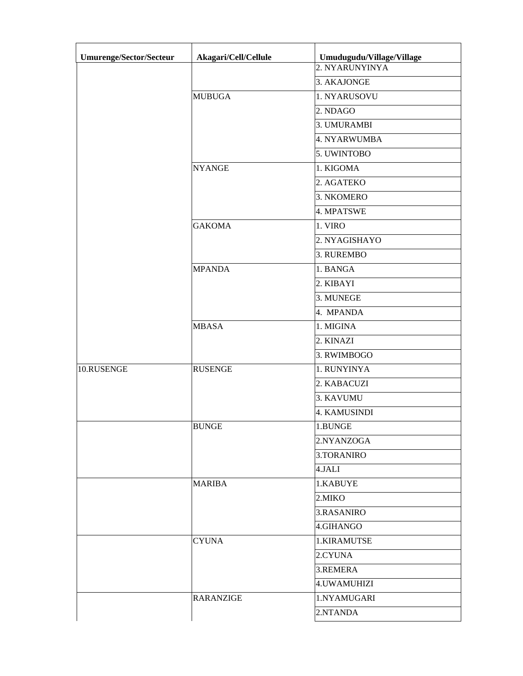| Umurenge/Sector/Secteur | Akagari/Cell/Cellule | Umudugudu/Village/Village |
|-------------------------|----------------------|---------------------------|
|                         |                      | 2. NYARUNYINYA            |
|                         |                      | 3. AKAJONGE               |
|                         | <b>MUBUGA</b>        | 1. NYARUSOVU              |
|                         |                      | 2. NDAGO                  |
|                         |                      | 3. UMURAMBI               |
|                         |                      | 4. NYARWUMBA              |
|                         |                      | 5. UWINTOBO               |
|                         | <b>NYANGE</b>        | 1. KIGOMA                 |
|                         |                      | 2. AGATEKO                |
|                         |                      | 3. NKOMERO                |
|                         |                      | 4. MPATSWE                |
|                         | <b>GAKOMA</b>        | 1. VIRO                   |
|                         |                      | 2. NYAGISHAYO             |
|                         |                      | 3. RUREMBO                |
|                         | <b>MPANDA</b>        | 1. BANGA                  |
|                         |                      | 2. KIBAYI                 |
|                         |                      | 3. MUNEGE                 |
|                         |                      | 4. MPANDA                 |
|                         | <b>MBASA</b>         | 1. MIGINA                 |
|                         |                      | 2. KINAZI                 |
|                         |                      | 3. RWIMBOGO               |
| 10.RUSENGE              | <b>RUSENGE</b>       | 1. RUNYINYA               |
|                         |                      | 2. KABACUZI               |
|                         |                      | 3. KAVUMU                 |
|                         |                      | 4. KAMUSINDI              |
|                         | <b>BUNGE</b>         | 1.BUNGE                   |
|                         |                      | 2.NYANZOGA                |
|                         |                      | 3.TORANIRO                |
|                         |                      | 4.JALI                    |
|                         | <b>MARIBA</b>        | 1.KABUYE                  |
|                         |                      | 2.MIKO                    |
|                         |                      | 3.RASANIRO                |
|                         |                      | 4.GIHANGO                 |
|                         | <b>CYUNA</b>         | 1.KIRAMUTSE               |
|                         |                      | 2.CYUNA                   |
|                         |                      | 3.REMERA                  |
|                         |                      | 4. UWAMUHIZI              |
|                         | <b>RARANZIGE</b>     | 1.NYAMUGARI               |
|                         |                      | 2.NTANDA                  |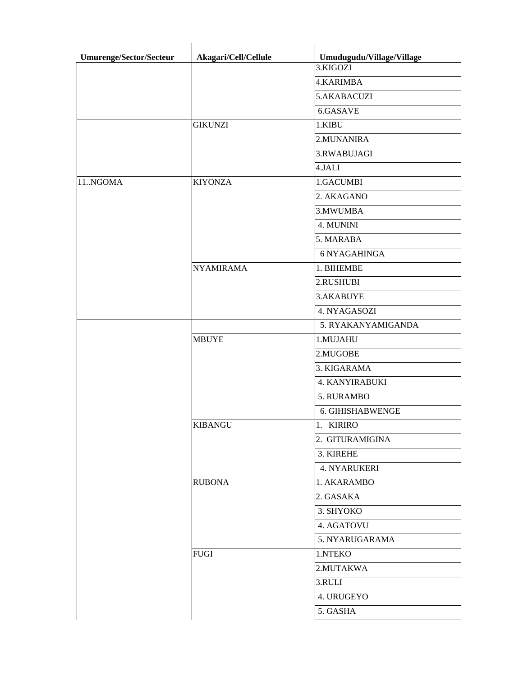| 4.KARIMBA<br>5.AKABACUZI<br>6.GASAVE<br><b>GIKUNZI</b><br>1.KIBU<br>2.MUNANIRA<br>3.RWABUJAGI<br>4.JALI<br><b>KIYONZA</b><br>1.GACUMBI<br>2. AKAGANO<br>3. MWUMBA<br>4. MUNINI<br>5. MARABA<br><b>6 NYAGAHINGA</b><br><b>NYAMIRAMA</b><br>1. BIHEMBE<br>2.RUSHUBI<br>3.AKABUYE<br>4. NYAGASOZI<br>5. RYAKANYAMIGANDA<br><b>MBUYE</b><br>1.MUJAHU<br>2.MUGOBE<br>3. KIGARAMA<br><b>4. KANYIRABUKI</b><br>5. RURAMBO<br>6. GIHISHABWENGE<br><b>KIBANGU</b><br>1. KIRIRO<br>2. GITURAMIGINA<br>3. KIREHE<br><b>4. NYARUKERI</b><br><b>RUBONA</b><br>1. AKARAMBO<br>2. GASAKA<br>3. SHYOKO<br>4. AGATOVU<br>5. NYARUGARAMA<br><b>FUGI</b><br>1.NTEKO<br>2.MUTAKWA<br>3.RULI<br>4. URUGEYO<br>5. GASHA | <b>Umurenge/Sector/Secteur</b> | Akagari/Cell/Cellule | Umudugudu/Village/Village |
|---------------------------------------------------------------------------------------------------------------------------------------------------------------------------------------------------------------------------------------------------------------------------------------------------------------------------------------------------------------------------------------------------------------------------------------------------------------------------------------------------------------------------------------------------------------------------------------------------------------------------------------------------------------------------------------------------|--------------------------------|----------------------|---------------------------|
|                                                                                                                                                                                                                                                                                                                                                                                                                                                                                                                                                                                                                                                                                                   |                                |                      | 3.KIGOZI                  |
|                                                                                                                                                                                                                                                                                                                                                                                                                                                                                                                                                                                                                                                                                                   |                                |                      |                           |
|                                                                                                                                                                                                                                                                                                                                                                                                                                                                                                                                                                                                                                                                                                   |                                |                      |                           |
|                                                                                                                                                                                                                                                                                                                                                                                                                                                                                                                                                                                                                                                                                                   |                                |                      |                           |
|                                                                                                                                                                                                                                                                                                                                                                                                                                                                                                                                                                                                                                                                                                   |                                |                      |                           |
|                                                                                                                                                                                                                                                                                                                                                                                                                                                                                                                                                                                                                                                                                                   |                                |                      |                           |
|                                                                                                                                                                                                                                                                                                                                                                                                                                                                                                                                                                                                                                                                                                   |                                |                      |                           |
|                                                                                                                                                                                                                                                                                                                                                                                                                                                                                                                                                                                                                                                                                                   |                                |                      |                           |
|                                                                                                                                                                                                                                                                                                                                                                                                                                                                                                                                                                                                                                                                                                   | 11.NGOMA                       |                      |                           |
|                                                                                                                                                                                                                                                                                                                                                                                                                                                                                                                                                                                                                                                                                                   |                                |                      |                           |
|                                                                                                                                                                                                                                                                                                                                                                                                                                                                                                                                                                                                                                                                                                   |                                |                      |                           |
|                                                                                                                                                                                                                                                                                                                                                                                                                                                                                                                                                                                                                                                                                                   |                                |                      |                           |
|                                                                                                                                                                                                                                                                                                                                                                                                                                                                                                                                                                                                                                                                                                   |                                |                      |                           |
|                                                                                                                                                                                                                                                                                                                                                                                                                                                                                                                                                                                                                                                                                                   |                                |                      |                           |
|                                                                                                                                                                                                                                                                                                                                                                                                                                                                                                                                                                                                                                                                                                   |                                |                      |                           |
|                                                                                                                                                                                                                                                                                                                                                                                                                                                                                                                                                                                                                                                                                                   |                                |                      |                           |
|                                                                                                                                                                                                                                                                                                                                                                                                                                                                                                                                                                                                                                                                                                   |                                |                      |                           |
|                                                                                                                                                                                                                                                                                                                                                                                                                                                                                                                                                                                                                                                                                                   |                                |                      |                           |
|                                                                                                                                                                                                                                                                                                                                                                                                                                                                                                                                                                                                                                                                                                   |                                |                      |                           |
|                                                                                                                                                                                                                                                                                                                                                                                                                                                                                                                                                                                                                                                                                                   |                                |                      |                           |
|                                                                                                                                                                                                                                                                                                                                                                                                                                                                                                                                                                                                                                                                                                   |                                |                      |                           |
|                                                                                                                                                                                                                                                                                                                                                                                                                                                                                                                                                                                                                                                                                                   |                                |                      |                           |
|                                                                                                                                                                                                                                                                                                                                                                                                                                                                                                                                                                                                                                                                                                   |                                |                      |                           |
|                                                                                                                                                                                                                                                                                                                                                                                                                                                                                                                                                                                                                                                                                                   |                                |                      |                           |
|                                                                                                                                                                                                                                                                                                                                                                                                                                                                                                                                                                                                                                                                                                   |                                |                      |                           |
|                                                                                                                                                                                                                                                                                                                                                                                                                                                                                                                                                                                                                                                                                                   |                                |                      |                           |
|                                                                                                                                                                                                                                                                                                                                                                                                                                                                                                                                                                                                                                                                                                   |                                |                      |                           |
|                                                                                                                                                                                                                                                                                                                                                                                                                                                                                                                                                                                                                                                                                                   |                                |                      |                           |
|                                                                                                                                                                                                                                                                                                                                                                                                                                                                                                                                                                                                                                                                                                   |                                |                      |                           |
|                                                                                                                                                                                                                                                                                                                                                                                                                                                                                                                                                                                                                                                                                                   |                                |                      |                           |
|                                                                                                                                                                                                                                                                                                                                                                                                                                                                                                                                                                                                                                                                                                   |                                |                      |                           |
|                                                                                                                                                                                                                                                                                                                                                                                                                                                                                                                                                                                                                                                                                                   |                                |                      |                           |
|                                                                                                                                                                                                                                                                                                                                                                                                                                                                                                                                                                                                                                                                                                   |                                |                      |                           |
|                                                                                                                                                                                                                                                                                                                                                                                                                                                                                                                                                                                                                                                                                                   |                                |                      |                           |
|                                                                                                                                                                                                                                                                                                                                                                                                                                                                                                                                                                                                                                                                                                   |                                |                      |                           |
|                                                                                                                                                                                                                                                                                                                                                                                                                                                                                                                                                                                                                                                                                                   |                                |                      |                           |
|                                                                                                                                                                                                                                                                                                                                                                                                                                                                                                                                                                                                                                                                                                   |                                |                      |                           |
|                                                                                                                                                                                                                                                                                                                                                                                                                                                                                                                                                                                                                                                                                                   |                                |                      |                           |
|                                                                                                                                                                                                                                                                                                                                                                                                                                                                                                                                                                                                                                                                                                   |                                |                      |                           |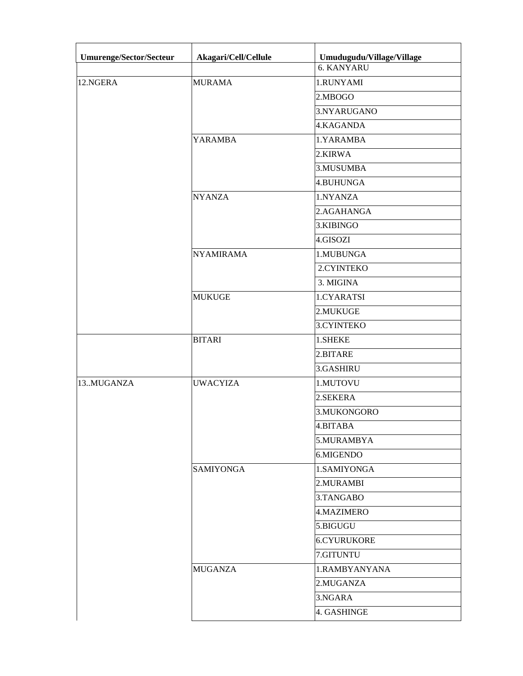| <b>6. KANYARU</b><br>12.NGERA<br><b>MURAMA</b><br>1.RUNYAMI<br>2.MBOGO<br>3.NYARUGANO<br>4.KAGANDA<br><b>YARAMBA</b><br>1.YARAMBA<br>2.KIRWA<br>3.MUSUMBA<br>4.BUHUNGA<br><b>NYANZA</b><br>1.NYANZA<br>2.AGAHANGA<br>3.KIBINGO<br>4.GISOZI<br><b>NYAMIRAMA</b><br>1.MUBUNGA<br>2.CYINTEKO<br>3. MIGINA<br><b>MUKUGE</b><br>1.CYARATSI<br>2.MUKUGE<br>3.CYINTEKO<br><b>BITARI</b><br>1.SHEKE<br>2.BITARE<br>3.GASHIRU<br>13MUGANZA<br><b>UWACYIZA</b><br>1.MUTOVU<br>2.SEKERA<br>3.MUKONGORO<br>4.BITABA<br>5.MURAMBYA<br>6.MIGENDO<br><b>SAMIYONGA</b><br>1.SAMIYONGA<br>2.MURAMBI<br>3.TANGABO<br>4.MAZIMERO<br>5.BIGUGU<br><b>6.CYURUKORE</b><br>7.GITUNTU<br><b>MUGANZA</b><br>1.RAMBYANYANA<br>2.MUGANZA<br>3.NGARA<br>4. GASHINGE | Umurenge/Sector/Secteur | Akagari/Cell/Cellule | Umudugudu/Village/Village |
|----------------------------------------------------------------------------------------------------------------------------------------------------------------------------------------------------------------------------------------------------------------------------------------------------------------------------------------------------------------------------------------------------------------------------------------------------------------------------------------------------------------------------------------------------------------------------------------------------------------------------------------------------------------------------------------------------------------------------------------|-------------------------|----------------------|---------------------------|
|                                                                                                                                                                                                                                                                                                                                                                                                                                                                                                                                                                                                                                                                                                                                        |                         |                      |                           |
|                                                                                                                                                                                                                                                                                                                                                                                                                                                                                                                                                                                                                                                                                                                                        |                         |                      |                           |
|                                                                                                                                                                                                                                                                                                                                                                                                                                                                                                                                                                                                                                                                                                                                        |                         |                      |                           |
|                                                                                                                                                                                                                                                                                                                                                                                                                                                                                                                                                                                                                                                                                                                                        |                         |                      |                           |
|                                                                                                                                                                                                                                                                                                                                                                                                                                                                                                                                                                                                                                                                                                                                        |                         |                      |                           |
|                                                                                                                                                                                                                                                                                                                                                                                                                                                                                                                                                                                                                                                                                                                                        |                         |                      |                           |
|                                                                                                                                                                                                                                                                                                                                                                                                                                                                                                                                                                                                                                                                                                                                        |                         |                      |                           |
|                                                                                                                                                                                                                                                                                                                                                                                                                                                                                                                                                                                                                                                                                                                                        |                         |                      |                           |
|                                                                                                                                                                                                                                                                                                                                                                                                                                                                                                                                                                                                                                                                                                                                        |                         |                      |                           |
|                                                                                                                                                                                                                                                                                                                                                                                                                                                                                                                                                                                                                                                                                                                                        |                         |                      |                           |
|                                                                                                                                                                                                                                                                                                                                                                                                                                                                                                                                                                                                                                                                                                                                        |                         |                      |                           |
|                                                                                                                                                                                                                                                                                                                                                                                                                                                                                                                                                                                                                                                                                                                                        |                         |                      |                           |
|                                                                                                                                                                                                                                                                                                                                                                                                                                                                                                                                                                                                                                                                                                                                        |                         |                      |                           |
|                                                                                                                                                                                                                                                                                                                                                                                                                                                                                                                                                                                                                                                                                                                                        |                         |                      |                           |
|                                                                                                                                                                                                                                                                                                                                                                                                                                                                                                                                                                                                                                                                                                                                        |                         |                      |                           |
|                                                                                                                                                                                                                                                                                                                                                                                                                                                                                                                                                                                                                                                                                                                                        |                         |                      |                           |
|                                                                                                                                                                                                                                                                                                                                                                                                                                                                                                                                                                                                                                                                                                                                        |                         |                      |                           |
|                                                                                                                                                                                                                                                                                                                                                                                                                                                                                                                                                                                                                                                                                                                                        |                         |                      |                           |
|                                                                                                                                                                                                                                                                                                                                                                                                                                                                                                                                                                                                                                                                                                                                        |                         |                      |                           |
|                                                                                                                                                                                                                                                                                                                                                                                                                                                                                                                                                                                                                                                                                                                                        |                         |                      |                           |
|                                                                                                                                                                                                                                                                                                                                                                                                                                                                                                                                                                                                                                                                                                                                        |                         |                      |                           |
|                                                                                                                                                                                                                                                                                                                                                                                                                                                                                                                                                                                                                                                                                                                                        |                         |                      |                           |
|                                                                                                                                                                                                                                                                                                                                                                                                                                                                                                                                                                                                                                                                                                                                        |                         |                      |                           |
|                                                                                                                                                                                                                                                                                                                                                                                                                                                                                                                                                                                                                                                                                                                                        |                         |                      |                           |
|                                                                                                                                                                                                                                                                                                                                                                                                                                                                                                                                                                                                                                                                                                                                        |                         |                      |                           |
|                                                                                                                                                                                                                                                                                                                                                                                                                                                                                                                                                                                                                                                                                                                                        |                         |                      |                           |
|                                                                                                                                                                                                                                                                                                                                                                                                                                                                                                                                                                                                                                                                                                                                        |                         |                      |                           |
|                                                                                                                                                                                                                                                                                                                                                                                                                                                                                                                                                                                                                                                                                                                                        |                         |                      |                           |
|                                                                                                                                                                                                                                                                                                                                                                                                                                                                                                                                                                                                                                                                                                                                        |                         |                      |                           |
|                                                                                                                                                                                                                                                                                                                                                                                                                                                                                                                                                                                                                                                                                                                                        |                         |                      |                           |
|                                                                                                                                                                                                                                                                                                                                                                                                                                                                                                                                                                                                                                                                                                                                        |                         |                      |                           |
|                                                                                                                                                                                                                                                                                                                                                                                                                                                                                                                                                                                                                                                                                                                                        |                         |                      |                           |
|                                                                                                                                                                                                                                                                                                                                                                                                                                                                                                                                                                                                                                                                                                                                        |                         |                      |                           |
|                                                                                                                                                                                                                                                                                                                                                                                                                                                                                                                                                                                                                                                                                                                                        |                         |                      |                           |
|                                                                                                                                                                                                                                                                                                                                                                                                                                                                                                                                                                                                                                                                                                                                        |                         |                      |                           |
|                                                                                                                                                                                                                                                                                                                                                                                                                                                                                                                                                                                                                                                                                                                                        |                         |                      |                           |
|                                                                                                                                                                                                                                                                                                                                                                                                                                                                                                                                                                                                                                                                                                                                        |                         |                      |                           |
|                                                                                                                                                                                                                                                                                                                                                                                                                                                                                                                                                                                                                                                                                                                                        |                         |                      |                           |
|                                                                                                                                                                                                                                                                                                                                                                                                                                                                                                                                                                                                                                                                                                                                        |                         |                      |                           |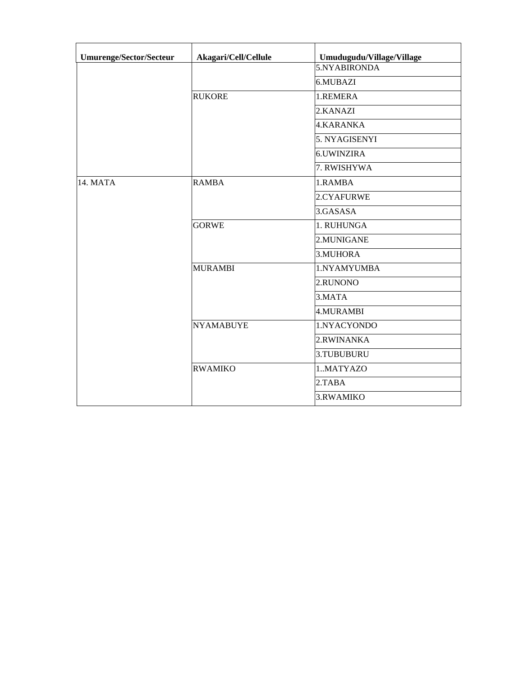| <b>Umurenge/Sector/Secteur</b> | Akagari/Cell/Cellule | Umudugudu/Village/Village |
|--------------------------------|----------------------|---------------------------|
|                                |                      | 5.NYABIRONDA              |
|                                |                      | 6.MUBAZI                  |
|                                | <b>RUKORE</b>        | 1.REMERA                  |
|                                |                      | 2.KANAZI                  |
|                                |                      | 4.KARANKA                 |
|                                |                      | 5. NYAGISENYI             |
|                                |                      | <b>6.UWINZIRA</b>         |
|                                |                      | 7. RWISHYWA               |
| 14. MATA                       | <b>RAMBA</b>         | 1.RAMBA                   |
|                                |                      | 2.CYAFURWE                |
|                                |                      | 3.GASASA                  |
|                                | <b>GORWE</b>         | 1. RUHUNGA                |
|                                |                      | 2.MUNIGANE                |
|                                |                      | 3.MUHORA                  |
|                                | <b>MURAMBI</b>       | 1.NYAMYUMBA               |
|                                |                      | 2.RUNONO                  |
|                                |                      | 3.MATA                    |
|                                |                      | 4.MURAMBI                 |
|                                | <b>NYAMABUYE</b>     | 1.NYACYONDO               |
|                                |                      | 2.RWINANKA                |
|                                |                      | 3.TUBUBURU                |
|                                | <b>RWAMIKO</b>       | 1MATYAZO                  |
|                                |                      | 2.TABA                    |
|                                |                      | 3.RWAMIKO                 |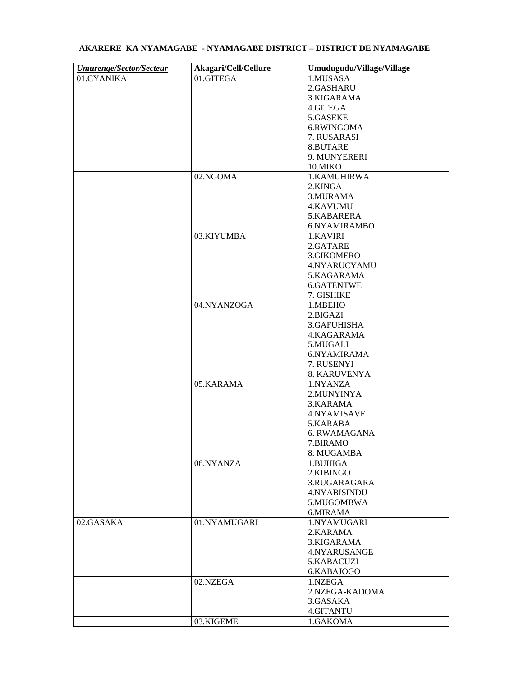| <b>Umurenge/Sector/Secteur</b> | Akagari/Cell/Cellure | Umudugudu/Village/Village |
|--------------------------------|----------------------|---------------------------|
| 01.CYANIKA                     | 01.GITEGA            | 1.MUSASA                  |
|                                |                      | 2.GASHARU                 |
|                                |                      | 3.KIGARAMA                |
|                                |                      | 4.GITEGA                  |
|                                |                      | 5.GASEKE                  |
|                                |                      | 6.RWINGOMA                |
|                                |                      | 7. RUSARASI               |
|                                |                      | 8.BUTARE                  |
|                                |                      | 9. MUNYERERI              |
|                                |                      | 10.MIKO                   |
|                                | 02.NGOMA             | 1.KAMUHIRWA               |
|                                |                      | 2.KINGA                   |
|                                |                      | 3. MURAMA                 |
|                                |                      | 4.KAVUMU                  |
|                                |                      | 5.KABARERA                |
|                                |                      | 6.NYAMIRAMBO              |
|                                | 03.KIYUMBA           | 1.KAVIRI                  |
|                                |                      | 2.GATARE                  |
|                                |                      | 3.GIKOMERO                |
|                                |                      | 4.NYARUCYAMU              |
|                                |                      | 5.KAGARAMA                |
|                                |                      |                           |
|                                |                      | 6.GATENTWE                |
|                                | 04.NYANZOGA          | 7. GISHIKE<br>1.MBEHO     |
|                                |                      |                           |
|                                |                      | 2.BIGAZI                  |
|                                |                      | 3.GAFUHISHA               |
|                                |                      | 4.KAGARAMA                |
|                                |                      | 5.MUGALI                  |
|                                |                      | 6.NYAMIRAMA               |
|                                |                      | 7. RUSENYI                |
|                                |                      | 8. KARUVENYA              |
|                                | 05.KARAMA            | 1.NYANZA                  |
|                                |                      | 2.MUNYINYA                |
|                                |                      | 3.KARAMA                  |
|                                |                      | 4.NYAMISAVE               |
|                                |                      | 5.KARABA                  |
|                                |                      | 6. RWAMAGANA              |
|                                |                      | 7.BIRAMO                  |
|                                |                      | 8. MUGAMBA                |
|                                | 06.NYANZA            | 1.BUHIGA                  |
|                                |                      | 2.KIBINGO                 |
|                                |                      | 3.RUGARAGARA              |
|                                |                      | 4.NYABISINDU              |
|                                |                      | 5.MUGOMBWA                |
|                                |                      | 6.MIRAMA                  |
| 02.GASAKA                      | 01.NYAMUGARI         | 1.NYAMUGARI               |
|                                |                      | 2.KARAMA                  |
|                                |                      | 3.KIGARAMA                |
|                                |                      | 4.NYARUSANGE              |
|                                |                      | 5.KABACUZI                |
|                                |                      | 6.KABAJOGO                |
|                                | 02.NZEGA             | 1.NZEGA                   |
|                                |                      | 2.NZEGA-KADOMA            |
|                                |                      | 3.GASAKA                  |
|                                |                      | 4.GITANTU                 |
|                                | 03.KIGEME            | 1.GAKOMA                  |

## **AKARERE KA NYAMAGABE - NYAMAGABE DISTRICT – DISTRICT DE NYAMAGABE**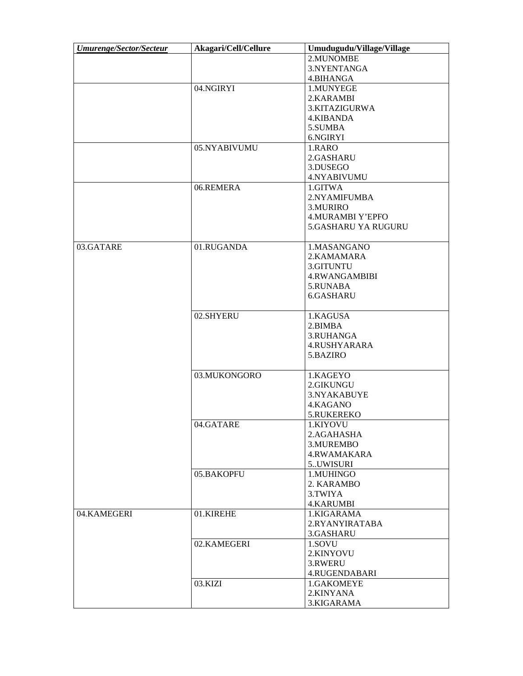| <b>Umurenge/Sector/Secteur</b> | Akagari/Cell/Cellure | Umudugudu/Village/Village |
|--------------------------------|----------------------|---------------------------|
|                                |                      | 2.MUNOMBE                 |
|                                |                      | 3.NYENTANGA               |
|                                |                      | 4.BIHANGA                 |
|                                | 04.NGIRYI            | 1.MUNYEGE                 |
|                                |                      | 2.KARAMBI                 |
|                                |                      | 3.KITAZIGURWA             |
|                                |                      |                           |
|                                |                      | 4.KIBANDA                 |
|                                |                      | 5.SUMBA                   |
|                                |                      | 6.NGIRYI                  |
|                                | 05.NYABIVUMU         | 1.RARO                    |
|                                |                      | 2.GASHARU                 |
|                                |                      | 3.DUSEGO                  |
|                                |                      | 4.NYABIVUMU               |
|                                | 06.REMERA            | 1.GITWA                   |
|                                |                      | 2.NYAMIFUMBA              |
|                                |                      | 3.MURIRO                  |
|                                |                      | <b>4.MURAMBI Y'EPFO</b>   |
|                                |                      | 5.GASHARU YA RUGURU       |
|                                |                      |                           |
| 03.GATARE                      | 01.RUGANDA           | 1.MASANGANO               |
|                                |                      | 2.KAMAMARA                |
|                                |                      | 3.GITUNTU                 |
|                                |                      | 4.RWANGAMBIBI             |
|                                |                      |                           |
|                                |                      | 5.RUNABA<br>6.GASHARU     |
|                                |                      |                           |
|                                | 02.SHYERU            | 1.KAGUSA                  |
|                                |                      | 2.BIMBA                   |
|                                |                      | 3.RUHANGA                 |
|                                |                      |                           |
|                                |                      | 4.RUSHYARARA              |
|                                |                      | 5.BAZIRO                  |
|                                | 03.MUKONGORO         | 1.KAGEYO                  |
|                                |                      | 2.GIKUNGU                 |
|                                |                      | 3.NYAKABUYE               |
|                                |                      | 4.KAGANO                  |
|                                |                      |                           |
|                                |                      | 5.RUKEREKO                |
|                                | 04.GATARE            | 1.KIYOVU                  |
|                                |                      | 2.AGAHASHA                |
|                                |                      | 3.MUREMBO                 |
|                                |                      | 4.RWAMAKARA               |
|                                |                      | 5UWISURI                  |
|                                | 05.BAKOPFU           | 1.MUHINGO                 |
|                                |                      | 2. KARAMBO                |
|                                |                      | 3.TWIYA                   |
|                                |                      | <b>4.KARUMBI</b>          |
| 04.KAMEGERI                    | 01.KIREHE            | 1.KIGARAMA                |
|                                |                      | 2.RYANYIRATABA            |
|                                |                      | 3.GASHARU                 |
|                                | 02.KAMEGERI          | 1.SOVU                    |
|                                |                      | 2.KINYOVU                 |
|                                |                      | 3.RWERU                   |
|                                |                      |                           |
|                                |                      | 4.RUGENDABARI             |
|                                | 03.KIZI              | 1.GAKOMEYE                |
|                                |                      | 2.KINYANA                 |
|                                |                      | 3.KIGARAMA                |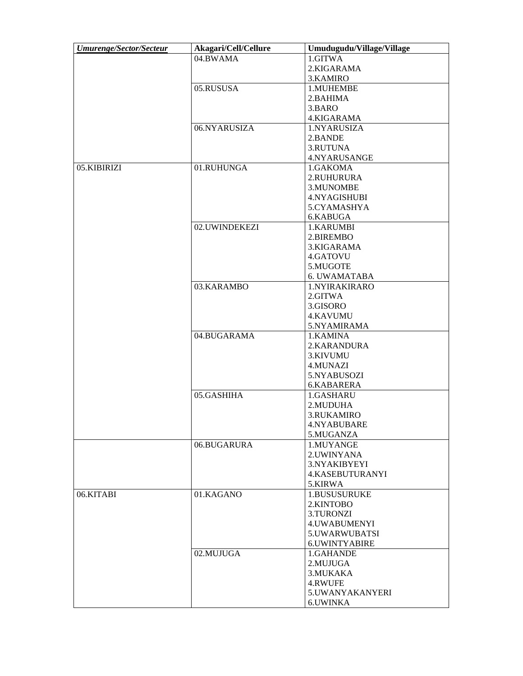| <b>Umurenge/Sector/Secteur</b> | Akagari/Cell/Cellure | Umudugudu/Village/Village |
|--------------------------------|----------------------|---------------------------|
|                                | 04.BWAMA             | 1.GITWA                   |
|                                |                      | 2.KIGARAMA                |
|                                |                      | 3.KAMIRO                  |
|                                | 05.RUSUSA            | 1.MUHEMBE                 |
|                                |                      | 2.BAHIMA                  |
|                                |                      | 3.BARO                    |
|                                |                      | 4.KIGARAMA                |
|                                | 06.NYARUSIZA         | 1.NYARUSIZA               |
|                                |                      | 2.BANDE                   |
|                                |                      | 3.RUTUNA                  |
|                                |                      | 4.NYARUSANGE              |
| 05.KIBIRIZI                    | 01.RUHUNGA           | 1.GAKOMA                  |
|                                |                      | 2.RUHURURA                |
|                                |                      | 3.MUNOMBE                 |
|                                |                      | 4.NYAGISHUBI              |
|                                |                      | 5.CYAMASHYA               |
|                                |                      |                           |
|                                |                      | 6.KABUGA                  |
|                                | 02.UWINDEKEZI        | 1.KARUMBI                 |
|                                |                      | 2.BIREMBO                 |
|                                |                      | 3.KIGARAMA                |
|                                |                      | 4.GATOVU                  |
|                                |                      | 5.MUGOTE                  |
|                                |                      | 6. UWAMATABA              |
|                                | 03.KARAMBO           | 1.NYIRAKIRARO             |
|                                |                      | 2.GITWA                   |
|                                |                      | 3.GISORO                  |
|                                |                      | <b>4.KAVUMU</b>           |
|                                |                      | 5.NYAMIRAMA               |
|                                | 04.BUGARAMA          | 1.KAMINA                  |
|                                |                      | 2.KARANDURA               |
|                                |                      | 3.KIVUMU                  |
|                                |                      | 4.MUNAZI                  |
|                                |                      | 5.NYABUSOZI               |
|                                |                      | 6.KABARERA                |
|                                | 05.GASHIHA           | 1.GASHARU                 |
|                                |                      | 2.MUDUHA                  |
|                                |                      | 3.RUKAMIRO                |
|                                |                      | 4.NYABUBARE               |
|                                |                      | 5.MUGANZA                 |
|                                | 06.BUGARURA          | 1.MUYANGE                 |
|                                |                      | 2. UWINYANA               |
|                                |                      | 3.NYAKIBYEYI              |
|                                |                      | 4.KASEBUTURANYI           |
|                                |                      | 5.KIRWA                   |
| 06.KITABI                      | 01.KAGANO            | 1.BUSUSURUKE              |
|                                |                      | 2.KINTOBO                 |
|                                |                      | 3.TURONZI                 |
|                                |                      | 4. UWABUMENYI             |
|                                |                      | 5.UWARWUBATSI             |
|                                |                      | 6.UWINTYABIRE             |
|                                |                      |                           |
|                                | 02.MUJUGA            | 1.GAHANDE                 |
|                                |                      | 2.MUJUGA                  |
|                                |                      | 3. MUKAKA                 |
|                                |                      | 4.RWUFE                   |
|                                |                      | 5.UWANYAKANYERI           |
|                                |                      | 6.UWINKA                  |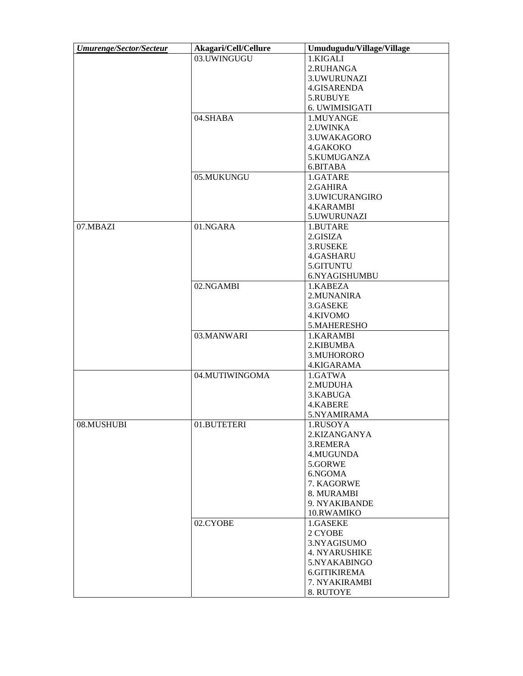| <b>Umurenge/Sector/Secteur</b> | Akagari/Cell/Cellure | Umudugudu/Village/Village |
|--------------------------------|----------------------|---------------------------|
|                                | 03.UWINGUGU          | 1.KIGALI                  |
|                                |                      | 2.RUHANGA                 |
|                                |                      | 3.UWURUNAZI               |
|                                |                      | 4.GISARENDA               |
|                                |                      | 5.RUBUYE                  |
|                                |                      | 6. UWIMISIGATI            |
|                                | 04.SHABA             | 1.MUYANGE                 |
|                                |                      | 2. UWINKA                 |
|                                |                      | 3.UWAKAGORO               |
|                                |                      | 4.GAKOKO                  |
|                                |                      | 5.KUMUGANZA               |
|                                |                      | 6.BITABA                  |
|                                | 05.MUKUNGU           | 1.GATARE                  |
|                                |                      | 2.GAHIRA                  |
|                                |                      | 3.UWICURANGIRO            |
|                                |                      | <b>4.KARAMBI</b>          |
|                                |                      | 5.UWURUNAZI               |
| 07.MBAZI                       | 01.NGARA             | 1.BUTARE                  |
|                                |                      | 2.GISIZA                  |
|                                |                      | 3.RUSEKE                  |
|                                |                      |                           |
|                                |                      | 4.GASHARU                 |
|                                |                      | 5.GITUNTU                 |
|                                |                      | 6.NYAGISHUMBU             |
|                                | 02.NGAMBI            | 1.KABEZA                  |
|                                |                      | 2. MUNANIRA               |
|                                |                      | 3.GASEKE                  |
|                                |                      | 4.KIVOMO                  |
|                                |                      | 5.MAHERESHO               |
|                                | 03.MANWARI           | 1.KARAMBI                 |
|                                |                      | 2.KIBUMBA                 |
|                                |                      | 3.MUHORORO                |
|                                |                      | 4.KIGARAMA                |
|                                | 04.MUTIWINGOMA       | 1.GATWA                   |
|                                |                      | 2.MUDUHA                  |
|                                |                      | 3.KABUGA                  |
|                                |                      | 4.KABERE                  |
|                                |                      | 5.NYAMIRAMA               |
| 08.MUSHUBI                     | 01.BUTETERI          | 1.RUSOYA                  |
|                                |                      | 2.KIZANGANYA              |
|                                |                      | 3.REMERA                  |
|                                |                      | 4.MUGUNDA                 |
|                                |                      | 5.GORWE                   |
|                                |                      | 6.NGOMA                   |
|                                |                      | 7. KAGORWE                |
|                                |                      | 8. MURAMBI                |
|                                |                      | 9. NYAKIBANDE             |
|                                |                      | 10.RWAMIKO                |
|                                | 02.CYOBE             | 1.GASEKE                  |
|                                |                      | 2 CYOBE                   |
|                                |                      | 3.NYAGISUMO               |
|                                |                      | <b>4. NYARUSHIKE</b>      |
|                                |                      | 5.NYAKABINGO              |
|                                |                      | 6.GITIKIREMA              |
|                                |                      | 7. NYAKIRAMBI             |
|                                |                      | 8. RUTOYE                 |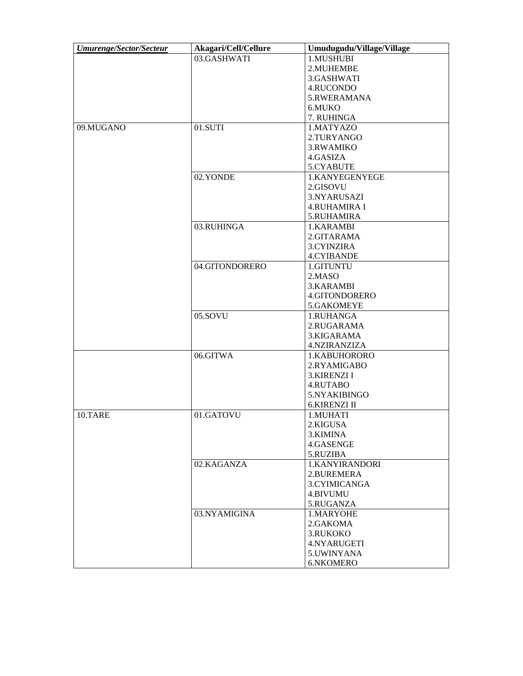| Umurenge/Sector/Secteur | Akagari/Cell/Cellure | Umudugudu/Village/Village |
|-------------------------|----------------------|---------------------------|
|                         | 03.GASHWATI          | 1.MUSHUBI                 |
|                         |                      | 2.MUHEMBE                 |
|                         |                      | 3.GASHWATI                |
|                         |                      | 4.RUCONDO                 |
|                         |                      | 5.RWERAMANA               |
|                         |                      | 6.MUKO                    |
|                         |                      | 7. RUHINGA                |
| 09.MUGANO               | 01.SUTI              | 1.MATYAZO                 |
|                         |                      | 2.TURYANGO                |
|                         |                      | 3.RWAMIKO                 |
|                         |                      | 4.GASIZA                  |
|                         |                      | 5.CYABUTE                 |
|                         | 02.YONDE             |                           |
|                         |                      | 1.KANYEGENYEGE            |
|                         |                      | 2.GISOVU                  |
|                         |                      | 3.NYARUSAZI               |
|                         |                      | <b>4.RUHAMIRA I</b>       |
|                         |                      | 5.RUHAMIRA                |
|                         | 03.RUHINGA           | 1.KARAMBI                 |
|                         |                      | 2.GITARAMA                |
|                         |                      | 3.CYINZIRA                |
|                         |                      | 4.CYIBANDE                |
|                         | 04.GITONDORERO       | 1.GITUNTU                 |
|                         |                      | 2.MASO                    |
|                         |                      | 3.KARAMBI                 |
|                         |                      | 4.GITONDORERO             |
|                         |                      | 5.GAKOMEYE                |
|                         | 05.SOVU              | 1.RUHANGA                 |
|                         |                      | 2.RUGARAMA                |
|                         |                      | 3.KIGARAMA                |
|                         |                      | 4.NZIRANZIZA              |
|                         | 06.GITWA             | 1.KABUHORORO              |
|                         |                      | 2.RYAMIGABO               |
|                         |                      | <b>3.KIRENZI I</b>        |
|                         |                      | 4.RUTABO                  |
|                         |                      | 5.NYAKIBINGO              |
|                         |                      | <b>6.KIRENZI II</b>       |
| 10.TARE                 | 01.GATOVU            | 1.MUHATI                  |
|                         |                      | 2.KIGUSA                  |
|                         |                      | 3.KIMINA                  |
|                         |                      | 4.GASENGE                 |
|                         |                      | 5.RUZIBA                  |
|                         | 02.KAGANZA           | 1.KANYIRANDORI            |
|                         |                      | 2.BUREMERA                |
|                         |                      | 3.CYIMICANGA              |
|                         |                      | 4.BIVUMU                  |
|                         |                      |                           |
|                         |                      | 5.RUGANZA                 |
|                         | 03.NYAMIGINA         | 1.MARYOHE                 |
|                         |                      | 2.GAKOMA                  |
|                         |                      | 3.RUKOKO                  |
|                         |                      | 4.NYARUGETI               |
|                         |                      | 5.UWINYANA                |
|                         |                      | 6.NKOMERO                 |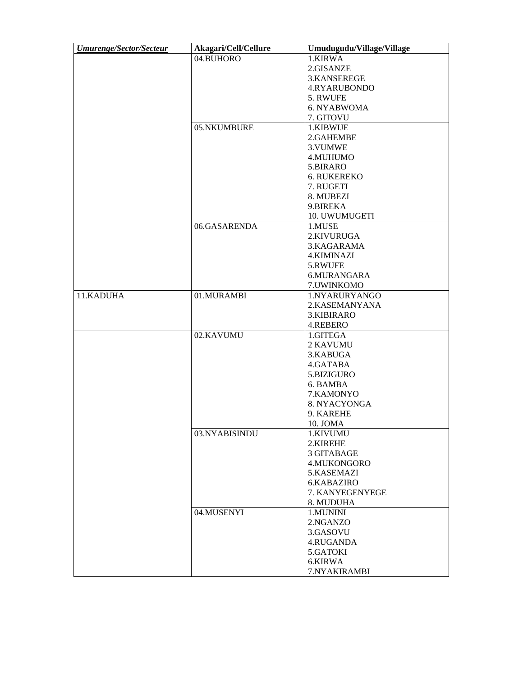| <b>Umurenge/Sector/Secteur</b> | Akagari/Cell/Cellure | Umudugudu/Village/Village |
|--------------------------------|----------------------|---------------------------|
|                                | 04.BUHORO            | 1.KIRWA                   |
|                                |                      | 2.GISANZE                 |
|                                |                      | 3.KANSEREGE               |
|                                |                      | 4.RYARUBONDO              |
|                                |                      | 5. RWUFE                  |
|                                |                      | 6. NYABWOMA               |
|                                |                      | 7. GITOVU                 |
|                                | 05.NKUMBURE          | 1.KIBWIJE                 |
|                                |                      | 2.GAHEMBE                 |
|                                |                      | 3. VUMWE                  |
|                                |                      | 4.MUHUMO                  |
|                                |                      | 5.BIRARO                  |
|                                |                      | <b>6. RUKEREKO</b>        |
|                                |                      | 7. RUGETI                 |
|                                |                      | 8. MUBEZI                 |
|                                |                      | 9.BIREKA                  |
|                                |                      | 10. UWUMUGETI             |
|                                |                      |                           |
|                                | 06.GASARENDA         | 1.MUSE                    |
|                                |                      | 2.KIVURUGA                |
|                                |                      | 3.KAGARAMA                |
|                                |                      | <b>4.KIMINAZI</b>         |
|                                |                      | 5.RWUFE                   |
|                                |                      | 6.MURANGARA               |
|                                |                      | 7. UWINKOMO               |
| 11.KADUHA                      | 01.MURAMBI           | 1.NYARURYANGO             |
|                                |                      | 2.KASEMANYANA             |
|                                |                      | 3.KIBIRARO                |
|                                |                      | 4.REBERO                  |
|                                | 02.KAVUMU            | 1.GITEGA                  |
|                                |                      | 2 KAVUMU                  |
|                                |                      | 3.KABUGA                  |
|                                |                      | 4.GATABA                  |
|                                |                      | 5.BIZIGURO                |
|                                |                      | 6. BAMBA                  |
|                                |                      | 7.KAMONYO                 |
|                                |                      | 8. NYACYONGA              |
|                                |                      | 9. KAREHE                 |
|                                |                      | 10. JOMA                  |
|                                | 03.NYABISINDU        | 1.KIVUMU                  |
|                                |                      | 2.KIREHE                  |
|                                |                      | 3 GITABAGE                |
|                                |                      | 4.MUKONGORO               |
|                                |                      | 5.KASEMAZI                |
|                                |                      | 6.KABAZIRO                |
|                                |                      | 7. KANYEGENYEGE           |
|                                |                      | 8. MUDUHA                 |
|                                | 04.MUSENYI           | 1.MUNINI                  |
|                                |                      | 2.NGANZO                  |
|                                |                      | 3.GASOVU                  |
|                                |                      | 4.RUGANDA                 |
|                                |                      | 5.GATOKI                  |
|                                |                      | 6.KIRWA                   |
|                                |                      | 7.NYAKIRAMBI              |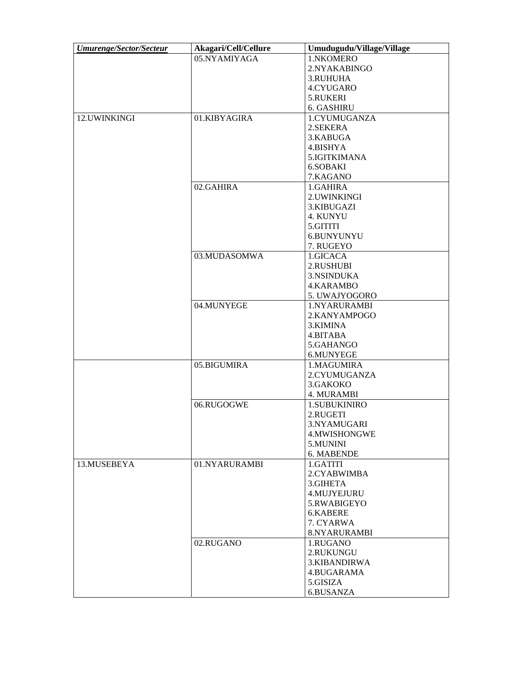| <b>Umurenge/Sector/Secteur</b> | Akagari/Cell/Cellure | Umudugudu/Village/Village |
|--------------------------------|----------------------|---------------------------|
|                                | 05.NYAMIYAGA         | 1.NKOMERO                 |
|                                |                      | 2.NYAKABINGO              |
|                                |                      | 3.RUHUHA                  |
|                                |                      | 4.CYUGARO                 |
|                                |                      | 5.RUKERI                  |
|                                |                      | 6. GASHIRU                |
| 12.UWINKINGI                   | 01.KIBYAGIRA         | 1.CYUMUGANZA              |
|                                |                      | 2.SEKERA                  |
|                                |                      | 3.KABUGA                  |
|                                |                      | 4.BISHYA                  |
|                                |                      | 5. IGITKIMANA             |
|                                |                      | 6.SOBAKI                  |
|                                |                      | 7.KAGANO                  |
|                                | 02.GAHIRA            |                           |
|                                |                      | 1.GAHIRA                  |
|                                |                      | 2. UWINKINGI              |
|                                |                      | 3.KIBUGAZI                |
|                                |                      | 4. KUNYU                  |
|                                |                      | 5.GITITI                  |
|                                |                      | 6.BUNYUNYU                |
|                                |                      | 7. RUGEYO                 |
|                                | 03.MUDASOMWA         | 1.GICACA                  |
|                                |                      | 2.RUSHUBI                 |
|                                |                      | 3.NSINDUKA                |
|                                |                      | 4.KARAMBO                 |
|                                |                      | 5. UWAJYOGORO             |
|                                | 04.MUNYEGE           | 1.NYARURAMBI              |
|                                |                      | 2.KANYAMPOGO              |
|                                |                      | 3.KIMINA                  |
|                                |                      | 4.BITABA                  |
|                                |                      | 5.GAHANGO                 |
|                                |                      | 6.MUNYEGE                 |
|                                | 05.BIGUMIRA          | 1.MAGUMIRA                |
|                                |                      | 2.CYUMUGANZA              |
|                                |                      | 3.GAKOKO                  |
|                                |                      | 4. MURAMBI                |
|                                | 06.RUGOGWE           | 1.SUBUKINIRO              |
|                                |                      | 2.RUGETI                  |
|                                |                      | 3.NYAMUGARI               |
|                                |                      | 4.MWISHONGWE              |
|                                |                      | 5.MUNINI                  |
|                                |                      | 6. MABENDE                |
| 13.MUSEBEYA                    | 01.NYARURAMBI        | 1.GATITI                  |
|                                |                      | 2.CYABWIMBA               |
|                                |                      | 3.GIHETA                  |
|                                |                      |                           |
|                                |                      | 4.MUJYEJURU               |
|                                |                      | 5.RWABIGEYO               |
|                                |                      | 6.KABERE                  |
|                                |                      | 7. CYARWA                 |
|                                |                      | 8.NYARURAMBI              |
|                                | 02.RUGANO            | 1.RUGANO                  |
|                                |                      | 2.RUKUNGU                 |
|                                |                      | 3.KIBANDIRWA              |
|                                |                      | 4.BUGARAMA                |
|                                |                      | 5.GISIZA                  |
|                                |                      | 6.BUSANZA                 |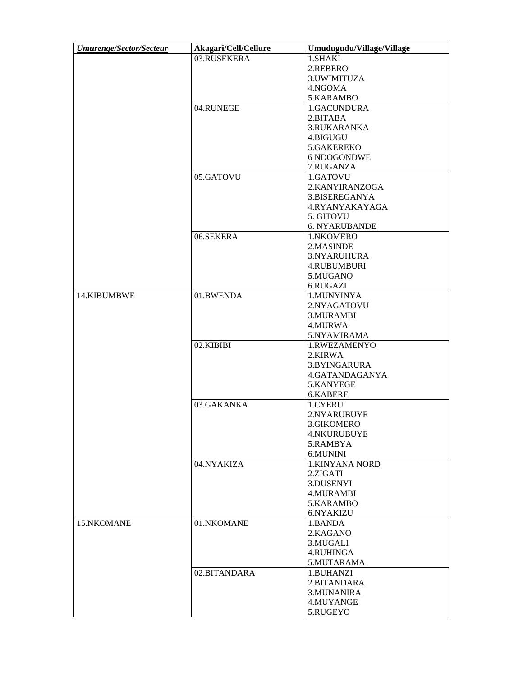| <b>Umurenge/Sector/Secteur</b> | Akagari/Cell/Cellure | Umudugudu/Village/Village  |
|--------------------------------|----------------------|----------------------------|
|                                | 03.RUSEKERA          | 1.SHAKI                    |
|                                |                      | 2.REBERO                   |
|                                |                      | 3. UWIMITUZA               |
|                                |                      | 4.NGOMA                    |
|                                |                      | 5.KARAMBO                  |
|                                | 04.RUNEGE            | 1.GACUNDURA                |
|                                |                      | 2.BITABA                   |
|                                |                      | 3.RUKARANKA                |
|                                |                      | 4.BIGUGU                   |
|                                |                      | 5.GAKEREKO                 |
|                                |                      | 6 NDOGONDWE                |
|                                |                      | 7.RUGANZA                  |
|                                | 05.GATOVU            | 1.GATOVU                   |
|                                |                      | 2.KANYIRANZOGA             |
|                                |                      | 3.BISEREGANYA              |
|                                |                      | 4.RYANYAKAYAGA             |
|                                |                      | 5. GITOVU                  |
|                                |                      | 6. NYARUBANDE              |
|                                | 06.SEKERA            | 1.NKOMERO                  |
|                                |                      | 2.MASINDE                  |
|                                |                      | 3.NYARUHURA                |
|                                |                      | 4.RUBUMBURI                |
|                                |                      | 5.MUGANO                   |
|                                |                      | 6.RUGAZI                   |
| 14.KIBUMBWE                    | 01.BWENDA            | 1.MUNYINYA                 |
|                                |                      | 2.NYAGATOVU                |
|                                |                      | 3.MURAMBI                  |
|                                |                      | 4.MURWA                    |
|                                |                      | 5.NYAMIRAMA                |
|                                | 02.KIBIBI            | 1.RWEZAMENYO               |
|                                |                      | 2.KIRWA                    |
|                                |                      | 3.BYINGARURA               |
|                                |                      | 4.GATANDAGANYA             |
|                                |                      | 5.KANYEGE                  |
|                                |                      | 6.KABERE                   |
|                                | 03.GAKANKA           | 1.CYERU                    |
|                                |                      | 2.NYARUBUYE                |
|                                |                      |                            |
|                                |                      | 3.GIKOMERO<br>4.NKURUBUYE  |
|                                |                      | 5.RAMBYA                   |
|                                |                      |                            |
|                                |                      | 6.MUNINI                   |
|                                | 04.NYAKIZA           | 1.KINYANA NORD<br>2.ZIGATI |
|                                |                      | 3.DUSENYI                  |
|                                |                      | <b>4.MURAMBI</b>           |
|                                |                      |                            |
|                                |                      | 5.KARAMBO                  |
| 15.NKOMANE                     |                      | 6.NYAKIZU                  |
|                                | 01.NKOMANE           | 1.BANDA<br>2.KAGANO        |
|                                |                      |                            |
|                                |                      | 3.MUGALI                   |
|                                |                      | 4.RUHINGA                  |
|                                |                      | 5.MUTARAMA                 |
|                                | 02.BITANDARA         | 1.BUHANZI                  |
|                                |                      | 2.BITANDARA                |
|                                |                      | 3. MUNANIRA                |
|                                |                      | 4.MUYANGE                  |
|                                |                      | 5.RUGEYO                   |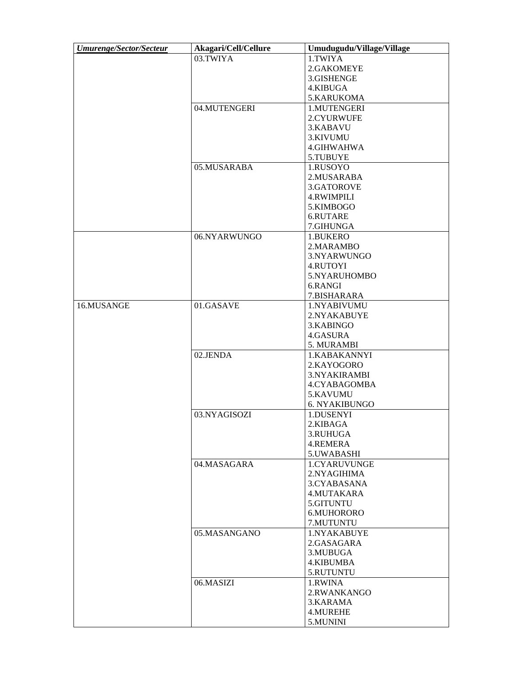| <b>Umurenge/Sector/Secteur</b> | Akagari/Cell/Cellure | Umudugudu/Village/Village |
|--------------------------------|----------------------|---------------------------|
|                                | 03.TWIYA             | 1.TWIYA                   |
|                                |                      | 2.GAKOMEYE                |
|                                |                      | 3.GISHENGE                |
|                                |                      | 4.KIBUGA                  |
|                                |                      | 5.KARUKOMA                |
|                                | 04.MUTENGERI         | 1.MUTENGERI               |
|                                |                      |                           |
|                                |                      | 2.CYURWUFE                |
|                                |                      | 3.KABAVU                  |
|                                |                      | 3.KIVUMU                  |
|                                |                      | 4.GIHWAHWA                |
|                                |                      | 5.TUBUYE                  |
|                                | 05.MUSARABA          | 1.RUSOYO                  |
|                                |                      | 2.MUSARABA                |
|                                |                      | 3.GATOROVE                |
|                                |                      | <b>4.RWIMPILI</b>         |
|                                |                      | 5.KIMBOGO                 |
|                                |                      | 6.RUTARE                  |
|                                |                      | 7.GIHUNGA                 |
|                                | 06.NYARWUNGO         | 1.BUKERO                  |
|                                |                      |                           |
|                                |                      | 2.MARAMBO                 |
|                                |                      | 3.NYARWUNGO               |
|                                |                      | 4.RUTOYI                  |
|                                |                      | 5.NYARUHOMBO              |
|                                |                      | 6.RANGI                   |
|                                |                      | 7.BISHARARA               |
| 16.MUSANGE                     | 01.GASAVE            | 1.NYABIVUMU               |
|                                |                      | 2.NYAKABUYE               |
|                                |                      | 3.KABINGO                 |
|                                |                      | 4.GASURA                  |
|                                |                      | 5. MURAMBI                |
|                                | 02.JENDA             | 1.KABAKANNYI              |
|                                |                      | 2.KAYOGORO                |
|                                |                      | 3.NYAKIRAMBI              |
|                                |                      | 4.CYABAGOMBA              |
|                                |                      | 5.KAVUMU                  |
|                                |                      |                           |
|                                |                      | 6. NYAKIBUNGO             |
|                                | 03.NYAGISOZI         | 1.DUSENYI                 |
|                                |                      | 2.KIBAGA                  |
|                                |                      | 3.RUHUGA                  |
|                                |                      | 4.REMERA                  |
|                                |                      | 5.UWABASHI                |
|                                | 04.MASAGARA          | 1.CYARUVUNGE              |
|                                |                      | 2.NYAGIHIMA               |
|                                |                      | 3.CYABASANA               |
|                                |                      | 4.MUTAKARA                |
|                                |                      | 5.GITUNTU                 |
|                                |                      | 6.MUHORORO                |
|                                |                      | 7.MUTUNTU                 |
|                                | 05.MASANGANO         | 1.NYAKABUYE               |
|                                |                      | 2.GASAGARA                |
|                                |                      | 3.MUBUGA                  |
|                                |                      | 4.KIBUMBA                 |
|                                |                      |                           |
|                                |                      | 5.RUTUNTU                 |
|                                | 06.MASIZI            | 1.RWINA                   |
|                                |                      | 2.RWANKANGO               |
|                                |                      | 3.KARAMA                  |
|                                |                      | 4.MUREHE                  |
|                                |                      | 5.MUNINI                  |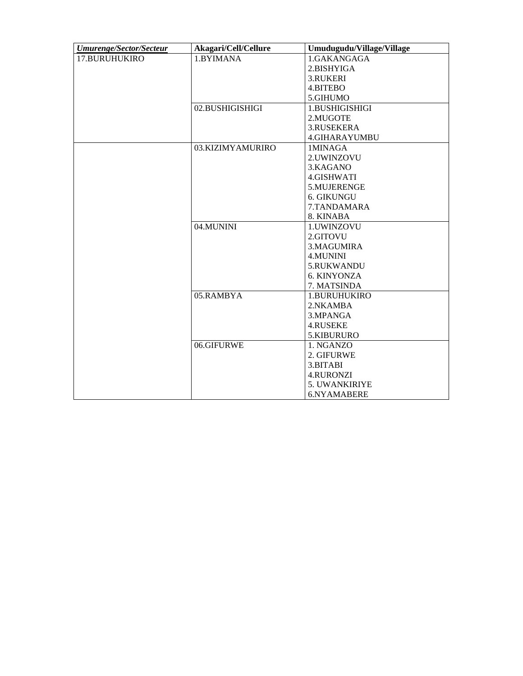| <b>Umurenge/Sector/Secteur</b> | Akagari/Cell/Cellure | Umudugudu/Village/Village |
|--------------------------------|----------------------|---------------------------|
| 17.BURUHUKIRO                  | 1.BYIMANA            | 1.GAKANGAGA               |
|                                |                      | 2.BISHYIGA                |
|                                |                      | <b>3.RUKERI</b>           |
|                                |                      | 4.BITEBO                  |
|                                |                      | 5.GIHUMO                  |
|                                | 02.BUSHIGISHIGI      | 1.BUSHIGISHIGI            |
|                                |                      | 2.MUGOTE                  |
|                                |                      | 3.RUSEKERA                |
|                                |                      | <b>4.GIHARAYUMBU</b>      |
|                                | 03.KIZIMYAMURIRO     | 1MINAGA                   |
|                                |                      | 2.UWINZOVU                |
|                                |                      | 3.KAGANO                  |
|                                |                      | 4.GISHWATI                |
|                                |                      | 5.MUJERENGE               |
|                                |                      | <b>6. GIKUNGU</b>         |
|                                |                      | 7.TANDAMARA               |
|                                |                      | 8. KINABA                 |
|                                | 04.MUNINI            | 1.UWINZOVU                |
|                                |                      | 2.GITOVU                  |
|                                |                      | 3.MAGUMIRA                |
|                                |                      | 4.MUNINI                  |
|                                |                      | 5.RUKWANDU                |
|                                |                      | 6. KINYONZA               |
|                                |                      | 7. MATSINDA               |
|                                | 05.RAMBYA            | 1.BURUHUKIRO              |
|                                |                      | 2.NKAMBA                  |
|                                |                      | 3.MPANGA                  |
|                                |                      | 4.RUSEKE                  |
|                                |                      | 5.KIBURURO                |
|                                | 06.GIFURWE           | 1. NGANZO                 |
|                                |                      | 2. GIFURWE                |
|                                |                      | 3.BITABI                  |
|                                |                      | <b>4.RURONZI</b>          |
|                                |                      | <b>5. UWANKIRIYE</b>      |
|                                |                      | 6.NYAMABERE               |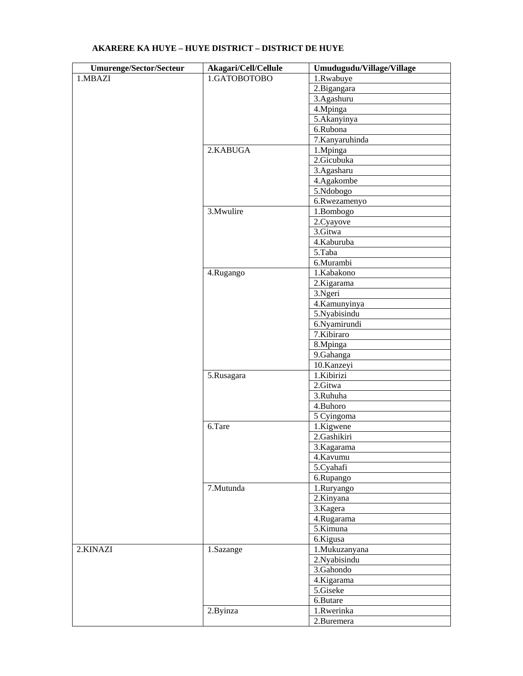| <b>Umurenge/Sector/Secteur</b> | Akagari/Cell/Cellule | Umudugudu/Village/Village |
|--------------------------------|----------------------|---------------------------|
| 1.MBAZI                        | 1.GATOBOTOBO         | 1.Rwabuye                 |
|                                |                      | 2.Bigangara               |
|                                |                      | $\overline{3.}$ Agashuru  |
|                                |                      | 4.Mpinga                  |
|                                |                      | 5.Akanyinya               |
|                                |                      | 6.Rubona                  |
|                                |                      | 7.Kanyaruhinda            |
|                                | 2.KABUGA             | 1.Mpinga                  |
|                                |                      | 2.Gicubuka                |
|                                |                      | 3.Agasharu                |
|                                |                      | 4.Agakombe                |
|                                |                      | 5.Ndobogo                 |
|                                |                      | 6.Rwezamenyo              |
|                                | 3. Mwulire           | 1.Bombogo                 |
|                                |                      | 2.Cyayove                 |
|                                |                      | 3.Gitwa                   |
|                                |                      | 4.Kaburuba                |
|                                |                      | 5.Taba                    |
|                                |                      | 6.Murambi                 |
|                                | 4.Rugango            | 1.Kabakono                |
|                                |                      | 2.Kigarama                |
|                                |                      | 3.Ngeri                   |
|                                |                      | 4.Kamunyinya              |
|                                |                      | 5. Nyabisindu             |
|                                |                      | 6.Nyamirundi              |
|                                |                      | 7.Kibiraro                |
|                                |                      | 8.Mpinga                  |
|                                |                      | 9.Gahanga                 |
|                                |                      | 10.Kanzeyi                |
|                                | 5.Rusagara           | 1.Kibirizi                |
|                                |                      | 2.Gitwa                   |
|                                |                      | 3.Ruhuha                  |
|                                |                      | 4.Buhoro                  |
|                                |                      | 5 Cyingoma                |
|                                | 6.Tare               | $\overline{1}$ .Kigwene   |
|                                |                      | 2.Gashikiri               |
|                                |                      | 3.Kagarama                |
|                                |                      | 4.Kavumu                  |
|                                |                      | 5.Cyahafi                 |
|                                |                      | 6.Rupango                 |
|                                | 7.Mutunda            | 1.Ruryango                |
|                                |                      | $2.$ Kinyana              |
|                                |                      | 3.Kagera                  |
|                                |                      | 4.Rugarama                |
|                                |                      | $\overline{5}$ .Kimuna    |
|                                |                      | 6.Kigusa                  |
| 2.KINAZI                       | 1.Sazange            | 1.Mukuzanyana             |
|                                |                      | 2. Nyabisindu             |
|                                |                      | 3.Gahondo                 |
|                                |                      | 4.Kigarama                |
|                                |                      | 5.Giseke                  |
|                                |                      | 6.Butare                  |
|                                | 2.Byinza             | 1.Rwerinka                |
|                                |                      | 2.Buremera                |
|                                |                      |                           |

## **AKARERE KA HUYE – HUYE DISTRICT – DISTRICT DE HUYE**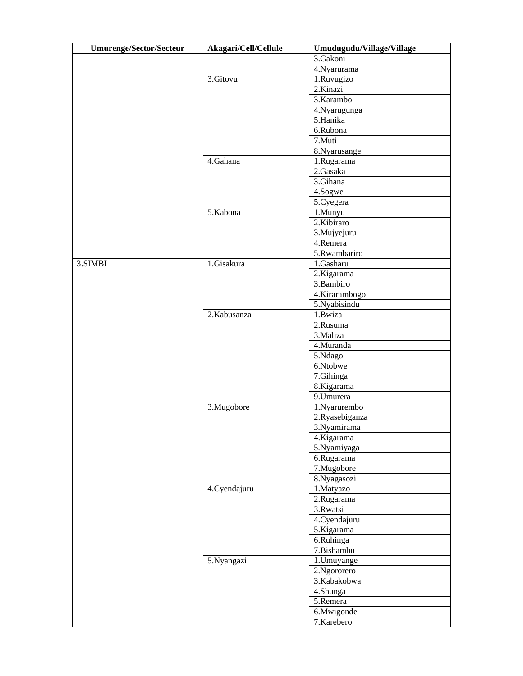| 3.Gakoni<br>4. Nyarurama<br>3.Gitovu<br>1.Ruvugizo<br>2.Kinazi<br>3.Karambo<br>4.Nyarugunga<br>5.Hanika<br>6.Rubona<br>7.Muti<br>8. Nyarusange<br>4.Gahana<br>1.Rugarama<br>2.Gasaka<br>3.Gihana<br>4.Sogwe<br>5.Cyegera<br>5.Kabona<br>1.Munyu<br>2.Kibiraro<br>3.Mujyejuru<br>4.Remera<br>5.Rwambariro<br>1.Gisakura<br>1.Gasharu<br>3.SIMBI<br>2.Kigarama<br>3.Bambiro<br>4.Kirarambogo |
|--------------------------------------------------------------------------------------------------------------------------------------------------------------------------------------------------------------------------------------------------------------------------------------------------------------------------------------------------------------------------------------------|
|                                                                                                                                                                                                                                                                                                                                                                                            |
|                                                                                                                                                                                                                                                                                                                                                                                            |
|                                                                                                                                                                                                                                                                                                                                                                                            |
|                                                                                                                                                                                                                                                                                                                                                                                            |
|                                                                                                                                                                                                                                                                                                                                                                                            |
|                                                                                                                                                                                                                                                                                                                                                                                            |
|                                                                                                                                                                                                                                                                                                                                                                                            |
|                                                                                                                                                                                                                                                                                                                                                                                            |
|                                                                                                                                                                                                                                                                                                                                                                                            |
|                                                                                                                                                                                                                                                                                                                                                                                            |
|                                                                                                                                                                                                                                                                                                                                                                                            |
|                                                                                                                                                                                                                                                                                                                                                                                            |
|                                                                                                                                                                                                                                                                                                                                                                                            |
|                                                                                                                                                                                                                                                                                                                                                                                            |
|                                                                                                                                                                                                                                                                                                                                                                                            |
|                                                                                                                                                                                                                                                                                                                                                                                            |
|                                                                                                                                                                                                                                                                                                                                                                                            |
|                                                                                                                                                                                                                                                                                                                                                                                            |
|                                                                                                                                                                                                                                                                                                                                                                                            |
|                                                                                                                                                                                                                                                                                                                                                                                            |
|                                                                                                                                                                                                                                                                                                                                                                                            |
|                                                                                                                                                                                                                                                                                                                                                                                            |
|                                                                                                                                                                                                                                                                                                                                                                                            |
|                                                                                                                                                                                                                                                                                                                                                                                            |
|                                                                                                                                                                                                                                                                                                                                                                                            |
| 5.Nyabisindu                                                                                                                                                                                                                                                                                                                                                                               |
| 1.Bwiza<br>2.Kabusanza                                                                                                                                                                                                                                                                                                                                                                     |
| 2.Rusuma                                                                                                                                                                                                                                                                                                                                                                                   |
| 3. Maliza                                                                                                                                                                                                                                                                                                                                                                                  |
| 4.Muranda                                                                                                                                                                                                                                                                                                                                                                                  |
| 5.Ndago                                                                                                                                                                                                                                                                                                                                                                                    |
| 6.Ntobwe                                                                                                                                                                                                                                                                                                                                                                                   |
| 7.Gihinga                                                                                                                                                                                                                                                                                                                                                                                  |
| 8.Kigarama                                                                                                                                                                                                                                                                                                                                                                                 |
| 9.Umurera                                                                                                                                                                                                                                                                                                                                                                                  |
| 3.Mugobore<br>1.Nyarurembo                                                                                                                                                                                                                                                                                                                                                                 |
| 2.Ryasebiganza                                                                                                                                                                                                                                                                                                                                                                             |
| 3.Nyamirama                                                                                                                                                                                                                                                                                                                                                                                |
| 4.Kigarama                                                                                                                                                                                                                                                                                                                                                                                 |
| 5.Nyamiyaga                                                                                                                                                                                                                                                                                                                                                                                |
|                                                                                                                                                                                                                                                                                                                                                                                            |
| 6.Rugarama                                                                                                                                                                                                                                                                                                                                                                                 |
| 7.Mugobore                                                                                                                                                                                                                                                                                                                                                                                 |
| 8. Nyagasozi                                                                                                                                                                                                                                                                                                                                                                               |
| 4.Cyendajuru<br>1.Matyazo                                                                                                                                                                                                                                                                                                                                                                  |
| 2.Rugarama                                                                                                                                                                                                                                                                                                                                                                                 |
| 3.Rwatsi                                                                                                                                                                                                                                                                                                                                                                                   |
| 4. Cyendajuru                                                                                                                                                                                                                                                                                                                                                                              |
| 5.Kigarama                                                                                                                                                                                                                                                                                                                                                                                 |
| 6.Ruhinga                                                                                                                                                                                                                                                                                                                                                                                  |
| 7.Bishambu                                                                                                                                                                                                                                                                                                                                                                                 |
| 5.Nyangazi<br>1. Umuyange                                                                                                                                                                                                                                                                                                                                                                  |
| 2.Ngororero                                                                                                                                                                                                                                                                                                                                                                                |
| 3.Kabakobwa                                                                                                                                                                                                                                                                                                                                                                                |
| 4.Shunga                                                                                                                                                                                                                                                                                                                                                                                   |
| 5.Remera                                                                                                                                                                                                                                                                                                                                                                                   |
| 6.Mwigonde                                                                                                                                                                                                                                                                                                                                                                                 |
| 7.Karebero                                                                                                                                                                                                                                                                                                                                                                                 |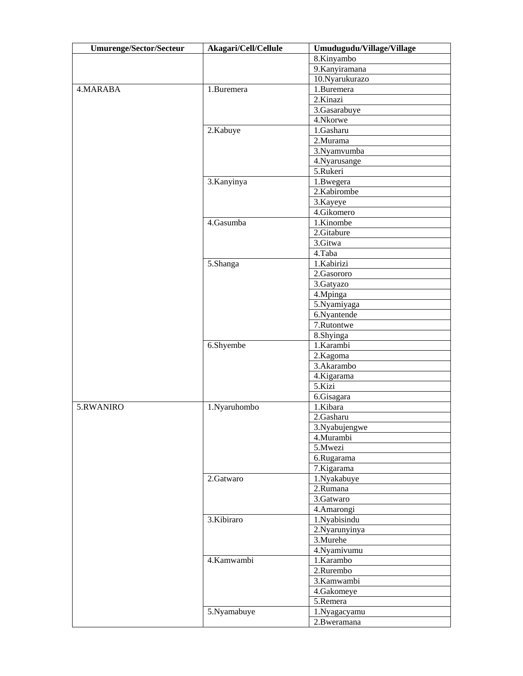| <b>Umurenge/Sector/Secteur</b> | Akagari/Cell/Cellule | Umudugudu/Village/Village |
|--------------------------------|----------------------|---------------------------|
|                                |                      | 8.Kinyambo                |
|                                |                      | 9.Kanyiramana             |
|                                |                      | 10.Nyarukurazo            |
| 4.MARABA                       | 1.Buremera           | 1.Buremera                |
|                                |                      | 2.Kinazi                  |
|                                |                      | 3.Gasarabuye              |
|                                |                      | 4.Nkorwe                  |
|                                | 2.Kabuye             | 1.Gasharu                 |
|                                |                      | 2.Murama                  |
|                                |                      | 3.Nyamvumba               |
|                                |                      | 4. Nyarusange             |
|                                |                      | 5.Rukeri                  |
|                                | 3. Kanyinya          | 1.Bwegera                 |
|                                |                      | 2.Kabirombe               |
|                                |                      | 3.Kayeye                  |
|                                |                      | 4.Gikomero                |
|                                | 4.Gasumba            | 1.Kinombe                 |
|                                |                      | 2.Gitabure                |
|                                |                      | 3.Gitwa                   |
|                                |                      | 4.Taba                    |
|                                | 5.Shanga             | 1.Kabirizi                |
|                                |                      | 2.Gasororo                |
|                                |                      | 3.Gatyazo                 |
|                                |                      | 4.Mpinga                  |
|                                |                      | 5.Nyamiyaga               |
|                                |                      | 6.Nyantende               |
|                                |                      | 7.Rutontwe                |
|                                |                      | 8.Shyinga                 |
|                                | 6.Shyembe            | 1.Karambi                 |
|                                |                      | 2.Kagoma                  |
|                                |                      | 3.Akarambo                |
|                                |                      | 4.Kigarama                |
|                                |                      | 5.Kizi                    |
|                                |                      | 6.Gisagara                |
| 5.RWANIRO                      | 1.Nyaruhombo         | 1.Kibara                  |
|                                |                      | 2.Gasharu                 |
|                                |                      | 3. Nyabujengwe            |
|                                |                      | 4.Murambi                 |
|                                |                      | 5.Mwezi                   |
|                                |                      | 6.Rugarama                |
|                                |                      | 7.Kigarama                |
|                                | 2.Gatwaro            | 1.Nyakabuye               |
|                                |                      | 2.Rumana                  |
|                                |                      | 3.Gatwaro                 |
|                                |                      | 4.Amarongi                |
|                                | 3.Kibiraro           | 1.Nyabisindu              |
|                                |                      | 2. Nyarunyinya            |
|                                |                      | 3. Murehe                 |
|                                |                      | 4.Nyamivumu               |
|                                | 4.Kamwambi           | 1.Karambo                 |
|                                |                      | 2.Rurembo                 |
|                                |                      | 3.Kamwambi                |
|                                |                      | 4.Gakomeye                |
|                                |                      | 5.Remera                  |
|                                | 5.Nyamabuye          | 1.Nyagacyamu              |
|                                |                      | 2.Bweramana               |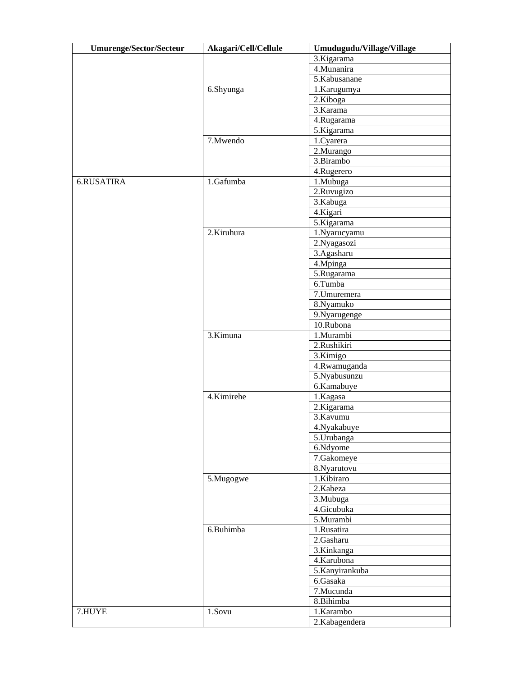| <b>Umurenge/Sector/Secteur</b> | Akagari/Cell/Cellule | Umudugudu/Village/Village |
|--------------------------------|----------------------|---------------------------|
|                                |                      | 3.Kigarama                |
|                                |                      | 4.Munanira                |
|                                |                      | 5.Kabusanane              |
|                                | 6.Shyunga            | 1.Karugumya               |
|                                |                      | 2.Kiboga                  |
|                                |                      | 3.Karama                  |
|                                |                      | 4.Rugarama                |
|                                |                      | 5.Kigarama                |
|                                | 7. Mwendo            | 1.Cyarera                 |
|                                |                      | 2.Murango                 |
|                                |                      | 3.Birambo                 |
|                                |                      | 4.Rugerero                |
| 6.RUSATIRA                     | 1.Gafumba            | 1.Mubuga                  |
|                                |                      | 2.Ruvugizo                |
|                                |                      | 3.Kabuga                  |
|                                |                      | 4.Kigari                  |
|                                |                      | 5.Kigarama                |
|                                | 2.Kiruhura           | 1.Nyarucyamu              |
|                                |                      | 2. Nyagasozi              |
|                                |                      | 3.Agasharu                |
|                                |                      | 4. Mpinga                 |
|                                |                      | 5.Rugarama                |
|                                |                      | 6.Tumba                   |
|                                |                      |                           |
|                                |                      | 7. Umuremera              |
|                                |                      | 8.Nyamuko                 |
|                                |                      | 9. Nyarugenge             |
|                                |                      | 10.Rubona                 |
|                                | 3.Kimuna             | 1.Murambi                 |
|                                |                      | 2.Rushikiri               |
|                                |                      | 3.Kimigo                  |
|                                |                      | 4.Rwamuganda              |
|                                |                      | 5.Nyabusunzu              |
|                                |                      | 6.Kamabuye                |
|                                | 4.Kimirehe           | 1.Kagasa                  |
|                                |                      | 2.Kigarama                |
|                                |                      | 3.Kavumu                  |
|                                |                      | 4. Nyakabuye              |
|                                |                      | 5.Urubanga                |
|                                |                      | 6.Ndyome                  |
|                                |                      | 7.Gakomeye                |
|                                |                      | 8. Nyarutovu              |
|                                | 5.Mugogwe            | 1.Kibiraro                |
|                                |                      | 2.Kabeza                  |
|                                |                      | 3.Mubuga                  |
|                                |                      | 4.Gicubuka                |
|                                |                      | 5.Murambi                 |
|                                | 6.Buhimba            | 1.Rusatira                |
|                                |                      | 2.Gasharu                 |
|                                |                      | 3.Kinkanga                |
|                                |                      | 4.Karubona                |
|                                |                      | 5.Kanyirankuba            |
|                                |                      | 6.Gasaka                  |
|                                |                      | 7.Mucunda                 |
|                                |                      | 8.Bihimba                 |
| 7.HUYE                         | 1.Sovu               | 1.Karambo                 |
|                                |                      | 2.Kabagendera             |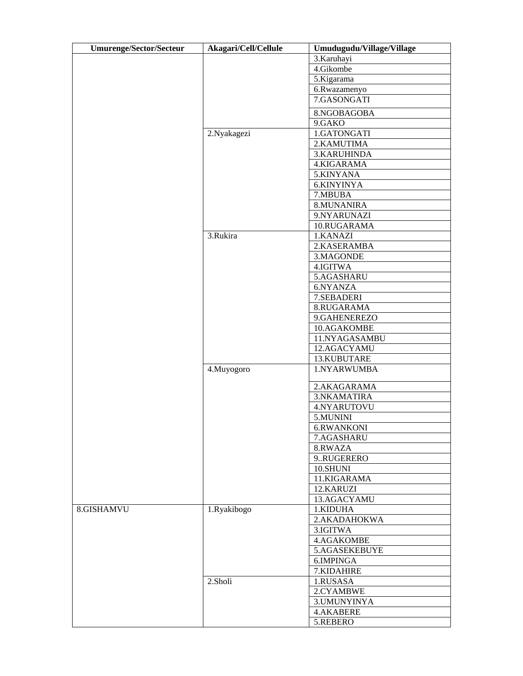| <b>Umurenge/Sector/Secteur</b> | Akagari/Cell/Cellule | Umudugudu/Village/Village |
|--------------------------------|----------------------|---------------------------|
|                                |                      | 3.Karuhayi                |
|                                |                      | 4.Gikombe                 |
|                                |                      | 5.Kigarama                |
|                                |                      | 6.Rwazamenyo              |
|                                |                      | 7.GASONGATI               |
|                                |                      | 8.NGOBAGOBA               |
|                                |                      | 9.GAKO                    |
|                                | 2.Nyakagezi          | 1.GATONGATI               |
|                                |                      | 2.KAMUTIMA                |
|                                |                      | 3.KARUHINDA               |
|                                |                      | 4.KIGARAMA                |
|                                |                      | 5.KINYANA                 |
|                                |                      | 6.KINYINYA                |
|                                |                      | 7.MBUBA                   |
|                                |                      | 8.MUNANIRA                |
|                                |                      | 9.NYARUNAZI               |
|                                |                      | 10.RUGARAMA               |
|                                | 3.Rukira             | 1.KANAZI                  |
|                                |                      | 2.KASERAMBA               |
|                                |                      | 3.MAGONDE                 |
|                                |                      | 4.IGITWA                  |
|                                |                      | 5.AGASHARU                |
|                                |                      | 6.NYANZA                  |
|                                |                      | 7.SEBADERI                |
|                                |                      | 8.RUGARAMA                |
|                                |                      | 9.GAHENEREZO              |
|                                |                      | 10.AGAKOMBE               |
|                                |                      | 11.NYAGASAMBU             |
|                                |                      | 12.AGACYAMU               |
|                                |                      | 13.KUBUTARE               |
|                                | 4.Muyogoro           | 1.NYARWUMBA               |
|                                |                      | 2.AKAGARAMA               |
|                                |                      | 3.NKAMATIRA               |
|                                |                      | 4.NYARUTOVU               |
|                                |                      | 5.MUNINI                  |
|                                |                      | 6.RWANKONI                |
|                                |                      | 7.AGASHARU                |
|                                |                      | 8.RWAZA                   |
|                                |                      | 9RUGERERO                 |
|                                |                      | 10.SHUNI                  |
|                                |                      | 11.KIGARAMA               |
|                                |                      | 12.KARUZI                 |
|                                |                      | 13.AGACYAMU               |
| 8.GISHAMVU                     | 1.Ryakibogo          | 1.KIDUHA                  |
|                                |                      | 2.AKADAHOKWA              |
|                                |                      | 3. IGITWA                 |
|                                |                      | 4.AGAKOMBE                |
|                                |                      | 5.AGASEKEBUYE             |
|                                |                      | 6.IMPINGA                 |
|                                |                      | 7.KIDAHIRE                |
|                                | 2.Sholi              | 1.RUSASA                  |
|                                |                      | 2.CYAMBWE                 |
|                                |                      | 3. UMUNYINYA              |
|                                |                      | <b>4.AKABERE</b>          |
|                                |                      | 5.REBERO                  |
|                                |                      |                           |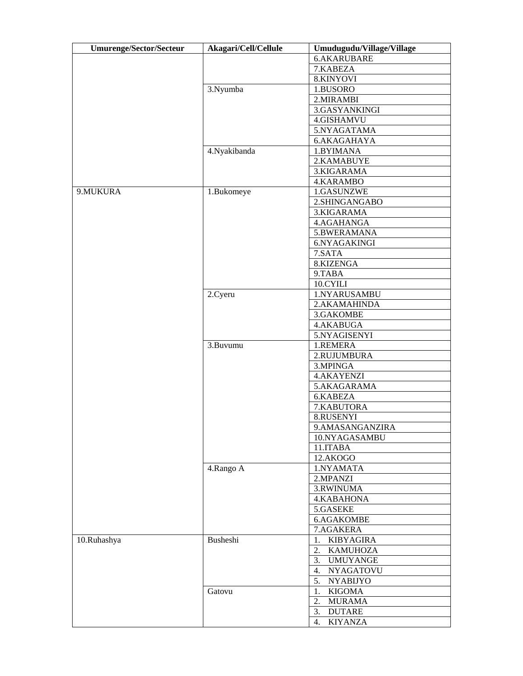| <b>Umurenge/Sector/Secteur</b> | Akagari/Cell/Cellule | Umudugudu/Village/Village |
|--------------------------------|----------------------|---------------------------|
|                                |                      | 6.AKARUBARE               |
|                                |                      | 7.KABEZA                  |
|                                |                      | 8.KINYOVI                 |
|                                | 3.Nyumba             | 1.BUSORO                  |
|                                |                      | 2. MIRAMBI                |
|                                |                      | 3.GASYANKINGI             |
|                                |                      | 4.GISHAMVU                |
|                                |                      | 5.NYAGATAMA               |
|                                |                      | 6.AKAGAHAYA               |
|                                | 4.Nyakibanda         | 1.BYIMANA                 |
|                                |                      | 2.KAMABUYE                |
|                                |                      | 3.KIGARAMA                |
|                                |                      | 4.KARAMBO                 |
| 9.MUKURA                       | 1.Bukomeye           | 1.GASUNZWE                |
|                                |                      | 2.SHINGANGABO             |
|                                |                      | 3.KIGARAMA                |
|                                |                      | 4.AGAHANGA                |
|                                |                      | 5.BWERAMANA               |
|                                |                      | 6.NYAGAKINGI              |
|                                |                      | 7.SATA                    |
|                                |                      | 8.KIZENGA                 |
|                                |                      | 9.TABA                    |
|                                |                      | 10.CYILI                  |
|                                | 2.Cyeru              | 1.NYARUSAMBU              |
|                                |                      | 2.AKAMAHINDA              |
|                                |                      | 3.GAKOMBE                 |
|                                |                      | 4.AKABUGA                 |
|                                |                      | 5.NYAGISENYI              |
|                                | 3.Buvumu             | 1.REMERA                  |
|                                |                      | 2.RUJUMBURA               |
|                                |                      | 3.MPINGA                  |
|                                |                      | 4.AKAYENZI                |
|                                |                      | 5.AKAGARAMA               |
|                                |                      | 6.KABEZA                  |
|                                |                      | 7.KABUTORA                |
|                                |                      | 8.RUSENYI                 |
|                                |                      | 9.AMASANGANZIRA           |
|                                |                      | 10.NYAGASAMBU             |
|                                |                      | 11.ITABA                  |
|                                |                      | 12.AKOGO                  |
|                                |                      | 1.NYAMATA                 |
|                                | 4.Rango A            | 2.MPANZI                  |
|                                |                      |                           |
|                                |                      | 3.RWINUMA                 |
|                                |                      | 4.KABAHONA                |
|                                |                      | 5.GASEKE                  |
|                                |                      | 6.AGAKOMBE                |
|                                |                      | 7.AGAKERA                 |
| 10.Ruhashya                    | Busheshi             | 1. KIBYAGIRA              |
|                                |                      | 2. KAMUHOZA               |
|                                |                      | 3. UMUYANGE               |
|                                |                      | 4. NYAGATOVU              |
|                                |                      | 5. NYABIJYO               |
|                                | Gatovu               | 1. KIGOMA                 |
|                                |                      | <b>MURAMA</b><br>2.       |
|                                |                      | <b>DUTARE</b><br>3.       |
|                                |                      | <b>KIYANZA</b><br>4.      |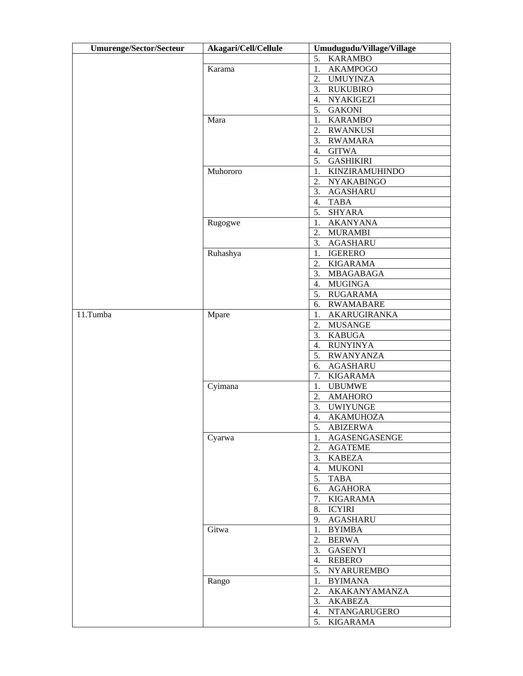| <b>Umurenge/Sector/Secteur</b> | Akagari/Cell/Cellule | Umudugudu/Village/Village |
|--------------------------------|----------------------|---------------------------|
|                                |                      | <b>KARAMBO</b><br>5.      |
|                                | Karama               | 1.<br><b>AKAMPOGO</b>     |
|                                |                      | 2.<br><b>UMUYINZA</b>     |
|                                |                      | 3.<br><b>RUKUBIRO</b>     |
|                                |                      | 4.<br><b>NYAKIGEZI</b>    |
|                                |                      | <b>GAKONI</b><br>5.       |
|                                | Mara                 | <b>KARAMBO</b><br>1.      |
|                                |                      | 2.<br><b>RWANKUSI</b>     |
|                                |                      | 3.<br><b>RWAMARA</b>      |
|                                |                      | <b>GITWA</b><br>4.        |
|                                |                      | <b>GASHIKIRI</b><br>5.    |
|                                | Muhororo             | 1.<br>KINZIRAMUHINDO      |
|                                |                      | 2.                        |
|                                |                      | <b>NYAKABINGO</b>         |
|                                |                      | <b>AGASHARU</b><br>3.     |
|                                |                      | <b>TABA</b><br>4.         |
|                                |                      | 5.<br><b>SHYARA</b>       |
|                                | Rugogwe              | <b>AKANYANA</b><br>1.     |
|                                |                      | 2.<br><b>MURAMBI</b>      |
|                                |                      | 3.<br><b>AGASHARU</b>     |
|                                | Ruhashya             | <b>IGERERO</b><br>1.      |
|                                |                      | 2.<br><b>KIGARAMA</b>     |
|                                |                      | 3.<br>MBAGABAGA           |
|                                |                      | <b>MUGINGA</b><br>4.      |
|                                |                      | <b>RUGARAMA</b><br>5.     |
|                                |                      | 6.<br>RWAMABARE           |
| 11.Tumba                       | Mpare                | 1.<br>AKARUGIRANKA        |
|                                |                      | <b>MUSANGE</b><br>2.      |
|                                |                      | <b>KABUGA</b><br>3.       |
|                                |                      | 4.<br><b>RUNYINYA</b>     |
|                                |                      | 5.<br><b>RWANYANZA</b>    |
|                                |                      | 6.<br><b>AGASHARU</b>     |
|                                |                      | 7.<br><b>KIGARAMA</b>     |
|                                | Cyimana              | 1.<br><b>UBUMWE</b>       |
|                                |                      | 2.<br><b>AMAHORO</b>      |
|                                |                      | 3.<br><b>UWIYUNGE</b>     |
|                                |                      | 4.<br><b>AKAMUHOZA</b>    |
|                                |                      | 5.<br><b>ABIZERWA</b>     |
|                                | Cyarwa               | AGASENGASENGE<br>1.       |
|                                |                      | 2.<br><b>AGATEME</b>      |
|                                |                      | <b>KABEZA</b><br>3.       |
|                                |                      | 4.<br><b>MUKONI</b>       |
|                                |                      | <b>TABA</b><br>5.         |
|                                |                      | 6.<br><b>AGAHORA</b>      |
|                                |                      | 7.<br><b>KIGARAMA</b>     |
|                                |                      | <b>ICYIRI</b><br>8.       |
|                                |                      | <b>AGASHARU</b><br>9.     |
|                                | Gitwa                | <b>BYIMBA</b><br>1.       |
|                                |                      | <b>BERWA</b><br>2.        |
|                                |                      | 3.                        |
|                                |                      | <b>GASENYI</b>            |
|                                |                      | 4.<br><b>REBERO</b>       |
|                                |                      | 5.<br>NYARUREMBO          |
|                                | Rango                | 1.<br><b>BYIMANA</b>      |
|                                |                      | 2.<br>AKAKANYAMANZA       |
|                                |                      | <b>AKABEZA</b><br>3.      |
|                                |                      | 4.<br>NTANGARUGERO        |
|                                |                      | <b>KIGARAMA</b><br>5.     |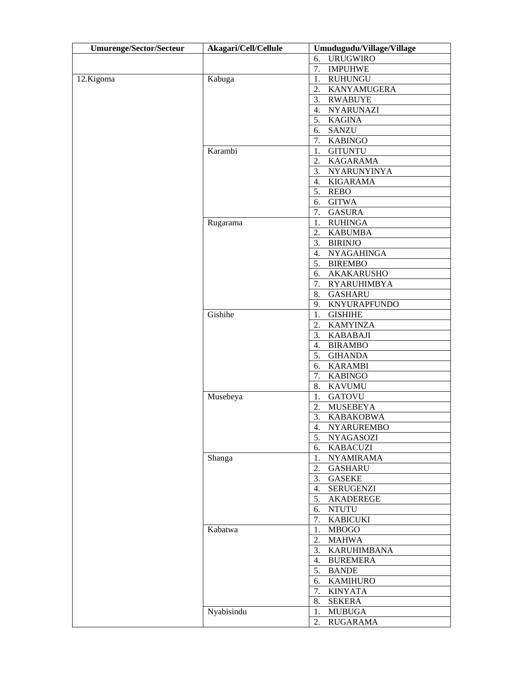| <b>Umurenge/Sector/Secteur</b> | Akagari/Cell/Cellule | Umudugudu/Village/Village         |
|--------------------------------|----------------------|-----------------------------------|
|                                |                      | <b>URUGWIRO</b><br>6.             |
|                                |                      | 7.<br><b>IMPUHWE</b>              |
| 12.Kigoma                      | Kabuga               | <b>RUHUNGU</b><br>1.              |
|                                |                      | 2.<br>KANYAMUGERA                 |
|                                |                      | 3.<br><b>RWABUYE</b>              |
|                                |                      | 4.<br><b>NYARUNAZI</b>            |
|                                |                      | <b>KAGINA</b><br>5.               |
|                                |                      | <b>SANZU</b><br>6.                |
|                                |                      | <b>KABINGO</b><br>7.              |
|                                | Karambi              | <b>GITUNTU</b><br>1.              |
|                                |                      | <b>KAGARAMA</b><br>2.             |
|                                |                      | 3.<br>NYARUNYINYA                 |
|                                |                      | <b>KIGARAMA</b><br>4.             |
|                                |                      | <b>REBO</b><br>5.                 |
|                                |                      | <b>GITWA</b><br>6.                |
|                                |                      | 7.<br><b>GASURA</b>               |
|                                | Rugarama             | <b>RUHINGA</b><br>1.              |
|                                |                      | 2.<br><b>KABUMBA</b>              |
|                                |                      | 3.<br><b>BIRINJO</b>              |
|                                |                      | <b>NYAGAHINGA</b><br>4.           |
|                                |                      | <b>BIREMBO</b><br>5.              |
|                                |                      | AKAKARUSHO<br>6.                  |
|                                |                      | 7.<br><b>RYARUHIMBYA</b>          |
|                                |                      | <b>GASHARU</b><br>8.              |
|                                |                      | 9.<br><b>KNYURAPFUNDO</b>         |
|                                | Gishihe              | <b>GISHIHE</b><br>1.              |
|                                |                      | <b>KAMYINZA</b><br>2.             |
|                                |                      | 3.<br><b>KABABAJI</b>             |
|                                |                      | 4.<br><b>BIRAMBO</b>              |
|                                |                      | 5.<br><b>GIHANDA</b>              |
|                                |                      | 6.<br><b>KARAMBI</b>              |
|                                |                      | 7.<br><b>KABINGO</b>              |
|                                |                      | 8.<br><b>KAVUMU</b>               |
|                                | Musebeya             | 1.<br><b>GATOVU</b>               |
|                                |                      | 2.<br><b>MUSEBEYA</b>             |
|                                |                      | 3.<br><b>KABAKOBWA</b>            |
|                                |                      | 4.<br><b>NYARUREMBO</b>           |
|                                |                      | 5.<br><b>NYAGASOZI</b>            |
|                                |                      | 6.<br><b>KABACUZI</b>             |
|                                | Shanga               | <b>NYAMIRAMA</b><br>1.            |
|                                |                      | <b>GASHARU</b><br>2.<br>3.        |
|                                |                      | <b>GASEKE</b><br><b>SERUGENZI</b> |
|                                |                      | 4.<br>AKADEREGE<br>5.             |
|                                |                      | 6.<br><b>NTUTU</b>                |
|                                |                      | <b>KABICUKI</b><br>7.             |
|                                | Kabatwa              | 1.<br><b>MBOGO</b>                |
|                                |                      | <b>MAHWA</b><br>2.                |
|                                |                      | 3.<br><b>KARUHIMBANA</b>          |
|                                |                      | 4.<br><b>BUREMERA</b>             |
|                                |                      | <b>BANDE</b><br>5.                |
|                                |                      | 6.<br><b>KAMIHURO</b>             |
|                                |                      | <b>KINYATA</b><br>7.              |
|                                |                      | <b>SEKERA</b><br>8.               |
|                                | Nyabisindu           | <b>MUBUGA</b><br>1.               |
|                                |                      | <b>RUGARAMA</b><br>2.             |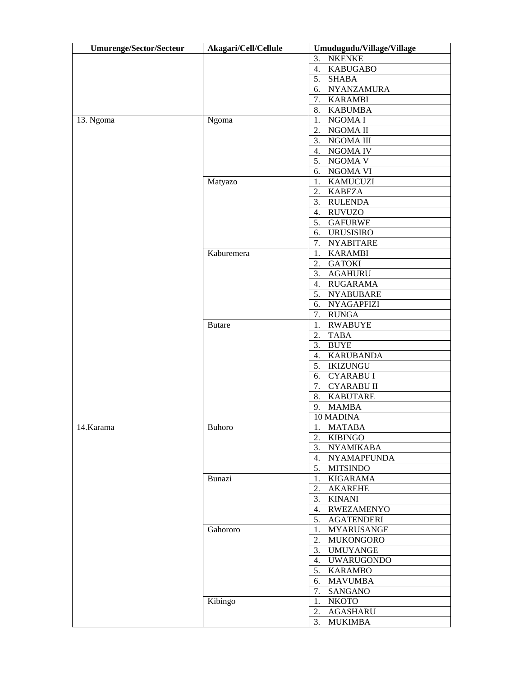| <b>Umurenge/Sector/Secteur</b> | Akagari/Cell/Cellule | Umudugudu/Village/Village    |
|--------------------------------|----------------------|------------------------------|
|                                |                      | <b>NKENKE</b><br>3.          |
|                                |                      | 4.<br><b>KABUGABO</b>        |
|                                |                      | 5.<br><b>SHABA</b>           |
|                                |                      | 6.<br>NYANZAMURA             |
|                                |                      | 7. KARAMBI                   |
|                                |                      | <b>KABUMBA</b><br>8.         |
| 13. Ngoma                      | Ngoma                | NGOMA I<br>1.                |
|                                |                      | 2.<br>NGOMA II               |
|                                |                      | 3.<br>NGOMA III              |
|                                |                      | NGOMA IV<br>4.               |
|                                |                      | 5. NGOMA V                   |
|                                |                      | NGOMA VI<br>6.               |
|                                | Matyazo              | <b>KAMUCUZI</b><br>1.        |
|                                |                      | 2.<br><b>KABEZA</b>          |
|                                |                      | <b>RULENDA</b><br>3.         |
|                                |                      | <b>RUVUZO</b><br>4.          |
|                                |                      | 5.<br><b>GAFURWE</b>         |
|                                |                      | URUSISIRO<br>6.              |
|                                |                      | 7. NYABITARE                 |
|                                | Kaburemera           | <b>KARAMBI</b><br>1.         |
|                                |                      | <b>GATOKI</b><br>2.          |
|                                |                      | 3. AGAHURU                   |
|                                |                      | 4. RUGARAMA                  |
|                                |                      | 5. NYABUBARE                 |
|                                |                      | 6. NYAGAPFIZI                |
|                                |                      | <b>RUNGA</b><br>7.           |
|                                | <b>Butare</b>        | <b>RWABUYE</b><br>1.         |
|                                |                      | <b>TABA</b><br>2.            |
|                                |                      | 3.<br><b>BUYE</b>            |
|                                |                      | 4.<br><b>KARUBANDA</b>       |
|                                |                      | 5. IKIZUNGU                  |
|                                |                      | <b>CYARABUI</b><br>6.        |
|                                |                      | <b>CYARABU II</b><br>7.      |
|                                |                      | <b>KABUTARE</b><br>8.        |
|                                |                      | <b>MAMBA</b><br>9.           |
|                                |                      | 10 MADINA                    |
| $\sqrt{14}$ . Karama           | Buhoro               | $1 -$<br><b>MATABA</b><br>1. |
|                                |                      | <b>KIBINGO</b><br>2.         |
|                                |                      | 3. NYAMIKABA                 |
|                                |                      | <b>NYAMAPFUNDA</b><br>4.     |
|                                |                      | 5. MITSINDO                  |
|                                | Bunazi               | 1. KIGARAMA                  |
|                                |                      | <b>AKAREHE</b><br>2.         |
|                                |                      | 3. KINANI                    |
|                                |                      | <b>RWEZAMENYO</b><br>4.      |
|                                |                      | 5. AGATENDERI                |
|                                | Gahororo             | MYARUSANGE<br>1.             |
|                                |                      | 2.<br>MUKONGORO              |
|                                |                      | 3. UMUYANGE                  |
|                                |                      | 4. UWARUGONDO                |
|                                |                      | 5. KARAMBO                   |
|                                |                      | 6. MAVUMBA                   |
|                                |                      | 7.<br>SANGANO                |
|                                | Kibingo              | 1. NKOTO                     |
|                                |                      | <b>AGASHARU</b><br>2.        |
|                                |                      | 3.<br><b>MUKIMBA</b>         |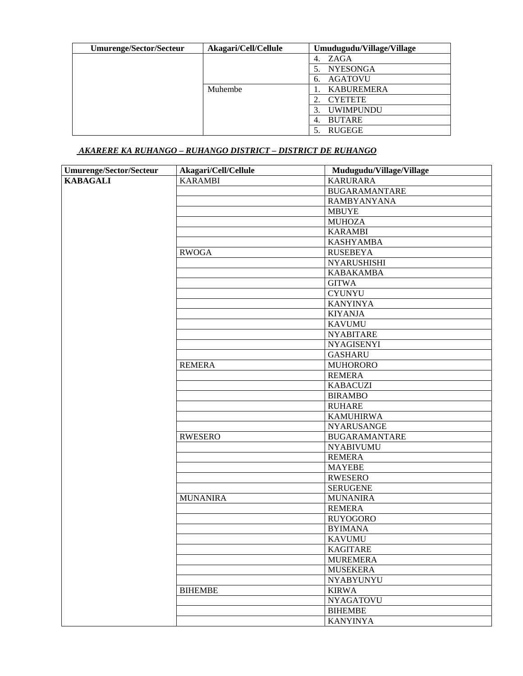| Umurenge/Sector/Secteur | Akagari/Cell/Cellule | Umudugudu/Village/Village |
|-------------------------|----------------------|---------------------------|
|                         |                      | ZAGA<br>4.                |
|                         |                      | <b>NYESONGA</b>           |
|                         |                      | <b>AGATOVU</b><br>6.      |
|                         | Muhembe              | <b>KABUREMERA</b>         |
|                         |                      | <b>CYETETE</b>            |
|                         |                      | <b>UWIMPUNDU</b>          |
|                         |                      | <b>BUTARE</b><br>4.       |
|                         |                      | <b>RUGEGE</b>             |

# *AKARERE KA RUHANGO – RUHANGO DISTRICT – DISTRICT DE RUHANGO*

| <b>Umurenge/Sector/Secteur</b> | Akagari/Cell/Cellule | Mudugudu/Village/Village |
|--------------------------------|----------------------|--------------------------|
| <b>KABAGALI</b>                | <b>KARAMBI</b>       | <b>KARURARA</b>          |
|                                |                      | <b>BUGARAMANTARE</b>     |
|                                |                      | <b>RAMBYANYANA</b>       |
|                                |                      | <b>MBUYE</b>             |
|                                |                      | <b>MUHOZA</b>            |
|                                |                      | <b>KARAMBI</b>           |
|                                |                      | <b>KASHYAMBA</b>         |
|                                | <b>RWOGA</b>         | <b>RUSEBEYA</b>          |
|                                |                      | <b>NYARUSHISHI</b>       |
|                                |                      | <b>KABAKAMBA</b>         |
|                                |                      | <b>GITWA</b>             |
|                                |                      | <b>CYUNYU</b>            |
|                                |                      | <b>KANYINYA</b>          |
|                                |                      | <b>KIYANJA</b>           |
|                                |                      | <b>KAVUMU</b>            |
|                                |                      | <b>NYABITARE</b>         |
|                                |                      | <b>NYAGISENYI</b>        |
|                                |                      | <b>GASHARU</b>           |
|                                | <b>REMERA</b>        | <b>MUHORORO</b>          |
|                                |                      | <b>REMERA</b>            |
|                                |                      | <b>KABACUZI</b>          |
|                                |                      | <b>BIRAMBO</b>           |
|                                |                      | <b>RUHARE</b>            |
|                                |                      | <b>KAMUHIRWA</b>         |
|                                |                      | <b>NYARUSANGE</b>        |
|                                | <b>RWESERO</b>       | <b>BUGARAMANTARE</b>     |
|                                |                      | <b>NYABIVUMU</b>         |
|                                |                      | <b>REMERA</b>            |
|                                |                      | <b>MAYEBE</b>            |
|                                |                      | <b>RWESERO</b>           |
|                                |                      | <b>SERUGENE</b>          |
|                                | <b>MUNANIRA</b>      | <b>MUNANIRA</b>          |
|                                |                      | <b>REMERA</b>            |
|                                |                      | <b>RUYOGORO</b>          |
|                                |                      | <b>BYIMANA</b>           |
|                                |                      | <b>KAVUMU</b>            |
|                                |                      | <b>KAGITARE</b>          |
|                                |                      | <b>MUREMERA</b>          |
|                                |                      | <b>MUSEKERA</b>          |
|                                |                      | <b>NYABYUNYU</b>         |
|                                | <b>BIHEMBE</b>       | <b>KIRWA</b>             |
|                                |                      | <b>NYAGATOVU</b>         |
|                                |                      | <b>BIHEMBE</b>           |
|                                |                      | <b>KANYINYA</b>          |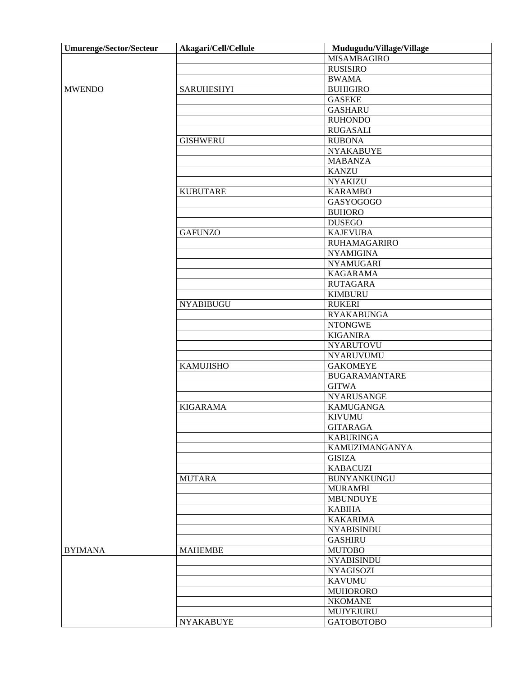| Umurenge/Sector/Secteur | Akagari/Cell/Cellule | Mudugudu/Village/Village |
|-------------------------|----------------------|--------------------------|
|                         |                      | <b>MISAMBAGIRO</b>       |
|                         |                      | <b>RUSISIRO</b>          |
|                         |                      | <b>BWAMA</b>             |
| <b>MWENDO</b>           | <b>SARUHESHYI</b>    | <b>BUHIGIRO</b>          |
|                         |                      | <b>GASEKE</b>            |
|                         |                      | <b>GASHARU</b>           |
|                         |                      | <b>RUHONDO</b>           |
|                         |                      | <b>RUGASALI</b>          |
|                         | <b>GISHWERU</b>      | <b>RUBONA</b>            |
|                         |                      | <b>NYAKABUYE</b>         |
|                         |                      | <b>MABANZA</b>           |
|                         |                      | <b>KANZU</b>             |
|                         |                      | <b>NYAKIZU</b>           |
|                         | <b>KUBUTARE</b>      | <b>KARAMBO</b>           |
|                         |                      | GASYOGOGO                |
|                         |                      | <b>BUHORO</b>            |
|                         |                      | <b>DUSEGO</b>            |
|                         | <b>GAFUNZO</b>       | <b>KAJEVUBA</b>          |
|                         |                      | <b>RUHAMAGARIRO</b>      |
|                         |                      | <b>NYAMIGINA</b>         |
|                         |                      | <b>NYAMUGARI</b>         |
|                         |                      | <b>KAGARAMA</b>          |
|                         |                      | <b>RUTAGARA</b>          |
|                         |                      | <b>KIMBURU</b>           |
|                         | <b>NYABIBUGU</b>     | <b>RUKERI</b>            |
|                         |                      |                          |
|                         |                      | <b>RYAKABUNGA</b>        |
|                         |                      | <b>NTONGWE</b>           |
|                         |                      | <b>KIGANIRA</b>          |
|                         |                      | <b>NYARUTOVU</b>         |
|                         |                      | NYARUVUMU                |
|                         | <b>KAMUJISHO</b>     | <b>GAKOMEYE</b>          |
|                         |                      | <b>BUGARAMANTARE</b>     |
|                         |                      | <b>GITWA</b>             |
|                         |                      | <b>NYARUSANGE</b>        |
|                         | <b>KIGARAMA</b>      | <b>KAMUGANGA</b>         |
|                         |                      | <b>KIVUMU</b>            |
|                         |                      | <b>GITARAGA</b>          |
|                         |                      | <b>KABURINGA</b>         |
|                         |                      | KAMUZIMANGANYA           |
|                         |                      | <b>GISIZA</b>            |
|                         |                      | <b>KABACUZI</b>          |
|                         | <b>MUTARA</b>        | <b>BUNYANKUNGU</b>       |
|                         |                      | <b>MURAMBI</b>           |
|                         |                      | <b>MBUNDUYE</b>          |
|                         |                      | <b>KABIHA</b>            |
|                         |                      | <b>KAKARIMA</b>          |
|                         |                      | <b>NYABISINDU</b>        |
|                         |                      | <b>GASHIRU</b>           |
| <b>BYIMANA</b>          | <b>MAHEMBE</b>       | <b>MUTOBO</b>            |
|                         |                      | <b>NYABISINDU</b>        |
|                         |                      | <b>NYAGISOZI</b>         |
|                         |                      | <b>KAVUMU</b>            |
|                         |                      | <b>MUHORORO</b>          |
|                         |                      | <b>NKOMANE</b>           |
|                         |                      | MUJYEJURU                |
|                         | <b>NYAKABUYE</b>     | <b>GATOBOTOBO</b>        |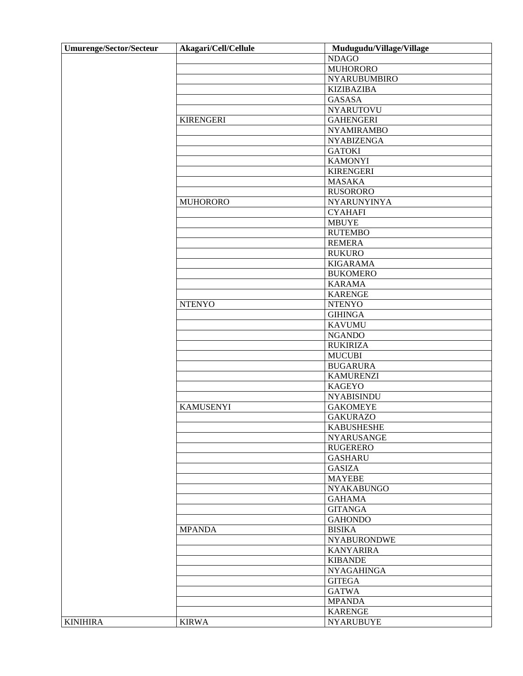| <b>Umurenge/Sector/Secteur</b> | Akagari/Cell/Cellule | Mudugudu/Village/Village |
|--------------------------------|----------------------|--------------------------|
|                                |                      | <b>NDAGO</b>             |
|                                |                      | <b>MUHORORO</b>          |
|                                |                      | <b>NYARUBUMBIRO</b>      |
|                                |                      | <b>KIZIBAZIBA</b>        |
|                                |                      | <b>GASASA</b>            |
|                                |                      | <b>NYARUTOVU</b>         |
|                                | <b>KIRENGERI</b>     | <b>GAHENGERI</b>         |
|                                |                      | <b>NYAMIRAMBO</b>        |
|                                |                      | <b>NYABIZENGA</b>        |
|                                |                      | <b>GATOKI</b>            |
|                                |                      | <b>KAMONYI</b>           |
|                                |                      | <b>KIRENGERI</b>         |
|                                |                      | <b>MASAKA</b>            |
|                                |                      | <b>RUSORORO</b>          |
|                                | <b>MUHORORO</b>      | NYARUNYINYA              |
|                                |                      | <b>CYAHAFI</b>           |
|                                |                      | <b>MBUYE</b>             |
|                                |                      | <b>RUTEMBO</b>           |
|                                |                      | <b>REMERA</b>            |
|                                |                      | <b>RUKURO</b>            |
|                                |                      | <b>KIGARAMA</b>          |
|                                |                      | <b>BUKOMERO</b>          |
|                                |                      | <b>KARAMA</b>            |
|                                |                      | <b>KARENGE</b>           |
|                                | <b>NTENYO</b>        | <b>NTENYO</b>            |
|                                |                      | <b>GIHINGA</b>           |
|                                |                      | <b>KAVUMU</b>            |
|                                |                      | <b>NGANDO</b>            |
|                                |                      | <b>RUKIRIZA</b>          |
|                                |                      | <b>MUCUBI</b>            |
|                                |                      | <b>BUGARURA</b>          |
|                                |                      | <b>KAMURENZI</b>         |
|                                |                      | <b>KAGEYO</b>            |
|                                |                      | <b>NYABISINDU</b>        |
|                                | <b>KAMUSENYI</b>     | <b>GAKOMEYE</b>          |
|                                |                      | <b>GAKURAZO</b>          |
|                                |                      | <b>KABUSHESHE</b>        |
|                                |                      | <b>NYARUSANGE</b>        |
|                                |                      | <b>RUGERERO</b>          |
|                                |                      | <b>GASHARU</b>           |
|                                |                      | <b>GASIZA</b>            |
|                                |                      | <b>MAYEBE</b>            |
|                                |                      | <b>NYAKABUNGO</b>        |
|                                |                      | <b>GAHAMA</b>            |
|                                |                      | <b>GITANGA</b>           |
|                                |                      | <b>GAHONDO</b>           |
|                                | <b>MPANDA</b>        | <b>BISIKA</b>            |
|                                |                      | <b>NYABURONDWE</b>       |
|                                |                      | <b>KANYARIRA</b>         |
|                                |                      | <b>KIBANDE</b>           |
|                                |                      | <b>NYAGAHINGA</b>        |
|                                |                      | <b>GITEGA</b>            |
|                                |                      | <b>GATWA</b>             |
|                                |                      | <b>MPANDA</b>            |
|                                |                      | <b>KARENGE</b>           |
| <b>KINIHIRA</b>                | <b>KIRWA</b>         | <b>NYARUBUYE</b>         |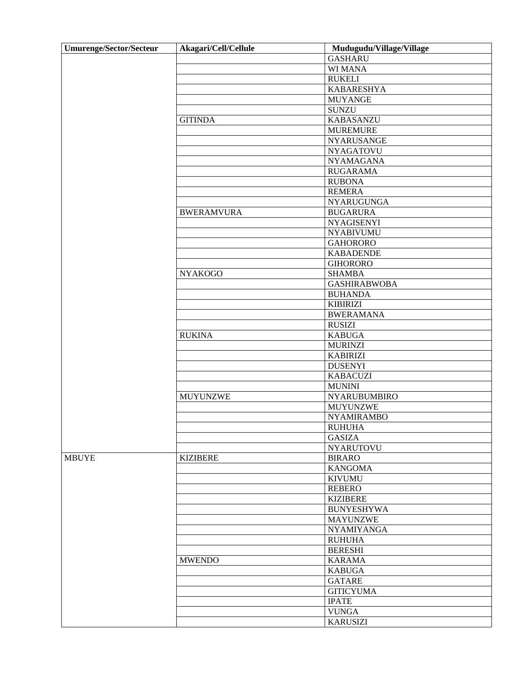| <b>Umurenge/Sector/Secteur</b> | Akagari/Cell/Cellule | Mudugudu/Village/Village |
|--------------------------------|----------------------|--------------------------|
|                                |                      | <b>GASHARU</b>           |
|                                |                      | WI MANA                  |
|                                |                      | <b>RUKELI</b>            |
|                                |                      | <b>KABARESHYA</b>        |
|                                |                      | <b>MUYANGE</b>           |
|                                |                      | <b>SUNZU</b>             |
|                                | <b>GITINDA</b>       | <b>KABASANZU</b>         |
|                                |                      | <b>MUREMURE</b>          |
|                                |                      | <b>NYARUSANGE</b>        |
|                                |                      | <b>NYAGATOVU</b>         |
|                                |                      | <b>NYAMAGANA</b>         |
|                                |                      | <b>RUGARAMA</b>          |
|                                |                      | <b>RUBONA</b>            |
|                                |                      | <b>REMERA</b>            |
|                                |                      | <b>NYARUGUNGA</b>        |
|                                | <b>BWERAMVURA</b>    | <b>BUGARURA</b>          |
|                                |                      | <b>NYAGISENYI</b>        |
|                                |                      | <b>NYABIVUMU</b>         |
|                                |                      | <b>GAHORORO</b>          |
|                                |                      | <b>KABADENDE</b>         |
|                                |                      |                          |
|                                |                      | <b>GIHORORO</b>          |
|                                | <b>NYAKOGO</b>       | <b>SHAMBA</b>            |
|                                |                      | <b>GASHIRABWOBA</b>      |
|                                |                      | <b>BUHANDA</b>           |
|                                |                      | <b>KIBIRIZI</b>          |
|                                |                      | <b>BWERAMANA</b>         |
|                                |                      | <b>RUSIZI</b>            |
|                                | <b>RUKINA</b>        | <b>KABUGA</b>            |
|                                |                      | <b>MURINZI</b>           |
|                                |                      | <b>KABIRIZI</b>          |
|                                |                      | <b>DUSENYI</b>           |
|                                |                      | <b>KABACUZI</b>          |
|                                |                      | <b>MUNINI</b>            |
|                                | <b>MUYUNZWE</b>      | <b>NYARUBUMBIRO</b>      |
|                                |                      | <b>MUYUNZWE</b>          |
|                                |                      | <b>NYAMIRAMBO</b>        |
|                                |                      | <b>RUHUHA</b>            |
|                                |                      | <b>GASIZA</b>            |
|                                |                      | <b>NYARUTOVU</b>         |
| <b>MBUYE</b>                   | <b>KIZIBERE</b>      | <b>BIRARO</b>            |
|                                |                      | <b>KANGOMA</b>           |
|                                |                      | <b>KIVUMU</b>            |
|                                |                      | <b>REBERO</b>            |
|                                |                      | <b>KIZIBERE</b>          |
|                                |                      | <b>BUNYESHYWA</b>        |
|                                |                      | <b>MAYUNZWE</b>          |
|                                |                      | <b>NYAMIYANGA</b>        |
|                                |                      | <b>RUHUHA</b>            |
|                                |                      | <b>BERESHI</b>           |
|                                | <b>MWENDO</b>        | <b>KARAMA</b>            |
|                                |                      | <b>KABUGA</b>            |
|                                |                      | <b>GATARE</b>            |
|                                |                      | <b>GITICYUMA</b>         |
|                                |                      | <b>IPATE</b>             |
|                                |                      | <b>VUNGA</b>             |
|                                |                      | <b>KARUSIZI</b>          |
|                                |                      |                          |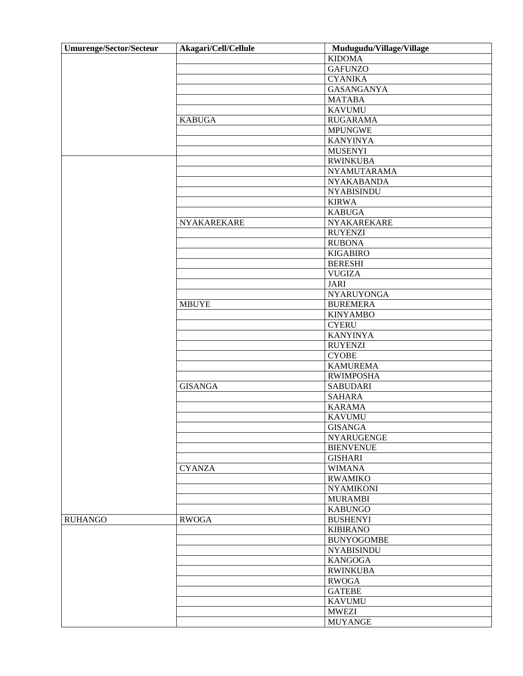| <b>Umurenge/Sector/Secteur</b> | Akagari/Cell/Cellule | Mudugudu/Village/Village            |
|--------------------------------|----------------------|-------------------------------------|
|                                |                      | <b>KIDOMA</b>                       |
|                                |                      | <b>GAFUNZO</b>                      |
|                                |                      | <b>CYANIKA</b>                      |
|                                |                      | <b>GASANGANYA</b>                   |
|                                |                      | <b>MATABA</b>                       |
|                                |                      | <b>KAVUMU</b>                       |
|                                | <b>KABUGA</b>        | <b>RUGARAMA</b>                     |
|                                |                      | <b>MPUNGWE</b>                      |
|                                |                      | <b>KANYINYA</b>                     |
|                                |                      | <b>MUSENYI</b>                      |
|                                |                      | <b>RWINKUBA</b>                     |
|                                |                      | NYAMUTARAMA                         |
|                                |                      | <b>NYAKABANDA</b>                   |
|                                |                      | <b>NYABISINDU</b>                   |
|                                |                      | <b>KIRWA</b>                        |
|                                |                      | <b>KABUGA</b>                       |
|                                | NYAKAREKARE          | NYAKAREKARE                         |
|                                |                      | <b>RUYENZI</b>                      |
|                                |                      | <b>RUBONA</b>                       |
|                                |                      | <b>KIGABIRO</b>                     |
|                                |                      | <b>BERESHI</b>                      |
|                                |                      | <b>VUGIZA</b>                       |
|                                |                      | <b>JARI</b>                         |
|                                |                      | <b>NYARUYONGA</b>                   |
|                                | <b>MBUYE</b>         | <b>BUREMERA</b>                     |
|                                |                      | <b>KINYAMBO</b>                     |
|                                |                      | <b>CYERU</b>                        |
|                                |                      | <b>KANYINYA</b>                     |
|                                |                      | <b>RUYENZI</b>                      |
|                                |                      | <b>CYOBE</b>                        |
|                                |                      | <b>KAMUREMA</b>                     |
|                                |                      |                                     |
|                                | <b>GISANGA</b>       | <b>RWIMPOSHA</b><br><b>SABUDARI</b> |
|                                |                      | <b>SAHARA</b>                       |
|                                |                      |                                     |
|                                |                      | <b>KARAMA</b>                       |
|                                |                      | <b>KAVUMU</b>                       |
|                                |                      | <b>GISANGA</b>                      |
|                                |                      | <b>NYARUGENGE</b>                   |
|                                |                      | <b>BIENVENUE</b>                    |
|                                |                      | <b>GISHARI</b>                      |
|                                | <b>CYANZA</b>        | <b>WIMANA</b>                       |
|                                |                      | <b>RWAMIKO</b>                      |
|                                |                      | <b>NYAMIKONI</b>                    |
|                                |                      | <b>MURAMBI</b>                      |
|                                |                      | <b>KABUNGO</b>                      |
| <b>RUHANGO</b>                 | <b>RWOGA</b>         | <b>BUSHENYI</b>                     |
|                                |                      | <b>KIBIRANO</b>                     |
|                                |                      | <b>BUNYOGOMBE</b>                   |
|                                |                      | <b>NYABISINDU</b>                   |
|                                |                      | <b>KANGOGA</b>                      |
|                                |                      | <b>RWINKUBA</b>                     |
|                                |                      | <b>RWOGA</b>                        |
|                                |                      | <b>GATEBE</b>                       |
|                                |                      | <b>KAVUMU</b>                       |
|                                |                      | <b>MWEZI</b>                        |
|                                |                      | <b>MUYANGE</b>                      |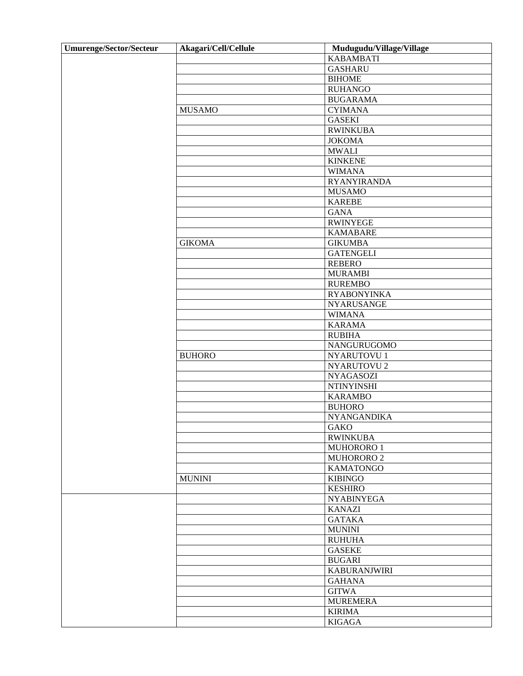| <b>Umurenge/Sector/Secteur</b> | Akagari/Cell/Cellule | Mudugudu/Village/Village |
|--------------------------------|----------------------|--------------------------|
|                                |                      | <b>KABAMBATI</b>         |
|                                |                      | <b>GASHARU</b>           |
|                                |                      | <b>BIHOME</b>            |
|                                |                      | <b>RUHANGO</b>           |
|                                |                      | <b>BUGARAMA</b>          |
|                                | <b>MUSAMO</b>        | <b>CYIMANA</b>           |
|                                |                      | <b>GASEKI</b>            |
|                                |                      | <b>RWINKUBA</b>          |
|                                |                      | <b>JOKOMA</b>            |
|                                |                      | <b>MWALI</b>             |
|                                |                      | <b>KINKENE</b>           |
|                                |                      |                          |
|                                |                      | <b>WIMANA</b>            |
|                                |                      | <b>RYANYIRANDA</b>       |
|                                |                      | <b>MUSAMO</b>            |
|                                |                      | <b>KAREBE</b>            |
|                                |                      | <b>GANA</b>              |
|                                |                      | <b>RWINYEGE</b>          |
|                                |                      | <b>KAMABARE</b>          |
|                                | <b>GIKOMA</b>        | <b>GIKUMBA</b>           |
|                                |                      | <b>GATENGELI</b>         |
|                                |                      | <b>REBERO</b>            |
|                                |                      | <b>MURAMBI</b>           |
|                                |                      | <b>RUREMBO</b>           |
|                                |                      | <b>RYABONYINKA</b>       |
|                                |                      | <b>NYARUSANGE</b>        |
|                                |                      | <b>WIMANA</b>            |
|                                |                      | <b>KARAMA</b>            |
|                                |                      | <b>RUBIHA</b>            |
|                                |                      | NANGURUGOMO              |
|                                | <b>BUHORO</b>        | NYARUTOVU 1              |
|                                |                      | NYARUTOVU 2              |
|                                |                      | <b>NYAGASOZI</b>         |
|                                |                      | <b>NTINYINSHI</b>        |
|                                |                      | <b>KARAMBO</b>           |
|                                |                      | <b>BUHORO</b>            |
|                                |                      | <b>NYANGANDIKA</b>       |
|                                |                      | <b>GAKO</b>              |
|                                |                      | <b>RWINKUBA</b>          |
|                                |                      | MUHORORO 1               |
|                                |                      | MUHORORO 2               |
|                                |                      | <b>KAMATONGO</b>         |
|                                | <b>MUNINI</b>        | <b>KIBINGO</b>           |
|                                |                      | <b>KESHIRO</b>           |
|                                |                      | <b>NYABINYEGA</b>        |
|                                |                      | <b>KANAZI</b>            |
|                                |                      | <b>GATAKA</b>            |
|                                |                      |                          |
|                                |                      | <b>MUNINI</b>            |
|                                |                      | <b>RUHUHA</b>            |
|                                |                      | <b>GASEKE</b>            |
|                                |                      | <b>BUGARI</b>            |
|                                |                      | <b>KABURANJWIRI</b>      |
|                                |                      | <b>GAHANA</b>            |
|                                |                      | <b>GITWA</b>             |
|                                |                      | <b>MUREMERA</b>          |
|                                |                      | <b>KIRIMA</b>            |
|                                |                      | <b>KIGAGA</b>            |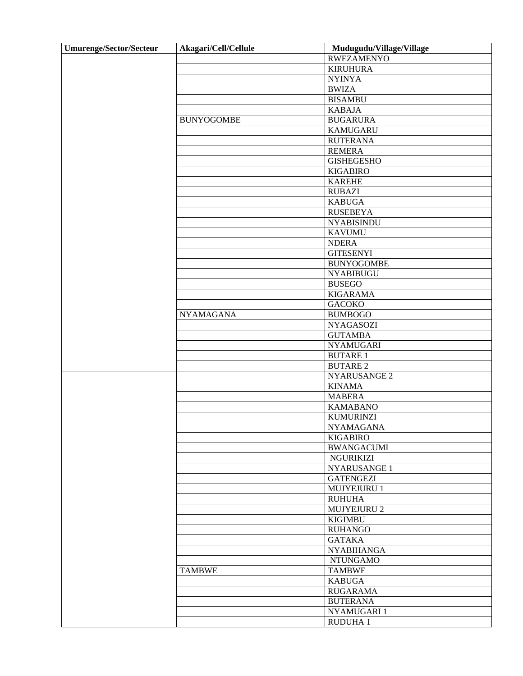| <b>Umurenge/Sector/Secteur</b> | Akagari/Cell/Cellule | Mudugudu/Village/Village             |
|--------------------------------|----------------------|--------------------------------------|
|                                |                      | <b>RWEZAMENYO</b>                    |
|                                |                      | <b>KIRUHURA</b>                      |
|                                |                      | <b>NYINYA</b>                        |
|                                |                      | <b>BWIZA</b>                         |
|                                |                      | <b>BISAMBU</b>                       |
|                                |                      | <b>KABAJA</b>                        |
|                                | <b>BUNYOGOMBE</b>    | <b>BUGARURA</b>                      |
|                                |                      | <b>KAMUGARU</b>                      |
|                                |                      | <b>RUTERANA</b>                      |
|                                |                      | <b>REMERA</b>                        |
|                                |                      | <b>GISHEGESHO</b>                    |
|                                |                      | <b>KIGABIRO</b>                      |
|                                |                      | <b>KAREHE</b>                        |
|                                |                      | <b>RUBAZI</b>                        |
|                                |                      | <b>KABUGA</b>                        |
|                                |                      | <b>RUSEBEYA</b>                      |
|                                |                      | <b>NYABISINDU</b>                    |
|                                |                      | <b>KAVUMU</b>                        |
|                                |                      | <b>NDERA</b>                         |
|                                |                      | <b>GITESENYI</b>                     |
|                                |                      | <b>BUNYOGOMBE</b>                    |
|                                |                      | <b>NYABIBUGU</b>                     |
|                                |                      | <b>BUSEGO</b>                        |
|                                |                      | <b>KIGARAMA</b>                      |
|                                |                      | <b>GACOKO</b>                        |
|                                | <b>NYAMAGANA</b>     | <b>BUMBOGO</b>                       |
|                                |                      | <b>NYAGASOZI</b>                     |
|                                |                      | <b>GUTAMBA</b>                       |
|                                |                      | <b>NYAMUGARI</b>                     |
|                                |                      | <b>BUTARE 1</b>                      |
|                                |                      | <b>BUTARE 2</b>                      |
|                                |                      |                                      |
|                                |                      | NYARUSANGE 2<br><b>KINAMA</b>        |
|                                |                      |                                      |
|                                |                      | <b>MABERA</b><br><b>KAMABANO</b>     |
|                                |                      |                                      |
|                                |                      | <b>KUMURINZI</b><br><b>NYAMAGANA</b> |
|                                |                      |                                      |
|                                |                      | <b>KIGABIRO</b><br><b>BWANGACUMI</b> |
|                                |                      | NGURIKIZI                            |
|                                |                      | NYARUSANGE 1                         |
|                                |                      | <b>GATENGEZI</b>                     |
|                                |                      | MUJYEJURU 1                          |
|                                |                      |                                      |
|                                |                      | <b>RUHUHA</b><br>MUJYEJURU 2         |
|                                |                      |                                      |
|                                |                      | <b>KIGIMBU</b>                       |
|                                |                      | <b>RUHANGO</b>                       |
|                                |                      | <b>GATAKA</b>                        |
|                                |                      | <b>NYABIHANGA</b>                    |
|                                |                      | <b>NTUNGAMO</b>                      |
|                                | <b>TAMBWE</b>        | <b>TAMBWE</b>                        |
|                                |                      | <b>KABUGA</b>                        |
|                                |                      | <b>RUGARAMA</b>                      |
|                                |                      | <b>BUTERANA</b>                      |
|                                |                      | NYAMUGARI 1                          |
|                                |                      | RUDUHA 1                             |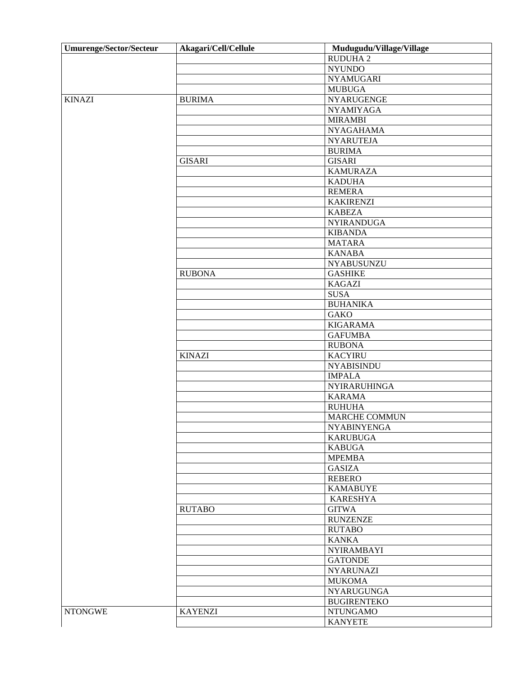| Umurenge/Sector/Secteur | Akagari/Cell/Cellule | Mudugudu/Village/Village            |
|-------------------------|----------------------|-------------------------------------|
|                         |                      | <b>RUDUHA2</b>                      |
|                         |                      | <b>NYUNDO</b>                       |
|                         |                      | <b>NYAMUGARI</b>                    |
|                         |                      | <b>MUBUGA</b>                       |
| <b>KINAZI</b>           | <b>BURIMA</b>        | <b>NYARUGENGE</b>                   |
|                         |                      | <b>NYAMIYAGA</b>                    |
|                         |                      | <b>MIRAMBI</b>                      |
|                         |                      | <b>NYAGAHAMA</b>                    |
|                         |                      | <b>NYARUTEJA</b>                    |
|                         |                      | <b>BURIMA</b>                       |
|                         | <b>GISARI</b>        | <b>GISARI</b>                       |
|                         |                      | <b>KAMURAZA</b>                     |
|                         |                      | <b>KADUHA</b>                       |
|                         |                      | <b>REMERA</b>                       |
|                         |                      | <b>KAKIRENZI</b>                    |
|                         |                      | <b>KABEZA</b>                       |
|                         |                      |                                     |
|                         |                      | <b>NYIRANDUGA</b><br><b>KIBANDA</b> |
|                         |                      |                                     |
|                         |                      | <b>MATARA</b>                       |
|                         |                      | <b>KANABA</b>                       |
|                         |                      | NYABUSUNZU                          |
|                         | <b>RUBONA</b>        | <b>GASHIKE</b>                      |
|                         |                      | <b>KAGAZI</b>                       |
|                         |                      | <b>SUSA</b>                         |
|                         |                      | <b>BUHANIKA</b>                     |
|                         |                      | <b>GAKO</b>                         |
|                         |                      | <b>KIGARAMA</b>                     |
|                         |                      | <b>GAFUMBA</b>                      |
|                         |                      | <b>RUBONA</b>                       |
|                         | <b>KINAZI</b>        | <b>KACYIRU</b>                      |
|                         |                      | <b>NYABISINDU</b>                   |
|                         |                      | <b>IMPALA</b>                       |
|                         |                      | NYIRARUHINGA                        |
|                         |                      | <b>KARAMA</b>                       |
|                         |                      | <b>RUHUHA</b>                       |
|                         |                      | MARCHE COMMUN                       |
|                         |                      | <b>NYABINYENGA</b>                  |
|                         |                      | <b>KARUBUGA</b>                     |
|                         |                      | <b>KABUGA</b>                       |
|                         |                      | <b>MPEMBA</b>                       |
|                         |                      | <b>GASIZA</b>                       |
|                         |                      | <b>REBERO</b>                       |
|                         |                      | <b>KAMABUYE</b>                     |
|                         |                      | <b>KARESHYA</b>                     |
|                         | <b>RUTABO</b>        | <b>GITWA</b>                        |
|                         |                      | <b>RUNZENZE</b>                     |
|                         |                      | <b>RUTABO</b>                       |
|                         |                      | <b>KANKA</b>                        |
|                         |                      | <b>NYIRAMBAYI</b>                   |
|                         |                      | <b>GATONDE</b>                      |
|                         |                      | <b>NYARUNAZI</b>                    |
|                         |                      | <b>MUKOMA</b>                       |
|                         |                      | <b>NYARUGUNGA</b>                   |
|                         |                      |                                     |
|                         |                      | <b>BUGIRENTEKO</b>                  |
| <b>NTONGWE</b>          | <b>KAYENZI</b>       | <b>NTUNGAMO</b>                     |
|                         |                      | <b>KANYETE</b>                      |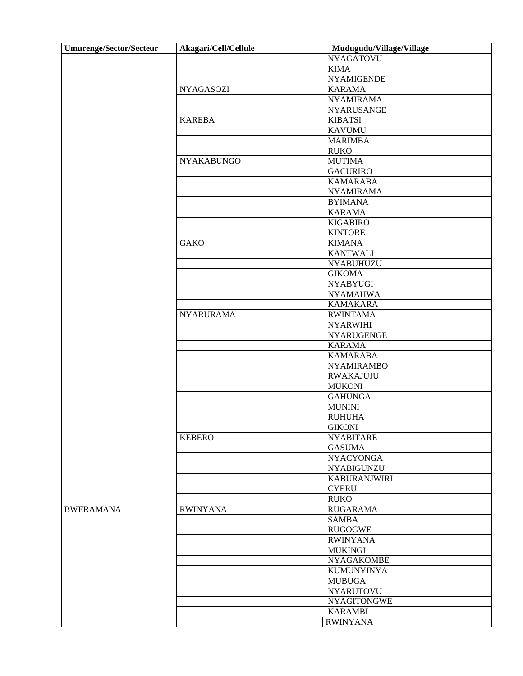| <b>Umurenge/Sector/Secteur</b> | Akagari/Cell/Cellule | Mudugudu/Village/Village |
|--------------------------------|----------------------|--------------------------|
|                                |                      | <b>NYAGATOVU</b>         |
|                                |                      | <b>KIMA</b>              |
|                                |                      | <b>NYAMIGENDE</b>        |
|                                | <b>NYAGASOZI</b>     | <b>KARAMA</b>            |
|                                |                      | <b>NYAMIRAMA</b>         |
|                                |                      | <b>NYARUSANGE</b>        |
|                                | <b>KAREBA</b>        | <b>KIBATSI</b>           |
|                                |                      | <b>KAVUMU</b>            |
|                                |                      | <b>MARIMBA</b>           |
|                                |                      | <b>RUKO</b>              |
|                                | <b>NYAKABUNGO</b>    | <b>MUTIMA</b>            |
|                                |                      | <b>GACURIRO</b>          |
|                                |                      | <b>KAMARABA</b>          |
|                                |                      | <b>NYAMIRAMA</b>         |
|                                |                      | <b>BYIMANA</b>           |
|                                |                      | <b>KARAMA</b>            |
|                                |                      | <b>KIGABIRO</b>          |
|                                |                      | <b>KINTORE</b>           |
|                                | <b>GAKO</b>          | <b>KIMANA</b>            |
|                                |                      | <b>KANTWALI</b>          |
|                                |                      | <b>NYABUHUZU</b>         |
|                                |                      | <b>GIKOMA</b>            |
|                                |                      | <b>NYABYUGI</b>          |
|                                |                      | <b>NYAMAHWA</b>          |
|                                |                      | <b>KAMAKARA</b>          |
|                                | <b>NYARURAMA</b>     | <b>RWINTAMA</b>          |
|                                |                      | <b>NYARWIHI</b>          |
|                                |                      | NYARUGENGE               |
|                                |                      | <b>KARAMA</b>            |
|                                |                      | <b>KAMARABA</b>          |
|                                |                      | <b>NYAMIRAMBO</b>        |
|                                |                      | <b>RWAKAJUJU</b>         |
|                                |                      | <b>MUKONI</b>            |
|                                |                      | <b>GAHUNGA</b>           |
|                                |                      | <b>MUNINI</b>            |
|                                |                      | <b>RUHUHA</b>            |
|                                |                      | <b>GIKONI</b>            |
|                                | <b>KEBERO</b>        | <b>NYABITARE</b>         |
|                                |                      | <b>GASUMA</b>            |
|                                |                      | <b>NYACYONGA</b>         |
|                                |                      | <b>NYABIGUNZU</b>        |
|                                |                      | <b>KABURANJWIRI</b>      |
|                                |                      | <b>CYERU</b>             |
|                                |                      | <b>RUKO</b>              |
| <b>BWERAMANA</b>               | <b>RWINYANA</b>      | <b>RUGARAMA</b>          |
|                                |                      | <b>SAMBA</b>             |
|                                |                      | <b>RUGOGWE</b>           |
|                                |                      | <b>RWINYANA</b>          |
|                                |                      | <b>MUKINGI</b>           |
|                                |                      | <b>NYAGAKOMBE</b>        |
|                                |                      | <b>KUMUNYINYA</b>        |
|                                |                      | <b>MUBUGA</b>            |
|                                |                      | <b>NYARUTOVU</b>         |
|                                |                      | <b>NYAGITONGWE</b>       |
|                                |                      | <b>KARAMBI</b>           |
|                                |                      | <b>RWINYANA</b>          |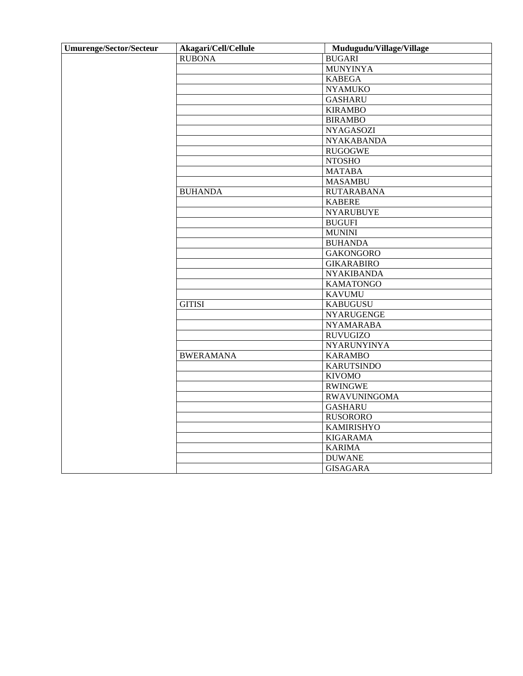| <b>Umurenge/Sector/Secteur</b> | Akagari/Cell/Cellule | Mudugudu/Village/Village |
|--------------------------------|----------------------|--------------------------|
|                                | <b>RUBONA</b>        | <b>BUGARI</b>            |
|                                |                      | <b>MUNYINYA</b>          |
|                                |                      | <b>KABEGA</b>            |
|                                |                      | <b>NYAMUKO</b>           |
|                                |                      | <b>GASHARU</b>           |
|                                |                      | <b>KIRAMBO</b>           |
|                                |                      | <b>BIRAMBO</b>           |
|                                |                      | <b>NYAGASOZI</b>         |
|                                |                      | <b>NYAKABANDA</b>        |
|                                |                      | <b>RUGOGWE</b>           |
|                                |                      | <b>NTOSHO</b>            |
|                                |                      | <b>MATABA</b>            |
|                                |                      | <b>MASAMBU</b>           |
|                                | <b>BUHANDA</b>       | <b>RUTARABANA</b>        |
|                                |                      | <b>KABERE</b>            |
|                                |                      | <b>NYARUBUYE</b>         |
|                                |                      | <b>BUGUFI</b>            |
|                                |                      | <b>MUNINI</b>            |
|                                |                      | <b>BUHANDA</b>           |
|                                |                      | <b>GAKONGORO</b>         |
|                                |                      | <b>GIKARABIRO</b>        |
|                                |                      | <b>NYAKIBANDA</b>        |
|                                |                      | <b>KAMATONGO</b>         |
|                                |                      | <b>KAVUMU</b>            |
|                                | <b>GITISI</b>        | <b>KABUGUSU</b>          |
|                                |                      | <b>NYARUGENGE</b>        |
|                                |                      | <b>NYAMARABA</b>         |
|                                |                      | <b>RUVUGIZO</b>          |
|                                |                      | NYARUNYINYA              |
|                                | <b>BWERAMANA</b>     | <b>KARAMBO</b>           |
|                                |                      | <b>KARUTSINDO</b>        |
|                                |                      | <b>KIVOMO</b>            |
|                                |                      | <b>RWINGWE</b>           |
|                                |                      | <b>RWAVUNINGOMA</b>      |
|                                |                      | <b>GASHARU</b>           |
|                                |                      | <b>RUSORORO</b>          |
|                                |                      | <b>KAMIRISHYO</b>        |
|                                |                      | <b>KIGARAMA</b>          |
|                                |                      | <b>KARIMA</b>            |
|                                |                      | <b>DUWANE</b>            |
|                                |                      | <b>GISAGARA</b>          |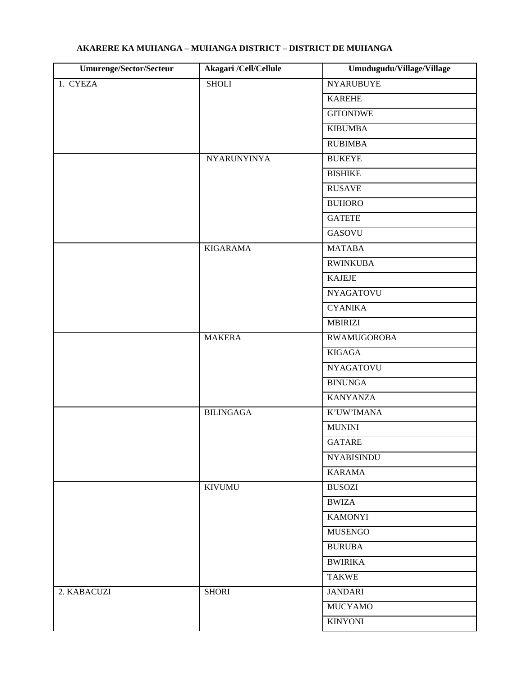| Umurenge/Sector/Secteur | Akagari /Cell/Cellule | Umudugudu/Village/Village |
|-------------------------|-----------------------|---------------------------|
| 1. CYEZA                | <b>SHOLI</b>          | <b>NYARUBUYE</b>          |
|                         |                       | <b>KAREHE</b>             |
|                         |                       | <b>GITONDWE</b>           |
|                         |                       | <b>KIBUMBA</b>            |
|                         |                       | <b>RUBIMBA</b>            |
|                         | NYARUNYINYA           | <b>BUKEYE</b>             |
|                         |                       | <b>BISHIKE</b>            |
|                         |                       | <b>RUSAVE</b>             |
|                         |                       | <b>BUHORO</b>             |
|                         |                       | <b>GATETE</b>             |
|                         |                       | <b>GASOVU</b>             |
|                         | <b>KIGARAMA</b>       | <b>MATABA</b>             |
|                         |                       | <b>RWINKUBA</b>           |
|                         |                       | <b>KAJEJE</b>             |
|                         |                       | <b>NYAGATOVU</b>          |
|                         |                       | <b>CYANIKA</b>            |
|                         |                       | <b>MBIRIZI</b>            |
|                         | <b>MAKERA</b>         | <b>RWAMUGOROBA</b>        |
|                         |                       | <b>KIGAGA</b>             |
|                         |                       | <b>NYAGATOVU</b>          |
|                         |                       | <b>BINUNGA</b>            |
|                         |                       | <b>KANYANZA</b>           |
|                         | <b>BILINGAGA</b>      | K'UW'IMANA                |
|                         |                       | <b>MUNINI</b>             |
|                         |                       | <b>GATARE</b>             |
|                         |                       | <b>NYABISINDU</b>         |
|                         |                       | <b>KARAMA</b>             |
|                         | <b>KIVUMU</b>         | <b>BUSOZI</b>             |
|                         |                       | <b>BWIZA</b>              |
|                         |                       | <b>KAMONYI</b>            |
|                         |                       | <b>MUSENGO</b>            |
|                         |                       | <b>BURUBA</b>             |
|                         |                       | <b>BWIRIKA</b>            |
|                         |                       | <b>TAKWE</b>              |
| 2. KABACUZI             | <b>SHORI</b>          | <b>JANDARI</b>            |
|                         |                       | <b>MUCYAMO</b>            |
|                         |                       | <b>KINYONI</b>            |
|                         |                       |                           |

## **AKARERE KA MUHANGA – MUHANGA DISTRICT – DISTRICT DE MUHANGA**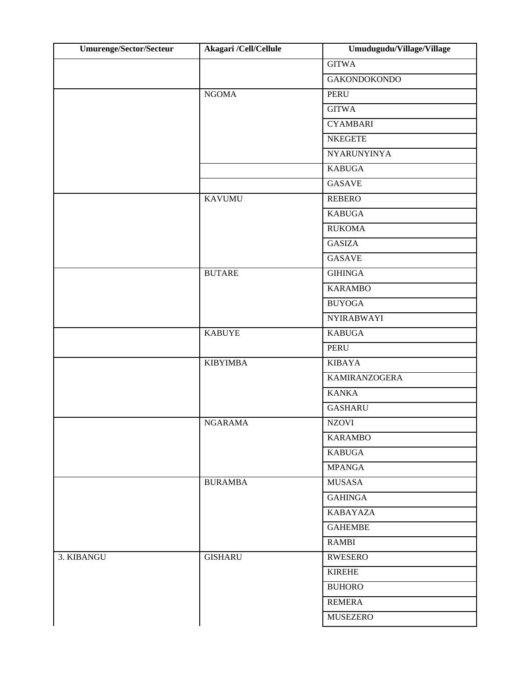| Umurenge/Sector/Secteur | Akagari /Cell/Cellule | Umudugudu/Village/Village |
|-------------------------|-----------------------|---------------------------|
|                         |                       | <b>GITWA</b>              |
|                         |                       | <b>GAKONDOKONDO</b>       |
|                         | <b>NGOMA</b>          | <b>PERU</b>               |
|                         |                       | <b>GITWA</b>              |
|                         |                       | <b>CYAMBARI</b>           |
|                         |                       | <b>NKEGETE</b>            |
|                         |                       | <b>NYARUNYINYA</b>        |
|                         |                       | <b>KABUGA</b>             |
|                         |                       | <b>GASAVE</b>             |
|                         | <b>KAVUMU</b>         | <b>REBERO</b>             |
|                         |                       | <b>KABUGA</b>             |
|                         |                       | <b>RUKOMA</b>             |
|                         |                       | <b>GASIZA</b>             |
|                         |                       | <b>GASAVE</b>             |
|                         | <b>BUTARE</b>         | <b>GIHINGA</b>            |
|                         |                       | <b>KARAMBO</b>            |
|                         |                       | <b>BUYOGA</b>             |
|                         |                       | <b>NYIRABWAYI</b>         |
|                         | <b>KABUYE</b>         | <b>KABUGA</b>             |
|                         |                       | <b>PERU</b>               |
|                         | <b>KIBYIMBA</b>       | <b>KIBAYA</b>             |
|                         |                       | <b>KAMIRANZOGERA</b>      |
|                         |                       | <b>KANKA</b>              |
|                         |                       | <b>GASHARU</b>            |
|                         | <b>NGARAMA</b>        | <b>NZOVI</b>              |
|                         |                       | <b>KARAMBO</b>            |
|                         |                       | <b>KABUGA</b>             |
|                         |                       | <b>MPANGA</b>             |
|                         | <b>BURAMBA</b>        | MUSASA                    |
|                         |                       | <b>GAHINGA</b>            |
|                         |                       | <b>KABAYAZA</b>           |
|                         |                       | <b>GAHEMBE</b>            |
|                         |                       | <b>RAMBI</b>              |
| 3. KIBANGU              | <b>GISHARU</b>        | <b>RWESERO</b>            |
|                         |                       | <b>KIREHE</b>             |
|                         |                       | <b>BUHORO</b>             |
|                         |                       | <b>REMERA</b>             |
|                         |                       | <b>MUSEZERO</b>           |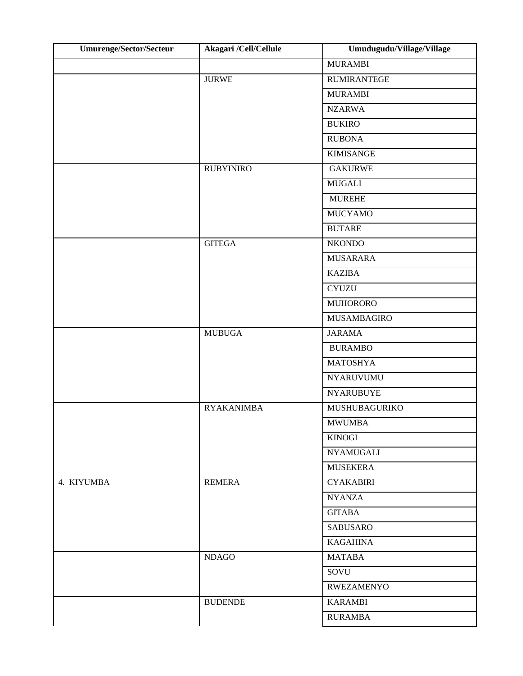| <b>Umurenge/Sector/Secteur</b> | Akagari /Cell/Cellule | Umudugudu/Village/Village |
|--------------------------------|-----------------------|---------------------------|
|                                |                       | <b>MURAMBI</b>            |
|                                | <b>JURWE</b>          | <b>RUMIRANTEGE</b>        |
|                                |                       | <b>MURAMBI</b>            |
|                                |                       | <b>NZARWA</b>             |
|                                |                       | <b>BUKIRO</b>             |
|                                |                       | <b>RUBONA</b>             |
|                                |                       | <b>KIMISANGE</b>          |
|                                | <b>RUBYINIRO</b>      | <b>GAKURWE</b>            |
|                                |                       | <b>MUGALI</b>             |
|                                |                       | <b>MUREHE</b>             |
|                                |                       | <b>MUCYAMO</b>            |
|                                |                       | <b>BUTARE</b>             |
|                                | <b>GITEGA</b>         | <b>NKONDO</b>             |
|                                |                       | <b>MUSARARA</b>           |
|                                |                       | <b>KAZIBA</b>             |
|                                |                       | <b>CYUZU</b>              |
|                                |                       | <b>MUHORORO</b>           |
|                                |                       | MUSAMBAGIRO               |
|                                | <b>MUBUGA</b>         | <b>JARAMA</b>             |
|                                |                       | <b>BURAMBO</b>            |
|                                |                       | <b>MATOSHYA</b>           |
|                                |                       | <b>NYARUVUMU</b>          |
|                                |                       | <b>NYARUBUYE</b>          |
|                                | <b>RYAKANIMBA</b>     | MUSHUBAGURIKO             |
|                                |                       | <b>MWUMBA</b>             |
|                                |                       | <b>KINOGI</b>             |
|                                |                       | <b>NYAMUGALI</b>          |
|                                |                       | <b>MUSEKERA</b>           |
| 4. KIYUMBA                     | <b>REMERA</b>         | <b>CYAKABIRI</b>          |
|                                |                       | <b>NYANZA</b>             |
|                                |                       | <b>GITABA</b>             |
|                                |                       | SABUSARO                  |
|                                |                       | <b>KAGAHINA</b>           |
|                                | <b>NDAGO</b>          | <b>MATABA</b>             |
|                                |                       | SOVU                      |
|                                |                       | <b>RWEZAMENYO</b>         |
|                                | <b>BUDENDE</b>        | <b>KARAMBI</b>            |
|                                |                       | <b>RURAMBA</b>            |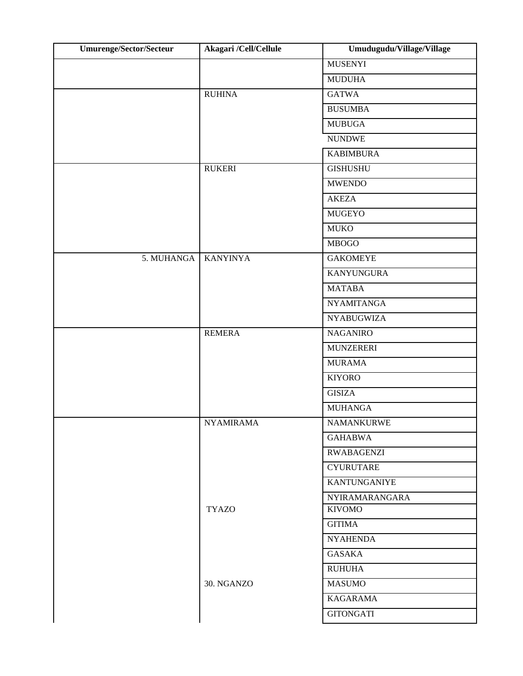| <b>Umurenge/Sector/Secteur</b> | Akagari /Cell/Cellule | Umudugudu/Village/Village |
|--------------------------------|-----------------------|---------------------------|
|                                |                       | <b>MUSENYI</b>            |
|                                |                       | <b>MUDUHA</b>             |
|                                | <b>RUHINA</b>         | <b>GATWA</b>              |
|                                |                       | <b>BUSUMBA</b>            |
|                                |                       | <b>MUBUGA</b>             |
|                                |                       | <b>NUNDWE</b>             |
|                                |                       | <b>KABIMBURA</b>          |
|                                | <b>RUKERI</b>         | <b>GISHUSHU</b>           |
|                                |                       | <b>MWENDO</b>             |
|                                |                       | <b>AKEZA</b>              |
|                                |                       | <b>MUGEYO</b>             |
|                                |                       | <b>MUKO</b>               |
|                                |                       | <b>MBOGO</b>              |
| 5. MUHANGA                     | <b>KANYINYA</b>       | <b>GAKOMEYE</b>           |
|                                |                       | <b>KANYUNGURA</b>         |
|                                |                       | <b>MATABA</b>             |
|                                |                       | <b>NYAMITANGA</b>         |
|                                |                       | <b>NYABUGWIZA</b>         |
|                                | <b>REMERA</b>         | <b>NAGANIRO</b>           |
|                                |                       | <b>MUNZERERI</b>          |
|                                |                       | <b>MURAMA</b>             |
|                                |                       | <b>KIYORO</b>             |
|                                |                       | <b>GISIZA</b>             |
|                                |                       | <b>MUHANGA</b>            |
|                                | <b>NYAMIRAMA</b>      | <b>NAMANKURWE</b>         |
|                                |                       | <b>GAHABWA</b>            |
|                                |                       | <b>RWABAGENZI</b>         |
|                                |                       | <b>CYURUTARE</b>          |
|                                |                       | KANTUNGANIYE              |
|                                |                       | <b>NYIRAMARANGARA</b>     |
|                                | <b>TYAZO</b>          | <b>KIVOMO</b>             |
|                                |                       | <b>GITIMA</b>             |
|                                |                       | <b>NYAHENDA</b>           |
|                                |                       | GASAKA                    |
|                                |                       | <b>RUHUHA</b>             |
|                                | 30. NGANZO            | <b>MASUMO</b>             |
|                                |                       | <b>KAGARAMA</b>           |
|                                |                       | <b>GITONGATI</b>          |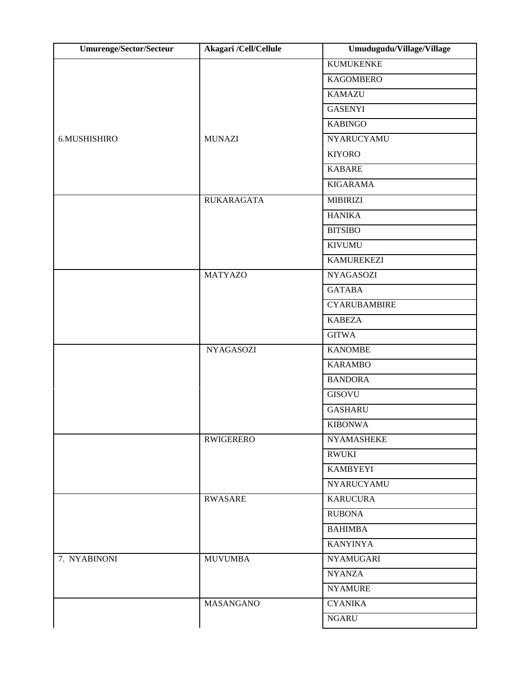| <b>Umurenge/Sector/Secteur</b> | Akagari /Cell/Cellule | Umudugudu/Village/Village |
|--------------------------------|-----------------------|---------------------------|
|                                |                       | <b>KUMUKENKE</b>          |
|                                |                       | <b>KAGOMBERO</b>          |
|                                |                       | <b>KAMAZU</b>             |
|                                |                       | <b>GASENYI</b>            |
|                                |                       | <b>KABINGO</b>            |
| 6.MUSHISHIRO                   | <b>MUNAZI</b>         | <b>NYARUCYAMU</b>         |
|                                |                       | <b>KIYORO</b>             |
|                                |                       | <b>KABARE</b>             |
|                                |                       | <b>KIGARAMA</b>           |
|                                | <b>RUKARAGATA</b>     | <b>MIBIRIZI</b>           |
|                                |                       | <b>HANIKA</b>             |
|                                |                       | <b>BITSIBO</b>            |
|                                |                       | <b>KIVUMU</b>             |
|                                |                       | <b>KAMUREKEZI</b>         |
|                                | <b>MATYAZO</b>        | <b>NYAGASOZI</b>          |
|                                |                       | <b>GATABA</b>             |
|                                |                       | <b>CYARUBAMBIRE</b>       |
|                                |                       | <b>KABEZA</b>             |
|                                |                       | <b>GITWA</b>              |
|                                | <b>NYAGASOZI</b>      | <b>KANOMBE</b>            |
|                                |                       | <b>KARAMBO</b>            |
|                                |                       | <b>BANDORA</b>            |
|                                |                       | <b>GISOVU</b>             |
|                                |                       | <b>GASHARU</b>            |
|                                |                       | <b>KIBONWA</b>            |
|                                | <b>RWIGERERO</b>      | <b>NYAMASHEKE</b>         |
|                                |                       | <b>RWUKI</b>              |
|                                |                       | <b>KAMBYEYI</b>           |
|                                |                       | NYARUCYAMU                |
|                                | <b>RWASARE</b>        | <b>KARUCURA</b>           |
|                                |                       | <b>RUBONA</b>             |
|                                |                       | <b>BAHIMBA</b>            |
|                                |                       | <b>KANYINYA</b>           |
| 7. NYABINONI                   | <b>MUVUMBA</b>        | <b>NYAMUGARI</b>          |
|                                |                       | <b>NYANZA</b>             |
|                                |                       | <b>NYAMURE</b>            |
|                                | MASANGANO             | <b>CYANIKA</b>            |
|                                |                       | <b>NGARU</b>              |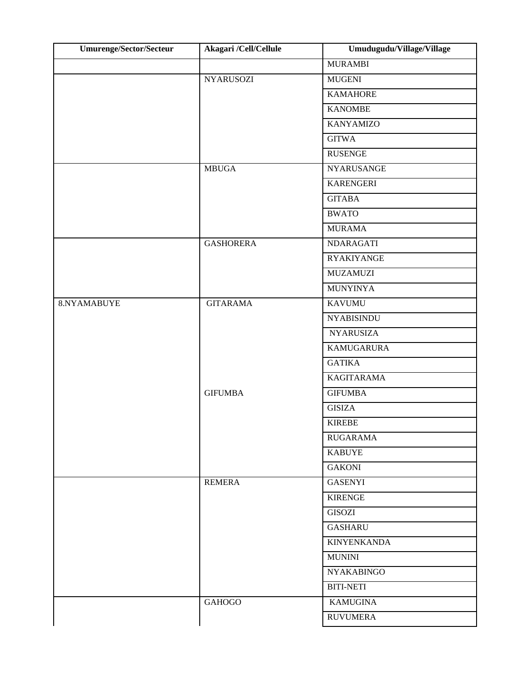| Umurenge/Sector/Secteur | Akagari /Cell/Cellule | Umudugudu/Village/Village |
|-------------------------|-----------------------|---------------------------|
|                         |                       | <b>MURAMBI</b>            |
|                         | <b>NYARUSOZI</b>      | <b>MUGENI</b>             |
|                         |                       | <b>KAMAHORE</b>           |
|                         |                       | <b>KANOMBE</b>            |
|                         |                       | <b>KANYAMIZO</b>          |
|                         |                       | <b>GITWA</b>              |
|                         |                       | <b>RUSENGE</b>            |
|                         | <b>MBUGA</b>          | <b>NYARUSANGE</b>         |
|                         |                       | <b>KARENGERI</b>          |
|                         |                       | <b>GITABA</b>             |
|                         |                       | <b>BWATO</b>              |
|                         |                       | <b>MURAMA</b>             |
|                         | <b>GASHORERA</b>      | <b>NDARAGATI</b>          |
|                         |                       | <b>RYAKIYANGE</b>         |
|                         |                       | <b>MUZAMUZI</b>           |
|                         |                       | <b>MUNYINYA</b>           |
| 8.NYAMABUYE             | <b>GITARAMA</b>       | <b>KAVUMU</b>             |
|                         |                       | <b>NYABISINDU</b>         |
|                         |                       | <b>NYARUSIZA</b>          |
|                         |                       | <b>KAMUGARURA</b>         |
|                         |                       | <b>GATIKA</b>             |
|                         |                       | <b>KAGITARAMA</b>         |
|                         | <b>GIFUMBA</b>        | <b>GIFUMBA</b>            |
|                         |                       | <b>GISIZA</b>             |
|                         |                       | <b>KIREBE</b>             |
|                         |                       | <b>RUGARAMA</b>           |
|                         |                       | <b>KABUYE</b>             |
|                         |                       | <b>GAKONI</b>             |
|                         | <b>REMERA</b>         | <b>GASENYI</b>            |
|                         |                       | <b>KIRENGE</b>            |
|                         |                       | GISOZI                    |
|                         |                       | <b>GASHARU</b>            |
|                         |                       | <b>KINYENKANDA</b>        |
|                         |                       | <b>MUNINI</b>             |
|                         |                       | <b>NYAKABINGO</b>         |
|                         |                       | <b>BITI-NETI</b>          |
|                         | <b>GAHOGO</b>         | <b>KAMUGINA</b>           |
|                         |                       | <b>RUVUMERA</b>           |
|                         |                       |                           |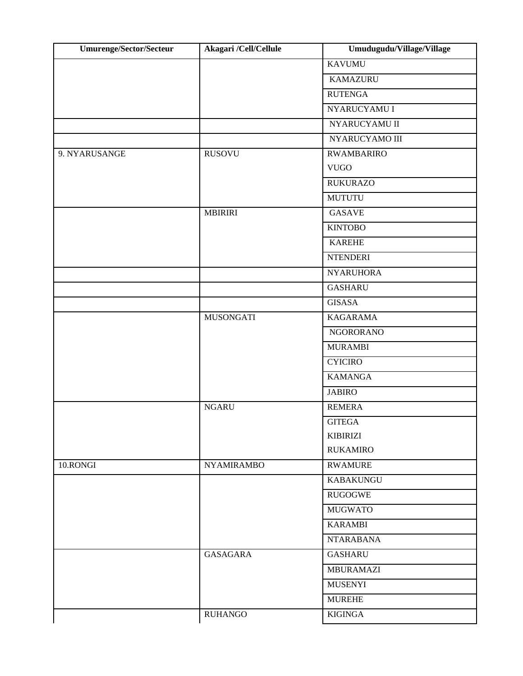| <b>Umurenge/Sector/Secteur</b> | Akagari /Cell/Cellule | Umudugudu/Village/Village |
|--------------------------------|-----------------------|---------------------------|
|                                |                       | <b>KAVUMU</b>             |
|                                |                       | <b>KAMAZURU</b>           |
|                                |                       | <b>RUTENGA</b>            |
|                                |                       | NYARUCYAMU I              |
|                                |                       | NYARUCYAMU II             |
|                                |                       | NYARUCYAMO III            |
| 9. NYARUSANGE                  | <b>RUSOVU</b>         | <b>RWAMBARIRO</b>         |
|                                |                       | <b>VUGO</b>               |
|                                |                       | <b>RUKURAZO</b>           |
|                                |                       | <b>MUTUTU</b>             |
|                                | <b>MBIRIRI</b>        | <b>GASAVE</b>             |
|                                |                       | <b>KINTOBO</b>            |
|                                |                       | <b>KAREHE</b>             |
|                                |                       | <b>NTENDERI</b>           |
|                                |                       | <b>NYARUHORA</b>          |
|                                |                       | <b>GASHARU</b>            |
|                                |                       | <b>GISASA</b>             |
|                                | <b>MUSONGATI</b>      | <b>KAGARAMA</b>           |
|                                |                       | <b>NGORORANO</b>          |
|                                |                       | <b>MURAMBI</b>            |
|                                |                       | <b>CYICIRO</b>            |
|                                |                       | <b>KAMANGA</b>            |
|                                |                       | <b>JABIRO</b>             |
|                                | <b>NGARU</b>          | <b>REMERA</b>             |
|                                |                       | <b>GITEGA</b>             |
|                                |                       | <b>KIBIRIZI</b>           |
|                                |                       | <b>RUKAMIRO</b>           |
| 10.RONGI                       | <b>NYAMIRAMBO</b>     | <b>RWAMURE</b>            |
|                                |                       | <b>KABAKUNGU</b>          |
|                                |                       | <b>RUGOGWE</b>            |
|                                |                       | <b>MUGWATO</b>            |
|                                |                       | <b>KARAMBI</b>            |
|                                |                       | <b>NTARABANA</b>          |
|                                | <b>GASAGARA</b>       | <b>GASHARU</b>            |
|                                |                       | <b>MBURAMAZI</b>          |
|                                |                       | <b>MUSENYI</b>            |
|                                |                       | <b>MUREHE</b>             |
|                                | <b>RUHANGO</b>        | <b>KIGINGA</b>            |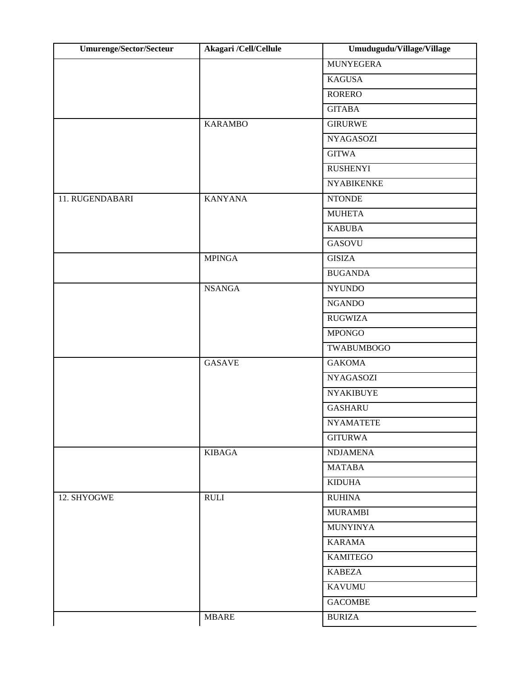| Umurenge/Sector/Secteur | Akagari /Cell/Cellule | Umudugudu/Village/Village |
|-------------------------|-----------------------|---------------------------|
|                         |                       | <b>MUNYEGERA</b>          |
|                         |                       | <b>KAGUSA</b>             |
|                         |                       | <b>RORERO</b>             |
|                         |                       | <b>GITABA</b>             |
|                         | <b>KARAMBO</b>        | <b>GIRURWE</b>            |
|                         |                       | <b>NYAGASOZI</b>          |
|                         |                       | <b>GITWA</b>              |
|                         |                       | <b>RUSHENYI</b>           |
|                         |                       | <b>NYABIKENKE</b>         |
| 11. RUGENDABARI         | <b>KANYANA</b>        | <b>NTONDE</b>             |
|                         |                       | <b>MUHETA</b>             |
|                         |                       | <b>KABUBA</b>             |
|                         |                       | <b>GASOVU</b>             |
|                         | <b>MPINGA</b>         | <b>GISIZA</b>             |
|                         |                       | <b>BUGANDA</b>            |
|                         | <b>NSANGA</b>         | <b>NYUNDO</b>             |
|                         |                       | <b>NGANDO</b>             |
|                         |                       | <b>RUGWIZA</b>            |
|                         |                       | <b>MPONGO</b>             |
|                         |                       | <b>TWABUMBOGO</b>         |
|                         | <b>GASAVE</b>         | <b>GAKOMA</b>             |
|                         |                       | <b>NYAGASOZI</b>          |
|                         |                       | <b>NYAKIBUYE</b>          |
|                         |                       | <b>GASHARU</b>            |
|                         |                       | <b>NYAMATETE</b>          |
|                         |                       | <b>GITURWA</b>            |
|                         | <b>KIBAGA</b>         | <b>NDJAMENA</b>           |
|                         |                       | <b>MATABA</b>             |
|                         |                       | <b>KIDUHA</b>             |
| 12. SHYOGWE             | <b>RULI</b>           | <b>RUHINA</b>             |
|                         |                       | <b>MURAMBI</b>            |
|                         |                       | <b>MUNYINYA</b>           |
|                         |                       | <b>KARAMA</b>             |
|                         |                       | <b>KAMITEGO</b>           |
|                         |                       | <b>KABEZA</b>             |
|                         |                       | <b>KAVUMU</b>             |
|                         |                       | <b>GACOMBE</b>            |
|                         | <b>MBARE</b>          | <b>BURIZA</b>             |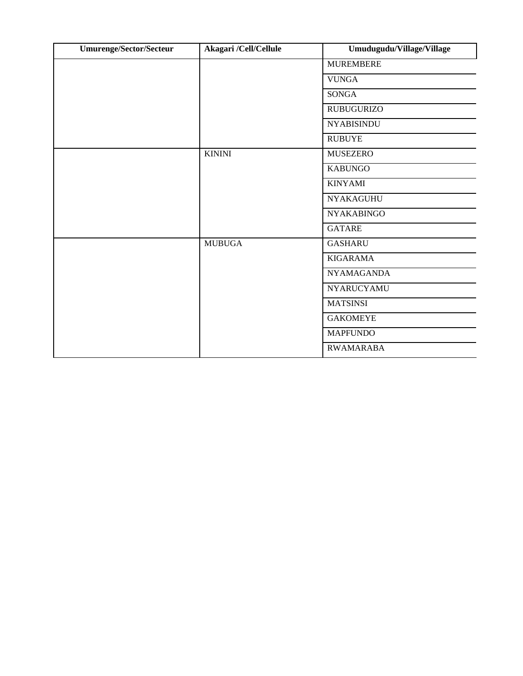| <b>Umurenge/Sector/Secteur</b> | Akagari /Cell/Cellule | Umudugudu/Village/Village |
|--------------------------------|-----------------------|---------------------------|
|                                |                       | <b>MUREMBERE</b>          |
|                                |                       | <b>VUNGA</b>              |
|                                |                       | <b>SONGA</b>              |
|                                |                       | <b>RUBUGURIZO</b>         |
|                                |                       | <b>NYABISINDU</b>         |
|                                |                       | <b>RUBUYE</b>             |
|                                | <b>KININI</b>         | <b>MUSEZERO</b>           |
|                                |                       | <b>KABUNGO</b>            |
|                                |                       | <b>KINYAMI</b>            |
|                                |                       | <b>NYAKAGUHU</b>          |
|                                |                       | <b>NYAKABINGO</b>         |
|                                |                       | <b>GATARE</b>             |
|                                | <b>MUBUGA</b>         | <b>GASHARU</b>            |
|                                |                       | <b>KIGARAMA</b>           |
|                                |                       | <b>NYAMAGANDA</b>         |
|                                |                       | <b>NYARUCYAMU</b>         |
|                                |                       | <b>MATSINSI</b>           |
|                                |                       | <b>GAKOMEYE</b>           |
|                                |                       | <b>MAPFUNDO</b>           |
|                                |                       | <b>RWAMARABA</b>          |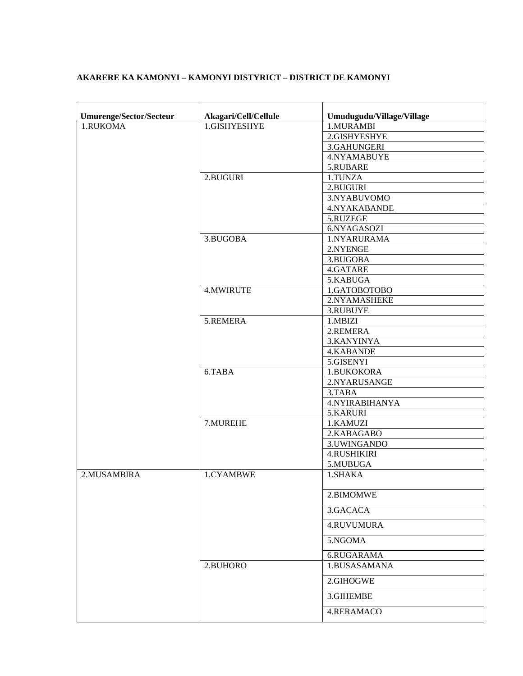| <b>Umurenge/Sector/Secteur</b> | Akagari/Cell/Cellule | Umudugudu/Village/Village |
|--------------------------------|----------------------|---------------------------|
| 1.RUKOMA                       | 1.GISHYESHYE         | 1.MURAMBI                 |
|                                |                      | 2.GISHYESHYE              |
|                                |                      | 3.GAHUNGERI               |
|                                |                      | 4.NYAMABUYE               |
|                                |                      | 5.RUBARE                  |
|                                | 2.BUGURI             | 1.TUNZA                   |
|                                |                      | 2.BUGURI                  |
|                                |                      | 3.NYABUVOMO               |
|                                |                      | 4.NYAKABANDE              |
|                                |                      | 5.RUZEGE                  |
|                                |                      | 6.NYAGASOZI               |
|                                | 3.BUGOBA             |                           |
|                                |                      | 1.NYARURAMA               |
|                                |                      | 2.NYENGE                  |
|                                |                      | 3.BUGOBA                  |
|                                |                      | 4.GATARE                  |
|                                |                      | 5.KABUGA                  |
|                                | <b>4.MWIRUTE</b>     | 1.GATOBOTOBO              |
|                                |                      | 2.NYAMASHEKE              |
|                                |                      | 3.RUBUYE                  |
|                                | 5.REMERA             | 1.MBIZI                   |
|                                |                      | 2.REMERA                  |
|                                |                      | 3.KANYINYA                |
|                                |                      | 4.KABANDE                 |
|                                |                      | 5.GISENYI                 |
|                                | 6.TABA               | 1.BUKOKORA                |
|                                |                      | 2.NYARUSANGE              |
|                                |                      | 3.TABA                    |
|                                |                      | 4.NYIRABIHANYA            |
|                                |                      | 5.KARURI                  |
|                                | 7.MUREHE             | 1.KAMUZI                  |
|                                |                      | 2.KABAGABO                |
|                                |                      | 3.UWINGANDO               |
|                                |                      | <b>4.RUSHIKIRI</b>        |
|                                |                      | 5.MUBU <sub>GA</sub>      |
| 2.MUSAMBIRA                    | 1.CYAMBWE            | 1.SHAKA                   |
|                                |                      | 2.BIMOMWE                 |
|                                |                      | 3.GACACA                  |
|                                |                      | <b>4.RUVUMURA</b>         |
|                                |                      | 5.NGOMA<br>6.RUGARAMA     |
|                                | 2.BUHORO             | 1.BUSASAMANA              |
|                                |                      |                           |
|                                |                      | 2.GIHOGWE                 |
|                                |                      | 3.GIHEMBE                 |
|                                |                      | 4.RERAMACO                |

### **AKARERE KA KAMONYI – KAMONYI DISTYRICT – DISTRICT DE KAMONYI**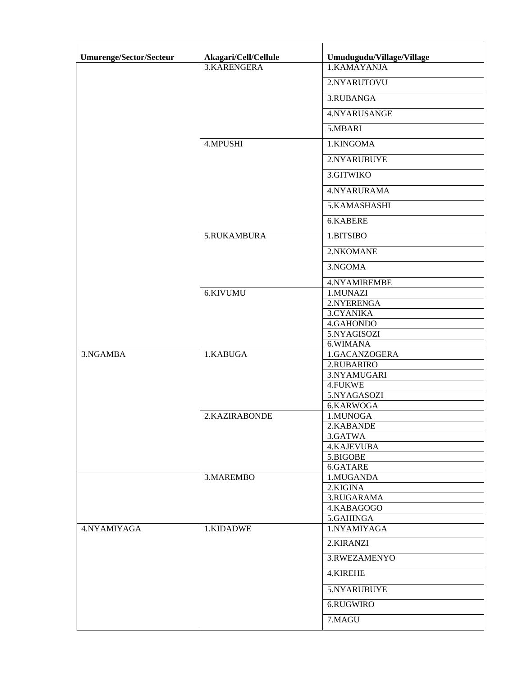| Umurenge/Sector/Secteur | Akagari/Cell/Cellule | Umudugudu/Village/Village |
|-------------------------|----------------------|---------------------------|
|                         | 3.KARENGERA          | 1.KAMAYANJA               |
|                         |                      | 2.NYARUTOVU               |
|                         |                      | 3.RUBANGA                 |
|                         |                      | 4.NYARUSANGE              |
|                         |                      | 5.MBARI                   |
|                         | <b>4.MPUSHI</b>      | 1.KINGOMA                 |
|                         |                      | 2.NYARUBUYE               |
|                         |                      | 3.GITWIKO                 |
|                         |                      | 4.NYARURAMA               |
|                         |                      | 5.KAMASHASHI              |
|                         |                      | 6.KABERE                  |
|                         | 5.RUKAMBURA          | 1.BITSIBO                 |
|                         |                      | 2.NKOMANE                 |
|                         |                      | 3.NGOMA                   |
|                         |                      | 4.NYAMIREMBE              |
|                         | 6.KIVUMU             | 1.MUNAZI                  |
|                         |                      | 2.NYERENGA                |
|                         |                      | 3.CYANIKA                 |
|                         |                      | 4.GAHONDO                 |
|                         |                      | 5.NYAGISOZI               |
|                         |                      | 6.WIMANA                  |
| 3.NGAMBA                | 1.KABUGA             | 1.GACANZOGERA             |
|                         |                      | 2.RUBARIRO                |
|                         |                      | 3.NYAMUGARI               |
|                         |                      | 4.FUKWE                   |
|                         |                      | 5.NYAGASOZI               |
|                         |                      | 6.KARWOGA                 |
|                         | 2.KAZIRABONDE        | 1.MUNOGA                  |
|                         |                      | 2.KABANDE                 |
|                         |                      | 3.GATWA                   |
|                         |                      | 4.KAJEVUBA                |
|                         |                      | 5.BIGOBE                  |
|                         |                      | 6.GATARE                  |
|                         | 3.MAREMBO            | 1.MUGANDA                 |
|                         |                      | 2.KIGINA                  |
|                         |                      | 3.RUGARAMA                |
|                         |                      | 4.KABAGOGO                |
|                         |                      | 5.GAHINGA                 |
| 4.NYAMIYAGA             | 1.KIDADWE            | 1.NYAMIYAGA               |
|                         |                      | 2.KIRANZI                 |
|                         |                      | 3.RWEZAMENYO              |
|                         |                      | 4.KIREHE                  |
|                         |                      | 5.NYARUBUYE               |
|                         |                      | 6.RUGWIRO                 |
|                         |                      | 7.MAGU                    |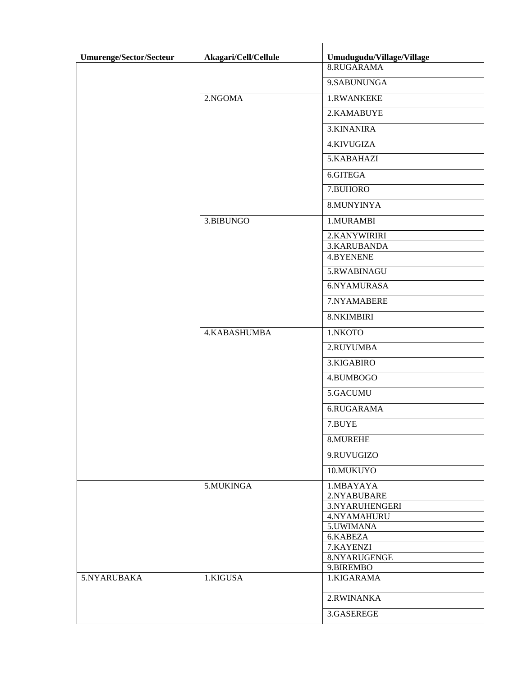| Umurenge/Sector/Secteur | Akagari/Cell/Cellule | Umudugudu/Village/Village |
|-------------------------|----------------------|---------------------------|
|                         |                      | 8.RUGARAMA                |
|                         |                      | 9.SABUNUNGA               |
|                         | 2.NGOMA              | 1.RWANKEKE                |
|                         |                      | 2.KAMABUYE                |
|                         |                      | 3.KINANIRA                |
|                         |                      | 4.KIVUGIZA                |
|                         |                      | 5.KABAHAZI                |
|                         |                      | 6.GITEGA                  |
|                         |                      | 7.BUHORO                  |
|                         |                      | 8.MUNYINYA                |
|                         | 3.BIBUNGO            | 1.MURAMBI                 |
|                         |                      | 2.KANYWIRIRI              |
|                         |                      | 3.KARUBANDA               |
|                         |                      | <b>4.BYENENE</b>          |
|                         |                      | 5.RWABINAGU               |
|                         |                      | 6.NYAMURASA               |
|                         |                      | 7.NYAMABERE               |
|                         |                      | 8.NKIMBIRI                |
|                         | 4.KABASHUMBA         | 1.NKOTO                   |
|                         |                      | 2.RUYUMBA                 |
|                         |                      | 3.KIGABIRO                |
|                         |                      | 4.BUMBOGO                 |
|                         |                      | 5.GACUMU                  |
|                         |                      | 6.RUGARAMA                |
|                         |                      | 7.BUYE                    |
|                         |                      | 8.MUREHE                  |
|                         |                      | 9.RUVUGIZO                |
|                         |                      | 10.MUKUYO                 |
|                         | 5.MUKINGA            | 1.MBAYAYA                 |
|                         |                      | 2.NYABUBARE               |
|                         |                      | 3.NYARUHENGERI            |
|                         |                      | 4.NYAMAHURU               |
|                         |                      | 5.UWIMANA<br>6.KABEZA     |
|                         |                      | 7.KAYENZI                 |
|                         |                      | 8.NYARUGENGE              |
|                         |                      | 9.BIREMBO                 |
| 5.NYARUBAKA             | 1.KIGUSA             | 1.KIGARAMA                |
|                         |                      | 2.RWINANKA                |
|                         |                      | 3.GASEREGE                |
|                         |                      |                           |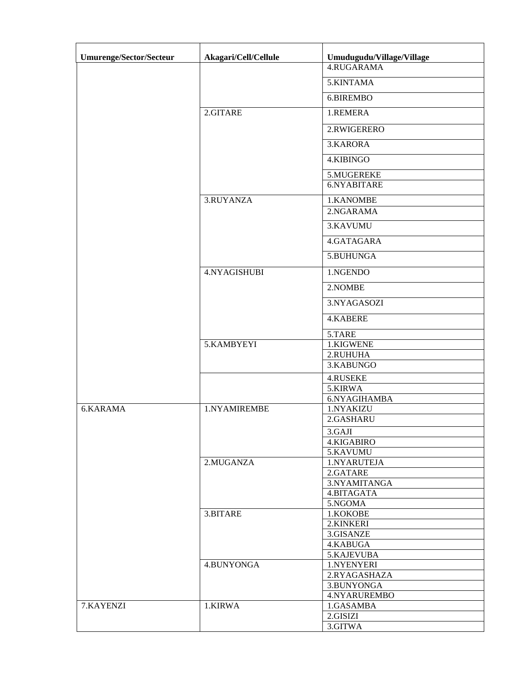| <b>Umurenge/Sector/Secteur</b> | Akagari/Cell/Cellule | Umudugudu/Village/Village |
|--------------------------------|----------------------|---------------------------|
|                                |                      | 4.RUGARAMA                |
|                                |                      | 5.KINTAMA                 |
|                                |                      | 6.BIREMBO                 |
|                                | 2.GITARE             | 1.REMERA                  |
|                                |                      | 2.RWIGERERO               |
|                                |                      | 3.KARORA                  |
|                                |                      | 4.KIBINGO                 |
|                                |                      | 5.MUGEREKE                |
|                                |                      | 6.NYABITARE               |
|                                | 3.RUYANZA            | 1.KANOMBE                 |
|                                |                      | 2.NGARAMA                 |
|                                |                      | 3.KAVUMU                  |
|                                |                      | 4.GATAGARA                |
|                                |                      | 5.BUHUNGA                 |
|                                | 4.NYAGISHUBI         | 1.NGENDO                  |
|                                |                      | 2.NOMBE                   |
|                                |                      | 3.NYAGASOZI               |
|                                |                      | <b>4.KABERE</b>           |
|                                |                      | 5.TARE                    |
|                                | 5.KAMBYEYI           | 1.KIGWENE                 |
|                                |                      | 2.RUHUHA                  |
|                                |                      | 3.KABUNGO                 |
|                                |                      | 4.RUSEKE                  |
|                                |                      | 5.KIRWA<br>6.NYAGIHAMBA   |
| 6.KARAMA                       | 1.NYAMIREMBE         | 1.NYAKIZU                 |
|                                |                      | 2.GASHARU                 |
|                                |                      | 3.GAJI                    |
|                                |                      | 4.KIGABIRO                |
|                                |                      | 5.KAVUMU                  |
|                                | 2.MUGANZA            | 1.NYARUTEJA               |
|                                |                      | 2.GATARE                  |
|                                |                      | 3.NYAMITANGA              |
|                                |                      | 4.BITAGATA<br>5.NGOMA     |
|                                | 3.BITARE             | 1.KOKOBE                  |
|                                |                      | 2.KINKERI                 |
|                                |                      | 3.GISANZE                 |
|                                |                      | 4.KABUGA                  |
|                                |                      | 5.KAJEVUBA                |
|                                | 4.BUNYONGA           | 1.NYENYERI                |
|                                |                      | 2.RYAGASHAZA              |
|                                |                      | 3.BUNYONGA                |
|                                |                      | 4.NYARUREMBO              |
| 7.KAYENZI                      | 1.KIRWA              | 1.GASAMBA                 |
|                                |                      | 2.GISIZI                  |
|                                |                      | 3.GITWA                   |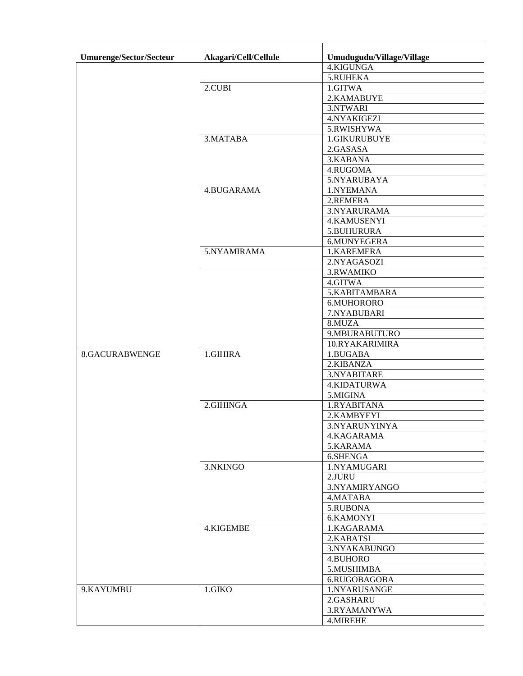| Umurenge/Sector/Secteur | Akagari/Cell/Cellule | Umudugudu/Village/Village |
|-------------------------|----------------------|---------------------------|
|                         |                      | 4.KIGUNGA                 |
|                         |                      | 5.RUHEKA                  |
|                         | 2.CUBI               | 1.GITWA                   |
|                         |                      | 2.KAMABUYE                |
|                         |                      | 3.NTWARI                  |
|                         |                      | 4.NYAKIGEZI               |
|                         |                      | 5.RWISHYWA                |
|                         | 3. MATABA            | 1.GIKURUBUYE              |
|                         |                      | 2.GASASA                  |
|                         |                      | 3.KABANA                  |
|                         |                      | 4.RUGOMA                  |
|                         |                      | 5.NYARUBAYA               |
|                         | 4.BUGARAMA           | 1.NYEMANA                 |
|                         |                      | 2.REMERA                  |
|                         |                      | 3.NYARURAMA               |
|                         |                      | 4.KAMUSENYI               |
|                         |                      | 5.BUHURURA                |
|                         |                      | 6.MUNYEGERA               |
|                         | 5.NYAMIRAMA          | 1.KAREMERA                |
|                         |                      | 2.NYAGASOZI               |
|                         |                      |                           |
|                         |                      | 3.RWAMIKO<br>4.GITWA      |
|                         |                      | 5.KABITAMBARA             |
|                         |                      |                           |
|                         |                      | 6.MUHORORO<br>7.NYABUBARI |
|                         |                      | 8.MUZA                    |
|                         |                      | 9.MBURABUTURO             |
|                         |                      | 10.RYAKARIMIRA            |
| 8.GACURABWENGE          | 1.GIHIRA             | 1.BUGABA                  |
|                         |                      | 2.KIBANZA                 |
|                         |                      | 3.NYABITARE               |
|                         |                      | 4.KIDATURWA               |
|                         |                      | 5.MIGINA                  |
|                         | 2.GIHINGA            | 1.RYABITANA               |
|                         |                      | 2.KAMBYEYI                |
|                         |                      | 3.NYARUNYINYA             |
|                         |                      | 4.KAGARAMA                |
|                         |                      | 5.KARAMA                  |
|                         |                      | 6.SHENGA                  |
|                         | 3.NKINGO             | 1.NYAMUGARI               |
|                         |                      | 2.JURU                    |
|                         |                      | 3.NYAMIRYANGO             |
|                         |                      | 4.MATABA                  |
|                         |                      | 5.RUBONA                  |
|                         |                      | 6.KAMONYI                 |
|                         | 4.KIGEMBE            | 1.KAGARAMA                |
|                         |                      |                           |
|                         |                      | 2.KABATSI<br>3.NYAKABUNGO |
|                         |                      | 4.BUHORO                  |
|                         |                      | 5.MUSHIMBA                |
|                         |                      |                           |
|                         |                      | 6.RUGOBAGOBA              |
| 9.KAYUMBU               | 1.GIKO               | 1.NYARUSANGE              |
|                         |                      | 2.GASHARU                 |
|                         |                      | 3.RYAMANYWA               |
|                         |                      | 4.MIREHE                  |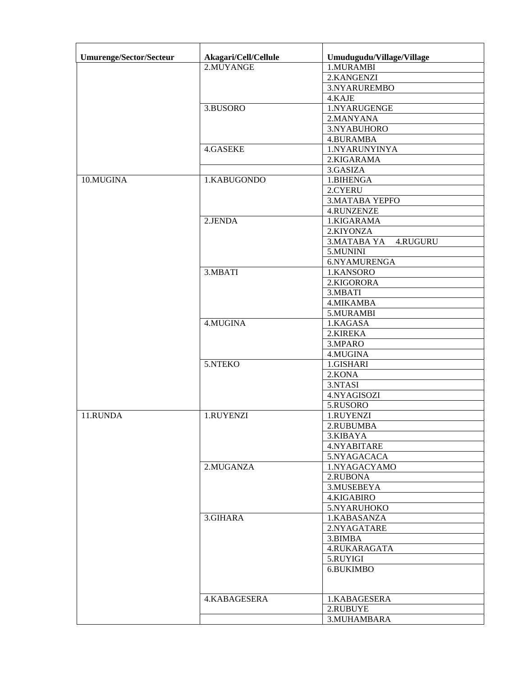| <b>Umurenge/Sector/Secteur</b> | Akagari/Cell/Cellule | Umudugudu/Village/Village |
|--------------------------------|----------------------|---------------------------|
|                                | 2.MUYANGE            | 1.MURAMBI                 |
|                                |                      | 2.KANGENZI                |
|                                |                      | 3.NYARUREMBO              |
|                                |                      | 4.KAJE                    |
|                                | 3.BUSORO             | 1.NYARUGENGE              |
|                                |                      | 2.MANYANA                 |
|                                |                      | 3.NYABUHORO               |
|                                |                      | 4.BURAMBA                 |
|                                | 4.GASEKE             | 1.NYARUNYINYA             |
|                                |                      | 2.KIGARAMA                |
|                                |                      | 3.GASIZA                  |
| 10.MUGINA                      | 1.KABUGONDO          | 1.BIHENGA                 |
|                                |                      | 2.CYERU                   |
|                                |                      |                           |
|                                |                      | <b>3.MATABA YEPFO</b>     |
|                                |                      | <b>4.RUNZENZE</b>         |
|                                | 2.JENDA              | 1.KIGARAMA                |
|                                |                      | 2.KIYONZA                 |
|                                |                      | 3. MATABA YA<br>4.RUGURU  |
|                                |                      | 5.MUNINI                  |
|                                |                      | 6.NYAMURENGA              |
|                                | 3.MBATI              | 1.KANSORO                 |
|                                |                      | 2.KIGORORA                |
|                                |                      | 3.MBATI                   |
|                                |                      | 4. MIKAMBA                |
|                                |                      | 5.MURAMBI                 |
|                                | 4.MUGINA             | 1.KAGASA                  |
|                                |                      | 2.KIREKA                  |
|                                |                      | 3.MPARO                   |
|                                |                      | 4.MUGINA                  |
|                                | 5.NTEKO              | 1.GISHARI                 |
|                                |                      | 2.KONA                    |
|                                |                      | 3.NTASI                   |
|                                |                      | 4.NYAGISOZI               |
|                                |                      | 5.RUSORO                  |
| 11.RUNDA                       | 1.RUYENZI            | 1.RUYENZI                 |
|                                |                      | 2.RUBUMBA                 |
|                                |                      | 3.KIBAYA                  |
|                                |                      | 4.NYABITARE               |
|                                |                      | 5.NYAGACACA               |
|                                | 2.MUGANZA            | 1.NYAGACYAMO              |
|                                |                      | 2.RUBONA                  |
|                                |                      | 3.MUSEBEYA                |
|                                |                      | 4.KIGABIRO                |
|                                |                      | 5.NYARUHOKO               |
|                                | 3.GIHARA             | 1.KABASANZA               |
|                                |                      | 2.NYAGATARE               |
|                                |                      | 3.BIMBA                   |
|                                |                      | 4.RUKARAGATA              |
|                                |                      | 5.RUYIGI                  |
|                                |                      | 6.BUKIMBO                 |
|                                |                      |                           |
|                                |                      |                           |
|                                | 4.KABAGESERA         | 1.KABAGESERA              |
|                                |                      | 2.RUBUYE                  |
|                                |                      | 3.MUHAMBARA               |
|                                |                      |                           |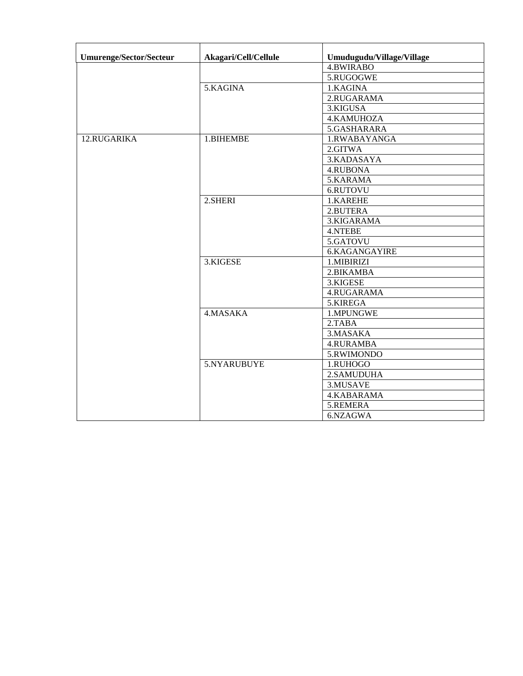| <b>Umurenge/Sector/Secteur</b> | Akagari/Cell/Cellule | Umudugudu/Village/Village |
|--------------------------------|----------------------|---------------------------|
|                                |                      | <b>4.BWIRABO</b>          |
|                                | 5.KAGINA             | 5.RUGOGWE                 |
|                                |                      | 1.KAGINA                  |
|                                |                      | 2.RUGARAMA                |
|                                |                      | 3.KIGUSA                  |
|                                |                      | 4.KAMUHOZA                |
|                                |                      | 5.GASHARARA               |
| 12.RUGARIKA                    | 1.BIHEMBE            | 1.RWABAYANGA              |
|                                |                      | 2.GITWA                   |
|                                |                      | 3.KADASAYA                |
|                                |                      | 4.RUBONA                  |
|                                |                      | 5.KARAMA                  |
|                                |                      | 6.RUTOVU                  |
|                                | 2.SHERI              | 1.KAREHE                  |
|                                |                      | 2.BUTERA                  |
|                                |                      | 3.KIGARAMA                |
|                                |                      | <b>4.NTEBE</b>            |
|                                |                      | 5.GATOVU                  |
|                                |                      | 6.KAGANGAYIRE             |
|                                | 3.KIGESE             | 1.MIBIRIZI                |
|                                |                      | 2.BIKAMBA                 |
|                                |                      | 3.KIGESE                  |
|                                |                      | 4.RUGARAMA                |
|                                |                      | 5.KIREGA                  |
|                                | 4.MASAKA             | 1.MPUNGWE                 |
|                                |                      | 2.TABA                    |
|                                |                      | 3. MASAKA                 |
|                                |                      | <b>4.RURAMBA</b>          |
|                                |                      | 5.RWIMONDO                |
|                                | 5.NYARUBUYE          | 1.RUHOGO                  |
|                                |                      | 2.SAMUDUHA                |
|                                |                      | 3.MUSAVE                  |
|                                |                      | 4.KABARAMA                |
|                                |                      | 5.REMERA                  |
|                                |                      | 6.NZAGWA                  |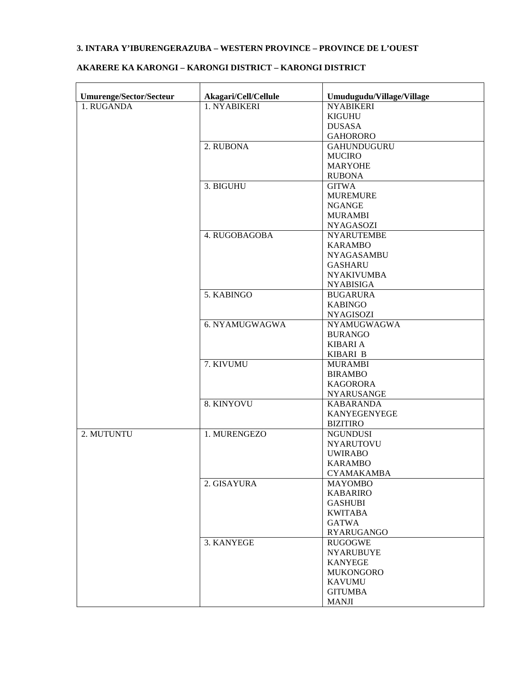#### **3. INTARA Y'IBURENGERAZUBA – WESTERN PROVINCE – PROVINCE DE L'OUEST**

#### **Umurenge/Sector/Secteur Akagari/Cell/Cellule Umudugudu/Village/Village**  1. NYABIKERI NYABIKERI KIGUHU DUSASA **GAHORORO** 2. RUBONA GAHUNDUGURU MUCIRO MARYOHE RUBONA 3. BIGUHU GITWA MUREMURE NGANGE MURAMBI NYAGASOZI<br>NYARUTEMBE 4. RUGOBAGOBA KARAMBO NYAGASAMBU GASHARU NYAKIVUMBA NYABISIGA 5. KABINGO BUGARURA KABINGO NYAGISOZI 6. NYAMUGWAGWA NYAMUGWAGWA BURANGO KIBARI A KIBARI B 7. KIVUMU MURAMBI BIRAMBO KAGORORA NYARUSANGE 1. RUGANDA 8. KINYOVU KABARANDA KANYEGENYEGE BIZITIRO 1. MURENGEZO NYARUTOVU UWIRABO KARAMBO CYAMAKAMBA 2. GISAYURA MAYOMBO KABARIRO GASHUBI KWITABA GATWA RYARUGANGO 2. MUTUNTU 3. KANYEGE RUGOGWE NYARUBUYE KANYEGE MUKONGORO KAVUMU GITUMBA MANJI

#### **AKARERE KA KARONGI – KARONGI DISTRICT – KARONGI DISTRICT**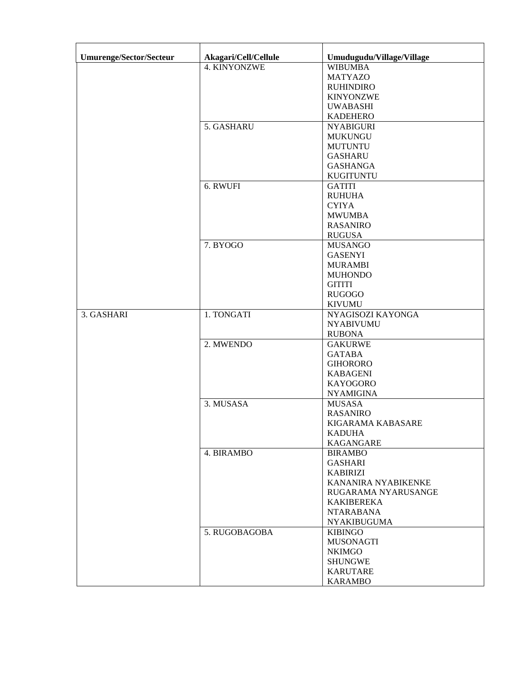| <b>Umurenge/Sector/Secteur</b> | Akagari/Cell/Cellule | Umudugudu/Village/Village |
|--------------------------------|----------------------|---------------------------|
|                                | 4. KINYONZWE         | <b>WIBUMBA</b>            |
|                                |                      | <b>MATYAZO</b>            |
|                                |                      | <b>RUHINDIRO</b>          |
|                                |                      | <b>KINYONZWE</b>          |
|                                |                      | <b>UWABASHI</b>           |
|                                |                      | <b>KADEHERO</b>           |
|                                | 5. GASHARU           |                           |
|                                |                      | <b>NYABIGURI</b>          |
|                                |                      | <b>MUKUNGU</b>            |
|                                |                      | <b>MUTUNTU</b>            |
|                                |                      | <b>GASHARU</b>            |
|                                |                      | <b>GASHANGA</b>           |
|                                |                      | <b>KUGITUNTU</b>          |
|                                | 6. RWUFI             | <b>GATITI</b>             |
|                                |                      | <b>RUHUHA</b>             |
|                                |                      | <b>CYIYA</b>              |
|                                |                      | <b>MWUMBA</b>             |
|                                |                      | <b>RASANIRO</b>           |
|                                |                      | <b>RUGUSA</b>             |
|                                | 7. BYOGO             | <b>MUSANGO</b>            |
|                                |                      | <b>GASENYI</b>            |
|                                |                      | <b>MURAMBI</b>            |
|                                |                      | <b>MUHONDO</b>            |
|                                |                      | <b>GITITI</b>             |
|                                |                      | <b>RUGOGO</b>             |
|                                |                      | <b>KIVUMU</b>             |
| 3. GASHARI                     | 1. TONGATI           | NYAGISOZI KAYONGA         |
|                                |                      | <b>NYABIVUMU</b>          |
|                                |                      | <b>RUBONA</b>             |
|                                | 2. MWENDO            | <b>GAKURWE</b>            |
|                                |                      | <b>GATABA</b>             |
|                                |                      | <b>GIHORORO</b>           |
|                                |                      | <b>KABAGENI</b>           |
|                                |                      | <b>KAYOGORO</b>           |
|                                |                      | <b>NYAMIGINA</b>          |
|                                | 3. MUSASA            | <b>MUSASA</b>             |
|                                |                      | <b>RASANIRO</b>           |
|                                |                      | KIGARAMA KABASARE         |
|                                |                      | <b>KADUHA</b>             |
|                                |                      | <b>KAGANGARE</b>          |
|                                | 4. BIRAMBO           | <b>BIRAMBO</b>            |
|                                |                      | <b>GASHARI</b>            |
|                                |                      | <b>KABIRIZI</b>           |
|                                |                      | KANANIRA NYABIKENKE       |
|                                |                      | RUGARAMA NYARUSANGE       |
|                                |                      | KAKIBEREKA                |
|                                |                      | <b>NTARABANA</b>          |
|                                |                      | <b>NYAKIBUGUMA</b>        |
|                                | 5. RUGOBAGOBA        | <b>KIBINGO</b>            |
|                                |                      | <b>MUSONAGTI</b>          |
|                                |                      | <b>NKIMGO</b>             |
|                                |                      | <b>SHUNGWE</b>            |
|                                |                      | <b>KARUTARE</b>           |
|                                |                      | <b>KARAMBO</b>            |
|                                |                      |                           |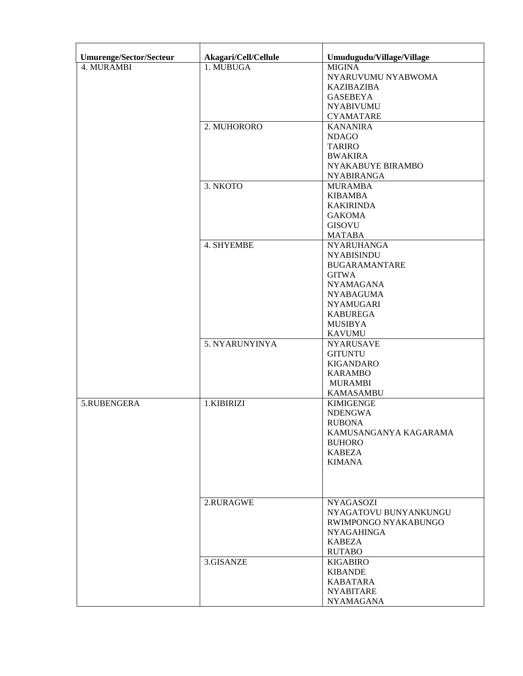| Umurenge/Sector/Secteur | Akagari/Cell/Cellule | Umudugudu/Village/Village              |
|-------------------------|----------------------|----------------------------------------|
| 4. MURAMBI              | 1. MUBUGA            | <b>MIGINA</b>                          |
|                         |                      | NYARUVUMU NYABWOMA                     |
|                         |                      | <b>KAZIBAZIBA</b>                      |
|                         |                      | <b>GASEBEYA</b>                        |
|                         |                      | <b>NYABIVUMU</b>                       |
|                         |                      | <b>CYAMATARE</b>                       |
|                         | 2. MUHORORO          | <b>KANANIRA</b>                        |
|                         |                      | <b>NDAGO</b>                           |
|                         |                      | <b>TARIRO</b>                          |
|                         |                      | <b>BWAKIRA</b>                         |
|                         |                      | NYAKABUYE BIRAMBO                      |
|                         |                      | <b>NYABIRANGA</b>                      |
|                         | 3. NKOTO             | <b>MURAMBA</b>                         |
|                         |                      | <b>KIBAMBA</b>                         |
|                         |                      | <b>KAKIRINDA</b><br><b>GAKOMA</b>      |
|                         |                      | GISOVU                                 |
|                         |                      |                                        |
|                         |                      | <b>MATABA</b>                          |
|                         | 4. SHYEMBE           | <b>NYARUHANGA</b><br><b>NYABISINDU</b> |
|                         |                      | <b>BUGARAMANTARE</b>                   |
|                         |                      | <b>GITWA</b>                           |
|                         |                      | <b>NYAMAGANA</b>                       |
|                         |                      | <b>NYABAGUMA</b>                       |
|                         |                      | <b>NYAMUGARI</b>                       |
|                         |                      | <b>KABUREGA</b>                        |
|                         |                      | <b>MUSIBYA</b>                         |
|                         |                      | <b>KAVUMU</b>                          |
|                         | 5. NYARUNYINYA       | <b>NYARUSAVE</b>                       |
|                         |                      | <b>GITUNTU</b>                         |
|                         |                      | <b>KIGANDARO</b>                       |
|                         |                      | <b>KARAMBO</b>                         |
|                         |                      | <b>MURAMBI</b>                         |
|                         |                      | <b>KAMASAMBU</b>                       |
| 5.RUBENGERA             | 1.KIBIRIZI           | <b>KIMIGENGE</b>                       |
|                         |                      | <b>NDENGWA</b>                         |
|                         |                      | <b>RUBONA</b>                          |
|                         |                      | KAMUSANGANYA KAGARAMA                  |
|                         |                      | <b>BUHORO</b>                          |
|                         |                      | <b>KABEZA</b>                          |
|                         |                      | <b>KIMANA</b>                          |
|                         |                      |                                        |
|                         |                      |                                        |
|                         | 2.RURAGWE            | <b>NYAGASOZI</b>                       |
|                         |                      | NYAGATOVU BUNYANKUNGU                  |
|                         |                      | RWIMPONGO NYAKABUNGO                   |
|                         |                      | <b>NYAGAHINGA</b>                      |
|                         |                      | <b>KABEZA</b>                          |
|                         |                      | <b>RUTABO</b>                          |
|                         | 3.GISANZE            | <b>KIGABIRO</b>                        |
|                         |                      | <b>KIBANDE</b>                         |
|                         |                      | <b>KABATARA</b>                        |
|                         |                      | <b>NYABITARE</b>                       |
|                         |                      | <b>NYAMAGANA</b>                       |
|                         |                      |                                        |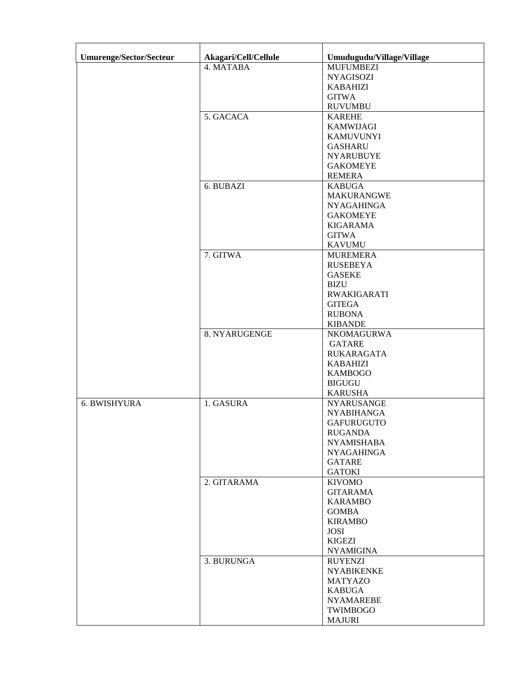| <b>Umurenge/Sector/Secteur</b> | Akagari/Cell/Cellule | Umudugudu/Village/Village |
|--------------------------------|----------------------|---------------------------|
|                                | 4. MATABA            | <b>MUFUMBEZI</b>          |
|                                |                      | <b>NYAGISOZI</b>          |
|                                |                      | <b>KABAHIZI</b>           |
|                                |                      | <b>GITWA</b>              |
|                                |                      | <b>RUVUMBU</b>            |
|                                | 5. GACACA            | <b>KAREHE</b>             |
|                                |                      | <b>KAMWIJAGI</b>          |
|                                |                      | <b>KAMUVUNYI</b>          |
|                                |                      |                           |
|                                |                      | <b>GASHARU</b>            |
|                                |                      | <b>NYARUBUYE</b>          |
|                                |                      | <b>GAKOMEYE</b>           |
|                                |                      | <b>REMERA</b>             |
|                                | 6. BUBAZI            | <b>KABUGA</b>             |
|                                |                      | <b>MAKURANGWE</b>         |
|                                |                      | <b>NYAGAHINGA</b>         |
|                                |                      | <b>GAKOMEYE</b>           |
|                                |                      | <b>KIGARAMA</b>           |
|                                |                      | <b>GITWA</b>              |
|                                |                      | <b>KAVUMU</b>             |
|                                | 7. GITWA             | <b>MUREMERA</b>           |
|                                |                      | <b>RUSEBEYA</b>           |
|                                |                      | <b>GASEKE</b>             |
|                                |                      | <b>BIZU</b>               |
|                                |                      | <b>RWAKIGARATI</b>        |
|                                |                      | <b>GITEGA</b>             |
|                                |                      | <b>RUBONA</b>             |
|                                |                      | <b>KIBANDE</b>            |
|                                | 8. NYARUGENGE        | NKOMAGURWA                |
|                                |                      | <b>GATARE</b>             |
|                                |                      | <b>RUKARAGATA</b>         |
|                                |                      | <b>KABAHIZI</b>           |
|                                |                      | <b>KAMBOGO</b>            |
|                                |                      | <b>BIGUGU</b>             |
|                                |                      | <b>KARUSHA</b>            |
| 6. BWISHYURA                   | 1. GASURA            | <b>NYARUSANGE</b>         |
|                                |                      | <b>NYABIHANGA</b>         |
|                                |                      | <b>GAFURUGUTO</b>         |
|                                |                      | <b>RUGANDA</b>            |
|                                |                      | <b>NYAMISHABA</b>         |
|                                |                      | <b>NYAGAHINGA</b>         |
|                                |                      | <b>GATARE</b>             |
|                                |                      | <b>GATOKI</b>             |
|                                | 2. GITARAMA          | <b>KIVOMO</b>             |
|                                |                      | <b>GITARAMA</b>           |
|                                |                      | <b>KARAMBO</b>            |
|                                |                      | <b>GOMBA</b>              |
|                                |                      | <b>KIRAMBO</b>            |
|                                |                      | <b>JOSI</b>               |
|                                |                      | <b>KIGEZI</b>             |
|                                |                      | <b>NYAMIGINA</b>          |
|                                | 3. BURUNGA           | <b>RUYENZI</b>            |
|                                |                      | <b>NYABIKENKE</b>         |
|                                |                      | <b>MATYAZO</b>            |
|                                |                      | <b>KABUGA</b>             |
|                                |                      | <b>NYAMAREBE</b>          |
|                                |                      | TWIMBOGO                  |
|                                |                      |                           |
|                                |                      | <b>MAJURI</b>             |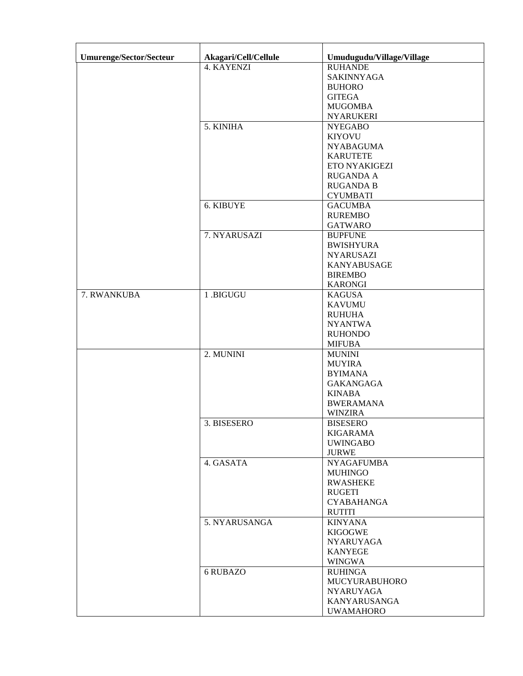| Umurenge/Sector/Secteur | Akagari/Cell/Cellule | Umudugudu/Village/Village |
|-------------------------|----------------------|---------------------------|
|                         | 4. KAYENZI           | <b>RUHANDE</b>            |
|                         |                      | SAKINNYAGA                |
|                         |                      | <b>BUHORO</b>             |
|                         |                      | <b>GITEGA</b>             |
|                         |                      | <b>MUGOMBA</b>            |
|                         |                      | <b>NYARUKERI</b>          |
|                         | 5. KINIHA            | <b>NYEGABO</b>            |
|                         |                      | <b>KIYOVU</b>             |
|                         |                      |                           |
|                         |                      | <b>NYABAGUMA</b>          |
|                         |                      | <b>KARUTETE</b>           |
|                         |                      | ETO NYAKIGEZI             |
|                         |                      | <b>RUGANDA A</b>          |
|                         |                      | <b>RUGANDA B</b>          |
|                         |                      | <b>CYUMBATI</b>           |
|                         | 6. KIBUYE            | <b>GACUMBA</b>            |
|                         |                      | <b>RUREMBO</b>            |
|                         |                      | <b>GATWARO</b>            |
|                         | 7. NYARUSAZI         | <b>BUPFUNE</b>            |
|                         |                      | <b>BWISHYURA</b>          |
|                         |                      | <b>NYARUSAZI</b>          |
|                         |                      | <b>KANYABUSAGE</b>        |
|                         |                      | <b>BIREMBO</b>            |
|                         |                      | <b>KARONGI</b>            |
| 7. RWANKUBA             | 1.BIGUGU             | <b>KAGUSA</b>             |
|                         |                      | <b>KAVUMU</b>             |
|                         |                      | <b>RUHUHA</b>             |
|                         |                      | <b>NYANTWA</b>            |
|                         |                      | <b>RUHONDO</b>            |
|                         |                      | <b>MIFUBA</b>             |
|                         | 2. MUNINI            | <b>MUNINI</b>             |
|                         |                      | <b>MUYIRA</b>             |
|                         |                      | <b>BYIMANA</b>            |
|                         |                      | <b>GAKANGAGA</b>          |
|                         |                      | <b>KINABA</b>             |
|                         |                      | <b>BWERAMANA</b>          |
|                         |                      | <b>WINZIRA</b>            |
|                         |                      |                           |
|                         | 3. BISESERO          | <b>BISESERO</b>           |
|                         |                      | <b>KIGARAMA</b>           |
|                         |                      | <b>UWINGABO</b>           |
|                         |                      | <b>JURWE</b>              |
|                         | 4. GASATA            | <b>NYAGAFUMBA</b>         |
|                         |                      | <b>MUHINGO</b>            |
|                         |                      | <b>RWASHEKE</b>           |
|                         |                      | <b>RUGETI</b>             |
|                         |                      | <b>CYABAHANGA</b>         |
|                         |                      | <b>RUTITI</b>             |
|                         | 5. NYARUSANGA        | <b>KINYANA</b>            |
|                         |                      | <b>KIGOGWE</b>            |
|                         |                      | <b>NYARUYAGA</b>          |
|                         |                      | <b>KANYEGE</b>            |
|                         |                      | <b>WINGWA</b>             |
|                         | 6 RUBAZO             | <b>RUHINGA</b>            |
|                         |                      | MUCYURABUHORO             |
|                         |                      | <b>NYARUYAGA</b>          |
|                         |                      | KANYARUSANGA              |
|                         |                      | <b>UWAMAHORO</b>          |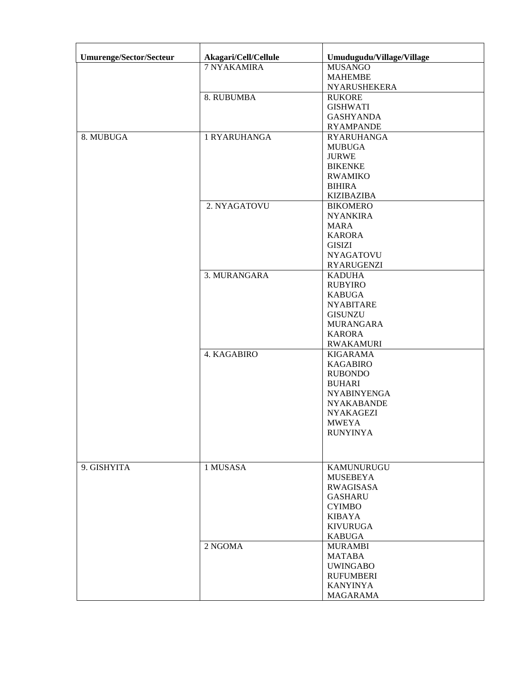| Umurenge/Sector/Secteur | Akagari/Cell/Cellule | Umudugudu/Village/Village           |
|-------------------------|----------------------|-------------------------------------|
|                         | 7 NYAKAMIRA          | <b>MUSANGO</b>                      |
|                         |                      | <b>MAHEMBE</b>                      |
|                         |                      | <b>NYARUSHEKERA</b>                 |
|                         | 8. RUBUMBA           | <b>RUKORE</b>                       |
|                         |                      | <b>GISHWATI</b>                     |
|                         |                      | <b>GASHYANDA</b>                    |
|                         |                      | <b>RYAMPANDE</b>                    |
| 8. MUBUGA               | 1 RYARUHANGA         | <b>RYARUHANGA</b>                   |
|                         |                      | <b>MUBUGA</b>                       |
|                         |                      | <b>JURWE</b>                        |
|                         |                      | <b>BIKENKE</b>                      |
|                         |                      | <b>RWAMIKO</b>                      |
|                         |                      | <b>BIHIRA</b>                       |
|                         |                      | <b>KIZIBAZIBA</b>                   |
|                         | 2. NYAGATOVU         | <b>BIKOMERO</b>                     |
|                         |                      | <b>NYANKIRA</b>                     |
|                         |                      | <b>MARA</b>                         |
|                         |                      | <b>KARORA</b>                       |
|                         |                      |                                     |
|                         |                      | <b>GISIZI</b><br><b>NYAGATOVU</b>   |
|                         |                      |                                     |
|                         |                      | <b>RYARUGENZI</b>                   |
|                         | 3. MURANGARA         | <b>KADUHA</b>                       |
|                         |                      | <b>RUBYIRO</b>                      |
|                         |                      | <b>KABUGA</b>                       |
|                         |                      | <b>NYABITARE</b>                    |
|                         |                      | <b>GISUNZU</b>                      |
|                         |                      | <b>MURANGARA</b>                    |
|                         |                      | <b>KARORA</b>                       |
|                         | 4. KAGABIRO          | <b>RWAKAMURI</b><br><b>KIGARAMA</b> |
|                         |                      | <b>KAGABIRO</b>                     |
|                         |                      | <b>RUBONDO</b>                      |
|                         |                      | <b>BUHARI</b>                       |
|                         |                      | <b>NYABINYENGA</b>                  |
|                         |                      | <b>NYAKABANDE</b>                   |
|                         |                      |                                     |
|                         |                      | <b>NYAKAGEZI</b><br><b>MWEYA</b>    |
|                         |                      | <b>RUNYINYA</b>                     |
|                         |                      |                                     |
|                         |                      |                                     |
|                         |                      |                                     |
| 9. GISHYITA             | 1 MUSASA             | KAMUNURUGU                          |
|                         |                      | <b>MUSEBEYA</b>                     |
|                         |                      | <b>RWAGISASA</b>                    |
|                         |                      | <b>GASHARU</b>                      |
|                         |                      | <b>CYIMBO</b>                       |
|                         |                      | <b>KIBAYA</b>                       |
|                         |                      | <b>KIVURUGA</b>                     |
|                         |                      | <b>KABUGA</b>                       |
|                         | 2 NGOMA              | <b>MURAMBI</b>                      |
|                         |                      | <b>MATABA</b>                       |
|                         |                      | <b>UWINGABO</b>                     |
|                         |                      | <b>RUFUMBERI</b>                    |
|                         |                      | <b>KANYINYA</b>                     |
|                         |                      | <b>MAGARAMA</b>                     |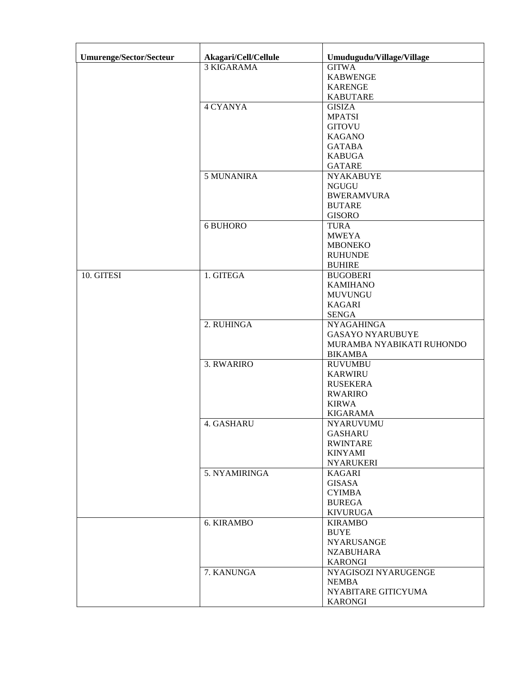| <b>Umurenge/Sector/Secteur</b> | Akagari/Cell/Cellule | Umudugudu/Village/Village |
|--------------------------------|----------------------|---------------------------|
|                                | <b>3 KIGARAMA</b>    | <b>GITWA</b>              |
|                                |                      | <b>KABWENGE</b>           |
|                                |                      | <b>KARENGE</b>            |
|                                |                      | <b>KABUTARE</b>           |
|                                | <b>4 CYANYA</b>      | <b>GISIZA</b>             |
|                                |                      | <b>MPATSI</b>             |
|                                |                      | <b>GITOVU</b>             |
|                                |                      | <b>KAGANO</b>             |
|                                |                      | <b>GATABA</b>             |
|                                |                      | <b>KABUGA</b>             |
|                                |                      | <b>GATARE</b>             |
|                                | 5 MUNANIRA           | <b>NYAKABUYE</b>          |
|                                |                      | <b>NGUGU</b>              |
|                                |                      | <b>BWERAMVURA</b>         |
|                                |                      | <b>BUTARE</b>             |
|                                |                      | <b>GISORO</b>             |
|                                | 6 BUHORO             | <b>TURA</b>               |
|                                |                      | <b>MWEYA</b>              |
|                                |                      | <b>MBONEKO</b>            |
|                                |                      | <b>RUHUNDE</b>            |
|                                |                      | <b>BUHIRE</b>             |
| 10. GITESI                     | 1. GITEGA            | <b>BUGOBERI</b>           |
|                                |                      | <b>KAMIHANO</b>           |
|                                |                      | <b>MUVUNGU</b>            |
|                                |                      | <b>KAGARI</b>             |
|                                |                      | <b>SENGA</b>              |
|                                | 2. RUHINGA           | <b>NYAGAHINGA</b>         |
|                                |                      | <b>GASAYO NYARUBUYE</b>   |
|                                |                      | MURAMBA NYABIKATI RUHONDO |
|                                |                      | <b>BIKAMBA</b>            |
|                                | 3. RWARIRO           | <b>RUVUMBU</b>            |
|                                |                      | <b>KARWIRU</b>            |
|                                |                      | <b>RUSEKERA</b>           |
|                                |                      | <b>RWARIRO</b>            |
|                                |                      | <b>KIRWA</b>              |
|                                |                      | <b>KIGARAMA</b>           |
|                                | 4. GASHARU           | <b>NYARUVUMU</b>          |
|                                |                      | <b>GASHARU</b>            |
|                                |                      | <b>RWINTARE</b>           |
|                                |                      | <b>KINYAMI</b>            |
|                                |                      | <b>NYARUKERI</b>          |
|                                | 5. NYAMIRINGA        | <b>KAGARI</b>             |
|                                |                      | GISASA                    |
|                                |                      | <b>CYIMBA</b>             |
|                                |                      | <b>BUREGA</b>             |
|                                |                      | <b>KIVURUGA</b>           |
|                                | 6. KIRAMBO           | <b>KIRAMBO</b>            |
|                                |                      | <b>BUYE</b>               |
|                                |                      | <b>NYARUSANGE</b>         |
|                                |                      | <b>NZABUHARA</b>          |
|                                |                      | <b>KARONGI</b>            |
|                                | 7. KANUNGA           | NYAGISOZI NYARUGENGE      |
|                                |                      | <b>NEMBA</b>              |
|                                |                      | NYABITARE GITICYUMA       |
|                                |                      | <b>KARONGI</b>            |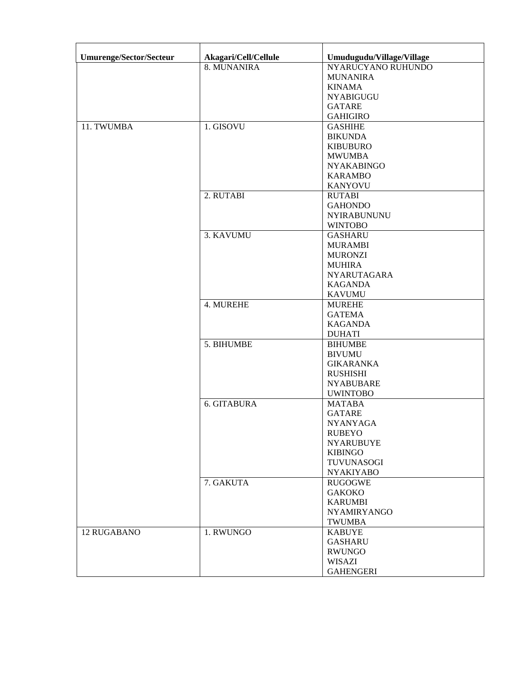| Umurenge/Sector/Secteur | Akagari/Cell/Cellule | Umudugudu/Village/Village |
|-------------------------|----------------------|---------------------------|
|                         | 8. MUNANIRA          | NYARUCYANO RUHUNDO        |
|                         |                      | <b>MUNANIRA</b>           |
|                         |                      | <b>KINAMA</b>             |
|                         |                      | <b>NYABIGUGU</b>          |
|                         |                      | <b>GATARE</b>             |
|                         |                      | <b>GAHIGIRO</b>           |
|                         |                      |                           |
| 11. TWUMBA              | 1. GISOVU            | <b>GASHIHE</b>            |
|                         |                      | <b>BIKUNDA</b>            |
|                         |                      | <b>KIBUBURO</b>           |
|                         |                      | <b>MWUMBA</b>             |
|                         |                      | <b>NYAKABINGO</b>         |
|                         |                      | <b>KARAMBO</b>            |
|                         |                      | <b>KANYOVU</b>            |
|                         | 2. RUTABI            | <b>RUTABI</b>             |
|                         |                      | <b>GAHONDO</b>            |
|                         |                      | <b>NYIRABUNUNU</b>        |
|                         |                      | <b>WINTOBO</b>            |
|                         | 3. KAVUMU            | <b>GASHARU</b>            |
|                         |                      | <b>MURAMBI</b>            |
|                         |                      | <b>MURONZI</b>            |
|                         |                      | <b>MUHIRA</b>             |
|                         |                      |                           |
|                         |                      | NYARUTAGARA               |
|                         |                      | <b>KAGANDA</b>            |
|                         |                      | <b>KAVUMU</b>             |
|                         | 4. MUREHE            | <b>MUREHE</b>             |
|                         |                      | <b>GATEMA</b>             |
|                         |                      | <b>KAGANDA</b>            |
|                         |                      | <b>DUHATI</b>             |
|                         | 5. BIHUMBE           | <b>BIHUMBE</b>            |
|                         |                      | <b>BIVUMU</b>             |
|                         |                      | <b>GIKARANKA</b>          |
|                         |                      | <b>RUSHISHI</b>           |
|                         |                      | <b>NYABUBARE</b>          |
|                         |                      | <b>UWINTOBO</b>           |
|                         | 6. GITABURA          | <b>MATABA</b>             |
|                         |                      | <b>GATARE</b>             |
|                         |                      | <b>NYANYAGA</b>           |
|                         |                      | <b>RUBEYO</b>             |
|                         |                      | <b>NYARUBUYE</b>          |
|                         |                      | <b>KIBINGO</b>            |
|                         |                      | <b>TUVUNASOGI</b>         |
|                         |                      |                           |
|                         |                      | <b>NYAKIYABO</b>          |
|                         | 7. GAKUTA            | <b>RUGOGWE</b>            |
|                         |                      | <b>GAKOKO</b>             |
|                         |                      | <b>KARUMBI</b>            |
|                         |                      | <b>NYAMIRYANGO</b>        |
|                         |                      | <b>TWUMBA</b>             |
| <b>12 RUGABANO</b>      | 1. RWUNGO            | <b>KABUYE</b>             |
|                         |                      | <b>GASHARU</b>            |
|                         |                      | <b>RWUNGO</b>             |
|                         |                      | WISAZI                    |
|                         |                      | <b>GAHENGERI</b>          |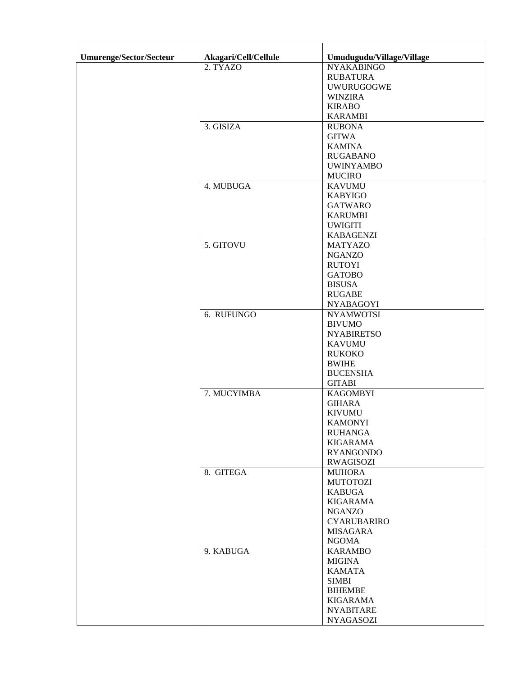| Umurenge/Sector/Secteur | Akagari/Cell/Cellule | Umudugudu/Village/Village |
|-------------------------|----------------------|---------------------------|
|                         | 2. TYAZO             | <b>NYAKABINGO</b>         |
|                         |                      | <b>RUBATURA</b>           |
|                         |                      | UWURUGOGWE                |
|                         |                      | <b>WINZIRA</b>            |
|                         |                      | <b>KIRABO</b>             |
|                         |                      | <b>KARAMBI</b>            |
|                         |                      |                           |
|                         | 3. GISIZA            | <b>RUBONA</b>             |
|                         |                      | <b>GITWA</b>              |
|                         |                      | <b>KAMINA</b>             |
|                         |                      | <b>RUGABANO</b>           |
|                         |                      | <b>UWINYAMBO</b>          |
|                         |                      | <b>MUCIRO</b>             |
|                         | 4. MUBUGA            | <b>KAVUMU</b>             |
|                         |                      | <b>KABYIGO</b>            |
|                         |                      | <b>GATWARO</b>            |
|                         |                      | <b>KARUMBI</b>            |
|                         |                      | <b>UWIGITI</b>            |
|                         |                      | <b>KABAGENZI</b>          |
|                         | 5. GITOVU            | <b>MATYAZO</b>            |
|                         |                      | <b>NGANZO</b>             |
|                         |                      | <b>RUTOYI</b>             |
|                         |                      | <b>GATOBO</b>             |
|                         |                      | <b>BISUSA</b>             |
|                         |                      | <b>RUGABE</b>             |
|                         |                      | <b>NYABAGOYI</b>          |
|                         | 6. RUFUNGO           | <b>NYAMWOTSI</b>          |
|                         |                      | <b>BIVUMO</b>             |
|                         |                      | <b>NYABIRETSO</b>         |
|                         |                      | <b>KAVUMU</b>             |
|                         |                      | <b>RUKOKO</b>             |
|                         |                      | <b>BWIHE</b>              |
|                         |                      | <b>BUCENSHA</b>           |
|                         |                      | <b>GITABI</b>             |
|                         | 7. MUCYIMBA          | <b>KAGOMBYI</b>           |
|                         |                      | <b>GIHARA</b>             |
|                         |                      | <b>KIVUMU</b>             |
|                         |                      |                           |
|                         |                      | <b>KAMONYI</b>            |
|                         |                      | <b>RUHANGA</b>            |
|                         |                      | <b>KIGARAMA</b>           |
|                         |                      | <b>RYANGONDO</b>          |
|                         |                      | <b>RWAGISOZI</b>          |
|                         | 8. GITEGA            | <b>MUHORA</b>             |
|                         |                      | <b>MUTOTOZI</b>           |
|                         |                      | <b>KABUGA</b>             |
|                         |                      | <b>KIGARAMA</b>           |
|                         |                      | <b>NGANZO</b>             |
|                         |                      | <b>CYARUBARIRO</b>        |
|                         |                      | <b>MISAGARA</b>           |
|                         |                      | <b>NGOMA</b>              |
|                         | 9. KABUGA            | <b>KARAMBO</b>            |
|                         |                      | <b>MIGINA</b>             |
|                         |                      | <b>KAMATA</b>             |
|                         |                      | <b>SIMBI</b>              |
|                         |                      | <b>BIHEMBE</b>            |
|                         |                      | <b>KIGARAMA</b>           |
|                         |                      | <b>NYABITARE</b>          |
|                         |                      | <b>NYAGASOZI</b>          |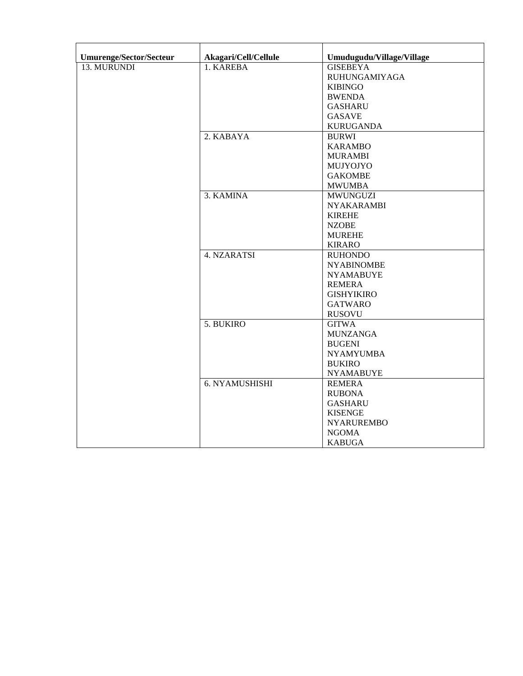| <b>Umurenge/Sector/Secteur</b> | Akagari/Cell/Cellule | Umudugudu/Village/Village |
|--------------------------------|----------------------|---------------------------|
| 13. MURUNDI                    | 1. KAREBA            | <b>GISEBEYA</b>           |
|                                |                      | <b>RUHUNGAMIYAGA</b>      |
|                                |                      | <b>KIBINGO</b>            |
|                                |                      | <b>BWENDA</b>             |
|                                |                      | <b>GASHARU</b>            |
|                                |                      | <b>GASAVE</b>             |
|                                |                      | <b>KURUGANDA</b>          |
|                                | 2. KABAYA            | <b>BURWI</b>              |
|                                |                      | <b>KARAMBO</b>            |
|                                |                      | <b>MURAMBI</b>            |
|                                |                      | MUJYOJYO                  |
|                                |                      | <b>GAKOMBE</b>            |
|                                |                      | <b>MWUMBA</b>             |
|                                | 3. KAMINA            | <b>MWUNGUZI</b>           |
|                                |                      | <b>NYAKARAMBI</b>         |
|                                |                      | <b>KIREHE</b>             |
|                                |                      | <b>NZOBE</b>              |
|                                |                      | <b>MUREHE</b>             |
|                                |                      | <b>KIRARO</b>             |
|                                | 4. NZARATSI          | <b>RUHONDO</b>            |
|                                |                      | <b>NYABINOMBE</b>         |
|                                |                      | <b>NYAMABUYE</b>          |
|                                |                      | <b>REMERA</b>             |
|                                |                      | <b>GISHYIKIRO</b>         |
|                                |                      | <b>GATWARO</b>            |
|                                |                      | <b>RUSOVU</b>             |
|                                | 5. BUKIRO            | <b>GITWA</b>              |
|                                |                      | <b>MUNZANGA</b>           |
|                                |                      | <b>BUGENI</b>             |
|                                |                      | <b>NYAMYUMBA</b>          |
|                                |                      | <b>BUKIRO</b>             |
|                                |                      | <b>NYAMABUYE</b>          |
|                                | 6. NYAMUSHISHI       | <b>REMERA</b>             |
|                                |                      | <b>RUBONA</b>             |
|                                |                      | <b>GASHARU</b>            |
|                                |                      | <b>KISENGE</b>            |
|                                |                      | <b>NYARUREMBO</b>         |
|                                |                      | <b>NGOMA</b>              |
|                                |                      | <b>KABUGA</b>             |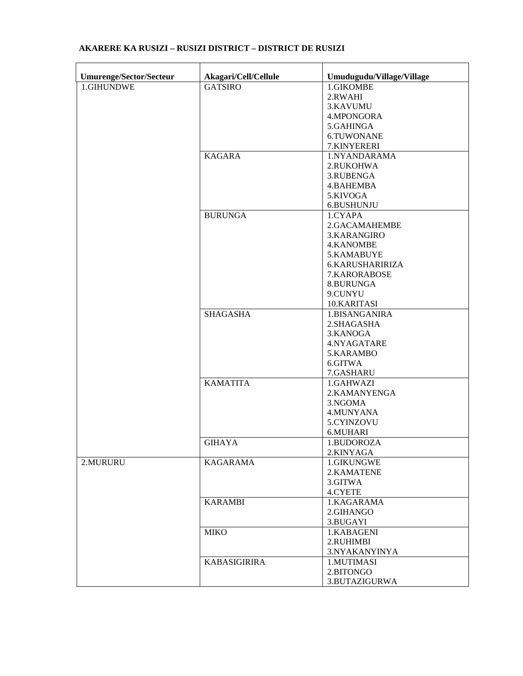| Umurenge/Sector/Secteur | Akagari/Cell/Cellule | Umudugudu/Village/Village |
|-------------------------|----------------------|---------------------------|
| 1.GIHUNDWE              | <b>GATSIRO</b>       | 1.GIKOMBE                 |
|                         |                      | 2.RWAHI                   |
|                         |                      | 3.KAVUMU                  |
|                         |                      | 4.MPONGORA                |
|                         |                      | 5.GAHINGA                 |
|                         |                      | 6.TUWONANE                |
|                         |                      | 7.KINYERERI               |
|                         | <b>KAGARA</b>        | 1.NYANDARAMA              |
|                         |                      | 2.RUKOHWA                 |
|                         |                      | 3.RUBENGA                 |
|                         |                      |                           |
|                         |                      | 4.BAHEMBA                 |
|                         |                      | 5.KIVOGA                  |
|                         |                      | 6.BUSHUNJU                |
|                         | <b>BURUNGA</b>       | 1.CYAPA                   |
|                         |                      | 2.GACAMAHEMBE             |
|                         |                      | 3.KARANGIRO               |
|                         |                      | <b>4.KANOMBE</b>          |
|                         |                      | 5.KAMABUYE                |
|                         |                      | <b>6.KARUSHARIRIZA</b>    |
|                         |                      | 7.KARORABOSE              |
|                         |                      | 8.BURUNGA                 |
|                         |                      | 9.CUNYU                   |
|                         |                      | 10.KARITASI               |
|                         | <b>SHAGASHA</b>      | 1.BISANGANIRA             |
|                         |                      | 2.SHAGASHA                |
|                         |                      | 3.KANOGA                  |
|                         |                      | 4.NYAGATARE               |
|                         |                      | 5.KARAMBO                 |
|                         |                      | 6.GITWA                   |
|                         |                      | 7.GASHARU                 |
|                         | <b>KAMATITA</b>      | 1.GAHWAZI                 |
|                         |                      | 2.KAMANYENGA              |
|                         |                      | 3.NGOMA                   |
|                         |                      | 4.MUNYANA                 |
|                         |                      | 5.CYINZOVU                |
|                         |                      | 6.MUHARI                  |
|                         | <b>GIHAYA</b>        | 1.BUDOROZA                |
|                         |                      | 2.KINYAGA                 |
| 2.MURURU                | <b>KAGARAMA</b>      | 1.GIKUNGWE                |
|                         |                      | 2.KAMATENE                |
|                         |                      | 3.GITWA                   |
|                         |                      | 4.CYETE                   |
|                         | <b>KARAMBI</b>       | 1.KAGARAMA                |
|                         |                      | 2.GIHANGO                 |
|                         |                      | 3.BUGAYI                  |
|                         | <b>MIKO</b>          | 1.KABAGENI                |
|                         |                      | 2.RUHIMBI                 |
|                         |                      | 3.NYAKANYINYA             |
|                         | <b>KABASIGIRIRA</b>  | 1.MUTIMASI                |
|                         |                      | 2.BITONGO                 |
|                         |                      | 3.BUTAZIGURWA             |
|                         |                      |                           |

## **AKARERE KA RUSIZI – RUSIZI DISTRICT – DISTRICT DE RUSIZI**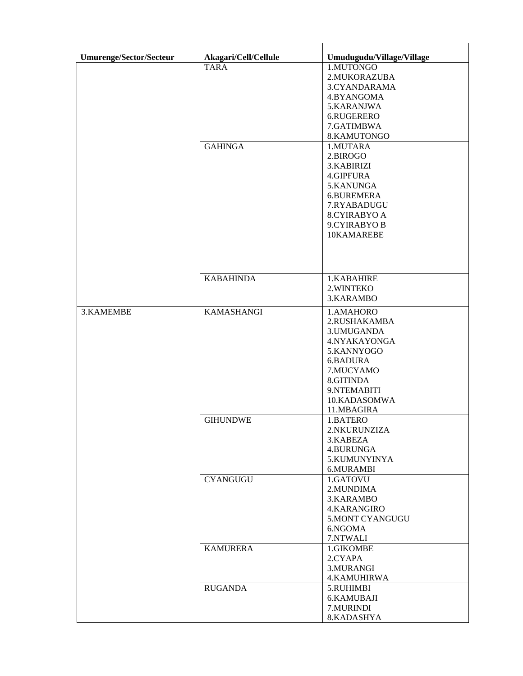| Umurenge/Sector/Secteur | Akagari/Cell/Cellule | Umudugudu/Village/Village |
|-------------------------|----------------------|---------------------------|
|                         | <b>TARA</b>          | 1.MUTONGO                 |
|                         |                      | 2.MUKORAZUBA              |
|                         |                      | 3.CYANDARAMA              |
|                         |                      | 4.BYANGOMA                |
|                         |                      | 5.KARANJWA                |
|                         |                      | 6.RUGERERO                |
|                         |                      | 7.GATIMBWA                |
|                         |                      | 8.KAMUTONGO               |
|                         | <b>GAHINGA</b>       | 1.MUTARA                  |
|                         |                      | 2.BIROGO                  |
|                         |                      | 3.KABIRIZI                |
|                         |                      | 4.GIPFURA                 |
|                         |                      |                           |
|                         |                      | 5.KANUNGA                 |
|                         |                      | 6.BUREMERA                |
|                         |                      | 7.RYABADUGU               |
|                         |                      | <b>8.CYIRABYO A</b>       |
|                         |                      | 9.CYIRABYO B              |
|                         |                      | 10KAMAREBE                |
|                         |                      |                           |
|                         |                      |                           |
|                         | <b>KABAHINDA</b>     | 1.KABAHIRE                |
|                         |                      | 2. WINTEKO                |
|                         |                      | 3.KARAMBO                 |
| 3.KAMEMBE               | <b>KAMASHANGI</b>    |                           |
|                         |                      | 1.AMAHORO<br>2.RUSHAKAMBA |
|                         |                      | 3. UMUGANDA               |
|                         |                      | 4.NYAKAYONGA              |
|                         |                      | 5.KANNYOGO                |
|                         |                      | 6.BADURA                  |
|                         |                      | 7.MUCYAMO                 |
|                         |                      | 8.GITINDA                 |
|                         |                      |                           |
|                         |                      | 9.NTEMABITI               |
|                         |                      | 10.KADASOMWA              |
|                         |                      | 11.MBAGIRA                |
|                         | <b>GIHUNDWE</b>      | 1.BATERO                  |
|                         |                      | 2.NKURUNZIZA              |
|                         |                      | 3.KABEZA                  |
|                         |                      | <b>4.BURUNGA</b>          |
|                         |                      | 5.KUMUNYINYA              |
|                         |                      | 6.MURAMBI                 |
|                         | <b>CYANGUGU</b>      | 1.GATOVU                  |
|                         |                      | 2.MUNDIMA                 |
|                         |                      | 3.KARAMBO                 |
|                         |                      | 4.KARANGIRO               |
|                         |                      | 5.MONT CYANGUGU           |
|                         |                      | 6.NGOMA                   |
|                         |                      | 7.NTWALI                  |
|                         | <b>KAMURERA</b>      | 1.GIKOMBE                 |
|                         |                      | 2.CYAPA                   |
|                         |                      | 3.MURANGI                 |
|                         |                      | <b>4.KAMUHIRWA</b>        |
|                         | <b>RUGANDA</b>       | 5.RUHIMBI                 |
|                         |                      | 6.KAMUBAJI                |
|                         |                      | 7.MURINDI                 |
|                         |                      | 8.KADASHYA                |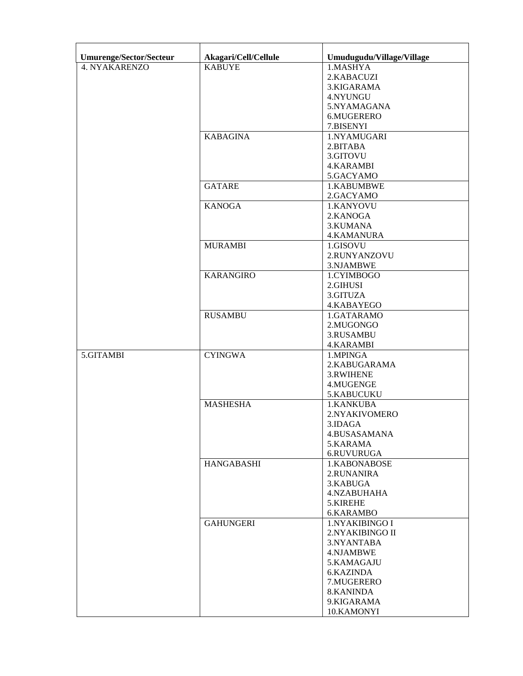| <b>Umurenge/Sector/Secteur</b> | Akagari/Cell/Cellule | Umudugudu/Village/Village |
|--------------------------------|----------------------|---------------------------|
| 4. NYAKARENZO                  | <b>KABUYE</b>        | 1.MASHYA                  |
|                                |                      | 2.KABACUZI                |
|                                |                      | 3.KIGARAMA                |
|                                |                      | 4.NYUNGU                  |
|                                |                      | 5.NYAMAGANA               |
|                                |                      |                           |
|                                |                      | 6.MUGERERO                |
|                                |                      | 7.BISENYI                 |
|                                | <b>KABAGINA</b>      | 1.NYAMUGARI               |
|                                |                      | 2.BITABA                  |
|                                |                      | 3.GITOVU                  |
|                                |                      | <b>4.KARAMBI</b>          |
|                                |                      | 5.GACYAMO                 |
|                                | <b>GATARE</b>        | 1.KABUMBWE                |
|                                |                      | 2.GACYAMO                 |
|                                | <b>KANOGA</b>        | 1.KANYOVU                 |
|                                |                      | 2.KANOGA                  |
|                                |                      | 3.KUMANA                  |
|                                |                      | <b>4.KAMANURA</b>         |
|                                | <b>MURAMBI</b>       | 1.GISOVU                  |
|                                |                      | 2.RUNYANZOVU              |
|                                |                      | 3.NJAMBWE                 |
|                                | <b>KARANGIRO</b>     | 1.CYIMBOGO                |
|                                |                      | 2.GIHUSI                  |
|                                |                      | 3.GITUZA                  |
|                                |                      | 4.KABAYEGO                |
|                                | <b>RUSAMBU</b>       | 1.GATARAMO                |
|                                |                      | 2.MUGONGO                 |
|                                |                      | 3.RUSAMBU                 |
|                                |                      | <b>4.KARAMBI</b>          |
| 5.GITAMBI                      | <b>CYINGWA</b>       | 1.MPINGA                  |
|                                |                      | 2.KABUGARAMA              |
|                                |                      | 3.RWIHENE                 |
|                                |                      |                           |
|                                |                      | 4.MUGENGE                 |
|                                |                      | 5.KABUCUKU                |
|                                | <b>MASHESHA</b>      | 1.KANKUBA                 |
|                                |                      | 2.NYAKIVOMERO             |
|                                |                      | 3.IDAGA                   |
|                                |                      | 4.BUSASAMANA              |
|                                |                      | 5.KARAMA                  |
|                                |                      | 6.RUVURUGA                |
|                                | <b>HANGABASHI</b>    | 1.KABONABOSE              |
|                                |                      | 2.RUNANIRA                |
|                                |                      | 3.KABUGA                  |
|                                |                      | 4.NZABUHAHA               |
|                                |                      | 5.KIREHE                  |
|                                |                      | 6.KARAMBO                 |
|                                | <b>GAHUNGERI</b>     | 1.NYAKIBINGO I            |
|                                |                      | 2.NYAKIBINGO II           |
|                                |                      | 3.NYANTABA                |
|                                |                      | 4.NJAMBWE                 |
|                                |                      | 5.KAMAGAJU                |
|                                |                      | 6.KAZINDA                 |
|                                |                      | 7.MUGERERO                |
|                                |                      | 8.KANINDA                 |
|                                |                      | 9.KIGARAMA                |
|                                |                      | 10.KAMONYI                |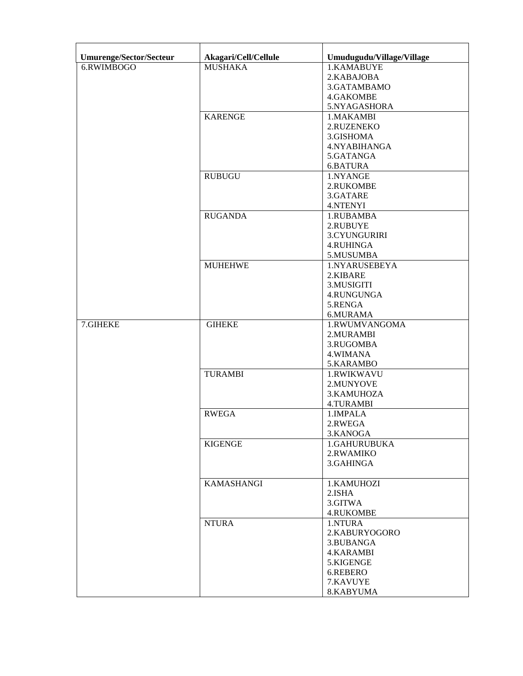| Umurenge/Sector/Secteur | Akagari/Cell/Cellule | Umudugudu/Village/Village |
|-------------------------|----------------------|---------------------------|
| 6.RWIMBOGO              | <b>MUSHAKA</b>       | 1.KAMABUYE                |
|                         |                      | 2.KABAJOBA                |
|                         |                      | 3.GATAMBAMO               |
|                         |                      | 4.GAKOMBE                 |
|                         |                      | 5.NYAGASHORA              |
|                         | <b>KARENGE</b>       |                           |
|                         |                      | 1.MAKAMBI                 |
|                         |                      | 2.RUZENEKO                |
|                         |                      | 3.GISHOMA                 |
|                         |                      | 4.NYABIHANGA              |
|                         |                      | 5.GATANGA                 |
|                         |                      | 6.BATURA                  |
|                         | <b>RUBUGU</b>        | 1.NYANGE                  |
|                         |                      | 2.RUKOMBE                 |
|                         |                      | 3.GATARE                  |
|                         |                      | 4.NTENYI                  |
|                         | <b>RUGANDA</b>       | 1.RUBAMBA                 |
|                         |                      | 2.RUBUYE                  |
|                         |                      | 3.CYUNGURIRI              |
|                         |                      | <b>4.RUHINGA</b>          |
|                         |                      |                           |
|                         |                      | 5.MUSUMBA                 |
|                         | <b>MUHEHWE</b>       | 1.NYARUSEBEYA             |
|                         |                      | 2.KIBARE                  |
|                         |                      | 3.MUSIGITI                |
|                         |                      | 4.RUNGUNGA                |
|                         |                      | 5.RENGA                   |
|                         |                      | 6.MURAMA                  |
| 7.GIHEKE                | <b>GIHEKE</b>        | 1.RWUMVANGOMA             |
|                         |                      | 2.MURAMBI                 |
|                         |                      | 3.RUGOMBA                 |
|                         |                      | 4.WIMANA                  |
|                         |                      | 5.KARAMBO                 |
|                         | <b>TURAMBI</b>       | 1.RWIKWAVU                |
|                         |                      | 2.MUNYOVE                 |
|                         |                      | 3. KAMUHOZA               |
|                         |                      | <b>4.TURAMBI</b>          |
|                         | <b>RWEGA</b>         | 1.IMPALA                  |
|                         |                      |                           |
|                         |                      | 2.RWEGA                   |
|                         |                      | 3.KANOGA                  |
|                         | <b>KIGENGE</b>       | 1.GAHURUBUKA              |
|                         |                      | 2.RWAMIKO                 |
|                         |                      | 3.GAHINGA                 |
|                         |                      |                           |
|                         | KAMASHANGI           | 1.KAMUHOZI                |
|                         |                      | 2.ISHA                    |
|                         |                      | 3.GITWA                   |
|                         |                      | <b>4.RUKOMBE</b>          |
|                         | <b>NTURA</b>         | 1.NTURA                   |
|                         |                      | 2.KABURYOGORO             |
|                         |                      | 3.BUBANGA                 |
|                         |                      | 4.KARAMBI                 |
|                         |                      | 5.KIGENGE                 |
|                         |                      | 6.REBERO                  |
|                         |                      | 7.KAVUYE                  |
|                         |                      |                           |
|                         |                      | 8.KABYUMA                 |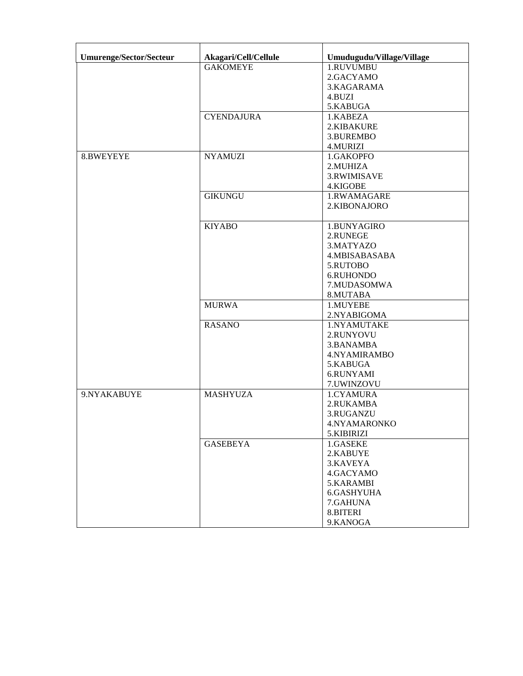| <b>Umurenge/Sector/Secteur</b> | Akagari/Cell/Cellule | Umudugudu/Village/Village |
|--------------------------------|----------------------|---------------------------|
|                                | <b>GAKOMEYE</b>      | 1.RUVUMBU                 |
|                                |                      | 2.GACYAMO                 |
|                                |                      | 3.KAGARAMA                |
|                                |                      | 4.BUZI                    |
|                                |                      | 5.KABUGA                  |
|                                | <b>CYENDAJURA</b>    | 1.KABEZA                  |
|                                |                      | 2.KIBAKURE                |
|                                |                      | 3.BUREMBO                 |
|                                |                      | 4.MURIZI                  |
| 8.BWEYEYE                      | <b>NYAMUZI</b>       | 1.GAKOPFO                 |
|                                |                      | 2.MUHIZA                  |
|                                |                      | 3.RWIMISAVE               |
|                                |                      | 4.KIGOBE                  |
|                                | <b>GIKUNGU</b>       | 1.RWAMAGARE               |
|                                |                      | 2.KIBONAJORO              |
|                                |                      |                           |
|                                | <b>KIYABO</b>        | 1.BUNYAGIRO               |
|                                |                      | 2.RUNEGE                  |
|                                |                      | 3.MATYAZO                 |
|                                |                      | 4.MBISABASABA             |
|                                |                      | 5.RUTOBO                  |
|                                |                      | 6.RUHONDO                 |
|                                |                      | 7.MUDASOMWA               |
|                                |                      | 8.MUTABA                  |
|                                | <b>MURWA</b>         | 1.MUYEBE                  |
|                                |                      | 2.NYABIGOMA               |
|                                | <b>RASANO</b>        | 1.NYAMUTAKE               |
|                                |                      | 2.RUNYOVU                 |
|                                |                      | 3.BANAMBA                 |
|                                |                      | 4.NYAMIRAMBO              |
|                                |                      | 5.KABUGA                  |
|                                |                      | 6.RUNYAMI                 |
|                                |                      | 7.UWINZOVU                |
| 9.NYAKABUYE                    | <b>MASHYUZA</b>      | 1.CYAMURA                 |
|                                |                      | 2.RUKAMBA                 |
|                                |                      | 3.RUGANZU                 |
|                                |                      | 4.NYAMARONKO              |
|                                |                      | 5.KIBIRIZI                |
|                                | <b>GASEBEYA</b>      | 1.GASEKE                  |
|                                |                      | 2.KABUYE                  |
|                                |                      | 3.KAVEYA                  |
|                                |                      | 4.GACYAMO                 |
|                                |                      | 5.KARAMBI                 |
|                                |                      | 6.GASHYUHA                |
|                                |                      | 7.GAHUNA                  |
|                                |                      | 8.BITERI                  |
|                                |                      | 9.KANOGA                  |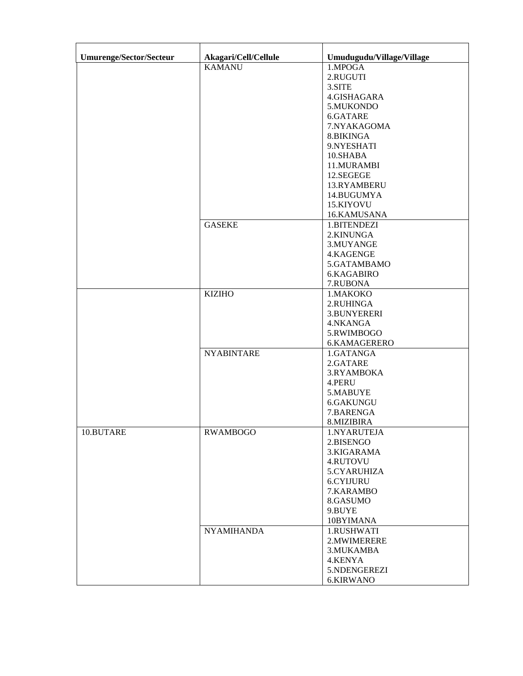| <b>Umurenge/Sector/Secteur</b> | Akagari/Cell/Cellule | Umudugudu/Village/Village |
|--------------------------------|----------------------|---------------------------|
|                                | <b>KAMANU</b>        | 1.MPOGA                   |
|                                |                      | 2.RUGUTI                  |
|                                |                      | 3.SITE                    |
|                                |                      | 4.GISHAGARA               |
|                                |                      |                           |
|                                |                      | 5.MUKONDO                 |
|                                |                      | 6.GATARE                  |
|                                |                      | 7.NYAKAGOMA               |
|                                |                      | 8.BIKINGA                 |
|                                |                      | 9.NYESHATI                |
|                                |                      | 10.SHABA                  |
|                                |                      | 11.MURAMBI                |
|                                |                      | 12.SEGEGE                 |
|                                |                      | 13.RYAMBERU               |
|                                |                      | 14.BUGUMYA                |
|                                |                      | 15.KIYOVU                 |
|                                |                      | 16.KAMUSANA               |
|                                | <b>GASEKE</b>        | 1.BITENDEZI               |
|                                |                      | 2.KINUNGA                 |
|                                |                      | 3.MUYANGE                 |
|                                |                      | 4.KAGENGE                 |
|                                |                      | 5.GATAMBAMO               |
|                                |                      | 6.KAGABIRO                |
|                                |                      | 7.RUBONA                  |
|                                | <b>KIZIHO</b>        | 1.MAKOKO                  |
|                                |                      | 2.RUHINGA                 |
|                                |                      | 3.BUNYERERI               |
|                                |                      | 4.NKANGA                  |
|                                |                      | 5.RWIMBOGO                |
|                                |                      | 6.KAMAGERERO              |
|                                | <b>NYABINTARE</b>    | 1.GATANGA                 |
|                                |                      | 2.GATARE                  |
|                                |                      | 3.RYAMBOKA                |
|                                |                      | 4.PERU                    |
|                                |                      | 5.MABUYE                  |
|                                |                      | 6.GAKUNGU                 |
|                                |                      |                           |
|                                |                      | 7.BARENGA<br>8.MIZIBIRA   |
|                                |                      |                           |
| 10.BUTARE                      | <b>RWAMBOGO</b>      | 1.NYARUTEJA               |
|                                |                      | 2.BISENGO                 |
|                                |                      | 3.KIGARAMA                |
|                                |                      | 4.RUTOVU                  |
|                                |                      | 5.CYARUHIZA               |
|                                |                      | <b>6.CYIJURU</b>          |
|                                |                      | 7.KARAMBO                 |
|                                |                      | 8.GASUMO                  |
|                                |                      | 9.BUYE                    |
|                                |                      | 10BYIMANA                 |
|                                | <b>NYAMIHANDA</b>    | 1.RUSHWATI                |
|                                |                      | 2. MWIMERERE              |
|                                |                      | 3. MUKAMBA                |
|                                |                      | 4.KENYA                   |
|                                |                      | 5.NDENGEREZI              |
|                                |                      | 6.KIRWANO                 |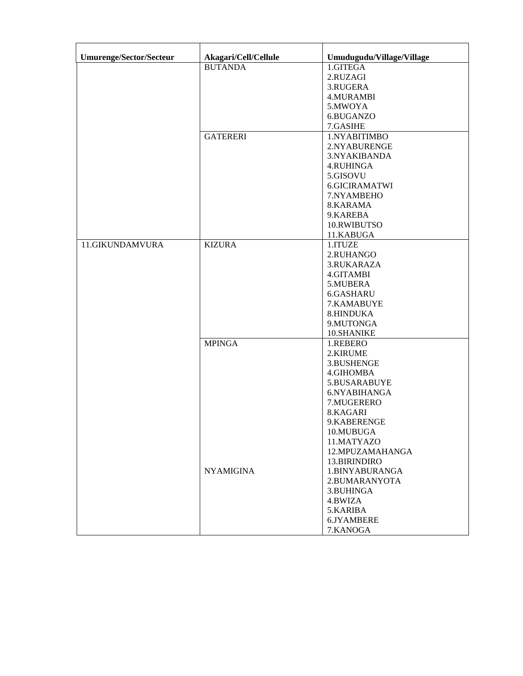| Umurenge/Sector/Secteur | Akagari/Cell/Cellule | Umudugudu/Village/Village |
|-------------------------|----------------------|---------------------------|
|                         | <b>BUTANDA</b>       | 1.GITEGA                  |
|                         |                      | 2.RUZAGI                  |
|                         |                      | 3.RUGERA                  |
|                         |                      | <b>4.MURAMBI</b>          |
|                         |                      | 5.MWOYA                   |
|                         |                      | 6.BUGANZO                 |
|                         |                      | 7.GASIHE                  |
|                         | <b>GATERERI</b>      | 1.NYABITIMBO              |
|                         |                      | 2.NYABURENGE              |
|                         |                      | 3.NYAKIBANDA              |
|                         |                      | <b>4.RUHINGA</b>          |
|                         |                      | 5.GISOVU                  |
|                         |                      | 6.GICIRAMATWI             |
|                         |                      | 7.NYAMBEHO                |
|                         |                      | 8.KARAMA                  |
|                         |                      | 9.KAREBA                  |
|                         |                      | 10.RWIBUTSO               |
|                         |                      | 11.KABUGA                 |
| 11.GIKUNDAMVURA         | <b>KIZURA</b>        | 1.ITUZE                   |
|                         |                      | 2.RUHANGO                 |
|                         |                      | 3.RUKARAZA                |
|                         |                      | 4.GITAMBI                 |
|                         |                      | 5.MUBERA                  |
|                         |                      | 6.GASHARU                 |
|                         |                      | 7.KAMABUYE                |
|                         |                      | 8.HINDUKA                 |
|                         |                      | 9.MUTONGA                 |
|                         |                      | 10.SHANIKE                |
|                         | <b>MPINGA</b>        | 1.REBERO                  |
|                         |                      | 2.KIRUME                  |
|                         |                      | 3.BUSHENGE                |
|                         |                      | 4.GIHOMBA                 |
|                         |                      | 5.BUSARABUYE              |
|                         |                      | 6.NYABIHANGA              |
|                         |                      | 7.MUGERERO<br>8.KAGARI    |
|                         |                      | 9.KABERENGE               |
|                         |                      | 10.MUBUGA                 |
|                         |                      | 11.MATYAZO                |
|                         |                      | 12.MPUZAMAHANGA           |
|                         |                      | 13.BIRINDIRO              |
|                         | <b>NYAMIGINA</b>     | 1.BINYABURANGA            |
|                         |                      | 2.BUMARANYOTA             |
|                         |                      | 3.BUHINGA                 |
|                         |                      | 4.BWIZA                   |
|                         |                      | 5.KARIBA                  |
|                         |                      | 6.JYAMBERE                |
|                         |                      | 7.KANOGA                  |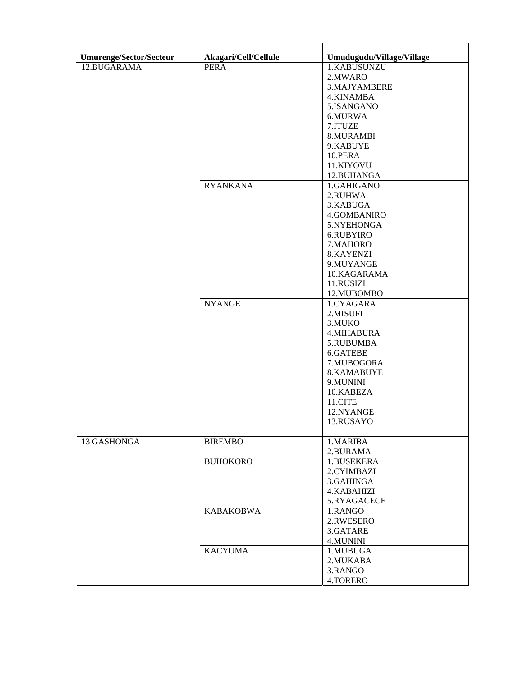| Umurenge/Sector/Secteur | Akagari/Cell/Cellule | Umudugudu/Village/Village |
|-------------------------|----------------------|---------------------------|
| 12.BUGARAMA             | <b>PERA</b>          | 1.KABUSUNZU               |
|                         |                      | 2.MWARO                   |
|                         |                      | 3.MAJYAMBERE              |
|                         |                      |                           |
|                         |                      | 4.KINAMBA                 |
|                         |                      | 5.ISANGANO                |
|                         |                      | 6.MURWA                   |
|                         |                      | 7.ITUZE                   |
|                         |                      | 8.MURAMBI                 |
|                         |                      | 9.KABUYE                  |
|                         |                      | 10.PERA                   |
|                         |                      | 11.KIYOVU                 |
|                         |                      | 12.BUHANGA                |
|                         | <b>RYANKANA</b>      | 1.GAHIGANO                |
|                         |                      | 2.RUHWA                   |
|                         |                      |                           |
|                         |                      | 3.KABUGA                  |
|                         |                      | 4.GOMBANIRO               |
|                         |                      | 5.NYEHONGA                |
|                         |                      | 6.RUBYIRO                 |
|                         |                      | 7.MAHORO                  |
|                         |                      | 8.KAYENZI                 |
|                         |                      | 9.MUYANGE                 |
|                         |                      | 10.KAGARAMA               |
|                         |                      | 11.RUSIZI                 |
|                         |                      | 12.MUBOMBO                |
|                         | <b>NYANGE</b>        | 1.CYAGARA                 |
|                         |                      | 2.MISUFI                  |
|                         |                      | 3.MUKO                    |
|                         |                      |                           |
|                         |                      | <b>4.MIHABURA</b>         |
|                         |                      | 5.RUBUMBA                 |
|                         |                      | 6.GATEBE                  |
|                         |                      | 7.MUBOGORA                |
|                         |                      | 8.KAMABUYE                |
|                         |                      | 9.MUNINI                  |
|                         |                      | 10.KABEZA                 |
|                         |                      | 11.CITE                   |
|                         |                      | 12.NYANGE                 |
|                         |                      | 13.RUSAYO                 |
|                         |                      |                           |
| 13 GASHONGA             | <b>BIREMBO</b>       | 1.MARIBA                  |
|                         |                      | 2.BURAMA                  |
|                         | <b>BUHOKORO</b>      | 1.BUSEKERA                |
|                         |                      | 2.CYIMBAZI                |
|                         |                      | 3.GAHINGA                 |
|                         |                      |                           |
|                         |                      | 4.KABAHIZI                |
|                         |                      | 5.RYAGACECE               |
|                         | <b>KABAKOBWA</b>     | 1.RANGO                   |
|                         |                      | 2.RWESERO                 |
|                         |                      | 3.GATARE                  |
|                         |                      | 4.MUNINI                  |
|                         | <b>KACYUMA</b>       | 1.MUBUGA                  |
|                         |                      | 2.MUKABA                  |
|                         |                      | 3.RANGO                   |
|                         |                      | 4.TORERO                  |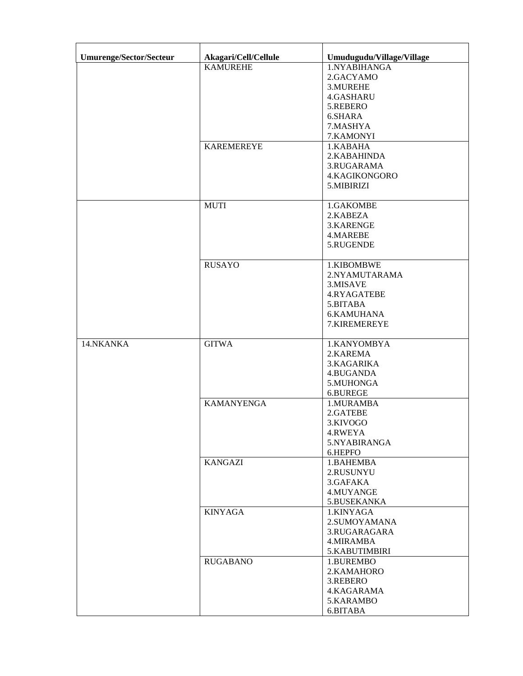| Umurenge/Sector/Secteur | Akagari/Cell/Cellule | Umudugudu/Village/Village |
|-------------------------|----------------------|---------------------------|
|                         | <b>KAMUREHE</b>      | 1.NYABIHANGA              |
|                         |                      | 2.GACYAMO                 |
|                         |                      |                           |
|                         |                      | 3.MUREHE                  |
|                         |                      | 4.GASHARU                 |
|                         |                      | 5.REBERO                  |
|                         |                      | 6.SHARA                   |
|                         |                      | 7.MASHYA                  |
|                         |                      | 7.KAMONYI                 |
|                         | <b>KAREMEREYE</b>    | 1.KABAHA                  |
|                         |                      | 2.KABAHINDA               |
|                         |                      | 3.RUGARAMA                |
|                         |                      | 4.KAGIKONGORO             |
|                         |                      | 5.MIBIRIZI                |
|                         | <b>MUTI</b>          | 1.GAKOMBE                 |
|                         |                      | 2.KABEZA                  |
|                         |                      | 3.KARENGE                 |
|                         |                      | 4.MAREBE                  |
|                         |                      | 5.RUGENDE                 |
|                         |                      |                           |
|                         | <b>RUSAYO</b>        | 1.KIBOMBWE                |
|                         |                      | 2.NYAMUTARAMA             |
|                         |                      | 3.MISAVE                  |
|                         |                      | 4.RYAGATEBE               |
|                         |                      | 5.BITABA                  |
|                         |                      | <b>6.KAMUHANA</b>         |
|                         |                      | 7.KIREMEREYE              |
| 14.NKANKA               | <b>GITWA</b>         | 1.KANYOMBYA               |
|                         |                      | 2.KAREMA                  |
|                         |                      | 3.KAGARIKA                |
|                         |                      | 4.BUGANDA                 |
|                         |                      | 5.MUHONGA                 |
|                         |                      | 6.BUREGE                  |
|                         | <b>KAMANYENGA</b>    | 1.MURAMBA                 |
|                         |                      | 2.GATEBE                  |
|                         |                      | 3.KIVOGO                  |
|                         |                      | 4.RWEYA                   |
|                         |                      | 5.NYABIRANGA              |
|                         |                      | 6.HEPFO                   |
|                         | <b>KANGAZI</b>       | 1.BAHEMBA                 |
|                         |                      | 2.RUSUNYU                 |
|                         |                      | 3.GAFAKA                  |
|                         |                      | 4.MUYANGE                 |
|                         |                      | 5.BUSEKANKA               |
|                         | <b>KINYAGA</b>       | 1.KINYAGA                 |
|                         |                      | 2.SUMOYAMANA              |
|                         |                      | 3.RUGARAGARA              |
|                         |                      | 4. MIRAMBA                |
|                         |                      | 5.KABUTIMBIRI             |
|                         | <b>RUGABANO</b>      | 1.BUREMBO                 |
|                         |                      | 2.KAMAHORO                |
|                         |                      | 3.REBERO                  |
|                         |                      | 4.KAGARAMA                |
|                         |                      | 5.KARAMBO                 |
|                         |                      | 6.BITABA                  |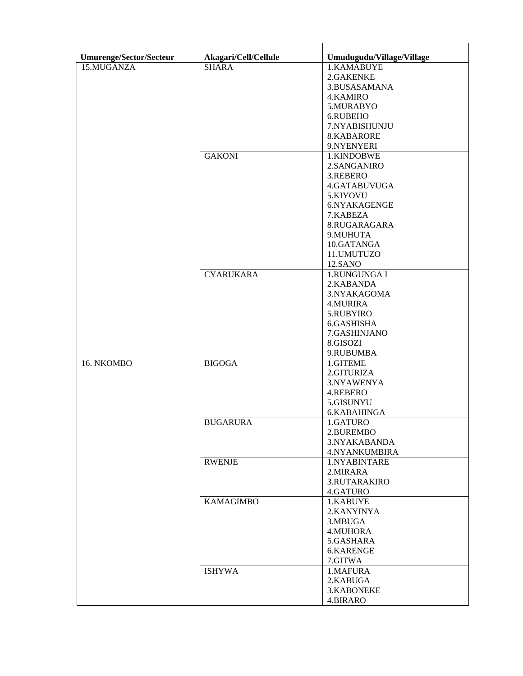| <b>Umurenge/Sector/Secteur</b> | Akagari/Cell/Cellule | Umudugudu/Village/Village |
|--------------------------------|----------------------|---------------------------|
| 15.MUGANZA                     | <b>SHARA</b>         | 1.KAMABUYE                |
|                                |                      | 2.GAKENKE                 |
|                                |                      | 3.BUSASAMANA              |
|                                |                      |                           |
|                                |                      | <b>4.KAMIRO</b>           |
|                                |                      | 5.MURABYO                 |
|                                |                      | 6.RUBEHO                  |
|                                |                      | 7.NYABISHUNJU             |
|                                |                      | 8.KABARORE                |
|                                |                      | 9.NYENYERI                |
|                                | <b>GAKONI</b>        | 1.KINDOBWE                |
|                                |                      | 2.SANGANIRO               |
|                                |                      | 3.REBERO                  |
|                                |                      | 4.GATABUVUGA              |
|                                |                      | 5.KIYOVU                  |
|                                |                      | 6.NYAKAGENGE              |
|                                |                      | 7.KABEZA                  |
|                                |                      | 8.RUGARAGARA              |
|                                |                      | 9.MUHUTA                  |
|                                |                      |                           |
|                                |                      | 10.GATANGA                |
|                                |                      | 11.UMUTUZO                |
|                                |                      | 12.SANO                   |
|                                | <b>CYARUKARA</b>     | 1.RUNGUNGA I              |
|                                |                      | 2.KABANDA                 |
|                                |                      | 3.NYAKAGOMA               |
|                                |                      | 4.MURIRA                  |
|                                |                      | 5.RUBYIRO                 |
|                                |                      | 6.GASHISHA                |
|                                |                      | 7.GASHINJANO              |
|                                |                      | 8.GISOZI                  |
|                                |                      | 9.RUBUMBA                 |
| 16. NKOMBO                     | <b>BIGOGA</b>        | 1.GITEME                  |
|                                |                      | 2.GITURIZA                |
|                                |                      |                           |
|                                |                      | 3.NYAWENYA                |
|                                |                      | 4.REBERO                  |
|                                |                      | 5.GISUNYU                 |
|                                |                      | 6.KABAHINGA               |
|                                | <b>BUGARURA</b>      | 1.GATURO                  |
|                                |                      | 2.BUREMBO                 |
|                                |                      | 3.NYAKABANDA              |
|                                |                      | <b>4.NYANKUMBIRA</b>      |
|                                | <b>RWENJE</b>        | 1.NYABINTARE              |
|                                |                      | 2. MIRARA                 |
|                                |                      | <b>3.RUTARAKIRO</b>       |
|                                |                      | 4.GATURO                  |
|                                | <b>KAMAGIMBO</b>     | 1.KABUYE                  |
|                                |                      | 2.KANYINYA                |
|                                |                      | 3.MBUGA                   |
|                                |                      | 4.MUHORA                  |
|                                |                      | 5.GASHARA                 |
|                                |                      |                           |
|                                |                      | 6.KARENGE                 |
|                                |                      | 7.GITWA                   |
|                                | <b>ISHYWA</b>        | 1.MAFURA                  |
|                                |                      | 2.KABUGA                  |
|                                |                      | 3.KABONEKE                |
|                                |                      | 4.BIRARO                  |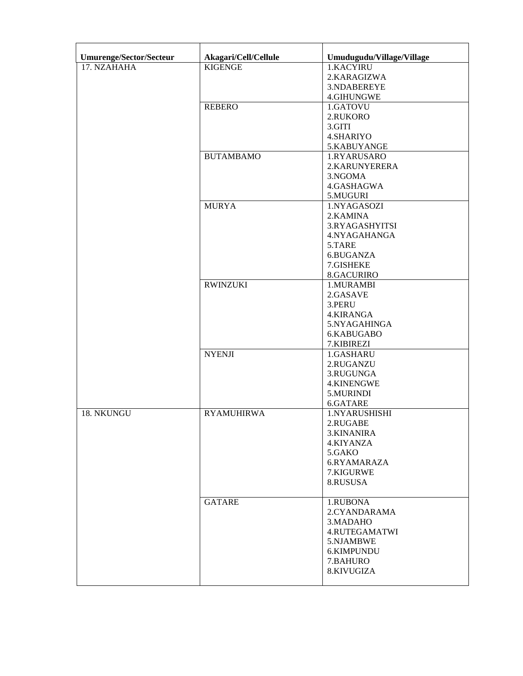| <b>Umurenge/Sector/Secteur</b> | Akagari/Cell/Cellule | Umudugudu/Village/Village |
|--------------------------------|----------------------|---------------------------|
| 17. NZAHAHA                    | <b>KIGENGE</b>       | 1.KACYIRU                 |
|                                |                      | 2.KARAGIZWA               |
|                                |                      | 3.NDABEREYE               |
|                                |                      | 4.GIHUNGWE                |
|                                | <b>REBERO</b>        | 1.GATOVU                  |
|                                |                      | 2.RUKORO                  |
|                                |                      | 3.GITI                    |
|                                |                      | 4.SHARIYO                 |
|                                |                      | 5.KABUYANGE               |
|                                | <b>BUTAMBAMO</b>     | 1.RYARUSARO               |
|                                |                      | 2.KARUNYERERA             |
|                                |                      |                           |
|                                |                      | 3.NGOMA                   |
|                                |                      | 4.GASHAGWA                |
|                                |                      | 5.MUGURI                  |
|                                | <b>MURYA</b>         | 1.NYAGASOZI               |
|                                |                      | 2.KAMINA                  |
|                                |                      | 3.RYAGASHYITSI            |
|                                |                      | 4.NYAGAHANGA              |
|                                |                      | 5.TARE                    |
|                                |                      | 6.BUGANZA                 |
|                                |                      | 7.GISHEKE                 |
|                                |                      | 8.GACURIRO                |
|                                | <b>RWINZUKI</b>      | 1.MURAMBI                 |
|                                |                      | 2.GASAVE                  |
|                                |                      | 3.PERU                    |
|                                |                      | 4.KIRANGA                 |
|                                |                      | 5.NYAGAHINGA              |
|                                |                      | 6.KABUGABO                |
|                                |                      | 7.KIBIREZI                |
|                                | <b>NYENJI</b>        | 1.GASHARU                 |
|                                |                      | 2.RUGANZU                 |
|                                |                      | 3.RUGUNGA                 |
|                                |                      | 4.KINENGWE                |
|                                |                      | 5.MURINDI                 |
|                                |                      | 6.GATARE                  |
| 18. NKUNGU                     | <b>RYAMUHIRWA</b>    | 1.NYARUSHISHI             |
|                                |                      | 2.RUGABE                  |
|                                |                      | 3.KINANIRA                |
|                                |                      | 4.KIYANZA                 |
|                                |                      | 5.GAKO                    |
|                                |                      |                           |
|                                |                      | 6.RYAMARAZA               |
|                                |                      | 7.KIGURWE                 |
|                                |                      | 8.RUSUSA                  |
|                                |                      |                           |
|                                | <b>GATARE</b>        | 1.RUBONA                  |
|                                |                      | 2.CYANDARAMA              |
|                                |                      | 3. MADAHO                 |
|                                |                      | 4.RUTEGAMATWI             |
|                                |                      | 5.NJAMBWE                 |
|                                |                      | 6.KIMPUNDU                |
|                                |                      | 7.BAHURO                  |
|                                |                      | 8.KIVUGIZA                |
|                                |                      |                           |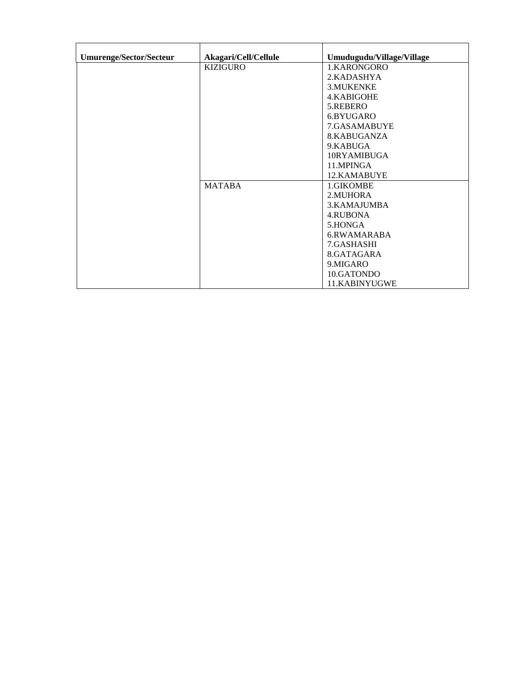| <b>Umurenge/Sector/Secteur</b> | Akagari/Cell/Cellule | Umudugudu/Village/Village |
|--------------------------------|----------------------|---------------------------|
|                                | <b>KIZIGURO</b>      | 1.KARONGORO               |
|                                |                      | 2.KADASHYA                |
|                                |                      | 3.MUKENKE                 |
|                                |                      | 4. KABIGOHE               |
|                                |                      |                           |
|                                |                      | 5.REBERO                  |
|                                |                      | 6.BYUGARO                 |
|                                |                      | 7.GASAMABUYE              |
|                                |                      | 8.KABUGANZA               |
|                                |                      | 9.KABUGA                  |
|                                |                      | 10RYAMIBUGA               |
|                                |                      | 11.MPINGA                 |
|                                |                      | 12.KAMABUYE               |
|                                | <b>MATABA</b>        | 1.GIKOMBE                 |
|                                |                      | 2. MUHORA                 |
|                                |                      | 3. KAMAJUMBA              |
|                                |                      | 4.RUBONA                  |
|                                |                      | 5.HONGA                   |
|                                |                      | 6.RWAMARABA               |
|                                |                      | 7.GASHASHI                |
|                                |                      | 8.GATAGARA                |
|                                |                      | 9.MIGARO                  |
|                                |                      | 10.GATONDO                |
|                                |                      | 11.KABINYUGWE             |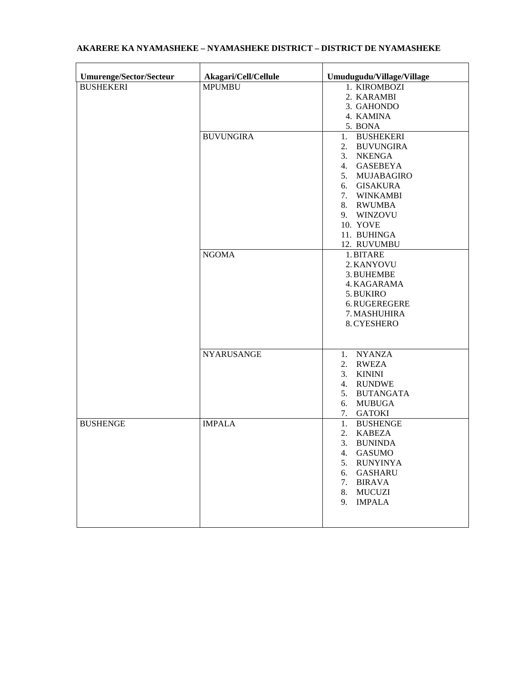| Umurenge/Sector/Secteur | Akagari/Cell/Cellule | Umudugudu/Village/Village                                                                                                                                                                               |
|-------------------------|----------------------|---------------------------------------------------------------------------------------------------------------------------------------------------------------------------------------------------------|
| <b>BUSHEKERI</b>        | <b>MPUMBU</b>        | 1. KIROMBOZI<br>2. KARAMBI<br>3. GAHONDO<br>4. KAMINA                                                                                                                                                   |
|                         | <b>BUVUNGIRA</b>     | 5. BONA<br>1. BUSHEKERI<br><b>BUVUNGIRA</b><br>2.<br>3. NKENGA<br>4. GASEBEYA<br>5. MUJABAGIRO<br>6. GISAKURA<br>7. WINKAMBI<br>8. RWUMBA<br>9. WINZOVU<br>10. YOVE<br>11. BUHINGA<br>12. RUVUMBU       |
|                         | <b>NGOMA</b>         | 1. BITARE<br>2. KANYOVU<br>3. BUHEMBE<br>4. KAGARAMA<br>5. BUKIRO<br>6. RUGEREGERE<br>7. MASHUHIRA<br>8. CYESHERO                                                                                       |
|                         | <b>NYARUSANGE</b>    | 1. NYANZA<br><b>RWEZA</b><br>2.<br>3. KININI<br>4. RUNDWE<br>5. BUTANGATA<br><b>MUBUGA</b><br>6.<br>7. GATOKI                                                                                           |
| <b>BUSHENGE</b>         | <b>IMPALA</b>        | 1. BUSHENGE<br>2.<br><b>KABEZA</b><br><b>BUNINDA</b><br>3.<br><b>GASUMO</b><br>4.<br><b>RUNYINYA</b><br>5.<br><b>GASHARU</b><br>6.<br><b>BIRAVA</b><br>7.<br><b>MUCUZI</b><br>8.<br>9.<br><b>IMPALA</b> |

## **AKARERE KA NYAMASHEKE – NYAMASHEKE DISTRICT – DISTRICT DE NYAMASHEKE**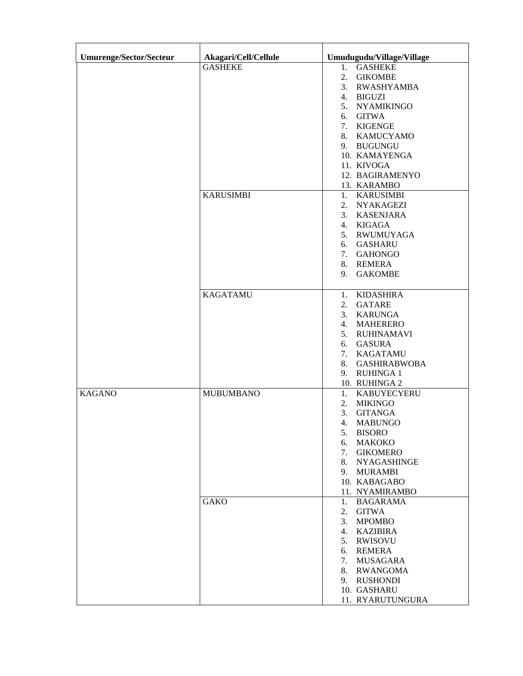| Umurenge/Sector/Secteur | Akagari/Cell/Cellule | Umudugudu/Village/Village |
|-------------------------|----------------------|---------------------------|
|                         | <b>GASHEKE</b>       | 1. GASHEKE                |
|                         |                      | <b>GIKOMBE</b><br>2.      |
|                         |                      | <b>RWASHYAMBA</b><br>3.   |
|                         |                      | 4. BIGUZI                 |
|                         |                      | <b>NYAMIKINGO</b><br>5.   |
|                         |                      | <b>GITWA</b><br>6.        |
|                         |                      | <b>KIGENGE</b><br>7.      |
|                         |                      | 8. KAMUCYAMO              |
|                         |                      | 9. BUGUNGU                |
|                         |                      | 10. KAMAYENGA             |
|                         |                      | 11. KIVOGA                |
|                         |                      | 12. BAGIRAMENYO           |
|                         |                      | 13. KARAMBO               |
|                         | <b>KARUSIMBI</b>     | 1. KARUSIMBI              |
|                         |                      | <b>NYAKAGEZI</b><br>2.    |
|                         |                      | <b>KASENJARA</b><br>3.    |
|                         |                      | <b>KIGAGA</b><br>4.       |
|                         |                      | <b>RWUMUYAGA</b><br>5.    |
|                         |                      | <b>GASHARU</b><br>6.      |
|                         |                      | <b>GAHONGO</b><br>7.      |
|                         |                      | 8. REMERA                 |
|                         |                      | <b>GAKOMBE</b><br>9.      |
|                         |                      |                           |
|                         | <b>KAGATAMU</b>      | <b>KIDASHIRA</b><br>1.    |
|                         |                      | <b>GATARE</b><br>2.       |
|                         |                      | 3. KARUNGA                |
|                         |                      | 4. MAHERERO               |
|                         |                      | 5. RUHINAMAVI             |
|                         |                      | <b>GASURA</b><br>6.       |
|                         |                      | <b>KAGATAMU</b><br>7.     |
|                         |                      | <b>GASHIRABWOBA</b><br>8. |
|                         |                      | <b>RUHINGA1</b><br>9.     |
|                         |                      | 10. RUHINGA 2             |
| <b>KAGANO</b>           | <b>MUBUMBANO</b>     | <b>KABUYECYERU</b><br>1.  |
|                         |                      | 2.<br><b>MIKINGO</b>      |
|                         |                      | 3.<br><b>GITANGA</b>      |
|                         |                      | <b>MABUNGO</b><br>4.      |
|                         |                      | <b>BISORO</b><br>5.       |
|                         |                      | <b>MAKOKO</b><br>6.       |
|                         |                      | <b>GIKOMERO</b><br>7.     |
|                         |                      | <b>NYAGASHINGE</b><br>8.  |
|                         |                      | <b>MURAMBI</b><br>9.      |
|                         |                      | 10. KABAGABO              |
|                         |                      | 11. NYAMIRAMBO            |
|                         | <b>GAKO</b>          | <b>BAGARAMA</b><br>1.     |
|                         |                      | <b>GITWA</b><br>2.        |
|                         |                      | <b>MPOMBO</b><br>3.       |
|                         |                      | <b>KAZIBIRA</b><br>4.     |
|                         |                      | <b>RWISOVU</b><br>5.      |
|                         |                      | <b>REMERA</b><br>6.       |
|                         |                      | <b>MUSAGARA</b><br>7.     |
|                         |                      | 8. RWANGOMA               |
|                         |                      | 9. RUSHONDI               |
|                         |                      | 10. GASHARU               |
|                         |                      | 11. RYARUTUNGURA          |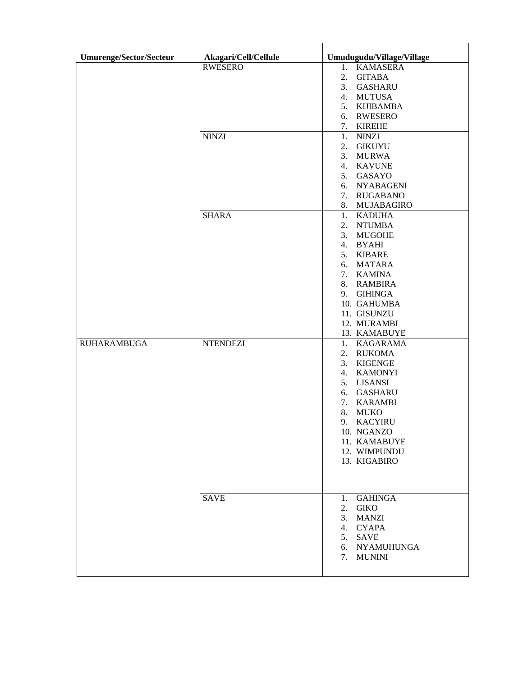| Umurenge/Sector/Secteur | Akagari/Cell/Cellule | Umudugudu/Village/Village                                                                                                                                                                                                                                                       |
|-------------------------|----------------------|---------------------------------------------------------------------------------------------------------------------------------------------------------------------------------------------------------------------------------------------------------------------------------|
|                         | <b>RWESERO</b>       | 1. KAMASERA<br><b>GITABA</b><br>2.<br><b>GASHARU</b><br>3.<br><b>MUTUSA</b><br>4.<br><b>KIJIBAMBA</b><br>5.<br><b>RWESERO</b><br>6.                                                                                                                                             |
|                         | <b>NINZI</b>         | <b>KIREHE</b><br>7.<br>1.<br><b>NINZI</b><br><b>GIKUYU</b><br>2.<br>3.<br><b>MURWA</b><br><b>KAVUNE</b><br>4.<br>5.<br>GASAYO<br><b>NYABAGENI</b><br>6.<br><b>RUGABANO</b><br>7.                                                                                                |
|                         | <b>SHARA</b>         | 8. MUJABAGIRO<br><b>KADUHA</b><br>1.<br><b>NTUMBA</b><br>2.<br>3.<br><b>MUGOHE</b><br><b>BYAHI</b><br>4.<br><b>KIBARE</b><br>5.<br><b>MATARA</b><br>6.<br>7. KAMINA<br>8. RAMBIRA<br><b>GIHINGA</b><br>9.<br>10. GAHUMBA<br>11. GISUNZU<br>12. MURAMBI<br>13. KAMABUYE          |
| <b>RUHARAMBUGA</b>      | <b>NTENDEZI</b>      | <b>KAGARAMA</b><br>1.<br><b>RUKOMA</b><br>2.<br>3.<br><b>KIGENGE</b><br><b>KAMONYI</b><br>4.<br><b>LISANSI</b><br>5.<br><b>GASHARU</b><br>6.<br>7.<br><b>KARAMBI</b><br>8.<br><b>MUKO</b><br><b>KACYIRU</b><br>9.<br>10. NGANZO<br>11. KAMABUYE<br>12. WIMPUNDU<br>13. KIGABIRO |
|                         | <b>SAVE</b>          | <b>GAHINGA</b><br>1.<br><b>GIKO</b><br>2.<br><b>MANZI</b><br>3.<br><b>CYAPA</b><br>4.<br><b>SAVE</b><br>5.<br><b>NYAMUHUNGA</b><br>6.<br><b>MUNINI</b><br>7.                                                                                                                    |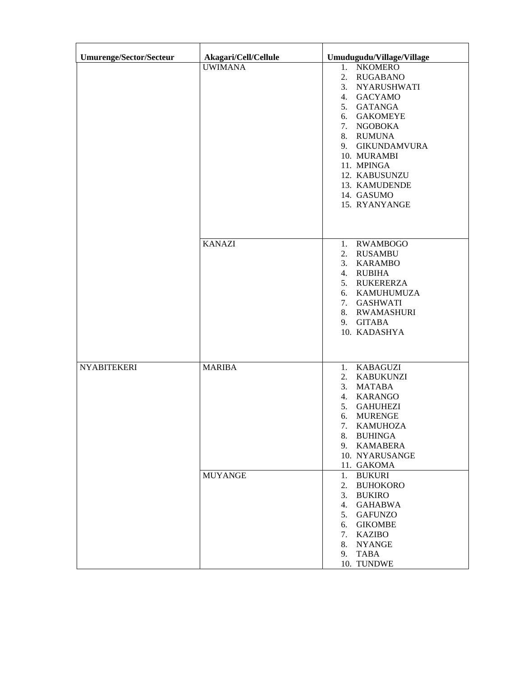| Umurenge/Sector/Secteur | Akagari/Cell/Cellule | Umudugudu/Village/Village                                                                                                                                                                                                                                                                                          |
|-------------------------|----------------------|--------------------------------------------------------------------------------------------------------------------------------------------------------------------------------------------------------------------------------------------------------------------------------------------------------------------|
|                         | <b>UWIMANA</b>       | <b>NKOMERO</b><br>1.<br>2.<br><b>RUGABANO</b><br><b>NYARUSHWATI</b><br>3.<br><b>GACYAMO</b><br>4.<br><b>GATANGA</b><br>5.<br><b>GAKOMEYE</b><br>6.<br><b>NGOBOKA</b><br>7.<br>8. RUMUNA<br><b>GIKUNDAMVURA</b><br>9.<br>10. MURAMBI<br>11. MPINGA<br>12. KABUSUNZU<br>13. KAMUDENDE<br>14. GASUMO<br>15. RYANYANGE |
|                         | <b>KANAZI</b>        | <b>RWAMBOGO</b><br>1.<br><b>RUSAMBU</b><br>2.<br><b>KARAMBO</b><br>3.<br>4. RUBIHA<br><b>RUKERERZA</b><br>5.<br><b>KAMUHUMUZA</b><br>6.<br><b>GASHWATI</b><br>7.<br><b>RWAMASHURI</b><br>8.<br><b>GITABA</b><br>9.<br>10. KADASHYA                                                                                 |
| <b>NYABITEKERI</b>      | <b>MARIBA</b>        | <b>KABAGUZI</b><br>1.<br><b>KABUKUNZI</b><br>2.<br><b>MATABA</b><br>3.<br><b>KARANGO</b><br>4.<br><b>GAHUHEZI</b><br>5.<br><b>MURENGE</b><br>6.<br>7.<br><b>KAMUHOZA</b><br><b>BUHINGA</b><br>8.<br><b>KAMABERA</b><br>9.<br>10. NYARUSANGE<br>11. GAKOMA                                                          |
|                         | <b>MUYANGE</b>       | <b>BUKURI</b><br>1.<br><b>BUHOKORO</b><br>2.<br><b>BUKIRO</b><br>3.<br><b>GAHABWA</b><br>4.<br><b>GAFUNZO</b><br>5.<br><b>GIKOMBE</b><br>6.<br><b>KAZIBO</b><br>7.<br><b>NYANGE</b><br>8.<br><b>TABA</b><br>9.<br>10. TUNDWE                                                                                       |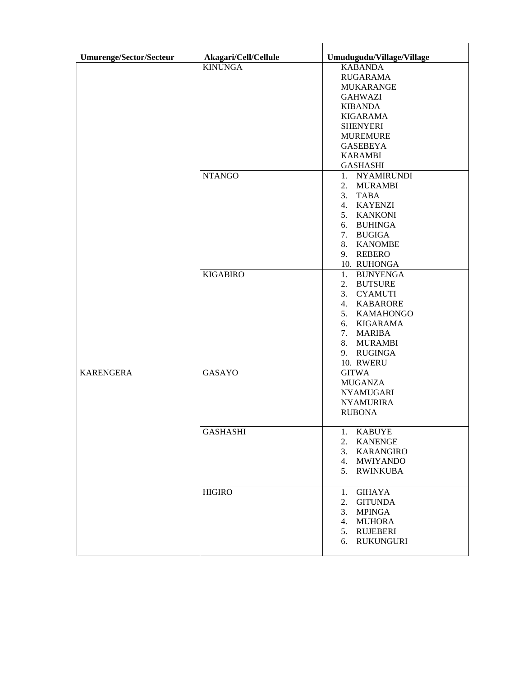| <b>Umurenge/Sector/Secteur</b> | Akagari/Cell/Cellule | Umudugudu/Village/Village |
|--------------------------------|----------------------|---------------------------|
|                                | <b>KINUNGA</b>       | <b>KABANDA</b>            |
|                                |                      | <b>RUGARAMA</b>           |
|                                |                      | <b>MUKARANGE</b>          |
|                                |                      | <b>GAHWAZI</b>            |
|                                |                      | <b>KIBANDA</b>            |
|                                |                      | <b>KIGARAMA</b>           |
|                                |                      | <b>SHENYERI</b>           |
|                                |                      | <b>MUREMURE</b>           |
|                                |                      | <b>GASEBEYA</b>           |
|                                |                      | <b>KARAMBI</b>            |
|                                |                      | <b>GASHASHI</b>           |
|                                | <b>NTANGO</b>        | 1. NYAMIRUNDI             |
|                                |                      | <b>MURAMBI</b><br>2.      |
|                                |                      | 3.<br><b>TABA</b>         |
|                                |                      | 4. KAYENZI                |
|                                |                      | 5. KANKONI                |
|                                |                      | 6. BUHINGA                |
|                                |                      | 7. BUGIGA                 |
|                                |                      | 8. KANOMBE                |
|                                |                      | 9. REBERO                 |
|                                |                      | 10. RUHONGA               |
|                                | <b>KIGABIRO</b>      | <b>BUNYENGA</b><br>1.     |
|                                |                      | 2.<br><b>BUTSURE</b>      |
|                                |                      | 3. CYAMUTI                |
|                                |                      | 4. KABARORE               |
|                                |                      | 5. KAMAHONGO              |
|                                |                      | 6. KIGARAMA               |
|                                |                      | 7. MARIBA                 |
|                                |                      | 8. MURAMBI                |
|                                |                      | 9. RUGINGA                |
|                                |                      | 10. RWERU                 |
| <b>KARENGERA</b>               | <b>GASAYO</b>        | <b>GITWA</b>              |
|                                |                      | <b>MUGANZA</b>            |
|                                |                      | <b>NYAMUGARI</b>          |
|                                |                      | <b>NYAMURIRA</b>          |
|                                |                      | <b>RUBONA</b>             |
|                                |                      |                           |
|                                | <b>GASHASHI</b>      | <b>KABUYE</b><br>1.       |
|                                |                      | <b>KANENGE</b><br>2.      |
|                                |                      | 3. KARANGIRO              |
|                                |                      | 4. MWIYANDO               |
|                                |                      | 5. RWINKUBA               |
|                                |                      |                           |
|                                | <b>HIGIRO</b>        | <b>GIHAYA</b><br>1.       |
|                                |                      | <b>GITUNDA</b><br>2.      |
|                                |                      | <b>MPINGA</b><br>3.       |
|                                |                      | <b>MUHORA</b><br>4.       |
|                                |                      | <b>RUJEBERI</b><br>5.     |
|                                |                      | <b>RUKUNGURI</b><br>6.    |
|                                |                      |                           |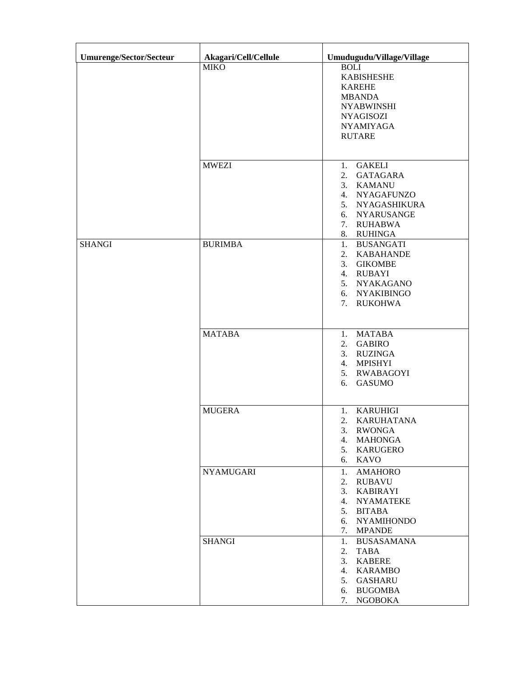| <b>Umurenge/Sector/Secteur</b> | Akagari/Cell/Cellule | Umudugudu/Village/Village               |
|--------------------------------|----------------------|-----------------------------------------|
|                                | <b>MIKO</b>          | <b>BOLI</b>                             |
|                                |                      | <b>KABISHESHE</b>                       |
|                                |                      | <b>KAREHE</b>                           |
|                                |                      | <b>MBANDA</b>                           |
|                                |                      | <b>NYABWINSHI</b>                       |
|                                |                      | <b>NYAGISOZI</b>                        |
|                                |                      | <b>NYAMIYAGA</b>                        |
|                                |                      | <b>RUTARE</b>                           |
|                                |                      |                                         |
|                                | <b>MWEZI</b>         | <b>GAKELI</b><br>1.                     |
|                                |                      | <b>GATAGARA</b><br>2.                   |
|                                |                      | <b>KAMANU</b><br>3.                     |
|                                |                      | 4. NYAGAFUNZO<br>5. NYAGASHIKURA        |
|                                |                      | 6. NYARUSANGE                           |
|                                |                      | 7. RUHABWA                              |
|                                |                      | 8. RUHINGA                              |
| <b>SHANGI</b>                  | <b>BURIMBA</b>       | 1.<br><b>BUSANGATI</b>                  |
|                                |                      | 2. KABAHANDE                            |
|                                |                      | 3. GIKOMBE                              |
|                                |                      | 4. RUBAYI                               |
|                                |                      | 5. NYAKAGANO                            |
|                                |                      | 6. NYAKIBINGO                           |
|                                |                      | 7. RUKOHWA                              |
|                                |                      |                                         |
|                                | <b>MATABA</b>        | <b>MATABA</b><br>1.                     |
|                                |                      | <b>GABIRO</b><br>2.                     |
|                                |                      | <b>RUZINGA</b><br>3.                    |
|                                |                      | 4. MPISHYI                              |
|                                |                      | 5. RWABAGOYI                            |
|                                |                      | <b>GASUMO</b><br>6.                     |
|                                |                      |                                         |
|                                | <b>MUGERA</b>        | <b>KARUHIGI</b><br>1.                   |
|                                |                      | 2.<br><b>KARUHATANA</b>                 |
|                                |                      | 3.<br><b>RWONGA</b>                     |
|                                |                      | <b>MAHONGA</b><br>4.                    |
|                                |                      | <b>KARUGERO</b><br>5.                   |
|                                |                      | <b>KAVO</b><br>6.                       |
|                                | <b>NYAMUGARI</b>     | <b>AMAHORO</b><br>1.                    |
|                                |                      | <b>RUBAVU</b><br>2.                     |
|                                |                      | <b>KABIRAYI</b><br>3.                   |
|                                |                      | <b>NYAMATEKE</b><br>4.<br><b>BITABA</b> |
|                                |                      | 5.<br><b>NYAMIHONDO</b><br>6.           |
|                                |                      | 7.<br><b>MPANDE</b>                     |
|                                | <b>SHANGI</b>        | <b>BUSASAMANA</b><br>1.                 |
|                                |                      | <b>TABA</b><br>2.                       |
|                                |                      | <b>KABERE</b><br>3.                     |
|                                |                      | <b>KARAMBO</b><br>4.                    |
|                                |                      | <b>GASHARU</b><br>5.                    |
|                                |                      | <b>BUGOMBA</b><br>6.                    |
|                                |                      | <b>NGOBOKA</b><br>7.                    |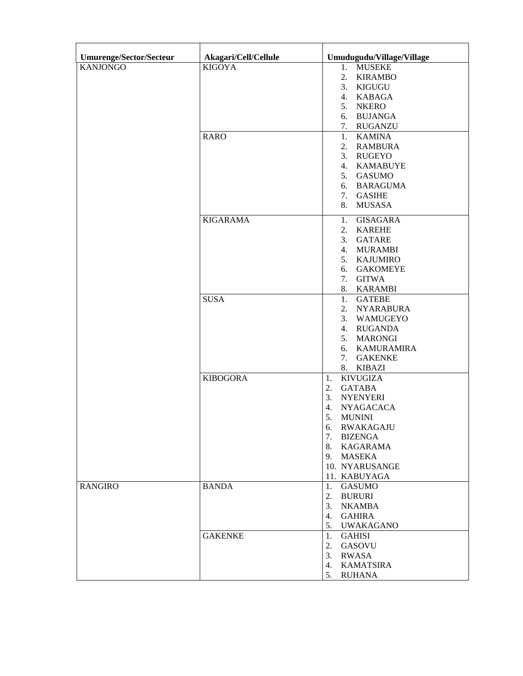| Umurenge/Sector/Secteur | Akagari/Cell/Cellule | Umudugudu/Village/Village         |
|-------------------------|----------------------|-----------------------------------|
| <b>KANJONGO</b>         | <b>KIGOYA</b>        | 1. MUSEKE                         |
|                         |                      | 2. KIRAMBO                        |
|                         |                      | 3. KIGUGU                         |
|                         |                      | 4. KABAGA                         |
|                         |                      | <b>NKERO</b><br>5.                |
|                         |                      | <b>BUJANGA</b><br>6.              |
|                         |                      | 7.<br><b>RUGANZU</b>              |
|                         | <b>RARO</b>          | <b>KAMINA</b><br>1.               |
|                         |                      | 2.<br><b>RAMBURA</b>              |
|                         |                      | 3. RUGEYO<br>4. KAMABUYE          |
|                         |                      | 5. GASUMO                         |
|                         |                      | 6. BARAGUMA                       |
|                         |                      | 7. GASIHE                         |
|                         |                      | 8.<br><b>MUSASA</b>               |
|                         | <b>KIGARAMA</b>      | <b>GISAGARA</b><br>1.             |
|                         |                      | <b>KAREHE</b><br>2.               |
|                         |                      | <b>GATARE</b><br>3.               |
|                         |                      | <b>MURAMBI</b><br>4.              |
|                         |                      | <b>KAJUMIRO</b><br>5.             |
|                         |                      | <b>GAKOMEYE</b><br>6.             |
|                         |                      | 7.<br><b>GITWA</b>                |
|                         |                      | <b>KARAMBI</b><br>8.              |
|                         | <b>SUSA</b>          | <b>GATEBE</b><br>1.               |
|                         |                      | 2.<br><b>NYARABURA</b>            |
|                         |                      | 3.<br>WAMUGEYO                    |
|                         |                      | 4. RUGANDA                        |
|                         |                      | 5. MARONGI                        |
|                         |                      | 6. KAMURAMIRA                     |
|                         |                      | <b>GAKENKE</b><br>7.<br>8. KIBAZI |
|                         | <b>KIBOGORA</b>      | <b>KIVUGIZA</b><br>1.             |
|                         |                      | 2.<br><b>GATABA</b>               |
|                         |                      | 3.<br><b>NYENYERI</b>             |
|                         |                      | <b>NYAGACACA</b><br>4.            |
|                         |                      | 5.<br><b>MUNINI</b>               |
|                         |                      | 6. RWAKAGAJU                      |
|                         |                      | 7. BIZENGA                        |
|                         |                      | 8. KAGARAMA                       |
|                         |                      | 9. MASEKA                         |
|                         |                      | 10. NYARUSANGE                    |
|                         |                      | 11. KABUYAGA                      |
| <b>RANGIRO</b>          | <b>BANDA</b>         | 1. GASUMO                         |
|                         |                      | 2. BURURI                         |
|                         |                      | 3.<br><b>NKAMBA</b>               |
|                         |                      | 4. GAHIRA<br>5. UWAKAGANO         |
|                         | <b>GAKENKE</b>       | GAHISI<br>1.                      |
|                         |                      | 2.<br>GASOVU                      |
|                         |                      | 3.<br>RWASA                       |
|                         |                      | 4. KAMATSIRA                      |
|                         |                      | 5.<br><b>RUHANA</b>               |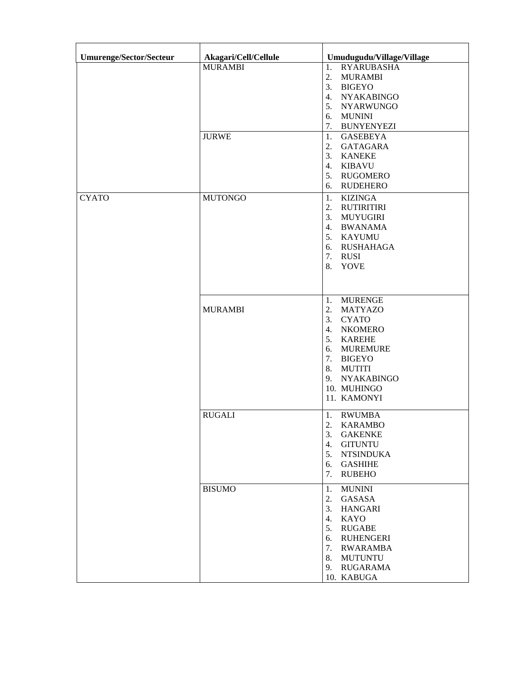| <b>Umurenge/Sector/Secteur</b> | Akagari/Cell/Cellule           | Umudugudu/Village/Village                                                                                                                                                                                                                                       |
|--------------------------------|--------------------------------|-----------------------------------------------------------------------------------------------------------------------------------------------------------------------------------------------------------------------------------------------------------------|
|                                | <b>MURAMBI</b><br><b>JURWE</b> | 1.<br><b>RYARUBASHA</b><br>2.<br><b>MURAMBI</b><br>3.<br><b>BIGEYO</b><br>4.<br><b>NYAKABINGO</b><br>5.<br><b>NYARWUNGO</b><br>6.<br><b>MUNINI</b><br>7.<br><b>BUNYENYEZI</b><br>1.<br><b>GASEBEYA</b>                                                          |
|                                |                                | 2.<br>GATAGARA<br>3.<br><b>KANEKE</b><br>4.<br><b>KIBAVU</b><br>5.<br>RUGOMERO<br><b>RUDEHERO</b><br>6.                                                                                                                                                         |
| <b>CYATO</b>                   | <b>MUTONGO</b>                 | 1.<br><b>KIZINGA</b><br>2.<br>RUTIRITIRI<br>3.<br>MUYUGIRI<br>4.<br><b>BWANAMA</b><br>5. KAYUMU<br>RUSHAHAGA<br>6.<br><b>RUSI</b><br>7.<br>8.<br>YOVE                                                                                                           |
|                                | <b>MURAMBI</b>                 | 1.<br><b>MURENGE</b><br>2.<br><b>MATYAZO</b><br>3.<br><b>CYATO</b><br>$\overline{4}$ .<br><b>NKOMERO</b><br>5.<br><b>KAREHE</b><br><b>MUREMURE</b><br>6.<br>7.<br><b>BIGEYO</b><br>8.<br><b>MUTITI</b><br><b>NYAKABINGO</b><br>9.<br>10. MUHINGO<br>11. KAMONYI |
|                                | <b>RUGALI</b>                  | 1.<br><b>RWUMBA</b><br>$\overline{2}$<br><b>KARAMBO</b><br>3.<br><b>GAKENKE</b><br><b>GITUNTU</b><br>4.<br>5.<br><b>NTSINDUKA</b><br><b>GASHIHE</b><br>6.<br>7.<br><b>RUBEHO</b>                                                                                |
|                                | <b>BISUMO</b>                  | 1.<br><b>MUNINI</b><br>2.<br>GASASA<br>3.<br><b>HANGARI</b><br>$\overline{4}$ .<br>KAYO<br>5.<br><b>RUGABE</b><br><b>RUHENGERI</b><br>6.<br><b>RWARAMBA</b><br>7.<br>8.<br><b>MUTUNTU</b><br>RUGARAMA<br>9.<br>10. KABUGA                                       |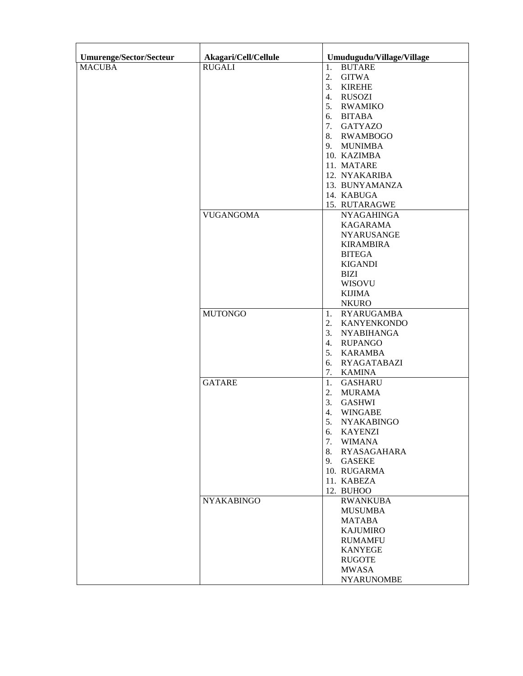| <b>Umurenge/Sector/Secteur</b> | Akagari/Cell/Cellule | Umudugudu/Village/Village |
|--------------------------------|----------------------|---------------------------|
| <b>MACUBA</b>                  | <b>RUGALI</b>        | <b>BUTARE</b><br>1.       |
|                                |                      | 2.<br><b>GITWA</b>        |
|                                |                      | 3.<br><b>KIREHE</b>       |
|                                |                      | RUSOZI<br>4.              |
|                                |                      |                           |
|                                |                      | 5. RWAMIKO                |
|                                |                      | BITABA<br>6.              |
|                                |                      | 7. GATYAZO                |
|                                |                      | 8. RWAMBOGO               |
|                                |                      | 9. MUNIMBA                |
|                                |                      | 10. KAZIMBA               |
|                                |                      | 11. MATARE                |
|                                |                      | 12. NYAKARIBA             |
|                                |                      | 13. BUNYAMANZA            |
|                                |                      | 14. KABUGA                |
|                                |                      | 15. RUTARAGWE             |
|                                | <b>VUGANGOMA</b>     | <b>NYAGAHINGA</b>         |
|                                |                      | <b>KAGARAMA</b>           |
|                                |                      | <b>NYARUSANGE</b>         |
|                                |                      | <b>KIRAMBIRA</b>          |
|                                |                      | <b>BITEGA</b>             |
|                                |                      | <b>KIGANDI</b>            |
|                                |                      | <b>BIZI</b>               |
|                                |                      | <b>WISOVU</b>             |
|                                |                      | <b>KIJIMA</b>             |
|                                |                      |                           |
|                                |                      | <b>NKURO</b>              |
|                                | <b>MUTONGO</b>       | 1.<br>RYARUGAMBA          |
|                                |                      | 2.<br><b>KANYENKONDO</b>  |
|                                |                      | 3.<br><b>NYABIHANGA</b>   |
|                                |                      | <b>RUPANGO</b><br>4.      |
|                                |                      | KARAMBA<br>5.             |
|                                |                      | RYAGATABAZI<br>6.         |
|                                |                      | 7.<br>KAMINA              |
|                                | <b>GATARE</b>        | 1.<br><b>GASHARU</b>      |
|                                |                      | 2.<br><b>MURAMA</b>       |
|                                |                      | 3.<br><b>GASHWI</b>       |
|                                |                      | <b>WINGABE</b><br>4.      |
|                                |                      | 5.<br><b>NYAKABINGO</b>   |
|                                |                      | <b>KAYENZI</b><br>6.      |
|                                |                      | 7.<br><b>WIMANA</b>       |
|                                |                      | 8. RYASAGAHARA            |
|                                |                      | 9. GASEKE                 |
|                                |                      | 10. RUGARMA               |
|                                |                      | 11. KABEZA                |
|                                |                      |                           |
|                                |                      | 12. BUHOO                 |
|                                | <b>NYAKABINGO</b>    | <b>RWANKUBA</b>           |
|                                |                      | <b>MUSUMBA</b>            |
|                                |                      | <b>MATABA</b>             |
|                                |                      | <b>KAJUMIRO</b>           |
|                                |                      | <b>RUMAMFU</b>            |
|                                |                      | <b>KANYEGE</b>            |
|                                |                      | <b>RUGOTE</b>             |
|                                |                      | <b>MWASA</b>              |
|                                |                      | <b>NYARUNOMBE</b>         |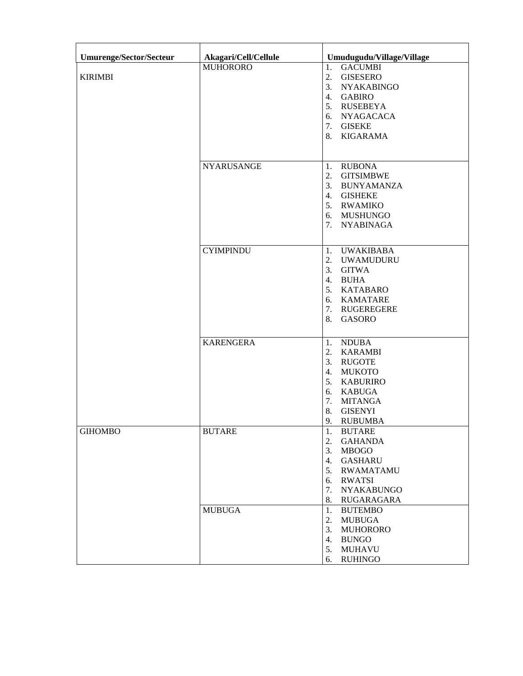| Umurenge/Sector/Secteur | Akagari/Cell/Cellule | Umudugudu/Village/Village                                                                                                                                                                                        |
|-------------------------|----------------------|------------------------------------------------------------------------------------------------------------------------------------------------------------------------------------------------------------------|
| <b>KIRIMBI</b>          | <b>MUHORORO</b>      | 1.<br><b>GACUMBI</b><br>2.<br><b>GISESERO</b><br>3.<br><b>NYAKABINGO</b><br><b>GABIRO</b><br>$\overline{4}$ .<br>5.<br>RUSEBEYA<br>NYAGACACA<br>6.<br>7.<br><b>GISEKE</b><br>8.<br>KIGARAMA                      |
|                         | <b>NYARUSANGE</b>    | 1.<br><b>RUBONA</b><br>2.<br><b>GITSIMBWE</b><br>3. BUNYAMANZA<br>4. GISHEKE<br>5. RWAMIKO<br>6. MUSHUNGO<br>7. NYABINAGA                                                                                        |
|                         | <b>CYIMPINDU</b>     | <b>UWAKIBABA</b><br>1.<br>2.<br><b>UWAMUDURU</b><br>3.<br><b>GITWA</b><br>4.<br><b>BUHA</b><br>5. KATABARO<br>6. KAMATARE<br>7. RUGEREGERE<br>8.<br><b>GASORO</b>                                                |
|                         | <b>KARENGERA</b>     | <b>NDUBA</b><br>1.<br>2.<br><b>KARAMBI</b><br>3.<br><b>RUGOTE</b><br>4.<br><b>MUKOTO</b><br>5.<br><b>KABURIRO</b><br>6.<br><b>KABUGA</b><br>7.<br><b>MITANGA</b><br>8.<br><b>GISENYI</b><br>9.<br><b>RUBUMBA</b> |
| <b>GIHOMBO</b>          | <b>BUTARE</b>        | 1.<br><b>BUTARE</b><br>2.<br><b>GAHANDA</b><br>3.<br><b>MBOGO</b><br><b>GASHARU</b><br>4.<br>5.<br><b>RWAMATAMU</b><br><b>RWATSI</b><br>6.<br>7.<br><b>NYAKABUNGO</b><br>8.<br>RUGARAGARA                        |
|                         | <b>MUBUGA</b>        | 1.<br><b>BUTEMBO</b><br>2.<br><b>MUBUGA</b><br>3.<br><b>MUHORORO</b><br>4.<br><b>BUNGO</b><br>5.<br><b>MUHAVU</b><br><b>RUHINGO</b><br>6.                                                                        |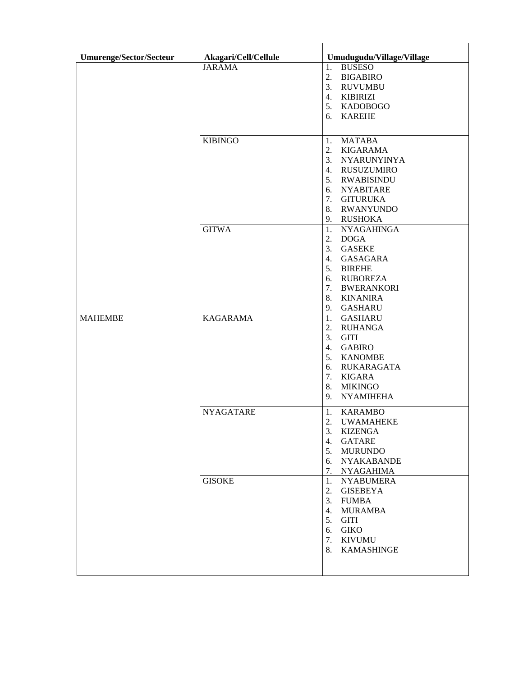| Umurenge/Sector/Secteur | Akagari/Cell/Cellule | Umudugudu/Village/Village                                                                                                                                                                                  |
|-------------------------|----------------------|------------------------------------------------------------------------------------------------------------------------------------------------------------------------------------------------------------|
|                         | <b>JARAMA</b>        | 1.<br><b>BUSESO</b><br>2.<br><b>BIGABIRO</b><br>3.<br><b>RUVUMBU</b><br>4.<br>KIBIRIZI<br>5.<br>KADOBOGO<br><b>KAREHE</b><br>6.                                                                            |
|                         | <b>KIBINGO</b>       | 1.<br><b>MATABA</b><br>2.<br><b>KIGARAMA</b><br>3.<br>NYARUNYINYA<br>4. RUSUZUMIRO<br>5.<br><b>RWABISINDU</b><br><b>NYABITARE</b><br>6.<br>7.<br><b>GITURUKA</b><br>8.<br>RWANYUNDO<br>9.<br>RUSHOKA       |
|                         | <b>GITWA</b>         | 1.<br><b>NYAGAHINGA</b><br>2.<br><b>DOGA</b><br>3.<br><b>GASEKE</b><br>4.<br>GASAGARA<br>5.<br><b>BIREHE</b><br><b>RUBOREZA</b><br>6.<br>7.<br><b>BWERANKORI</b><br>8.<br><b>KINANIRA</b><br>9.<br>GASHARU |
| <b>MAHEMBE</b>          | <b>KAGARAMA</b>      | 1.<br><b>GASHARU</b><br>2.<br><b>RUHANGA</b><br>3.<br><b>GITI</b><br><b>GABIRO</b><br>4.<br>5.<br><b>KANOMBE</b><br>RUKARAGATA<br>6.<br>7.<br>KIGARA<br>8.<br><b>MIKINGO</b><br>9.<br><b>NYAMIHEHA</b>     |
|                         | <b>NYAGATARE</b>     | 1.<br><b>KARAMBO</b><br>2.<br><b>UWAMAHEKE</b><br>3.<br><b>KIZENGA</b><br>4.<br><b>GATARE</b><br>5.<br><b>MURUNDO</b><br><b>NYAKABANDE</b><br>6.<br>7.<br><b>NYAGAHIMA</b>                                 |
|                         | <b>GISOKE</b>        | 1.<br><b>NYABUMERA</b><br>2.<br><b>GISEBEYA</b><br>3.<br><b>FUMBA</b><br><b>MURAMBA</b><br>4.<br>5.<br>GITI<br><b>GIKO</b><br>6.<br>7.<br><b>KIVUMU</b><br>8.<br>KAMASHINGE                                |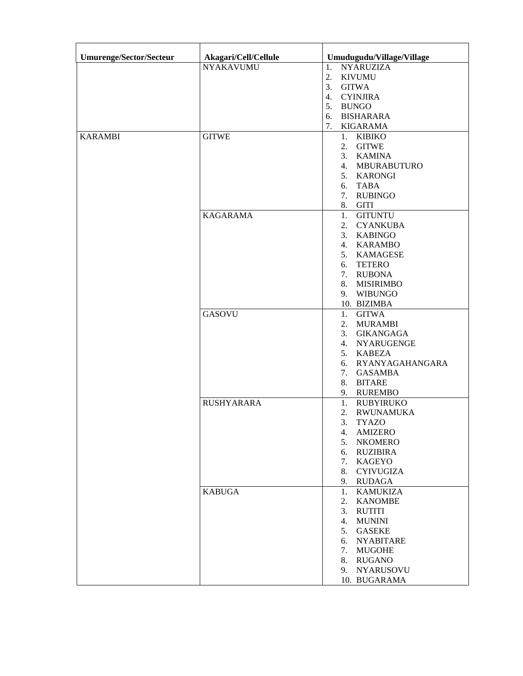| <b>Umurenge/Sector/Secteur</b> | Akagari/Cell/Cellule | Umudugudu/Village/Village |
|--------------------------------|----------------------|---------------------------|
|                                | <b>NYAKAVUMU</b>     | 1.<br><b>NYARUZIZA</b>    |
|                                |                      | 2.<br><b>KIVUMU</b>       |
|                                |                      | 3.<br><b>GITWA</b>        |
|                                |                      | <b>CYINJIRA</b><br>4.     |
|                                |                      | 5.<br><b>BUNGO</b>        |
|                                |                      | <b>BISHARARA</b><br>6.    |
|                                |                      | 7.<br>KIGARAMA            |
| <b>KARAMBI</b>                 | <b>GITWE</b>         | 1. KIBIKO                 |
|                                |                      | <b>GITWE</b><br>2.        |
|                                |                      | 3. KAMINA                 |
|                                |                      | 4. MBURABUTURO            |
|                                |                      | 5. KARONGI                |
|                                |                      | 6. TABA                   |
|                                |                      |                           |
|                                |                      | <b>RUBINGO</b><br>7.      |
|                                |                      | <b>GITI</b><br>8.         |
|                                | <b>KAGARAMA</b>      | <b>GITUNTU</b><br>1.      |
|                                |                      | <b>CYANKUBA</b><br>2.     |
|                                |                      | 3. KABINGO                |
|                                |                      | 4. KARAMBO                |
|                                |                      | 5. KAMAGESE               |
|                                |                      | 6. TETERO                 |
|                                |                      | 7. RUBONA                 |
|                                |                      | 8. MISIRIMBO              |
|                                |                      | 9. WIBUNGO                |
|                                |                      | 10. BIZIMBA               |
|                                | <b>GASOVU</b>        | <b>GITWA</b><br>1.        |
|                                |                      | <b>MURAMBI</b><br>2.      |
|                                |                      | <b>GIKANGAGA</b><br>3.    |
|                                |                      | 4. NYARUGENGE             |
|                                |                      | 5. KABEZA                 |
|                                |                      | 6. RYANYAGAHANGARA        |
|                                |                      | <b>GASAMBA</b><br>7.      |
|                                |                      | 8. BITARE                 |
|                                |                      | 9. RUREMBO                |
|                                | <b>RUSHYARARA</b>    | <b>RUBYIRUKO</b><br>1.    |
|                                |                      | <b>RWUNAMUKA</b><br>2.    |
|                                |                      | 3.<br><b>TYAZO</b>        |
|                                |                      | <b>AMIZERO</b><br>4.      |
|                                |                      | 5.<br><b>NKOMERO</b>      |
|                                |                      | <b>RUZIBIRA</b><br>6.     |
|                                |                      | <b>KAGEYO</b><br>7.       |
|                                |                      | <b>CYIVUGIZA</b><br>8.    |
|                                |                      | <b>RUDAGA</b><br>9.       |
|                                |                      |                           |
|                                | <b>KABUGA</b>        | <b>KAMUKIZA</b><br>1.     |
|                                |                      | <b>KANOMBE</b><br>2.      |
|                                |                      | <b>RUTITI</b><br>3.       |
|                                |                      | <b>MUNINI</b><br>4.       |
|                                |                      | <b>GASEKE</b><br>5.       |
|                                |                      | <b>NYABITARE</b><br>6.    |
|                                |                      | <b>MUGOHE</b><br>7.       |
|                                |                      | <b>RUGANO</b><br>8.       |
|                                |                      | <b>NYARUSOVU</b><br>9.    |
|                                |                      | 10. BUGARAMA              |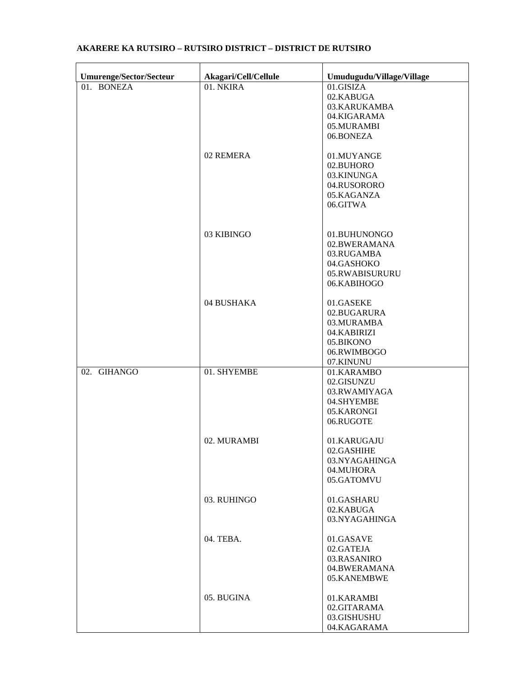| Umurenge/Sector/Secteur | Akagari/Cell/Cellule | Umudugudu/Village/Village                                                                      |
|-------------------------|----------------------|------------------------------------------------------------------------------------------------|
| 01. BONEZA              | 01. NKIRA            | 01.GISIZA<br>02.KABUGA<br>03.KARUKAMBA<br>04.KIGARAMA<br>05.MURAMBI<br>06.BONEZA               |
|                         | 02 REMERA            | 01.MUYANGE<br>02.BUHORO<br>03.KINUNGA<br>04.RUSORORO<br>05.KAGANZA<br>06.GITWA                 |
|                         | 03 KIBINGO           | 01.BUHUNONGO<br>02.BWERAMANA<br>03.RUGAMBA<br>04.GASHOKO<br>05.RWABISURURU<br>06.KABIHOGO      |
|                         | 04 BUSHAKA           | 01.GASEKE<br>02.BUGARURA<br>03.MURAMBA<br>04.KABIRIZI<br>05.BIKONO<br>06.RWIMBOGO<br>07.KINUNU |
| 02. GIHANGO             | 01. SHYEMBE          | 01.KARAMBO<br>02.GISUNZU<br>03.RWAMIYAGA<br>04.SHYEMBE<br>05.KARONGI<br>06.RUGOTE              |
|                         | 02. MURAMBI          | 01.KARUGAJU<br>02.GASHIHE<br>03.NYAGAHINGA<br>04.MUHORA<br>05.GATOMVU                          |
|                         | 03. RUHINGO          | 01.GASHARU<br>02.KABUGA<br>03.NYAGAHINGA                                                       |
|                         | 04. TEBA.            | 01.GASAVE<br>02.GATEJA<br>03.RASANIRO<br>04.BWERAMANA<br>05.KANEMBWE                           |
|                         | 05. BUGINA           | 01.KARAMBI<br>02.GITARAMA<br>03.GISHUSHU<br>04.KAGARAMA                                        |

## **AKARERE KA RUTSIRO – RUTSIRO DISTRICT – DISTRICT DE RUTSIRO**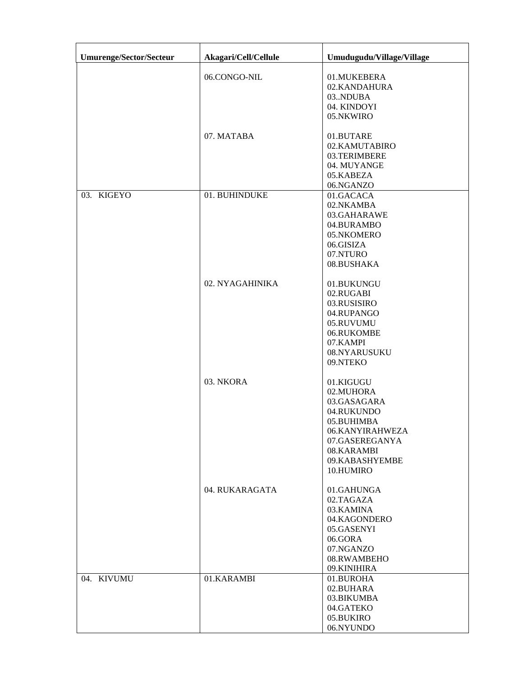| <b>Umurenge/Sector/Secteur</b> | Akagari/Cell/Cellule | Umudugudu/Village/Village                                                                                                                           |
|--------------------------------|----------------------|-----------------------------------------------------------------------------------------------------------------------------------------------------|
|                                | 06.CONGO-NIL         | 01.MUKEBERA<br>02.KANDAHURA<br>03.NDUBA<br>04. KINDOYI<br>05.NKWIRO                                                                                 |
|                                | 07. MATABA           | 01.BUTARE<br>02.KAMUTABIRO<br>03.TERIMBERE<br>04. MUYANGE<br>05.KABEZA<br>06.NGANZO                                                                 |
| 03. KIGEYO                     | 01. BUHINDUKE        | 01.GACACA<br>02.NKAMBA<br>03.GAHARAWE<br>04.BURAMBO<br>05.NKOMERO<br>06.GISIZA<br>07.NTURO<br>08.BUSHAKA                                            |
|                                | 02. NYAGAHINIKA      | 01.BUKUNGU<br>02.RUGABI<br>03.RUSISIRO<br>04.RUPANGO<br>05.RUVUMU<br>06.RUKOMBE<br>07.KAMPI<br>08.NYARUSUKU<br>09.NTEKO                             |
|                                | 03. NKORA            | 01.KIGUGU<br>02.MUHORA<br>03.GASAGARA<br>04.RUKUNDO<br>05.BUHIMBA<br>06.KANYIRAHWEZA<br>07.GASEREGANYA<br>08.KARAMBI<br>09.KABASHYEMBE<br>10.HUMIRO |
|                                | 04. RUKARAGATA       | 01.GAHUNGA<br>02.TAGAZA<br>03.KAMINA<br>04.KAGONDERO<br>05.GASENYI<br>06.GORA<br>07.NGANZO<br>08.RWAMBEHO<br>09.KINIHIRA                            |
| 04. KIVUMU                     | 01.KARAMBI           | 01.BUROHA<br>02.BUHARA<br>03.BIKUMBA<br>04.GATEKO<br>05.BUKIRO<br>06.NYUNDO                                                                         |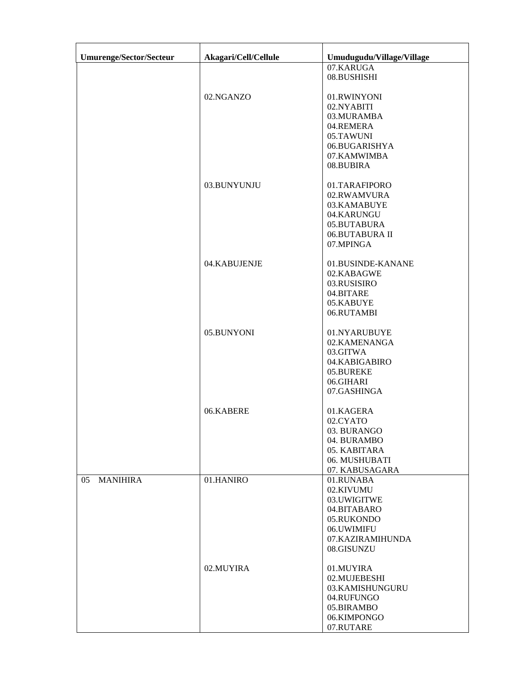| <b>Umurenge/Sector/Secteur</b> | Akagari/Cell/Cellule | Umudugudu/Village/Village       |
|--------------------------------|----------------------|---------------------------------|
|                                |                      | 07.KARUGA                       |
|                                |                      | 08.BUSHISHI                     |
|                                |                      |                                 |
|                                | 02.NGANZO            | 01.RWINYONI<br>02.NYABITI       |
|                                |                      | 03.MURAMBA                      |
|                                |                      | 04.REMERA                       |
|                                |                      | 05.TAWUNI                       |
|                                |                      | 06.BUGARISHYA                   |
|                                |                      | 07.KAMWIMBA                     |
|                                |                      | 08.BUBIRA                       |
|                                | 03.BUNYUNJU          | 01.TARAFIPORO                   |
|                                |                      | 02.RWAMVURA                     |
|                                |                      | 03.KAMABUYE                     |
|                                |                      | 04.KARUNGU                      |
|                                |                      | 05.BUTABURA                     |
|                                |                      | 06.BUTABURA II                  |
|                                |                      | 07.MPINGA                       |
|                                | 04.KABUJENJE         | 01.BUSINDE-KANANE               |
|                                |                      | 02.KABAGWE                      |
|                                |                      | 03.RUSISIRO                     |
|                                |                      | 04.BITARE                       |
|                                |                      | 05.KABUYE                       |
|                                |                      | 06.RUTAMBI                      |
|                                | 05.BUNYONI           | 01.NYARUBUYE                    |
|                                |                      | 02.KAMENANGA                    |
|                                |                      | 03.GITWA                        |
|                                |                      | 04.KABIGABIRO                   |
|                                |                      | 05.BUREKE                       |
|                                |                      | 06.GIHARI                       |
|                                |                      | 07.GASHINGA                     |
|                                | 06.KABERE            | 01.KAGERA                       |
|                                |                      | 02.CYATO                        |
|                                |                      | 03. BURANGO                     |
|                                |                      | 04. BURAMBO                     |
|                                |                      | 05. KABITARA                    |
|                                |                      | 06. MUSHUBATI<br>07. KABUSAGARA |
| <b>MANIHIRA</b><br>05          | 01.HANIRO            | 01.RUNABA                       |
|                                |                      | 02.KIVUMU                       |
|                                |                      | 03.UWIGITWE                     |
|                                |                      | 04.BITABARO                     |
|                                |                      | 05.RUKONDO                      |
|                                |                      | 06.UWIMIFU                      |
|                                |                      | 07.KAZIRAMIHUNDA                |
|                                |                      | 08.GISUNZU                      |
|                                | 02.MUYIRA            | 01.MUYIRA                       |
|                                |                      | 02.MUJEBESHI                    |
|                                |                      | 03.KAMISHUNGURU                 |
|                                |                      | 04.RUFUNGO                      |
|                                |                      | 05.BIRAMBO                      |
|                                |                      | 06.KIMPONGO                     |
|                                |                      | 07.RUTARE                       |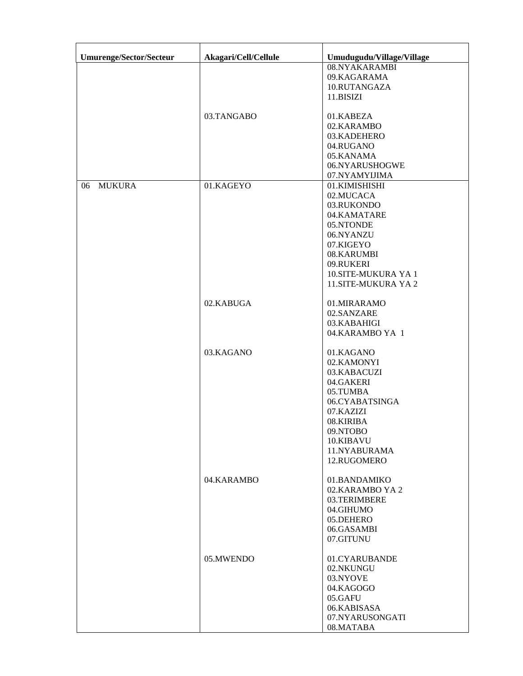| 08.NYAKARAMBI<br>09.KAGARAMA<br>10.RUTANGAZA<br>11.BISIZI<br>03.TANGABO<br>01.KABEZA<br>02.KARAMBO<br>03.KADEHERO<br>04.RUGANO<br>05.KANAMA<br>06.NYARUSHOGWE<br>07.NYAMYIJIMA<br><b>MUKURA</b><br>01.KAGEYO<br>01.KIMISHISHI<br>06<br>02.MUCACA<br>03.RUKONDO<br>04.KAMATARE<br>05.NTONDE<br>06.NYANZU<br>07.KIGEYO<br>08.KARUMBI<br>09.RUKERI<br>10.SITE-MUKURA YA 1<br>11.SITE-MUKURA YA 2<br>02.KABUGA<br>01.MIRARAMO<br>02.SANZARE<br>03.KABAHIGI<br>04.KARAMBO YA 1<br>03.KAGANO<br>01.KAGANO<br>02.KAMONYI<br>03.KABACUZI<br>04.GAKERI<br>05.TUMBA<br>06.CYABATSINGA<br>07.KAZIZI<br>08.KIRIBA<br>09.NTOBO<br>10.KIBAVU<br>11.NYABURAMA<br>12.RUGOMERO<br>04.KARAMBO<br>01.BANDAMIKO<br>02. KARAMBO YA 2<br>03.TERIMBERE<br>04.GIHUMO<br>05.DEHERO<br>06.GASAMBI<br>07.GITUNU<br>05.MWENDO<br>01.CYARUBANDE<br>02.NKUNGU<br>03.NYOVE<br>04.KAGOGO<br>05.GAFU<br>06.KABISASA<br>07.NYARUSONGATI | <b>Umurenge/Sector/Secteur</b> | Akagari/Cell/Cellule | Umudugudu/Village/Village |
|-------------------------------------------------------------------------------------------------------------------------------------------------------------------------------------------------------------------------------------------------------------------------------------------------------------------------------------------------------------------------------------------------------------------------------------------------------------------------------------------------------------------------------------------------------------------------------------------------------------------------------------------------------------------------------------------------------------------------------------------------------------------------------------------------------------------------------------------------------------------------------------------------------|--------------------------------|----------------------|---------------------------|
|                                                                                                                                                                                                                                                                                                                                                                                                                                                                                                                                                                                                                                                                                                                                                                                                                                                                                                       |                                |                      |                           |
|                                                                                                                                                                                                                                                                                                                                                                                                                                                                                                                                                                                                                                                                                                                                                                                                                                                                                                       |                                |                      |                           |
|                                                                                                                                                                                                                                                                                                                                                                                                                                                                                                                                                                                                                                                                                                                                                                                                                                                                                                       |                                |                      |                           |
|                                                                                                                                                                                                                                                                                                                                                                                                                                                                                                                                                                                                                                                                                                                                                                                                                                                                                                       |                                |                      |                           |
|                                                                                                                                                                                                                                                                                                                                                                                                                                                                                                                                                                                                                                                                                                                                                                                                                                                                                                       |                                |                      |                           |
|                                                                                                                                                                                                                                                                                                                                                                                                                                                                                                                                                                                                                                                                                                                                                                                                                                                                                                       |                                |                      |                           |
|                                                                                                                                                                                                                                                                                                                                                                                                                                                                                                                                                                                                                                                                                                                                                                                                                                                                                                       |                                |                      |                           |
|                                                                                                                                                                                                                                                                                                                                                                                                                                                                                                                                                                                                                                                                                                                                                                                                                                                                                                       |                                |                      |                           |
|                                                                                                                                                                                                                                                                                                                                                                                                                                                                                                                                                                                                                                                                                                                                                                                                                                                                                                       |                                |                      |                           |
|                                                                                                                                                                                                                                                                                                                                                                                                                                                                                                                                                                                                                                                                                                                                                                                                                                                                                                       |                                |                      |                           |
|                                                                                                                                                                                                                                                                                                                                                                                                                                                                                                                                                                                                                                                                                                                                                                                                                                                                                                       |                                |                      |                           |
|                                                                                                                                                                                                                                                                                                                                                                                                                                                                                                                                                                                                                                                                                                                                                                                                                                                                                                       |                                |                      |                           |
|                                                                                                                                                                                                                                                                                                                                                                                                                                                                                                                                                                                                                                                                                                                                                                                                                                                                                                       |                                |                      |                           |
|                                                                                                                                                                                                                                                                                                                                                                                                                                                                                                                                                                                                                                                                                                                                                                                                                                                                                                       |                                |                      |                           |
|                                                                                                                                                                                                                                                                                                                                                                                                                                                                                                                                                                                                                                                                                                                                                                                                                                                                                                       |                                |                      |                           |
|                                                                                                                                                                                                                                                                                                                                                                                                                                                                                                                                                                                                                                                                                                                                                                                                                                                                                                       |                                |                      |                           |
|                                                                                                                                                                                                                                                                                                                                                                                                                                                                                                                                                                                                                                                                                                                                                                                                                                                                                                       |                                |                      |                           |
|                                                                                                                                                                                                                                                                                                                                                                                                                                                                                                                                                                                                                                                                                                                                                                                                                                                                                                       |                                |                      |                           |
|                                                                                                                                                                                                                                                                                                                                                                                                                                                                                                                                                                                                                                                                                                                                                                                                                                                                                                       |                                |                      |                           |
|                                                                                                                                                                                                                                                                                                                                                                                                                                                                                                                                                                                                                                                                                                                                                                                                                                                                                                       |                                |                      |                           |
|                                                                                                                                                                                                                                                                                                                                                                                                                                                                                                                                                                                                                                                                                                                                                                                                                                                                                                       |                                |                      |                           |
|                                                                                                                                                                                                                                                                                                                                                                                                                                                                                                                                                                                                                                                                                                                                                                                                                                                                                                       |                                |                      |                           |
|                                                                                                                                                                                                                                                                                                                                                                                                                                                                                                                                                                                                                                                                                                                                                                                                                                                                                                       |                                |                      |                           |
|                                                                                                                                                                                                                                                                                                                                                                                                                                                                                                                                                                                                                                                                                                                                                                                                                                                                                                       |                                |                      |                           |
|                                                                                                                                                                                                                                                                                                                                                                                                                                                                                                                                                                                                                                                                                                                                                                                                                                                                                                       |                                |                      |                           |
|                                                                                                                                                                                                                                                                                                                                                                                                                                                                                                                                                                                                                                                                                                                                                                                                                                                                                                       |                                |                      |                           |
|                                                                                                                                                                                                                                                                                                                                                                                                                                                                                                                                                                                                                                                                                                                                                                                                                                                                                                       |                                |                      |                           |
|                                                                                                                                                                                                                                                                                                                                                                                                                                                                                                                                                                                                                                                                                                                                                                                                                                                                                                       |                                |                      |                           |
|                                                                                                                                                                                                                                                                                                                                                                                                                                                                                                                                                                                                                                                                                                                                                                                                                                                                                                       |                                |                      |                           |
|                                                                                                                                                                                                                                                                                                                                                                                                                                                                                                                                                                                                                                                                                                                                                                                                                                                                                                       |                                |                      |                           |
|                                                                                                                                                                                                                                                                                                                                                                                                                                                                                                                                                                                                                                                                                                                                                                                                                                                                                                       |                                |                      |                           |
|                                                                                                                                                                                                                                                                                                                                                                                                                                                                                                                                                                                                                                                                                                                                                                                                                                                                                                       |                                |                      |                           |
|                                                                                                                                                                                                                                                                                                                                                                                                                                                                                                                                                                                                                                                                                                                                                                                                                                                                                                       |                                |                      |                           |
|                                                                                                                                                                                                                                                                                                                                                                                                                                                                                                                                                                                                                                                                                                                                                                                                                                                                                                       |                                |                      |                           |
|                                                                                                                                                                                                                                                                                                                                                                                                                                                                                                                                                                                                                                                                                                                                                                                                                                                                                                       |                                |                      |                           |
|                                                                                                                                                                                                                                                                                                                                                                                                                                                                                                                                                                                                                                                                                                                                                                                                                                                                                                       |                                |                      |                           |
|                                                                                                                                                                                                                                                                                                                                                                                                                                                                                                                                                                                                                                                                                                                                                                                                                                                                                                       |                                |                      |                           |
|                                                                                                                                                                                                                                                                                                                                                                                                                                                                                                                                                                                                                                                                                                                                                                                                                                                                                                       |                                |                      |                           |
|                                                                                                                                                                                                                                                                                                                                                                                                                                                                                                                                                                                                                                                                                                                                                                                                                                                                                                       |                                |                      |                           |
|                                                                                                                                                                                                                                                                                                                                                                                                                                                                                                                                                                                                                                                                                                                                                                                                                                                                                                       |                                |                      |                           |
|                                                                                                                                                                                                                                                                                                                                                                                                                                                                                                                                                                                                                                                                                                                                                                                                                                                                                                       |                                |                      |                           |
|                                                                                                                                                                                                                                                                                                                                                                                                                                                                                                                                                                                                                                                                                                                                                                                                                                                                                                       |                                |                      |                           |
|                                                                                                                                                                                                                                                                                                                                                                                                                                                                                                                                                                                                                                                                                                                                                                                                                                                                                                       |                                |                      |                           |
|                                                                                                                                                                                                                                                                                                                                                                                                                                                                                                                                                                                                                                                                                                                                                                                                                                                                                                       |                                |                      |                           |
|                                                                                                                                                                                                                                                                                                                                                                                                                                                                                                                                                                                                                                                                                                                                                                                                                                                                                                       |                                |                      |                           |
|                                                                                                                                                                                                                                                                                                                                                                                                                                                                                                                                                                                                                                                                                                                                                                                                                                                                                                       |                                |                      |                           |
|                                                                                                                                                                                                                                                                                                                                                                                                                                                                                                                                                                                                                                                                                                                                                                                                                                                                                                       |                                |                      |                           |
|                                                                                                                                                                                                                                                                                                                                                                                                                                                                                                                                                                                                                                                                                                                                                                                                                                                                                                       |                                |                      |                           |
|                                                                                                                                                                                                                                                                                                                                                                                                                                                                                                                                                                                                                                                                                                                                                                                                                                                                                                       |                                |                      |                           |
|                                                                                                                                                                                                                                                                                                                                                                                                                                                                                                                                                                                                                                                                                                                                                                                                                                                                                                       |                                |                      |                           |
|                                                                                                                                                                                                                                                                                                                                                                                                                                                                                                                                                                                                                                                                                                                                                                                                                                                                                                       |                                |                      |                           |
|                                                                                                                                                                                                                                                                                                                                                                                                                                                                                                                                                                                                                                                                                                                                                                                                                                                                                                       |                                |                      |                           |
|                                                                                                                                                                                                                                                                                                                                                                                                                                                                                                                                                                                                                                                                                                                                                                                                                                                                                                       |                                |                      |                           |
|                                                                                                                                                                                                                                                                                                                                                                                                                                                                                                                                                                                                                                                                                                                                                                                                                                                                                                       |                                |                      |                           |
|                                                                                                                                                                                                                                                                                                                                                                                                                                                                                                                                                                                                                                                                                                                                                                                                                                                                                                       |                                |                      |                           |
|                                                                                                                                                                                                                                                                                                                                                                                                                                                                                                                                                                                                                                                                                                                                                                                                                                                                                                       |                                |                      |                           |
|                                                                                                                                                                                                                                                                                                                                                                                                                                                                                                                                                                                                                                                                                                                                                                                                                                                                                                       |                                |                      |                           |
|                                                                                                                                                                                                                                                                                                                                                                                                                                                                                                                                                                                                                                                                                                                                                                                                                                                                                                       |                                |                      |                           |
|                                                                                                                                                                                                                                                                                                                                                                                                                                                                                                                                                                                                                                                                                                                                                                                                                                                                                                       |                                |                      |                           |
|                                                                                                                                                                                                                                                                                                                                                                                                                                                                                                                                                                                                                                                                                                                                                                                                                                                                                                       |                                |                      | 08.MATABA                 |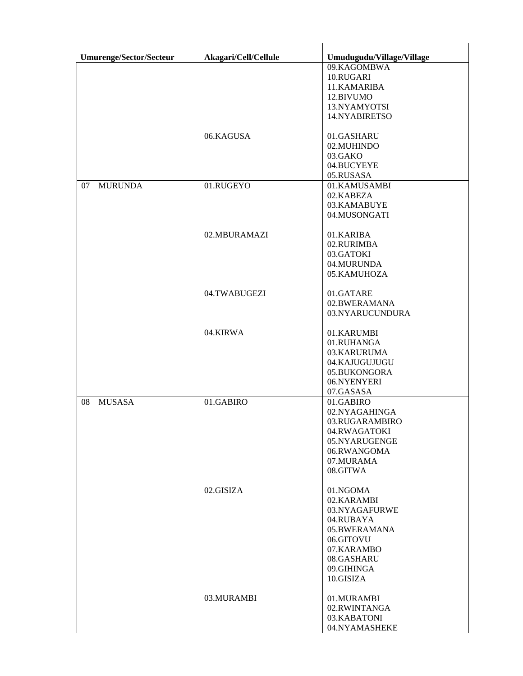| Umurenge/Sector/Secteur | Akagari/Cell/Cellule | Umudugudu/Village/Village |
|-------------------------|----------------------|---------------------------|
|                         |                      | 09.KAGOMBWA               |
|                         |                      | 10.RUGARI                 |
|                         |                      | 11.KAMARIBA               |
|                         |                      | 12.BIVUMO                 |
|                         |                      | 13.NYAMYOTSI              |
|                         |                      |                           |
|                         |                      | 14.NYABIRETSO             |
|                         | 06.KAGUSA            | 01.GASHARU                |
|                         |                      | 02.MUHINDO                |
|                         |                      | 03.GAKO                   |
|                         |                      | 04.BUCYEYE                |
|                         |                      | 05.RUSASA                 |
| <b>MURUNDA</b><br>07    | 01.RUGEYO            | 01.KAMUSAMBI              |
|                         |                      | 02.KABEZA                 |
|                         |                      | 03.KAMABUYE               |
|                         |                      | 04.MUSONGATI              |
|                         |                      |                           |
|                         | 02.MBURAMAZI         | 01.KARIBA                 |
|                         |                      | 02.RURIMBA                |
|                         |                      | 03.GATOKI                 |
|                         |                      | 04.MURUNDA                |
|                         |                      | 05.KAMUHOZA               |
|                         | 04.TWABUGEZI         | 01.GATARE                 |
|                         |                      | 02.BWERAMANA              |
|                         |                      | 03.NYARUCUNDURA           |
|                         |                      |                           |
|                         | 04.KIRWA             | 01.KARUMBI                |
|                         |                      | 01.RUHANGA                |
|                         |                      | 03.KARURUMA               |
|                         |                      | 04.KAJUGUJUGU             |
|                         |                      | 05.BUKONGORA              |
|                         |                      | 06.NYENYERI               |
|                         |                      | 07.GASASA                 |
| <b>MUSASA</b><br>08     | 01.GABIRO            | 01.GABIRO                 |
|                         |                      | 02.NYAGAHINGA             |
|                         |                      |                           |
|                         |                      | 03.RUGARAMBIRO            |
|                         |                      | 04.RWAGATOKI              |
|                         |                      | 05.NYARUGENGE             |
|                         |                      | 06.RWANGOMA               |
|                         |                      | 07.MURAMA                 |
|                         |                      | 08.GITWA                  |
|                         | 02.GISIZA            | 01.NGOMA                  |
|                         |                      | 02.KARAMBI                |
|                         |                      | 03.NYAGAFURWE             |
|                         |                      | 04.RUBAYA                 |
|                         |                      | 05.BWERAMANA              |
|                         |                      |                           |
|                         |                      | 06.GITOVU                 |
|                         |                      | 07.KARAMBO                |
|                         |                      | 08.GASHARU                |
|                         |                      | 09.GIHINGA                |
|                         |                      | 10.GISIZA                 |
|                         | 03.MURAMBI           | 01.MURAMBI                |
|                         |                      | 02.RWINTANGA              |
|                         |                      | 03.KABATONI               |
|                         |                      | 04.NYAMASHEKE             |
|                         |                      |                           |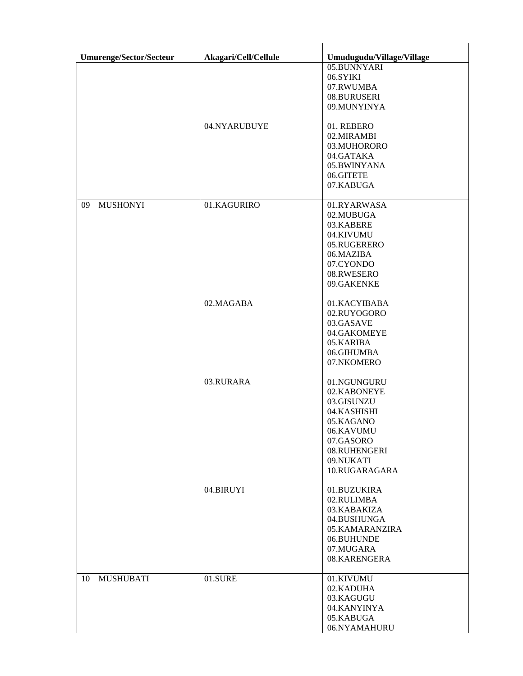| <b>Umurenge/Sector/Secteur</b> | Akagari/Cell/Cellule | Umudugudu/Village/Village |
|--------------------------------|----------------------|---------------------------|
|                                |                      | 05.BUNNYARI               |
|                                |                      | 06.SYIKI                  |
|                                |                      | 07.RWUMBA                 |
|                                |                      | 08.BURUSERI               |
|                                |                      | 09.MUNYINYA               |
|                                |                      |                           |
|                                | 04.NYARUBUYE         | 01. REBERO                |
|                                |                      | 02.MIRAMBI                |
|                                |                      | 03.MUHORORO               |
|                                |                      | 04.GATAKA                 |
|                                |                      | 05.BWINYANA               |
|                                |                      |                           |
|                                |                      | 06.GITETE                 |
|                                |                      | 07.KABUGA                 |
| <b>MUSHONYI</b><br>09          | 01.KAGURIRO          | 01.RYARWASA               |
|                                |                      | 02.MUBUGA                 |
|                                |                      | 03.KABERE                 |
|                                |                      | 04.KIVUMU                 |
|                                |                      | 05.RUGERERO               |
|                                |                      | 06.MAZIBA                 |
|                                |                      |                           |
|                                |                      | 07.CYONDO<br>08.RWESERO   |
|                                |                      |                           |
|                                |                      | 09.GAKENKE                |
|                                | 02.MAGABA            | 01.KACYIBABA              |
|                                |                      | 02.RUYOGORO               |
|                                |                      | 03.GASAVE                 |
|                                |                      |                           |
|                                |                      | 04.GAKOMEYE               |
|                                |                      | 05.KARIBA                 |
|                                |                      | 06.GIHUMBA                |
|                                |                      | 07.NKOMERO                |
|                                | 03.RURARA            | 01.NGUNGURU               |
|                                |                      | 02.KABONEYE               |
|                                |                      |                           |
|                                |                      | 03.GISUNZU                |
|                                |                      | 04.KASHISHI               |
|                                |                      | 05.KAGANO                 |
|                                |                      | 06.KAVUMU                 |
|                                |                      | 07.GASORO                 |
|                                |                      | 08.RUHENGERI              |
|                                |                      | 09.NUKATI                 |
|                                |                      | 10.RUGARAGARA             |
|                                |                      |                           |
|                                | 04.BIRUYI            | 01.BUZUKIRA               |
|                                |                      | 02.RULIMBA                |
|                                |                      | 03.KABAKIZA               |
|                                |                      | 04.BUSHUNGA               |
|                                |                      | 05.KAMARANZIRA            |
|                                |                      | 06.BUHUNDE                |
|                                |                      | 07.MUGARA                 |
|                                |                      | 08.KARENGERA              |
|                                |                      |                           |
| 10<br><b>MUSHUBATI</b>         | 01.SURE              | 01.KIVUMU                 |
|                                |                      | 02.KADUHA                 |
|                                |                      | 03.KAGUGU                 |
|                                |                      | 04.KANYINYA               |
|                                |                      | 05.KABUGA                 |
|                                |                      | 06.NYAMAHURU              |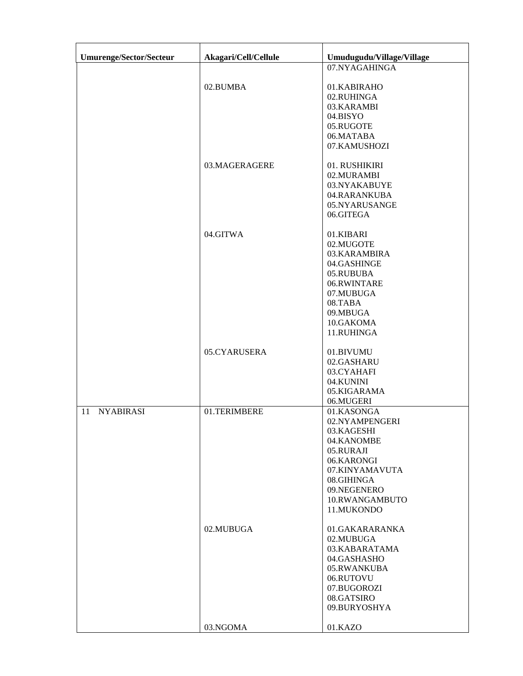| Umurenge/Sector/Secteur | Akagari/Cell/Cellule | Umudugudu/Village/Village                                                                                                                                          |
|-------------------------|----------------------|--------------------------------------------------------------------------------------------------------------------------------------------------------------------|
|                         |                      | 07.NYAGAHINGA                                                                                                                                                      |
|                         | 02.BUMBA             | 01.KABIRAHO<br>02.RUHINGA<br>03.KARAMBI<br>04.BISYO<br>05.RUGOTE<br>06.MATABA<br>07.KAMUSHOZI                                                                      |
|                         | 03.MAGERAGERE        | 01. RUSHIKIRI<br>02.MURAMBI<br>03.NYAKABUYE<br>04.RARANKUBA<br>05.NYARUSANGE<br>06.GITEGA                                                                          |
|                         | 04.GITWA             | 01.KIBARI<br>02.MUGOTE<br>03.KARAMBIRA<br>04.GASHINGE<br>05.RUBUBA<br>06.RWINTARE<br>07.MUBUGA<br>08.TABA<br>09.MBUGA<br>10.GAKOMA<br>11.RUHINGA                   |
|                         | 05.CYARUSERA         | 01.BIVUMU<br>02.GASHARU<br>03.CYAHAFI<br>04.KUNINI<br>05.KIGARAMA<br>06.MUGERI                                                                                     |
| <b>NYABIRASI</b><br>11  | 01.TERIMBERE         | 01.KASONGA<br>02.NYAMPENGERI<br>03.KAGESHI<br>04.KANOMBE<br>05.RURAJI<br>06.KARONGI<br>07.KINYAMAVUTA<br>08.GIHINGA<br>09.NEGENERO<br>10.RWANGAMBUTO<br>11.MUKONDO |
|                         | 02.MUBUGA            | 01.GAKARARANKA<br>02.MUBUGA<br>03.KABARATAMA<br>04.GASHASHO<br>05.RWANKUBA<br>06.RUTOVU<br>07.BUGOROZI<br>08.GATSIRO<br>09.BURYOSHYA                               |
|                         | 03.NGOMA             | 01.KAZO                                                                                                                                                            |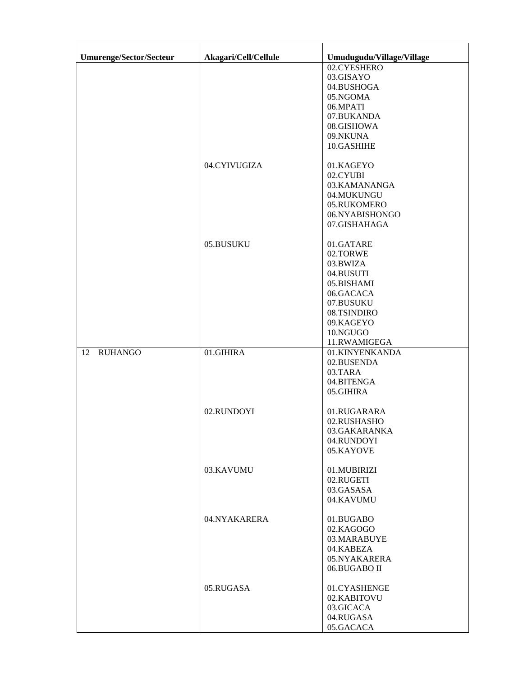| <b>Umurenge/Sector/Secteur</b> | Akagari/Cell/Cellule | Umudugudu/Village/Village                                                                                                                      |
|--------------------------------|----------------------|------------------------------------------------------------------------------------------------------------------------------------------------|
|                                |                      | 02.CYESHERO<br>03.GISAYO<br>04.BUSHOGA<br>05.NGOMA<br>06.MPATI<br>07.BUKANDA<br>08.GISHOWA<br>09.NKUNA<br>10.GASHIHE                           |
|                                | 04.CYIVUGIZA         | 01.KAGEYO<br>02.CYUBI<br>03.KAMANANGA<br>04.MUKUNGU<br>05.RUKOMERO<br>06.NYABISHONGO<br>07.GISHAHAGA                                           |
|                                | 05.BUSUKU            | 01.GATARE<br>02.TORWE<br>03.BWIZA<br>04.BUSUTI<br>05.BISHAMI<br>06.GACACA<br>07.BUSUKU<br>08.TSINDIRO<br>09.KAGEYO<br>10.NGUGO<br>11.RWAMIGEGA |
| <b>RUHANGO</b><br>12           | 01.GIHIRA            | 01.KINYENKANDA<br>02.BUSENDA<br>03.TARA<br>04.BITENGA<br>05.GIHIRA                                                                             |
|                                | 02.RUNDOYI           | 01.RUGARARA<br>02.RUSHASHO<br>03.GAKARANKA<br>04.RUNDOYI<br>05.KAYOVE                                                                          |
|                                | 03.KAVUMU            | 01.MUBIRIZI<br>02.RUGETI<br>03.GASASA<br>04.KAVUMU                                                                                             |
|                                | 04.NYAKARERA         | 01.BUGABO<br>02.KAGOGO<br>03.MARABUYE<br>04.KABEZA<br>05.NYAKARERA<br>06.BUGABO II                                                             |
|                                | 05.RUGASA            | 01.CYASHENGE<br>02.KABITOVU<br>03.GICACA<br>04.RUGASA<br>05.GACACA                                                                             |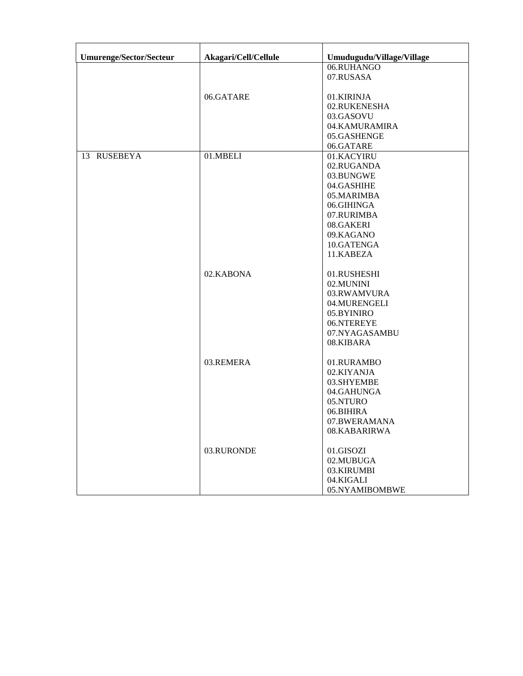| <b>Umurenge/Sector/Secteur</b> | Akagari/Cell/Cellule | Umudugudu/Village/Village |
|--------------------------------|----------------------|---------------------------|
|                                |                      | 06.RUHANGO                |
|                                |                      | 07.RUSASA                 |
|                                |                      |                           |
|                                | 06.GATARE            | 01.KIRINJA                |
|                                |                      | 02.RUKENESHA              |
|                                |                      | 03.GASOVU                 |
|                                |                      | 04.KAMURAMIRA             |
|                                |                      | 05.GASHENGE               |
|                                |                      | 06.GATARE                 |
| 13 RUSEBEYA                    | 01.MBELI             | 01.KACYIRU                |
|                                |                      | 02.RUGANDA                |
|                                |                      | 03.BUNGWE                 |
|                                |                      | 04.GASHIHE                |
|                                |                      | 05.MARIMBA                |
|                                |                      | 06.GIHINGA                |
|                                |                      | 07.RURIMBA                |
|                                |                      | 08.GAKERI                 |
|                                |                      | 09.KAGANO                 |
|                                |                      | 10.GATENGA                |
|                                |                      | 11.KABEZA                 |
|                                |                      |                           |
|                                | 02.KABONA            | 01.RUSHESHI               |
|                                |                      | 02.MUNINI                 |
|                                |                      | 03.RWAMVURA               |
|                                |                      | 04.MURENGELI              |
|                                |                      | 05.BYINIRO                |
|                                |                      | 06.NTEREYE                |
|                                |                      | 07.NYAGASAMBU             |
|                                |                      | 08.KIBARA                 |
|                                | 03.REMERA            | 01.RURAMBO                |
|                                |                      | 02.KIYANJA                |
|                                |                      | 03.SHYEMBE                |
|                                |                      | 04.GAHUNGA                |
|                                |                      | 05.NTURO                  |
|                                |                      | 06.BIHIRA                 |
|                                |                      | 07.BWERAMANA              |
|                                |                      | 08.KABARIRWA              |
|                                | 03.RURONDE           | 01.GISOZI                 |
|                                |                      | 02.MUBUGA                 |
|                                |                      | 03.KIRUMBI                |
|                                |                      | 04.KIGALI                 |
|                                |                      | 05.NYAMIBOMBWE            |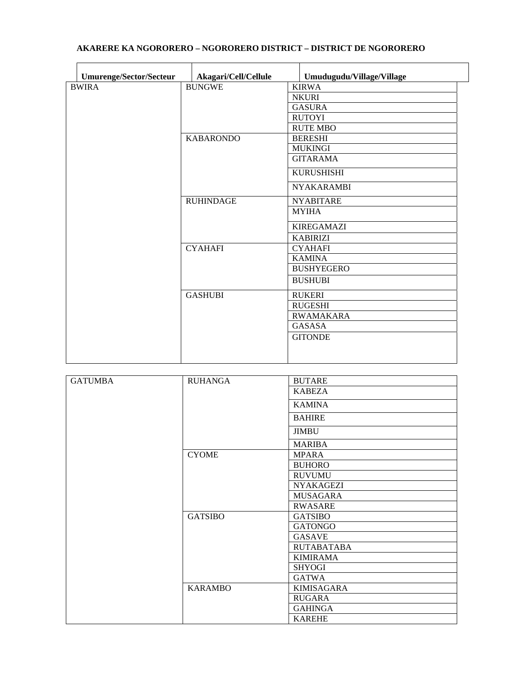| <b>Umurenge/Sector/Secteur</b> | Akagari/Cell/Cellule | Umudugudu/Village/Village |
|--------------------------------|----------------------|---------------------------|
| <b>BWIRA</b>                   | <b>BUNGWE</b>        | <b>KIRWA</b>              |
|                                |                      | <b>NKURI</b>              |
|                                |                      | <b>GASURA</b>             |
|                                |                      | <b>RUTOYI</b>             |
|                                |                      | <b>RUTE MBO</b>           |
|                                | <b>KABARONDO</b>     | <b>BERESHI</b>            |
|                                |                      | <b>MUKINGI</b>            |
|                                |                      | <b>GITARAMA</b>           |
|                                |                      | <b>KURUSHISHI</b>         |
|                                |                      | <b>NYAKARAMBI</b>         |
|                                | <b>RUHINDAGE</b>     | <b>NYABITARE</b>          |
|                                |                      | <b>MYIHA</b>              |
|                                |                      | <b>KIREGAMAZI</b>         |
|                                |                      | <b>KABIRIZI</b>           |
|                                | <b>CYAHAFI</b>       | <b>CYAHAFI</b>            |
|                                |                      | <b>KAMINA</b>             |
|                                |                      | <b>BUSHYEGERO</b>         |
|                                |                      | <b>BUSHUBI</b>            |
|                                | <b>GASHUBI</b>       | <b>RUKERI</b>             |
|                                |                      | <b>RUGESHI</b>            |
|                                |                      | <b>RWAMAKARA</b>          |
|                                |                      | <b>GASASA</b>             |
|                                |                      | <b>GITONDE</b>            |
|                                |                      |                           |
|                                |                      |                           |

### **AKARERE KA NGORORERO – NGORORERO DISTRICT – DISTRICT DE NGORORERO**

| <b>GATUMBA</b> | <b>RUHANGA</b> | <b>BUTARE</b>     |
|----------------|----------------|-------------------|
|                |                | <b>KABEZA</b>     |
|                |                | <b>KAMINA</b>     |
|                |                | <b>BAHIRE</b>     |
|                |                | <b>JIMBU</b>      |
|                |                | <b>MARIBA</b>     |
|                | <b>CYOME</b>   | <b>MPARA</b>      |
|                |                | <b>BUHORO</b>     |
|                |                | <b>RUVUMU</b>     |
|                |                | <b>NYAKAGEZI</b>  |
|                |                | <b>MUSAGARA</b>   |
|                |                | <b>RWASARE</b>    |
|                | <b>GATSIBO</b> | <b>GATSIBO</b>    |
|                |                | <b>GATONGO</b>    |
|                |                | <b>GASAVE</b>     |
|                |                | <b>RUTABATABA</b> |
|                |                | <b>KIMIRAMA</b>   |
|                |                | <b>SHYOGI</b>     |
|                |                | GATWA             |
|                | <b>KARAMBO</b> | <b>KIMISAGARA</b> |
|                |                | <b>RUGARA</b>     |
|                |                | <b>GAHINGA</b>    |
|                |                | <b>KAREHE</b>     |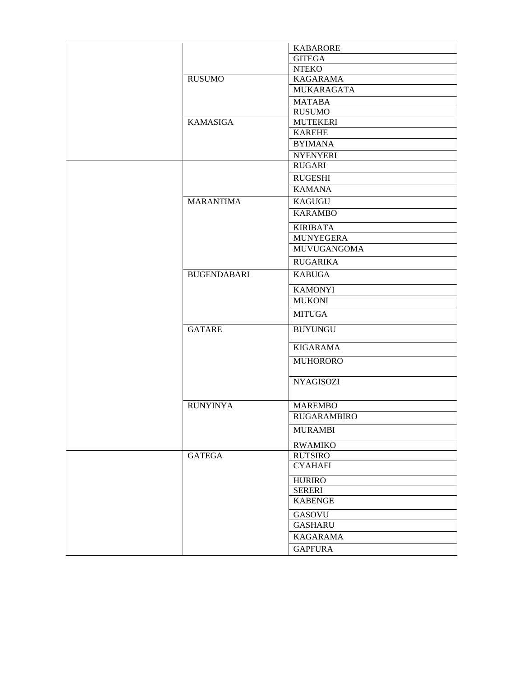|                    | <b>KABARORE</b>    |
|--------------------|--------------------|
|                    | <b>GITEGA</b>      |
|                    | <b>NTEKO</b>       |
| <b>RUSUMO</b>      | <b>KAGARAMA</b>    |
|                    | MUKARAGATA         |
|                    | <b>MATABA</b>      |
|                    | <b>RUSUMO</b>      |
| <b>KAMASIGA</b>    | <b>MUTEKERI</b>    |
|                    | <b>KAREHE</b>      |
|                    | <b>BYIMANA</b>     |
|                    | <b>NYENYERI</b>    |
|                    | <b>RUGARI</b>      |
|                    | <b>RUGESHI</b>     |
|                    | <b>KAMANA</b>      |
| <b>MARANTIMA</b>   | <b>KAGUGU</b>      |
|                    |                    |
|                    | <b>KARAMBO</b>     |
|                    | <b>KIRIBATA</b>    |
|                    | <b>MUNYEGERA</b>   |
|                    | <b>MUVUGANGOMA</b> |
|                    | <b>RUGARIKA</b>    |
| <b>BUGENDABARI</b> | <b>KABUGA</b>      |
|                    | <b>KAMONYI</b>     |
|                    | <b>MUKONI</b>      |
|                    | <b>MITUGA</b>      |
| <b>GATARE</b>      | <b>BUYUNGU</b>     |
|                    |                    |
|                    | <b>KIGARAMA</b>    |
|                    | <b>MUHORORO</b>    |
|                    | <b>NYAGISOZI</b>   |
|                    |                    |
| <b>RUNYINYA</b>    | <b>MAREMBO</b>     |
|                    | <b>RUGARAMBIRO</b> |
|                    | <b>MURAMBI</b>     |
|                    | <b>RWAMIKO</b>     |
| <b>GATEGA</b>      | <b>RUTSIRO</b>     |
|                    | <b>CYAHAFI</b>     |
|                    | <b>HURIRO</b>      |
|                    | <b>SERERI</b>      |
|                    | <b>KABENGE</b>     |
|                    |                    |
|                    | <b>GASOVU</b>      |
|                    | <b>GASHARU</b>     |
|                    | <b>KAGARAMA</b>    |
|                    | <b>GAPFURA</b>     |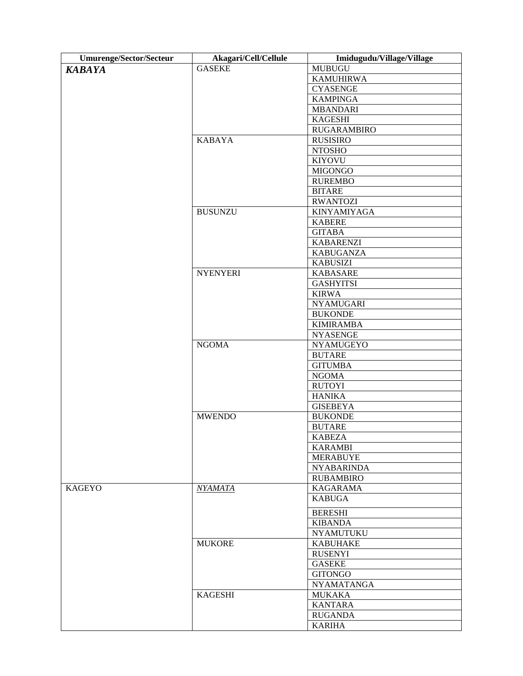| Umurenge/Sector/Secteur | Akagari/Cell/Cellule | Imidugudu/Village/Village |
|-------------------------|----------------------|---------------------------|
| <b>KABAYA</b>           | <b>GASEKE</b>        | <b>MUBUGU</b>             |
|                         |                      | <b>KAMUHIRWA</b>          |
|                         |                      | <b>CYASENGE</b>           |
|                         |                      | <b>KAMPINGA</b>           |
|                         |                      | <b>MBANDARI</b>           |
|                         |                      | <b>KAGESHI</b>            |
|                         |                      | <b>RUGARAMBIRO</b>        |
|                         | <b>KABAYA</b>        | <b>RUSISIRO</b>           |
|                         |                      | <b>NTOSHO</b>             |
|                         |                      | <b>KIYOVU</b>             |
|                         |                      | <b>MIGONGO</b>            |
|                         |                      | <b>RUREMBO</b>            |
|                         |                      | <b>BITARE</b>             |
|                         |                      | <b>RWANTOZI</b>           |
|                         | <b>BUSUNZU</b>       | KINYAMIYAGA               |
|                         |                      | <b>KABERE</b>             |
|                         |                      | <b>GITABA</b>             |
|                         |                      | <b>KABARENZI</b>          |
|                         |                      | <b>KABUGANZA</b>          |
|                         |                      | <b>KABUSIZI</b>           |
|                         | <b>NYENYERI</b>      | <b>KABASARE</b>           |
|                         |                      | <b>GASHYITSI</b>          |
|                         |                      | <b>KIRWA</b>              |
|                         |                      | <b>NYAMUGARI</b>          |
|                         |                      | <b>BUKONDE</b>            |
|                         |                      | <b>KIMIRAMBA</b>          |
|                         |                      | <b>NYASENGE</b>           |
|                         | <b>NGOMA</b>         | <b>NYAMUGEYO</b>          |
|                         |                      | <b>BUTARE</b>             |
|                         |                      | <b>GITUMBA</b>            |
|                         |                      | <b>NGOMA</b>              |
|                         |                      | <b>RUTOYI</b>             |
|                         |                      | <b>HANIKA</b>             |
|                         |                      | <b>GISEBEYA</b>           |
|                         | <b>MWENDO</b>        | <b>BUKONDE</b>            |
|                         |                      | <b>BUTARE</b>             |
|                         |                      | <b>KABEZA</b>             |
|                         |                      | <b>KARAMBI</b>            |
|                         |                      | <b>MERABUYE</b>           |
|                         |                      | <b>NYABARINDA</b>         |
|                         |                      | <b>RUBAMBIRO</b>          |
| <b>KAGEYO</b>           | NYAMATA              | <b>KAGARAMA</b>           |
|                         |                      | <b>KABUGA</b>             |
|                         |                      |                           |
|                         |                      | <b>BERESHI</b>            |
|                         |                      | <b>KIBANDA</b>            |
|                         |                      | <b>NYAMUTUKU</b>          |
|                         | <b>MUKORE</b>        | <b>KABUHAKE</b>           |
|                         |                      | <b>RUSENYI</b>            |
|                         |                      | <b>GASEKE</b>             |
|                         |                      | <b>GITONGO</b>            |
|                         |                      | <b>NYAMATANGA</b>         |
|                         | <b>KAGESHI</b>       | <b>MUKAKA</b>             |
|                         |                      | <b>KANTARA</b>            |
|                         |                      | <b>RUGANDA</b>            |
|                         |                      | <b>KARIHA</b>             |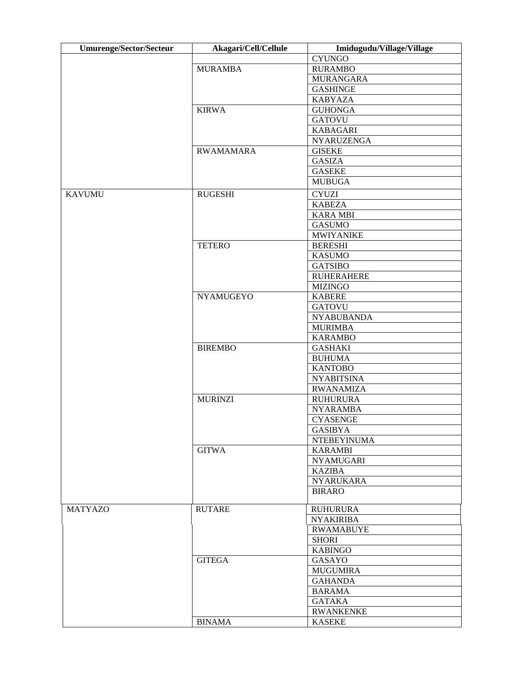| <b>Umurenge/Sector/Secteur</b> | Akagari/Cell/Cellule | Imidugudu/Village/Village |
|--------------------------------|----------------------|---------------------------|
|                                |                      | <b>CYUNGO</b>             |
|                                | <b>MURAMBA</b>       | <b>RURAMBO</b>            |
|                                |                      | <b>MURANGARA</b>          |
|                                |                      | <b>GASHINGE</b>           |
|                                |                      | <b>KABYAZA</b>            |
|                                | <b>KIRWA</b>         | <b>GUHONGA</b>            |
|                                |                      | <b>GATOVU</b>             |
|                                |                      | <b>KABAGARI</b>           |
|                                |                      | <b>NYARUZENGA</b>         |
|                                | <b>RWAMAMARA</b>     | <b>GISEKE</b>             |
|                                |                      | <b>GASIZA</b>             |
|                                |                      | <b>GASEKE</b>             |
|                                |                      | <b>MUBUGA</b>             |
| <b>KAVUMU</b>                  | <b>RUGESHI</b>       | <b>CYUZI</b>              |
|                                |                      | <b>KABEZA</b>             |
|                                |                      | <b>KARA MBI</b>           |
|                                |                      | <b>GASUMO</b>             |
|                                |                      | <b>MWIYANIKE</b>          |
|                                | <b>TETERO</b>        | <b>BERESHI</b>            |
|                                |                      | <b>KASUMO</b>             |
|                                |                      | <b>GATSIBO</b>            |
|                                |                      | <b>RUHERAHERE</b>         |
|                                |                      | <b>MIZINGO</b>            |
|                                | <b>NYAMUGEYO</b>     | <b>KABERE</b>             |
|                                |                      | <b>GATOVU</b>             |
|                                |                      | <b>NYABUBANDA</b>         |
|                                |                      | <b>MURIMBA</b>            |
|                                |                      | <b>KARAMBO</b>            |
|                                | <b>BIREMBO</b>       | <b>GASHAKI</b>            |
|                                |                      | <b>BUHUMA</b>             |
|                                |                      | <b>KANTOBO</b>            |
|                                |                      | <b>NYABITSINA</b>         |
|                                |                      | <b>RWANAMIZA</b>          |
|                                | <b>MURINZI</b>       | <b>RUHURURA</b>           |
|                                |                      | <b>NYARAMBA</b>           |
|                                |                      | <b>CYASENGE</b>           |
|                                |                      | <b>GASIBYA</b>            |
|                                |                      | <b>NTEBEYINUMA</b>        |
|                                | <b>GITWA</b>         | <b>KARAMBI</b>            |
|                                |                      | <b>NYAMUGARI</b>          |
|                                |                      | <b>KAZIBA</b>             |
|                                |                      | <b>NYARUKARA</b>          |
|                                |                      | <b>BIRARO</b>             |
|                                |                      |                           |
| <b>MATYAZO</b>                 | <b>RUTARE</b>        | <b>RUHURURA</b>           |
|                                |                      | <b>NYAKIRIBA</b>          |
|                                |                      | <b>RWAMABUYE</b>          |
|                                |                      | <b>SHORI</b>              |
|                                |                      | <b>KABINGO</b>            |
|                                | <b>GITEGA</b>        | GASAYO                    |
|                                |                      | <b>MUGUMIRA</b>           |
|                                |                      | <b>GAHANDA</b>            |
|                                |                      | <b>BARAMA</b>             |
|                                |                      | <b>GATAKA</b>             |
|                                |                      | <b>RWANKENKE</b>          |
|                                | <b>BINAMA</b>        | <b>KASEKE</b>             |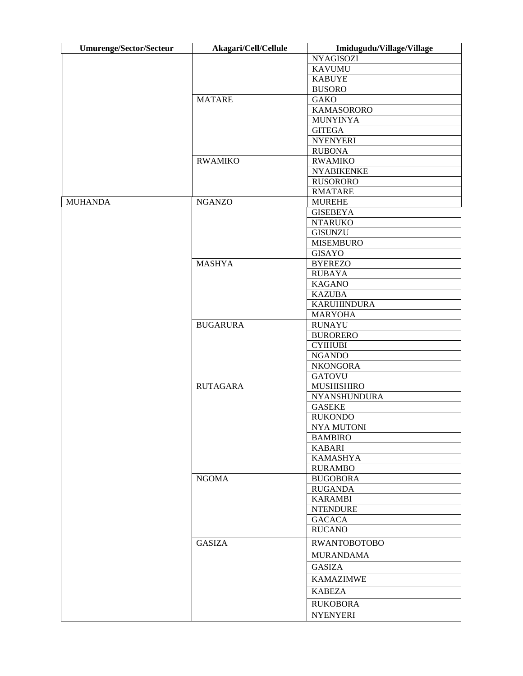| <b>Umurenge/Sector/Secteur</b> | Akagari/Cell/Cellule | Imidugudu/Village/Village |
|--------------------------------|----------------------|---------------------------|
|                                |                      | <b>NYAGISOZI</b>          |
|                                |                      | <b>KAVUMU</b>             |
|                                |                      | <b>KABUYE</b>             |
|                                |                      | <b>BUSORO</b>             |
|                                | <b>MATARE</b>        | <b>GAKO</b>               |
|                                |                      | KAMASORORO                |
|                                |                      | <b>MUNYINYA</b>           |
|                                |                      | <b>GITEGA</b>             |
|                                |                      | <b>NYENYERI</b>           |
|                                |                      | <b>RUBONA</b>             |
|                                | <b>RWAMIKO</b>       | <b>RWAMIKO</b>            |
|                                |                      | <b>NYABIKENKE</b>         |
|                                |                      | <b>RUSORORO</b>           |
|                                |                      | <b>RMATARE</b>            |
| <b>MUHANDA</b>                 | <b>NGANZO</b>        | <b>MUREHE</b>             |
|                                |                      | <b>GISEBEYA</b>           |
|                                |                      | <b>NTARUKO</b>            |
|                                |                      | <b>GISUNZU</b>            |
|                                |                      | <b>MISEMBURO</b>          |
|                                |                      | <b>GISAYO</b>             |
|                                | <b>MASHYA</b>        | <b>BYEREZO</b>            |
|                                |                      | <b>RUBAYA</b>             |
|                                |                      | <b>KAGANO</b>             |
|                                |                      | <b>KAZUBA</b>             |
|                                |                      | <b>KARUHINDURA</b>        |
|                                |                      | <b>MARYOHA</b>            |
|                                | <b>BUGARURA</b>      | <b>RUNAYU</b>             |
|                                |                      | <b>BURORERO</b>           |
|                                |                      | <b>CYIHUBI</b>            |
|                                |                      | <b>NGANDO</b>             |
|                                |                      | <b>NKONGORA</b>           |
|                                |                      | <b>GATOVU</b>             |
|                                | <b>RUTAGARA</b>      | MUSHISHIRO                |
|                                |                      | <b>NYANSHUNDURA</b>       |
|                                |                      | <b>GASEKE</b>             |
|                                |                      | <b>RUKONDO</b>            |
|                                |                      | <b>NYA MUTONI</b>         |
|                                |                      | <b>BAMBIRO</b>            |
|                                |                      | <b>KABARI</b>             |
|                                |                      | <b>KAMASHYA</b>           |
|                                |                      | <b>RURAMBO</b>            |
|                                | <b>NGOMA</b>         | <b>BUGOBORA</b>           |
|                                |                      | <b>RUGANDA</b>            |
|                                |                      | <b>KARAMBI</b>            |
|                                |                      | <b>NTENDURE</b>           |
|                                |                      | <b>GACACA</b>             |
|                                |                      | <b>RUCANO</b>             |
|                                | <b>GASIZA</b>        | <b>RWANTOBOTOBO</b>       |
|                                |                      | <b>MURANDAMA</b>          |
|                                |                      |                           |
|                                |                      | <b>GASIZA</b>             |
|                                |                      | <b>KAMAZIMWE</b>          |
|                                |                      | <b>KABEZA</b>             |
|                                |                      | <b>RUKOBORA</b>           |
|                                |                      | <b>NYENYERI</b>           |
|                                |                      |                           |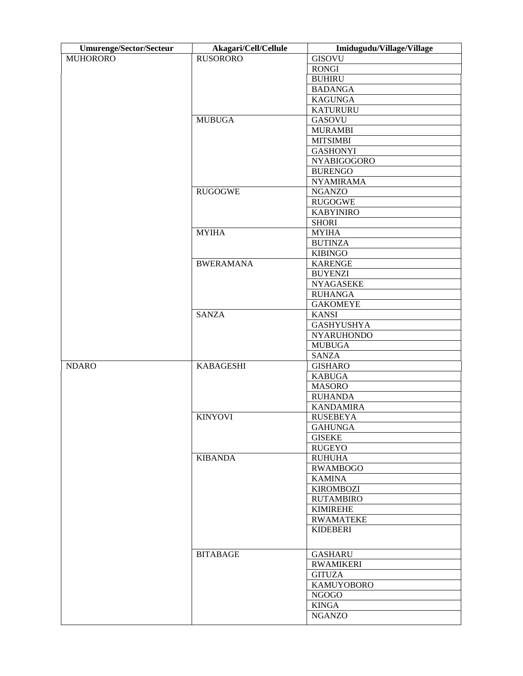| <b>Umurenge/Sector/Secteur</b> | Akagari/Cell/Cellule | Imidugudu/Village/Village |
|--------------------------------|----------------------|---------------------------|
| <b>MUHORORO</b>                | <b>RUSORORO</b>      | <b>GISOVU</b>             |
|                                |                      | <b>RONGI</b>              |
|                                |                      | <b>BUHIRU</b>             |
|                                |                      | <b>BADANGA</b>            |
|                                |                      | <b>KAGUNGA</b>            |
|                                |                      | <b>KATURURU</b>           |
|                                | <b>MUBUGA</b>        | <b>GASOVU</b>             |
|                                |                      | <b>MURAMBI</b>            |
|                                |                      | <b>MITSIMBI</b>           |
|                                |                      | <b>GASHONYI</b>           |
|                                |                      | <b>NYABIGOGORO</b>        |
|                                |                      | <b>BURENGO</b>            |
|                                |                      | <b>NYAMIRAMA</b>          |
|                                | <b>RUGOGWE</b>       | <b>NGANZO</b>             |
|                                |                      | <b>RUGOGWE</b>            |
|                                |                      | <b>KABYINIRO</b>          |
|                                |                      | <b>SHORI</b>              |
|                                | <b>MYIHA</b>         | <b>MYIHA</b>              |
|                                |                      | <b>BUTINZA</b>            |
|                                |                      | <b>KIBINGO</b>            |
|                                | <b>BWERAMANA</b>     | <b>KARENGE</b>            |
|                                |                      | <b>BUYENZI</b>            |
|                                |                      | <b>NYAGASEKE</b>          |
|                                |                      | <b>RUHANGA</b>            |
|                                |                      | <b>GAKOMEYE</b>           |
|                                | <b>SANZA</b>         |                           |
|                                |                      | <b>KANSI</b>              |
|                                |                      | <b>GASHYUSHYA</b>         |
|                                |                      | <b>NYARUHONDO</b>         |
|                                |                      | <b>MUBUGA</b>             |
|                                |                      | <b>SANZA</b>              |
| <b>NDARO</b>                   | <b>KABAGESHI</b>     | <b>GISHARO</b>            |
|                                |                      | <b>KABUGA</b>             |
|                                |                      | <b>MASORO</b>             |
|                                |                      | <b>RUHANDA</b>            |
|                                |                      | <b>KANDAMIRA</b>          |
|                                | <b>KINYOVI</b>       | <b>RUSEBEYA</b>           |
|                                |                      | <b>GAHUNGA</b>            |
|                                |                      | <b>GISEKE</b>             |
|                                |                      | <b>RUGEYO</b>             |
|                                | <b>KIBANDA</b>       | <b>RUHUHA</b>             |
|                                |                      | <b>RWAMBOGO</b>           |
|                                |                      | <b>KAMINA</b>             |
|                                |                      | <b>KIROMBOZI</b>          |
|                                |                      | <b>RUTAMBIRO</b>          |
|                                |                      | <b>KIMIREHE</b>           |
|                                |                      | <b>RWAMATEKE</b>          |
|                                |                      | <b>KIDEBERI</b>           |
|                                |                      |                           |
|                                | <b>BITABAGE</b>      | <b>GASHARU</b>            |
|                                |                      | <b>RWAMIKERI</b>          |
|                                |                      | <b>GITUZA</b>             |
|                                |                      | <b>KAMUYOBORO</b>         |
|                                |                      | <b>NGOGO</b>              |
|                                |                      | <b>KINGA</b>              |
|                                |                      | <b>NGANZO</b>             |
|                                |                      |                           |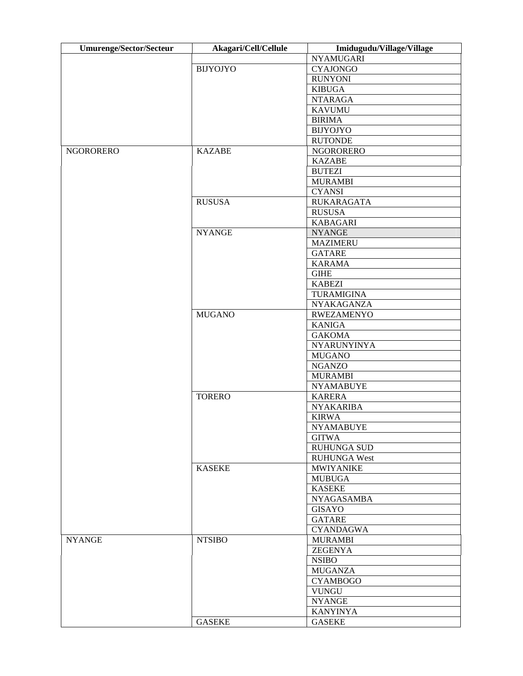| <b>Umurenge/Sector/Secteur</b> | Akagari/Cell/Cellule | Imidugudu/Village/Village |
|--------------------------------|----------------------|---------------------------|
|                                |                      | <b>NYAMUGARI</b>          |
|                                | <b>BIJYOJYO</b>      | <b>CYAJONGO</b>           |
|                                |                      | <b>RUNYONI</b>            |
|                                |                      | <b>KIBUGA</b>             |
|                                |                      | <b>NTARAGA</b>            |
|                                |                      | <b>KAVUMU</b>             |
|                                |                      | <b>BIRIMA</b>             |
|                                |                      | <b>BIJYOJYO</b>           |
|                                |                      | <b>RUTONDE</b>            |
| NGORORERO                      | <b>KAZABE</b>        | <b>NGORORERO</b>          |
|                                |                      | <b>KAZABE</b>             |
|                                |                      | <b>BUTEZI</b>             |
|                                |                      | <b>MURAMBI</b>            |
|                                |                      | <b>CYANSI</b>             |
|                                | <b>RUSUSA</b>        | <b>RUKARAGATA</b>         |
|                                |                      | <b>RUSUSA</b>             |
|                                |                      | <b>KABAGARI</b>           |
|                                | <b>NYANGE</b>        | <b>NYANGE</b>             |
|                                |                      |                           |
|                                |                      | <b>MAZIMERU</b>           |
|                                |                      | <b>GATARE</b>             |
|                                |                      | <b>KARAMA</b>             |
|                                |                      | <b>GIHE</b>               |
|                                |                      | <b>KABEZI</b>             |
|                                |                      | <b>TURAMIGINA</b>         |
|                                |                      | <b>NYAKAGANZA</b>         |
|                                | <b>MUGANO</b>        | <b>RWEZAMENYO</b>         |
|                                |                      | KANIGA                    |
|                                |                      | <b>GAKOMA</b>             |
|                                |                      | <b>NYARUNYINYA</b>        |
|                                |                      | <b>MUGANO</b>             |
|                                |                      | <b>NGANZO</b>             |
|                                |                      | <b>MURAMBI</b>            |
|                                |                      | <b>NYAMABUYE</b>          |
|                                | <b>TORERO</b>        | <b>KARERA</b>             |
|                                |                      | <b>NYAKARIBA</b>          |
|                                |                      | <b>KIRWA</b>              |
|                                |                      | <b>NYAMABUYE</b>          |
|                                |                      | <b>GITWA</b>              |
|                                |                      | <b>RUHUNGA SUD</b>        |
|                                |                      | <b>RUHUNGA West</b>       |
|                                | <b>KASEKE</b>        | <b>MWIYANIKE</b>          |
|                                |                      | <b>MUBUGA</b>             |
|                                |                      | <b>KASEKE</b>             |
|                                |                      | <b>NYAGASAMBA</b>         |
|                                |                      | <b>GISAYO</b>             |
|                                |                      |                           |
|                                |                      | <b>GATARE</b>             |
|                                |                      | <b>CYANDAGWA</b>          |
| <b>NYANGE</b>                  | <b>NTSIBO</b>        | <b>MURAMBI</b>            |
|                                |                      | <b>ZEGENYA</b>            |
|                                |                      | <b>NSIBO</b>              |
|                                |                      | <b>MUGANZA</b>            |
|                                |                      | <b>CYAMBOGO</b>           |
|                                |                      | <b>VUNGU</b>              |
|                                |                      | <b>NYANGE</b>             |
|                                |                      | <b>KANYINYA</b>           |
|                                | <b>GASEKE</b>        | <b>GASEKE</b>             |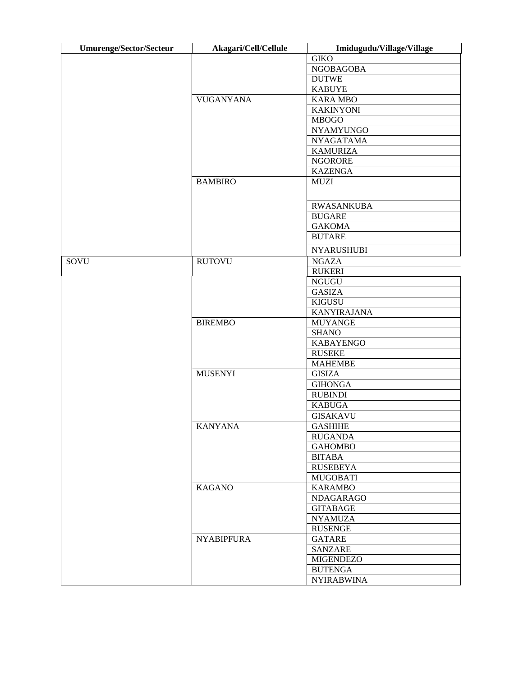| <b>Umurenge/Sector/Secteur</b> | Akagari/Cell/Cellule | Imidugudu/Village/Village |
|--------------------------------|----------------------|---------------------------|
|                                |                      | <b>GIKO</b>               |
|                                |                      | <b>NGOBAGOBA</b>          |
|                                |                      | <b>DUTWE</b>              |
|                                |                      | <b>KABUYE</b>             |
|                                | <b>VUGANYANA</b>     | <b>KARA MBO</b>           |
|                                |                      | <b>KAKINYONI</b>          |
|                                |                      | <b>MBOGO</b>              |
|                                |                      | <b>NYAMYUNGO</b>          |
|                                |                      | <b>NYAGATAMA</b>          |
|                                |                      | <b>KAMURIZA</b>           |
|                                |                      | <b>NGORORE</b>            |
|                                |                      | <b>KAZENGA</b>            |
|                                | <b>BAMBIRO</b>       | <b>MUZI</b>               |
|                                |                      |                           |
|                                |                      | <b>RWASANKUBA</b>         |
|                                |                      | <b>BUGARE</b>             |
|                                |                      | <b>GAKOMA</b>             |
|                                |                      | <b>BUTARE</b>             |
|                                |                      | <b>NYARUSHUBI</b>         |
| SOVU                           | <b>RUTOVU</b>        | <b>NGAZA</b>              |
|                                |                      | <b>RUKERI</b>             |
|                                |                      | <b>NGUGU</b>              |
|                                |                      | <b>GASIZA</b>             |
|                                |                      | KIGUSU                    |
|                                |                      | <b>KANYIRAJANA</b>        |
|                                | <b>BIREMBO</b>       | <b>MUYANGE</b>            |
|                                |                      | <b>SHANO</b>              |
|                                |                      | <b>KABAYENGO</b>          |
|                                |                      | <b>RUSEKE</b>             |
|                                |                      |                           |
|                                |                      | <b>MAHEMBE</b>            |
|                                | <b>MUSENYI</b>       | <b>GISIZA</b>             |
|                                |                      | <b>GIHONGA</b>            |
|                                |                      | <b>RUBINDI</b>            |
|                                |                      | <b>KABUGA</b>             |
|                                |                      | <b>GISAKAVU</b>           |
|                                | <b>KANYANA</b>       | <b>GASHIHE</b>            |
|                                |                      | <b>RUGANDA</b>            |
|                                |                      | <b>GAHOMBO</b>            |
|                                |                      | <b>BITABA</b>             |
|                                |                      | <b>RUSEBEYA</b>           |
|                                |                      | <b>MUGOBATI</b>           |
|                                | <b>KAGANO</b>        | <b>KARAMBO</b>            |
|                                |                      | <b>NDAGARAGO</b>          |
|                                |                      | <b>GITABAGE</b>           |
|                                |                      | <b>NYAMUZA</b>            |
|                                |                      | <b>RUSENGE</b>            |
|                                | <b>NYABIPFURA</b>    | <b>GATARE</b>             |
|                                |                      | <b>SANZARE</b>            |
|                                |                      | <b>MIGENDEZO</b>          |
|                                |                      |                           |
|                                |                      | <b>BUTENGA</b>            |
|                                |                      | <b>NYIRABWINA</b>         |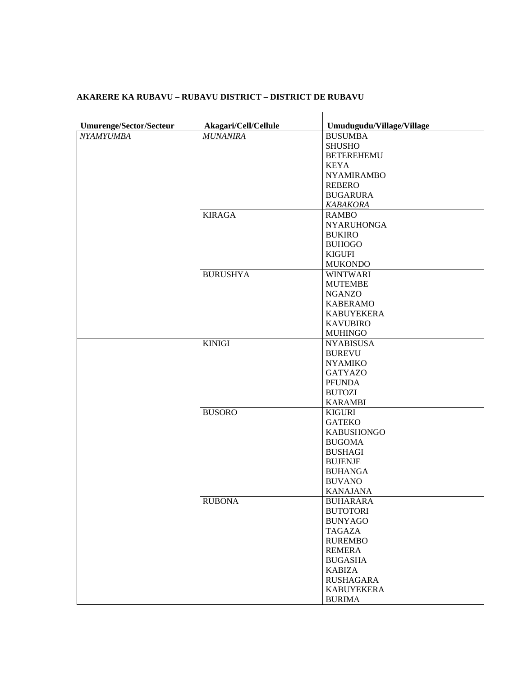## **AKARERE KA RUBAVU – RUBAVU DISTRICT – DISTRICT DE RUBAVU**

| <b>Umurenge/Sector/Secteur</b> | Akagari/Cell/Cellule | Umudugudu/Village/Village |
|--------------------------------|----------------------|---------------------------|
| <b>NYAMYUMBA</b>               | <b>MUNANIRA</b>      | <b>BUSUMBA</b>            |
|                                |                      | <b>SHUSHO</b>             |
|                                |                      | <b>BETEREHEMU</b>         |
|                                |                      | <b>KEYA</b>               |
|                                |                      | <b>NYAMIRAMBO</b>         |
|                                |                      | <b>REBERO</b>             |
|                                |                      | <b>BUGARURA</b>           |
|                                |                      | <b>KABAKORA</b>           |
|                                | <b>KIRAGA</b>        | <b>RAMBO</b>              |
|                                |                      | <b>NYARUHONGA</b>         |
|                                |                      | <b>BUKIRO</b>             |
|                                |                      | <b>BUHOGO</b>             |
|                                |                      | <b>KIGUFI</b>             |
|                                |                      | <b>MUKONDO</b>            |
|                                | <b>BURUSHYA</b>      | <b>WINTWARI</b>           |
|                                |                      | <b>MUTEMBE</b>            |
|                                |                      | <b>NGANZO</b>             |
|                                |                      | <b>KABERAMO</b>           |
|                                |                      | <b>KABUYEKERA</b>         |
|                                |                      | <b>KAVUBIRO</b>           |
|                                |                      | <b>MUHINGO</b>            |
|                                | <b>KINIGI</b>        | <b>NYABISUSA</b>          |
|                                |                      | <b>BUREVU</b>             |
|                                |                      | <b>NYAMIKO</b>            |
|                                |                      | <b>GATYAZO</b>            |
|                                |                      | <b>PFUNDA</b>             |
|                                |                      | <b>BUTOZI</b>             |
|                                |                      | <b>KARAMBI</b>            |
|                                | <b>BUSORO</b>        | <b>KIGURI</b>             |
|                                |                      | <b>GATEKO</b>             |
|                                |                      | <b>KABUSHONGO</b>         |
|                                |                      | <b>BUGOMA</b>             |
|                                |                      | <b>BUSHAGI</b>            |
|                                |                      | <b>BUJENJE</b>            |
|                                |                      | <b>BUHANGA</b>            |
|                                |                      | <b>BUVANO</b>             |
|                                |                      | <b>KANAJANA</b>           |
|                                | <b>RUBONA</b>        | <b>BUHARARA</b>           |
|                                |                      | <b>BUTOTORI</b>           |
|                                |                      | <b>BUNYAGO</b>            |
|                                |                      | TAGAZA                    |
|                                |                      | <b>RUREMBO</b>            |
|                                |                      | <b>REMERA</b>             |
|                                |                      | <b>BUGASHA</b>            |
|                                |                      | <b>KABIZA</b>             |
|                                |                      | <b>RUSHAGARA</b>          |
|                                |                      | <b>KABUYEKERA</b>         |
|                                |                      | <b>BURIMA</b>             |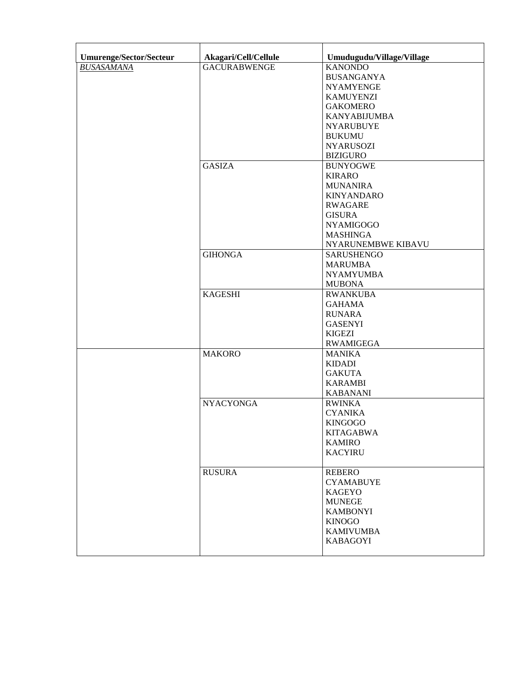| Umurenge/Sector/Secteur | Akagari/Cell/Cellule | Umudugudu/Village/Village |
|-------------------------|----------------------|---------------------------|
| <b>BUSASAMANA</b>       | <b>GACURABWENGE</b>  | <b>KANONDO</b>            |
|                         |                      | <b>BUSANGANYA</b>         |
|                         |                      | <b>NYAMYENGE</b>          |
|                         |                      | <b>KAMUYENZI</b>          |
|                         |                      | <b>GAKOMERO</b>           |
|                         |                      | <b>KANYABIJUMBA</b>       |
|                         |                      |                           |
|                         |                      | <b>NYARUBUYE</b>          |
|                         |                      | <b>BUKUMU</b>             |
|                         |                      | <b>NYARUSOZI</b>          |
|                         |                      | <b>BIZIGURO</b>           |
|                         | <b>GASIZA</b>        | <b>BUNYOGWE</b>           |
|                         |                      | <b>KIRARO</b>             |
|                         |                      | <b>MUNANIRA</b>           |
|                         |                      | <b>KINYANDARO</b>         |
|                         |                      | <b>RWAGARE</b>            |
|                         |                      | <b>GISURA</b>             |
|                         |                      | <b>NYAMIGOGO</b>          |
|                         |                      | <b>MASHINGA</b>           |
|                         |                      | NYARUNEMBWE KIBAVU        |
|                         | <b>GIHONGA</b>       | <b>SARUSHENGO</b>         |
|                         |                      | <b>MARUMBA</b>            |
|                         |                      | <b>NYAMYUMBA</b>          |
|                         |                      | <b>MUBONA</b>             |
|                         | <b>KAGESHI</b>       | <b>RWANKUBA</b>           |
|                         |                      | <b>GAHAMA</b>             |
|                         |                      | <b>RUNARA</b>             |
|                         |                      | <b>GASENYI</b>            |
|                         |                      | <b>KIGEZI</b>             |
|                         |                      | <b>RWAMIGEGA</b>          |
|                         | <b>MAKORO</b>        | <b>MANIKA</b>             |
|                         |                      | <b>KIDADI</b>             |
|                         |                      | <b>GAKUTA</b>             |
|                         |                      | <b>KARAMBI</b>            |
|                         |                      | <b>KABANANI</b>           |
|                         | <b>NYACYONGA</b>     | <b>RWINKA</b>             |
|                         |                      | <b>CYANIKA</b>            |
|                         |                      | <b>KINGOGO</b>            |
|                         |                      | <b>KITAGABWA</b>          |
|                         |                      | <b>KAMIRO</b>             |
|                         |                      | <b>KACYIRU</b>            |
|                         |                      |                           |
|                         | <b>RUSURA</b>        | <b>REBERO</b>             |
|                         |                      | <b>CYAMABUYE</b>          |
|                         |                      | <b>KAGEYO</b>             |
|                         |                      | <b>MUNEGE</b>             |
|                         |                      | <b>KAMBONYI</b>           |
|                         |                      | <b>KINOGO</b>             |
|                         |                      | <b>KAMIVUMBA</b>          |
|                         |                      | <b>KABAGOYI</b>           |
|                         |                      |                           |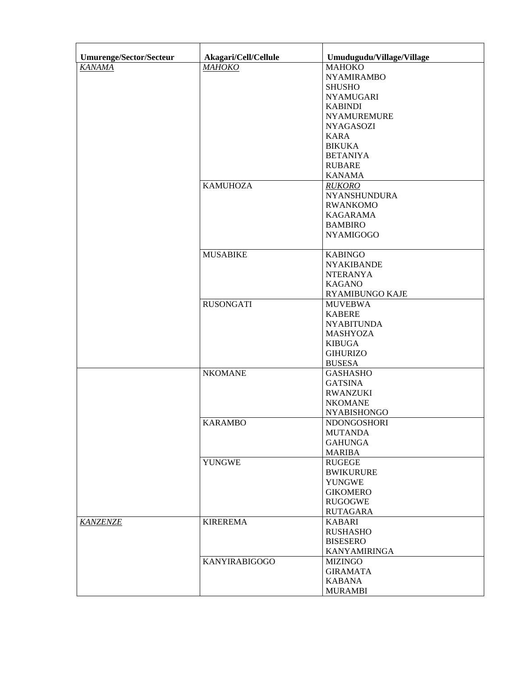| Umurenge/Sector/Secteur | Akagari/Cell/Cellule | Umudugudu/Village/Village         |
|-------------------------|----------------------|-----------------------------------|
| <b>KANAMA</b>           | <b>МАНОКО</b>        | <b>MAHOKO</b>                     |
|                         |                      | <b>NYAMIRAMBO</b>                 |
|                         |                      | <b>SHUSHO</b>                     |
|                         |                      | <b>NYAMUGARI</b>                  |
|                         |                      | <b>KABINDI</b>                    |
|                         |                      | <b>NYAMUREMURE</b>                |
|                         |                      | <b>NYAGASOZI</b>                  |
|                         |                      | <b>KARA</b>                       |
|                         |                      | <b>BIKUKA</b>                     |
|                         |                      | <b>BETANIYA</b>                   |
|                         |                      | <b>RUBARE</b>                     |
|                         |                      | <b>KANAMA</b>                     |
|                         | <b>KAMUHOZA</b>      | <b>RUKORO</b>                     |
|                         |                      |                                   |
|                         |                      | <b>NYANSHUNDURA</b>               |
|                         |                      | <b>RWANKOMO</b>                   |
|                         |                      | <b>KAGARAMA</b>                   |
|                         |                      | <b>BAMBIRO</b>                    |
|                         |                      | <b>NYAMIGOGO</b>                  |
|                         | <b>MUSABIKE</b>      | <b>KABINGO</b>                    |
|                         |                      | <b>NYAKIBANDE</b>                 |
|                         |                      | <b>NTERANYA</b>                   |
|                         |                      | <b>KAGANO</b>                     |
|                         |                      | RYAMIBUNGO KAJE                   |
|                         | <b>RUSONGATI</b>     | <b>MUVEBWA</b>                    |
|                         |                      | <b>KABERE</b>                     |
|                         |                      | <b>NYABITUNDA</b>                 |
|                         |                      | <b>MASHYOZA</b>                   |
|                         |                      | <b>KIBUGA</b>                     |
|                         |                      | <b>GIHURIZO</b>                   |
|                         |                      | <b>BUSESA</b>                     |
|                         | <b>NKOMANE</b>       | <b>GASHASHO</b>                   |
|                         |                      | <b>GATSINA</b>                    |
|                         |                      |                                   |
|                         |                      | <b>RWANZUKI</b><br><b>NKOMANE</b> |
|                         |                      |                                   |
|                         |                      | <b>NYABISHONGO</b>                |
|                         | <b>KARAMBO</b>       | <b>NDONGOSHORI</b>                |
|                         |                      | <b>MUTANDA</b>                    |
|                         |                      | <b>GAHUNGA</b>                    |
|                         |                      | <b>MARIBA</b>                     |
|                         | <b>YUNGWE</b>        | <b>RUGEGE</b>                     |
|                         |                      | <b>BWIKURURE</b>                  |
|                         |                      | <b>YUNGWE</b>                     |
|                         |                      | <b>GIKOMERO</b>                   |
|                         |                      | <b>RUGOGWE</b>                    |
|                         |                      | <b>RUTAGARA</b>                   |
| <b>KANZENZE</b>         | <b>KIREREMA</b>      | <b>KABARI</b>                     |
|                         |                      | <b>RUSHASHO</b>                   |
|                         |                      | <b>BISESERO</b>                   |
|                         |                      | <b>KANYAMIRINGA</b>               |
|                         | <b>KANYIRABIGOGO</b> | <b>MIZINGO</b>                    |
|                         |                      | <b>GIRAMATA</b>                   |
|                         |                      | <b>KABANA</b>                     |
|                         |                      | <b>MURAMBI</b>                    |
|                         |                      |                                   |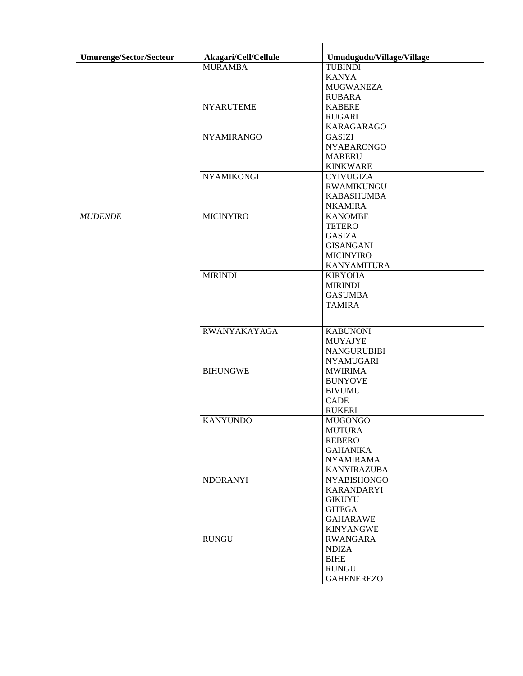| Umurenge/Sector/Secteur | Akagari/Cell/Cellule | Umudugudu/Village/Village |
|-------------------------|----------------------|---------------------------|
|                         | <b>MURAMBA</b>       | <b>TUBINDI</b>            |
|                         |                      | <b>KANYA</b>              |
|                         |                      | <b>MUGWANEZA</b>          |
|                         |                      | <b>RUBARA</b>             |
|                         | <b>NYARUTEME</b>     | <b>KABERE</b>             |
|                         |                      | <b>RUGARI</b>             |
|                         |                      | <b>KARAGARAGO</b>         |
|                         | <b>NYAMIRANGO</b>    | <b>GASIZI</b>             |
|                         |                      | <b>NYABARONGO</b>         |
|                         |                      | <b>MARERU</b>             |
|                         |                      | <b>KINKWARE</b>           |
|                         | <b>NYAMIKONGI</b>    | <b>CYIVUGIZA</b>          |
|                         |                      | <b>RWAMIKUNGU</b>         |
|                         |                      | <b>KABASHUMBA</b>         |
|                         |                      | <b>NKAMIRA</b>            |
| <b>MUDENDE</b>          | <b>MICINYIRO</b>     | <b>KANOMBE</b>            |
|                         |                      | <b>TETERO</b>             |
|                         |                      | <b>GASIZA</b>             |
|                         |                      | <b>GISANGANI</b>          |
|                         |                      | <b>MICINYIRO</b>          |
|                         |                      | <b>KANYAMITURA</b>        |
|                         | <b>MIRINDI</b>       | <b>KIRYOHA</b>            |
|                         |                      | <b>MIRINDI</b>            |
|                         |                      | <b>GASUMBA</b>            |
|                         |                      | <b>TAMIRA</b>             |
|                         |                      |                           |
|                         | RWANYAKAYAGA         | <b>KABUNONI</b>           |
|                         |                      | <b>MUYAJYE</b>            |
|                         |                      | <b>NANGURUBIBI</b>        |
|                         |                      | <b>NYAMUGARI</b>          |
|                         | <b>BIHUNGWE</b>      | <b>MWIRIMA</b>            |
|                         |                      | <b>BUNYOVE</b>            |
|                         |                      | <b>BIVUMU</b>             |
|                         |                      | <b>CADE</b>               |
|                         |                      | <b>RUKERI</b>             |
|                         | <b>KANYUNDO</b>      | <b>MUGONGO</b>            |
|                         |                      | <b>MUTURA</b>             |
|                         |                      | REBERO                    |
|                         |                      | <b>GAHANIKA</b>           |
|                         |                      | <b>NYAMIRAMA</b>          |
|                         |                      | <b>KANYIRAZUBA</b>        |
|                         | <b>NDORANYI</b>      | <b>NYABISHONGO</b>        |
|                         |                      | <b>KARANDARYI</b>         |
|                         |                      | <b>GIKUYU</b>             |
|                         |                      | <b>GITEGA</b>             |
|                         |                      | <b>GAHARAWE</b>           |
|                         |                      | <b>KINYANGWE</b>          |
|                         | <b>RUNGU</b>         | <b>RWANGARA</b>           |
|                         |                      | <b>NDIZA</b>              |
|                         |                      | <b>BIHE</b>               |
|                         |                      | <b>RUNGU</b>              |
|                         |                      | <b>GAHENEREZO</b>         |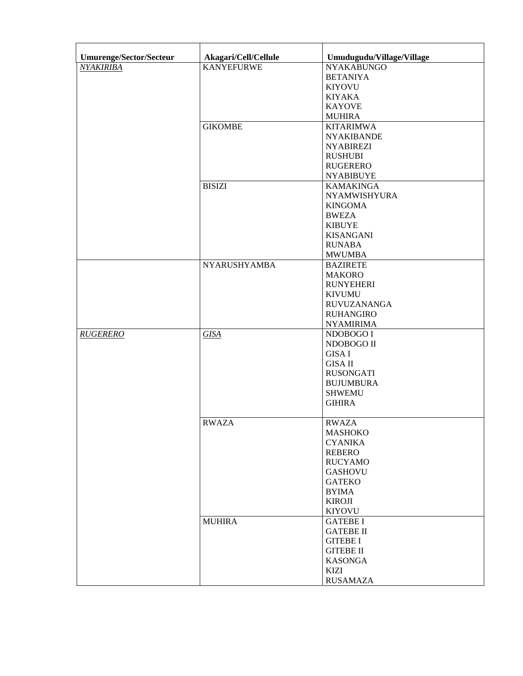| Umurenge/Sector/Secteur | Akagari/Cell/Cellule | Umudugudu/Village/Village |
|-------------------------|----------------------|---------------------------|
| <b>NYAKIRIBA</b>        | <b>KANYEFURWE</b>    | <b>NYAKABUNGO</b>         |
|                         |                      | <b>BETANIYA</b>           |
|                         |                      | <b>KIYOVU</b>             |
|                         |                      | <b>KIYAKA</b>             |
|                         |                      | <b>KAYOVE</b>             |
|                         |                      | <b>MUHIRA</b>             |
|                         | <b>GIKOMBE</b>       | <b>KITARIMWA</b>          |
|                         |                      | <b>NYAKIBANDE</b>         |
|                         |                      | <b>NYABIREZI</b>          |
|                         |                      |                           |
|                         |                      | <b>RUSHUBI</b>            |
|                         |                      | <b>RUGERERO</b>           |
|                         |                      | <b>NYABIBUYE</b>          |
|                         | <b>BISIZI</b>        | <b>KAMAKINGA</b>          |
|                         |                      | NYAMWISHYURA              |
|                         |                      | <b>KINGOMA</b>            |
|                         |                      | <b>BWEZA</b>              |
|                         |                      | <b>KIBUYE</b>             |
|                         |                      | <b>KISANGANI</b>          |
|                         |                      | <b>RUNABA</b>             |
|                         |                      | <b>MWUMBA</b>             |
|                         | <b>NYARUSHYAMBA</b>  | <b>BAZIRETE</b>           |
|                         |                      | <b>MAKORO</b>             |
|                         |                      | <b>RUNYEHERI</b>          |
|                         |                      | <b>KIVUMU</b>             |
|                         |                      | <b>RUVUZANANGA</b>        |
|                         |                      | <b>RUHANGIRO</b>          |
|                         |                      | <b>NYAMIRIMA</b>          |
| <b>RUGERERO</b>         | <b>GISA</b>          | NDOBOGO I                 |
|                         |                      | NDOBOGO II                |
|                         |                      | <b>GISA I</b>             |
|                         |                      | <b>GISA II</b>            |
|                         |                      | <b>RUSONGATI</b>          |
|                         |                      | <b>BUJUMBURA</b>          |
|                         |                      | <b>SHWEMU</b>             |
|                         |                      | <b>GIHIRA</b>             |
|                         |                      |                           |
|                         | <b>RWAZA</b>         | <b>RWAZA</b>              |
|                         |                      | <b>MASHOKO</b>            |
|                         |                      | <b>CYANIKA</b>            |
|                         |                      | <b>REBERO</b>             |
|                         |                      | <b>RUCYAMO</b>            |
|                         |                      | <b>GASHOVU</b>            |
|                         |                      | <b>GATEKO</b>             |
|                         |                      | <b>BYIMA</b>              |
|                         |                      | <b>KIROJI</b>             |
|                         |                      | <b>KIYOVU</b>             |
|                         | <b>MUHIRA</b>        | <b>GATEBE I</b>           |
|                         |                      | <b>GATEBE II</b>          |
|                         |                      | <b>GITEBE I</b>           |
|                         |                      | <b>GITEBE II</b>          |
|                         |                      | <b>KASONGA</b>            |
|                         |                      | <b>KIZI</b>               |
|                         |                      | <b>RUSAMAZA</b>           |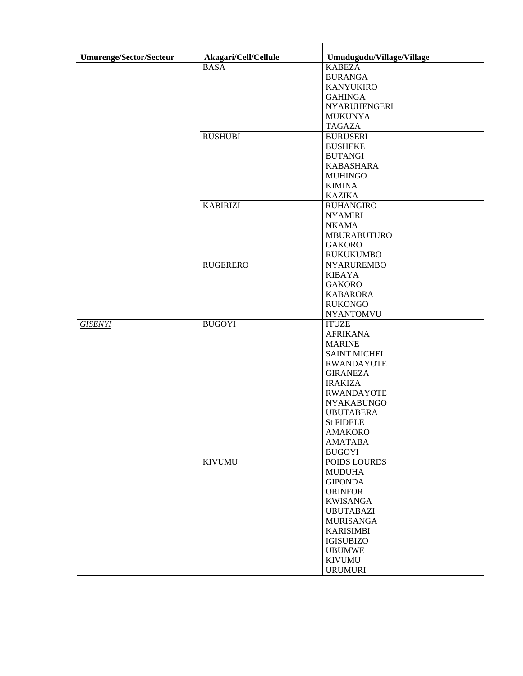| <b>Umurenge/Sector/Secteur</b> | Akagari/Cell/Cellule      | Umudugudu/Village/Village         |
|--------------------------------|---------------------------|-----------------------------------|
|                                | $\overline{\text{B}}$ ASA | <b>KABEZA</b>                     |
|                                |                           | <b>BURANGA</b>                    |
|                                |                           | <b>KANYUKIRO</b>                  |
|                                |                           | <b>GAHINGA</b>                    |
|                                |                           | <b>NYARUHENGERI</b>               |
|                                |                           | <b>MUKUNYA</b>                    |
|                                |                           | <b>TAGAZA</b>                     |
|                                | <b>RUSHUBI</b>            |                                   |
|                                |                           | <b>BURUSERI</b><br><b>BUSHEKE</b> |
|                                |                           |                                   |
|                                |                           | <b>BUTANGI</b>                    |
|                                |                           | <b>KABASHARA</b>                  |
|                                |                           | <b>MUHINGO</b>                    |
|                                |                           | <b>KIMINA</b>                     |
|                                |                           | <b>KAZIKA</b>                     |
|                                | <b>KABIRIZI</b>           | <b>RUHANGIRO</b>                  |
|                                |                           | <b>NYAMIRI</b>                    |
|                                |                           | <b>NKAMA</b>                      |
|                                |                           | <b>MBURABUTURO</b>                |
|                                |                           | <b>GAKORO</b>                     |
|                                |                           | <b>RUKUKUMBO</b>                  |
|                                | <b>RUGERERO</b>           | <b>NYARUREMBO</b>                 |
|                                |                           | <b>KIBAYA</b>                     |
|                                |                           | <b>GAKORO</b>                     |
|                                |                           | <b>KABARORA</b>                   |
|                                |                           | <b>RUKONGO</b>                    |
|                                |                           | <b>NYANTOMVU</b>                  |
| <b>GISENYI</b>                 | <b>BUGOYI</b>             | <b>ITUZE</b>                      |
|                                |                           | <b>AFRIKANA</b>                   |
|                                |                           | <b>MARINE</b>                     |
|                                |                           | <b>SAINT MICHEL</b>               |
|                                |                           | <b>RWANDAYOTE</b>                 |
|                                |                           | <b>GIRANEZA</b>                   |
|                                |                           | <b>IRAKIZA</b>                    |
|                                |                           | <b>RWANDAYOTE</b>                 |
|                                |                           | <b>NYAKABUNGO</b>                 |
|                                |                           | <b>UBUTABERA</b>                  |
|                                |                           | <b>St FIDELE</b>                  |
|                                |                           | <b>AMAKORO</b>                    |
|                                |                           | <b>AMATABA</b>                    |
|                                |                           | <b>BUGOYI</b>                     |
|                                | <b>KIVUMU</b>             | POIDS LOURDS                      |
|                                |                           | <b>MUDUHA</b>                     |
|                                |                           | <b>GIPONDA</b>                    |
|                                |                           | <b>ORINFOR</b>                    |
|                                |                           | <b>KWISANGA</b>                   |
|                                |                           | <b>UBUTABAZI</b>                  |
|                                |                           | <b>MURISANGA</b>                  |
|                                |                           | <b>KARISIMBI</b>                  |
|                                |                           |                                   |
|                                |                           | <b>IGISUBIZO</b>                  |
|                                |                           | <b>UBUMWE</b>                     |
|                                |                           | <b>KIVUMU</b>                     |
|                                |                           | <b>URUMURI</b>                    |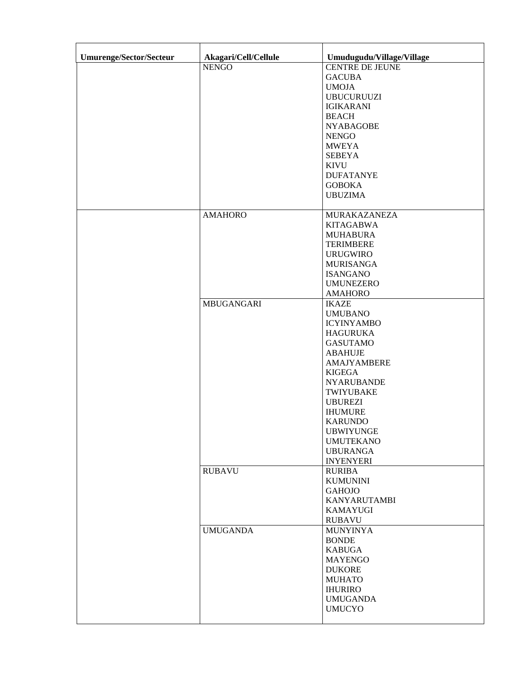| Umurenge/Sector/Secteur | Akagari/Cell/Cellule | Umudugudu/Village/Village |
|-------------------------|----------------------|---------------------------|
|                         | <b>NENGO</b>         | <b>CENTRE DE JEUNE</b>    |
|                         |                      | <b>GACUBA</b>             |
|                         |                      | <b>UMOJA</b>              |
|                         |                      | <b>UBUCURUUZI</b>         |
|                         |                      |                           |
|                         |                      | <b>IGIKARANI</b>          |
|                         |                      | <b>BEACH</b>              |
|                         |                      | <b>NYABAGOBE</b>          |
|                         |                      | <b>NENGO</b>              |
|                         |                      | <b>MWEYA</b>              |
|                         |                      | <b>SEBEYA</b>             |
|                         |                      | <b>KIVU</b>               |
|                         |                      | <b>DUFATANYE</b>          |
|                         |                      | <b>GOBOKA</b>             |
|                         |                      |                           |
|                         |                      | <b>UBUZIMA</b>            |
|                         | <b>AMAHORO</b>       | <b>MURAKAZANEZA</b>       |
|                         |                      | <b>KITAGABWA</b>          |
|                         |                      | <b>MUHABURA</b>           |
|                         |                      | <b>TERIMBERE</b>          |
|                         |                      | <b>URUGWIRO</b>           |
|                         |                      | <b>MURISANGA</b>          |
|                         |                      | <b>ISANGANO</b>           |
|                         |                      | <b>UMUNEZERO</b>          |
|                         |                      | <b>AMAHORO</b>            |
|                         |                      |                           |
|                         | MBUGANGARI           | <b>IKAZE</b>              |
|                         |                      | <b>UMUBANO</b>            |
|                         |                      | <b>ICYINYAMBO</b>         |
|                         |                      | <b>HAGURUKA</b>           |
|                         |                      | <b>GASUTAMO</b>           |
|                         |                      | <b>ABAHUJE</b>            |
|                         |                      | AMAJYAMBERE               |
|                         |                      | <b>KIGEGA</b>             |
|                         |                      | <b>NYARUBANDE</b>         |
|                         |                      | TWIYUBAKE                 |
|                         |                      |                           |
|                         |                      | <b>UBUREZI</b>            |
|                         |                      | <b>IHUMURE</b>            |
|                         |                      | <b>KARUNDO</b>            |
|                         |                      | <b>UBWIYUNGE</b>          |
|                         |                      | <b>UMUTEKANO</b>          |
|                         |                      | <b>UBURANGA</b>           |
|                         |                      | <b>INYENYERI</b>          |
|                         | <b>RUBAVU</b>        | <b>RURIBA</b>             |
|                         |                      | <b>KUMUNINI</b>           |
|                         |                      | <b>GAHOJO</b>             |
|                         |                      | <b>KANYARUTAMBI</b>       |
|                         |                      | <b>KAMAYUGI</b>           |
|                         |                      | <b>RUBAVU</b>             |
|                         | <b>UMUGANDA</b>      | <b>MUNYINYA</b>           |
|                         |                      |                           |
|                         |                      | <b>BONDE</b>              |
|                         |                      | <b>KABUGA</b>             |
|                         |                      | <b>MAYENGO</b>            |
|                         |                      | <b>DUKORE</b>             |
|                         |                      | <b>MUHATO</b>             |
|                         |                      | <b>IHURIRO</b>            |
|                         |                      | <b>UMUGANDA</b>           |
|                         |                      | <b>UMUCYO</b>             |
|                         |                      |                           |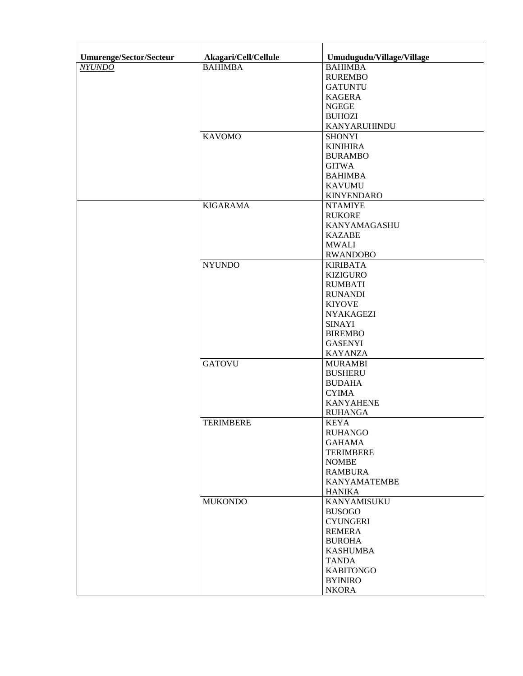| <b>Umurenge/Sector/Secteur</b> | Akagari/Cell/Cellule | Umudugudu/Village/Village        |
|--------------------------------|----------------------|----------------------------------|
| <b>NYUNDO</b>                  | <b>BAHIMBA</b>       | <b>BAHIMBA</b>                   |
|                                |                      | <b>RUREMBO</b>                   |
|                                |                      | <b>GATUNTU</b>                   |
|                                |                      | <b>KAGERA</b>                    |
|                                |                      | <b>NGEGE</b>                     |
|                                |                      | <b>BUHOZI</b>                    |
|                                |                      |                                  |
|                                |                      | KANYARUHINDU                     |
|                                | <b>KAVOMO</b>        | <b>SHONYI</b>                    |
|                                |                      | <b>KINIHIRA</b>                  |
|                                |                      | <b>BURAMBO</b>                   |
|                                |                      | <b>GITWA</b>                     |
|                                |                      | <b>BAHIMBA</b>                   |
|                                |                      | <b>KAVUMU</b>                    |
|                                |                      | <b>KINYENDARO</b>                |
|                                | <b>KIGARAMA</b>      | <b>NTAMIYE</b>                   |
|                                |                      | <b>RUKORE</b>                    |
|                                |                      | KANYAMAGASHU                     |
|                                |                      | <b>KAZABE</b>                    |
|                                |                      | <b>MWALI</b>                     |
|                                |                      | <b>RWANDOBO</b>                  |
|                                | <b>NYUNDO</b>        | <b>KIRIBATA</b>                  |
|                                |                      | <b>KIZIGURO</b>                  |
|                                |                      | <b>RUMBATI</b>                   |
|                                |                      | <b>RUNANDI</b>                   |
|                                |                      | <b>KIYOVE</b>                    |
|                                |                      | <b>NYAKAGEZI</b>                 |
|                                |                      | <b>SINAYI</b>                    |
|                                |                      | <b>BIREMBO</b>                   |
|                                |                      | <b>GASENYI</b>                   |
|                                |                      | <b>KAYANZA</b>                   |
|                                | <b>GATOVU</b>        | <b>MURAMBI</b>                   |
|                                |                      | <b>BUSHERU</b>                   |
|                                |                      | <b>BUDAHA</b>                    |
|                                |                      | <b>CYIMA</b>                     |
|                                |                      | <b>KANYAHENE</b>                 |
|                                |                      | <b>RUHANGA</b>                   |
|                                | <b>TERIMBERE</b>     | <b>KEYA</b>                      |
|                                |                      | <b>RUHANGO</b>                   |
|                                |                      | <b>GAHAMA</b>                    |
|                                |                      | <b>TERIMBERE</b>                 |
|                                |                      | <b>NOMBE</b>                     |
|                                |                      | <b>RAMBURA</b>                   |
|                                |                      | <b>KANYAMATEMBE</b>              |
|                                |                      | <b>HANIKA</b>                    |
|                                | <b>MUKONDO</b>       | KANYAMISUKU                      |
|                                |                      |                                  |
|                                |                      | <b>BUSOGO</b><br><b>CYUNGERI</b> |
|                                |                      |                                  |
|                                |                      | <b>REMERA</b>                    |
|                                |                      | <b>BUROHA</b>                    |
|                                |                      | <b>KASHUMBA</b>                  |
|                                |                      | <b>TANDA</b>                     |
|                                |                      | <b>KABITONGO</b>                 |
|                                |                      | <b>BYINIRO</b>                   |
|                                |                      | <b>NKORA</b>                     |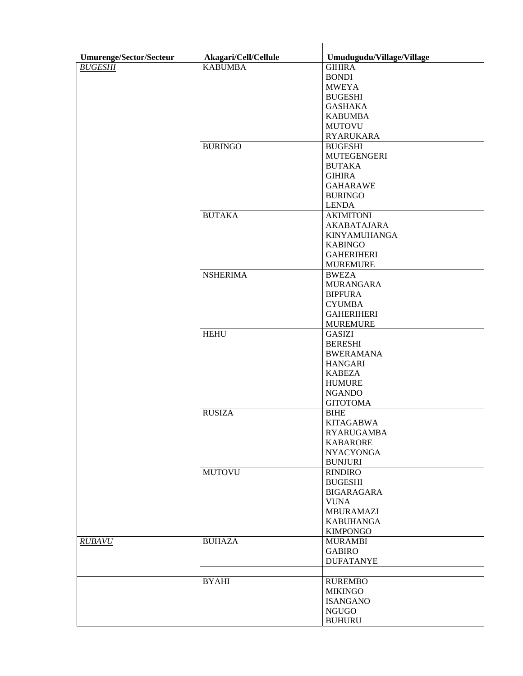| <b>Umurenge/Sector/Secteur</b> | Akagari/Cell/Cellule | Umudugudu/Village/Village |
|--------------------------------|----------------------|---------------------------|
| <b>BUGESHI</b>                 | <b>KABUMBA</b>       | <b>GIHIRA</b>             |
|                                |                      | <b>BONDI</b>              |
|                                |                      | <b>MWEYA</b>              |
|                                |                      |                           |
|                                |                      | <b>BUGESHI</b>            |
|                                |                      | <b>GASHAKA</b>            |
|                                |                      | <b>KABUMBA</b>            |
|                                |                      | <b>MUTOVU</b>             |
|                                |                      | <b>RYARUKARA</b>          |
|                                | <b>BURINGO</b>       | <b>BUGESHI</b>            |
|                                |                      | <b>MUTEGENGERI</b>        |
|                                |                      | <b>BUTAKA</b>             |
|                                |                      | <b>GIHIRA</b>             |
|                                |                      | <b>GAHARAWE</b>           |
|                                |                      |                           |
|                                |                      | <b>BURINGO</b>            |
|                                |                      | <b>LENDA</b>              |
|                                | <b>BUTAKA</b>        | <b>AKIMITONI</b>          |
|                                |                      | <b>AKABATAJARA</b>        |
|                                |                      | <b>KINYAMUHANGA</b>       |
|                                |                      | <b>KABINGO</b>            |
|                                |                      | <b>GAHERIHERI</b>         |
|                                |                      | <b>MUREMURE</b>           |
|                                | <b>NSHERIMA</b>      | <b>BWEZA</b>              |
|                                |                      | <b>MURANGARA</b>          |
|                                |                      |                           |
|                                |                      | <b>BIPFURA</b>            |
|                                |                      | <b>CYUMBA</b>             |
|                                |                      | <b>GAHERIHERI</b>         |
|                                |                      | <b>MUREMURE</b>           |
|                                | <b>HEHU</b>          | <b>GASIZI</b>             |
|                                |                      | <b>BERESHI</b>            |
|                                |                      | <b>BWERAMANA</b>          |
|                                |                      | <b>HANGARI</b>            |
|                                |                      | <b>KABEZA</b>             |
|                                |                      |                           |
|                                |                      | <b>HUMURE</b>             |
|                                |                      | <b>NGANDO</b>             |
|                                |                      | <b>GITOTOMA</b>           |
|                                | <b>RUSIZA</b>        | <b>BIHE</b>               |
|                                |                      | <b>KITAGABWA</b>          |
|                                |                      | <b>RYARUGAMBA</b>         |
|                                |                      | <b>KABARORE</b>           |
|                                |                      | <b>NYACYONGA</b>          |
|                                |                      | <b>BUNJURI</b>            |
|                                | <b>MUTOVU</b>        | <b>RINDIRO</b>            |
|                                |                      | <b>BUGESHI</b>            |
|                                |                      |                           |
|                                |                      | <b>BIGARAGARA</b>         |
|                                |                      | <b>VUNA</b>               |
|                                |                      | <b>MBURAMAZI</b>          |
|                                |                      | <b>KABUHANGA</b>          |
|                                |                      | <b>KIMPONGO</b>           |
| <b>RUBAVU</b>                  | <b>BUHAZA</b>        | <b>MURAMBI</b>            |
|                                |                      | <b>GABIRO</b>             |
|                                |                      | <b>DUFATANYE</b>          |
|                                |                      |                           |
|                                | <b>BYAHI</b>         | <b>RUREMBO</b>            |
|                                |                      |                           |
|                                |                      | <b>MIKINGO</b>            |
|                                |                      | <b>ISANGANO</b>           |
|                                |                      | <b>NGUGO</b>              |
|                                |                      | <b>BUHURU</b>             |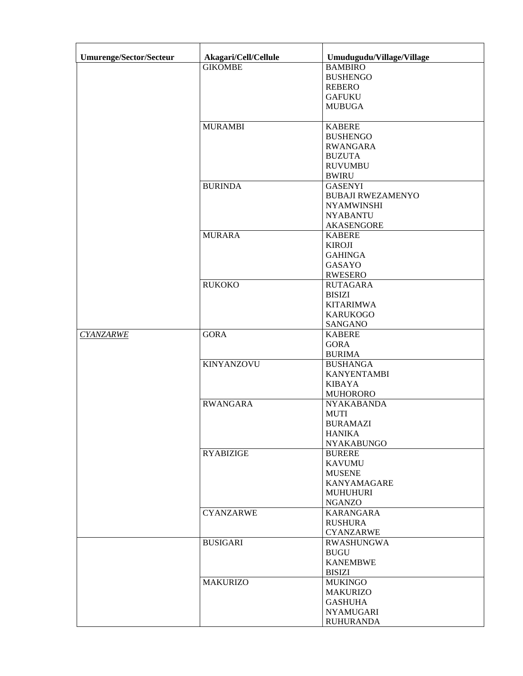| <b>Umurenge/Sector/Secteur</b> | Akagari/Cell/Cellule | Umudugudu/Village/Village      |
|--------------------------------|----------------------|--------------------------------|
|                                | <b>GIKOMBE</b>       | <b>BAMBIRO</b>                 |
|                                |                      | <b>BUSHENGO</b>                |
|                                |                      | <b>REBERO</b>                  |
|                                |                      | <b>GAFUKU</b>                  |
|                                |                      | <b>MUBUGA</b>                  |
|                                |                      |                                |
|                                | <b>MURAMBI</b>       | <b>KABERE</b>                  |
|                                |                      | <b>BUSHENGO</b>                |
|                                |                      | <b>RWANGARA</b>                |
|                                |                      | <b>BUZUTA</b>                  |
|                                |                      | <b>RUVUMBU</b>                 |
|                                |                      | <b>BWIRU</b>                   |
|                                | <b>BURINDA</b>       | <b>GASENYI</b>                 |
|                                |                      | <b>BUBAJI RWEZAMENYO</b>       |
|                                |                      | <b>NYAMWINSHI</b>              |
|                                |                      | <b>NYABANTU</b>                |
|                                |                      | <b>AKASENGORE</b>              |
|                                | <b>MURARA</b>        | <b>KABERE</b>                  |
|                                |                      | <b>KIROJI</b>                  |
|                                |                      | <b>GAHINGA</b>                 |
|                                |                      | <b>GASAYO</b>                  |
|                                |                      | <b>RWESERO</b>                 |
|                                | <b>RUKOKO</b>        | <b>RUTAGARA</b>                |
|                                |                      | <b>BISIZI</b>                  |
|                                |                      | <b>KITARIMWA</b>               |
|                                |                      | <b>KARUKOGO</b>                |
|                                |                      | <b>SANGANO</b>                 |
| <b>CYANZARWE</b>               | <b>GORA</b>          | <b>KABERE</b>                  |
|                                |                      | <b>GORA</b>                    |
|                                |                      | <b>BURIMA</b>                  |
|                                | <b>KINYANZOVU</b>    | <b>BUSHANGA</b>                |
|                                |                      | <b>KANYENTAMBI</b>             |
|                                |                      | <b>KIBAYA</b>                  |
|                                |                      | <b>MUHORORO</b>                |
|                                | <b>RWANGARA</b>      | <b>NYAKABANDA</b>              |
|                                |                      | <b>MUTI</b>                    |
|                                |                      | <b>BURAMAZI</b>                |
|                                |                      | <b>HANIKA</b>                  |
|                                |                      | <b>NYAKABUNGO</b>              |
|                                | <b>RYABIZIGE</b>     | <b>BURERE</b>                  |
|                                |                      | <b>KAVUMU</b><br><b>MUSENE</b> |
|                                |                      | <b>KANYAMAGARE</b>             |
|                                |                      | <b>MUHUHURI</b>                |
|                                |                      | <b>NGANZO</b>                  |
|                                | <b>CYANZARWE</b>     | <b>KARANGARA</b>               |
|                                |                      | <b>RUSHURA</b>                 |
|                                |                      | <b>CYANZARWE</b>               |
|                                | <b>BUSIGARI</b>      | <b>RWASHUNGWA</b>              |
|                                |                      | <b>BUGU</b>                    |
|                                |                      | <b>KANEMBWE</b>                |
|                                |                      | <b>BISIZI</b>                  |
|                                | <b>MAKURIZO</b>      | <b>MUKINGO</b>                 |
|                                |                      | <b>MAKURIZO</b>                |
|                                |                      | <b>GASHUHA</b>                 |
|                                |                      | <b>NYAMUGARI</b>               |
|                                |                      | <b>RUHURANDA</b>               |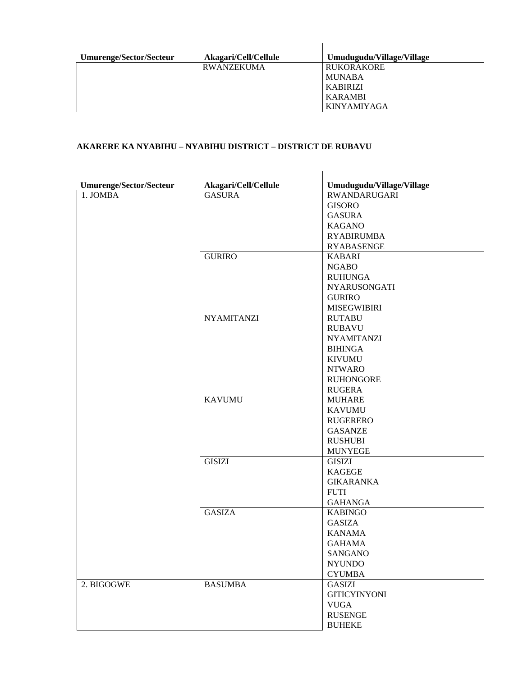| Umurenge/Sector/Secteur | Akagari/Cell/Cellule | Umudugudu/Village/Village |
|-------------------------|----------------------|---------------------------|
|                         | RWANZEKUMA           | <b>RUKORAKORE</b>         |
|                         |                      | <b>MUNABA</b>             |
|                         |                      | <b>KABIRIZI</b>           |
|                         |                      | <b>KARAMBI</b>            |
|                         |                      | <b>KINYAMIYAGA</b>        |

# **AKARERE KA NYABIHU – NYABIHU DISTRICT – DISTRICT DE RUBAVU**

| Umurenge/Sector/Secteur | Akagari/Cell/Cellule | Umudugudu/Village/Village |
|-------------------------|----------------------|---------------------------|
| 1. JOMBA                | <b>GASURA</b>        | <b>RWANDARUGARI</b>       |
|                         |                      | <b>GISORO</b>             |
|                         |                      | <b>GASURA</b>             |
|                         |                      | <b>KAGANO</b>             |
|                         |                      | <b>RYABIRUMBA</b>         |
|                         |                      | <b>RYABASENGE</b>         |
|                         | <b>GURIRO</b>        | <b>KABARI</b>             |
|                         |                      | <b>NGABO</b>              |
|                         |                      | <b>RUHUNGA</b>            |
|                         |                      | <b>NYARUSONGATI</b>       |
|                         |                      | <b>GURIRO</b>             |
|                         |                      | <b>MISEGWIBIRI</b>        |
|                         | <b>NYAMITANZI</b>    | <b>RUTABU</b>             |
|                         |                      | <b>RUBAVU</b>             |
|                         |                      | <b>NYAMITANZI</b>         |
|                         |                      | <b>BIHINGA</b>            |
|                         |                      | <b>KIVUMU</b>             |
|                         |                      | <b>NTWARO</b>             |
|                         |                      | <b>RUHONGORE</b>          |
|                         |                      | <b>RUGERA</b>             |
|                         | <b>KAVUMU</b>        | <b>MUHARE</b>             |
|                         |                      | <b>KAVUMU</b>             |
|                         |                      | <b>RUGERERO</b>           |
|                         |                      | <b>GASANZE</b>            |
|                         |                      | <b>RUSHUBI</b>            |
|                         |                      | <b>MUNYEGE</b>            |
|                         | <b>GISIZI</b>        | <b>GISIZI</b>             |
|                         |                      | <b>KAGEGE</b>             |
|                         |                      | <b>GIKARANKA</b>          |
|                         |                      | <b>FUTI</b>               |
|                         |                      | <b>GAHANGA</b>            |
|                         | <b>GASIZA</b>        | <b>KABINGO</b>            |
|                         |                      | <b>GASIZA</b>             |
|                         |                      | <b>KANAMA</b>             |
|                         |                      | <b>GAHAMA</b>             |
|                         |                      | SANGANO                   |
|                         |                      | <b>NYUNDO</b>             |
|                         |                      | <b>CYUMBA</b>             |
| 2. BIGOGWE              | <b>BASUMBA</b>       | <b>GASIZI</b>             |
|                         |                      | <b>GITICYINYONI</b>       |
|                         |                      | <b>VUGA</b>               |
|                         |                      | <b>RUSENGE</b>            |
|                         |                      | <b>BUHEKE</b>             |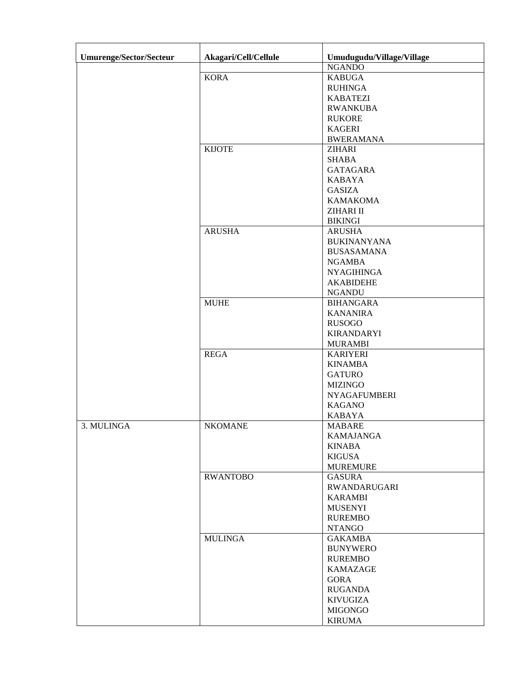| <b>Umurenge/Sector/Secteur</b> | Akagari/Cell/Cellule | Umudugudu/Village/Village |
|--------------------------------|----------------------|---------------------------|
|                                |                      | <b>NGANDO</b>             |
|                                | <b>KORA</b>          | <b>KABUGA</b>             |
|                                |                      | <b>RUHINGA</b>            |
|                                |                      | <b>KABATEZI</b>           |
|                                |                      | <b>RWANKUBA</b>           |
|                                |                      | <b>RUKORE</b>             |
|                                |                      | <b>KAGERI</b>             |
|                                |                      | <b>BWERAMANA</b>          |
|                                | <b>KIJOTE</b>        | <b>ZIHARI</b>             |
|                                |                      | <b>SHABA</b>              |
|                                |                      | <b>GATAGARA</b>           |
|                                |                      | <b>KABAYA</b>             |
|                                |                      | <b>GASIZA</b>             |
|                                |                      | <b>KAMAKOMA</b>           |
|                                |                      | ZIHARI II                 |
|                                |                      | <b>BIKINGI</b>            |
|                                | <b>ARUSHA</b>        | <b>ARUSHA</b>             |
|                                |                      | <b>BUKINANYANA</b>        |
|                                |                      | <b>BUSASAMANA</b>         |
|                                |                      | <b>NGAMBA</b>             |
|                                |                      | <b>NYAGIHINGA</b>         |
|                                |                      | <b>AKABIDEHE</b>          |
|                                |                      | <b>NGANDU</b>             |
|                                | <b>MUHE</b>          | <b>BIHANGARA</b>          |
|                                |                      | <b>KANANIRA</b>           |
|                                |                      | <b>RUSOGO</b>             |
|                                |                      | <b>KIRANDARYI</b>         |
|                                |                      | <b>MURAMBI</b>            |
|                                | <b>REGA</b>          | <b>KARIYERI</b>           |
|                                |                      | <b>KINAMBA</b>            |
|                                |                      | <b>GATURO</b>             |
|                                |                      | <b>MIZINGO</b>            |
|                                |                      | <b>NYAGAFUMBERI</b>       |
|                                |                      | <b>KAGANO</b>             |
|                                |                      | <b>KABAYA</b>             |
| 3. MULINGA                     | <b>NKOMANE</b>       | <b>MABARE</b>             |
|                                |                      | <b>KAMAJANGA</b>          |
|                                |                      | <b>KINABA</b>             |
|                                |                      | <b>KIGUSA</b>             |
|                                |                      | <b>MUREMURE</b>           |
|                                | <b>RWANTOBO</b>      | <b>GASURA</b>             |
|                                |                      | <b>RWANDARUGARI</b>       |
|                                |                      | <b>KARAMBI</b>            |
|                                |                      | <b>MUSENYI</b>            |
|                                |                      | <b>RUREMBO</b>            |
|                                |                      | <b>NTANGO</b>             |
|                                | <b>MULINGA</b>       | <b>GAKAMBA</b>            |
|                                |                      | <b>BUNYWERO</b>           |
|                                |                      | <b>RUREMBO</b>            |
|                                |                      | <b>KAMAZAGE</b>           |
|                                |                      | <b>GORA</b>               |
|                                |                      | <b>RUGANDA</b>            |
|                                |                      | <b>KIVUGIZA</b>           |
|                                |                      | <b>MIGONGO</b>            |
|                                |                      | <b>KIRUMA</b>             |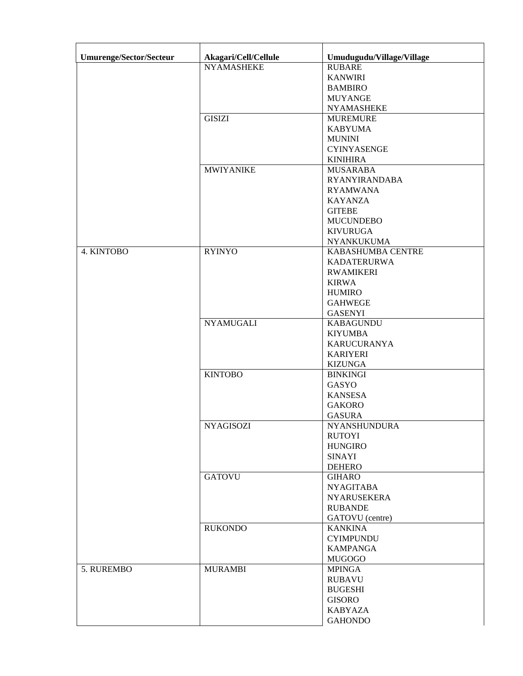| Umurenge/Sector/Secteur | Akagari/Cell/Cellule | Umudugudu/Village/Village |
|-------------------------|----------------------|---------------------------|
|                         | <b>NYAMASHEKE</b>    | <b>RUBARE</b>             |
|                         |                      | <b>KANWIRI</b>            |
|                         |                      | <b>BAMBIRO</b>            |
|                         |                      | <b>MUYANGE</b>            |
|                         |                      | <b>NYAMASHEKE</b>         |
|                         | <b>GISIZI</b>        | <b>MUREMURE</b>           |
|                         |                      | <b>KABYUMA</b>            |
|                         |                      | <b>MUNINI</b>             |
|                         |                      | <b>CYINYASENGE</b>        |
|                         |                      | <b>KINIHIRA</b>           |
|                         | <b>MWIYANIKE</b>     | <b>MUSARABA</b>           |
|                         |                      | <b>RYANYIRANDABA</b>      |
|                         |                      | <b>RYAMWANA</b>           |
|                         |                      | <b>KAYANZA</b>            |
|                         |                      | <b>GITEBE</b>             |
|                         |                      | <b>MUCUNDEBO</b>          |
|                         |                      | <b>KIVURUGA</b>           |
|                         |                      | <b>NYANKUKUMA</b>         |
| 4. KINTOBO              | <b>RYINYO</b>        | KABASHUMBA CENTRE         |
|                         |                      | <b>KADATERURWA</b>        |
|                         |                      | <b>RWAMIKERI</b>          |
|                         |                      | <b>KIRWA</b>              |
|                         |                      | <b>HUMIRO</b>             |
|                         |                      | <b>GAHWEGE</b>            |
|                         |                      | <b>GASENYI</b>            |
|                         | <b>NYAMUGALI</b>     | <b>KABAGUNDU</b>          |
|                         |                      | <b>KIYUMBA</b>            |
|                         |                      | <b>KARUCURANYA</b>        |
|                         |                      | <b>KARIYERI</b>           |
|                         |                      | <b>KIZUNGA</b>            |
|                         | <b>KINTOBO</b>       | <b>BINKINGI</b>           |
|                         |                      | GASYO                     |
|                         |                      | <b>KANSESA</b>            |
|                         |                      | <b>GAKORO</b>             |
|                         |                      | <b>GASURA</b>             |
|                         | <b>NYAGISOZI</b>     | NYANSHUNDURA              |
|                         |                      | <b>RUTOYI</b>             |
|                         |                      | <b>HUNGIRO</b>            |
|                         |                      | <b>SINAYI</b>             |
|                         |                      | <b>DEHERO</b>             |
|                         | <b>GATOVU</b>        | <b>GIHARO</b>             |
|                         |                      | <b>NYAGITABA</b>          |
|                         |                      | <b>NYARUSEKERA</b>        |
|                         |                      | <b>RUBANDE</b>            |
|                         |                      | GATOVU (centre)           |
|                         | <b>RUKONDO</b>       | <b>KANKINA</b>            |
|                         |                      |                           |
|                         |                      | <b>CYIMPUNDU</b>          |
|                         |                      | <b>KAMPANGA</b>           |
|                         |                      | <b>MUGOGO</b>             |
| 5. RUREMBO              | <b>MURAMBI</b>       | <b>MPINGA</b>             |
|                         |                      | <b>RUBAVU</b>             |
|                         |                      | <b>BUGESHI</b>            |
|                         |                      | <b>GISORO</b>             |
|                         |                      | <b>KABYAZA</b>            |
|                         |                      | <b>GAHONDO</b>            |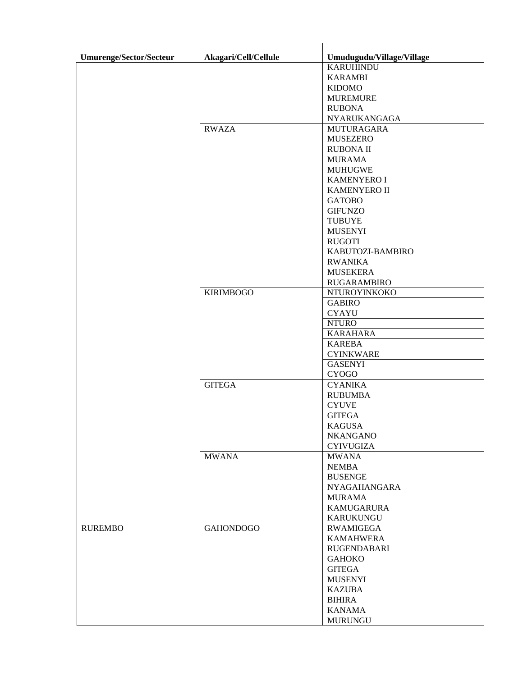| <b>Umurenge/Sector/Secteur</b> | Akagari/Cell/Cellule | Umudugudu/Village/Village |
|--------------------------------|----------------------|---------------------------|
|                                |                      | <b>KARUHINDU</b>          |
|                                |                      | <b>KARAMBI</b>            |
|                                |                      | <b>KIDOMO</b>             |
|                                |                      | <b>MUREMURE</b>           |
|                                |                      | <b>RUBONA</b>             |
|                                |                      | NYARUKANGAGA              |
|                                | <b>RWAZA</b>         | <b>MUTURAGARA</b>         |
|                                |                      | <b>MUSEZERO</b>           |
|                                |                      | <b>RUBONA II</b>          |
|                                |                      | <b>MURAMA</b>             |
|                                |                      | <b>MUHUGWE</b>            |
|                                |                      | <b>KAMENYERO I</b>        |
|                                |                      |                           |
|                                |                      | <b>KAMENYERO II</b>       |
|                                |                      | <b>GATOBO</b>             |
|                                |                      | <b>GIFUNZO</b>            |
|                                |                      | <b>TUBUYE</b>             |
|                                |                      | <b>MUSENYI</b>            |
|                                |                      | <b>RUGOTI</b>             |
|                                |                      | KABUTOZI-BAMBIRO          |
|                                |                      | <b>RWANIKA</b>            |
|                                |                      | <b>MUSEKERA</b>           |
|                                |                      | <b>RUGARAMBIRO</b>        |
|                                | <b>KIRIMBOGO</b>     | NTUROYINKOKO              |
|                                |                      | <b>GABIRO</b>             |
|                                |                      | <b>CYAYU</b>              |
|                                |                      | <b>NTURO</b>              |
|                                |                      | <b>KARAHARA</b>           |
|                                |                      | <b>KAREBA</b>             |
|                                |                      | <b>CYINKWARE</b>          |
|                                |                      | <b>GASENYI</b>            |
|                                |                      | <b>CYOGO</b>              |
|                                | <b>GITEGA</b>        | <b>CYANIKA</b>            |
|                                |                      | <b>RUBUMBA</b>            |
|                                |                      | <b>CYUVE</b>              |
|                                |                      | <b>GITEGA</b>             |
|                                |                      | <b>KAGUSA</b>             |
|                                |                      | <b>NKANGANO</b>           |
|                                |                      |                           |
|                                | <b>MWANA</b>         | <b>CYIVUGIZA</b>          |
|                                |                      | <b>MWANA</b>              |
|                                |                      | <b>NEMBA</b>              |
|                                |                      | <b>BUSENGE</b>            |
|                                |                      | <b>NYAGAHANGARA</b>       |
|                                |                      | <b>MURAMA</b>             |
|                                |                      | <b>KAMUGARURA</b>         |
|                                |                      | <b>KARUKUNGU</b>          |
| <b>RUREMBO</b>                 | <b>GAHONDOGO</b>     | RWAMIGEGA                 |
|                                |                      | <b>KAMAHWERA</b>          |
|                                |                      | RUGENDABARI               |
|                                |                      | <b>GAHOKO</b>             |
|                                |                      | <b>GITEGA</b>             |
|                                |                      | <b>MUSENYI</b>            |
|                                |                      | <b>KAZUBA</b>             |
|                                |                      | <b>BIHIRA</b>             |
|                                |                      | <b>KANAMA</b>             |
|                                |                      | <b>MURUNGU</b>            |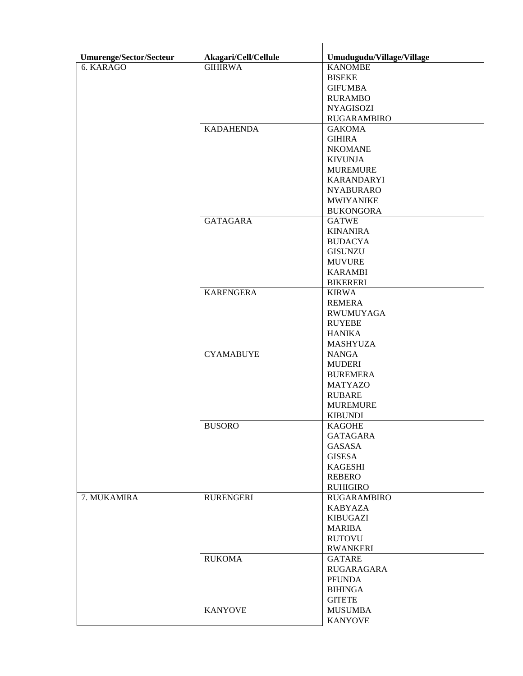| Umurenge/Sector/Secteur | Akagari/Cell/Cellule | Umudugudu/Village/Village |
|-------------------------|----------------------|---------------------------|
| 6. KARAGO               | <b>GIHIRWA</b>       | <b>KANOMBE</b>            |
|                         |                      | <b>BISEKE</b>             |
|                         |                      | <b>GIFUMBA</b>            |
|                         |                      | <b>RURAMBO</b>            |
|                         |                      | <b>NYAGISOZI</b>          |
|                         |                      | <b>RUGARAMBIRO</b>        |
|                         | <b>KADAHENDA</b>     | <b>GAKOMA</b>             |
|                         |                      | <b>GIHIRA</b>             |
|                         |                      | <b>NKOMANE</b>            |
|                         |                      | <b>KIVUNJA</b>            |
|                         |                      | <b>MUREMURE</b>           |
|                         |                      | <b>KARANDARYI</b>         |
|                         |                      | <b>NYABURARO</b>          |
|                         |                      | <b>MWIYANIKE</b>          |
|                         |                      | <b>BUKONGORA</b>          |
|                         | <b>GATAGARA</b>      | <b>GATWE</b>              |
|                         |                      | <b>KINANIRA</b>           |
|                         |                      | <b>BUDACYA</b>            |
|                         |                      | <b>GISUNZU</b>            |
|                         |                      | <b>MUVURE</b>             |
|                         |                      | <b>KARAMBI</b>            |
|                         |                      | <b>BIKERERI</b>           |
|                         | <b>KARENGERA</b>     | <b>KIRWA</b>              |
|                         |                      | <b>REMERA</b>             |
|                         |                      | <b>RWUMUYAGA</b>          |
|                         |                      | <b>RUYEBE</b>             |
|                         |                      |                           |
|                         |                      | <b>HANIKA</b>             |
|                         |                      | <b>MASHYUZA</b>           |
|                         | <b>CYAMABUYE</b>     | <b>NANGA</b>              |
|                         |                      | <b>MUDERI</b>             |
|                         |                      | <b>BUREMERA</b>           |
|                         |                      | <b>MATYAZO</b>            |
|                         |                      | <b>RUBARE</b>             |
|                         |                      | <b>MUREMURE</b>           |
|                         |                      | <b>KIBUNDI</b>            |
|                         | <b>BUSORO</b>        | <b>KAGOHE</b>             |
|                         |                      | <b>GATAGARA</b>           |
|                         |                      | <b>GASASA</b>             |
|                         |                      | <b>GISESA</b>             |
|                         |                      | <b>KAGESHI</b>            |
|                         |                      | <b>REBERO</b>             |
|                         |                      | <b>RUHIGIRO</b>           |
| 7. MUKAMIRA             | <b>RURENGERI</b>     | <b>RUGARAMBIRO</b>        |
|                         |                      | <b>KABYAZA</b>            |
|                         |                      | <b>KIBUGAZI</b>           |
|                         |                      | <b>MARIBA</b>             |
|                         |                      | <b>RUTOVU</b>             |
|                         |                      | <b>RWANKERI</b>           |
|                         | <b>RUKOMA</b>        | <b>GATARE</b>             |
|                         |                      | <b>RUGARAGARA</b>         |
|                         |                      | <b>PFUNDA</b>             |
|                         |                      | <b>BIHINGA</b>            |
|                         |                      | <b>GITETE</b>             |
|                         | <b>KANYOVE</b>       | <b>MUSUMBA</b>            |
|                         |                      | <b>KANYOVE</b>            |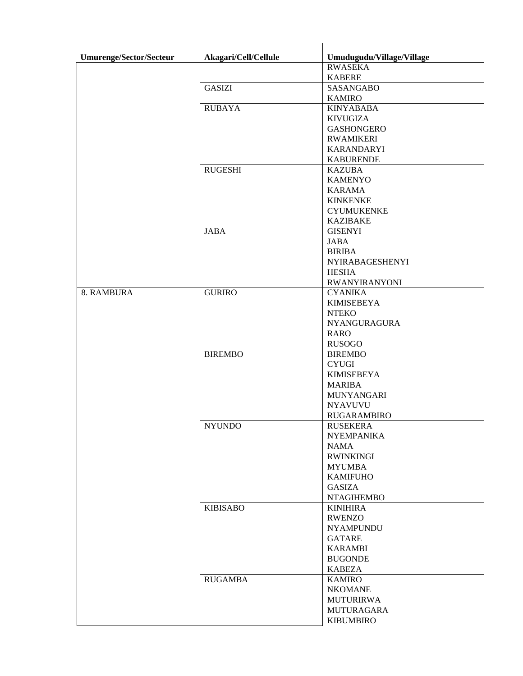| <b>Umurenge/Sector/Secteur</b> | Akagari/Cell/Cellule | Umudugudu/Village/Village        |
|--------------------------------|----------------------|----------------------------------|
|                                |                      | <b>RWASEKA</b>                   |
|                                |                      | <b>KABERE</b>                    |
|                                | <b>GASIZI</b>        | <b>SASANGABO</b>                 |
|                                |                      | <b>KAMIRO</b>                    |
|                                | <b>RUBAYA</b>        | <b>KINYABABA</b>                 |
|                                |                      | <b>KIVUGIZA</b>                  |
|                                |                      | <b>GASHONGERO</b>                |
|                                |                      | <b>RWAMIKERI</b>                 |
|                                |                      | <b>KARANDARYI</b>                |
|                                |                      | <b>KABURENDE</b>                 |
|                                | <b>RUGESHI</b>       | <b>KAZUBA</b>                    |
|                                |                      | <b>KAMENYO</b>                   |
|                                |                      | <b>KARAMA</b>                    |
|                                |                      | <b>KINKENKE</b>                  |
|                                |                      | <b>CYUMUKENKE</b>                |
|                                |                      | <b>KAZIBAKE</b>                  |
|                                | <b>JABA</b>          | <b>GISENYI</b>                   |
|                                |                      | <b>JABA</b>                      |
|                                |                      | <b>BIRIBA</b>                    |
|                                |                      | <b>NYIRABAGESHENYI</b>           |
|                                |                      | <b>HESHA</b>                     |
|                                |                      | <b>RWANYIRANYONI</b>             |
| 8. RAMBURA                     | <b>GURIRO</b>        | <b>CYANIKA</b>                   |
|                                |                      | <b>KIMISEBEYA</b>                |
|                                |                      | <b>NTEKO</b>                     |
|                                |                      | <b>NYANGURAGURA</b>              |
|                                |                      | <b>RARO</b>                      |
|                                |                      | <b>RUSOGO</b>                    |
|                                | <b>BIREMBO</b>       | <b>BIREMBO</b>                   |
|                                |                      | <b>CYUGI</b>                     |
|                                |                      | <b>KIMISEBEYA</b>                |
|                                |                      | <b>MARIBA</b>                    |
|                                |                      | MUNYANGARI                       |
|                                |                      | <b>NYAVUVU</b>                   |
|                                |                      | <b>RUGARAMBIRO</b>               |
|                                | <b>NYUNDO</b>        | <b>RUSEKERA</b>                  |
|                                |                      | <b>NYEMPANIKA</b>                |
|                                |                      | <b>NAMA</b>                      |
|                                |                      | <b>RWINKINGI</b>                 |
|                                |                      |                                  |
|                                |                      | <b>MYUMBA</b><br><b>KAMIFUHO</b> |
|                                |                      |                                  |
|                                |                      | <b>GASIZA</b>                    |
|                                |                      | <b>NTAGIHEMBO</b>                |
|                                | <b>KIBISABO</b>      | <b>KINIHIRA</b>                  |
|                                |                      | <b>RWENZO</b>                    |
|                                |                      | <b>NYAMPUNDU</b>                 |
|                                |                      | GATARE                           |
|                                |                      | <b>KARAMBI</b>                   |
|                                |                      | <b>BUGONDE</b>                   |
|                                |                      | <b>KABEZA</b>                    |
|                                | <b>RUGAMBA</b>       | <b>KAMIRO</b>                    |
|                                |                      | <b>NKOMANE</b>                   |
|                                |                      | <b>MUTURIRWA</b>                 |
|                                |                      | MUTURAGARA                       |
|                                |                      | <b>KIBUMBIRO</b>                 |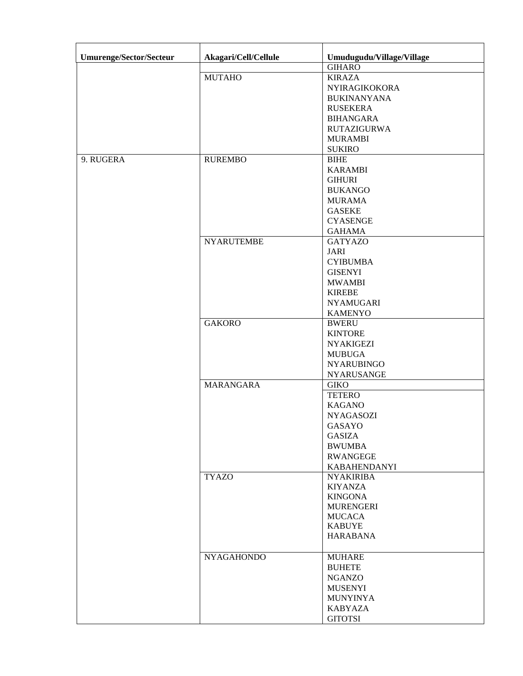| <b>Umurenge/Sector/Secteur</b> | Akagari/Cell/Cellule | Umudugudu/Village/Village |
|--------------------------------|----------------------|---------------------------|
|                                |                      | <b>GIHARO</b>             |
|                                | <b>MUTAHO</b>        | <b>KIRAZA</b>             |
|                                |                      | <b>NYIRAGIKOKORA</b>      |
|                                |                      | <b>BUKINANYANA</b>        |
|                                |                      | <b>RUSEKERA</b>           |
|                                |                      | <b>BIHANGARA</b>          |
|                                |                      | <b>RUTAZIGURWA</b>        |
|                                |                      | <b>MURAMBI</b>            |
|                                |                      | <b>SUKIRO</b>             |
| 9. RUGERA                      | <b>RUREMBO</b>       | <b>BIHE</b>               |
|                                |                      |                           |
|                                |                      | <b>KARAMBI</b>            |
|                                |                      | <b>GIHURI</b>             |
|                                |                      | <b>BUKANGO</b>            |
|                                |                      | <b>MURAMA</b>             |
|                                |                      | <b>GASEKE</b>             |
|                                |                      | <b>CYASENGE</b>           |
|                                |                      | <b>GAHAMA</b>             |
|                                | <b>NYARUTEMBE</b>    | <b>GATYAZO</b>            |
|                                |                      | <b>JARI</b>               |
|                                |                      | <b>CYIBUMBA</b>           |
|                                |                      | <b>GISENYI</b>            |
|                                |                      | <b>MWAMBI</b>             |
|                                |                      | <b>KIREBE</b>             |
|                                |                      | <b>NYAMUGARI</b>          |
|                                |                      | <b>KAMENYO</b>            |
|                                | <b>GAKORO</b>        | <b>BWERU</b>              |
|                                |                      | <b>KINTORE</b>            |
|                                |                      | <b>NYAKIGEZI</b>          |
|                                |                      | <b>MUBUGA</b>             |
|                                |                      | <b>NYARUBINGO</b>         |
|                                |                      | <b>NYARUSANGE</b>         |
|                                | <b>MARANGARA</b>     | <b>GIKO</b>               |
|                                |                      | <b>TETERO</b>             |
|                                |                      | <b>KAGANO</b>             |
|                                |                      | <b>NYAGASOZI</b>          |
|                                |                      |                           |
|                                |                      | GASAYO                    |
|                                |                      | <b>GASIZA</b>             |
|                                |                      | <b>BWUMBA</b>             |
|                                |                      | <b>RWANGEGE</b>           |
|                                |                      | <b>KABAHENDANYI</b>       |
|                                | <b>TYAZO</b>         | <b>NYAKIRIBA</b>          |
|                                |                      | <b>KIYANZA</b>            |
|                                |                      | <b>KINGONA</b>            |
|                                |                      | <b>MURENGERI</b>          |
|                                |                      | <b>MUCACA</b>             |
|                                |                      | <b>KABUYE</b>             |
|                                |                      | <b>HARABANA</b>           |
|                                | <b>NYAGAHONDO</b>    | <b>MUHARE</b>             |
|                                |                      | <b>BUHETE</b>             |
|                                |                      | <b>NGANZO</b>             |
|                                |                      | <b>MUSENYI</b>            |
|                                |                      | <b>MUNYINYA</b>           |
|                                |                      | <b>KABYAZA</b>            |
|                                |                      | <b>GITOTSI</b>            |
|                                |                      |                           |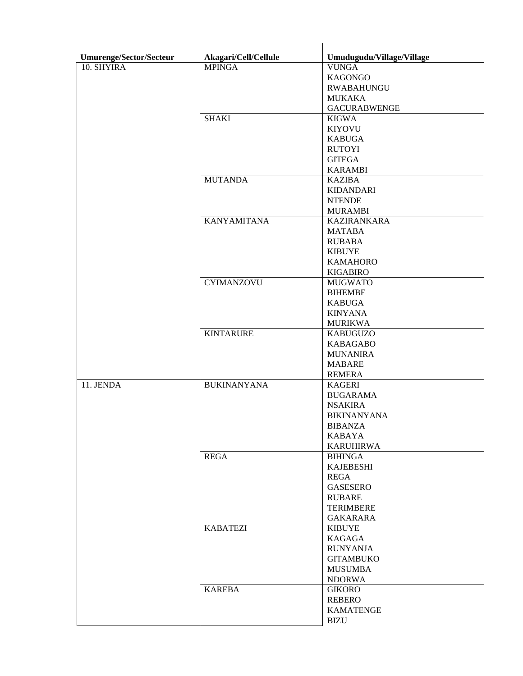| Umurenge/Sector/Secteur | Akagari/Cell/Cellule | Umudugudu/Village/Village |
|-------------------------|----------------------|---------------------------|
| 10. SHYIRA              | <b>MPINGA</b>        | <b>VUNGA</b>              |
|                         |                      | <b>KAGONGO</b>            |
|                         |                      | <b>RWABAHUNGU</b>         |
|                         |                      | <b>MUKAKA</b>             |
|                         |                      | <b>GACURABWENGE</b>       |
|                         | <b>SHAKI</b>         | <b>KIGWA</b>              |
|                         |                      | <b>KIYOVU</b>             |
|                         |                      | <b>KABUGA</b>             |
|                         |                      | <b>RUTOYI</b>             |
|                         |                      | <b>GITEGA</b>             |
|                         |                      | <b>KARAMBI</b>            |
|                         | <b>MUTANDA</b>       | <b>KAZIBA</b>             |
|                         |                      | <b>KIDANDARI</b>          |
|                         |                      | <b>NTENDE</b>             |
|                         |                      |                           |
|                         | <b>KANYAMITANA</b>   | <b>MURAMBI</b>            |
|                         |                      | <b>KAZIRANKARA</b>        |
|                         |                      | <b>MATABA</b>             |
|                         |                      | <b>RUBABA</b>             |
|                         |                      | <b>KIBUYE</b>             |
|                         |                      | <b>KAMAHORO</b>           |
|                         |                      | <b>KIGABIRO</b>           |
|                         | <b>CYIMANZOVU</b>    | <b>MUGWATO</b>            |
|                         |                      | <b>BIHEMBE</b>            |
|                         |                      | <b>KABUGA</b>             |
|                         |                      | <b>KINYANA</b>            |
|                         |                      | <b>MURIKWA</b>            |
|                         | <b>KINTARURE</b>     | <b>KABUGUZO</b>           |
|                         |                      | <b>KABAGABO</b>           |
|                         |                      | <b>MUNANIRA</b>           |
|                         |                      | <b>MABARE</b>             |
|                         |                      | <b>REMERA</b>             |
| 11. JENDA               | <b>BUKINANYANA</b>   | <b>KAGERI</b>             |
|                         |                      | <b>BUGARAMA</b>           |
|                         |                      | <b>NSAKIRA</b>            |
|                         |                      | <b>BIKINANYANA</b>        |
|                         |                      | <b>BIBANZA</b>            |
|                         |                      | KABAYA                    |
|                         |                      | <b>KARUHIRWA</b>          |
|                         | <b>REGA</b>          | <b>BIHINGA</b>            |
|                         |                      | <b>KAJEBESHI</b>          |
|                         |                      | <b>REGA</b>               |
|                         |                      | <b>GASESERO</b>           |
|                         |                      | <b>RUBARE</b>             |
|                         |                      | <b>TERIMBERE</b>          |
|                         |                      | <b>GAKARARA</b>           |
|                         | <b>KABATEZI</b>      | <b>KIBUYE</b>             |
|                         |                      | <b>KAGAGA</b>             |
|                         |                      | <b>RUNYANJA</b>           |
|                         |                      | <b>GITAMBUKO</b>          |
|                         |                      | <b>MUSUMBA</b>            |
|                         |                      | <b>NDORWA</b>             |
|                         | <b>KAREBA</b>        | <b>GIKORO</b>             |
|                         |                      | <b>REBERO</b>             |
|                         |                      | <b>KAMATENGE</b>          |
|                         |                      | <b>BIZU</b>               |
|                         |                      |                           |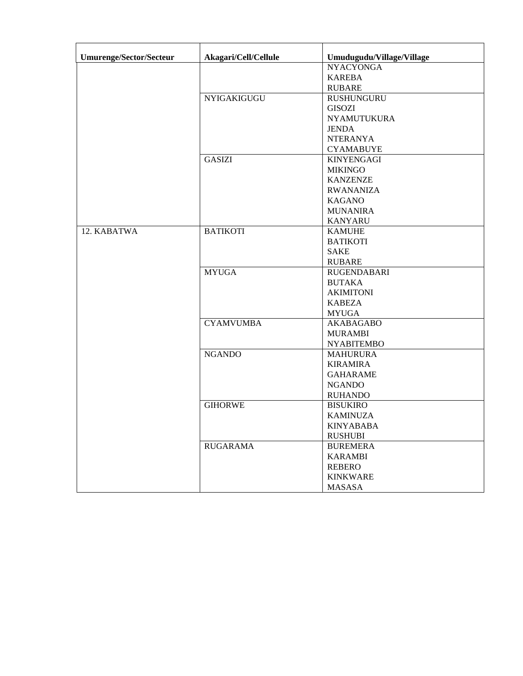| Umurenge/Sector/Secteur | Akagari/Cell/Cellule | Umudugudu/Village/Village |
|-------------------------|----------------------|---------------------------|
|                         |                      | <b>NYACYONGA</b>          |
|                         |                      | <b>KAREBA</b>             |
|                         |                      | <b>RUBARE</b>             |
|                         | NYIGAKIGUGU          | <b>RUSHUNGURU</b>         |
|                         |                      | <b>GISOZI</b>             |
|                         |                      | <b>NYAMUTUKURA</b>        |
|                         |                      | <b>JENDA</b>              |
|                         |                      | <b>NTERANYA</b>           |
|                         |                      | <b>CYAMABUYE</b>          |
|                         | <b>GASIZI</b>        | <b>KINYENGAGI</b>         |
|                         |                      | <b>MIKINGO</b>            |
|                         |                      | <b>KANZENZE</b>           |
|                         |                      | <b>RWANANIZA</b>          |
|                         |                      | <b>KAGANO</b>             |
|                         |                      | <b>MUNANIRA</b>           |
|                         |                      | <b>KANYARU</b>            |
| 12. KABATWA             | <b>BATIKOTI</b>      | <b>KAMUHE</b>             |
|                         |                      | <b>BATIKOTI</b>           |
|                         |                      | <b>SAKE</b>               |
|                         |                      | <b>RUBARE</b>             |
|                         | <b>MYUGA</b>         | <b>RUGENDABARI</b>        |
|                         |                      | <b>BUTAKA</b>             |
|                         |                      | <b>AKIMITONI</b>          |
|                         |                      | <b>KABEZA</b>             |
|                         |                      | <b>MYUGA</b>              |
|                         | <b>CYAMVUMBA</b>     | <b>AKABAGABO</b>          |
|                         |                      | <b>MURAMBI</b>            |
|                         |                      | <b>NYABITEMBO</b>         |
|                         | <b>NGANDO</b>        | <b>MAHURURA</b>           |
|                         |                      | <b>KIRAMIRA</b>           |
|                         |                      | <b>GAHARAME</b>           |
|                         |                      | <b>NGANDO</b>             |
|                         |                      | <b>RUHANDO</b>            |
|                         | <b>GIHORWE</b>       | <b>BISUKIRO</b>           |
|                         |                      | <b>KAMINUZA</b>           |
|                         |                      | <b>KINYABABA</b>          |
|                         |                      | <b>RUSHUBI</b>            |
|                         | <b>RUGARAMA</b>      | <b>BUREMERA</b>           |
|                         |                      | <b>KARAMBI</b>            |
|                         |                      | <b>REBERO</b>             |
|                         |                      | <b>KINKWARE</b>           |
|                         |                      | <b>MASASA</b>             |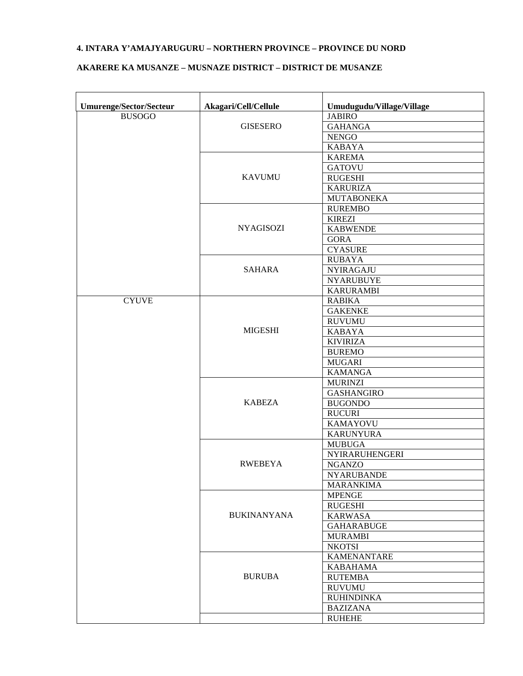### **4. INTARA Y'AMAJYARUGURU – NORTHERN PROVINCE – PROVINCE DU NORD**

### **AKARERE KA MUSANZE – MUSNAZE DISTRICT – DISTRICT DE MUSANZE**

| Umurenge/Sector/Secteur | Akagari/Cell/Cellule | Umudugudu/Village/Village |
|-------------------------|----------------------|---------------------------|
| <b>BUSOGO</b>           |                      | <b>JABIRO</b>             |
|                         | <b>GISESERO</b>      | <b>GAHANGA</b>            |
|                         |                      | <b>NENGO</b>              |
|                         |                      | <b>KABAYA</b>             |
|                         |                      | <b>KAREMA</b>             |
|                         |                      | <b>GATOVU</b>             |
|                         | <b>KAVUMU</b>        | <b>RUGESHI</b>            |
|                         |                      | <b>KARURIZA</b>           |
|                         |                      | <b>MUTABONEKA</b>         |
|                         |                      | <b>RUREMBO</b>            |
|                         |                      | <b>KIREZI</b>             |
|                         | <b>NYAGISOZI</b>     | <b>KABWENDE</b>           |
|                         |                      | <b>GORA</b>               |
|                         |                      | <b>CYASURE</b>            |
|                         |                      | <b>RUBAYA</b>             |
|                         | <b>SAHARA</b>        | <b>NYIRAGAJU</b>          |
|                         |                      | <b>NYARUBUYE</b>          |
|                         |                      | <b>KARURAMBI</b>          |
| <b>CYUVE</b>            |                      | <b>RABIKA</b>             |
|                         |                      | <b>GAKENKE</b>            |
|                         |                      | <b>RUVUMU</b>             |
|                         | <b>MIGESHI</b>       | <b>KABAYA</b>             |
|                         |                      | <b>KIVIRIZA</b>           |
|                         |                      | <b>BUREMO</b>             |
|                         |                      | <b>MUGARI</b>             |
|                         |                      | <b>KAMANGA</b>            |
|                         |                      | <b>MURINZI</b>            |
|                         |                      | <b>GASHANGIRO</b>         |
|                         | <b>KABEZA</b>        | <b>BUGONDO</b>            |
|                         |                      | <b>RUCURI</b>             |
|                         |                      | <b>KAMAYOVU</b>           |
|                         |                      | <b>KARUNYURA</b>          |
|                         |                      | <b>MUBUGA</b>             |
|                         |                      | NYIRARUHENGERI            |
|                         | <b>RWEBEYA</b>       | <b>NGANZO</b>             |
|                         |                      | <b>NYARUBANDE</b>         |
|                         |                      | <b>MARANKIMA</b>          |
|                         |                      | <b>MPENGE</b>             |
|                         |                      | <b>RUGESHI</b>            |
|                         | <b>BUKINANYANA</b>   | <b>KARWASA</b>            |
|                         |                      | <b>GAHARABUGE</b>         |
|                         |                      | <b>MURAMBI</b>            |
|                         |                      | <b>NKOTSI</b>             |
|                         |                      | <b>KAMENANTARE</b>        |
|                         |                      | <b>KABAHAMA</b>           |
|                         | <b>BURUBA</b>        |                           |
|                         |                      | <b>RUTEMBA</b>            |
|                         |                      | <b>RUVUMU</b>             |
|                         |                      | <b>RUHINDINKA</b>         |
|                         |                      | <b>BAZIZANA</b>           |
|                         |                      | <b>RUHEHE</b>             |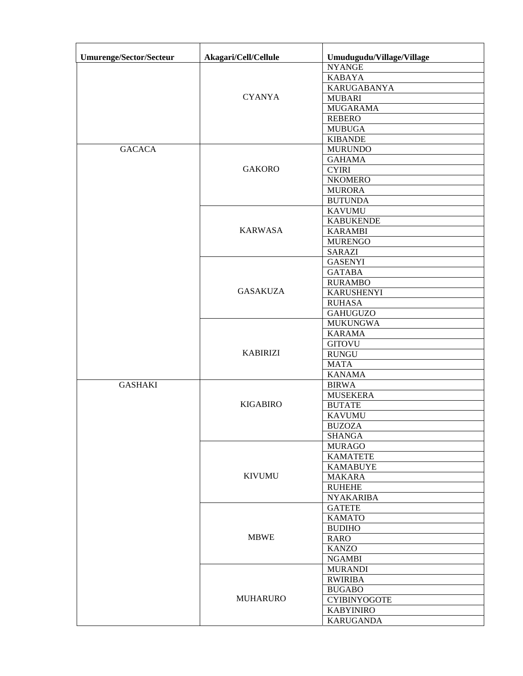| <b>Umurenge/Sector/Secteur</b> | Akagari/Cell/Cellule | Umudugudu/Village/Village |
|--------------------------------|----------------------|---------------------------|
|                                |                      | <b>NYANGE</b>             |
|                                |                      | <b>KABAYA</b>             |
|                                |                      | <b>KARUGABANYA</b>        |
|                                | <b>CYANYA</b>        | <b>MUBARI</b>             |
|                                |                      | <b>MUGARAMA</b>           |
|                                |                      | <b>REBERO</b>             |
|                                |                      | <b>MUBUGA</b>             |
|                                |                      | <b>KIBANDE</b>            |
| <b>GACACA</b>                  |                      | <b>MURUNDO</b>            |
|                                |                      | <b>GAHAMA</b>             |
|                                | <b>GAKORO</b>        | <b>CYIRI</b>              |
|                                |                      | <b>NKOMERO</b>            |
|                                |                      | <b>MURORA</b>             |
|                                |                      | <b>BUTUNDA</b>            |
|                                |                      |                           |
|                                |                      | <b>KAVUMU</b>             |
|                                |                      | <b>KABUKENDE</b>          |
|                                | <b>KARWASA</b>       | <b>KARAMBI</b>            |
|                                |                      | <b>MURENGO</b>            |
|                                |                      | <b>SARAZI</b>             |
|                                |                      | <b>GASENYI</b>            |
|                                |                      | <b>GATABA</b>             |
|                                |                      | <b>RURAMBO</b>            |
|                                | <b>GASAKUZA</b>      | <b>KARUSHENYI</b>         |
|                                |                      | <b>RUHASA</b>             |
|                                |                      | <b>GAHUGUZO</b>           |
|                                |                      | <b>MUKUNGWA</b>           |
|                                |                      | <b>KARAMA</b>             |
|                                |                      | <b>GITOVU</b>             |
|                                | <b>KABIRIZI</b>      | <b>RUNGU</b>              |
|                                |                      | <b>MATA</b>               |
|                                |                      | <b>KANAMA</b>             |
| <b>GASHAKI</b>                 |                      | <b>BIRWA</b>              |
|                                |                      | <b>MUSEKERA</b>           |
|                                | <b>KIGABIRO</b>      | <b>BUTATE</b>             |
|                                |                      | <b>KAVUMU</b>             |
|                                |                      | <b>BUZOZA</b>             |
|                                |                      | <b>SHANGA</b>             |
|                                |                      | <b>MURAGO</b>             |
|                                |                      | <b>KAMATETE</b>           |
|                                |                      | <b>KAMABUYE</b>           |
|                                | <b>KIVUMU</b>        | <b>MAKARA</b>             |
|                                |                      |                           |
|                                |                      | <b>RUHEHE</b>             |
|                                |                      | <b>NYAKARIBA</b>          |
|                                |                      | <b>GATETE</b>             |
|                                |                      | <b>KAMATO</b>             |
|                                |                      | <b>BUDIHO</b>             |
|                                | <b>MBWE</b>          | <b>RARO</b>               |
|                                |                      | <b>KANZO</b>              |
|                                |                      | <b>NGAMBI</b>             |
|                                |                      | <b>MURANDI</b>            |
|                                |                      | <b>RWIRIBA</b>            |
|                                |                      | <b>BUGABO</b>             |
|                                | <b>MUHARURO</b>      | <b>CYIBINYOGOTE</b>       |
|                                |                      | <b>KABYINIRO</b>          |
|                                |                      | <b>KARUGANDA</b>          |
|                                |                      |                           |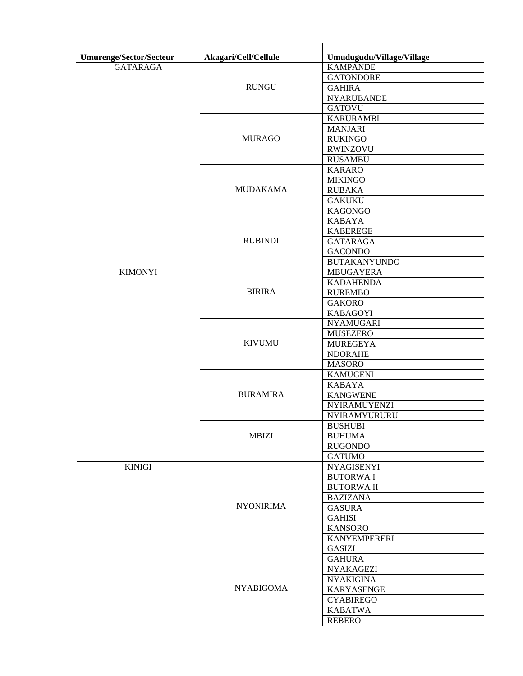| Umurenge/Sector/Secteur | Akagari/Cell/Cellule | Umudugudu/Village/Village |
|-------------------------|----------------------|---------------------------|
| <b>GATARAGA</b>         |                      | <b>KAMPANDE</b>           |
|                         |                      | <b>GATONDORE</b>          |
|                         | <b>RUNGU</b>         | <b>GAHIRA</b>             |
|                         |                      | <b>NYARUBANDE</b>         |
|                         |                      | <b>GATOVU</b>             |
|                         |                      | <b>KARURAMBI</b>          |
|                         |                      | <b>MANJARI</b>            |
|                         | <b>MURAGO</b>        | <b>RUKINGO</b>            |
|                         |                      | <b>RWINZOVU</b>           |
|                         |                      | <b>RUSAMBU</b>            |
|                         |                      | <b>KARARO</b>             |
|                         |                      | <b>MIKINGO</b>            |
|                         | <b>MUDAKAMA</b>      | <b>RUBAKA</b>             |
|                         |                      | <b>GAKUKU</b>             |
|                         |                      | <b>KAGONGO</b>            |
|                         |                      | <b>KABAYA</b>             |
|                         |                      | <b>KABEREGE</b>           |
|                         | <b>RUBINDI</b>       | <b>GATARAGA</b>           |
|                         |                      | <b>GACONDO</b>            |
|                         |                      | <b>BUTAKANYUNDO</b>       |
| <b>KIMONYI</b>          |                      | <b>MBUGAYERA</b>          |
|                         |                      | <b>KADAHENDA</b>          |
|                         | <b>BIRIRA</b>        | <b>RUREMBO</b>            |
|                         |                      | <b>GAKORO</b>             |
|                         |                      | <b>KABAGOYI</b>           |
|                         |                      |                           |
|                         |                      | <b>NYAMUGARI</b>          |
|                         |                      | <b>MUSEZERO</b>           |
|                         | <b>KIVUMU</b>        | <b>MUREGEYA</b>           |
|                         |                      | <b>NDORAHE</b>            |
|                         |                      | <b>MASORO</b>             |
|                         |                      | <b>KAMUGENI</b>           |
|                         |                      | <b>KABAYA</b>             |
|                         | <b>BURAMIRA</b>      | <b>KANGWENE</b>           |
|                         |                      | NYIRAMUYENZI              |
|                         |                      | NYIRAMYURURU              |
|                         |                      | <b>BUSHUBI</b>            |
|                         | <b>MBIZI</b>         | <b>BUHUMA</b>             |
|                         |                      | <b>RUGONDO</b>            |
|                         |                      | <b>GATUMO</b>             |
| <b>KINIGI</b>           |                      | <b>NYAGISENYI</b>         |
|                         |                      | <b>BUTORWAI</b>           |
|                         |                      | <b>BUTORWA II</b>         |
|                         |                      | <b>BAZIZANA</b>           |
|                         | <b>NYONIRIMA</b>     | <b>GASURA</b>             |
|                         |                      | <b>GAHISI</b>             |
|                         |                      | <b>KANSORO</b>            |
|                         |                      | <b>KANYEMPERERI</b>       |
|                         |                      | <b>GASIZI</b>             |
|                         |                      | <b>GAHURA</b>             |
|                         |                      | <b>NYAKAGEZI</b>          |
|                         |                      | <b>NYAKIGINA</b>          |
|                         | <b>NYABIGOMA</b>     | <b>KARYASENGE</b>         |
|                         |                      | <b>CYABIREGO</b>          |
|                         |                      | <b>KABATWA</b>            |
|                         |                      | <b>REBERO</b>             |
|                         |                      |                           |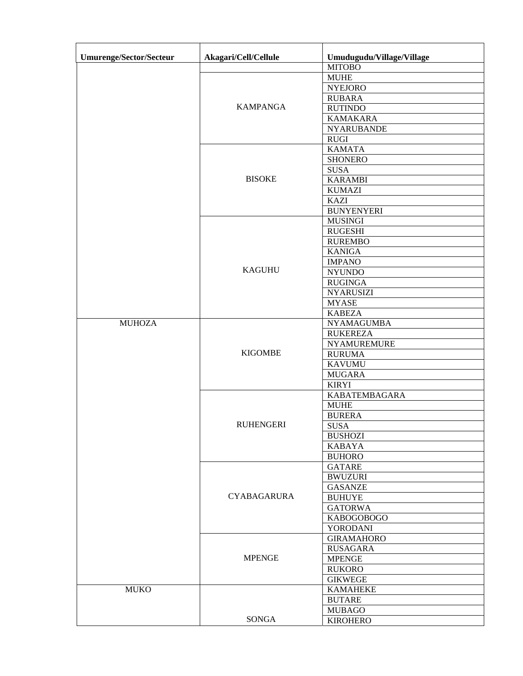| <b>Umurenge/Sector/Secteur</b> | Akagari/Cell/Cellule | Umudugudu/Village/Village |
|--------------------------------|----------------------|---------------------------|
|                                |                      | <b>MITOBO</b>             |
|                                |                      | <b>MUHE</b>               |
|                                |                      | <b>NYEJORO</b>            |
|                                |                      | <b>RUBARA</b>             |
|                                | <b>KAMPANGA</b>      | <b>RUTINDO</b>            |
|                                |                      | <b>KAMAKARA</b>           |
|                                |                      | <b>NYARUBANDE</b>         |
|                                |                      | <b>RUGI</b>               |
|                                |                      | <b>KAMATA</b>             |
|                                |                      | <b>SHONERO</b>            |
|                                |                      | <b>SUSA</b>               |
|                                | <b>BISOKE</b>        | <b>KARAMBI</b>            |
|                                |                      | <b>KUMAZI</b>             |
|                                |                      | <b>KAZI</b>               |
|                                |                      | <b>BUNYENYERI</b>         |
|                                |                      | <b>MUSINGI</b>            |
|                                |                      | <b>RUGESHI</b>            |
|                                |                      | <b>RUREMBO</b>            |
|                                |                      | <b>KANIGA</b>             |
|                                |                      | <b>IMPANO</b>             |
|                                | <b>KAGUHU</b>        | <b>NYUNDO</b>             |
|                                |                      | <b>RUGINGA</b>            |
|                                |                      | <b>NYARUSIZI</b>          |
|                                |                      | <b>MYASE</b>              |
|                                |                      | <b>KABEZA</b>             |
| <b>MUHOZA</b>                  |                      | <b>NYAMAGUMBA</b>         |
|                                | <b>KIGOMBE</b>       | <b>RUKEREZA</b>           |
|                                |                      | <b>NYAMUREMURE</b>        |
|                                |                      | <b>RURUMA</b>             |
|                                |                      | <b>KAVUMU</b>             |
|                                |                      | <b>MUGARA</b>             |
|                                |                      | <b>KIRYI</b>              |
|                                |                      | <b>KABATEMBAGARA</b>      |
|                                |                      | <b>MUHE</b>               |
|                                |                      | <b>BURERA</b>             |
|                                | <b>RUHENGERI</b>     | <b>SUSA</b>               |
|                                |                      | <b>BUSHOZI</b>            |
|                                |                      | <b>KABAYA</b>             |
|                                |                      | <b>BUHORO</b>             |
|                                |                      | <b>GATARE</b>             |
|                                |                      | <b>BWUZURI</b>            |
|                                |                      | <b>GASANZE</b>            |
|                                | <b>CYABAGARURA</b>   | <b>BUHUYE</b>             |
|                                |                      | <b>GATORWA</b>            |
|                                |                      | <b>KABOGOBOGO</b>         |
|                                |                      | YORODANI                  |
|                                |                      | <b>GIRAMAHORO</b>         |
|                                |                      | <b>RUSAGARA</b>           |
|                                | <b>MPENGE</b>        | <b>MPENGE</b>             |
|                                |                      | <b>RUKORO</b>             |
|                                |                      | <b>GIKWEGE</b>            |
| <b>MUKO</b>                    |                      | <b>KAMAHEKE</b>           |
|                                |                      | <b>BUTARE</b>             |
|                                |                      | <b>MUBAGO</b>             |
|                                | <b>SONGA</b>         | <b>KIROHERO</b>           |
|                                |                      |                           |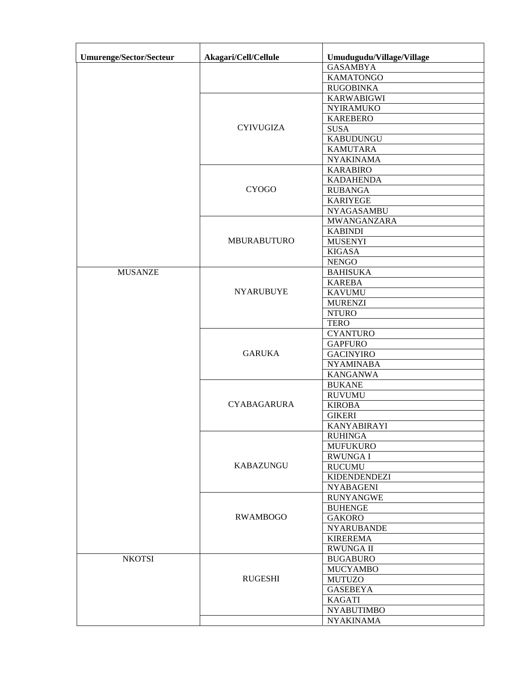| <b>GASAMBYA</b><br><b>KAMATONGO</b><br><b>RUGOBINKA</b><br><b>KARWABIGWI</b><br><b>NYIRAMUKO</b><br><b>KAREBERO</b><br><b>CYIVUGIZA</b><br><b>SUSA</b><br><b>KABUDUNGU</b><br><b>KAMUTARA</b><br><b>NYAKINAMA</b><br><b>KARABIRO</b><br><b>KADAHENDA</b><br><b>CYOGO</b><br><b>RUBANGA</b><br><b>KARIYEGE</b><br><b>NYAGASAMBU</b><br><b>MWANGANZARA</b><br><b>KABINDI</b><br><b>MBURABUTURO</b><br><b>MUSENYI</b><br><b>KIGASA</b><br><b>NENGO</b><br><b>MUSANZE</b><br><b>BAHISUKA</b><br><b>KAREBA</b><br><b>NYARUBUYE</b><br><b>KAVUMU</b><br><b>MURENZI</b><br><b>NTURO</b><br><b>TERO</b><br><b>CYANTURO</b><br><b>GAPFURO</b><br><b>GARUKA</b><br><b>GACINYIRO</b><br><b>NYAMINABA</b><br><b>KANGANWA</b><br><b>BUKANE</b><br><b>RUVUMU</b><br><b>CYABAGARURA</b><br><b>KIROBA</b><br><b>GIKERI</b><br><b>KANYABIRAYI</b><br><b>RUHINGA</b><br><b>MUFUKURO</b><br><b>RWUNGAI</b><br><b>KABAZUNGU</b><br><b>RUCUMU</b><br><b>KIDENDENDEZI</b><br><b>NYABAGENI</b><br><b>RUNYANGWE</b><br><b>BUHENGE</b><br><b>RWAMBOGO</b><br><b>GAKORO</b><br><b>NYARUBANDE</b><br><b>KIREREMA</b><br><b>RWUNGA II</b><br><b>NKOTSI</b><br><b>BUGABURO</b><br><b>MUCYAMBO</b><br><b>RUGESHI</b><br><b>MUTUZO</b><br><b>GASEBEYA</b><br><b>KAGATI</b><br><b>NYABUTIMBO</b><br><b>NYAKINAMA</b> | Umurenge/Sector/Secteur | Akagari/Cell/Cellule | Umudugudu/Village/Village |
|--------------------------------------------------------------------------------------------------------------------------------------------------------------------------------------------------------------------------------------------------------------------------------------------------------------------------------------------------------------------------------------------------------------------------------------------------------------------------------------------------------------------------------------------------------------------------------------------------------------------------------------------------------------------------------------------------------------------------------------------------------------------------------------------------------------------------------------------------------------------------------------------------------------------------------------------------------------------------------------------------------------------------------------------------------------------------------------------------------------------------------------------------------------------------------------------------------------------------------------------------------------------------------------|-------------------------|----------------------|---------------------------|
|                                                                                                                                                                                                                                                                                                                                                                                                                                                                                                                                                                                                                                                                                                                                                                                                                                                                                                                                                                                                                                                                                                                                                                                                                                                                                      |                         |                      |                           |
|                                                                                                                                                                                                                                                                                                                                                                                                                                                                                                                                                                                                                                                                                                                                                                                                                                                                                                                                                                                                                                                                                                                                                                                                                                                                                      |                         |                      |                           |
|                                                                                                                                                                                                                                                                                                                                                                                                                                                                                                                                                                                                                                                                                                                                                                                                                                                                                                                                                                                                                                                                                                                                                                                                                                                                                      |                         |                      |                           |
|                                                                                                                                                                                                                                                                                                                                                                                                                                                                                                                                                                                                                                                                                                                                                                                                                                                                                                                                                                                                                                                                                                                                                                                                                                                                                      |                         |                      |                           |
|                                                                                                                                                                                                                                                                                                                                                                                                                                                                                                                                                                                                                                                                                                                                                                                                                                                                                                                                                                                                                                                                                                                                                                                                                                                                                      |                         |                      |                           |
|                                                                                                                                                                                                                                                                                                                                                                                                                                                                                                                                                                                                                                                                                                                                                                                                                                                                                                                                                                                                                                                                                                                                                                                                                                                                                      |                         |                      |                           |
|                                                                                                                                                                                                                                                                                                                                                                                                                                                                                                                                                                                                                                                                                                                                                                                                                                                                                                                                                                                                                                                                                                                                                                                                                                                                                      |                         |                      |                           |
|                                                                                                                                                                                                                                                                                                                                                                                                                                                                                                                                                                                                                                                                                                                                                                                                                                                                                                                                                                                                                                                                                                                                                                                                                                                                                      |                         |                      |                           |
|                                                                                                                                                                                                                                                                                                                                                                                                                                                                                                                                                                                                                                                                                                                                                                                                                                                                                                                                                                                                                                                                                                                                                                                                                                                                                      |                         |                      |                           |
|                                                                                                                                                                                                                                                                                                                                                                                                                                                                                                                                                                                                                                                                                                                                                                                                                                                                                                                                                                                                                                                                                                                                                                                                                                                                                      |                         |                      |                           |
|                                                                                                                                                                                                                                                                                                                                                                                                                                                                                                                                                                                                                                                                                                                                                                                                                                                                                                                                                                                                                                                                                                                                                                                                                                                                                      |                         |                      |                           |
|                                                                                                                                                                                                                                                                                                                                                                                                                                                                                                                                                                                                                                                                                                                                                                                                                                                                                                                                                                                                                                                                                                                                                                                                                                                                                      |                         |                      |                           |
|                                                                                                                                                                                                                                                                                                                                                                                                                                                                                                                                                                                                                                                                                                                                                                                                                                                                                                                                                                                                                                                                                                                                                                                                                                                                                      |                         |                      |                           |
|                                                                                                                                                                                                                                                                                                                                                                                                                                                                                                                                                                                                                                                                                                                                                                                                                                                                                                                                                                                                                                                                                                                                                                                                                                                                                      |                         |                      |                           |
|                                                                                                                                                                                                                                                                                                                                                                                                                                                                                                                                                                                                                                                                                                                                                                                                                                                                                                                                                                                                                                                                                                                                                                                                                                                                                      |                         |                      |                           |
|                                                                                                                                                                                                                                                                                                                                                                                                                                                                                                                                                                                                                                                                                                                                                                                                                                                                                                                                                                                                                                                                                                                                                                                                                                                                                      |                         |                      |                           |
|                                                                                                                                                                                                                                                                                                                                                                                                                                                                                                                                                                                                                                                                                                                                                                                                                                                                                                                                                                                                                                                                                                                                                                                                                                                                                      |                         |                      |                           |
|                                                                                                                                                                                                                                                                                                                                                                                                                                                                                                                                                                                                                                                                                                                                                                                                                                                                                                                                                                                                                                                                                                                                                                                                                                                                                      |                         |                      |                           |
|                                                                                                                                                                                                                                                                                                                                                                                                                                                                                                                                                                                                                                                                                                                                                                                                                                                                                                                                                                                                                                                                                                                                                                                                                                                                                      |                         |                      |                           |
|                                                                                                                                                                                                                                                                                                                                                                                                                                                                                                                                                                                                                                                                                                                                                                                                                                                                                                                                                                                                                                                                                                                                                                                                                                                                                      |                         |                      |                           |
|                                                                                                                                                                                                                                                                                                                                                                                                                                                                                                                                                                                                                                                                                                                                                                                                                                                                                                                                                                                                                                                                                                                                                                                                                                                                                      |                         |                      |                           |
|                                                                                                                                                                                                                                                                                                                                                                                                                                                                                                                                                                                                                                                                                                                                                                                                                                                                                                                                                                                                                                                                                                                                                                                                                                                                                      |                         |                      |                           |
|                                                                                                                                                                                                                                                                                                                                                                                                                                                                                                                                                                                                                                                                                                                                                                                                                                                                                                                                                                                                                                                                                                                                                                                                                                                                                      |                         |                      |                           |
|                                                                                                                                                                                                                                                                                                                                                                                                                                                                                                                                                                                                                                                                                                                                                                                                                                                                                                                                                                                                                                                                                                                                                                                                                                                                                      |                         |                      |                           |
|                                                                                                                                                                                                                                                                                                                                                                                                                                                                                                                                                                                                                                                                                                                                                                                                                                                                                                                                                                                                                                                                                                                                                                                                                                                                                      |                         |                      |                           |
|                                                                                                                                                                                                                                                                                                                                                                                                                                                                                                                                                                                                                                                                                                                                                                                                                                                                                                                                                                                                                                                                                                                                                                                                                                                                                      |                         |                      |                           |
|                                                                                                                                                                                                                                                                                                                                                                                                                                                                                                                                                                                                                                                                                                                                                                                                                                                                                                                                                                                                                                                                                                                                                                                                                                                                                      |                         |                      |                           |
|                                                                                                                                                                                                                                                                                                                                                                                                                                                                                                                                                                                                                                                                                                                                                                                                                                                                                                                                                                                                                                                                                                                                                                                                                                                                                      |                         |                      |                           |
|                                                                                                                                                                                                                                                                                                                                                                                                                                                                                                                                                                                                                                                                                                                                                                                                                                                                                                                                                                                                                                                                                                                                                                                                                                                                                      |                         |                      |                           |
|                                                                                                                                                                                                                                                                                                                                                                                                                                                                                                                                                                                                                                                                                                                                                                                                                                                                                                                                                                                                                                                                                                                                                                                                                                                                                      |                         |                      |                           |
|                                                                                                                                                                                                                                                                                                                                                                                                                                                                                                                                                                                                                                                                                                                                                                                                                                                                                                                                                                                                                                                                                                                                                                                                                                                                                      |                         |                      |                           |
|                                                                                                                                                                                                                                                                                                                                                                                                                                                                                                                                                                                                                                                                                                                                                                                                                                                                                                                                                                                                                                                                                                                                                                                                                                                                                      |                         |                      |                           |
|                                                                                                                                                                                                                                                                                                                                                                                                                                                                                                                                                                                                                                                                                                                                                                                                                                                                                                                                                                                                                                                                                                                                                                                                                                                                                      |                         |                      |                           |
|                                                                                                                                                                                                                                                                                                                                                                                                                                                                                                                                                                                                                                                                                                                                                                                                                                                                                                                                                                                                                                                                                                                                                                                                                                                                                      |                         |                      |                           |
|                                                                                                                                                                                                                                                                                                                                                                                                                                                                                                                                                                                                                                                                                                                                                                                                                                                                                                                                                                                                                                                                                                                                                                                                                                                                                      |                         |                      |                           |
|                                                                                                                                                                                                                                                                                                                                                                                                                                                                                                                                                                                                                                                                                                                                                                                                                                                                                                                                                                                                                                                                                                                                                                                                                                                                                      |                         |                      |                           |
|                                                                                                                                                                                                                                                                                                                                                                                                                                                                                                                                                                                                                                                                                                                                                                                                                                                                                                                                                                                                                                                                                                                                                                                                                                                                                      |                         |                      |                           |
|                                                                                                                                                                                                                                                                                                                                                                                                                                                                                                                                                                                                                                                                                                                                                                                                                                                                                                                                                                                                                                                                                                                                                                                                                                                                                      |                         |                      |                           |
|                                                                                                                                                                                                                                                                                                                                                                                                                                                                                                                                                                                                                                                                                                                                                                                                                                                                                                                                                                                                                                                                                                                                                                                                                                                                                      |                         |                      |                           |
|                                                                                                                                                                                                                                                                                                                                                                                                                                                                                                                                                                                                                                                                                                                                                                                                                                                                                                                                                                                                                                                                                                                                                                                                                                                                                      |                         |                      |                           |
|                                                                                                                                                                                                                                                                                                                                                                                                                                                                                                                                                                                                                                                                                                                                                                                                                                                                                                                                                                                                                                                                                                                                                                                                                                                                                      |                         |                      |                           |
|                                                                                                                                                                                                                                                                                                                                                                                                                                                                                                                                                                                                                                                                                                                                                                                                                                                                                                                                                                                                                                                                                                                                                                                                                                                                                      |                         |                      |                           |
|                                                                                                                                                                                                                                                                                                                                                                                                                                                                                                                                                                                                                                                                                                                                                                                                                                                                                                                                                                                                                                                                                                                                                                                                                                                                                      |                         |                      |                           |
|                                                                                                                                                                                                                                                                                                                                                                                                                                                                                                                                                                                                                                                                                                                                                                                                                                                                                                                                                                                                                                                                                                                                                                                                                                                                                      |                         |                      |                           |
|                                                                                                                                                                                                                                                                                                                                                                                                                                                                                                                                                                                                                                                                                                                                                                                                                                                                                                                                                                                                                                                                                                                                                                                                                                                                                      |                         |                      |                           |
|                                                                                                                                                                                                                                                                                                                                                                                                                                                                                                                                                                                                                                                                                                                                                                                                                                                                                                                                                                                                                                                                                                                                                                                                                                                                                      |                         |                      |                           |
|                                                                                                                                                                                                                                                                                                                                                                                                                                                                                                                                                                                                                                                                                                                                                                                                                                                                                                                                                                                                                                                                                                                                                                                                                                                                                      |                         |                      |                           |
|                                                                                                                                                                                                                                                                                                                                                                                                                                                                                                                                                                                                                                                                                                                                                                                                                                                                                                                                                                                                                                                                                                                                                                                                                                                                                      |                         |                      |                           |
|                                                                                                                                                                                                                                                                                                                                                                                                                                                                                                                                                                                                                                                                                                                                                                                                                                                                                                                                                                                                                                                                                                                                                                                                                                                                                      |                         |                      |                           |
|                                                                                                                                                                                                                                                                                                                                                                                                                                                                                                                                                                                                                                                                                                                                                                                                                                                                                                                                                                                                                                                                                                                                                                                                                                                                                      |                         |                      |                           |
|                                                                                                                                                                                                                                                                                                                                                                                                                                                                                                                                                                                                                                                                                                                                                                                                                                                                                                                                                                                                                                                                                                                                                                                                                                                                                      |                         |                      |                           |
|                                                                                                                                                                                                                                                                                                                                                                                                                                                                                                                                                                                                                                                                                                                                                                                                                                                                                                                                                                                                                                                                                                                                                                                                                                                                                      |                         |                      |                           |
|                                                                                                                                                                                                                                                                                                                                                                                                                                                                                                                                                                                                                                                                                                                                                                                                                                                                                                                                                                                                                                                                                                                                                                                                                                                                                      |                         |                      |                           |
|                                                                                                                                                                                                                                                                                                                                                                                                                                                                                                                                                                                                                                                                                                                                                                                                                                                                                                                                                                                                                                                                                                                                                                                                                                                                                      |                         |                      |                           |
|                                                                                                                                                                                                                                                                                                                                                                                                                                                                                                                                                                                                                                                                                                                                                                                                                                                                                                                                                                                                                                                                                                                                                                                                                                                                                      |                         |                      |                           |
|                                                                                                                                                                                                                                                                                                                                                                                                                                                                                                                                                                                                                                                                                                                                                                                                                                                                                                                                                                                                                                                                                                                                                                                                                                                                                      |                         |                      |                           |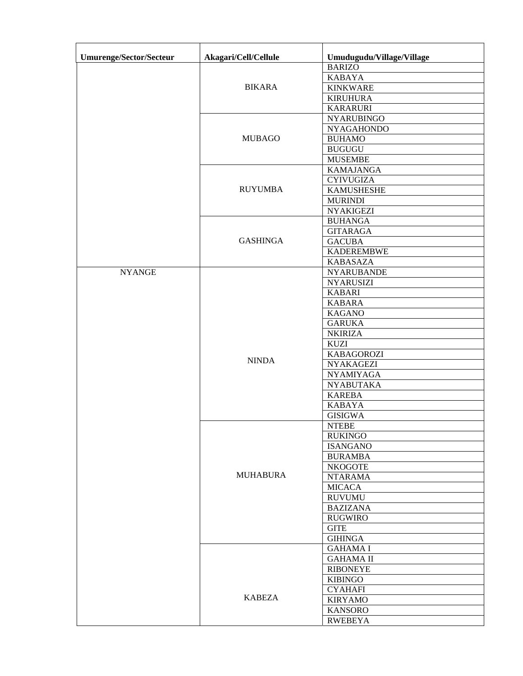| Umurenge/Sector/Secteur | Akagari/Cell/Cellule | Umudugudu/Village/Village     |
|-------------------------|----------------------|-------------------------------|
|                         |                      | <b>BARIZO</b>                 |
|                         |                      | <b>KABAYA</b>                 |
|                         | <b>BIKARA</b>        | <b>KINKWARE</b>               |
|                         |                      | <b>KIRUHURA</b>               |
|                         |                      | <b>KARARURI</b>               |
|                         |                      | <b>NYARUBINGO</b>             |
|                         |                      | <b>NYAGAHONDO</b>             |
|                         | <b>MUBAGO</b>        | <b>BUHAMO</b>                 |
|                         |                      | <b>BUGUGU</b>                 |
|                         |                      | <b>MUSEMBE</b>                |
|                         | <b>RUYUMBA</b>       | <b>KAMAJANGA</b>              |
|                         |                      | <b>CYIVUGIZA</b>              |
|                         |                      | <b>KAMUSHESHE</b>             |
|                         |                      | <b>MURINDI</b>                |
|                         |                      | <b>NYAKIGEZI</b>              |
|                         | <b>GASHINGA</b>      | <b>BUHANGA</b>                |
|                         |                      | <b>GITARAGA</b>               |
|                         |                      | <b>GACUBA</b>                 |
|                         |                      | <b>KADEREMBWE</b>             |
|                         |                      | <b>KABASAZA</b>               |
| <b>NYANGE</b>           |                      | <b>NYARUBANDE</b>             |
|                         |                      | <b>NYARUSIZI</b>              |
|                         |                      | <b>KABARI</b>                 |
|                         |                      | <b>KABARA</b>                 |
|                         |                      | <b>KAGANO</b>                 |
|                         |                      | <b>GARUKA</b>                 |
|                         |                      | <b>NKIRIZA</b><br><b>KUZI</b> |
|                         |                      | <b>KABAGOROZI</b>             |
|                         | <b>NINDA</b>         | <b>NYAKAGEZI</b>              |
|                         |                      | <b>NYAMIYAGA</b>              |
|                         |                      | <b>NYABUTAKA</b>              |
|                         |                      | <b>KAREBA</b>                 |
|                         |                      | <b>KABAYA</b>                 |
|                         |                      | <b>GISIGWA</b>                |
|                         | <b>MUHABURA</b>      | $\ensuremath{\text{NTEBE}}$   |
|                         |                      | <b>RUKINGO</b>                |
|                         |                      | <b>ISANGANO</b>               |
|                         |                      | <b>BURAMBA</b>                |
|                         |                      | <b>NKOGOTE</b>                |
|                         |                      | <b>NTARAMA</b>                |
|                         |                      | <b>MICACA</b>                 |
|                         |                      | <b>RUVUMU</b>                 |
|                         |                      | <b>BAZIZANA</b>               |
|                         |                      | <b>RUGWIRO</b>                |
|                         |                      | <b>GITE</b>                   |
|                         |                      | <b>GIHINGA</b>                |
|                         |                      | <b>GAHAMA I</b>               |
|                         | <b>KABEZA</b>        | <b>GAHAMA II</b>              |
|                         |                      | <b>RIBONEYE</b>               |
|                         |                      | <b>KIBINGO</b>                |
|                         |                      | <b>CYAHAFI</b>                |
|                         |                      | <b>KIRYAMO</b>                |
|                         |                      | <b>KANSORO</b>                |
|                         |                      | <b>RWEBEYA</b>                |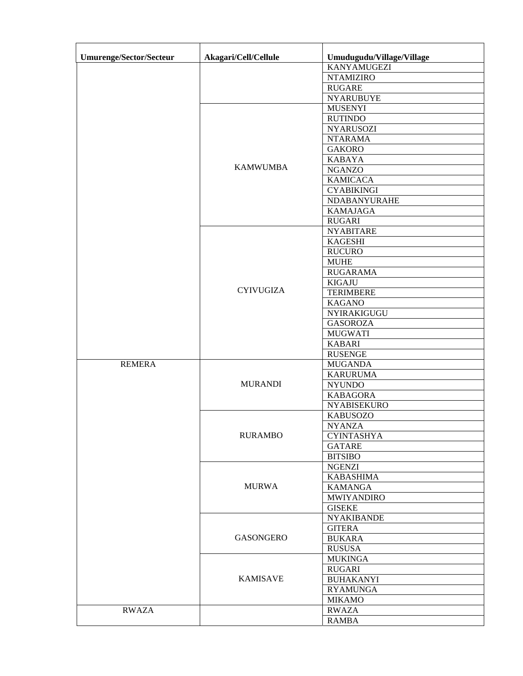| Umurenge/Sector/Secteur | Akagari/Cell/Cellule | Umudugudu/Village/Village |
|-------------------------|----------------------|---------------------------|
|                         |                      | <b>KANYAMUGEZI</b>        |
|                         |                      | <b>NTAMIZIRO</b>          |
|                         |                      | <b>RUGARE</b>             |
|                         |                      | <b>NYARUBUYE</b>          |
|                         |                      | <b>MUSENYI</b>            |
|                         |                      | <b>RUTINDO</b>            |
|                         |                      | <b>NYARUSOZI</b>          |
|                         |                      | <b>NTARAMA</b>            |
|                         |                      | <b>GAKORO</b>             |
|                         |                      | <b>KABAYA</b>             |
|                         | <b>KAMWUMBA</b>      | <b>NGANZO</b>             |
|                         |                      | <b>KAMICACA</b>           |
|                         |                      | <b>CYABIKINGI</b>         |
|                         |                      | NDABANYURAHE              |
|                         |                      | <b>KAMAJAGA</b>           |
|                         |                      | <b>RUGARI</b>             |
|                         |                      | <b>NYABITARE</b>          |
|                         |                      | <b>KAGESHI</b>            |
|                         |                      | <b>RUCURO</b>             |
|                         |                      | <b>MUHE</b>               |
|                         |                      | <b>RUGARAMA</b>           |
|                         |                      | <b>KIGAJU</b>             |
|                         | <b>CYIVUGIZA</b>     | <b>TERIMBERE</b>          |
|                         |                      | <b>KAGANO</b>             |
|                         |                      | NYIRAKIGUGU               |
|                         |                      | <b>GASOROZA</b>           |
|                         |                      | <b>MUGWATI</b>            |
|                         |                      | <b>KABARI</b>             |
|                         |                      | <b>RUSENGE</b>            |
| <b>REMERA</b>           |                      | <b>MUGANDA</b>            |
|                         |                      | <b>KARURUMA</b>           |
|                         | <b>MURANDI</b>       | <b>NYUNDO</b>             |
|                         |                      | <b>KABAGORA</b>           |
|                         |                      | <b>NYABISEKURO</b>        |
|                         |                      | <b>KABUSOZO</b>           |
|                         |                      | <b>NYANZA</b>             |
|                         | <b>RURAMBO</b>       | <b>CYINTASHYA</b>         |
|                         |                      | <b>GATARE</b>             |
|                         |                      | <b>BITSIBO</b>            |
|                         |                      | <b>NGENZI</b>             |
|                         |                      | <b>KABASHIMA</b>          |
|                         | <b>MURWA</b>         | <b>KAMANGA</b>            |
|                         |                      | <b>MWIYANDIRO</b>         |
|                         |                      | <b>GISEKE</b>             |
|                         |                      | <b>NYAKIBANDE</b>         |
|                         |                      | <b>GITERA</b>             |
|                         | <b>GASONGERO</b>     | <b>BUKARA</b>             |
|                         |                      | <b>RUSUSA</b>             |
|                         |                      | <b>MUKINGA</b>            |
|                         |                      | <b>RUGARI</b>             |
|                         | <b>KAMISAVE</b>      | <b>BUHAKANYI</b>          |
|                         |                      | <b>RYAMUNGA</b>           |
|                         |                      | <b>MIKAMO</b>             |
|                         |                      |                           |
| <b>RWAZA</b>            |                      | <b>RWAZA</b>              |
|                         |                      | <b>RAMBA</b>              |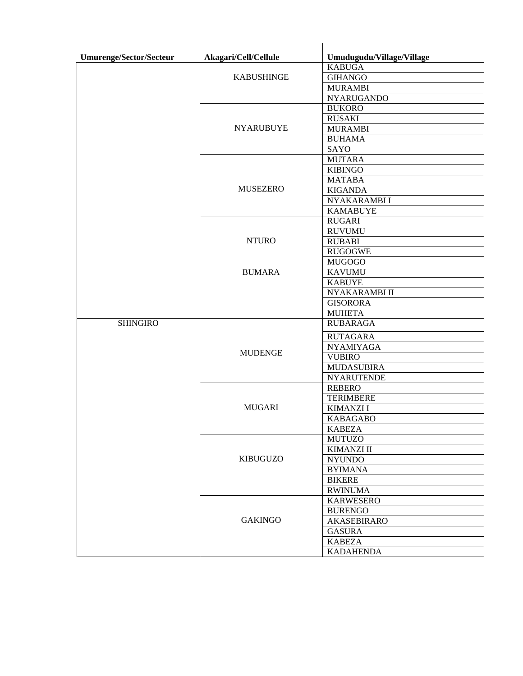| <b>Umurenge/Sector/Secteur</b> | Akagari/Cell/Cellule | Umudugudu/Village/Village |
|--------------------------------|----------------------|---------------------------|
|                                |                      | <b>KABUGA</b>             |
|                                | <b>KABUSHINGE</b>    | <b>GIHANGO</b>            |
|                                |                      | <b>MURAMBI</b>            |
|                                |                      | <b>NYARUGANDO</b>         |
|                                |                      | <b>BUKORO</b>             |
|                                |                      | <b>RUSAKI</b>             |
|                                | <b>NYARUBUYE</b>     | <b>MURAMBI</b>            |
|                                |                      | <b>BUHAMA</b>             |
|                                |                      | SAYO                      |
|                                |                      | <b>MUTARA</b>             |
|                                |                      | <b>KIBINGO</b>            |
|                                |                      | <b>MATABA</b>             |
|                                | <b>MUSEZERO</b>      | <b>KIGANDA</b>            |
|                                |                      | NYAKARAMBI I              |
|                                |                      | <b>KAMABUYE</b>           |
|                                |                      | <b>RUGARI</b>             |
|                                |                      | <b>RUVUMU</b>             |
|                                | <b>NTURO</b>         | <b>RUBABI</b>             |
|                                |                      | <b>RUGOGWE</b>            |
|                                |                      | <b>MUGOGO</b>             |
|                                | <b>BUMARA</b>        | <b>KAVUMU</b>             |
|                                |                      | <b>KABUYE</b>             |
|                                |                      | NYAKARAMBI II             |
|                                |                      | <b>GISORORA</b>           |
|                                |                      | <b>MUHETA</b>             |
| <b>SHINGIRO</b>                |                      | <b>RUBARAGA</b>           |
|                                |                      | <b>RUTAGARA</b>           |
|                                | <b>MUDENGE</b>       | <b>NYAMIYAGA</b>          |
|                                |                      | <b>VUBIRO</b>             |
|                                |                      | <b>MUDASUBIRA</b>         |
|                                |                      | <b>NYARUTENDE</b>         |
|                                |                      | <b>REBERO</b>             |
|                                |                      | <b>TERIMBERE</b>          |
|                                | <b>MUGARI</b>        | <b>KIMANZI I</b>          |
|                                |                      | <b>KABAGABO</b>           |
|                                |                      | <b>KABEZA</b>             |
|                                |                      | <b>MUTUZO</b>             |
|                                |                      | <b>KIMANZI II</b>         |
|                                | <b>KIBUGUZO</b>      | <b>NYUNDO</b>             |
|                                |                      | <b>BYIMANA</b>            |
|                                |                      | <b>BIKERE</b>             |
|                                |                      | <b>RWINUMA</b>            |
|                                | <b>GAKINGO</b>       | <b>KARWESERO</b>          |
|                                |                      | <b>BURENGO</b>            |
|                                |                      | <b>AKASEBIRARO</b>        |
|                                |                      | <b>GASURA</b>             |
|                                |                      | <b>KABEZA</b>             |
|                                |                      | <b>KADAHENDA</b>          |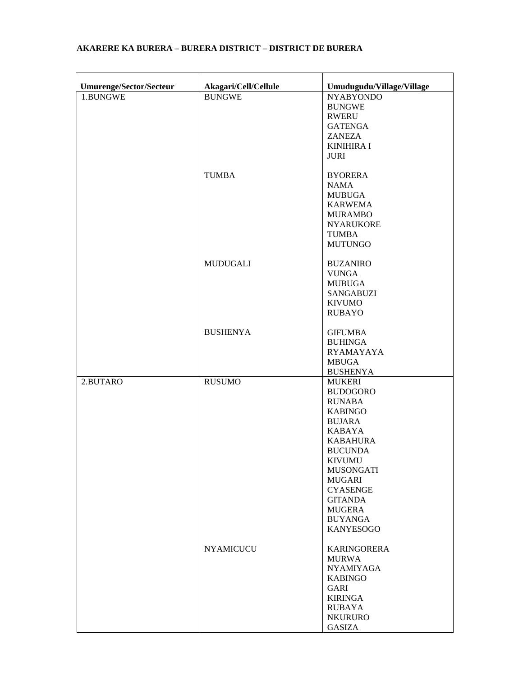| <b>Umurenge/Sector/Secteur</b> | Akagari/Cell/Cellule | Umudugudu/Village/Village         |
|--------------------------------|----------------------|-----------------------------------|
| 1.BUNGWE                       | <b>BUNGWE</b>        | <b>NYABYONDO</b>                  |
|                                |                      | <b>BUNGWE</b>                     |
|                                |                      | <b>RWERU</b>                      |
|                                |                      | <b>GATENGA</b>                    |
|                                |                      | <b>ZANEZA</b>                     |
|                                |                      | <b>KINIHIRA I</b>                 |
|                                |                      | <b>JURI</b>                       |
|                                | <b>TUMBA</b>         | <b>BYORERA</b>                    |
|                                |                      | <b>NAMA</b>                       |
|                                |                      | <b>MUBUGA</b>                     |
|                                |                      | <b>KARWEMA</b>                    |
|                                |                      | <b>MURAMBO</b>                    |
|                                |                      | <b>NYARUKORE</b>                  |
|                                |                      | <b>TUMBA</b>                      |
|                                |                      | <b>MUTUNGO</b>                    |
|                                | <b>MUDUGALI</b>      | <b>BUZANIRO</b>                   |
|                                |                      | <b>VUNGA</b>                      |
|                                |                      | <b>MUBUGA</b>                     |
|                                |                      | <b>SANGABUZI</b>                  |
|                                |                      | <b>KIVUMO</b>                     |
|                                |                      | <b>RUBAYO</b>                     |
|                                | <b>BUSHENYA</b>      | <b>GIFUMBA</b>                    |
|                                |                      | <b>BUHINGA</b>                    |
|                                |                      | <b>RYAMAYAYA</b>                  |
|                                |                      | <b>MBUGA</b>                      |
|                                |                      | <b>BUSHENYA</b>                   |
| 2.BUTARO                       | <b>RUSUMO</b>        | <b>MUKERI</b>                     |
|                                |                      | <b>BUDOGORO</b>                   |
|                                |                      | <b>RUNABA</b>                     |
|                                |                      | <b>KABINGO</b>                    |
|                                |                      | <b>BUJARA</b>                     |
|                                |                      | <b>KABAYA</b>                     |
|                                |                      | <b>KABAHURA</b>                   |
|                                |                      | <b>BUCUNDA</b>                    |
|                                |                      | <b>KIVUMU</b>                     |
|                                |                      | <b>MUSONGATI</b><br><b>MUGARI</b> |
|                                |                      | <b>CYASENGE</b>                   |
|                                |                      | <b>GITANDA</b>                    |
|                                |                      | <b>MUGERA</b>                     |
|                                |                      | <b>BUYANGA</b>                    |
|                                |                      | <b>KANYESOGO</b>                  |
|                                | <b>NYAMICUCU</b>     | <b>KARINGORERA</b>                |
|                                |                      | <b>MURWA</b>                      |
|                                |                      | <b>NYAMIYAGA</b>                  |
|                                |                      | <b>KABINGO</b>                    |
|                                |                      | GARI                              |
|                                |                      | <b>KIRINGA</b>                    |
|                                |                      | <b>RUBAYA</b>                     |
|                                |                      | <b>NKURURO</b>                    |
|                                |                      | <b>GASIZA</b>                     |

## **AKARERE KA BURERA – BURERA DISTRICT – DISTRICT DE BURERA**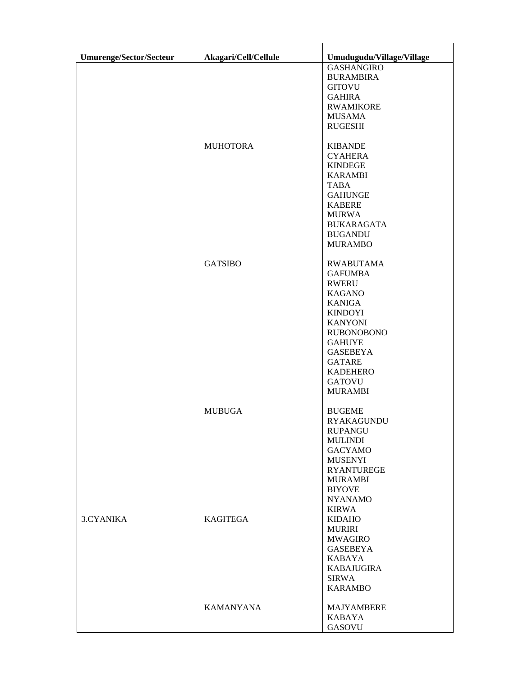| <b>Umurenge/Sector/Secteur</b> | Akagari/Cell/Cellule | Umudugudu/Village/Village      |
|--------------------------------|----------------------|--------------------------------|
|                                |                      | <b>GASHANGIRO</b>              |
|                                |                      | <b>BURAMBIRA</b>               |
|                                |                      | <b>GITOVU</b>                  |
|                                |                      | <b>GAHIRA</b>                  |
|                                |                      | <b>RWAMIKORE</b>               |
|                                |                      | <b>MUSAMA</b>                  |
|                                |                      | <b>RUGESHI</b>                 |
|                                | <b>MUHOTORA</b>      | <b>KIBANDE</b>                 |
|                                |                      | <b>CYAHERA</b>                 |
|                                |                      | <b>KINDEGE</b>                 |
|                                |                      | <b>KARAMBI</b>                 |
|                                |                      | TABA                           |
|                                |                      | <b>GAHUNGE</b>                 |
|                                |                      | <b>KABERE</b>                  |
|                                |                      | <b>MURWA</b>                   |
|                                |                      | <b>BUKARAGATA</b>              |
|                                |                      | <b>BUGANDU</b>                 |
|                                |                      | <b>MURAMBO</b>                 |
|                                | <b>GATSIBO</b>       | <b>RWABUTAMA</b>               |
|                                |                      | <b>GAFUMBA</b>                 |
|                                |                      | <b>RWERU</b>                   |
|                                |                      | <b>KAGANO</b>                  |
|                                |                      | <b>KANIGA</b>                  |
|                                |                      | <b>KINDOYI</b>                 |
|                                |                      | <b>KANYONI</b>                 |
|                                |                      | <b>RUBONOBONO</b>              |
|                                |                      | <b>GAHUYE</b>                  |
|                                |                      | <b>GASEBEYA</b>                |
|                                |                      | <b>GATARE</b>                  |
|                                |                      | <b>KADEHERO</b>                |
|                                |                      | <b>GATOVU</b>                  |
|                                |                      | <b>MURAMBI</b>                 |
|                                | <b>MUBUGA</b>        | <b>BUGEME</b>                  |
|                                |                      | <b>RYAKAGUNDU</b>              |
|                                |                      | <b>RUPANGU</b>                 |
|                                |                      | <b>MULINDI</b>                 |
|                                |                      | <b>GACYAMO</b>                 |
|                                |                      | <b>MUSENYI</b>                 |
|                                |                      | <b>RYANTUREGE</b>              |
|                                |                      | <b>MURAMBI</b>                 |
|                                |                      | <b>BIYOVE</b>                  |
|                                |                      | <b>NYANAMO</b>                 |
|                                |                      | <b>KIRWA</b>                   |
| 3.CYANIKA                      | <b>KAGITEGA</b>      | <b>KIDAHO</b><br><b>MURIRI</b> |
|                                |                      | <b>MWAGIRO</b>                 |
|                                |                      | <b>GASEBEYA</b>                |
|                                |                      | KABAYA                         |
|                                |                      | <b>KABAJUGIRA</b>              |
|                                |                      | <b>SIRWA</b>                   |
|                                |                      | <b>KARAMBO</b>                 |
|                                |                      |                                |
|                                | <b>KAMANYANA</b>     | MAJYAMBERE                     |
|                                |                      | <b>KABAYA</b>                  |
|                                |                      | GASOVU                         |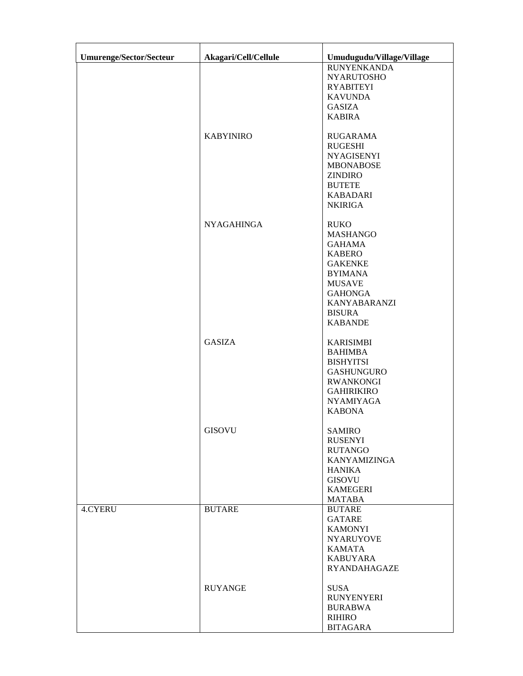| Umurenge/Sector/Secteur | Akagari/Cell/Cellule | Umudugudu/Village/Village         |
|-------------------------|----------------------|-----------------------------------|
|                         |                      | <b>RUNYENKANDA</b>                |
|                         |                      | <b>NYARUTOSHO</b>                 |
|                         |                      | <b>RYABITEYI</b>                  |
|                         |                      | <b>KAVUNDA</b>                    |
|                         |                      | <b>GASIZA</b>                     |
|                         |                      | <b>KABIRA</b>                     |
|                         | <b>KABYINIRO</b>     | <b>RUGARAMA</b>                   |
|                         |                      | <b>RUGESHI</b>                    |
|                         |                      | <b>NYAGISENYI</b>                 |
|                         |                      | <b>MBONABOSE</b>                  |
|                         |                      | <b>ZINDIRO</b>                    |
|                         |                      | <b>BUTETE</b>                     |
|                         |                      | <b>KABADARI</b>                   |
|                         |                      | <b>NKIRIGA</b>                    |
|                         | <b>NYAGAHINGA</b>    | <b>RUKO</b>                       |
|                         |                      | <b>MASHANGO</b>                   |
|                         |                      | <b>GAHAMA</b>                     |
|                         |                      | <b>KABERO</b><br><b>GAKENKE</b>   |
|                         |                      | <b>BYIMANA</b>                    |
|                         |                      | <b>MUSAVE</b>                     |
|                         |                      | <b>GAHONGA</b>                    |
|                         |                      | <b>KANYABARANZI</b>               |
|                         |                      | <b>BISURA</b>                     |
|                         |                      | <b>KABANDE</b>                    |
|                         | <b>GASIZA</b>        | <b>KARISIMBI</b>                  |
|                         |                      | <b>BAHIMBA</b>                    |
|                         |                      | <b>BISHYITSI</b>                  |
|                         |                      | <b>GASHUNGURO</b>                 |
|                         |                      | <b>RWANKONGI</b>                  |
|                         |                      | <b>GAHIRIKIRO</b>                 |
|                         |                      | <b>NYAMIYAGA</b>                  |
|                         |                      | <b>KABONA</b>                     |
|                         | <b>GISOVU</b>        | <b>SAMIRO</b>                     |
|                         |                      | <b>RUSENYI</b>                    |
|                         |                      | <b>RUTANGO</b>                    |
|                         |                      | <b>KANYAMIZINGA</b>               |
|                         |                      | HANIKA                            |
|                         |                      | <b>GISOVU</b>                     |
|                         |                      | <b>KAMEGERI</b>                   |
|                         |                      | <b>MATABA</b>                     |
| <b>4.CYERU</b>          | <b>BUTARE</b>        | <b>BUTARE</b>                     |
|                         |                      | GATARE                            |
|                         |                      | <b>KAMONYI</b>                    |
|                         |                      | <b>NYARUYOVE</b><br><b>KAMATA</b> |
|                         |                      | <b>KABUYARA</b>                   |
|                         |                      | RYANDAHAGAZE                      |
|                         | <b>RUYANGE</b>       | <b>SUSA</b>                       |
|                         |                      | <b>RUNYENYERI</b>                 |
|                         |                      | <b>BURABWA</b>                    |
|                         |                      | RIHIRO                            |
|                         |                      | <b>BITAGARA</b>                   |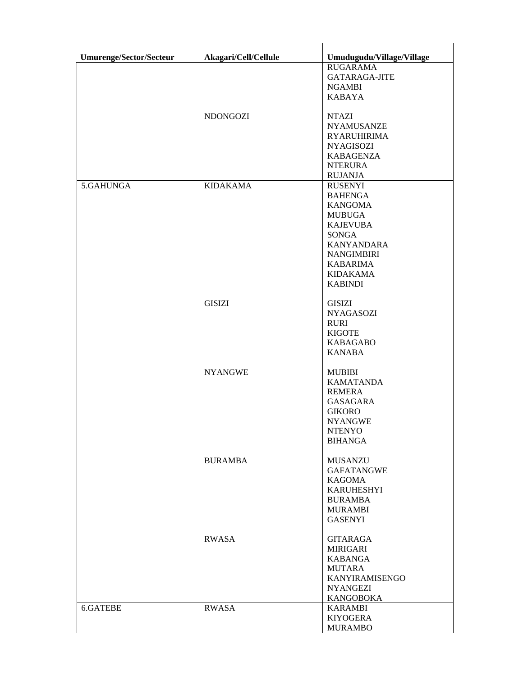| <b>Umurenge/Sector/Secteur</b> | Akagari/Cell/Cellule | Umudugudu/Village/Village       |
|--------------------------------|----------------------|---------------------------------|
|                                |                      | <b>RUGARAMA</b>                 |
|                                |                      | <b>GATARAGA-JITE</b>            |
|                                |                      | <b>NGAMBI</b>                   |
|                                |                      | <b>KABAYA</b>                   |
|                                |                      |                                 |
|                                | <b>NDONGOZI</b>      | <b>NTAZI</b>                    |
|                                |                      | <b>NYAMUSANZE</b>               |
|                                |                      | <b>RYARUHIRIMA</b>              |
|                                |                      | <b>NYAGISOZI</b>                |
|                                |                      | <b>KABAGENZA</b>                |
|                                |                      | <b>NTERURA</b>                  |
|                                |                      | <b>RUJANJA</b>                  |
| 5.GAHUNGA                      | <b>KIDAKAMA</b>      | <b>RUSENYI</b>                  |
|                                |                      | <b>BAHENGA</b>                  |
|                                |                      | <b>KANGOMA</b>                  |
|                                |                      | <b>MUBUGA</b>                   |
|                                |                      | <b>KAJEVUBA</b>                 |
|                                |                      | SONGA                           |
|                                |                      | <b>KANYANDARA</b>               |
|                                |                      | <b>NANGIMBIRI</b>               |
|                                |                      | <b>KABARIMA</b>                 |
|                                |                      | <b>KIDAKAMA</b>                 |
|                                |                      | <b>KABINDI</b>                  |
|                                |                      |                                 |
|                                | <b>GISIZI</b>        | <b>GISIZI</b>                   |
|                                |                      | <b>NYAGASOZI</b><br><b>RURI</b> |
|                                |                      | <b>KIGOTE</b>                   |
|                                |                      | <b>KABAGABO</b>                 |
|                                |                      | <b>KANABA</b>                   |
|                                |                      |                                 |
|                                | <b>NYANGWE</b>       | <b>MUBIBI</b>                   |
|                                |                      | <b>KAMATANDA</b>                |
|                                |                      | <b>REMERA</b>                   |
|                                |                      | <b>GASAGARA</b>                 |
|                                |                      | <b>GIKORO</b>                   |
|                                |                      | <b>NYANGWE</b>                  |
|                                |                      | <b>NTENYO</b>                   |
|                                |                      | <b>BIHANGA</b>                  |
|                                |                      |                                 |
|                                | <b>BURAMBA</b>       | <b>MUSANZU</b>                  |
|                                |                      | <b>GAFATANGWE</b>               |
|                                |                      | <b>KAGOMA</b>                   |
|                                |                      | <b>KARUHESHYI</b>               |
|                                |                      | <b>BURAMBA</b>                  |
|                                |                      | <b>MURAMBI</b>                  |
|                                |                      | <b>GASENYI</b>                  |
|                                | <b>RWASA</b>         | <b>GITARAGA</b>                 |
|                                |                      | <b>MIRIGARI</b>                 |
|                                |                      | <b>KABANGA</b>                  |
|                                |                      | <b>MUTARA</b>                   |
|                                |                      | KANYIRAMISENGO                  |
|                                |                      | <b>NYANGEZI</b>                 |
|                                |                      | <b>KANGOBOKA</b>                |
| 6.GATEBE                       | <b>RWASA</b>         | <b>KARAMBI</b>                  |
|                                |                      | <b>KIYOGERA</b>                 |
|                                |                      | <b>MURAMBO</b>                  |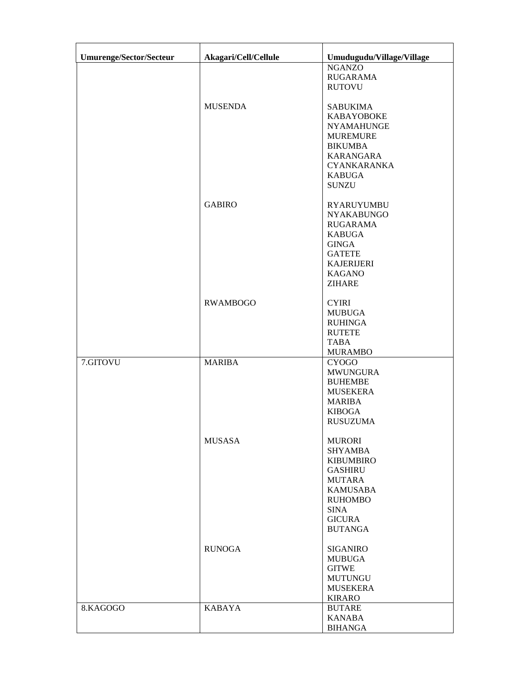| <b>Umurenge/Sector/Secteur</b> | Akagari/Cell/Cellule | Umudugudu/Village/Village         |
|--------------------------------|----------------------|-----------------------------------|
|                                |                      | <b>NGANZO</b>                     |
|                                |                      | <b>RUGARAMA</b>                   |
|                                |                      | <b>RUTOVU</b>                     |
|                                | <b>MUSENDA</b>       | <b>SABUKIMA</b>                   |
|                                |                      | <b>KABAYOBOKE</b>                 |
|                                |                      | <b>NYAMAHUNGE</b>                 |
|                                |                      | <b>MUREMURE</b>                   |
|                                |                      | <b>BIKUMBA</b>                    |
|                                |                      | <b>KARANGARA</b>                  |
|                                |                      | <b>CYANKARANKA</b>                |
|                                |                      | <b>KABUGA</b>                     |
|                                |                      | <b>SUNZU</b>                      |
|                                | <b>GABIRO</b>        | <b>RYARUYUMBU</b>                 |
|                                |                      | <b>NYAKABUNGO</b>                 |
|                                |                      | <b>RUGARAMA</b>                   |
|                                |                      | <b>KABUGA</b>                     |
|                                |                      | <b>GINGA</b>                      |
|                                |                      | <b>GATETE</b>                     |
|                                |                      | <b>KAJERIJERI</b>                 |
|                                |                      | <b>KAGANO</b>                     |
|                                |                      | <b>ZIHARE</b>                     |
|                                | <b>RWAMBOGO</b>      | <b>CYIRI</b>                      |
|                                |                      | <b>MUBUGA</b>                     |
|                                |                      | <b>RUHINGA</b>                    |
|                                |                      | <b>RUTETE</b>                     |
|                                |                      | <b>TABA</b>                       |
|                                |                      | <b>MURAMBO</b>                    |
| 7.GITOVU                       | <b>MARIBA</b>        | <b>CYOGO</b>                      |
|                                |                      | <b>MWUNGURA</b>                   |
|                                |                      | <b>BUHEMBE</b>                    |
|                                |                      | <b>MUSEKERA</b><br><b>MARIBA</b>  |
|                                |                      | <b>KIBOGA</b>                     |
|                                |                      | <b>RUSUZUMA</b>                   |
|                                |                      |                                   |
|                                | <b>MUSASA</b>        | <b>MURORI</b>                     |
|                                |                      | <b>SHYAMBA</b>                    |
|                                |                      | <b>KIBUMBIRO</b>                  |
|                                |                      | <b>GASHIRU</b>                    |
|                                |                      | <b>MUTARA</b>                     |
|                                |                      | <b>KAMUSABA</b><br><b>RUHOMBO</b> |
|                                |                      | <b>SINA</b>                       |
|                                |                      | <b>GICURA</b>                     |
|                                |                      | <b>BUTANGA</b>                    |
|                                | <b>RUNOGA</b>        | <b>SIGANIRO</b>                   |
|                                |                      | <b>MUBUGA</b>                     |
|                                |                      | <b>GITWE</b>                      |
|                                |                      | <b>MUTUNGU</b>                    |
|                                |                      | <b>MUSEKERA</b>                   |
|                                |                      | <b>KIRARO</b>                     |
| 8.KAGOGO                       | <b>KABAYA</b>        | <b>BUTARE</b>                     |
|                                |                      | <b>KANABA</b>                     |
|                                |                      | <b>BIHANGA</b>                    |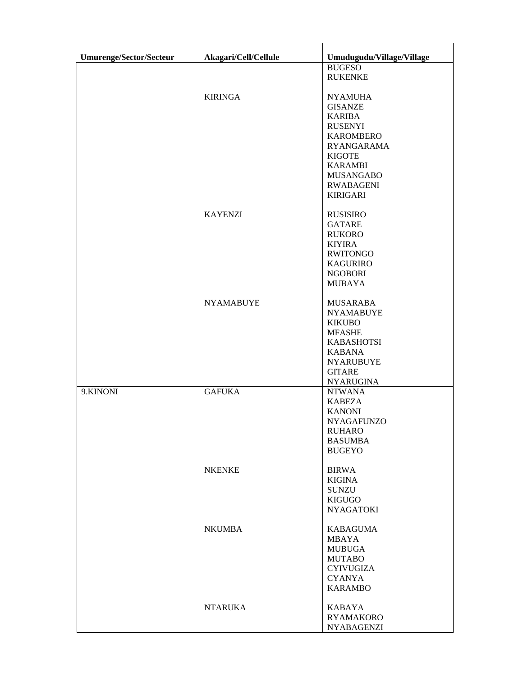| Umurenge/Sector/Secteur | Akagari/Cell/Cellule | Umudugudu/Village/Village          |
|-------------------------|----------------------|------------------------------------|
|                         |                      | <b>BUGESO</b>                      |
|                         |                      | <b>RUKENKE</b>                     |
|                         |                      |                                    |
|                         | <b>KIRINGA</b>       | <b>NYAMUHA</b>                     |
|                         |                      | <b>GISANZE</b>                     |
|                         |                      | <b>KARIBA</b>                      |
|                         |                      | <b>RUSENYI</b><br><b>KAROMBERO</b> |
|                         |                      | <b>RYANGARAMA</b>                  |
|                         |                      | <b>KIGOTE</b>                      |
|                         |                      | <b>KARAMBI</b>                     |
|                         |                      | <b>MUSANGABO</b>                   |
|                         |                      | <b>RWABAGENI</b>                   |
|                         |                      | <b>KIRIGARI</b>                    |
|                         |                      |                                    |
|                         | <b>KAYENZI</b>       | <b>RUSISIRO</b>                    |
|                         |                      | <b>GATARE</b>                      |
|                         |                      | <b>RUKORO</b><br><b>KIYIRA</b>     |
|                         |                      | <b>RWITONGO</b>                    |
|                         |                      | <b>KAGURIRO</b>                    |
|                         |                      | <b>NGOBORI</b>                     |
|                         |                      | <b>MUBAYA</b>                      |
|                         |                      |                                    |
|                         | <b>NYAMABUYE</b>     | <b>MUSARABA</b>                    |
|                         |                      | <b>NYAMABUYE</b>                   |
|                         |                      | <b>KIKUBO</b>                      |
|                         |                      | <b>MFASHE</b>                      |
|                         |                      | <b>KABASHOTSI</b>                  |
|                         |                      | <b>KABANA</b>                      |
|                         |                      | <b>NYARUBUYE</b>                   |
|                         |                      | <b>GITARE</b><br><b>NYARUGINA</b>  |
| 9.KINONI                | <b>GAFUKA</b>        | <b>NTWANA</b>                      |
|                         |                      | <b>KABEZA</b>                      |
|                         |                      | <b>KANONI</b>                      |
|                         |                      | <b>NYAGAFUNZO</b>                  |
|                         |                      | <b>RUHARO</b>                      |
|                         |                      | <b>BASUMBA</b>                     |
|                         |                      | <b>BUGEYO</b>                      |
|                         |                      |                                    |
|                         | <b>NKENKE</b>        | <b>BIRWA</b>                       |
|                         |                      | <b>KIGINA</b><br><b>SUNZU</b>      |
|                         |                      | KIGUGO                             |
|                         |                      | <b>NYAGATOKI</b>                   |
|                         |                      |                                    |
|                         | <b>NKUMBA</b>        | <b>KABAGUMA</b>                    |
|                         |                      | MBAYA                              |
|                         |                      | <b>MUBUGA</b>                      |
|                         |                      | <b>MUTABO</b>                      |
|                         |                      | <b>CYIVUGIZA</b>                   |
|                         |                      | <b>CYANYA</b>                      |
|                         |                      | <b>KARAMBO</b>                     |
|                         | <b>NTARUKA</b>       | <b>KABAYA</b>                      |
|                         |                      | <b>RYAMAKORO</b>                   |
|                         |                      | <b>NYABAGENZI</b>                  |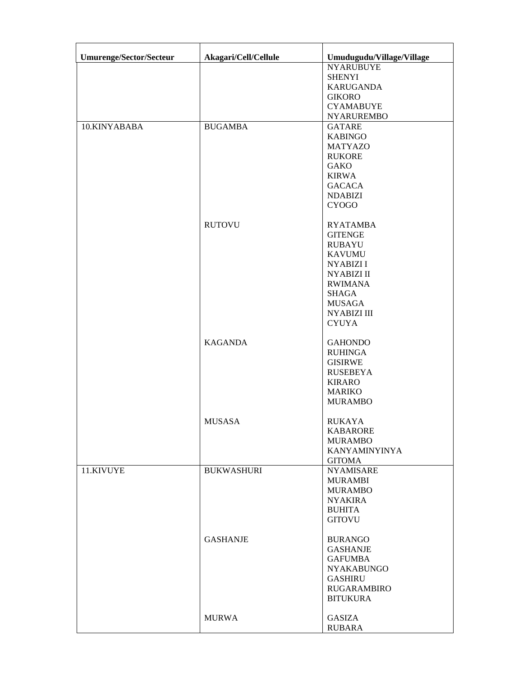| <b>Umurenge/Sector/Secteur</b> | Akagari/Cell/Cellule | Umudugudu/Village/Village    |
|--------------------------------|----------------------|------------------------------|
|                                |                      | <b>NYARUBUYE</b>             |
|                                |                      | <b>SHENYI</b>                |
|                                |                      | <b>KARUGANDA</b>             |
|                                |                      | <b>GIKORO</b>                |
|                                |                      | <b>CYAMABUYE</b>             |
|                                |                      | <b>NYARUREMBO</b>            |
| 10.KINYABABA                   | <b>BUGAMBA</b>       | <b>GATARE</b>                |
|                                |                      | <b>KABINGO</b>               |
|                                |                      | <b>MATYAZO</b>               |
|                                |                      | <b>RUKORE</b>                |
|                                |                      | <b>GAKO</b>                  |
|                                |                      | <b>KIRWA</b>                 |
|                                |                      | <b>GACACA</b>                |
|                                |                      | <b>NDABIZI</b>               |
|                                |                      | <b>CYOGO</b>                 |
|                                |                      |                              |
|                                | <b>RUTOVU</b>        | <b>RYATAMBA</b>              |
|                                |                      | <b>GITENGE</b>               |
|                                |                      | <b>RUBAYU</b>                |
|                                |                      | <b>KAVUMU</b>                |
|                                |                      | <b>NYABIZI I</b>             |
|                                |                      | <b>NYABIZI II</b>            |
|                                |                      | <b>RWIMANA</b>               |
|                                |                      | SHAGA                        |
|                                |                      | <b>MUSAGA</b><br>NYABIZI III |
|                                |                      | <b>CYUYA</b>                 |
|                                |                      |                              |
|                                | <b>KAGANDA</b>       | <b>GAHONDO</b>               |
|                                |                      | <b>RUHINGA</b>               |
|                                |                      | <b>GISIRWE</b>               |
|                                |                      | <b>RUSEBEYA</b>              |
|                                |                      | <b>KIRARO</b>                |
|                                |                      | <b>MARIKO</b>                |
|                                |                      | <b>MURAMBO</b>               |
|                                |                      |                              |
|                                | <b>MUSASA</b>        | <b>RUKAYA</b>                |
|                                |                      | <b>KABARORE</b>              |
|                                |                      | <b>MURAMBO</b>               |
|                                |                      | <b>KANYAMINYINYA</b>         |
|                                |                      | <b>GITOMA</b>                |
| 11.KIVUYE                      | <b>BUKWASHURI</b>    | <b>NYAMISARE</b>             |
|                                |                      | <b>MURAMBI</b>               |
|                                |                      | <b>MURAMBO</b>               |
|                                |                      | <b>NYAKIRA</b>               |
|                                |                      | <b>BUHITA</b>                |
|                                |                      | <b>GITOVU</b>                |
|                                | <b>GASHANJE</b>      | <b>BURANGO</b>               |
|                                |                      | <b>GASHANJE</b>              |
|                                |                      | <b>GAFUMBA</b>               |
|                                |                      | <b>NYAKABUNGO</b>            |
|                                |                      | <b>GASHIRU</b>               |
|                                |                      | <b>RUGARAMBIRO</b>           |
|                                |                      | <b>BITUKURA</b>              |
|                                |                      |                              |
|                                | <b>MURWA</b>         | <b>GASIZA</b>                |
|                                |                      | <b>RUBARA</b>                |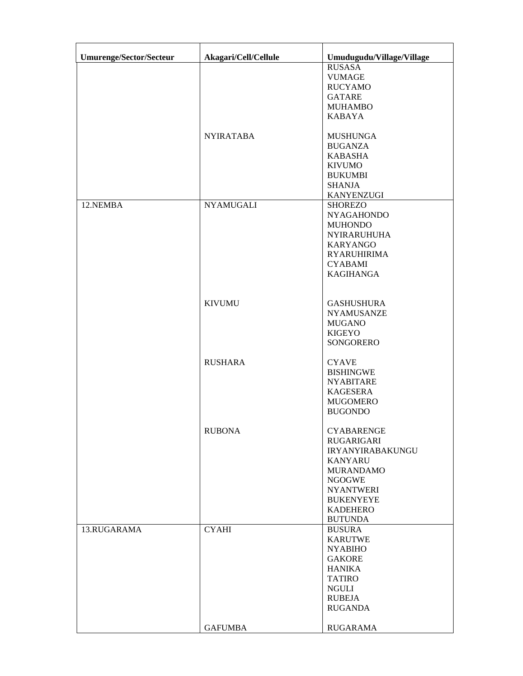| <b>Umurenge/Sector/Secteur</b> | Akagari/Cell/Cellule | Umudugudu/Village/Village                 |
|--------------------------------|----------------------|-------------------------------------------|
|                                |                      | <b>RUSASA</b>                             |
|                                |                      | <b>VUMAGE</b>                             |
|                                |                      | <b>RUCYAMO</b>                            |
|                                |                      | <b>GATARE</b>                             |
|                                |                      | <b>MUHAMBO</b>                            |
|                                |                      | <b>KABAYA</b>                             |
|                                | <b>NYIRATABA</b>     | <b>MUSHUNGA</b>                           |
|                                |                      | <b>BUGANZA</b><br><b>KABASHA</b>          |
|                                |                      | <b>KIVUMO</b>                             |
|                                |                      | <b>BUKUMBI</b>                            |
|                                |                      | <b>SHANJA</b>                             |
|                                |                      | <b>KANYENZUGI</b>                         |
| 12.NEMBA                       | <b>NYAMUGALI</b>     | <b>SHOREZO</b>                            |
|                                |                      | <b>NYAGAHONDO</b>                         |
|                                |                      | <b>MUHONDO</b>                            |
|                                |                      | <b>NYIRARUHUHA</b>                        |
|                                |                      | <b>KARYANGO</b>                           |
|                                |                      | <b>RYARUHIRIMA</b>                        |
|                                |                      | <b>CYABAMI</b>                            |
|                                |                      | <b>KAGIHANGA</b>                          |
|                                | <b>KIVUMU</b>        | <b>GASHUSHURA</b>                         |
|                                |                      | <b>NYAMUSANZE</b>                         |
|                                |                      | <b>MUGANO</b>                             |
|                                |                      | <b>KIGEYO</b>                             |
|                                |                      | SONGORERO                                 |
|                                | <b>RUSHARA</b>       | <b>CYAVE</b>                              |
|                                |                      | <b>BISHINGWE</b>                          |
|                                |                      | <b>NYABITARE</b>                          |
|                                |                      | <b>KAGESERA</b>                           |
|                                |                      | <b>MUGOMERO</b>                           |
|                                |                      | <b>BUGONDO</b>                            |
|                                | <b>RUBONA</b>        | <b>CYABARENGE</b>                         |
|                                |                      | RUGARIGARI                                |
|                                |                      | <b>IRYANYIRABAKUNGU</b><br><b>KANYARU</b> |
|                                |                      | <b>MURANDAMO</b>                          |
|                                |                      | <b>NGOGWE</b>                             |
|                                |                      | <b>NYANTWERI</b>                          |
|                                |                      | <b>BUKENYEYE</b>                          |
|                                |                      | <b>KADEHERO</b>                           |
|                                |                      | <b>BUTUNDA</b>                            |
| 13.RUGARAMA                    | <b>CYAHI</b>         | <b>BUSURA</b>                             |
|                                |                      | <b>KARUTWE</b>                            |
|                                |                      | <b>NYABIHO</b>                            |
|                                |                      | <b>GAKORE</b>                             |
|                                |                      | <b>HANIKA</b>                             |
|                                |                      | <b>TATIRO</b>                             |
|                                |                      | NGULI                                     |
|                                |                      | <b>RUBEJA</b><br><b>RUGANDA</b>           |
|                                |                      |                                           |
|                                | <b>GAFUMBA</b>       | <b>RUGARAMA</b>                           |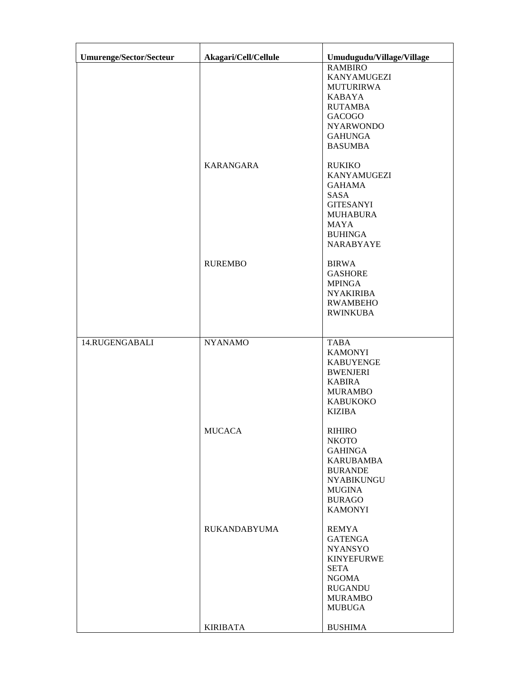| <b>Umurenge/Sector/Secteur</b> | Akagari/Cell/Cellule | Umudugudu/Village/Village              |
|--------------------------------|----------------------|----------------------------------------|
|                                |                      | <b>RAMBIRO</b>                         |
|                                |                      | <b>KANYAMUGEZI</b><br><b>MUTURIRWA</b> |
|                                |                      | <b>KABAYA</b>                          |
|                                |                      | <b>RUTAMBA</b>                         |
|                                |                      | <b>GACOGO</b>                          |
|                                |                      | <b>NYARWONDO</b><br><b>GAHUNGA</b>     |
|                                |                      | <b>BASUMBA</b>                         |
|                                | KARANGARA            | <b>RUKIKO</b>                          |
|                                |                      | <b>KANYAMUGEZI</b>                     |
|                                |                      | <b>GAHAMA</b>                          |
|                                |                      | SASA<br><b>GITESANYI</b>               |
|                                |                      | <b>MUHABURA</b>                        |
|                                |                      | <b>MAYA</b>                            |
|                                |                      | <b>BUHINGA</b>                         |
|                                |                      | <b>NARABYAYE</b>                       |
|                                | <b>RUREMBO</b>       | <b>BIRWA</b>                           |
|                                |                      | <b>GASHORE</b>                         |
|                                |                      | <b>MPINGA</b><br><b>NYAKIRIBA</b>      |
|                                |                      | <b>RWAMBEHO</b>                        |
|                                |                      | <b>RWINKUBA</b>                        |
|                                |                      |                                        |
| 14.RUGENGABALI                 | <b>NYANAMO</b>       | <b>TABA</b>                            |
|                                |                      | <b>KAMONYI</b><br><b>KABUYENGE</b>     |
|                                |                      | <b>BWENJERI</b>                        |
|                                |                      | <b>KABIRA</b>                          |
|                                |                      | <b>MURAMBO</b>                         |
|                                |                      | <b>KABUKOKO</b>                        |
|                                |                      | <b>KIZIBA</b>                          |
|                                | <b>MUCACA</b>        | <b>RIHIRO</b>                          |
|                                |                      | <b>NKOTO</b>                           |
|                                |                      | <b>GAHINGA</b><br><b>KARUBAMBA</b>     |
|                                |                      | <b>BURANDE</b>                         |
|                                |                      | <b>NYABIKUNGU</b>                      |
|                                |                      | <b>MUGINA</b>                          |
|                                |                      | <b>BURAGO</b><br><b>KAMONYI</b>        |
|                                |                      |                                        |
|                                | <b>RUKANDABYUMA</b>  | <b>REMYA</b><br><b>GATENGA</b>         |
|                                |                      | <b>NYANSYO</b>                         |
|                                |                      | <b>KINYEFURWE</b>                      |
|                                |                      | <b>SETA</b>                            |
|                                |                      | <b>NGOMA</b>                           |
|                                |                      | <b>RUGANDU</b><br><b>MURAMBO</b>       |
|                                |                      | <b>MUBUGA</b>                          |
|                                | <b>KIRIBATA</b>      | <b>BUSHIMA</b>                         |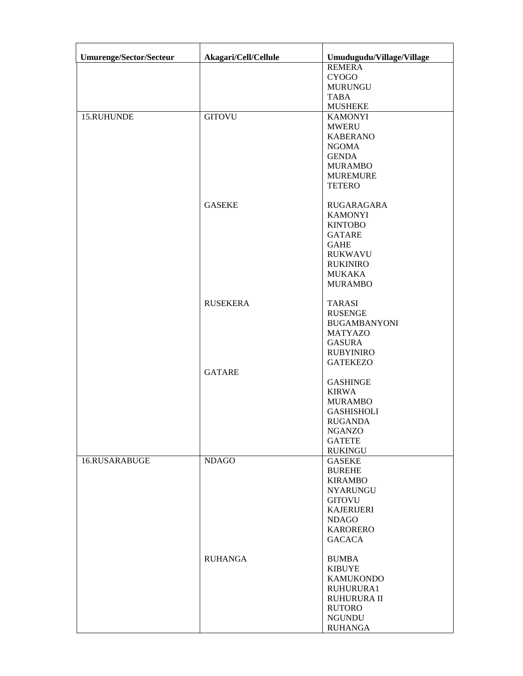| Umurenge/Sector/Secteur | Akagari/Cell/Cellule | Umudugudu/Village/Village |
|-------------------------|----------------------|---------------------------|
|                         |                      | <b>REMERA</b>             |
|                         |                      | <b>CYOGO</b>              |
|                         |                      | <b>MURUNGU</b>            |
|                         |                      | <b>TABA</b>               |
|                         |                      | <b>MUSHEKE</b>            |
| 15.RUHUNDE              | <b>GITOVU</b>        | <b>KAMONYI</b>            |
|                         |                      | <b>MWERU</b>              |
|                         |                      | <b>KABERANO</b>           |
|                         |                      | <b>NGOMA</b>              |
|                         |                      | <b>GENDA</b>              |
|                         |                      | <b>MURAMBO</b>            |
|                         |                      | <b>MUREMURE</b>           |
|                         |                      | <b>TETERO</b>             |
|                         |                      |                           |
|                         | <b>GASEKE</b>        | RUGARAGARA                |
|                         |                      | <b>KAMONYI</b>            |
|                         |                      | <b>KINTOBO</b>            |
|                         |                      | <b>GATARE</b>             |
|                         |                      | <b>GAHE</b>               |
|                         |                      | <b>RUKWAVU</b>            |
|                         |                      | <b>RUKINIRO</b>           |
|                         |                      | <b>MUKAKA</b>             |
|                         |                      | <b>MURAMBO</b>            |
|                         |                      |                           |
|                         | <b>RUSEKERA</b>      | <b>TARASI</b>             |
|                         |                      | <b>RUSENGE</b>            |
|                         |                      | <b>BUGAMBANYONI</b>       |
|                         |                      | <b>MATYAZO</b>            |
|                         |                      | <b>GASURA</b>             |
|                         |                      | <b>RUBYINIRO</b>          |
|                         |                      | <b>GATEKEZO</b>           |
|                         | <b>GATARE</b>        |                           |
|                         |                      | <b>GASHINGE</b>           |
|                         |                      | <b>KIRWA</b>              |
|                         |                      | <b>MURAMBO</b>            |
|                         |                      | <b>GASHISHOLI</b>         |
|                         |                      | <b>RUGANDA</b>            |
|                         |                      | <b>NGANZO</b>             |
|                         |                      | <b>GATETE</b>             |
|                         |                      | <b>RUKINGU</b>            |
| 16.RUSARABUGE           | <b>NDAGO</b>         | <b>GASEKE</b>             |
|                         |                      | <b>BUREHE</b>             |
|                         |                      | <b>KIRAMBO</b>            |
|                         |                      | <b>NYARUNGU</b>           |
|                         |                      | <b>GITOVU</b>             |
|                         |                      | <b>KAJERIJERI</b>         |
|                         |                      | <b>NDAGO</b>              |
|                         |                      | <b>KARORERO</b>           |
|                         |                      | <b>GACACA</b>             |
|                         |                      |                           |
|                         | <b>RUHANGA</b>       | <b>BUMBA</b>              |
|                         |                      | <b>KIBUYE</b>             |
|                         |                      | <b>KAMUKONDO</b>          |
|                         |                      | RUHURURA1                 |
|                         |                      | RUHURURA II               |
|                         |                      | <b>RUTORO</b>             |
|                         |                      | <b>NGUNDU</b>             |
|                         |                      | <b>RUHANGA</b>            |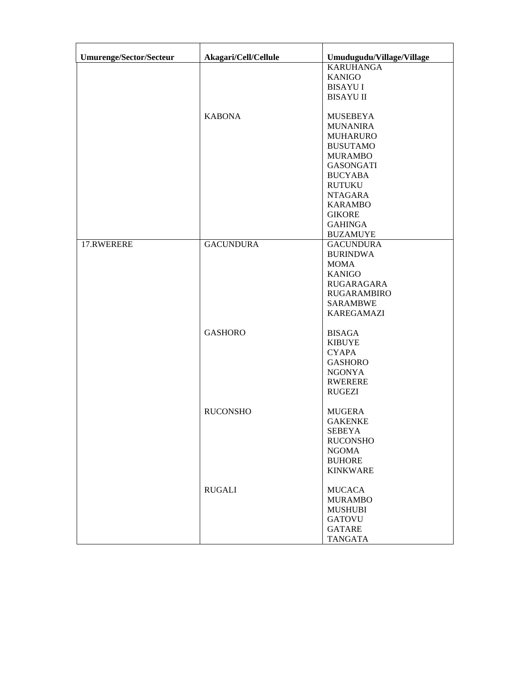| <b>Umurenge/Sector/Secteur</b> | Akagari/Cell/Cellule | Umudugudu/Village/Village |
|--------------------------------|----------------------|---------------------------|
|                                |                      | <b>KARUHANGA</b>          |
|                                |                      | <b>KANIGO</b>             |
|                                |                      | <b>BISAYU I</b>           |
|                                |                      | <b>BISAYU II</b>          |
|                                |                      |                           |
|                                | <b>KABONA</b>        | <b>MUSEBEYA</b>           |
|                                |                      | <b>MUNANIRA</b>           |
|                                |                      | <b>MUHARURO</b>           |
|                                |                      | <b>BUSUTAMO</b>           |
|                                |                      | <b>MURAMBO</b>            |
|                                |                      | <b>GASONGATI</b>          |
|                                |                      | <b>BUCYABA</b>            |
|                                |                      |                           |
|                                |                      | <b>RUTUKU</b>             |
|                                |                      | <b>NTAGARA</b>            |
|                                |                      | <b>KARAMBO</b>            |
|                                |                      | <b>GIKORE</b>             |
|                                |                      | <b>GAHINGA</b>            |
|                                |                      | <b>BUZAMUYE</b>           |
| 17.RWERERE                     | <b>GACUNDURA</b>     | <b>GACUNDURA</b>          |
|                                |                      | <b>BURINDWA</b>           |
|                                |                      | <b>MOMA</b>               |
|                                |                      | <b>KANIGO</b>             |
|                                |                      | <b>RUGARAGARA</b>         |
|                                |                      | <b>RUGARAMBIRO</b>        |
|                                |                      | <b>SARAMBWE</b>           |
|                                |                      | <b>KAREGAMAZI</b>         |
|                                | <b>GASHORO</b>       | <b>BISAGA</b>             |
|                                |                      | <b>KIBUYE</b>             |
|                                |                      | <b>CYAPA</b>              |
|                                |                      | <b>GASHORO</b>            |
|                                |                      | <b>NGONYA</b>             |
|                                |                      | <b>RWERERE</b>            |
|                                |                      | <b>RUGEZI</b>             |
|                                |                      |                           |
|                                | <b>RUCONSHO</b>      | <b>MUGERA</b>             |
|                                |                      | <b>GAKENKE</b>            |
|                                |                      | <b>SEBEYA</b>             |
|                                |                      | <b>RUCONSHO</b>           |
|                                |                      | <b>NGOMA</b>              |
|                                |                      | <b>BUHORE</b>             |
|                                |                      | <b>KINKWARE</b>           |
|                                |                      |                           |
|                                | <b>RUGALI</b>        | <b>MUCACA</b>             |
|                                |                      | <b>MURAMBO</b>            |
|                                |                      | <b>MUSHUBI</b>            |
|                                |                      | <b>GATOVU</b>             |
|                                |                      | GATARE                    |
|                                |                      | <b>TANGATA</b>            |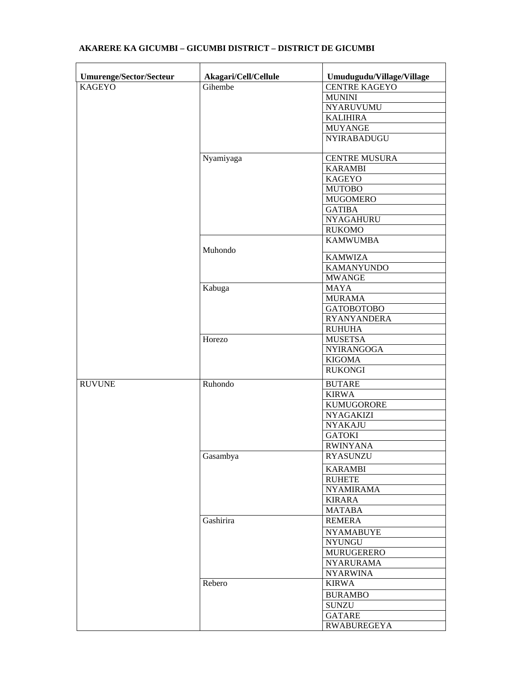| Umurenge/Sector/Secteur | Akagari/Cell/Cellule | Umudugudu/Village/Village |
|-------------------------|----------------------|---------------------------|
| <b>KAGEYO</b>           | Gihembe              | <b>CENTRE KAGEYO</b>      |
|                         |                      | <b>MUNINI</b>             |
|                         |                      | <b>NYARUVUMU</b>          |
|                         |                      | <b>KALIHIRA</b>           |
|                         |                      | <b>MUYANGE</b>            |
|                         |                      | NYIRABADUGU               |
|                         | Nyamiyaga            | <b>CENTRE MUSURA</b>      |
|                         |                      | <b>KARAMBI</b>            |
|                         |                      | <b>KAGEYO</b>             |
|                         |                      | <b>MUTOBO</b>             |
|                         |                      | <b>MUGOMERO</b>           |
|                         |                      | <b>GATIBA</b>             |
|                         |                      | <b>NYAGAHURU</b>          |
|                         |                      | <b>RUKOMO</b>             |
|                         | Muhondo              | <b>KAMWUMBA</b>           |
|                         |                      | <b>KAMWIZA</b>            |
|                         |                      | <b>KAMANYUNDO</b>         |
|                         |                      | <b>MWANGE</b>             |
|                         | Kabuga               | <b>MAYA</b>               |
|                         |                      | <b>MURAMA</b>             |
|                         |                      | <b>GATOBOTOBO</b>         |
|                         |                      | <b>RYANYANDERA</b>        |
|                         |                      | <b>RUHUHA</b>             |
|                         | Horezo               | <b>MUSETSA</b>            |
|                         |                      | <b>NYIRANGOGA</b>         |
|                         |                      | <b>KIGOMA</b>             |
|                         |                      | <b>RUKONGI</b>            |
| <b>RUVUNE</b>           | Ruhondo              | <b>BUTARE</b>             |
|                         |                      | <b>KIRWA</b>              |
|                         |                      | <b>KUMUGORORE</b>         |
|                         |                      | <b>NYAGAKIZI</b>          |
|                         |                      | <b>NYAKAJU</b>            |
|                         |                      | <b>GATOKI</b>             |
|                         |                      | <b>RWINYANA</b>           |
|                         | Gasambya             | <b>RYASUNZU</b>           |
|                         |                      | <b>KARAMBI</b>            |
|                         |                      | <b>RUHETE</b>             |
|                         |                      | <b>NYAMIRAMA</b>          |
|                         |                      | <b>KIRARA</b>             |
|                         |                      | <b>MATABA</b>             |
|                         | Gashirira            | <b>REMERA</b>             |
|                         |                      | <b>NYAMABUYE</b>          |
|                         |                      | <b>NYUNGU</b>             |
|                         |                      | MURUGERERO                |
|                         |                      | <b>NYARURAMA</b>          |
|                         |                      | <b>NYARWINA</b>           |
|                         | Rebero               | <b>KIRWA</b>              |
|                         |                      | <b>BURAMBO</b>            |
|                         |                      | <b>SUNZU</b>              |
|                         |                      | <b>GATARE</b>             |
|                         |                      | <b>RWABUREGEYA</b>        |
|                         |                      |                           |

## **AKARERE KA GICUMBI – GICUMBI DISTRICT – DISTRICT DE GICUMBI**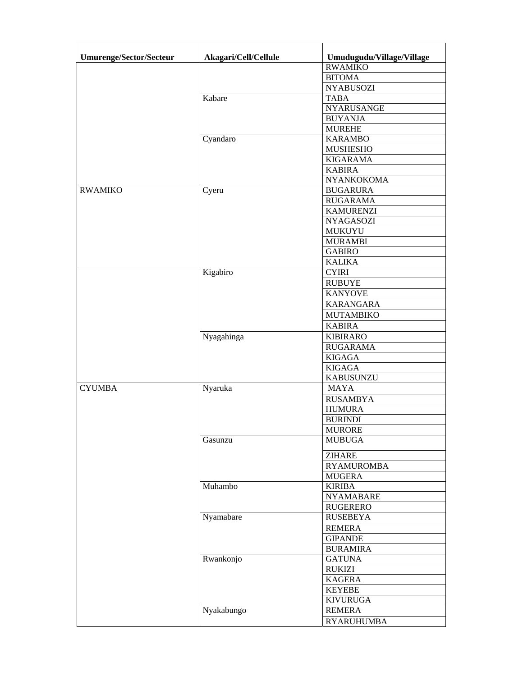| <b>Umurenge/Sector/Secteur</b> | Akagari/Cell/Cellule | Umudugudu/Village/Village |
|--------------------------------|----------------------|---------------------------|
|                                |                      | <b>RWAMIKO</b>            |
|                                |                      | <b>BITOMA</b>             |
|                                |                      | <b>NYABUSOZI</b>          |
|                                | Kabare               | <b>TABA</b>               |
|                                |                      | NYARUSANGE                |
|                                |                      | <b>BUYANJA</b>            |
|                                |                      | <b>MUREHE</b>             |
|                                | Cyandaro             | <b>KARAMBO</b>            |
|                                |                      | <b>MUSHESHO</b>           |
|                                |                      | <b>KIGARAMA</b>           |
|                                |                      | <b>KABIRA</b>             |
|                                |                      | NYANKOKOMA                |
| <b>RWAMIKO</b>                 | Cyeru                | <b>BUGARURA</b>           |
|                                |                      | <b>RUGARAMA</b>           |
|                                |                      | <b>KAMURENZI</b>          |
|                                |                      | <b>NYAGASOZI</b>          |
|                                |                      | MUKUYU                    |
|                                |                      | <b>MURAMBI</b>            |
|                                |                      | <b>GABIRO</b>             |
|                                |                      | <b>KALIKA</b>             |
|                                | Kigabiro             | <b>CYIRI</b>              |
|                                |                      | <b>RUBUYE</b>             |
|                                |                      | <b>KANYOVE</b>            |
|                                |                      | <b>KARANGARA</b>          |
|                                |                      | <b>MUTAMBIKO</b>          |
|                                |                      | <b>KABIRA</b>             |
|                                | Nyagahinga           | <b>KIBIRARO</b>           |
|                                |                      | <b>RUGARAMA</b>           |
|                                |                      | <b>KIGAGA</b>             |
|                                |                      | <b>KIGAGA</b>             |
|                                |                      | <b>KABUSUNZU</b>          |
| <b>CYUMBA</b>                  | Nyaruka              | <b>MAYA</b>               |
|                                |                      | <b>RUSAMBYA</b>           |
|                                |                      | <b>HUMURA</b>             |
|                                |                      | <b>BURINDI</b>            |
|                                |                      | <b>MURORE</b>             |
|                                | Gasunzu              | <b>MUBUGA</b>             |
|                                |                      | <b>ZIHARE</b>             |
|                                |                      | <b>RYAMUROMBA</b>         |
|                                |                      | <b>MUGERA</b>             |
|                                | Muhambo              | <b>KIRIBA</b>             |
|                                |                      | <b>NYAMABARE</b>          |
|                                |                      | RUGERERO                  |
|                                | Nyamabare            | <b>RUSEBEYA</b>           |
|                                |                      | <b>REMERA</b>             |
|                                |                      | <b>GIPANDE</b>            |
|                                |                      | <b>BURAMIRA</b>           |
|                                | Rwankonjo            | <b>GATUNA</b>             |
|                                |                      | <b>RUKIZI</b>             |
|                                |                      | <b>KAGERA</b>             |
|                                |                      | <b>KEYEBE</b>             |
|                                |                      | <b>KIVURUGA</b>           |
|                                |                      |                           |
|                                | Nyakabungo           | <b>REMERA</b>             |
|                                |                      | <b>RYARUHUMBA</b>         |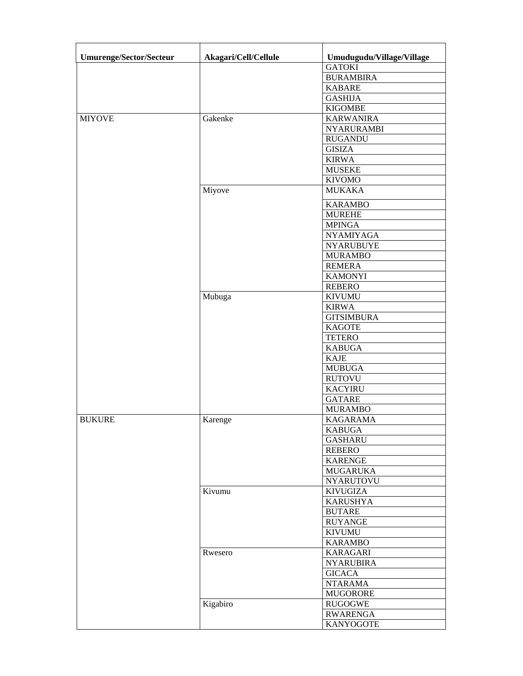| <b>Umurenge/Sector/Secteur</b> | Akagari/Cell/Cellule | Umudugudu/Village/Village |
|--------------------------------|----------------------|---------------------------|
|                                |                      | <b>GATOKI</b>             |
|                                |                      | <b>BURAMBIRA</b>          |
|                                |                      | <b>KABARE</b>             |
|                                |                      | <b>GASHIJA</b>            |
|                                |                      | <b>KIGOMBE</b>            |
| <b>MIYOVE</b>                  | Gakenke              | <b>KARWANIRA</b>          |
|                                |                      | <b>NYARURAMBI</b>         |
|                                |                      | <b>RUGANDU</b>            |
|                                |                      | <b>GISIZA</b>             |
|                                |                      | <b>KIRWA</b>              |
|                                |                      | <b>MUSEKE</b>             |
|                                |                      | <b>KIVOMO</b>             |
|                                | Miyove               | <b>MUKAKA</b>             |
|                                |                      | <b>KARAMBO</b>            |
|                                |                      | <b>MUREHE</b>             |
|                                |                      | <b>MPINGA</b>             |
|                                |                      | <b>NYAMIYAGA</b>          |
|                                |                      | <b>NYARUBUYE</b>          |
|                                |                      | <b>MURAMBO</b>            |
|                                |                      | <b>REMERA</b>             |
|                                |                      | <b>KAMONYI</b>            |
|                                |                      | <b>REBERO</b>             |
|                                | Mubuga               | <b>KIVUMU</b>             |
|                                |                      | <b>KIRWA</b>              |
|                                |                      | <b>GITSIMBURA</b>         |
|                                |                      | <b>KAGOTE</b>             |
|                                |                      | <b>TETERO</b>             |
|                                |                      | <b>KABUGA</b>             |
|                                |                      | <b>KAJE</b>               |
|                                |                      |                           |
|                                |                      | <b>MUBUGA</b>             |
|                                |                      | <b>RUTOVU</b>             |
|                                |                      | <b>KACYIRU</b>            |
|                                |                      | <b>GATARE</b>             |
|                                |                      | <b>MURAMBO</b>            |
| <b>BUKURE</b>                  | Karenge              | <b>KAGARAMA</b>           |
|                                |                      | <b>KABUGA</b>             |
|                                |                      | <b>GASHARU</b>            |
|                                |                      | <b>REBERO</b>             |
|                                |                      | <b>KARENGE</b>            |
|                                |                      | <b>MUGARUKA</b>           |
|                                |                      | <b>NYARUTOVU</b>          |
|                                | Kivumu               | <b>KIVUGIZA</b>           |
|                                |                      | <b>KARUSHYA</b>           |
|                                |                      | <b>BUTARE</b>             |
|                                |                      | <b>RUYANGE</b>            |
|                                |                      | <b>KIVUMU</b>             |
|                                |                      | <b>KARAMBO</b>            |
|                                | Rwesero              | <b>KARAGARI</b>           |
|                                |                      | <b>NYARUBIRA</b>          |
|                                |                      | <b>GICACA</b>             |
|                                |                      | <b>NTARAMA</b>            |
|                                |                      | <b>MUGORORE</b>           |
|                                | Kigabiro             | <b>RUGOGWE</b>            |
|                                |                      |                           |
|                                |                      | <b>RWARENGA</b>           |
|                                |                      | <b>KANYOGOTE</b>          |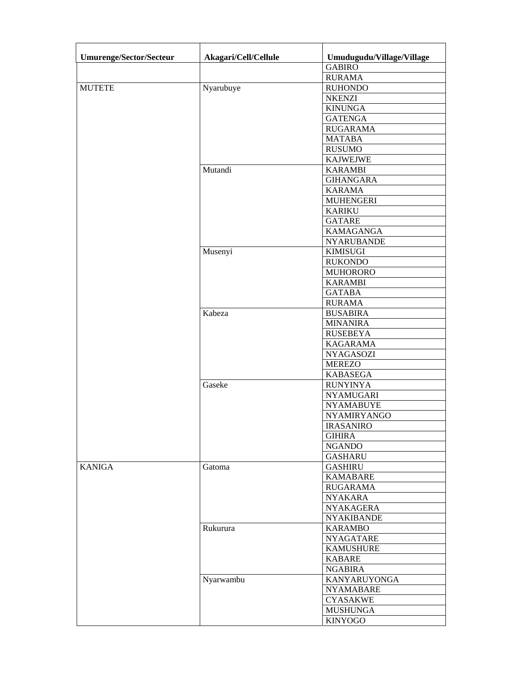| <b>Umurenge/Sector/Secteur</b> | Akagari/Cell/Cellule | Umudugudu/Village/Village |
|--------------------------------|----------------------|---------------------------|
|                                |                      | <b>GABIRO</b>             |
|                                |                      | <b>RURAMA</b>             |
| <b>MUTETE</b>                  | Nyarubuye            | <b>RUHONDO</b>            |
|                                |                      | <b>NKENZI</b>             |
|                                |                      | <b>KINUNGA</b>            |
|                                |                      | <b>GATENGA</b>            |
|                                |                      | <b>RUGARAMA</b>           |
|                                |                      | <b>MATABA</b>             |
|                                |                      | <b>RUSUMO</b>             |
|                                |                      | <b>KAJWEJWE</b>           |
|                                | Mutandi              | <b>KARAMBI</b>            |
|                                |                      | <b>GIHANGARA</b>          |
|                                |                      | <b>KARAMA</b>             |
|                                |                      | <b>MUHENGERI</b>          |
|                                |                      | <b>KARIKU</b>             |
|                                |                      | <b>GATARE</b>             |
|                                |                      | <b>KAMAGANGA</b>          |
|                                |                      | <b>NYARUBANDE</b>         |
|                                | Musenyi              |                           |
|                                |                      | <b>KIMISUGI</b>           |
|                                |                      | <b>RUKONDO</b>            |
|                                |                      | <b>MUHORORO</b>           |
|                                |                      | <b>KARAMBI</b>            |
|                                |                      | <b>GATABA</b>             |
|                                |                      | <b>RURAMA</b>             |
|                                | Kabeza               | <b>BUSABIRA</b>           |
|                                |                      | <b>MINANIRA</b>           |
|                                |                      | <b>RUSEBEYA</b>           |
|                                |                      | <b>KAGARAMA</b>           |
|                                |                      | <b>NYAGASOZI</b>          |
|                                |                      | <b>MEREZO</b>             |
|                                |                      | <b>KABASEGA</b>           |
|                                | Gaseke               | <b>RUNYINYA</b>           |
|                                |                      | <b>NYAMUGARI</b>          |
|                                |                      | <b>NYAMABUYE</b>          |
|                                |                      | <b>NYAMIRYANGO</b>        |
|                                |                      | <b>IRASANIRO</b>          |
|                                |                      | <b>GIHIRA</b>             |
|                                |                      | <b>NGANDO</b>             |
|                                |                      | GASHARU                   |
| <b>KANIGA</b>                  | Gatoma               | <b>GASHIRU</b>            |
|                                |                      | <b>KAMABARE</b>           |
|                                |                      | <b>RUGARAMA</b>           |
|                                |                      | <b>NYAKARA</b>            |
|                                |                      | <b>NYAKAGERA</b>          |
|                                |                      | <b>NYAKIBANDE</b>         |
|                                |                      |                           |
|                                | Rukurura             | <b>KARAMBO</b>            |
|                                |                      | <b>NYAGATARE</b>          |
|                                |                      | <b>KAMUSHURE</b>          |
|                                |                      | <b>KABARE</b>             |
|                                |                      | <b>NGABIRA</b>            |
|                                | Nyarwambu            | KANYARUYONGA              |
|                                |                      | <b>NYAMABARE</b>          |
|                                |                      | <b>CYASAKWE</b>           |
|                                |                      | <b>MUSHUNGA</b>           |
|                                |                      | <b>KINYOGO</b>            |
|                                |                      |                           |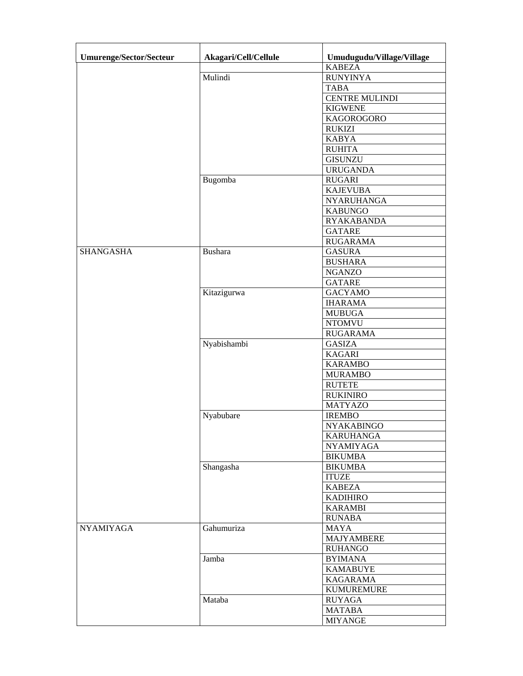| <b>Umurenge/Sector/Secteur</b> | Akagari/Cell/Cellule | Umudugudu/Village/Village |
|--------------------------------|----------------------|---------------------------|
|                                |                      | <b>KABEZA</b>             |
|                                | Mulindi              | <b>RUNYINYA</b>           |
|                                |                      | <b>TABA</b>               |
|                                |                      | CENTRE MULINDI            |
|                                |                      | <b>KIGWENE</b>            |
|                                |                      | KAGOROGORO                |
|                                |                      | RUKIZI                    |
|                                |                      | <b>KABYA</b>              |
|                                |                      | <b>RUHITA</b>             |
|                                |                      | <b>GISUNZU</b>            |
|                                |                      | <b>URUGANDA</b>           |
|                                | Bugomba              | <b>RUGARI</b>             |
|                                |                      | <b>KAJEVUBA</b>           |
|                                |                      | <b>NYARUHANGA</b>         |
|                                |                      | <b>KABUNGO</b>            |
|                                |                      |                           |
|                                |                      | <b>RYAKABANDA</b>         |
|                                |                      | <b>GATARE</b>             |
|                                |                      | <b>RUGARAMA</b>           |
| <b>SHANGASHA</b>               | <b>Bushara</b>       | <b>GASURA</b>             |
|                                |                      | <b>BUSHARA</b>            |
|                                |                      | <b>NGANZO</b>             |
|                                |                      | <b>GATARE</b>             |
|                                | Kitazigurwa          | <b>GACYAMO</b>            |
|                                |                      | <b>IHARAMA</b>            |
|                                |                      | <b>MUBUGA</b>             |
|                                |                      | <b>NTOMVU</b>             |
|                                |                      | <b>RUGARAMA</b>           |
|                                | Nyabishambi          | <b>GASIZA</b>             |
|                                |                      | <b>KAGARI</b>             |
|                                |                      | <b>KARAMBO</b>            |
|                                |                      | <b>MURAMBO</b>            |
|                                |                      | <b>RUTETE</b>             |
|                                |                      | <b>RUKINIRO</b>           |
|                                |                      | <b>MATYAZO</b>            |
|                                | Nyabubare            | <b>IREMBO</b>             |
|                                |                      | <b>NYAKABINGO</b>         |
|                                |                      | <b>KARUHANGA</b>          |
|                                |                      | <b>NYAMIYAGA</b>          |
|                                |                      | <b>BIKUMBA</b>            |
|                                | Shangasha            | <b>BIKUMBA</b>            |
|                                |                      | <b>ITUZE</b>              |
|                                |                      | <b>KABEZA</b>             |
|                                |                      | <b>KADIHIRO</b>           |
|                                |                      | <b>KARAMBI</b>            |
|                                |                      | <b>RUNABA</b>             |
| <b>NYAMIYAGA</b>               | Gahumuriza           | <b>MAYA</b>               |
|                                |                      | <b>MAJYAMBERE</b>         |
|                                |                      |                           |
|                                |                      | <b>RUHANGO</b>            |
|                                | Jamba                | <b>BYIMANA</b>            |
|                                |                      | <b>KAMABUYE</b>           |
|                                |                      | <b>KAGARAMA</b>           |
|                                |                      | <b>KUMUREMURE</b>         |
|                                | Mataba               | <b>RUYAGA</b>             |
|                                |                      | <b>MATABA</b>             |
|                                |                      | <b>MIYANGE</b>            |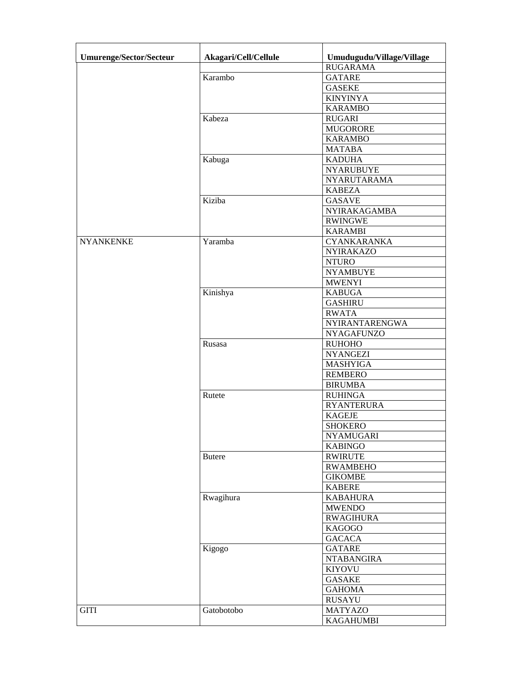| Umurenge/Sector/Secteur | Akagari/Cell/Cellule | Umudugudu/Village/Village        |
|-------------------------|----------------------|----------------------------------|
|                         |                      | <b>RUGARAMA</b>                  |
|                         | Karambo              | <b>GATARE</b>                    |
|                         |                      | <b>GASEKE</b>                    |
|                         |                      | <b>KINYINYA</b>                  |
|                         |                      | <b>KARAMBO</b>                   |
|                         | Kabeza               | <b>RUGARI</b>                    |
|                         |                      | <b>MUGORORE</b>                  |
|                         |                      | <b>KARAMBO</b>                   |
|                         |                      | <b>MATABA</b>                    |
|                         | Kabuga               | <b>KADUHA</b>                    |
|                         |                      | <b>NYARUBUYE</b>                 |
|                         |                      | NYARUTARAMA                      |
|                         |                      | <b>KABEZA</b>                    |
|                         | Kiziba               | <b>GASAVE</b>                    |
|                         |                      | NYIRAKAGAMBA                     |
|                         |                      | <b>RWINGWE</b>                   |
|                         |                      | <b>KARAMBI</b>                   |
| <b>NYANKENKE</b>        | Yaramba              | CYANKARANKA                      |
|                         |                      | <b>NYIRAKAZO</b>                 |
|                         |                      | <b>NTURO</b>                     |
|                         |                      |                                  |
|                         |                      | <b>NYAMBUYE</b><br><b>MWENYI</b> |
|                         |                      | <b>KABUGA</b>                    |
|                         | Kinishya             |                                  |
|                         |                      | <b>GASHIRU</b>                   |
|                         |                      | <b>RWATA</b>                     |
|                         |                      | NYIRANTARENGWA                   |
|                         |                      | <b>NYAGAFUNZO</b>                |
|                         | Rusasa               | <b>RUHOHO</b>                    |
|                         |                      | <b>NYANGEZI</b>                  |
|                         |                      | <b>MASHYIGA</b>                  |
|                         |                      | <b>REMBERO</b>                   |
|                         |                      | <b>BIRUMBA</b>                   |
|                         | Rutete               | <b>RUHINGA</b>                   |
|                         |                      | <b>RYANTERURA</b>                |
|                         |                      | <b>KAGEJE</b>                    |
|                         |                      | <b>SHOKERO</b>                   |
|                         |                      | <b>NYAMUGARI</b>                 |
|                         |                      | <b>KABINGO</b>                   |
|                         | <b>Butere</b>        | <b>RWIRUTE</b>                   |
|                         |                      | <b>RWAMBEHO</b>                  |
|                         |                      | <b>GIKOMBE</b>                   |
|                         |                      | <b>KABERE</b>                    |
|                         | Rwagihura            | <b>KABAHURA</b>                  |
|                         |                      | <b>MWENDO</b>                    |
|                         |                      | <b>RWAGIHURA</b>                 |
|                         |                      | <b>KAGOGO</b>                    |
|                         |                      | <b>GACACA</b>                    |
|                         | Kigogo               | <b>GATARE</b>                    |
|                         |                      | <b>NTABANGIRA</b>                |
|                         |                      | KIYOVU                           |
|                         |                      | <b>GASAKE</b>                    |
|                         |                      | <b>GAHOMA</b>                    |
|                         |                      | <b>RUSAYU</b>                    |
| <b>GITI</b>             | Gatobotobo           | <b>MATYAZO</b>                   |
|                         |                      | <b>KAGAHUMBI</b>                 |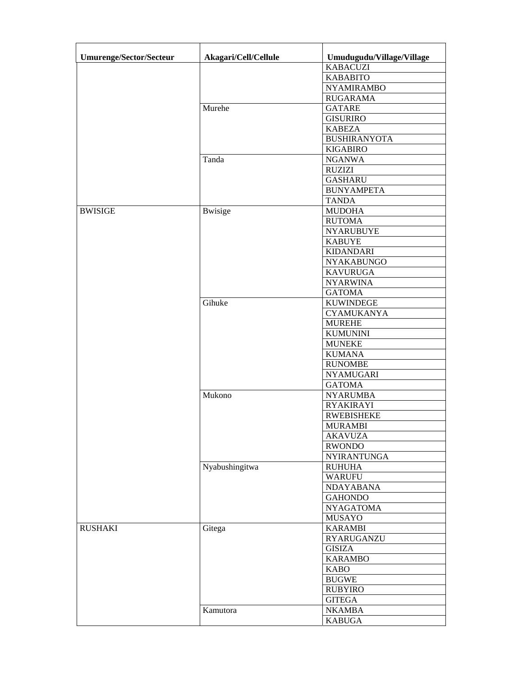| <b>Umurenge/Sector/Secteur</b> | Akagari/Cell/Cellule | Umudugudu/Village/Village |
|--------------------------------|----------------------|---------------------------|
|                                |                      | <b>KABACUZI</b>           |
|                                |                      | <b>KABABITO</b>           |
|                                |                      | <b>NYAMIRAMBO</b>         |
|                                |                      | <b>RUGARAMA</b>           |
|                                | Murehe               | <b>GATARE</b>             |
|                                |                      | <b>GISURIRO</b>           |
|                                |                      | <b>KABEZA</b>             |
|                                |                      | <b>BUSHIRANYOTA</b>       |
|                                |                      | <b>KIGABIRO</b>           |
|                                | Tanda                | <b>NGANWA</b>             |
|                                |                      | <b>RUZIZI</b>             |
|                                |                      |                           |
|                                |                      | <b>GASHARU</b>            |
|                                |                      | <b>BUNYAMPETA</b>         |
|                                |                      | <b>TANDA</b>              |
| <b>BWISIGE</b>                 | <b>B</b> wisige      | <b>MUDOHA</b>             |
|                                |                      | <b>RUTOMA</b>             |
|                                |                      | <b>NYARUBUYE</b>          |
|                                |                      | <b>KABUYE</b>             |
|                                |                      | <b>KIDANDARI</b>          |
|                                |                      | NYAKABUNGO                |
|                                |                      | <b>KAVURUGA</b>           |
|                                |                      | <b>NYARWINA</b>           |
|                                |                      | <b>GATOMA</b>             |
|                                | Gihuke               | <b>KUWINDEGE</b>          |
|                                |                      | <b>CYAMUKANYA</b>         |
|                                |                      | <b>MUREHE</b>             |
|                                |                      | <b>KUMUNINI</b>           |
|                                |                      | <b>MUNEKE</b>             |
|                                |                      | <b>KUMANA</b>             |
|                                |                      | <b>RUNOMBE</b>            |
|                                |                      | <b>NYAMUGARI</b>          |
|                                |                      | <b>GATOMA</b>             |
|                                | Mukono               | <b>NYARUMBA</b>           |
|                                |                      | <b>RYAKIRAYI</b>          |
|                                |                      | <b>RWEBISHEKE</b>         |
|                                |                      | <b>MURAMBI</b>            |
|                                |                      | <b>AKAVUZA</b>            |
|                                |                      | <b>RWONDO</b>             |
|                                |                      | <b>NYIRANTUNGA</b>        |
|                                | Nyabushingitwa       | <b>RUHUHA</b>             |
|                                |                      | <b>WARUFU</b>             |
|                                |                      | NDAYABANA                 |
|                                |                      | <b>GAHONDO</b>            |
|                                |                      | <b>NYAGATOMA</b>          |
|                                |                      | <b>MUSAYO</b>             |
| <b>RUSHAKI</b>                 | Gitega               | <b>KARAMBI</b>            |
|                                |                      | <b>RYARUGANZU</b>         |
|                                |                      | <b>GISIZA</b>             |
|                                |                      | <b>KARAMBO</b>            |
|                                |                      | <b>KABO</b>               |
|                                |                      | <b>BUGWE</b>              |
|                                |                      | <b>RUBYIRO</b>            |
|                                |                      | <b>GITEGA</b>             |
|                                |                      |                           |
|                                | Kamutora             | <b>NKAMBA</b>             |
|                                |                      | <b>KABUGA</b>             |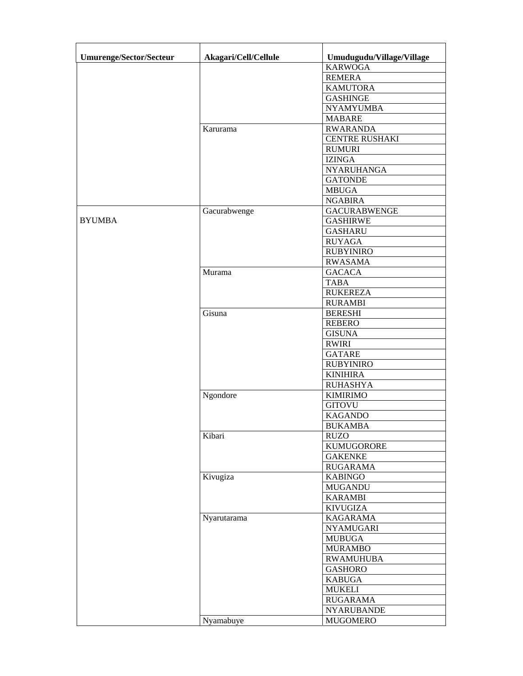| <b>Umurenge/Sector/Secteur</b> | Akagari/Cell/Cellule | Umudugudu/Village/Village |
|--------------------------------|----------------------|---------------------------|
|                                |                      | <b>KARWOGA</b>            |
|                                |                      | <b>REMERA</b>             |
|                                |                      | <b>KAMUTORA</b>           |
|                                |                      | <b>GASHINGE</b>           |
|                                |                      | <b>NYAMYUMBA</b>          |
|                                |                      | <b>MABARE</b>             |
|                                | Karurama             | <b>RWARANDA</b>           |
|                                |                      | <b>CENTRE RUSHAKI</b>     |
|                                |                      | <b>RUMURI</b>             |
|                                |                      | <b>IZINGA</b>             |
|                                |                      | NYARUHANGA                |
|                                |                      | <b>GATONDE</b>            |
|                                |                      | <b>MBUGA</b>              |
|                                |                      | <b>NGABIRA</b>            |
|                                | Gacurabwenge         | <b>GACURABWENGE</b>       |
| <b>BYUMBA</b>                  |                      | <b>GASHIRWE</b>           |
|                                |                      | <b>GASHARU</b>            |
|                                |                      | <b>RUYAGA</b>             |
|                                |                      | <b>RUBYINIRO</b>          |
|                                |                      | <b>RWASAMA</b>            |
|                                | Murama               | <b>GACACA</b>             |
|                                |                      | <b>TABA</b>               |
|                                |                      | <b>RUKEREZA</b>           |
|                                |                      | <b>RURAMBI</b>            |
|                                | Gisuna               | <b>BERESHI</b>            |
|                                |                      | <b>REBERO</b>             |
|                                |                      | <b>GISUNA</b>             |
|                                |                      | <b>RWIRI</b>              |
|                                |                      | <b>GATARE</b>             |
|                                |                      | <b>RUBYINIRO</b>          |
|                                |                      | <b>KINIHIRA</b>           |
|                                |                      | <b>RUHASHYA</b>           |
|                                | Ngondore             | <b>KIMIRIMO</b>           |
|                                |                      | <b>GITOVU</b>             |
|                                |                      | <b>KAGANDO</b>            |
|                                |                      | <b>BUKAMBA</b>            |
|                                | Kibari               | <b>RUZO</b>               |
|                                |                      | <b>KUMUGORORE</b>         |
|                                |                      | <b>GAKENKE</b>            |
|                                |                      | <b>RUGARAMA</b>           |
|                                | Kivugiza             | <b>KABINGO</b>            |
|                                |                      | <b>MUGANDU</b>            |
|                                |                      | <b>KARAMBI</b>            |
|                                |                      | <b>KIVUGIZA</b>           |
|                                | Nyarutarama          | <b>KAGARAMA</b>           |
|                                |                      | <b>NYAMUGARI</b>          |
|                                |                      | <b>MUBUGA</b>             |
|                                |                      | <b>MURAMBO</b>            |
|                                |                      | <b>RWAMUHUBA</b>          |
|                                |                      | <b>GASHORO</b>            |
|                                |                      | <b>KABUGA</b>             |
|                                |                      | <b>MUKELI</b>             |
|                                |                      | <b>RUGARAMA</b>           |
|                                |                      | <b>NYARUBANDE</b>         |
|                                | Nyamabuye            | <b>MUGOMERO</b>           |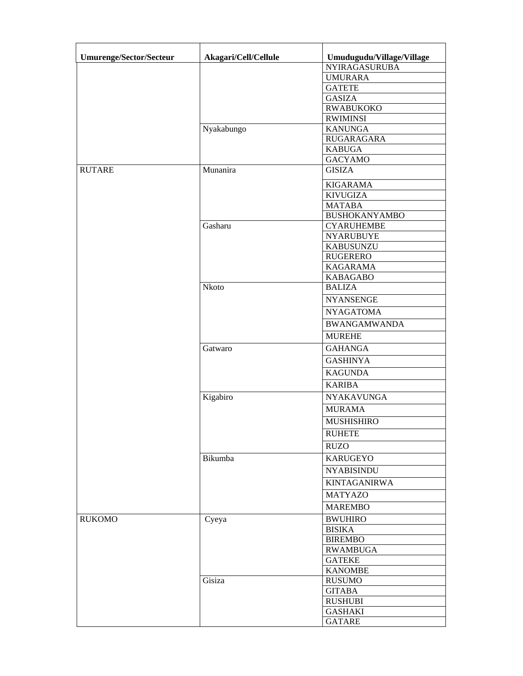| <b>Umurenge/Sector/Secteur</b> | Akagari/Cell/Cellule | Umudugudu/Village/Village |
|--------------------------------|----------------------|---------------------------|
|                                |                      | <b>NYIRAGASURUBA</b>      |
|                                |                      | <b>UMURARA</b>            |
|                                |                      | <b>GATETE</b>             |
|                                |                      | <b>GASIZA</b>             |
|                                |                      | <b>RWABUKOKO</b>          |
|                                |                      | <b>RWIMINSI</b>           |
|                                | Nyakabungo           | <b>KANUNGA</b>            |
|                                |                      | RUGARAGARA                |
|                                |                      | <b>KABUGA</b>             |
|                                |                      | <b>GACYAMO</b>            |
| <b>RUTARE</b>                  | Munanira             | <b>GISIZA</b>             |
|                                |                      | <b>KIGARAMA</b>           |
|                                |                      | <b>KIVUGIZA</b>           |
|                                |                      | <b>MATABA</b>             |
|                                |                      | <b>BUSHOKANYAMBO</b>      |
|                                | Gasharu              | <b>CYARUHEMBE</b>         |
|                                |                      | <b>NYARUBUYE</b>          |
|                                |                      | <b>KABUSUNZU</b>          |
|                                |                      | <b>RUGERERO</b>           |
|                                |                      | <b>KAGARAMA</b>           |
|                                |                      | <b>KABAGABO</b>           |
|                                | Nkoto                | <b>BALIZA</b>             |
|                                |                      | <b>NYANSENGE</b>          |
|                                |                      | <b>NYAGATOMA</b>          |
|                                |                      | <b>BWANGAMWANDA</b>       |
|                                |                      |                           |
|                                |                      | <b>MUREHE</b>             |
|                                | Gatwaro              | <b>GAHANGA</b>            |
|                                |                      | <b>GASHINYA</b>           |
|                                |                      | <b>KAGUNDA</b>            |
|                                |                      | <b>KARIBA</b>             |
|                                | Kigabiro             | <b>NYAKAVUNGA</b>         |
|                                |                      | <b>MURAMA</b>             |
|                                |                      |                           |
|                                |                      | <b>MUSHISHIRO</b>         |
|                                |                      | <b>RUHETE</b>             |
|                                |                      | <b>RUZO</b>               |
|                                | Bikumba              | KARUGEYO                  |
|                                |                      | <b>NYABISINDU</b>         |
|                                |                      | <b>KINTAGANIRWA</b>       |
|                                |                      | <b>MATYAZO</b>            |
|                                |                      | <b>MAREMBO</b>            |
| <b>RUKOMO</b>                  |                      | <b>BWUHIRO</b>            |
|                                | Cyeya                | <b>BISIKA</b>             |
|                                |                      | <b>BIREMBO</b>            |
|                                |                      | <b>RWAMBUGA</b>           |
|                                |                      | <b>GATEKE</b>             |
|                                |                      | <b>KANOMBE</b>            |
|                                | Gisiza               | <b>RUSUMO</b>             |
|                                |                      | <b>GITABA</b>             |
|                                |                      | <b>RUSHUBI</b>            |
|                                |                      | <b>GASHAKI</b>            |
|                                |                      | <b>GATARE</b>             |
|                                |                      |                           |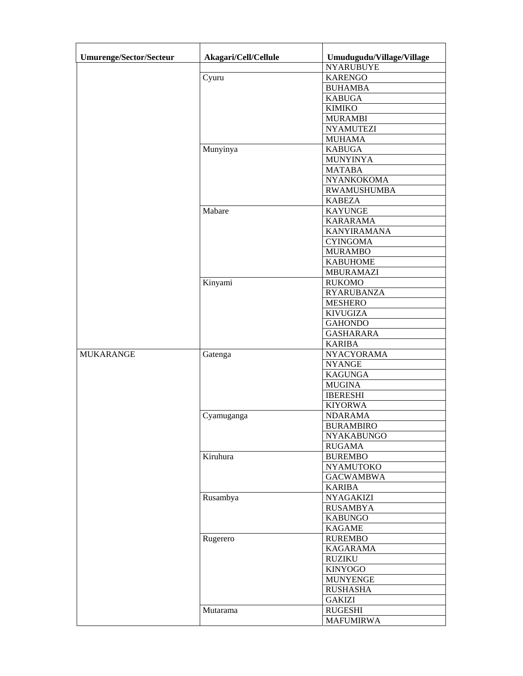| <b>Umurenge/Sector/Secteur</b> | Akagari/Cell/Cellule | Umudugudu/Village/Village           |
|--------------------------------|----------------------|-------------------------------------|
|                                |                      | <b>NYARUBUYE</b>                    |
|                                | Cyuru                | <b>KARENGO</b>                      |
|                                |                      | <b>BUHAMBA</b>                      |
|                                |                      | <b>KABUGA</b>                       |
|                                |                      | <b>KIMIKO</b>                       |
|                                |                      | <b>MURAMBI</b>                      |
|                                |                      | <b>NYAMUTEZI</b>                    |
|                                |                      | <b>MUHAMA</b>                       |
|                                | Munyinya             | <b>KABUGA</b>                       |
|                                |                      | <b>MUNYINYA</b>                     |
|                                |                      | <b>MATABA</b>                       |
|                                |                      | NYANKOKOMA                          |
|                                |                      | <b>RWAMUSHUMBA</b>                  |
|                                |                      | <b>KABEZA</b>                       |
|                                | Mabare               | <b>KAYUNGE</b>                      |
|                                |                      | <b>KARARAMA</b>                     |
|                                |                      | <b>KANYIRAMANA</b>                  |
|                                |                      | <b>CYINGOMA</b>                     |
|                                |                      | <b>MURAMBO</b>                      |
|                                |                      | <b>KABUHOME</b>                     |
|                                |                      | <b>MBURAMAZI</b>                    |
|                                | Kinyami              | <b>RUKOMO</b>                       |
|                                |                      | <b>RYARUBANZA</b>                   |
|                                |                      | <b>MESHERO</b>                      |
|                                |                      | <b>KIVUGIZA</b>                     |
|                                |                      | <b>GAHONDO</b>                      |
|                                |                      | <b>GASHARARA</b>                    |
|                                |                      | <b>KARIBA</b>                       |
| <b>MUKARANGE</b>               | Gatenga              | <b>NYACYORAMA</b>                   |
|                                |                      | <b>NYANGE</b>                       |
|                                |                      | <b>KAGUNGA</b>                      |
|                                |                      | <b>MUGINA</b>                       |
|                                |                      | <b>IBERESHI</b>                     |
|                                |                      | <b>KIYORWA</b>                      |
|                                | Cyamuganga           | <b>NDARAMA</b>                      |
|                                |                      | <b>BURAMBIRO</b>                    |
|                                |                      | NYAKABUNGO                          |
|                                |                      | <b>RUGAMA</b>                       |
|                                | Kiruhura             | <b>BUREMBO</b>                      |
|                                |                      | <b>NYAMUTOKO</b>                    |
|                                |                      | <b>GACWAMBWA</b>                    |
|                                |                      | <b>KARIBA</b>                       |
|                                | Rusambya             | <b>NYAGAKIZI</b><br><b>RUSAMBYA</b> |
|                                |                      | <b>KABUNGO</b>                      |
|                                |                      | KAGAME                              |
|                                | Rugerero             | <b>RUREMBO</b>                      |
|                                |                      | <b>KAGARAMA</b>                     |
|                                |                      | <b>RUZIKU</b>                       |
|                                |                      | <b>KINYOGO</b>                      |
|                                |                      | <b>MUNYENGE</b>                     |
|                                |                      | <b>RUSHASHA</b>                     |
|                                |                      | <b>GAKIZI</b>                       |
|                                | Mutarama             | <b>RUGESHI</b>                      |
|                                |                      | <b>MAFUMIRWA</b>                    |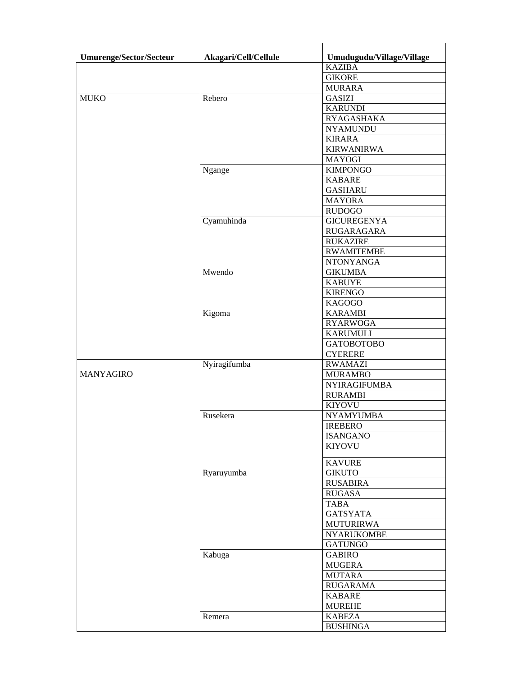| <b>Umurenge/Sector/Secteur</b> | Akagari/Cell/Cellule | Umudugudu/Village/Village           |
|--------------------------------|----------------------|-------------------------------------|
|                                |                      | <b>KAZIBA</b>                       |
|                                |                      | <b>GIKORE</b>                       |
|                                |                      | <b>MURARA</b>                       |
| <b>MUKO</b>                    | Rebero               | <b>GASIZI</b>                       |
|                                |                      | <b>KARUNDI</b>                      |
|                                |                      | RYAGASHAKA                          |
|                                |                      | <b>NYAMUNDU</b>                     |
|                                |                      | <b>KIRARA</b>                       |
|                                |                      | <b>KIRWANIRWA</b>                   |
|                                |                      | <b>MAYOGI</b>                       |
|                                | Ngange               | <b>KIMPONGO</b>                     |
|                                |                      | <b>KABARE</b>                       |
|                                |                      | <b>GASHARU</b>                      |
|                                |                      | <b>MAYORA</b>                       |
|                                |                      | <b>RUDOGO</b>                       |
|                                | Cyamuhinda           | <b>GICUREGENYA</b>                  |
|                                |                      | <b>RUGARAGARA</b>                   |
|                                |                      | <b>RUKAZIRE</b>                     |
|                                |                      | <b>RWAMITEMBE</b>                   |
|                                |                      | <b>NTONYANGA</b>                    |
|                                | Mwendo               | <b>GIKUMBA</b>                      |
|                                |                      | <b>KABUYE</b>                       |
|                                |                      | <b>KIRENGO</b>                      |
|                                |                      | <b>KAGOGO</b>                       |
|                                | Kigoma               | <b>KARAMBI</b>                      |
|                                |                      | <b>RYARWOGA</b>                     |
|                                |                      | <b>KARUMULI</b>                     |
|                                |                      | <b>GATOBOTOBO</b><br><b>CYERERE</b> |
|                                | Nyiragifumba         | <b>RWAMAZI</b>                      |
| <b>MANYAGIRO</b>               |                      | <b>MURAMBO</b>                      |
|                                |                      | NYIRAGIFUMBA                        |
|                                |                      | <b>RURAMBI</b>                      |
|                                |                      | <b>KIYOVU</b>                       |
|                                | Rusekera             | <b>NYAMYUMBA</b>                    |
|                                |                      | <b>IREBERO</b>                      |
|                                |                      | <b>ISANGANO</b>                     |
|                                |                      | <b>KIYOVU</b>                       |
|                                |                      |                                     |
|                                |                      | <b>KAVURE</b>                       |
|                                | Ryaruyumba           | <b>GIKUTO</b>                       |
|                                |                      | <b>RUSABIRA</b>                     |
|                                |                      | <b>RUGASA</b>                       |
|                                |                      | <b>TABA</b>                         |
|                                |                      | <b>GATSYATA</b>                     |
|                                |                      | <b>MUTURIRWA</b>                    |
|                                |                      | <b>NYARUKOMBE</b>                   |
|                                | Kabuga               | <b>GATUNGO</b><br><b>GABIRO</b>     |
|                                |                      | <b>MUGERA</b>                       |
|                                |                      | <b>MUTARA</b>                       |
|                                |                      | <b>RUGARAMA</b>                     |
|                                |                      | <b>KABARE</b>                       |
|                                |                      | <b>MUREHE</b>                       |
|                                | Remera               | <b>KABEZA</b>                       |
|                                |                      | <b>BUSHINGA</b>                     |
|                                |                      |                                     |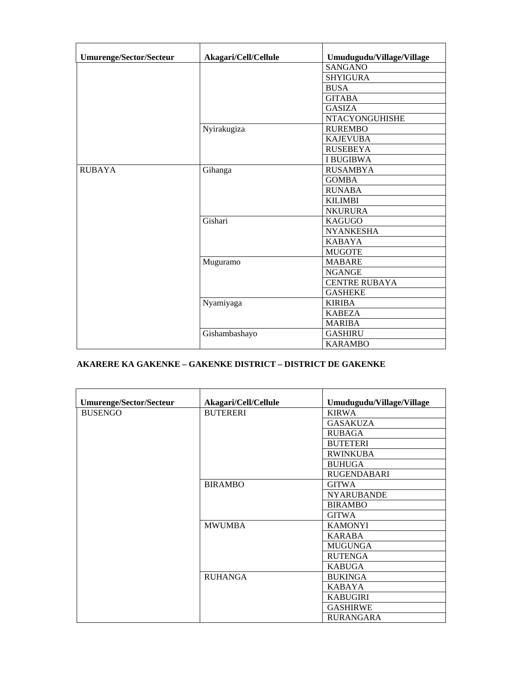| <b>Umurenge/Sector/Secteur</b> | Akagari/Cell/Cellule | Umudugudu/Village/Village |
|--------------------------------|----------------------|---------------------------|
|                                |                      | <b>SANGANO</b>            |
|                                |                      | <b>SHYIGURA</b>           |
|                                |                      | <b>BUSA</b>               |
|                                |                      | <b>GITABA</b>             |
|                                |                      | <b>GASIZA</b>             |
|                                |                      | <b>NTACYONGUHISHE</b>     |
|                                | Nyirakugiza          | <b>RUREMBO</b>            |
|                                |                      | <b>KAJEVUBA</b>           |
|                                |                      | <b>RUSEBEYA</b>           |
|                                |                      | <b>I BUGIBWA</b>          |
| <b>RUBAYA</b>                  | Gihanga              | <b>RUSAMBYA</b>           |
|                                |                      | <b>GOMBA</b>              |
|                                |                      | <b>RUNABA</b>             |
|                                |                      | <b>KILIMBI</b>            |
|                                |                      | <b>NKURURA</b>            |
|                                | Gishari              | <b>KAGUGO</b>             |
|                                |                      | <b>NYANKESHA</b>          |
|                                |                      | <b>KABAYA</b>             |
|                                |                      | <b>MUGOTE</b>             |
|                                | Muguramo             | <b>MABARE</b>             |
|                                |                      | <b>NGANGE</b>             |
|                                |                      | <b>CENTRE RUBAYA</b>      |
|                                |                      | <b>GASHEKE</b>            |
|                                | Nyamiyaga            | <b>KIRIBA</b>             |
|                                |                      | <b>KABEZA</b>             |
|                                |                      | <b>MARIBA</b>             |
|                                | Gishambashayo        | <b>GASHIRU</b>            |
|                                |                      | <b>KARAMBO</b>            |

## **AKARERE KA GAKENKE – GAKENKE DISTRICT – DISTRICT DE GAKENKE**

| <b>Umurenge/Sector/Secteur</b> | Akagari/Cell/Cellule | Umudugudu/Village/Village |
|--------------------------------|----------------------|---------------------------|
| <b>BUSENGO</b>                 | <b>BUTERERI</b>      | <b>KIRWA</b>              |
|                                |                      | <b>GASAKUZA</b>           |
|                                |                      | <b>RUBAGA</b>             |
|                                |                      | <b>BUTETERI</b>           |
|                                |                      | <b>RWINKUBA</b>           |
|                                |                      | <b>BUHUGA</b>             |
|                                |                      | <b>RUGENDABARI</b>        |
|                                | <b>BIRAMBO</b>       | <b>GITWA</b>              |
|                                |                      | <b>NYARUBANDE</b>         |
|                                |                      | <b>BIRAMBO</b>            |
|                                |                      | <b>GITWA</b>              |
|                                | <b>MWUMBA</b>        | <b>KAMONYI</b>            |
|                                |                      | <b>KARABA</b>             |
|                                |                      | <b>MUGUNGA</b>            |
|                                |                      | <b>RUTENGA</b>            |
|                                |                      | <b>KABUGA</b>             |
|                                | <b>RUHANGA</b>       | <b>BUKINGA</b>            |
|                                |                      | <b>KABAYA</b>             |
|                                |                      | <b>KABUGIRI</b>           |
|                                |                      | <b>GASHIRWE</b>           |
|                                |                      | <b>RURANGARA</b>          |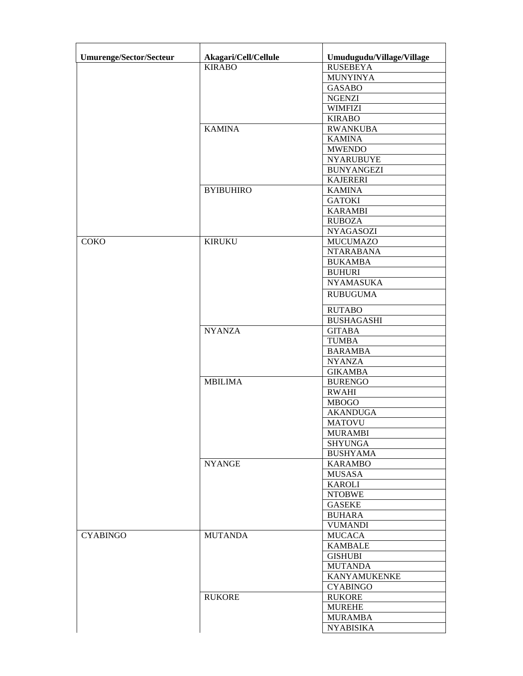| <b>Umurenge/Sector/Secteur</b> | Akagari/Cell/Cellule | Umudugudu/Village/Village |
|--------------------------------|----------------------|---------------------------|
|                                | <b>KIRABO</b>        | <b>RUSEBEYA</b>           |
|                                |                      | <b>MUNYINYA</b>           |
|                                |                      | <b>GASABO</b>             |
|                                |                      | <b>NGENZI</b>             |
|                                |                      | <b>WIMFIZI</b>            |
|                                |                      | <b>KIRABO</b>             |
|                                | <b>KAMINA</b>        | <b>RWANKUBA</b>           |
|                                |                      | <b>KAMINA</b>             |
|                                |                      | <b>MWENDO</b>             |
|                                |                      | <b>NYARUBUYE</b>          |
|                                |                      | <b>BUNYANGEZI</b>         |
|                                |                      | <b>KAJERERI</b>           |
|                                | <b>BYIBUHIRO</b>     | <b>KAMINA</b>             |
|                                |                      | <b>GATOKI</b>             |
|                                |                      | <b>KARAMBI</b>            |
|                                |                      | <b>RUBOZA</b>             |
|                                |                      | <b>NYAGASOZI</b>          |
| <b>COKO</b>                    | <b>KIRUKU</b>        | <b>MUCUMAZO</b>           |
|                                |                      | <b>NTARABANA</b>          |
|                                |                      | <b>BUKAMBA</b>            |
|                                |                      | <b>BUHURI</b>             |
|                                |                      | <b>NYAMASUKA</b>          |
|                                |                      | <b>RUBUGUMA</b>           |
|                                |                      | <b>RUTABO</b>             |
|                                |                      | <b>BUSHAGASHI</b>         |
|                                | <b>NYANZA</b>        | <b>GITABA</b>             |
|                                |                      | <b>TUMBA</b>              |
|                                |                      | <b>BARAMBA</b>            |
|                                |                      | <b>NYANZA</b>             |
|                                |                      | <b>GIKAMBA</b>            |
|                                | <b>MBILIMA</b>       | <b>BURENGO</b>            |
|                                |                      | <b>RWAHI</b>              |
|                                |                      | <b>MBOGO</b>              |
|                                |                      | <b>AKANDUGA</b>           |
|                                |                      | <b>MATOVU</b>             |
|                                |                      | <b>MURAMBI</b>            |
|                                |                      | <b>SHYUNGA</b>            |
|                                |                      | <b>BUSHYAMA</b>           |
|                                | <b>NYANGE</b>        | <b>KARAMBO</b>            |
|                                |                      | <b>MUSASA</b>             |
|                                |                      | <b>KAROLI</b>             |
|                                |                      | <b>NTOBWE</b>             |
|                                |                      | <b>GASEKE</b>             |
|                                |                      | <b>BUHARA</b>             |
|                                |                      | <b>VUMANDI</b>            |
| <b>CYABINGO</b>                | <b>MUTANDA</b>       | <b>MUCACA</b>             |
|                                |                      | <b>KAMBALE</b>            |
|                                |                      | <b>GISHUBI</b>            |
|                                |                      | <b>MUTANDA</b>            |
|                                |                      | <b>KANYAMUKENKE</b>       |
|                                |                      | <b>CYABINGO</b>           |
|                                | <b>RUKORE</b>        | <b>RUKORE</b>             |
|                                |                      | <b>MUREHE</b>             |
|                                |                      | <b>MURAMBA</b>            |
|                                |                      | <b>NYABISIKA</b>          |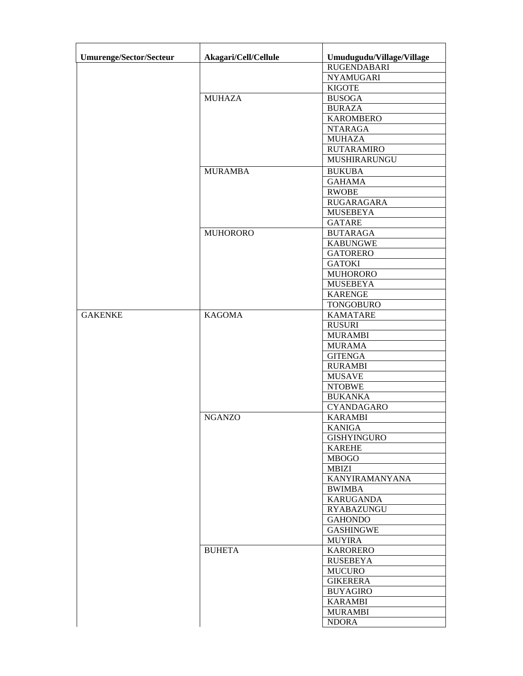| Umurenge/Sector/Secteur | Akagari/Cell/Cellule | Umudugudu/Village/Village |
|-------------------------|----------------------|---------------------------|
|                         |                      | <b>RUGENDABARI</b>        |
|                         |                      | <b>NYAMUGARI</b>          |
|                         |                      | <b>KIGOTE</b>             |
|                         | <b>MUHAZA</b>        | <b>BUSOGA</b>             |
|                         |                      | <b>BURAZA</b>             |
|                         |                      | <b>KAROMBERO</b>          |
|                         |                      | <b>NTARAGA</b>            |
|                         |                      | <b>MUHAZA</b>             |
|                         |                      | <b>RUTARAMIRO</b>         |
|                         |                      | MUSHIRARUNGU              |
|                         | <b>MURAMBA</b>       | <b>BUKUBA</b>             |
|                         |                      | <b>GAHAMA</b>             |
|                         |                      | <b>RWOBE</b>              |
|                         |                      | RUGARAGARA                |
|                         |                      | <b>MUSEBEYA</b>           |
|                         |                      | <b>GATARE</b>             |
|                         | <b>MUHORORO</b>      | <b>BUTARAGA</b>           |
|                         |                      | <b>KABUNGWE</b>           |
|                         |                      | <b>GATORERO</b>           |
|                         |                      | <b>GATOKI</b>             |
|                         |                      | <b>MUHORORO</b>           |
|                         |                      | <b>MUSEBEYA</b>           |
|                         |                      | <b>KARENGE</b>            |
|                         |                      | <b>TONGOBURO</b>          |
| <b>GAKENKE</b>          | <b>KAGOMA</b>        | <b>KAMATARE</b>           |
|                         |                      |                           |
|                         |                      | <b>RUSURI</b>             |
|                         |                      | <b>MURAMBI</b>            |
|                         |                      | <b>MURAMA</b>             |
|                         |                      | <b>GITENGA</b>            |
|                         |                      | <b>RURAMBI</b>            |
|                         |                      | <b>MUSAVE</b>             |
|                         |                      | <b>NTOBWE</b>             |
|                         |                      | <b>BUKANKA</b>            |
|                         |                      | <b>CYANDAGARO</b>         |
|                         | <b>NGANZO</b>        | <b>KARAMBI</b>            |
|                         |                      | KANIGA                    |
|                         |                      | <b>GISHYINGURO</b>        |
|                         |                      | <b>KAREHE</b>             |
|                         |                      | <b>MBOGO</b>              |
|                         |                      | MBIZI                     |
|                         |                      | KANYIRAMANYANA            |
|                         |                      | <b>BWIMBA</b>             |
|                         |                      | <b>KARUGANDA</b>          |
|                         |                      | <b>RYABAZUNGU</b>         |
|                         |                      | <b>GAHONDO</b>            |
|                         |                      | <b>GASHINGWE</b>          |
|                         |                      | <b>MUYIRA</b>             |
|                         | <b>BUHETA</b>        | <b>KARORERO</b>           |
|                         |                      | <b>RUSEBEYA</b>           |
|                         |                      | <b>MUCURO</b>             |
|                         |                      | <b>GIKERERA</b>           |
|                         |                      | <b>BUYAGIRO</b>           |
|                         |                      | <b>KARAMBI</b>            |
|                         |                      | <b>MURAMBI</b>            |
|                         |                      | <b>NDORA</b>              |
|                         |                      |                           |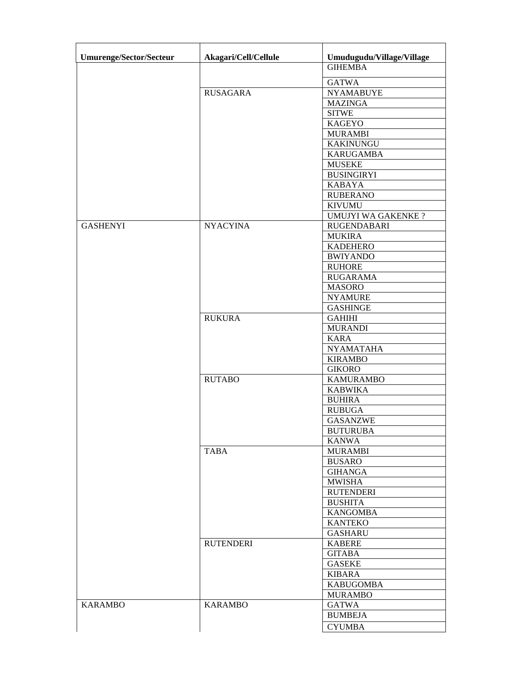| Umurenge/Sector/Secteur | Akagari/Cell/Cellule | Umudugudu/Village/Village |
|-------------------------|----------------------|---------------------------|
|                         |                      | <b>GIHEMBA</b>            |
|                         |                      | <b>GATWA</b>              |
|                         | <b>RUSAGARA</b>      | <b>NYAMABUYE</b>          |
|                         |                      | <b>MAZINGA</b>            |
|                         |                      | <b>SITWE</b>              |
|                         |                      | <b>KAGEYO</b>             |
|                         |                      | <b>MURAMBI</b>            |
|                         |                      | <b>KAKINUNGU</b>          |
|                         |                      | <b>KARUGAMBA</b>          |
|                         |                      | <b>MUSEKE</b>             |
|                         |                      | <b>BUSINGIRYI</b>         |
|                         |                      | <b>KABAYA</b>             |
|                         |                      | <b>RUBERANO</b>           |
|                         |                      | <b>KIVUMU</b>             |
|                         |                      | <b>UMUJYI WA GAKENKE?</b> |
| <b>GASHENYI</b>         | <b>NYACYINA</b>      | <b>RUGENDABARI</b>        |
|                         |                      | <b>MUKIRA</b>             |
|                         |                      | <b>KADEHERO</b>           |
|                         |                      | <b>BWIYANDO</b>           |
|                         |                      | <b>RUHORE</b>             |
|                         |                      | <b>RUGARAMA</b>           |
|                         |                      | <b>MASORO</b>             |
|                         |                      | <b>NYAMURE</b>            |
|                         |                      | <b>GASHINGE</b>           |
|                         | <b>RUKURA</b>        | <b>GAHIHI</b>             |
|                         |                      | <b>MURANDI</b>            |
|                         |                      | <b>KARA</b>               |
|                         |                      | <b>NYAMATAHA</b>          |
|                         |                      | <b>KIRAMBO</b>            |
|                         |                      | <b>GIKORO</b>             |
|                         | <b>RUTABO</b>        | <b>KAMURAMBO</b>          |
|                         |                      | <b>KABWIKA</b>            |
|                         |                      | <b>BUHIRA</b>             |
|                         |                      | <b>RUBUGA</b>             |
|                         |                      | <b>GASANZWE</b>           |
|                         |                      | <b>BUTURUBA</b>           |
|                         |                      | <b>KANWA</b>              |
|                         | <b>TABA</b>          | <b>MURAMBI</b>            |
|                         |                      | <b>BUSARO</b>             |
|                         |                      | <b>GIHANGA</b>            |
|                         |                      | <b>MWISHA</b>             |
|                         |                      | <b>RUTENDERI</b>          |
|                         |                      | <b>BUSHITA</b>            |
|                         |                      | <b>KANGOMBA</b>           |
|                         |                      | <b>KANTEKO</b>            |
|                         |                      | <b>GASHARU</b>            |
|                         | <b>RUTENDERI</b>     | <b>KABERE</b>             |
|                         |                      | <b>GITABA</b>             |
|                         |                      | <b>GASEKE</b>             |
|                         |                      | <b>KIBARA</b>             |
|                         |                      | <b>KABUGOMBA</b>          |
|                         |                      | <b>MURAMBO</b>            |
| <b>KARAMBO</b>          | <b>KARAMBO</b>       | <b>GATWA</b>              |
|                         |                      | <b>BUMBEJA</b>            |
|                         |                      | <b>CYUMBA</b>             |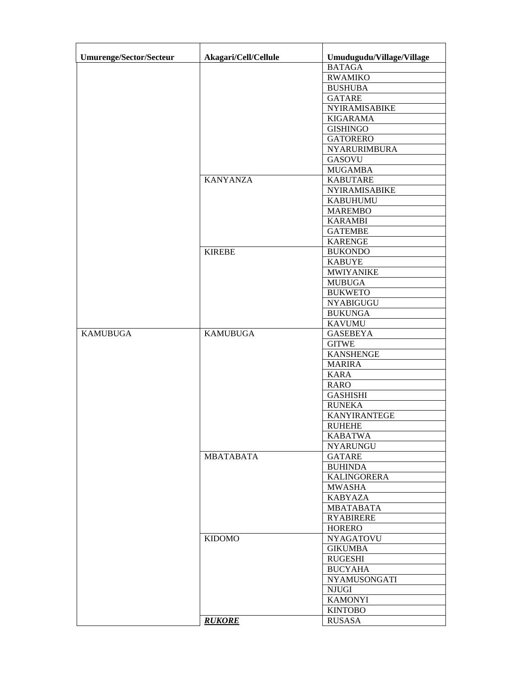| <b>Umurenge/Sector/Secteur</b> | Akagari/Cell/Cellule | Umudugudu/Village/Village |
|--------------------------------|----------------------|---------------------------|
|                                |                      | <b>BATAGA</b>             |
|                                |                      | <b>RWAMIKO</b>            |
|                                |                      | <b>BUSHUBA</b>            |
|                                |                      | <b>GATARE</b>             |
|                                |                      | <b>NYIRAMISABIKE</b>      |
|                                |                      | <b>KIGARAMA</b>           |
|                                |                      | <b>GISHINGO</b>           |
|                                |                      | <b>GATORERO</b>           |
|                                |                      | NYARURIMBURA              |
|                                |                      | <b>GASOVU</b>             |
|                                |                      | <b>MUGAMBA</b>            |
|                                | <b>KANYANZA</b>      | <b>KABUTARE</b>           |
|                                |                      | NYIRAMISABIKE             |
|                                |                      | <b>KABUHUMU</b>           |
|                                |                      | <b>MAREMBO</b>            |
|                                |                      | <b>KARAMBI</b>            |
|                                |                      | <b>GATEMBE</b>            |
|                                |                      |                           |
|                                |                      | <b>KARENGE</b>            |
|                                | <b>KIREBE</b>        | <b>BUKONDO</b>            |
|                                |                      | <b>KABUYE</b>             |
|                                |                      | <b>MWIYANIKE</b>          |
|                                |                      | <b>MUBUGA</b>             |
|                                |                      | <b>BUKWETO</b>            |
|                                |                      | <b>NYABIGUGU</b>          |
|                                |                      | <b>BUKUNGA</b>            |
|                                |                      | <b>KAVUMU</b>             |
| <b>KAMUBUGA</b>                | <b>KAMUBUGA</b>      | <b>GASEBEYA</b>           |
|                                |                      | <b>GITWE</b>              |
|                                |                      | <b>KANSHENGE</b>          |
|                                |                      | <b>MARIRA</b>             |
|                                |                      | <b>KARA</b>               |
|                                |                      | <b>RARO</b>               |
|                                |                      | <b>GASHISHI</b>           |
|                                |                      | <b>RUNEKA</b>             |
|                                |                      | KANYIRANTEGE              |
|                                |                      | <b>RUHEHE</b>             |
|                                |                      | <b>KABATWA</b>            |
|                                |                      | <b>NYARUNGU</b>           |
|                                | <b>MBATABATA</b>     | <b>GATARE</b>             |
|                                |                      | <b>BUHINDA</b>            |
|                                |                      | <b>KALINGORERA</b>        |
|                                |                      | <b>MWASHA</b>             |
|                                |                      | <b>KABYAZA</b>            |
|                                |                      | <b>MBATABATA</b>          |
|                                |                      | <b>RYABIRERE</b>          |
|                                |                      | <b>HORERO</b>             |
|                                | <b>KIDOMO</b>        | <b>NYAGATOVU</b>          |
|                                |                      | <b>GIKUMBA</b>            |
|                                |                      | RUGESHI                   |
|                                |                      | <b>BUCYAHA</b>            |
|                                |                      | NYAMUSONGATI              |
|                                |                      | <b>NJUGI</b>              |
|                                |                      | <b>KAMONYI</b>            |
|                                |                      | <b>KINTOBO</b>            |
|                                |                      |                           |
|                                | <b>RUKORE</b>        | <b>RUSASA</b>             |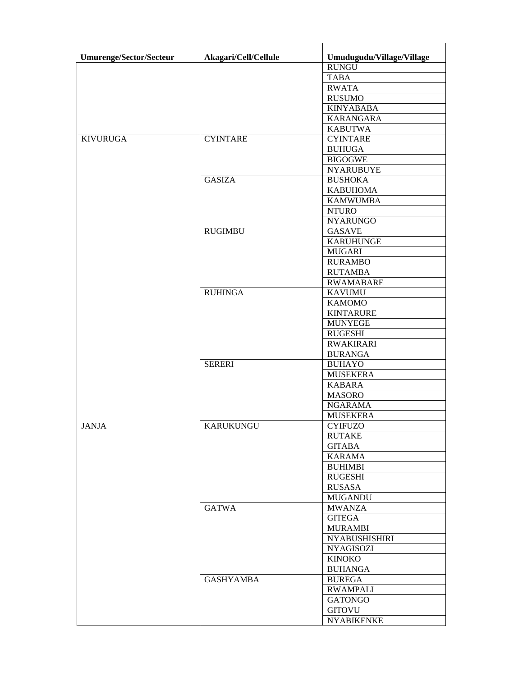| <b>Umurenge/Sector/Secteur</b> | Akagari/Cell/Cellule | Umudugudu/Village/Village |
|--------------------------------|----------------------|---------------------------|
|                                |                      | <b>RUNGU</b>              |
|                                |                      | <b>TABA</b>               |
|                                |                      | <b>RWATA</b>              |
|                                |                      | <b>RUSUMO</b>             |
|                                |                      | <b>KINYABABA</b>          |
|                                |                      | <b>KARANGARA</b>          |
|                                |                      | <b>KABUTWA</b>            |
| <b>KIVURUGA</b>                | <b>CYINTARE</b>      | <b>CYINTARE</b>           |
|                                |                      | <b>BUHUGA</b>             |
|                                |                      | <b>BIGOGWE</b>            |
|                                |                      | <b>NYARUBUYE</b>          |
|                                | <b>GASIZA</b>        | <b>BUSHOKA</b>            |
|                                |                      | <b>KABUHOMA</b>           |
|                                |                      | <b>KAMWUMBA</b>           |
|                                |                      | <b>NTURO</b>              |
|                                |                      | <b>NYARUNGO</b>           |
|                                | <b>RUGIMBU</b>       | <b>GASAVE</b>             |
|                                |                      | <b>KARUHUNGE</b>          |
|                                |                      | <b>MUGARI</b>             |
|                                |                      | <b>RURAMBO</b>            |
|                                |                      | <b>RUTAMBA</b>            |
|                                |                      | <b>RWAMABARE</b>          |
|                                | <b>RUHINGA</b>       | <b>KAVUMU</b>             |
|                                |                      | <b>KAMOMO</b>             |
|                                |                      | <b>KINTARURE</b>          |
|                                |                      | <b>MUNYEGE</b>            |
|                                |                      | <b>RUGESHI</b>            |
|                                |                      | <b>RWAKIRARI</b>          |
|                                |                      | <b>BURANGA</b>            |
|                                | <b>SERERI</b>        | <b>BUHAYO</b>             |
|                                |                      | <b>MUSEKERA</b>           |
|                                |                      | <b>KABARA</b>             |
|                                |                      | <b>MASORO</b>             |
|                                |                      | <b>NGARAMA</b>            |
|                                |                      | <b>MUSEKERA</b>           |
| <b>JANJA</b>                   | <b>KARUKUNGU</b>     | <b>CYIFUZO</b>            |
|                                |                      | <b>RUTAKE</b>             |
|                                |                      | <b>GITABA</b>             |
|                                |                      | <b>KARAMA</b>             |
|                                |                      | <b>BUHIMBI</b>            |
|                                |                      | <b>RUGESHI</b>            |
|                                |                      | RUSASA                    |
|                                |                      | <b>MUGANDU</b>            |
|                                | <b>GATWA</b>         | <b>MWANZA</b>             |
|                                |                      | <b>GITEGA</b>             |
|                                |                      | <b>MURAMBI</b>            |
|                                |                      | <b>NYABUSHISHIRI</b>      |
|                                |                      | <b>NYAGISOZI</b>          |
|                                |                      | <b>KINOKO</b>             |
|                                |                      | <b>BUHANGA</b>            |
|                                | <b>GASHYAMBA</b>     | <b>BUREGA</b>             |
|                                |                      | <b>RWAMPALI</b>           |
|                                |                      | <b>GATONGO</b>            |
|                                |                      | <b>GITOVU</b>             |
|                                |                      | <b>NYABIKENKE</b>         |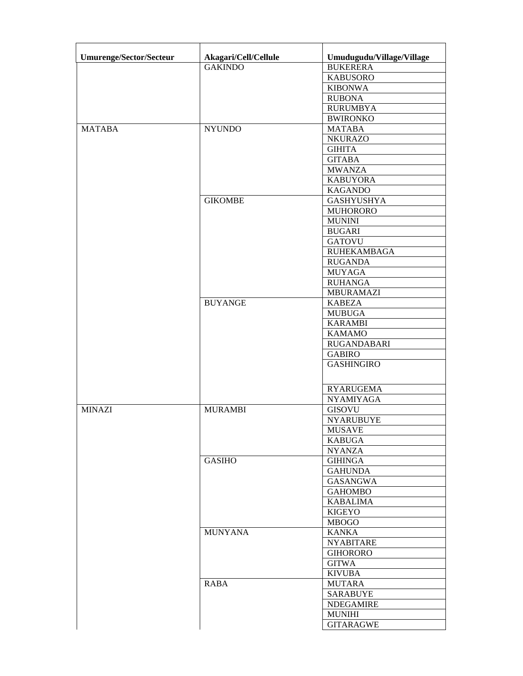| Umurenge/Sector/Secteur | Akagari/Cell/Cellule | Umudugudu/Village/Village |
|-------------------------|----------------------|---------------------------|
|                         | <b>GAKINDO</b>       | <b>BUKERERA</b>           |
|                         |                      | <b>KABUSORO</b>           |
|                         |                      | <b>KIBONWA</b>            |
|                         |                      | <b>RUBONA</b>             |
|                         |                      | <b>RURUMBYA</b>           |
|                         |                      | <b>BWIRONKO</b>           |
| <b>MATABA</b>           | <b>NYUNDO</b>        | <b>MATABA</b>             |
|                         |                      | <b>NKURAZO</b>            |
|                         |                      | <b>GIHITA</b>             |
|                         |                      | <b>GITABA</b>             |
|                         |                      | <b>MWANZA</b>             |
|                         |                      | <b>KABUYORA</b>           |
|                         |                      | <b>KAGANDO</b>            |
|                         | <b>GIKOMBE</b>       | <b>GASHYUSHYA</b>         |
|                         |                      | <b>MUHORORO</b>           |
|                         |                      | <b>MUNINI</b>             |
|                         |                      | <b>BUGARI</b>             |
|                         |                      | <b>GATOVU</b>             |
|                         |                      | <b>RUHEKAMBAGA</b>        |
|                         |                      | <b>RUGANDA</b>            |
|                         |                      | <b>MUYAGA</b>             |
|                         |                      | <b>RUHANGA</b>            |
|                         |                      | MBURAMAZI                 |
|                         | <b>BUYANGE</b>       | <b>KABEZA</b>             |
|                         |                      | <b>MUBUGA</b>             |
|                         |                      | <b>KARAMBI</b>            |
|                         |                      | <b>KAMAMO</b>             |
|                         |                      | <b>RUGANDABARI</b>        |
|                         |                      | <b>GABIRO</b>             |
|                         |                      | <b>GASHINGIRO</b>         |
|                         |                      |                           |
|                         |                      | <b>RYARUGEMA</b>          |
|                         |                      | <b>NYAMIYAGA</b>          |
| <b>MINAZI</b>           | <b>MURAMBI</b>       | <b>GISOVU</b>             |
|                         |                      | <b>NYARUBUYE</b>          |
|                         |                      | <b>MUSAVE</b>             |
|                         |                      | <b>KABUGA</b>             |
|                         |                      | <b>NYANZA</b>             |
|                         | <b>GASIHO</b>        | <b>GIHINGA</b>            |
|                         |                      | <b>GAHUNDA</b>            |
|                         |                      | <b>GASANGWA</b>           |
|                         |                      | <b>GAHOMBO</b>            |
|                         |                      | <b>KABALIMA</b>           |
|                         |                      | <b>KIGEYO</b>             |
|                         |                      | <b>MBOGO</b>              |
|                         | <b>MUNYANA</b>       | <b>KANKA</b>              |
|                         |                      | <b>NYABITARE</b>          |
|                         |                      | <b>GIHORORO</b>           |
|                         |                      | <b>GITWA</b>              |
|                         |                      | <b>KIVUBA</b>             |
|                         | RABA                 | <b>MUTARA</b>             |
|                         |                      | <b>SARABUYE</b>           |
|                         |                      | <b>NDEGAMIRE</b>          |
|                         |                      | <b>MUNIHI</b>             |
|                         |                      | <b>GITARAGWE</b>          |
|                         |                      |                           |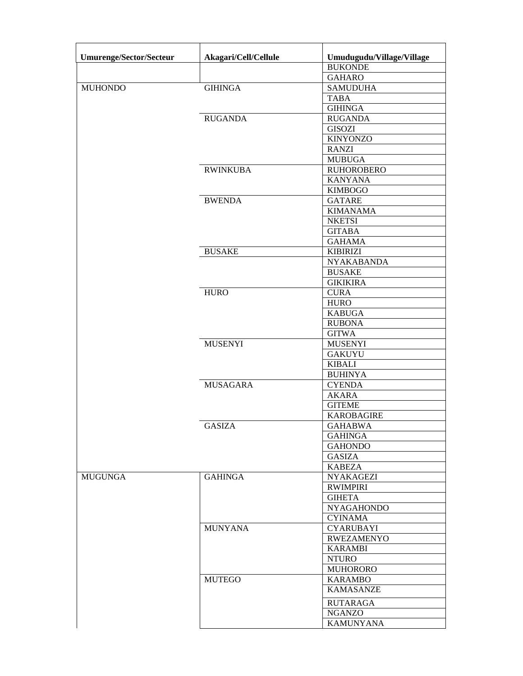| Umurenge/Sector/Secteur | Akagari/Cell/Cellule | Umudugudu/Village/Village |
|-------------------------|----------------------|---------------------------|
|                         |                      | <b>BUKONDE</b>            |
|                         |                      | <b>GAHARO</b>             |
| <b>MUHONDO</b>          | <b>GIHINGA</b>       | <b>SAMUDUHA</b>           |
|                         |                      | <b>TABA</b>               |
|                         |                      | <b>GIHINGA</b>            |
|                         | <b>RUGANDA</b>       | <b>RUGANDA</b>            |
|                         |                      | <b>GISOZI</b>             |
|                         |                      | <b>KINYONZO</b>           |
|                         |                      | <b>RANZI</b>              |
|                         |                      |                           |
|                         |                      | <b>MUBUGA</b>             |
|                         | <b>RWINKUBA</b>      | <b>RUHOROBERO</b>         |
|                         |                      | <b>KANYANA</b>            |
|                         |                      | <b>KIMBOGO</b>            |
|                         | <b>BWENDA</b>        | <b>GATARE</b>             |
|                         |                      | <b>KIMANAMA</b>           |
|                         |                      | <b>NKETSI</b>             |
|                         |                      | <b>GITABA</b>             |
|                         |                      | <b>GAHAMA</b>             |
|                         | <b>BUSAKE</b>        | <b>KIBIRIZI</b>           |
|                         |                      | <b>NYAKABANDA</b>         |
|                         |                      | <b>BUSAKE</b>             |
|                         |                      | <b>GIKIKIRA</b>           |
|                         | <b>HURO</b>          | <b>CURA</b>               |
|                         |                      | <b>HURO</b>               |
|                         |                      | <b>KABUGA</b>             |
|                         |                      | <b>RUBONA</b>             |
|                         |                      | <b>GITWA</b>              |
|                         | <b>MUSENYI</b>       | <b>MUSENYI</b>            |
|                         |                      | <b>GAKUYU</b>             |
|                         |                      | <b>KIBALI</b>             |
|                         |                      | <b>BUHINYA</b>            |
|                         | <b>MUSAGARA</b>      | <b>CYENDA</b>             |
|                         |                      |                           |
|                         |                      | <b>AKARA</b>              |
|                         |                      | <b>GITEME</b>             |
|                         |                      | <b>KAROBAGIRE</b>         |
|                         | <b>GASIZA</b>        | <b>GAHABWA</b>            |
|                         |                      | <b>GAHINGA</b>            |
|                         |                      | <b>GAHONDO</b>            |
|                         |                      | GASIZA                    |
|                         |                      | <b>KABEZA</b>             |
| <b>MUGUNGA</b>          | <b>GAHINGA</b>       | <b>NYAKAGEZI</b>          |
|                         |                      | <b>RWIMPIRI</b>           |
|                         |                      | <b>GIHETA</b>             |
|                         |                      | <b>NYAGAHONDO</b>         |
|                         |                      | <b>CYINAMA</b>            |
|                         | <b>MUNYANA</b>       | <b>CYARUBAYI</b>          |
|                         |                      | <b>RWEZAMENYO</b>         |
|                         |                      | <b>KARAMBI</b>            |
|                         |                      | <b>NTURO</b>              |
|                         |                      | <b>MUHORORO</b>           |
|                         | <b>MUTEGO</b>        | <b>KARAMBO</b>            |
|                         |                      | <b>KAMASANZE</b>          |
|                         |                      |                           |
|                         |                      | <b>RUTARAGA</b>           |
|                         |                      | <b>NGANZO</b>             |
|                         |                      | <b>KAMUNYANA</b>          |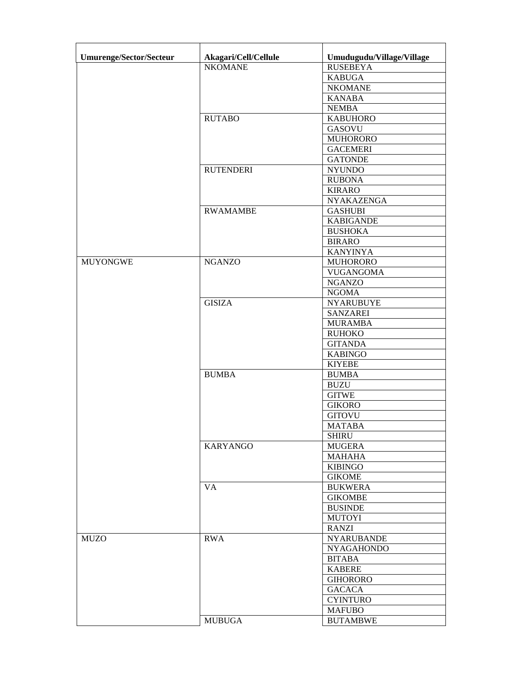| Umurenge/Sector/Secteur | Akagari/Cell/Cellule | Umudugudu/Village/Village |
|-------------------------|----------------------|---------------------------|
|                         | <b>NKOMANE</b>       | <b>RUSEBEYA</b>           |
|                         |                      | <b>KABUGA</b>             |
|                         |                      | <b>NKOMANE</b>            |
|                         |                      | <b>KANABA</b>             |
|                         |                      | <b>NEMBA</b>              |
|                         | <b>RUTABO</b>        | <b>KABUHORO</b>           |
|                         |                      | <b>GASOVU</b>             |
|                         |                      | <b>MUHORORO</b>           |
|                         |                      | <b>GACEMERI</b>           |
|                         |                      | <b>GATONDE</b>            |
|                         | <b>RUTENDERI</b>     | <b>NYUNDO</b>             |
|                         |                      | <b>RUBONA</b>             |
|                         |                      | <b>KIRARO</b>             |
|                         |                      | <b>NYAKAZENGA</b>         |
|                         | <b>RWAMAMBE</b>      | <b>GASHUBI</b>            |
|                         |                      | <b>KABIGANDE</b>          |
|                         |                      | <b>BUSHOKA</b>            |
|                         |                      |                           |
|                         |                      | <b>BIRARO</b>             |
|                         |                      | <b>KANYINYA</b>           |
| <b>MUYONGWE</b>         | <b>NGANZO</b>        | <b>MUHORORO</b>           |
|                         |                      | <b>VUGANGOMA</b>          |
|                         |                      | <b>NGANZO</b>             |
|                         |                      | <b>NGOMA</b>              |
|                         | <b>GISIZA</b>        | <b>NYARUBUYE</b>          |
|                         |                      | <b>SANZAREI</b>           |
|                         |                      | <b>MURAMBA</b>            |
|                         |                      | <b>RUHOKO</b>             |
|                         |                      | <b>GITANDA</b>            |
|                         |                      | <b>KABINGO</b>            |
|                         |                      | <b>KIYEBE</b>             |
|                         | <b>BUMBA</b>         | <b>BUMBA</b>              |
|                         |                      | <b>BUZU</b>               |
|                         |                      | <b>GITWE</b>              |
|                         |                      | <b>GIKORO</b>             |
|                         |                      | <b>GITOVU</b>             |
|                         |                      | <b>MATABA</b>             |
|                         |                      | <b>SHIRU</b>              |
|                         | <b>KARYANGO</b>      | <b>MUGERA</b>             |
|                         |                      | <b>MAHAHA</b>             |
|                         |                      | <b>KIBINGO</b>            |
|                         |                      | <b>GIKOME</b>             |
|                         | <b>VA</b>            | <b>BUKWERA</b>            |
|                         |                      | <b>GIKOMBE</b>            |
|                         |                      | <b>BUSINDE</b>            |
|                         |                      | <b>MUTOYI</b>             |
|                         |                      | <b>RANZI</b>              |
| <b>MUZO</b>             | <b>RWA</b>           | <b>NYARUBANDE</b>         |
|                         |                      | <b>NYAGAHONDO</b>         |
|                         |                      | <b>BITABA</b>             |
|                         |                      | <b>KABERE</b>             |
|                         |                      | <b>GIHORORO</b>           |
|                         |                      | <b>GACACA</b>             |
|                         |                      | <b>CYINTURO</b>           |
|                         |                      | <b>MAFUBO</b>             |
|                         | <b>MUBUGA</b>        | <b>BUTAMBWE</b>           |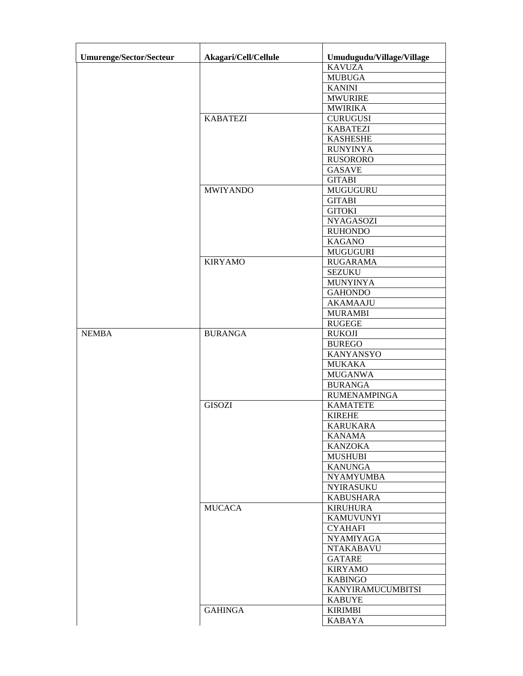| Umurenge/Sector/Secteur | Akagari/Cell/Cellule | Umudugudu/Village/Village |
|-------------------------|----------------------|---------------------------|
|                         |                      | <b>KAVUZA</b>             |
|                         |                      | <b>MUBUGA</b>             |
|                         |                      | <b>KANINI</b>             |
|                         |                      | <b>MWURIRE</b>            |
|                         |                      | <b>MWIRIKA</b>            |
|                         | <b>KABATEZI</b>      | <b>CURUGUSI</b>           |
|                         |                      | <b>KABATEZI</b>           |
|                         |                      | <b>KASHESHE</b>           |
|                         |                      | <b>RUNYINYA</b>           |
|                         |                      | <b>RUSORORO</b>           |
|                         |                      | <b>GASAVE</b>             |
|                         |                      | <b>GITABI</b>             |
|                         | <b>MWIYANDO</b>      | <b>MUGUGURU</b>           |
|                         |                      |                           |
|                         |                      | <b>GITABI</b>             |
|                         |                      | <b>GITOKI</b>             |
|                         |                      | <b>NYAGASOZI</b>          |
|                         |                      | <b>RUHONDO</b>            |
|                         |                      | <b>KAGANO</b>             |
|                         |                      | <b>MUGUGURI</b>           |
|                         | <b>KIRYAMO</b>       | <b>RUGARAMA</b>           |
|                         |                      | <b>SEZUKU</b>             |
|                         |                      | <b>MUNYINYA</b>           |
|                         |                      | <b>GAHONDO</b>            |
|                         |                      | <b>AKAMAAJU</b>           |
|                         |                      | <b>MURAMBI</b>            |
|                         |                      | <b>RUGEGE</b>             |
| <b>NEMBA</b>            | <b>BURANGA</b>       | <b>RUKOJI</b>             |
|                         |                      | <b>BUREGO</b>             |
|                         |                      | <b>KANYANSYO</b>          |
|                         |                      | <b>MUKAKA</b>             |
|                         |                      | <b>MUGANWA</b>            |
|                         |                      | <b>BURANGA</b>            |
|                         |                      | <b>RUMENAMPINGA</b>       |
|                         | <b>GISOZI</b>        | <b>KAMATETE</b>           |
|                         |                      | <b>KIREHE</b>             |
|                         |                      | <b>KARUKARA</b>           |
|                         |                      | <b>KANAMA</b>             |
|                         |                      | <b>KANZOKA</b>            |
|                         |                      | <b>MUSHUBI</b>            |
|                         |                      | <b>KANUNGA</b>            |
|                         |                      | <b>NYAMYUMBA</b>          |
|                         |                      | <b>NYIRASUKU</b>          |
|                         |                      | <b>KABUSHARA</b>          |
|                         | <b>MUCACA</b>        | <b>KIRUHURA</b>           |
|                         |                      | <b>KAMUVUNYI</b>          |
|                         |                      | <b>CYAHAFI</b>            |
|                         |                      | <b>NYAMIYAGA</b>          |
|                         |                      | <b>NTAKABAVU</b>          |
|                         |                      | <b>GATARE</b>             |
|                         |                      |                           |
|                         |                      | <b>KIRYAMO</b>            |
|                         |                      | <b>KABINGO</b>            |
|                         |                      | KANYIRAMUCUMBITSI         |
|                         |                      | <b>KABUYE</b>             |
|                         | <b>GAHINGA</b>       | <b>KIRIMBI</b>            |
|                         |                      | <b>KABAYA</b>             |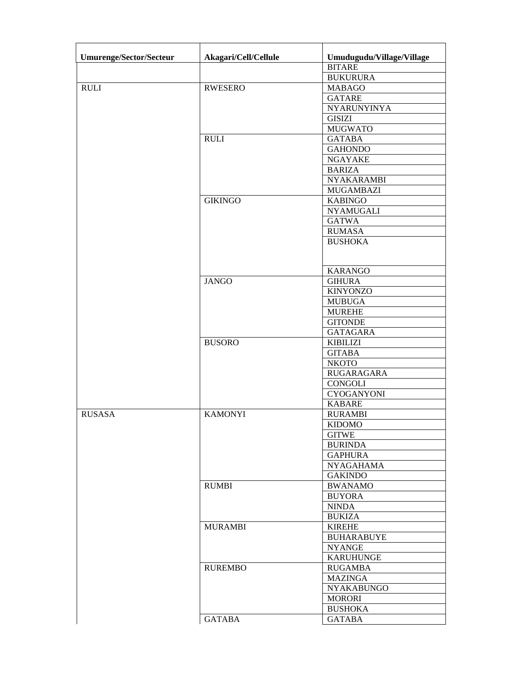| Umurenge/Sector/Secteur | Akagari/Cell/Cellule | Umudugudu/Village/Village |
|-------------------------|----------------------|---------------------------|
|                         |                      | <b>BITARE</b>             |
|                         |                      | <b>BUKURURA</b>           |
| <b>RULI</b>             | <b>RWESERO</b>       | <b>MABAGO</b>             |
|                         |                      | <b>GATARE</b>             |
|                         |                      | NYARUNYINYA               |
|                         |                      | <b>GISIZI</b>             |
|                         |                      | <b>MUGWATO</b>            |
|                         | <b>RULI</b>          | <b>GATABA</b>             |
|                         |                      | <b>GAHONDO</b>            |
|                         |                      | <b>NGAYAKE</b>            |
|                         |                      | <b>BARIZA</b>             |
|                         |                      | <b>NYAKARAMBI</b>         |
|                         |                      | <b>MUGAMBAZI</b>          |
|                         | <b>GIKINGO</b>       | <b>KABINGO</b>            |
|                         |                      | <b>NYAMUGALI</b>          |
|                         |                      | <b>GATWA</b>              |
|                         |                      | <b>RUMASA</b>             |
|                         |                      | <b>BUSHOKA</b>            |
|                         |                      |                           |
|                         |                      | <b>KARANGO</b>            |
|                         | <b>JANGO</b>         | <b>GIHURA</b>             |
|                         |                      | <b>KINYONZO</b>           |
|                         |                      | <b>MUBUGA</b>             |
|                         |                      | <b>MUREHE</b>             |
|                         |                      | <b>GITONDE</b>            |
|                         |                      | <b>GATAGARA</b>           |
|                         | <b>BUSORO</b>        | <b>KIBILIZI</b>           |
|                         |                      | <b>GITABA</b>             |
|                         |                      | <b>NKOTO</b>              |
|                         |                      | RUGARAGARA                |
|                         |                      | <b>CONGOLI</b>            |
|                         |                      | <b>CYOGANYONI</b>         |
|                         |                      | <b>KABARE</b>             |
| <b>RUSASA</b>           | <b>KAMONYI</b>       | <b>RURAMBI</b>            |
|                         |                      | <b>KIDOMO</b>             |
|                         |                      | <b>GITWE</b>              |
|                         |                      | <b>BURINDA</b>            |
|                         |                      | <b>GAPHURA</b>            |
|                         |                      | <b>NYAGAHAMA</b>          |
|                         |                      | <b>GAKINDO</b>            |
|                         | <b>RUMBI</b>         | <b>BWANAMO</b>            |
|                         |                      | <b>BUYORA</b>             |
|                         |                      | <b>NINDA</b>              |
|                         |                      | <b>BUKIZA</b>             |
|                         | <b>MURAMBI</b>       | <b>KIREHE</b>             |
|                         |                      | <b>BUHARABUYE</b>         |
|                         |                      | <b>NYANGE</b>             |
|                         |                      | <b>KARUHUNGE</b>          |
|                         | <b>RUREMBO</b>       | <b>RUGAMBA</b>            |
|                         |                      | <b>MAZINGA</b>            |
|                         |                      | <b>NYAKABUNGO</b>         |
|                         |                      | <b>MORORI</b>             |
|                         |                      | <b>BUSHOKA</b>            |
|                         | <b>GATABA</b>        | <b>GATABA</b>             |
|                         |                      |                           |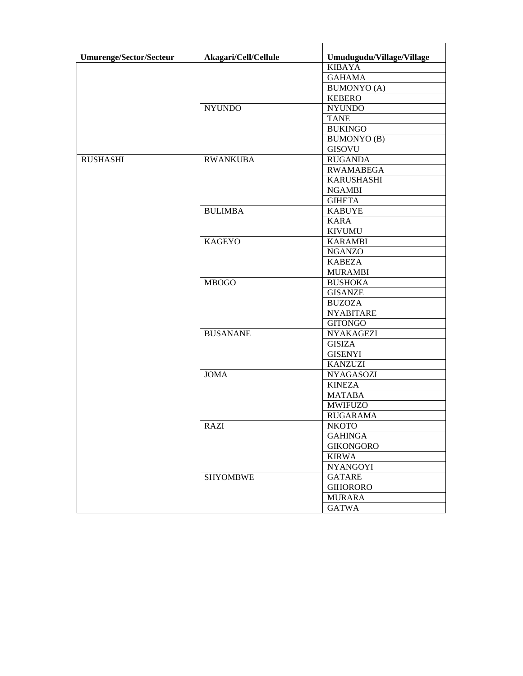| <b>Umurenge/Sector/Secteur</b> | Akagari/Cell/Cellule | Umudugudu/Village/Village<br><b>KIBAYA</b> |
|--------------------------------|----------------------|--------------------------------------------|
|                                |                      |                                            |
|                                |                      | <b>GAHAMA</b>                              |
|                                |                      | <b>BUMONYO</b> (A)                         |
|                                |                      | <b>KEBERO</b>                              |
|                                | <b>NYUNDO</b>        | <b>NYUNDO</b>                              |
|                                |                      | <b>TANE</b>                                |
|                                |                      | <b>BUKINGO</b>                             |
|                                |                      | <b>BUMONYO</b> (B)                         |
|                                |                      | <b>GISOVU</b>                              |
| <b>RUSHASHI</b>                | <b>RWANKUBA</b>      | <b>RUGANDA</b>                             |
|                                |                      | <b>RWAMABEGA</b>                           |
|                                |                      | <b>KARUSHASHI</b>                          |
|                                |                      | <b>NGAMBI</b>                              |
|                                |                      | <b>GIHETA</b>                              |
|                                | <b>BULIMBA</b>       | <b>KABUYE</b>                              |
|                                |                      | <b>KARA</b>                                |
|                                |                      | <b>KIVUMU</b>                              |
|                                | <b>KAGEYO</b>        | <b>KARAMBI</b>                             |
|                                |                      | <b>NGANZO</b>                              |
|                                |                      | <b>KABEZA</b>                              |
|                                |                      | <b>MURAMBI</b>                             |
|                                | <b>MBOGO</b>         | <b>BUSHOKA</b>                             |
|                                |                      | <b>GISANZE</b>                             |
|                                |                      | <b>BUZOZA</b>                              |
|                                |                      | <b>NYABITARE</b>                           |
|                                |                      | <b>GITONGO</b>                             |
|                                | <b>BUSANANE</b>      | <b>NYAKAGEZI</b>                           |
|                                |                      | <b>GISIZA</b>                              |
|                                |                      | <b>GISENYI</b>                             |
|                                |                      | <b>KANZUZI</b>                             |
|                                | <b>JOMA</b>          | <b>NYAGASOZI</b>                           |
|                                |                      |                                            |
|                                |                      | <b>KINEZA</b>                              |
|                                |                      | <b>MATABA</b>                              |
|                                |                      | <b>MWIFUZO</b>                             |
|                                |                      | <b>RUGARAMA</b>                            |
|                                | RAZI                 | <b>NKOTO</b>                               |
|                                |                      | <b>GAHINGA</b>                             |
|                                |                      | <b>GIKONGORO</b>                           |
|                                |                      | <b>KIRWA</b>                               |
|                                |                      | <b>NYANGOYI</b>                            |
|                                | <b>SHYOMBWE</b>      | <b>GATARE</b>                              |
|                                |                      | <b>GIHORORO</b>                            |
|                                |                      | <b>MURARA</b>                              |
|                                |                      | <b>GATWA</b>                               |
|                                |                      |                                            |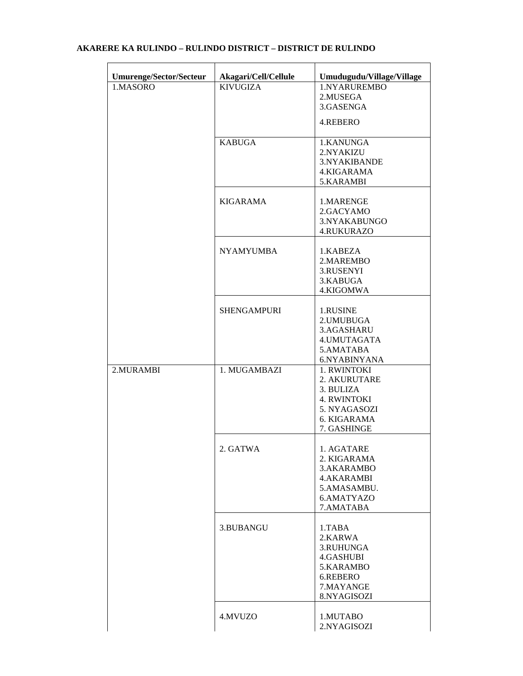# **Umurenge/Sector/Secteur Akagari/Cell/Cellule Umudugudu/Village/Village**  1.NYARUREMBO 2.MUSEGA 3.GASENGA 4.REBERO KABUGA 1.KANUNGA 2.NYAKIZU 3.NYAKIBANDE 4.KIGARAMA 5.KARAMBI KIGARAMA 1.MARENGE 2.GACYAMO 3.NYAKABUNGO 4.RUKURAZO NYAMYUMBA 1.KABEZA 2.MAREMBO 3.RUSENYI 3.KABUGA 4.KIGOMWA SHENGAMPURI | 1.RUSINE 2.UMUBUGA 3.AGASHARU 4.UMUTAGATA 5.AMATABA 6.NYABINYANA 2.MURAMBI 1. MUGAMBAZI 1. RWINTOKI 2. AKURUTARE 3. BULIZA 4. RWINTOKI 5. NYAGASOZI 6. KIGARAMA 7. GASHINGE 2. GATWA 1. AGATARE 2. KIGARAMA 3.AKARAMBO 4.AKARAMBI 5.AMASAMBU. 6.AMATYAZO 7.AMATABA

## **AKARERE KA RULINDO – RULINDO DISTRICT – DISTRICT DE RULINDO**

|         | 5.KARAMBO<br>6.REBERO<br>7.MAYANGE<br>8.NYAGISOZI |
|---------|---------------------------------------------------|
| 4.MVUZO | 1.MUTABO<br>2.NYAGISOZI                           |

 2.KARWA 3.RUHUNGA 4.GASHUBI

3.BUBANGU 1.TABA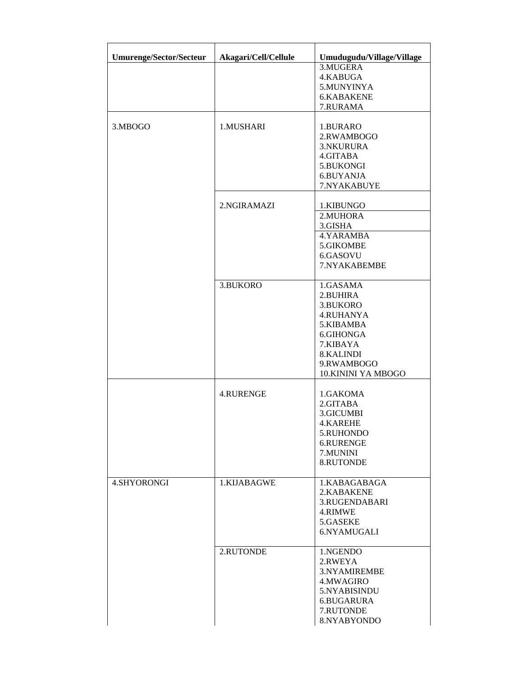| <b>Umurenge/Sector/Secteur</b> | Akagari/Cell/Cellule | Umudugudu/Village/Village |
|--------------------------------|----------------------|---------------------------|
|                                |                      | 3.MUGERA                  |
|                                |                      | 4.KABUGA                  |
|                                |                      | 5.MUNYINYA<br>6.KABAKENE  |
|                                |                      | 7.RURAMA                  |
|                                |                      |                           |
| 3.MBOGO                        | 1.MUSHARI            | 1.BURARO                  |
|                                |                      | 2.RWAMBOGO                |
|                                |                      | 3.NKURURA                 |
|                                |                      | 4.GITABA                  |
|                                |                      | 5.BUKONGI                 |
|                                |                      | 6.BUYANJA                 |
|                                |                      | 7.NYAKABUYE               |
|                                | 2.NGIRAMAZI          | 1.KIBUNGO                 |
|                                |                      | 2.MUHORA                  |
|                                |                      | 3.GISHA                   |
|                                |                      | 4.YARAMBA                 |
|                                |                      | 5.GIKOMBE                 |
|                                |                      | 6.GASOVU                  |
|                                |                      | 7.NYAKABEMBE              |
|                                | 3.BUKORO             | 1.GASAMA                  |
|                                |                      | 2.BUHIRA                  |
|                                |                      | 3.BUKORO                  |
|                                |                      | <b>4.RUHANYA</b>          |
|                                |                      | 5.KIBAMBA                 |
|                                |                      | 6.GIHONGA                 |
|                                |                      | 7.KIBAYA                  |
|                                |                      | 8.KALINDI                 |
|                                |                      | 9.RWAMBOGO                |
|                                |                      | 10.KININI YA MBOGO        |
|                                | <b>4.RURENGE</b>     | 1.GAKOMA                  |
|                                |                      | 2.GITABA                  |
|                                |                      | 3.GICUMBI                 |
|                                |                      | <b>4.KAREHE</b>           |
|                                |                      | 5.RUHONDO                 |
|                                |                      | 6.RURENGE                 |
|                                |                      | 7.MUNINI                  |
|                                |                      | 8.RUTONDE                 |
| 4.SHYORONGI                    | 1.KIJABAGWE          | 1.KABAGABAGA              |
|                                |                      | 2.KABAKENE                |
|                                |                      | 3.RUGENDABARI             |
|                                |                      | 4.RIMWE                   |
|                                |                      | 5.GASEKE                  |
|                                |                      | 6.NYAMUGALI               |
|                                | 2.RUTONDE            | 1.NGENDO                  |
|                                |                      | 2.RWEYA                   |
|                                |                      | 3.NYAMIREMBE              |
|                                |                      | 4.MWAGIRO                 |
|                                |                      | 5.NYABISINDU              |
|                                |                      | 6.BUGARURA                |
|                                |                      | 7.RUTONDE                 |
|                                |                      | 8.NYABYONDO               |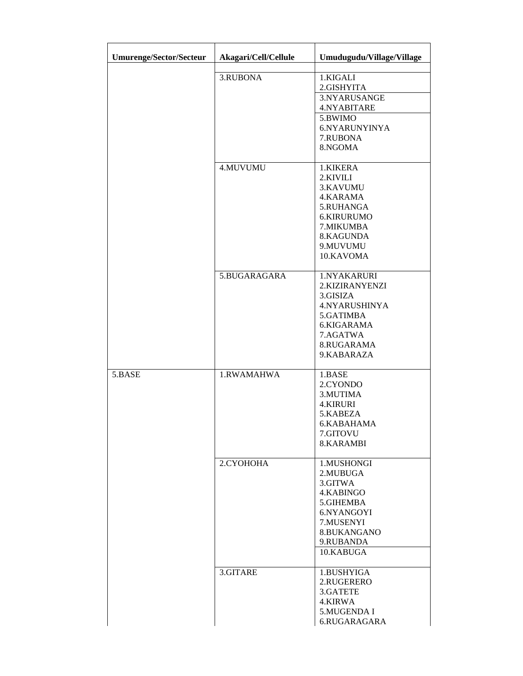| Umurenge/Sector/Secteur | Akagari/Cell/Cellule | Umudugudu/Village/Village                                                                                                       |
|-------------------------|----------------------|---------------------------------------------------------------------------------------------------------------------------------|
|                         | 3.RUBONA             | 1.KIGALI<br>2.GISHYITA<br>3.NYARUSANGE<br>4.NYABITARE<br>5.BWIMO<br>6.NYARUNYINYA<br>7.RUBONA<br>8.NGOMA                        |
|                         | 4.MUVUMU             | 1.KIKERA<br>2.KIVILI<br>3.KAVUMU<br>4.KARAMA<br>5.RUHANGA<br>6.KIRURUMO<br>7.MIKUMBA<br>8.KAGUNDA<br>9.MUVUMU<br>10.KAVOMA      |
|                         | 5.BUGARAGARA         | 1.NYAKARURI<br>2.KIZIRANYENZI<br>3.GISIZA<br>4.NYARUSHINYA<br>5.GATIMBA<br>6.KIGARAMA<br>7.AGATWA<br>8.RUGARAMA<br>9.KABARAZA   |
| 5.BASE                  | 1.RWAMAHWA           | 1.BASE<br>2.CYONDO<br>3.MUTIMA<br><b>4.KIRURI</b><br>5.KABEZA<br>6.KABAHAMA<br>7.GITOVU<br>8.KARAMBI                            |
|                         | 2.CYOHOHA            | 1.MUSHONGI<br>2.MUBUGA<br>3.GITWA<br>4.KABINGO<br>5.GIHEMBA<br>6.NYANGOYI<br>7.MUSENYI<br>8.BUKANGANO<br>9.RUBANDA<br>10.KABUGA |
|                         | 3.GITARE             | 1.BUSHYIGA<br>2.RUGERERO<br>3.GATETE<br>4.KIRWA<br>5.MUGENDA I<br>6.RUGARAGARA                                                  |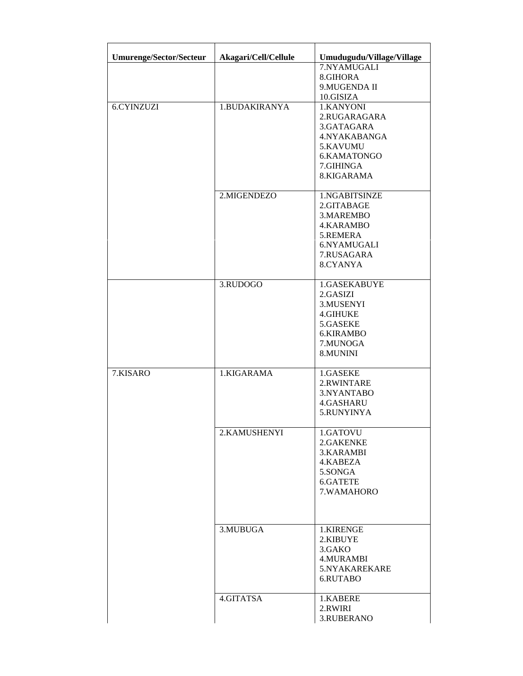| <b>Umurenge/Sector/Secteur</b> | Akagari/Cell/Cellule | Umudugudu/Village/Village                                                                                     |
|--------------------------------|----------------------|---------------------------------------------------------------------------------------------------------------|
|                                |                      | 7.NYAMUGALI<br>8.GIHORA<br>9. MUGENDA II<br>10.GISIZA                                                         |
| <b>6.CYINZUZI</b>              | 1.BUDAKIRANYA        | 1.KANYONI<br>2.RUGARAGARA<br>3.GATAGARA<br>4.NYAKABANGA<br>5.KAVUMU<br>6.KAMATONGO<br>7.GIHINGA<br>8.KIGARAMA |
|                                | 2.MIGENDEZO          | 1.NGABITSINZE<br>2.GITABAGE<br>3.MAREMBO<br>4.KARAMBO<br>5.REMERA<br>6.NYAMUGALI<br>7.RUSAGARA<br>8.CYANYA    |
|                                | 3.RUDOGO             | 1.GASEKABUYE<br>2.GASIZI<br>3.MUSENYI<br><b>4.GIHUKE</b><br>5.GASEKE<br>6.KIRAMBO<br>7.MUNOGA<br>8.MUNINI     |
| 7.KISARO                       | 1.KIGARAMA           | 1.GASEKE<br>2.RWINTARE<br>3.NYANTABO<br>4.GASHARU<br>5.RUNYINYA                                               |
|                                | 2.KAMUSHENYI         | 1.GATOVU<br>2.GAKENKE<br>3.KARAMBI<br>4.KABEZA<br>5.SONGA<br>6.GATETE<br>7.WAMAHORO                           |
|                                | 3.MUBUGA             | 1.KIRENGE<br>2.KIBUYE<br>3.GAKO<br>4.MURAMBI<br>5.NYAKAREKARE<br>6.RUTABO                                     |
|                                | 4.GITATSA            | 1.KABERE<br>2.RWIRI<br>3.RUBERANO                                                                             |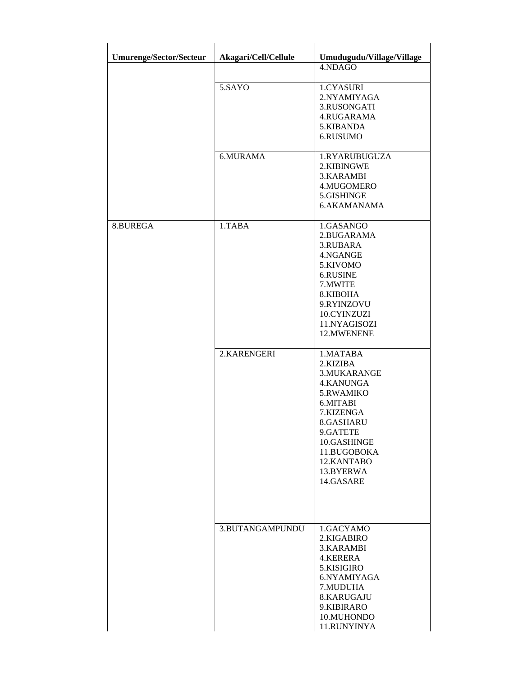| <b>Umurenge/Sector/Secteur</b> | Akagari/Cell/Cellule | Umudugudu/Village/Village                                                                                                                                                             |
|--------------------------------|----------------------|---------------------------------------------------------------------------------------------------------------------------------------------------------------------------------------|
|                                |                      | 4.NDAGO                                                                                                                                                                               |
|                                | 5.SAYO               | 1.CYASURI<br>2.NYAMIYAGA<br>3.RUSONGATI<br>4.RUGARAMA<br>5.KIBANDA<br>6.RUSUMO                                                                                                        |
|                                | 6.MURAMA             | 1.RYARUBUGUZA<br>2.KIBINGWE<br>3.KARAMBI<br>4.MUGOMERO<br>5.GISHINGE<br>6.AKAMANAMA                                                                                                   |
| 8.BUREGA                       | 1.TABA               | 1.GASANGO<br>2.BUGARAMA<br>3.RUBARA<br>4.NGANGE<br>5.KIVOMO<br>6.RUSINE<br>7.MWITE<br>8.KIBOHA<br>9.RYINZOVU<br>10.CYINZUZI<br>11.NYAGISOZI<br>12.MWENENE                             |
|                                | 2.KARENGERI          | 1.MATABA<br>2.KIZIBA<br>3.MUKARANGE<br>4.KANUNGA<br>5.RWAMIKO<br>6.MITABI<br>7.KIZENGA<br>8.GASHARU<br>9.GATETE<br>10.GASHINGE<br>11.BUGOBOKA<br>12.KANTABO<br>13.BYERWA<br>14.GASARE |
|                                | 3.BUTANGAMPUNDU      | 1.GACYAMO<br>2.KIGABIRO<br>3.KARAMBI<br>4.KERERA<br>5.KISIGIRO<br>6.NYAMIYAGA<br>7.MUDUHA<br>8.KARUGAJU<br>9.KIBIRARO<br>10.MUHONDO<br>11.RUNYINYA                                    |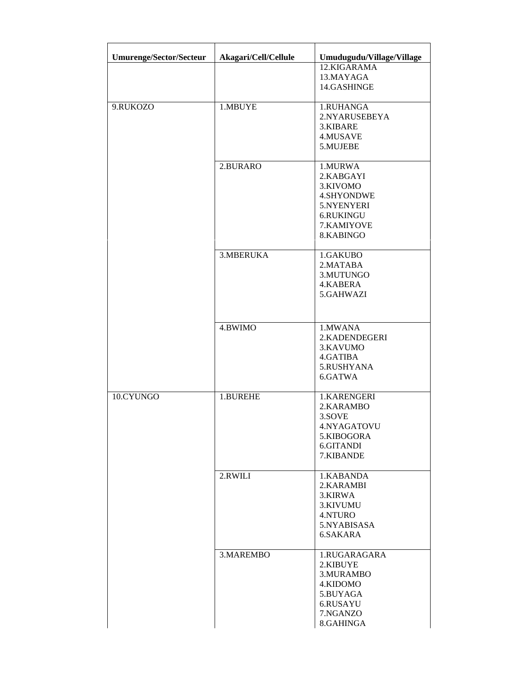| <b>Umurenge/Sector/Secteur</b> | Akagari/Cell/Cellule | Umudugudu/Village/Village<br>12.KIGARAMA                                                                    |
|--------------------------------|----------------------|-------------------------------------------------------------------------------------------------------------|
|                                |                      | 13.MAYAGA<br>14.GASHINGE                                                                                    |
| 9.RUKOZO                       | 1.MBUYE              | 1.RUHANGA<br>2.NYARUSEBEYA<br>3.KIBARE<br>4.MUSAVE<br>5.MUJEBE                                              |
|                                | 2.BURARO             | 1.MURWA<br>2.KABGAYI<br>3.KIVOMO<br><b>4.SHYONDWE</b><br>5.NYENYERI<br>6.RUKINGU<br>7.KAMIYOVE<br>8.KABINGO |
|                                | 3.MBERUKA            | 1.GAKUBO<br>2.MATABA<br>3.MUTUNGO<br>4.KABERA<br>5.GAHWAZI                                                  |
|                                | 4.BWIMO              | 1.MWANA<br>2.KADENDEGERI<br>3.KAVUMO<br>4.GATIBA<br>5.RUSHYANA<br>6.GATWA                                   |
| 10.CYUNGO                      | 1.BUREHE             | 1.KARENGERI<br>2.KARAMBO<br>3.SOVE<br>4.NYAGATOVU<br>5.KIBOGORA<br>6.GITANDI<br>7.KIBANDE                   |
|                                | 2.RWILI              | 1.KABANDA<br>2.KARAMBI<br>3.KIRWA<br>3.KIVUMU<br>4.NTURO<br>5.NYABISASA<br>6.SAKARA                         |
|                                | 3.MAREMBO            | 1.RUGARAGARA<br>2.KIBUYE<br>3.MURAMBO<br>4.KIDOMO<br>5.BUYAGA<br>6.RUSAYU<br>7.NGANZO<br>8.GAHINGA          |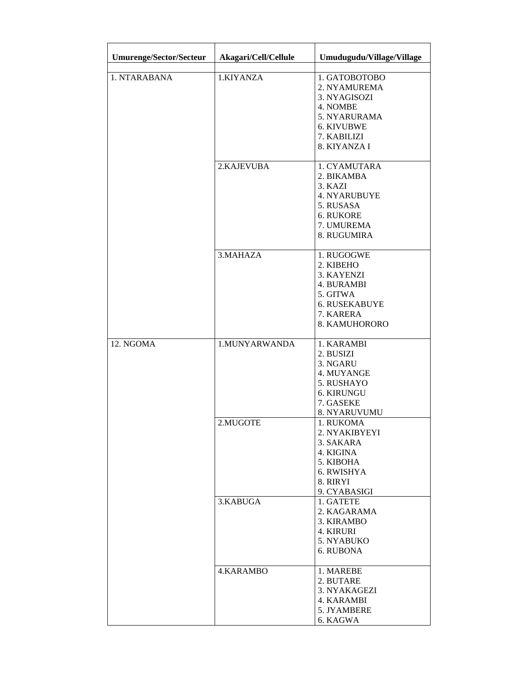| <b>Umurenge/Sector/Secteur</b> | Akagari/Cell/Cellule | Umudugudu/Village/Village                                                                                              |
|--------------------------------|----------------------|------------------------------------------------------------------------------------------------------------------------|
| 1. NTARABANA                   | 1.KIYANZA            | 1. GATOBOTOBO<br>2. NYAMUREMA<br>3. NYAGISOZI<br>4. NOMBE<br>5. NYARURAMA<br>6. KIVUBWE<br>7. KABILIZI<br>8. KIYANZA I |
|                                | 2.KAJEVUBA           | 1. CYAMUTARA<br>2. BIKAMBA<br>3. KAZI<br>4. NYARUBUYE<br>5. RUSASA<br><b>6. RUKORE</b><br>7. UMUREMA<br>8. RUGUMIRA    |
|                                | 3. MAHAZA            | 1. RUGOGWE<br>2. KIBEHO<br>3. KAYENZI<br>4. BURAMBI<br>5. GITWA<br>6. RUSEKABUYE<br>7. KARERA<br>8. KAMUHORORO         |
| 12. NGOMA                      | 1.MUNYARWANDA        | 1. KARAMBI<br>2. BUSIZI<br>3. NGARU<br>4. MUYANGE<br>5. RUSHAYO<br>6. KIRUNGU<br>7. GASEKE<br>8. NYARUVUMU             |
|                                | 2.MUGOTE             | 1. RUKOMA<br>2. NYAKIBYEYI<br>3. SAKARA<br>4. KIGINA<br>5. KIBOHA<br>6. RWISHYA<br>8. RIRYI<br>9. CYABASIGI            |
|                                | 3.KABUGA             | 1. GATETE<br>2. KAGARAMA<br>3. KIRAMBO<br>4. KIRURI<br>5. NYABUKO<br>6. RUBONA                                         |
|                                | 4.KARAMBO            | 1. MAREBE<br>2. BUTARE<br>3. NYAKAGEZI<br>4. KARAMBI<br>5. JYAMBERE<br>6. KAGWA                                        |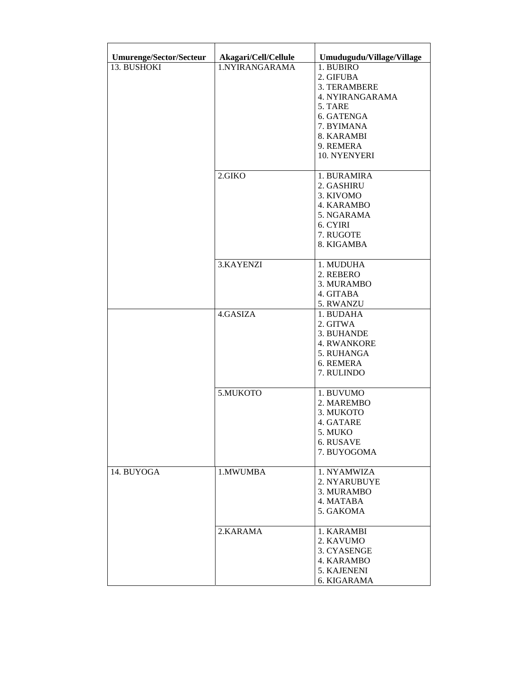| <b>Umurenge/Sector/Secteur</b> | Akagari/Cell/Cellule | Umudugudu/Village/Village                                                                                                                   |
|--------------------------------|----------------------|---------------------------------------------------------------------------------------------------------------------------------------------|
| 13. BUSHOKI                    | 1.NYIRANGARAMA       | 1. BUBIRO<br>2. GIFUBA<br>3. TERAMBERE<br>4. NYIRANGARAMA<br>5. TARE<br>6. GATENGA<br>7. BYIMANA<br>8. KARAMBI<br>9. REMERA<br>10. NYENYERI |
|                                | 2.GIKO               | 1. BURAMIRA<br>2. GASHIRU<br>3. KIVOMO<br>4. KARAMBO<br>5. NGARAMA<br>6. CYIRI<br>7. RUGOTE<br>8. KIGAMBA                                   |
|                                | 3.KAYENZI            | 1. MUDUHA<br>2. REBERO<br>3. MURAMBO<br>4. GITABA<br>5. RWANZU                                                                              |
|                                | 4.GASIZA             | 1. BUDAHA<br>2. GITWA<br>3. BUHANDE<br><b>4. RWANKORE</b><br>5. RUHANGA<br>6. REMERA<br>7. RULINDO                                          |
|                                | 5.MUKOTO             | 1. BUVUMO<br>2. MAREMBO<br>3. MUKOTO<br>4. GATARE<br>5. MUKO<br>6. RUSAVE<br>7. BUYOGOMA                                                    |
| 14. BUYOGA                     | 1.MWUMBA             | 1. NYAMWIZA<br>2. NYARUBUYE<br>3. MURAMBO<br>4. MATABA<br>5. GAKOMA                                                                         |
|                                | 2.KARAMA             | 1. KARAMBI<br>2. KAVUMO<br>3. CYASENGE<br>4. KARAMBO<br>5. KAJENENI<br>6. KIGARAMA                                                          |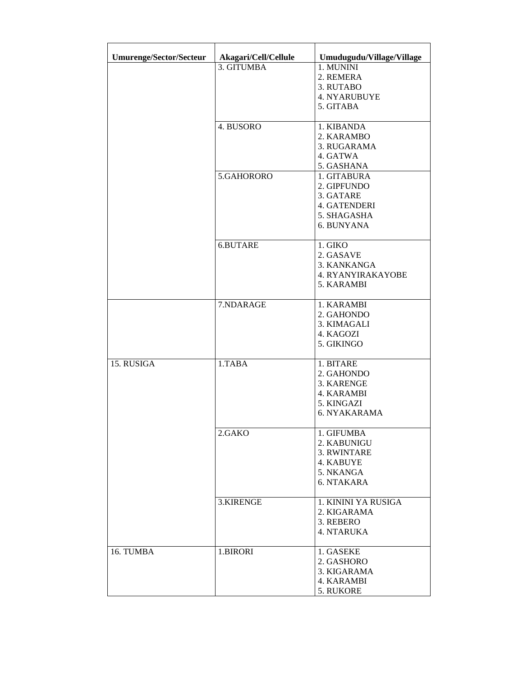| <b>Umurenge/Sector/Secteur</b> | Akagari/Cell/Cellule | Umudugudu/Village/Village                                                                |
|--------------------------------|----------------------|------------------------------------------------------------------------------------------|
|                                | 3. GITUMBA           | 1. MUNINI<br>2. REMERA<br>3. RUTABO<br><b>4. NYARUBUYE</b><br>5. GITABA                  |
|                                | 4. BUSORO            | 1. KIBANDA<br>2. KARAMBO<br>3. RUGARAMA<br>4. GATWA<br>5. GASHANA                        |
|                                | 5.GAHORORO           | 1. GITABURA<br>2. GIPFUNDO<br>3. GATARE<br>4. GATENDERI<br>5. SHAGASHA<br>6. BUNYANA     |
|                                | 6.BUTARE             | 1. GIKO<br>2. GASAVE<br>3. KANKANGA<br><b>4. RYANYIRAKAYOBE</b><br>5. KARAMBI            |
|                                | 7.NDARAGE            | 1. KARAMBI<br>2. GAHONDO<br>3. KIMAGALI<br>4. KAGOZI<br>5. GIKINGO                       |
| 15. RUSIGA                     | 1.TABA               | 1. BITARE<br>2. GAHONDO<br>3. KARENGE<br>4. KARAMBI<br>5. KINGAZI<br><b>6. NYAKARAMA</b> |
|                                | 2.GAKO               | 1. GIFUMBA<br>2. KABUNIGU<br>3. RWINTARE<br>4. KABUYE<br>5. NKANGA<br>6. NTAKARA         |
|                                | 3.KIRENGE            | 1. KININI YA RUSIGA<br>2. KIGARAMA<br>3. REBERO<br><b>4. NTARUKA</b>                     |
| 16. TUMBA                      | 1.BIRORI             | 1. GASEKE<br>2. GASHORO<br>3. KIGARAMA<br>4. KARAMBI<br>5. RUKORE                        |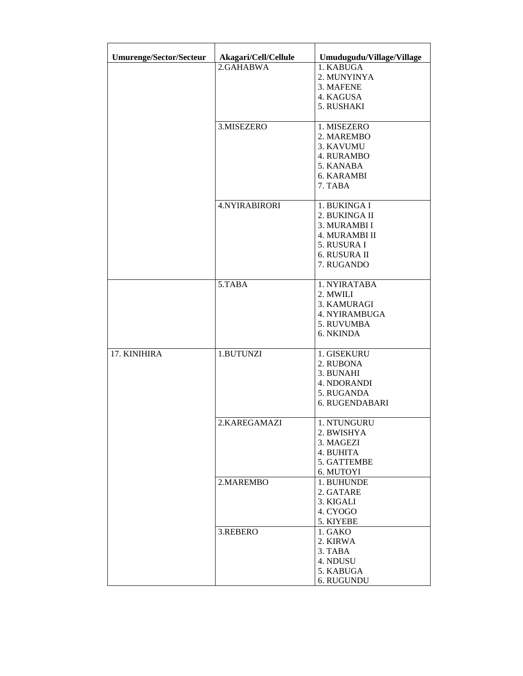| <b>Umurenge/Sector/Secteur</b> | Akagari/Cell/Cellule | Umudugudu/Village/Village |
|--------------------------------|----------------------|---------------------------|
|                                | 2.GAHABWA            | 1. KABUGA                 |
|                                |                      | 2. MUNYINYA               |
|                                |                      | 3. MAFENE                 |
|                                |                      | 4. KAGUSA                 |
|                                |                      | 5. RUSHAKI                |
|                                |                      |                           |
|                                | 3.MISEZERO           | 1. MISEZERO               |
|                                |                      | 2. MAREMBO                |
|                                |                      | 3. KAVUMU                 |
|                                |                      | <b>4. RURAMBO</b>         |
|                                |                      | 5. KANABA                 |
|                                |                      | 6. KARAMBI                |
|                                |                      | 7. TABA                   |
|                                | <b>4.NYIRABIRORI</b> | 1. BUKINGA I              |
|                                |                      | 2. BUKINGA II             |
|                                |                      | 3. MURAMBI I              |
|                                |                      | 4. MURAMBI II             |
|                                |                      | 5. RUSURA I               |
|                                |                      | 6. RUSURA II              |
|                                |                      | 7. RUGANDO                |
|                                |                      |                           |
|                                | 5.TABA               | 1. NYIRATABA              |
|                                |                      | 2. MWILI                  |
|                                |                      | 3. KAMURAGI               |
|                                |                      | <b>4. NYIRAMBUGA</b>      |
|                                |                      | 5. RUVUMBA                |
|                                |                      | 6. NKINDA                 |
| 17. KINIHIRA                   | 1.BUTUNZI            | 1. GISEKURU               |
|                                |                      | 2. RUBONA                 |
|                                |                      | 3. BUNAHI                 |
|                                |                      | 4. NDORANDI               |
|                                |                      | 5. RUGANDA                |
|                                |                      | 6. RUGENDABARI            |
|                                |                      |                           |
|                                | 2.KAREGAMAZI         | 1. NTUNGURU               |
|                                |                      | 2. BWISHYA                |
|                                |                      | 3. MAGEZI                 |
|                                |                      | 4. BUHITA                 |
|                                |                      | 5. GATTEMBE               |
|                                |                      | 6. MUTOYI                 |
|                                | 2.MAREMBO            | 1. BUHUNDE                |
|                                |                      | 2. GATARE                 |
|                                |                      | 3. KIGALI                 |
|                                |                      | 4. CYOGO                  |
|                                |                      | 5. KIYEBE<br>1. GAKO      |
|                                | 3.REBERO             | 2. KIRWA                  |
|                                |                      |                           |
|                                |                      | 3. TABA                   |
|                                |                      | 4. NDUSU                  |
|                                |                      | 5. KABUGA                 |
|                                |                      | 6. RUGUNDU                |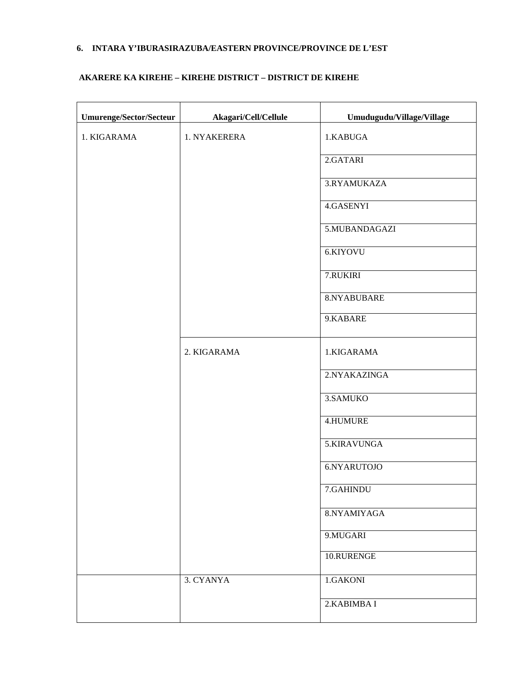# **6. INTARA Y'IBURASIRAZUBA/EASTERN PROVINCE/PROVINCE DE L'EST**

### **AKARERE KA KIREHE – KIREHE DISTRICT – DISTRICT DE KIREHE**

| Umurenge/Sector/Secteur | Akagari/Cell/Cellule | Umudugudu/Village/Village |
|-------------------------|----------------------|---------------------------|
| 1. KIGARAMA             | 1. NYAKERERA         | 1.KABUGA                  |
|                         |                      | 2.GATARI                  |
|                         |                      | 3.RYAMUKAZA               |
|                         |                      | 4.GASENYI                 |
|                         |                      | 5.MUBANDAGAZI             |
|                         |                      | 6.KIYOVU                  |
|                         |                      | 7.RUKIRI                  |
|                         |                      | 8.NYABUBARE               |
|                         |                      | 9.KABARE                  |
|                         | 2. KIGARAMA          | 1.KIGARAMA                |
|                         |                      | 2.NYAKAZINGA              |
|                         |                      | 3.SAMUKO                  |
|                         |                      | 4.HUMURE                  |
|                         |                      | 5.KIRAVUNGA               |
|                         |                      | 6.NYARUTOJO               |
|                         |                      | 7.GAHINDU                 |
|                         |                      | 8.NYAMIYAGA               |
|                         |                      | 9.MUGARI                  |
|                         |                      | 10.RURENGE                |
|                         | 3. CYANYA            | 1.GAKONI                  |
|                         |                      | 2. KABIMBA I              |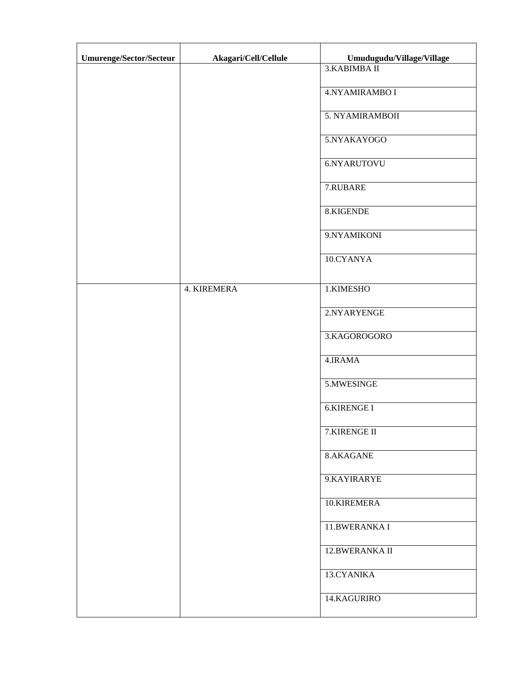| Umurenge/Sector/Secteur | Akagari/Cell/Cellule | Umudugudu/Village/Village |
|-------------------------|----------------------|---------------------------|
|                         |                      | 3. KABIMBA II             |
|                         |                      | 4.NYAMIRAMBO I            |
|                         |                      | 5. NYAMIRAMBOII           |
|                         |                      | 5.NYAKAYOGO               |
|                         |                      | 6.NYARUTOVU               |
|                         |                      | 7.RUBARE                  |
|                         |                      | 8.KIGENDE                 |
|                         |                      | 9.NYAMIKONI               |
|                         |                      | 10.CYANYA                 |
|                         | 4. KIREMERA          | 1.KIMESHO                 |
|                         |                      | 2.NYARYENGE               |
|                         |                      | 3.KAGOROGORO              |
|                         |                      | 4.IRAMA                   |
|                         |                      | 5.MWESINGE                |
|                         |                      | <b>6.KIRENGE I</b>        |
|                         |                      | 7.KIRENGE II              |
|                         |                      | 8.AKAGANE                 |
|                         |                      | 9.KAYIRARYE               |
|                         |                      | 10.KIREMERA               |
|                         |                      | 11.BWERANKA I             |
|                         |                      | 12.BWERANKA II            |
|                         |                      | 13.CYANIKA                |
|                         |                      | 14.KAGURIRO               |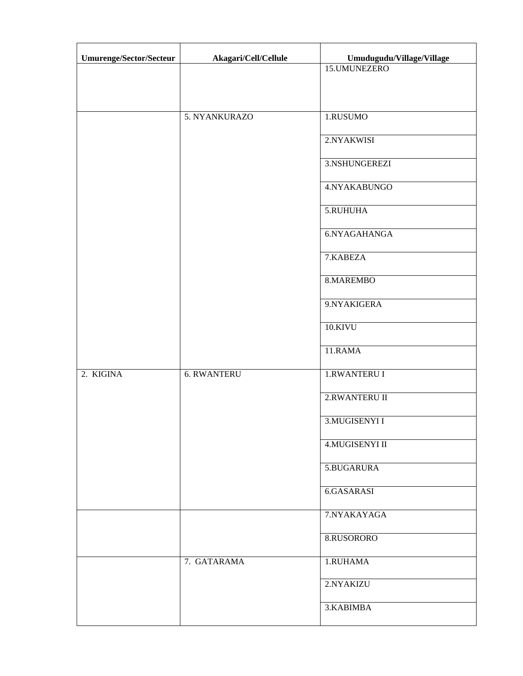| Umurenge/Sector/Secteur | Akagari/Cell/Cellule | Umudugudu/Village/Village |
|-------------------------|----------------------|---------------------------|
|                         |                      | 15.UMUNEZERO              |
|                         |                      |                           |
|                         | 5. NYANKURAZO        | 1.RUSUMO                  |
|                         |                      | 2.NYAKWISI                |
|                         |                      | 3.NSHUNGEREZI             |
|                         |                      | 4.NYAKABUNGO              |
|                         |                      | 5.RUHUHA                  |
|                         |                      | 6.NYAGAHANGA              |
|                         |                      | 7.KABEZA                  |
|                         |                      | 8.MAREMBO                 |
|                         |                      | 9.NYAKIGERA               |
|                         |                      | 10.KIVU                   |
|                         |                      | 11.RAMA                   |
| 2. KIGINA               | <b>6. RWANTERU</b>   | <b>1.RWANTERU I</b>       |
|                         |                      | 2.RWANTERU II             |
|                         |                      | 3. MUGISENYI I            |
|                         |                      | 4. MUGISENYI II           |
|                         |                      | 5.BUGARURA                |
|                         |                      | 6.GASARASI                |
|                         |                      | 7.NYAKAYAGA               |
|                         |                      | 8.RUSORORO                |
|                         | 7. GATARAMA          | 1.RUHAMA                  |
|                         |                      | 2.NYAKIZU                 |
|                         |                      | 3.KABIMBA                 |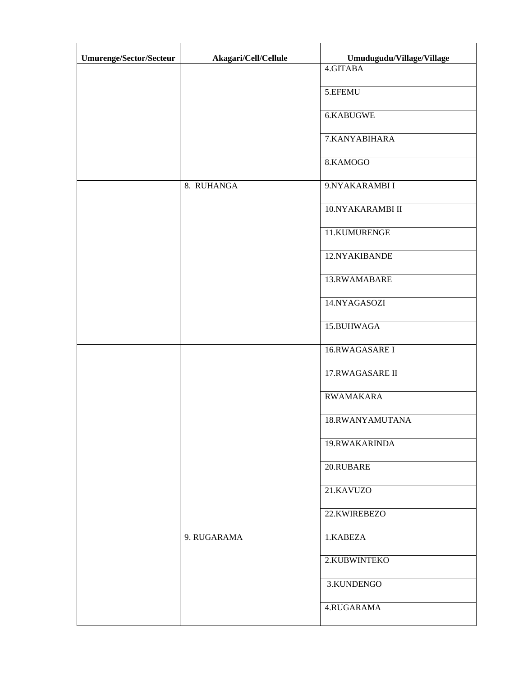| Umurenge/Sector/Secteur | Akagari/Cell/Cellule | Umudugudu/Village/Village |
|-------------------------|----------------------|---------------------------|
|                         |                      | 4.GITABA                  |
|                         |                      | 5.EFEMU                   |
|                         |                      | 6.KABUGWE                 |
|                         |                      | 7.KANYABIHARA             |
|                         |                      | 8.KAMOGO                  |
|                         | 8. RUHANGA           | 9.NYAKARAMBI I            |
|                         |                      | 10.NYAKARAMBI II          |
|                         |                      | 11.KUMURENGE              |
|                         |                      | 12.NYAKIBANDE             |
|                         |                      | 13.RWAMABARE              |
|                         |                      | 14.NYAGASOZI              |
|                         |                      | 15.BUHWAGA                |
|                         |                      | 16.RWAGASARE I            |
|                         |                      | 17.RWAGASARE II           |
|                         |                      | <b>RWAMAKARA</b>          |
|                         |                      | 18.RWANYAMUTANA           |
|                         |                      | 19.RWAKARINDA             |
|                         |                      | 20.RUBARE                 |
|                         |                      | 21.KAVUZO                 |
|                         |                      | 22.KWIREBEZO              |
|                         | 9. RUGARAMA          | 1.KABEZA                  |
|                         |                      | 2.KUBWINTEKO              |
|                         |                      | 3.KUNDENGO                |
|                         |                      | 4.RUGARAMA                |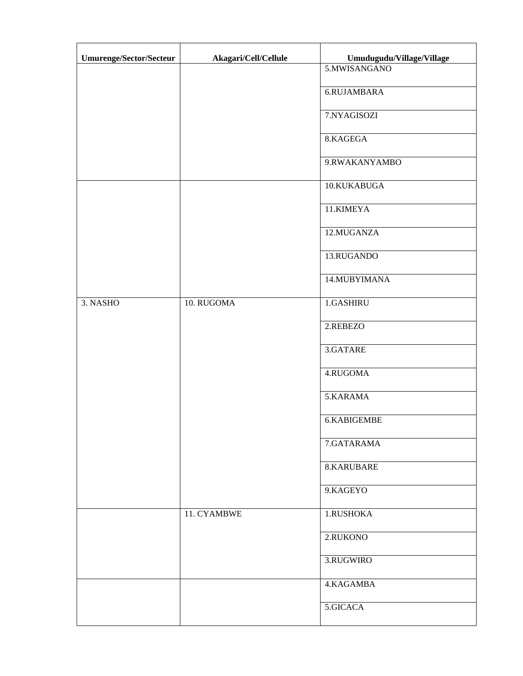| Umurenge/Sector/Secteur | Akagari/Cell/Cellule | Umudugudu/Village/Village |
|-------------------------|----------------------|---------------------------|
|                         |                      | 5.MWISANGANO              |
|                         |                      | 6.RUJAMBARA               |
|                         |                      | 7.NYAGISOZI               |
|                         |                      | 8.KAGEGA                  |
|                         |                      | 9.RWAKANYAMBO             |
|                         |                      | 10.KUKABUGA               |
|                         |                      | 11.KIMEYA                 |
|                         |                      | 12.MUGANZA                |
|                         |                      | 13.RUGANDO                |
|                         |                      | 14.MUBYIMANA              |
| 3. NASHO                | 10. RUGOMA           | 1.GASHIRU                 |
|                         |                      | 2.REBEZO                  |
|                         |                      | 3.GATARE                  |
|                         |                      | 4.RUGOMA                  |
|                         |                      | 5.KARAMA                  |
|                         |                      | 6.KABIGEMBE               |
|                         |                      | 7.GATARAMA                |
|                         |                      | 8.KARUBARE                |
|                         |                      | 9.KAGEYO                  |
|                         | 11. CYAMBWE          | 1.RUSHOKA                 |
|                         |                      | 2.RUKONO                  |
|                         |                      | 3.RUGWIRO                 |
|                         |                      | 4.KAGAMBA                 |
|                         |                      | 5.GICACA                  |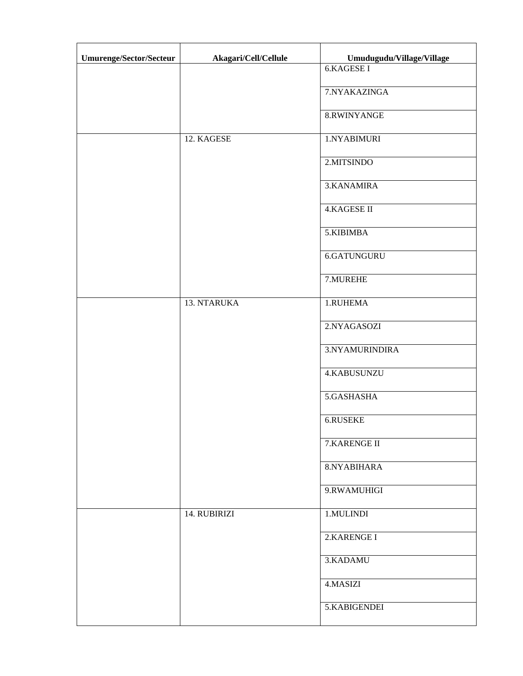| Umurenge/Sector/Secteur | Akagari/Cell/Cellule | Umudugudu/Village/Village |
|-------------------------|----------------------|---------------------------|
|                         |                      | <b>6.KAGESE I</b>         |
|                         |                      | 7.NYAKAZINGA              |
|                         |                      | 8.RWINYANGE               |
|                         | 12. KAGESE           | 1.NYABIMURI               |
|                         |                      | 2.MITSINDO                |
|                         |                      | 3.KANAMIRA                |
|                         |                      | <b>4.KAGESE II</b>        |
|                         |                      | 5.KIBIMBA                 |
|                         |                      | 6.GATUNGURU               |
|                         |                      | 7.MUREHE                  |
|                         | 13. NTARUKA          | 1.RUHEMA                  |
|                         |                      | 2.NYAGASOZI               |
|                         |                      | 3.NYAMURINDIRA            |
|                         |                      | 4.KABUSUNZU               |
|                         |                      | 5.GASHASHA                |
|                         |                      | 6.RUSEKE                  |
|                         |                      | 7.KARENGE II              |
|                         |                      | 8.NYABIHARA               |
|                         |                      | 9.RWAMUHIGI               |
|                         | 14. RUBIRIZI         | 1.MULINDI                 |
|                         |                      | 2.KARENGE I               |
|                         |                      | 3.KADAMU                  |
|                         |                      | 4.MASIZI                  |
|                         |                      | 5.KABIGENDEI              |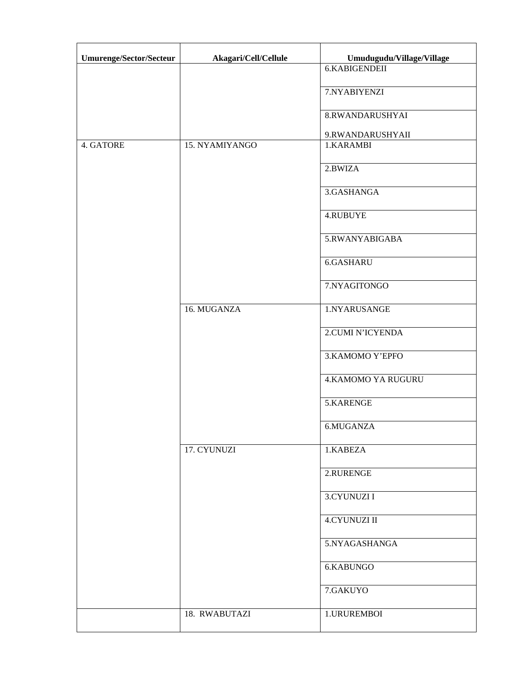| Umurenge/Sector/Secteur | Akagari/Cell/Cellule | Umudugudu/Village/Village |
|-------------------------|----------------------|---------------------------|
|                         |                      | 6.KABIGENDEII             |
|                         |                      | 7.NYABIYENZI              |
|                         |                      | 8.RWANDARUSHYAI           |
|                         |                      | 9.RWANDARUSHYAII          |
| 4. GATORE               | 15. NYAMIYANGO       | 1.KARAMBI                 |
|                         |                      | 2.BWIZA                   |
|                         |                      | 3.GASHANGA                |
|                         |                      | 4.RUBUYE                  |
|                         |                      | 5.RWANYABIGABA            |
|                         |                      | 6.GASHARU                 |
|                         |                      | 7.NYAGITONGO              |
|                         | 16. MUGANZA          | 1.NYARUSANGE              |
|                         |                      | 2.CUMI N'ICYENDA          |
|                         |                      | 3. KAMOMO Y'EPFO          |
|                         |                      | <b>4.KAMOMO YA RUGURU</b> |
|                         |                      | 5.KARENGE                 |
|                         |                      | 6.MUGANZA                 |
|                         | 17. CYUNUZI          | 1.KABEZA                  |
|                         |                      | 2.RURENGE                 |
|                         |                      | 3.CYUNUZI I               |
|                         |                      | <b>4.CYUNUZI II</b>       |
|                         |                      | 5.NYAGASHANGA             |
|                         |                      | 6.KABUNGO                 |
|                         |                      | 7.GAKUYO                  |
|                         | 18. RWABUTAZI        | 1.URUREMBOI               |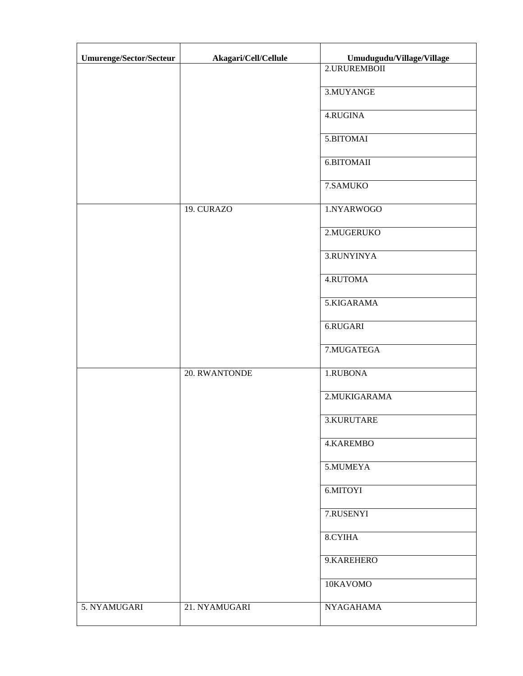| Umurenge/Sector/Secteur | Akagari/Cell/Cellule | Umudugudu/Village/Village |
|-------------------------|----------------------|---------------------------|
|                         |                      | 2.URUREMBOII              |
|                         |                      | 3.MUYANGE                 |
|                         |                      | 4.RUGINA                  |
|                         |                      | 5.BITOMAI                 |
|                         |                      | 6.BITOMAII                |
|                         |                      | 7.SAMUKO                  |
|                         | 19. CURAZO           | 1.NYARWOGO                |
|                         |                      | 2.MUGERUKO                |
|                         |                      | 3.RUNYINYA                |
|                         |                      | 4.RUTOMA                  |
|                         |                      | 5.KIGARAMA                |
|                         |                      | 6.RUGARI                  |
|                         |                      | 7.MUGATEGA                |
|                         | 20. RWANTONDE        | 1.RUBONA                  |
|                         |                      | 2. MUKIGARAMA             |
|                         |                      | 3.KURUTARE                |
|                         |                      | 4.KAREMBO                 |
|                         |                      | 5.MUMEYA                  |
|                         |                      | 6.MITOYI                  |
|                         |                      | 7.RUSENYI                 |
|                         |                      | 8.CYIHA                   |
|                         |                      | 9.KAREHERO                |
|                         |                      | 10KAVOMO                  |
| 5. NYAMUGARI            | 21. NYAMUGARI        | <b>NYAGAHAMA</b>          |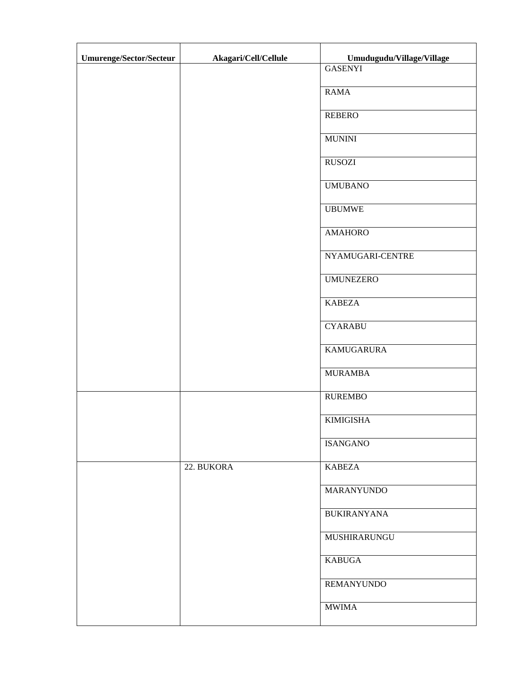| Umurenge/Sector/Secteur | Akagari/Cell/Cellule | Umudugudu/Village/Village |
|-------------------------|----------------------|---------------------------|
|                         |                      | <b>GASENYI</b>            |
|                         |                      | <b>RAMA</b>               |
|                         |                      | <b>REBERO</b>             |
|                         |                      | <b>MUNINI</b>             |
|                         |                      | <b>RUSOZI</b>             |
|                         |                      | <b>UMUBANO</b>            |
|                         |                      | <b>UBUMWE</b>             |
|                         |                      | <b>AMAHORO</b>            |
|                         |                      | NYAMUGARI-CENTRE          |
|                         |                      | <b>UMUNEZERO</b>          |
|                         |                      | <b>KABEZA</b>             |
|                         |                      | <b>CYARABU</b>            |
|                         |                      | <b>KAMUGARURA</b>         |
|                         |                      | <b>MURAMBA</b>            |
|                         |                      | <b>RUREMBO</b>            |
|                         |                      | <b>KIMIGISHA</b>          |
|                         |                      | <b>ISANGANO</b>           |
|                         | 22. BUKORA           | <b>KABEZA</b>             |
|                         |                      | MARANYUNDO                |
|                         |                      | <b>BUKIRANYANA</b>        |
|                         |                      | MUSHIRARUNGU              |
|                         |                      | <b>KABUGA</b>             |
|                         |                      | <b>REMANYUNDO</b>         |
|                         |                      | <b>MWIMA</b>              |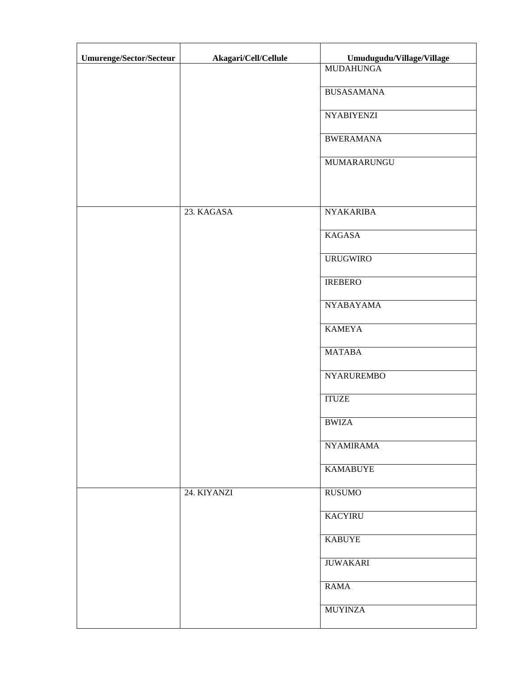| Umurenge/Sector/Secteur | Akagari/Cell/Cellule | Umudugudu/Village/Village |
|-------------------------|----------------------|---------------------------|
|                         |                      | <b>MUDAHUNGA</b>          |
|                         |                      | <b>BUSASAMANA</b>         |
|                         |                      | <b>NYABIYENZI</b>         |
|                         |                      | <b>BWERAMANA</b>          |
|                         |                      | MUMARARUNGU               |
|                         |                      |                           |
|                         | 23. KAGASA           | <b>NYAKARIBA</b>          |
|                         |                      | <b>KAGASA</b>             |
|                         |                      | <b>URUGWIRO</b>           |
|                         |                      | <b>IREBERO</b>            |
|                         |                      | <b>NYABAYAMA</b>          |
|                         |                      | <b>KAMEYA</b>             |
|                         |                      | <b>MATABA</b>             |
|                         |                      | <b>NYARUREMBO</b>         |
|                         |                      | <b>ITUZE</b>              |
|                         |                      | <b>BWIZA</b>              |
|                         |                      | <b>NYAMIRAMA</b>          |
|                         |                      | <b>KAMABUYE</b>           |
|                         | 24. KIYANZI          | <b>RUSUMO</b>             |
|                         |                      | <b>KACYIRU</b>            |
|                         |                      | <b>KABUYE</b>             |
|                         |                      | <b>JUWAKARI</b>           |
|                         |                      | <b>RAMA</b>               |
|                         |                      | <b>MUYINZA</b>            |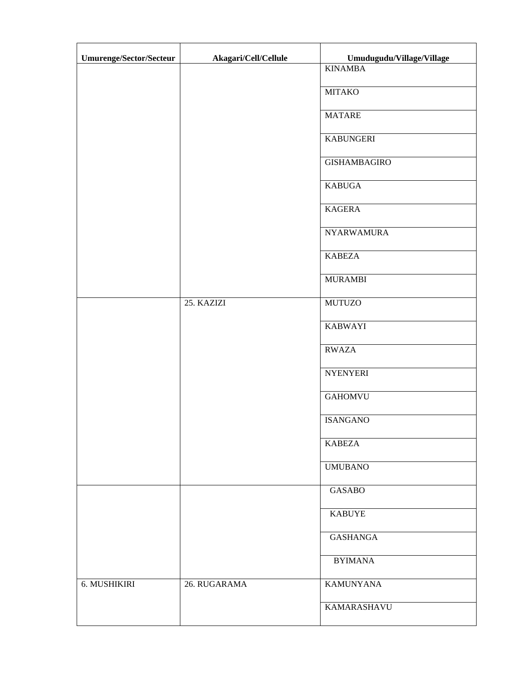| Umurenge/Sector/Secteur | Akagari/Cell/Cellule | Umudugudu/Village/Village |
|-------------------------|----------------------|---------------------------|
|                         |                      | <b>KINAMBA</b>            |
|                         |                      | <b>MITAKO</b>             |
|                         |                      | <b>MATARE</b>             |
|                         |                      | <b>KABUNGERI</b>          |
|                         |                      | <b>GISHAMBAGIRO</b>       |
|                         |                      | <b>KABUGA</b>             |
|                         |                      | <b>KAGERA</b>             |
|                         |                      | <b>NYARWAMURA</b>         |
|                         |                      | <b>KABEZA</b>             |
|                         |                      | <b>MURAMBI</b>            |
|                         | 25. KAZIZI           | <b>MUTUZO</b>             |
|                         |                      | <b>KABWAYI</b>            |
|                         |                      | <b>RWAZA</b>              |
|                         |                      | <b>NYENYERI</b>           |
|                         |                      | <b>GAHOMVU</b>            |
|                         |                      | <b>ISANGANO</b>           |
|                         |                      | <b>KABEZA</b>             |
|                         |                      | <b>UMUBANO</b>            |
|                         |                      | <b>GASABO</b>             |
|                         |                      | <b>KABUYE</b>             |
|                         |                      | <b>GASHANGA</b>           |
|                         |                      | <b>BYIMANA</b>            |
| 6. MUSHIKIRI            | 26. RUGARAMA         | <b>KAMUNYANA</b>          |
|                         |                      | <b>KAMARASHAVU</b>        |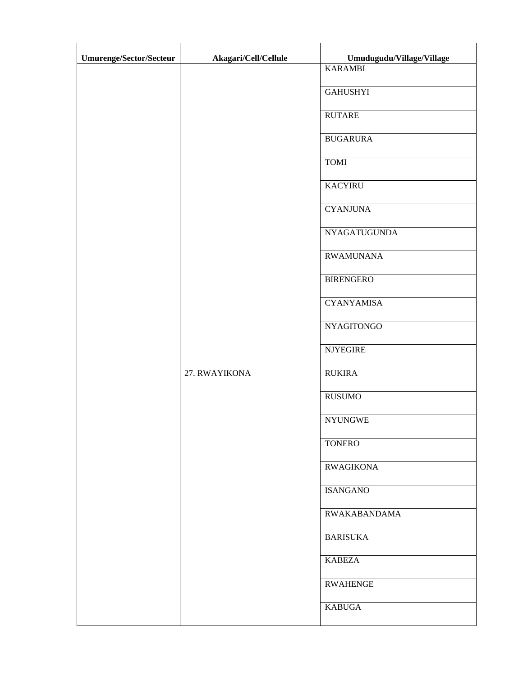| Umurenge/Sector/Secteur | Akagari/Cell/Cellule | Umudugudu/Village/Village |
|-------------------------|----------------------|---------------------------|
|                         |                      | <b>KARAMBI</b>            |
|                         |                      | <b>GAHUSHYI</b>           |
|                         |                      | <b>RUTARE</b>             |
|                         |                      | <b>BUGARURA</b>           |
|                         |                      | <b>TOMI</b>               |
|                         |                      | <b>KACYIRU</b>            |
|                         |                      | <b>CYANJUNA</b>           |
|                         |                      | <b>NYAGATUGUNDA</b>       |
|                         |                      | <b>RWAMUNANA</b>          |
|                         |                      | <b>BIRENGERO</b>          |
|                         |                      | <b>CYANYAMISA</b>         |
|                         |                      | <b>NYAGITONGO</b>         |
|                         |                      | <b>NJYEGIRE</b>           |
|                         | 27. RWAYIKONA        | <b>RUKIRA</b>             |
|                         |                      | <b>RUSUMO</b>             |
|                         |                      | <b>NYUNGWE</b>            |
|                         |                      | <b>TONERO</b>             |
|                         |                      | <b>RWAGIKONA</b>          |
|                         |                      | <b>ISANGANO</b>           |
|                         |                      | <b>RWAKABANDAMA</b>       |
|                         |                      | <b>BARISUKA</b>           |
|                         |                      | <b>KABEZA</b>             |
|                         |                      | <b>RWAHENGE</b>           |
|                         |                      | <b>KABUGA</b>             |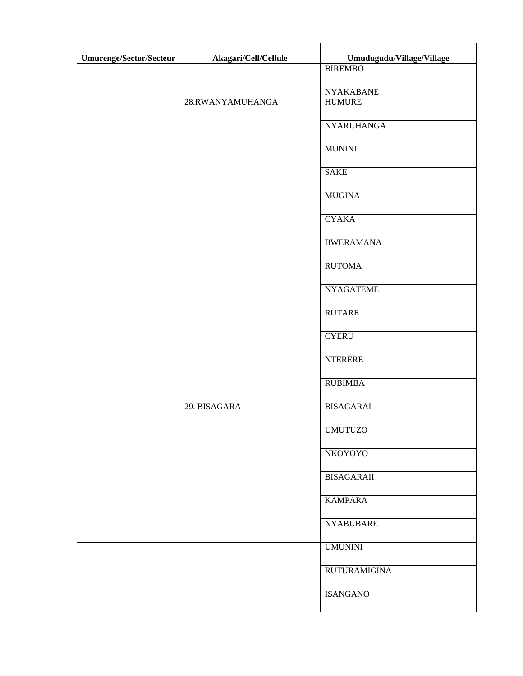| Umurenge/Sector/Secteur | Akagari/Cell/Cellule | Umudugudu/Village/Village |
|-------------------------|----------------------|---------------------------|
|                         |                      | <b>BIREMBO</b>            |
|                         |                      | <b>NYAKABANE</b>          |
|                         | 28.RWANYAMUHANGA     | <b>HUMURE</b>             |
|                         |                      | <b>NYARUHANGA</b>         |
|                         |                      | <b>MUNINI</b>             |
|                         |                      | <b>SAKE</b>               |
|                         |                      | <b>MUGINA</b>             |
|                         |                      | <b>CYAKA</b>              |
|                         |                      | <b>BWERAMANA</b>          |
|                         |                      | <b>RUTOMA</b>             |
|                         |                      | <b>NYAGATEME</b>          |
|                         |                      | <b>RUTARE</b>             |
|                         |                      | <b>CYERU</b>              |
|                         |                      | <b>NTERERE</b>            |
|                         |                      | <b>RUBIMBA</b>            |
|                         | 29. BISAGARA         | <b>BISAGARAI</b>          |
|                         |                      | <b>UMUTUZO</b>            |
|                         |                      | NKOYOYO                   |
|                         |                      | <b>BISAGARAII</b>         |
|                         |                      | <b>KAMPARA</b>            |
|                         |                      | <b>NYABUBARE</b>          |
|                         |                      | <b>UMUNINI</b>            |
|                         |                      | <b>RUTURAMIGINA</b>       |
|                         |                      | <b>ISANGANO</b>           |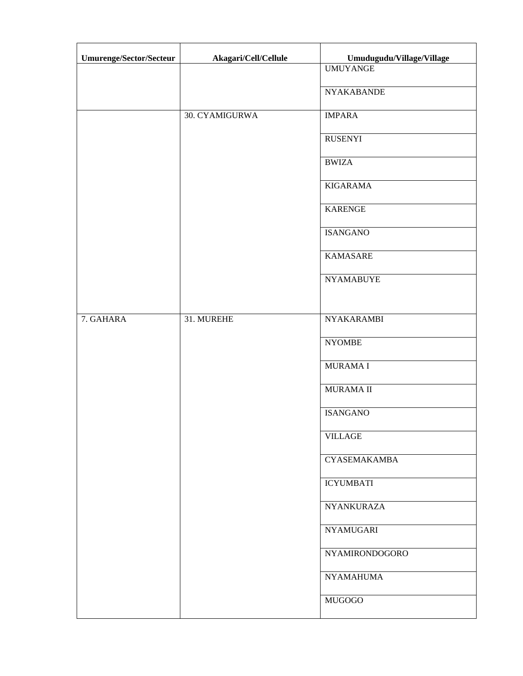| Umurenge/Sector/Secteur | Akagari/Cell/Cellule | Umudugudu/Village/Village |
|-------------------------|----------------------|---------------------------|
|                         |                      | <b>UMUYANGE</b>           |
|                         |                      | <b>NYAKABANDE</b>         |
|                         | 30. CYAMIGURWA       | <b>IMPARA</b>             |
|                         |                      | <b>RUSENYI</b>            |
|                         |                      | <b>BWIZA</b>              |
|                         |                      | <b>KIGARAMA</b>           |
|                         |                      | <b>KARENGE</b>            |
|                         |                      | <b>ISANGANO</b>           |
|                         |                      | <b>KAMASARE</b>           |
|                         |                      | <b>NYAMABUYE</b>          |
|                         |                      |                           |
| 7. GAHARA               | 31. MUREHE           | <b>NYAKARAMBI</b>         |
|                         |                      | <b>NYOMBE</b>             |
|                         |                      | <b>MURAMAI</b>            |
|                         |                      | <b>MURAMA II</b>          |
|                         |                      | <b>ISANGANO</b>           |
|                         |                      | <b>VILLAGE</b>            |
|                         |                      | <b>CYASEMAKAMBA</b>       |
|                         |                      | <b>ICYUMBATI</b>          |
|                         |                      | <b>NYANKURAZA</b>         |
|                         |                      | <b>NYAMUGARI</b>          |
|                         |                      | NYAMIRONDOGORO            |
|                         |                      | <b>NYAMAHUMA</b>          |
|                         |                      | <b>MUGOGO</b>             |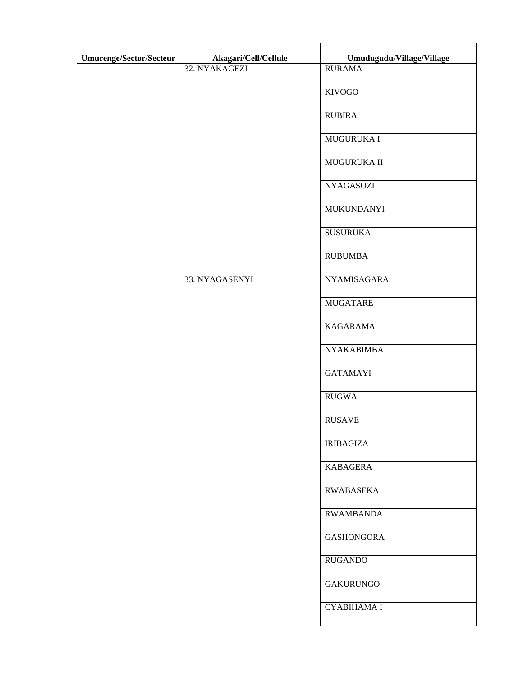| Umurenge/Sector/Secteur | Akagari/Cell/Cellule | Umudugudu/Village/Village |
|-------------------------|----------------------|---------------------------|
|                         | 32. NYAKAGEZI        | <b>RURAMA</b>             |
|                         |                      | <b>KIVOGO</b>             |
|                         |                      | <b>RUBIRA</b>             |
|                         |                      | <b>MUGURUKA I</b>         |
|                         |                      | MUGURUKA II               |
|                         |                      | <b>NYAGASOZI</b>          |
|                         |                      | <b>MUKUNDANYI</b>         |
|                         |                      | <b>SUSURUKA</b>           |
|                         |                      | <b>RUBUMBA</b>            |
|                         | 33. NYAGASENYI       | <b>NYAMISAGARA</b>        |
|                         |                      | <b>MUGATARE</b>           |
|                         |                      | <b>KAGARAMA</b>           |
|                         |                      | <b>NYAKABIMBA</b>         |
|                         |                      | <b>GATAMAYI</b>           |
|                         |                      | <b>RUGWA</b>              |
|                         |                      | <b>RUSAVE</b>             |
|                         |                      | <b>IRIBAGIZA</b>          |
|                         |                      | <b>KABAGERA</b>           |
|                         |                      | <b>RWABASEKA</b>          |
|                         |                      | <b>RWAMBANDA</b>          |
|                         |                      | <b>GASHONGORA</b>         |
|                         |                      | <b>RUGANDO</b>            |
|                         |                      | <b>GAKURUNGO</b>          |
|                         |                      | <b>CYABIHAMA I</b>        |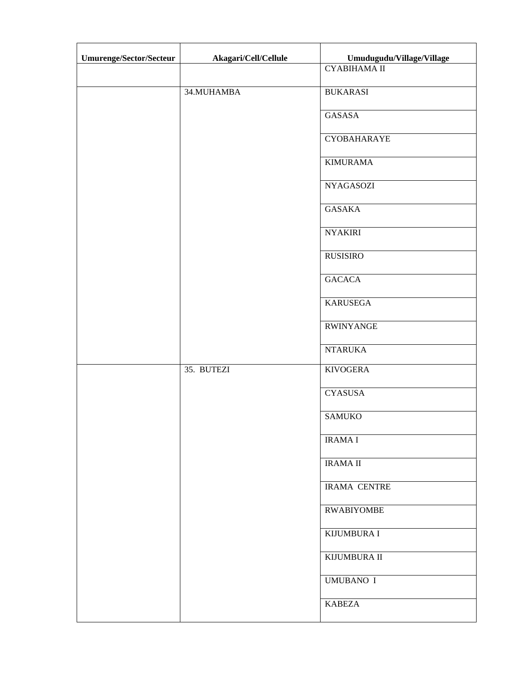| Umurenge/Sector/Secteur | Akagari/Cell/Cellule | Umudugudu/Village/Village |
|-------------------------|----------------------|---------------------------|
|                         |                      | <b>СҮАВІНАМА II</b>       |
|                         | 34. MUHAMBA          | <b>BUKARASI</b>           |
|                         |                      | GASASA                    |
|                         |                      | <b>CYOBAHARAYE</b>        |
|                         |                      | <b>KIMURAMA</b>           |
|                         |                      | <b>NYAGASOZI</b>          |
|                         |                      | <b>GASAKA</b>             |
|                         |                      | <b>NYAKIRI</b>            |
|                         |                      | <b>RUSISIRO</b>           |
|                         |                      | <b>GACACA</b>             |
|                         |                      | <b>KARUSEGA</b>           |
|                         |                      | <b>RWINYANGE</b>          |
|                         |                      | <b>NTARUKA</b>            |
|                         | 35. BUTEZI           | <b>KIVOGERA</b>           |
|                         |                      | <b>CYASUSA</b>            |
|                         |                      | <b>SAMUKO</b>             |
|                         |                      | <b>IRAMAI</b>             |
|                         |                      | <b>IRAMA II</b>           |
|                         |                      | <b>IRAMA CENTRE</b>       |
|                         |                      | <b>RWABIYOMBE</b>         |
|                         |                      | <b>KIJUMBURA I</b>        |
|                         |                      | KIJUMBURA II              |
|                         |                      | <b>UMUBANO I</b>          |
|                         |                      | <b>KABEZA</b>             |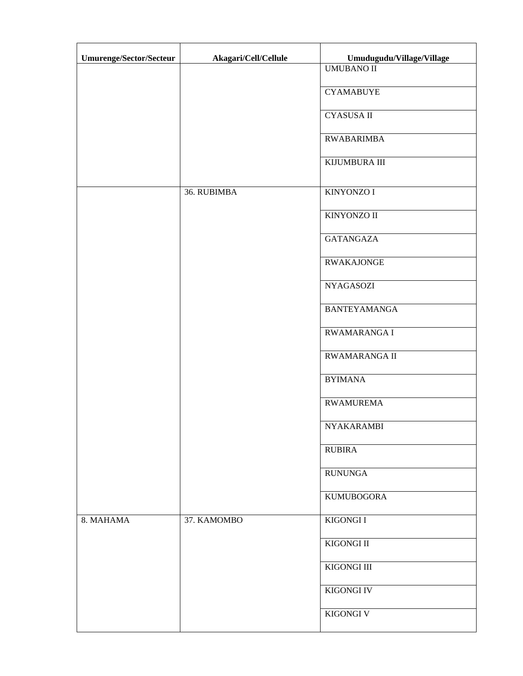| Umurenge/Sector/Secteur | Akagari/Cell/Cellule | Umudugudu/Village/Village |
|-------------------------|----------------------|---------------------------|
|                         |                      | <b>UMUBANO II</b>         |
|                         |                      | <b>CYAMABUYE</b>          |
|                         |                      | <b>CYASUSA II</b>         |
|                         |                      | <b>RWABARIMBA</b>         |
|                         |                      | KIJUMBURA III             |
|                         | 36. RUBIMBA          | <b>KINYONZO I</b>         |
|                         |                      | <b>KINYONZO II</b>        |
|                         |                      | <b>GATANGAZA</b>          |
|                         |                      | <b>RWAKAJONGE</b>         |
|                         |                      | <b>NYAGASOZI</b>          |
|                         |                      | <b>BANTEYAMANGA</b>       |
|                         |                      | RWAMARANGA I              |
|                         |                      | <b>RWAMARANGA II</b>      |
|                         |                      | <b>BYIMANA</b>            |
|                         |                      | <b>RWAMUREMA</b>          |
|                         |                      | NYAKARAMBI                |
|                         |                      | <b>RUBIRA</b>             |
|                         |                      | <b>RUNUNGA</b>            |
|                         |                      | <b>KUMUBOGORA</b>         |
| 8. MAHAMA               | 37. KAMOMBO          | KIGONGI I                 |
|                         |                      | KIGONGI II                |
|                         |                      | KIGONGI III               |
|                         |                      | <b>KIGONGI IV</b>         |
|                         |                      | KIGONGI V                 |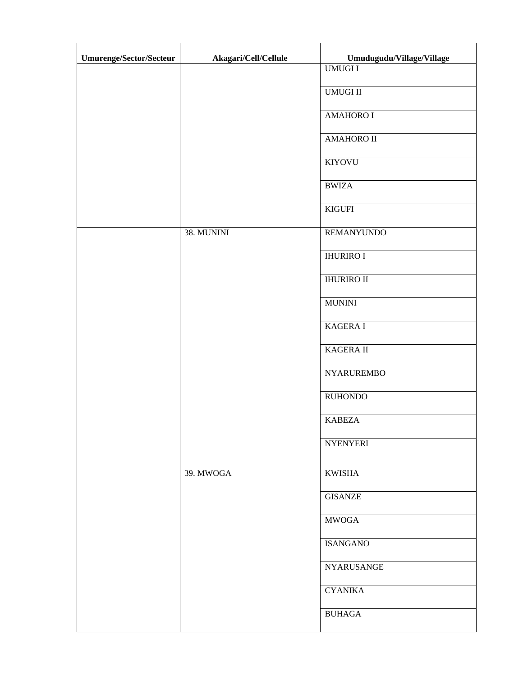| Umurenge/Sector/Secteur | Akagari/Cell/Cellule | Umudugudu/Village/Village |
|-------------------------|----------------------|---------------------------|
|                         |                      | <b>UMUGII</b>             |
|                         |                      | <b>UMUGI II</b>           |
|                         |                      | <b>AMAHORO I</b>          |
|                         |                      | <b>AMAHORO II</b>         |
|                         |                      | KIYOVU                    |
|                         |                      | <b>BWIZA</b>              |
|                         |                      | <b>KIGUFI</b>             |
|                         | 38. MUNINI           | <b>REMANYUNDO</b>         |
|                         |                      | <b>IHURIRO I</b>          |
|                         |                      | <b>IHURIRO II</b>         |
|                         |                      | <b>MUNINI</b>             |
|                         |                      | <b>KAGERAI</b>            |
|                         |                      | KAGERA II                 |
|                         |                      | <b>NYARUREMBO</b>         |
|                         |                      | <b>RUHONDO</b>            |
|                         |                      | <b>KABEZA</b>             |
|                         |                      | <b>NYENYERI</b>           |
|                         | 39. MWOGA            | <b>KWISHA</b>             |
|                         |                      | <b>GISANZE</b>            |
|                         |                      | <b>MWOGA</b>              |
|                         |                      | <b>ISANGANO</b>           |
|                         |                      | <b>NYARUSANGE</b>         |
|                         |                      | <b>CYANIKA</b>            |
|                         |                      | <b>BUHAGA</b>             |
|                         |                      |                           |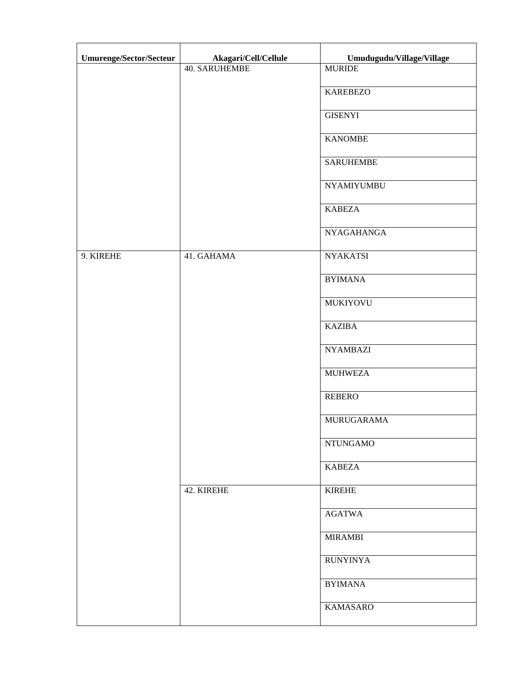| Umurenge/Sector/Secteur | Akagari/Cell/Cellule | Umudugudu/Village/Village |
|-------------------------|----------------------|---------------------------|
|                         | <b>40. SARUHEMBE</b> | <b>MURIDE</b>             |
|                         |                      | <b>KAREBEZO</b>           |
|                         |                      | <b>GISENYI</b>            |
|                         |                      | <b>KANOMBE</b>            |
|                         |                      | <b>SARUHEMBE</b>          |
|                         |                      | <b>NYAMIYUMBU</b>         |
|                         |                      | <b>KABEZA</b>             |
|                         |                      | <b>NYAGAHANGA</b>         |
| 9. KIREHE               | 41. GAHAMA           | <b>NYAKATSI</b>           |
|                         |                      | <b>BYIMANA</b>            |
|                         |                      | <b>MUKIYOVU</b>           |
|                         |                      | <b>KAZIBA</b>             |
|                         |                      | <b>NYAMBAZI</b>           |
|                         |                      | <b>MUHWEZA</b>            |
|                         |                      | <b>REBERO</b>             |
|                         |                      | MURUGARAMA                |
|                         |                      | <b>NTUNGAMO</b>           |
|                         |                      | <b>KABEZA</b>             |
|                         | 42. KIREHE           | <b>KIREHE</b>             |
|                         |                      | <b>AGATWA</b>             |
|                         |                      | <b>MIRAMBI</b>            |
|                         |                      | <b>RUNYINYA</b>           |
|                         |                      | <b>BYIMANA</b>            |
|                         |                      | <b>KAMASARO</b>           |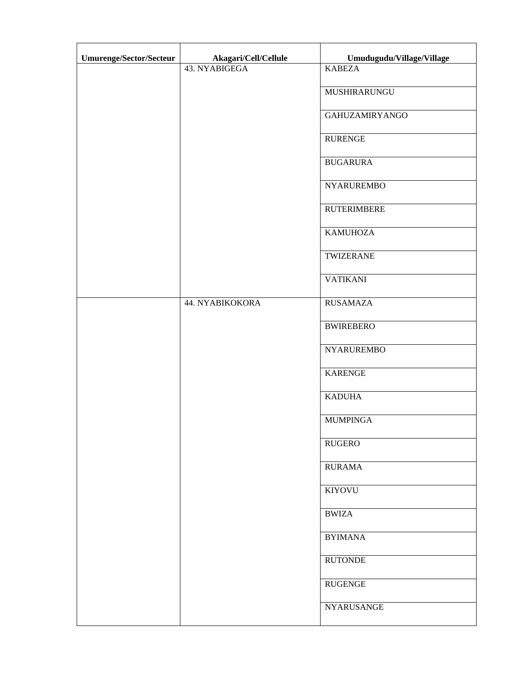| Umurenge/Sector/Secteur | Akagari/Cell/Cellule | Umudugudu/Village/Village |
|-------------------------|----------------------|---------------------------|
|                         | 43. NYABIGEGA        | <b>KABEZA</b>             |
|                         |                      | MUSHIRARUNGU              |
|                         |                      | <b>GAHUZAMIRYANGO</b>     |
|                         |                      | <b>RURENGE</b>            |
|                         |                      | <b>BUGARURA</b>           |
|                         |                      | <b>NYARUREMBO</b>         |
|                         |                      | <b>RUTERIMBERE</b>        |
|                         |                      | <b>KAMUHOZA</b>           |
|                         |                      | TWIZERANE                 |
|                         |                      | <b>VATIKANI</b>           |
|                         | 44. NYABIKOKORA      | <b>RUSAMAZA</b>           |
|                         |                      | <b>BWIREBERO</b>          |
|                         |                      | <b>NYARUREMBO</b>         |
|                         |                      | <b>KARENGE</b>            |
|                         |                      | <b>KADUHA</b>             |
|                         |                      | <b>MUMPINGA</b>           |
|                         |                      | <b>RUGERO</b>             |
|                         |                      | <b>RURAMA</b>             |
|                         |                      | <b>KIYOVU</b>             |
|                         |                      | <b>BWIZA</b>              |
|                         |                      | <b>BYIMANA</b>            |
|                         |                      | <b>RUTONDE</b>            |
|                         |                      | <b>RUGENGE</b>            |
|                         |                      | NYARUSANGE                |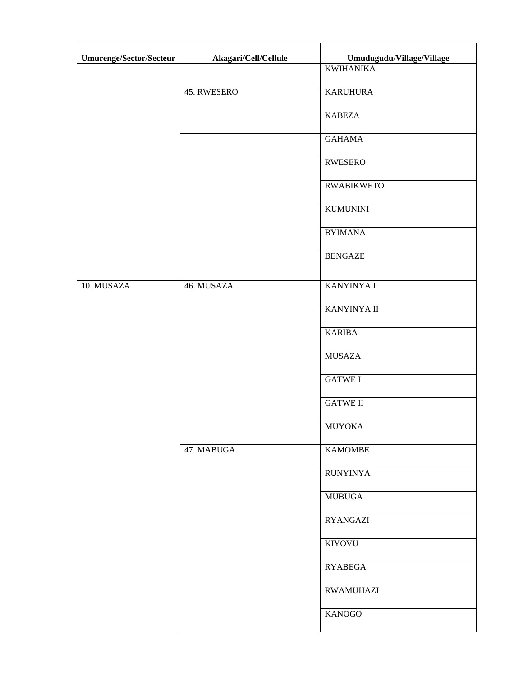| Umurenge/Sector/Secteur | Akagari/Cell/Cellule | Umudugudu/Village/Village |
|-------------------------|----------------------|---------------------------|
|                         |                      | <b>KWIHANIKA</b>          |
|                         | 45. RWESERO          | <b>KARUHURA</b>           |
|                         |                      | <b>KABEZA</b>             |
|                         |                      | <b>GAHAMA</b>             |
|                         |                      | <b>RWESERO</b>            |
|                         |                      | <b>RWABIKWETO</b>         |
|                         |                      | <b>KUMUNINI</b>           |
|                         |                      | <b>BYIMANA</b>            |
|                         |                      | <b>BENGAZE</b>            |
| 10. MUSAZA              | 46. MUSAZA           | <b>KANYINYA I</b>         |
|                         |                      | <b>KANYINYA II</b>        |
|                         |                      | <b>KARIBA</b>             |
|                         |                      | <b>MUSAZA</b>             |
|                         |                      | <b>GATWE I</b>            |
|                         |                      | <b>GATWE II</b>           |
|                         |                      | <b>MUYOKA</b>             |
|                         | 47. MABUGA           | <b>KAMOMBE</b>            |
|                         |                      | <b>RUNYINYA</b>           |
|                         |                      | <b>MUBUGA</b>             |
|                         |                      | <b>RYANGAZI</b>           |
|                         |                      | <b>KIYOVU</b>             |
|                         |                      | <b>RYABEGA</b>            |
|                         |                      | <b>RWAMUHAZI</b>          |
|                         |                      | <b>KANOGO</b>             |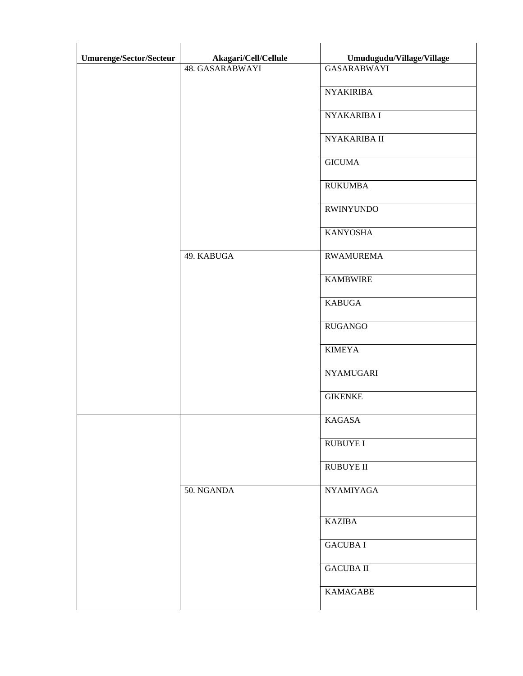| <b>Umurenge/Sector/Secteur</b> | Akagari/Cell/Cellule | Umudugudu/Village/Village |
|--------------------------------|----------------------|---------------------------|
|                                | 48. GASARABWAYI      | <b>GASARABWAYI</b>        |
|                                |                      | <b>NYAKIRIBA</b>          |
|                                |                      | NYAKARIBA I               |
|                                |                      | NYAKARIBA II              |
|                                |                      | <b>GICUMA</b>             |
|                                |                      | <b>RUKUMBA</b>            |
|                                |                      | <b>RWINYUNDO</b>          |
|                                |                      | <b>KANYOSHA</b>           |
|                                | 49. KABUGA           | <b>RWAMUREMA</b>          |
|                                |                      | <b>KAMBWIRE</b>           |
|                                |                      | <b>KABUGA</b>             |
|                                |                      | <b>RUGANGO</b>            |
|                                |                      | <b>KIMEYA</b>             |
|                                |                      | <b>NYAMUGARI</b>          |
|                                |                      | <b>GIKENKE</b>            |
|                                |                      | <b>KAGASA</b>             |
|                                |                      | <b>RUBUYE I</b>           |
|                                |                      | <b>RUBUYE II</b>          |
|                                | 50. NGANDA           | <b>NYAMIYAGA</b>          |
|                                |                      | <b>KAZIBA</b>             |
|                                |                      | <b>GACUBA I</b>           |
|                                |                      | <b>GACUBA II</b>          |
|                                |                      | <b>KAMAGABE</b>           |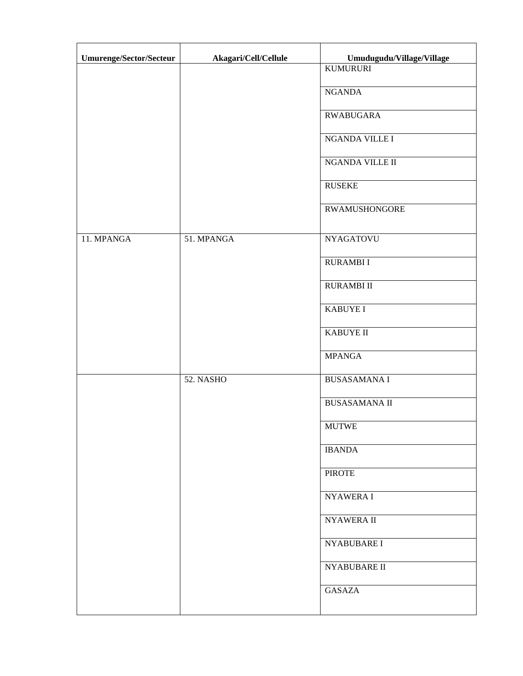| Umurenge/Sector/Secteur | Akagari/Cell/Cellule | Umudugudu/Village/Village |
|-------------------------|----------------------|---------------------------|
|                         |                      | <b>KUMURURI</b>           |
|                         |                      | <b>NGANDA</b>             |
|                         |                      | RWABUGARA                 |
|                         |                      | NGANDA VILLE I            |
|                         |                      | NGANDA VILLE II           |
|                         |                      | <b>RUSEKE</b>             |
|                         |                      | <b>RWAMUSHONGORE</b>      |
| 11. MPANGA              | 51. MPANGA           | <b>NYAGATOVU</b>          |
|                         |                      | <b>RURAMBII</b>           |
|                         |                      | <b>RURAMBI II</b>         |
|                         |                      | <b>KABUYE I</b>           |
|                         |                      | <b>KABUYE II</b>          |
|                         |                      | <b>MPANGA</b>             |
|                         | 52. NASHO            | <b>BUSASAMANA I</b>       |
|                         |                      | <b>BUSASAMANA II</b>      |
|                         |                      | <b>MUTWE</b>              |
|                         |                      | <b>IBANDA</b>             |
|                         |                      | <b>PIROTE</b>             |
|                         |                      | NYAWERA I                 |
|                         |                      | <b>NYAWERA II</b>         |
|                         |                      | NYABUBARE I               |
|                         |                      | NYABUBARE II              |
|                         |                      | <b>GASAZA</b>             |
|                         |                      |                           |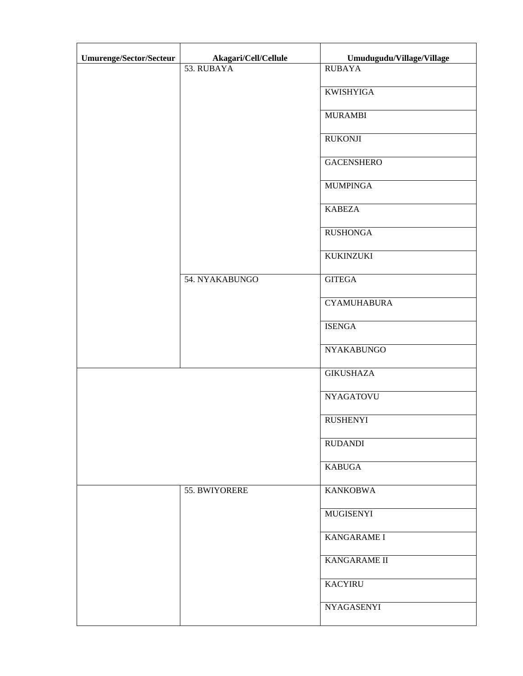| Umurenge/Sector/Secteur | Akagari/Cell/Cellule | Umudugudu/Village/Village |
|-------------------------|----------------------|---------------------------|
|                         | 53. RUBAYA           | <b>RUBAYA</b>             |
|                         |                      | <b>KWISHYIGA</b>          |
|                         |                      | <b>MURAMBI</b>            |
|                         |                      | <b>RUKONJI</b>            |
|                         |                      | <b>GACENSHERO</b>         |
|                         |                      | <b>MUMPINGA</b>           |
|                         |                      | <b>KABEZA</b>             |
|                         |                      | <b>RUSHONGA</b>           |
|                         |                      | <b>KUKINZUKI</b>          |
|                         | 54. NYAKABUNGO       | <b>GITEGA</b>             |
|                         |                      | <b>CYAMUHABURA</b>        |
|                         |                      | <b>ISENGA</b>             |
|                         |                      | <b>NYAKABUNGO</b>         |
|                         |                      | <b>GIKUSHAZA</b>          |
|                         |                      | <b>NYAGATOVU</b>          |
|                         |                      | <b>RUSHENYI</b>           |
|                         |                      | <b>RUDANDI</b>            |
|                         |                      | <b>KABUGA</b>             |
|                         | 55. BWIYORERE        | <b>KANKOBWA</b>           |
|                         |                      | MUGISENYI                 |
|                         |                      | KANGARAME I               |
|                         |                      | KANGARAME II              |
|                         |                      | <b>KACYIRU</b>            |
|                         |                      | <b>NYAGASENYI</b>         |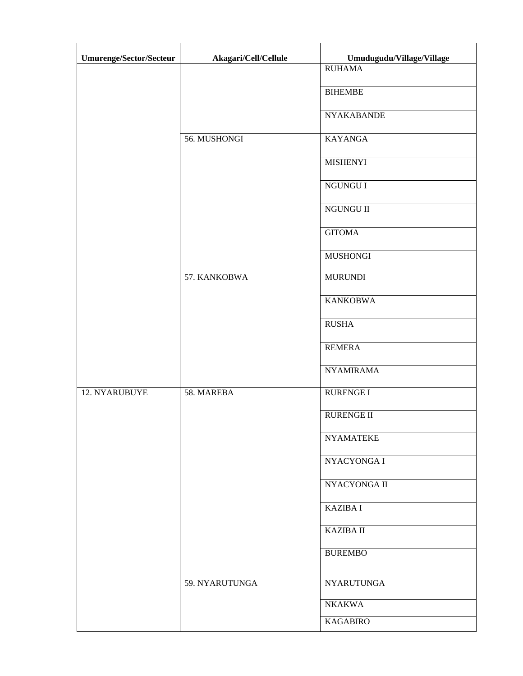| <b>Umurenge/Sector/Secteur</b> | Akagari/Cell/Cellule | Umudugudu/Village/Village |
|--------------------------------|----------------------|---------------------------|
|                                |                      | <b>RUHAMA</b>             |
|                                |                      | <b>BIHEMBE</b>            |
|                                |                      | <b>NYAKABANDE</b>         |
|                                | 56. MUSHONGI         | <b>KAYANGA</b>            |
|                                |                      | <b>MISHENYI</b>           |
|                                |                      | NGUNGU I                  |
|                                |                      | NGUNGU II                 |
|                                |                      | <b>GITOMA</b>             |
|                                |                      | <b>MUSHONGI</b>           |
|                                | 57. KANKOBWA         | <b>MURUNDI</b>            |
|                                |                      | <b>KANKOBWA</b>           |
|                                |                      | <b>RUSHA</b>              |
|                                |                      | <b>REMERA</b>             |
|                                |                      | <b>NYAMIRAMA</b>          |
| 12. NYARUBUYE                  | 58. MAREBA           | <b>RURENGE I</b>          |
|                                |                      | <b>RURENGE II</b>         |
|                                |                      | <b>NYAMATEKE</b>          |
|                                |                      | NYACYONGA I               |
|                                |                      | NYACYONGA II              |
|                                |                      | <b>KAZIBA I</b>           |
|                                |                      | <b>KAZIBA II</b>          |
|                                |                      | <b>BUREMBO</b>            |
|                                | 59. NYARUTUNGA       | <b>NYARUTUNGA</b>         |
|                                |                      | <b>NKAKWA</b>             |
|                                |                      | <b>KAGABIRO</b>           |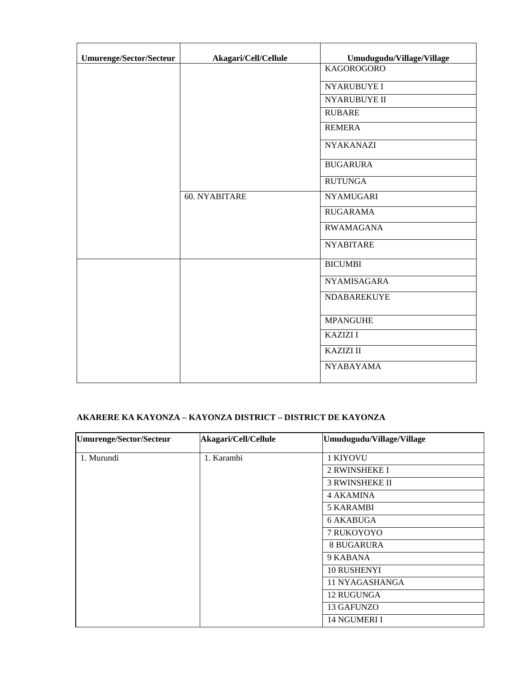| Umurenge/Sector/Secteur | Akagari/Cell/Cellule | Umudugudu/Village/Village |
|-------------------------|----------------------|---------------------------|
|                         |                      | <b>KAGOROGORO</b>         |
|                         |                      | <b>NYARUBUYE I</b>        |
|                         |                      | <b>NYARUBUYE II</b>       |
|                         |                      | <b>RUBARE</b>             |
|                         |                      | <b>REMERA</b>             |
|                         |                      | <b>NYAKANAZI</b>          |
|                         |                      | <b>BUGARURA</b>           |
|                         |                      | <b>RUTUNGA</b>            |
|                         | 60. NYABITARE        | <b>NYAMUGARI</b>          |
|                         |                      | <b>RUGARAMA</b>           |
|                         |                      | <b>RWAMAGANA</b>          |
|                         |                      | <b>NYABITARE</b>          |
|                         |                      | <b>BICUMBI</b>            |
|                         |                      | <b>NYAMISAGARA</b>        |
|                         |                      | NDABAREKUYE               |
|                         |                      | <b>MPANGUHE</b>           |
|                         |                      | <b>KAZIZI I</b>           |
|                         |                      | <b>KAZIZI II</b>          |
|                         |                      | <b>NYABAYAMA</b>          |

## **AKARERE KA KAYONZA – KAYONZA DISTRICT – DISTRICT DE KAYONZA**

| <b>Umurenge/Sector/Secteur</b> | Akagari/Cell/Cellule | Umudugudu/Village/Village |
|--------------------------------|----------------------|---------------------------|
| 1. Murundi                     | 1. Karambi           | 1 KIYOVU                  |
|                                |                      | <b>2 RWINSHEKE I</b>      |
|                                |                      | <b>3 RWINSHEKE II</b>     |
|                                |                      | 4 AKAMINA                 |
|                                |                      | <b>5 KARAMBI</b>          |
|                                |                      | 6 AKABUGA                 |
|                                |                      | 7 RUKOYOYO                |
|                                |                      | <b>8 BUGARURA</b>         |
|                                |                      | 9 KABANA                  |
|                                |                      | <b>10 RUSHENYI</b>        |
|                                |                      | 11 NYAGASHANGA            |
|                                |                      | 12 RUGUNGA                |
|                                |                      | 13 GAFUNZO                |
|                                |                      | 14 NGUMERI I              |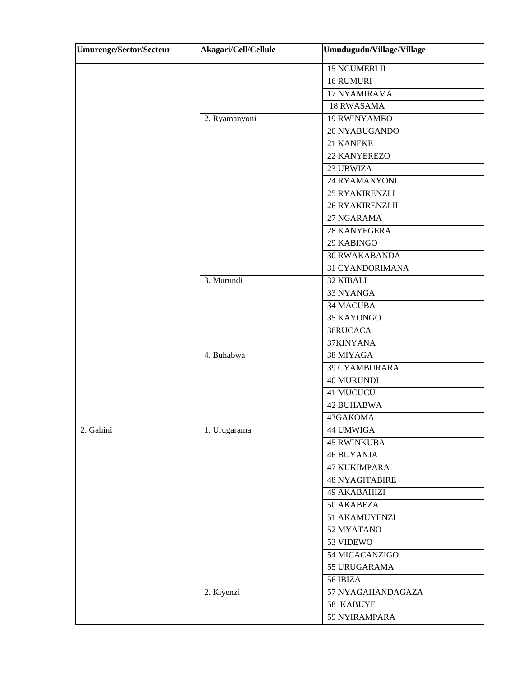| <b>Umurenge/Sector/Secteur</b> | Akagari/Cell/Cellule | Umudugudu/Village/Village |
|--------------------------------|----------------------|---------------------------|
|                                |                      | 15 NGUMERI II             |
|                                |                      | 16 RUMURI                 |
|                                |                      | 17 NYAMIRAMA              |
|                                |                      | <b>18 RWASAMA</b>         |
|                                | 2. Ryamanyoni        | <b>19 RWINYAMBO</b>       |
|                                |                      | 20 NYABUGANDO             |
|                                |                      | 21 KANEKE                 |
|                                |                      | 22 KANYEREZO              |
|                                |                      | 23 UBWIZA                 |
|                                |                      | <b>24 RYAMANYONI</b>      |
|                                |                      | 25 RYAKIRENZI I           |
|                                |                      | 26 RYAKIRENZI II          |
|                                |                      | 27 NGARAMA                |
|                                |                      | 28 KANYEGERA              |
|                                |                      | 29 KABINGO                |
|                                |                      | <b>30 RWAKABANDA</b>      |
|                                |                      | 31 CYANDORIMANA           |
|                                | 3. Murundi           | 32 KIBALI                 |
|                                |                      | 33 NYANGA                 |
|                                |                      | <b>34 MACUBA</b>          |
|                                |                      | 35 KAYONGO                |
|                                |                      | 36RUCACA                  |
|                                |                      | 37KINYANA                 |
|                                | 4. Buhabwa           | 38 MIYAGA                 |
|                                |                      | 39 CYAMBURARA             |
|                                |                      | <b>40 MURUNDI</b>         |
|                                |                      | 41 MUCUCU                 |
|                                |                      | <b>42 BUHABWA</b>         |
|                                |                      | 43GAKOMA                  |
| 2. Gahini                      | 1. Urugarama         | 44 UMWIGA                 |
|                                |                      | <b>45 RWINKUBA</b>        |
|                                |                      | <b>46 BUYANJA</b>         |
|                                |                      | <b>47 KUKIMPARA</b>       |
|                                |                      | <b>48 NYAGITABIRE</b>     |
|                                |                      | <b>49 AKABAHIZI</b>       |
|                                |                      | 50 AKABEZA                |
|                                |                      | 51 AKAMUYENZI             |
|                                |                      | 52 MYATANO                |
|                                |                      | 53 VIDEWO                 |
|                                |                      | 54 MICACANZIGO            |
|                                |                      | 55 URUGARAMA              |
|                                |                      | 56 IBIZA                  |
|                                | 2. Kiyenzi           | 57 NYAGAHANDAGAZA         |
|                                |                      | 58 KABUYE                 |
|                                |                      | 59 NYIRAMPARA             |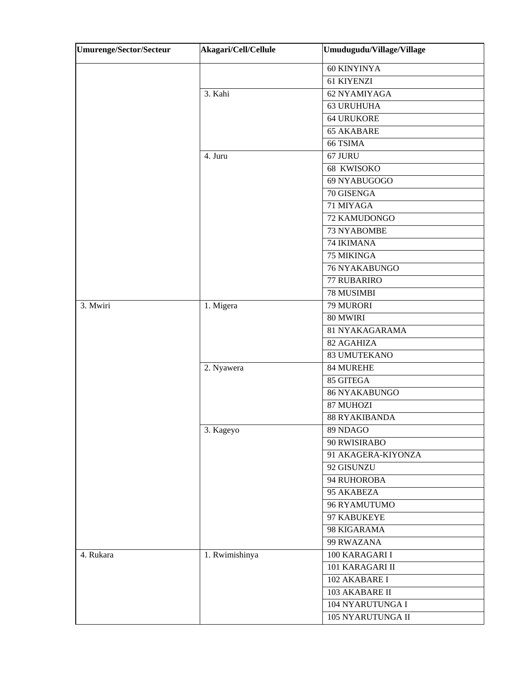| <b>Umurenge/Sector/Secteur</b> | Akagari/Cell/Cellule | Umudugudu/Village/Village |
|--------------------------------|----------------------|---------------------------|
|                                |                      | 60 KINYINYA               |
|                                |                      | 61 KIYENZI                |
|                                | 3. Kahi              | 62 NYAMIYAGA              |
|                                |                      | <b>63 URUHUHA</b>         |
|                                |                      | <b>64 URUKORE</b>         |
|                                |                      | <b>65 AKABARE</b>         |
|                                |                      | 66 TSIMA                  |
|                                | 4. Juru              | 67 JURU                   |
|                                |                      | 68 KWISOKO                |
|                                |                      | 69 NYABUGOGO              |
|                                |                      | 70 GISENGA                |
|                                |                      | 71 MIYAGA                 |
|                                |                      | 72 KAMUDONGO              |
|                                |                      | 73 NYABOMBE               |
|                                |                      | 74 IKIMANA                |
|                                |                      | 75 MIKINGA                |
|                                |                      | 76 NYAKABUNGO             |
|                                |                      | <b>77 RUBARIRO</b>        |
|                                |                      | 78 MUSIMBI                |
| 3. Mwiri                       | 1. Migera            | 79 MURORI                 |
|                                |                      | 80 MWIRI                  |
|                                |                      | 81 NYAKAGARAMA            |
|                                |                      | 82 AGAHIZA                |
|                                |                      | <b>83 UMUTEKANO</b>       |
|                                | 2. Nyawera           | 84 MUREHE                 |
|                                |                      | 85 GITEGA                 |
|                                |                      | <b>86 NYAKABUNGO</b>      |
|                                |                      | 87 MUHOZI                 |
|                                |                      | <b>88 RYAKIBANDA</b>      |
|                                | 3. Kageyo            | 89 NDAGO                  |
|                                |                      | 90 RWISIRABO              |
|                                |                      | 91 AKAGERA-KIYONZA        |
|                                |                      | 92 GISUNZU                |
|                                |                      | 94 RUHOROBA               |
|                                |                      | 95 AKABEZA                |
|                                |                      | 96 RYAMUTUMO              |
|                                |                      | 97 KABUKEYE               |
|                                |                      | 98 KIGARAMA               |
|                                |                      | 99 RWAZANA                |
| 4. Rukara                      | 1. Rwimishinya       | 100 KARAGARI I            |
|                                |                      | 101 KARAGARI II           |
|                                |                      | 102 AKABARE I             |
|                                |                      | 103 AKABARE II            |
|                                |                      | 104 NYARUTUNGA I          |
|                                |                      | 105 NYARUTUNGA II         |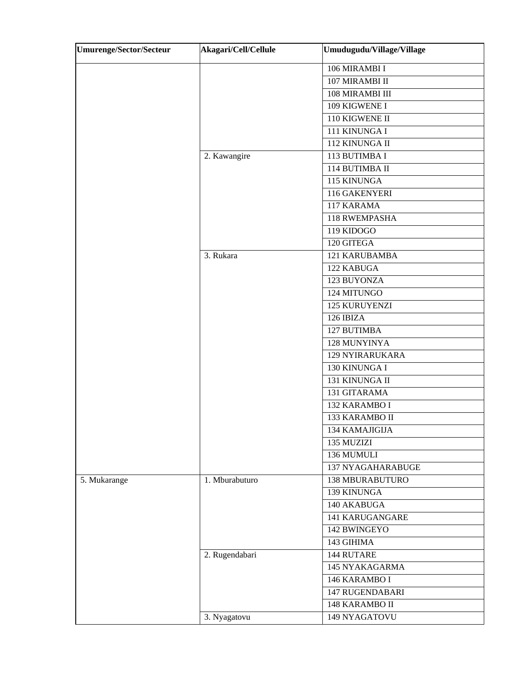| <b>Umurenge/Sector/Secteur</b> | Akagari/Cell/Cellule | Umudugudu/Village/Village |
|--------------------------------|----------------------|---------------------------|
|                                |                      | 106 MIRAMBI I             |
|                                |                      | 107 MIRAMBI II            |
|                                |                      | 108 MIRAMBI III           |
|                                |                      | 109 KIGWENE I             |
|                                |                      | 110 KIGWENE II            |
|                                |                      | 111 KINUNGA I             |
|                                |                      | 112 KINUNGA II            |
|                                | 2. Kawangire         | 113 BUTIMBA I             |
|                                |                      | 114 BUTIMBA II            |
|                                |                      | 115 KINUNGA               |
|                                |                      | 116 GAKENYERI             |
|                                |                      | 117 KARAMA                |
|                                |                      | 118 RWEMPASHA             |
|                                |                      | 119 KIDOGO                |
|                                |                      | 120 GITEGA                |
|                                | 3. Rukara            | 121 KARUBAMBA             |
|                                |                      | 122 KABUGA                |
|                                |                      | 123 BUYONZA               |
|                                |                      | 124 MITUNGO               |
|                                |                      | 125 KURUYENZI             |
|                                |                      | 126 IBIZA                 |
|                                |                      | 127 BUTIMBA               |
|                                |                      | 128 MUNYINYA              |
|                                |                      | 129 NYIRARUKARA           |
|                                |                      | 130 KINUNGA I             |
|                                |                      | 131 KINUNGA II            |
|                                |                      | 131 GITARAMA              |
|                                |                      | 132 KARAMBO I             |
|                                |                      | 133 KARAMBO II            |
|                                |                      | 134 KAMAJIGIJA            |
|                                |                      | 135 MUZIZI                |
|                                |                      | 136 MUMULI                |
|                                |                      | 137 NYAGAHARABUGE         |
| 5. Mukarange                   | 1. Mburabuturo       | 138 MBURABUTURO           |
|                                |                      | 139 KINUNGA               |
|                                |                      | 140 AKABUGA               |
|                                |                      | <b>141 KARUGANGARE</b>    |
|                                |                      | 142 BWINGEYO              |
|                                |                      | 143 GIHIMA                |
|                                | 2. Rugendabari       | 144 RUTARE                |
|                                |                      | 145 NYAKAGARMA            |
|                                |                      | 146 KARAMBO I             |
|                                |                      | <b>147 RUGENDABARI</b>    |
|                                |                      | 148 KARAMBO II            |
|                                | 3. Nyagatovu         | 149 NYAGATOVU             |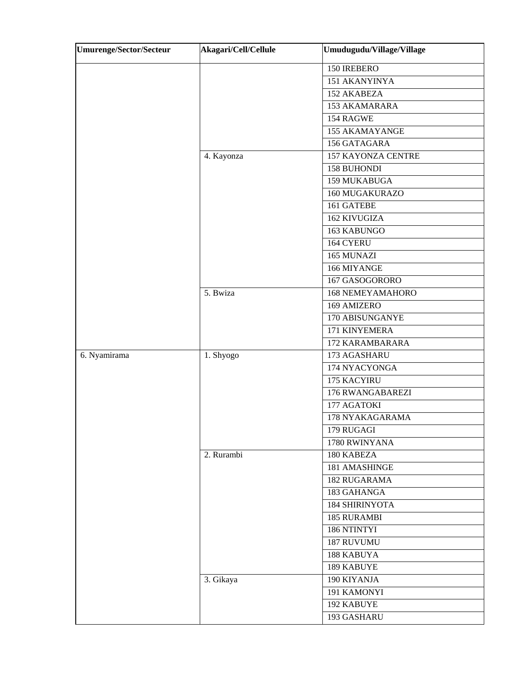| <b>Umurenge/Sector/Secteur</b> | Akagari/Cell/Cellule | Umudugudu/Village/Village |
|--------------------------------|----------------------|---------------------------|
|                                |                      | 150 IREBERO               |
|                                |                      | 151 AKANYINYA             |
|                                |                      | 152 AKABEZA               |
|                                |                      | 153 AKAMARARA             |
|                                |                      | 154 RAGWE                 |
|                                |                      | <b>155 AKAMAYANGE</b>     |
|                                |                      | 156 GATAGARA              |
|                                | 4. Kayonza           | <b>157 KAYONZA CENTRE</b> |
|                                |                      | 158 BUHONDI               |
|                                |                      | 159 MUKABUGA              |
|                                |                      | 160 MUGAKURAZO            |
|                                |                      | 161 GATEBE                |
|                                |                      | <b>162 KIVUGIZA</b>       |
|                                |                      | 163 KABUNGO               |
|                                |                      | 164 CYERU                 |
|                                |                      | 165 MUNAZI                |
|                                |                      | 166 MIYANGE               |
|                                |                      | 167 GASOGORORO            |
|                                | 5. Bwiza             | <b>168 NEMEYAMAHORO</b>   |
|                                |                      | 169 AMIZERO               |
|                                |                      | 170 ABISUNGANYE           |
|                                |                      | 171 KINYEMERA             |
|                                |                      | 172 KARAMBARARA           |
| 6. Nyamirama                   | 1. Shyogo            | 173 AGASHARU              |
|                                |                      | 174 NYACYONGA             |
|                                |                      | 175 KACYIRU               |
|                                |                      | 176 RWANGABAREZI          |
|                                |                      | 177 AGATOKI               |
|                                |                      | 178 NYAKAGARAMA           |
|                                |                      | 179 RUGAGI                |
|                                |                      | 1780 RWINYANA             |
|                                | 2. Rurambi           | 180 KABEZA                |
|                                |                      | 181 AMASHINGE             |
|                                |                      | 182 RUGARAMA              |
|                                |                      | 183 GAHANGA               |
|                                |                      | <b>184 SHIRINYOTA</b>     |
|                                |                      | <b>185 RURAMBI</b>        |
|                                |                      | 186 NTINTYI               |
|                                |                      | 187 RUVUMU                |
|                                |                      | 188 KABUYA                |
|                                |                      | 189 KABUYE                |
|                                | 3. Gikaya            | 190 KIYANJA               |
|                                |                      | 191 KAMONYI               |
|                                |                      | 192 KABUYE                |
|                                |                      | 193 GASHARU               |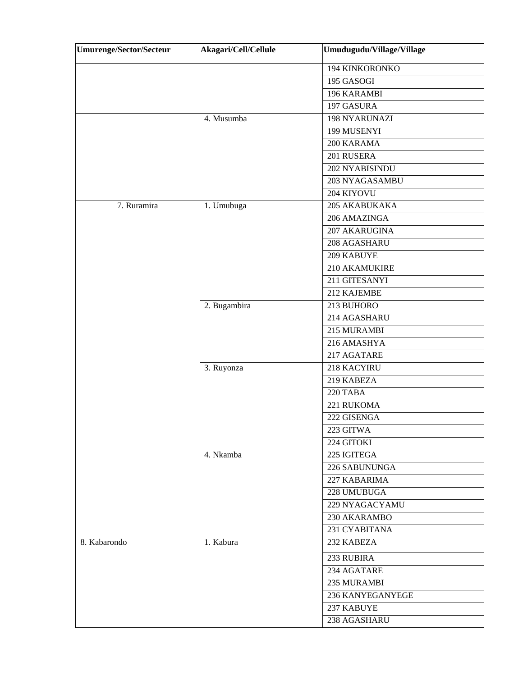| <b>Umurenge/Sector/Secteur</b> | Akagari/Cell/Cellule | Umudugudu/Village/Village |
|--------------------------------|----------------------|---------------------------|
|                                |                      | 194 KINKORONKO            |
|                                |                      | 195 GASOGI                |
|                                |                      | 196 KARAMBI               |
|                                |                      | 197 GASURA                |
|                                | 4. Musumba           | 198 NYARUNAZI             |
|                                |                      | 199 MUSENYI               |
|                                |                      | 200 KARAMA                |
|                                |                      | 201 RUSERA                |
|                                |                      | 202 NYABISINDU            |
|                                |                      | 203 NYAGASAMBU            |
|                                |                      | 204 KIYOVU                |
| 7. Ruramira                    | 1. Umubuga           | 205 AKABUKAKA             |
|                                |                      | 206 AMAZINGA              |
|                                |                      | 207 AKARUGINA             |
|                                |                      | 208 AGASHARU              |
|                                |                      | 209 KABUYE                |
|                                |                      | 210 AKAMUKIRE             |
|                                |                      | 211 GITESANYI             |
|                                |                      | 212 KAJEMBE               |
|                                | 2. Bugambira         | 213 BUHORO                |
|                                |                      | 214 AGASHARU              |
|                                |                      | 215 MURAMBI               |
|                                |                      | 216 AMASHYA               |
|                                |                      | 217 AGATARE               |
|                                | 3. Ruyonza           | 218 KACYIRU               |
|                                |                      | 219 KABEZA                |
|                                |                      | 220 TABA                  |
|                                |                      | 221 RUKOMA                |
|                                |                      | 222 GISENGA               |
|                                |                      | 223 GITWA                 |
|                                |                      | 224 GITOKI                |
|                                | 4. Nkamba            | 225 IGITEGA               |
|                                |                      | 226 SABUNUNGA             |
|                                |                      | 227 KABARIMA              |
|                                |                      | 228 UMUBUGA               |
|                                |                      | 229 NYAGACYAMU            |
|                                |                      | 230 AKARAMBO              |
|                                |                      | 231 CYABITANA             |
| 8. Kabarondo                   | 1. Kabura            | 232 KABEZA                |
|                                |                      | 233 RUBIRA                |
|                                |                      | 234 AGATARE               |
|                                |                      | 235 MURAMBI               |
|                                |                      | 236 KANYEGANYEGE          |
|                                |                      | 237 KABUYE                |
|                                |                      | 238 AGASHARU              |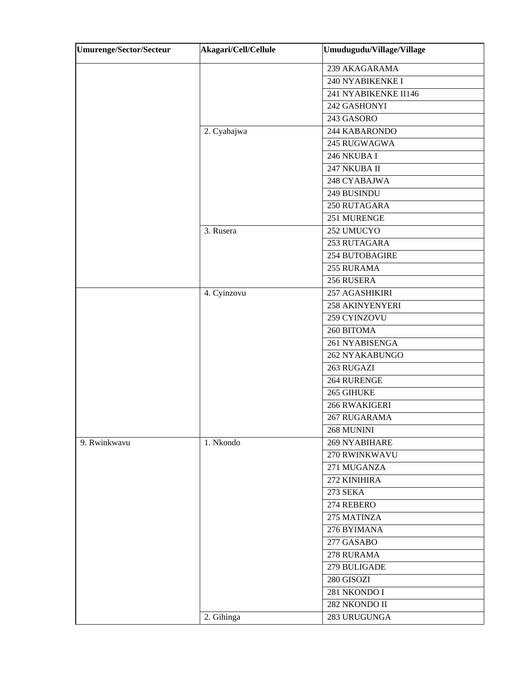| <b>Umurenge/Sector/Secteur</b> | Akagari/Cell/Cellule | Umudugudu/Village/Village |
|--------------------------------|----------------------|---------------------------|
|                                |                      | 239 AKAGARAMA             |
|                                |                      | 240 NYABIKENKE I          |
|                                |                      | 241 NYABIKENKE II146      |
|                                |                      | 242 GASHONYI              |
|                                |                      | 243 GASORO                |
|                                | 2. Cyabajwa          | 244 KABARONDO             |
|                                |                      | 245 RUGWAGWA              |
|                                |                      | 246 NKUBA I               |
|                                |                      | 247 NKUBA II              |
|                                |                      | 248 CYABAJWA              |
|                                |                      | 249 BUSINDU               |
|                                |                      | 250 RUTAGARA              |
|                                |                      | 251 MURENGE               |
|                                | 3. Rusera            | 252 UMUCYO                |
|                                |                      | 253 RUTAGARA              |
|                                |                      | 254 BUTOBAGIRE            |
|                                |                      | 255 RURAMA                |
|                                |                      | 256 RUSERA                |
|                                | 4. Cyinzovu          | 257 AGASHIKIRI            |
|                                |                      | <b>258 AKINYENYERI</b>    |
|                                |                      | 259 CYINZOVU              |
|                                |                      | 260 BITOMA                |
|                                |                      | 261 NYABISENGA            |
|                                |                      | 262 NYAKABUNGO            |
|                                |                      | 263 RUGAZI                |
|                                |                      | $264$ RURENGE             |
|                                |                      | 265 GIHUKE                |
|                                |                      | 266 RWAKIGERI             |
|                                |                      | 267 RUGARAMA              |
|                                |                      | 268 MUNINI                |
| 9. Rwinkwavu                   | 1. Nkondo            | 269 NYABIHARE             |
|                                |                      | 270 RWINKWAVU             |
|                                |                      | 271 MUGANZA               |
|                                |                      | 272 KINIHIRA              |
|                                |                      | <b>273 SEKA</b>           |
|                                |                      | 274 REBERO                |
|                                |                      | 275 MATINZA               |
|                                |                      | 276 BYIMANA               |
|                                |                      | 277 GASABO                |
|                                |                      | 278 RURAMA                |
|                                |                      | 279 BULIGADE              |
|                                |                      | 280 GISOZI                |
|                                |                      | 281 NKONDO I              |
|                                |                      | 282 NKONDO II             |
|                                | 2. Gihinga           | 283 URUGUNGA              |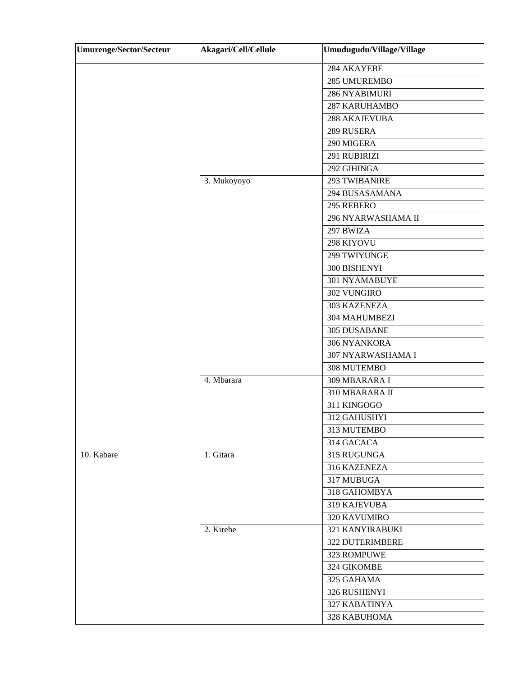| <b>Umurenge/Sector/Secteur</b> | Akagari/Cell/Cellule | Umudugudu/Village/Village |
|--------------------------------|----------------------|---------------------------|
|                                |                      | 284 AKAYEBE               |
|                                |                      | 285 UMUREMBO              |
|                                |                      | 286 NYABIMURI             |
|                                |                      | 287 KARUHAMBO             |
|                                |                      | 288 AKAJEVUBA             |
|                                |                      | 289 RUSERA                |
|                                |                      | 290 MIGERA                |
|                                |                      | 291 RUBIRIZI              |
|                                |                      | 292 GIHINGA               |
|                                | 3. Mukoyoyo          | 293 TWIBANIRE             |
|                                |                      | 294 BUSASAMANA            |
|                                |                      | 295 REBERO                |
|                                |                      | 296 NYARWASHAMA II        |
|                                |                      | 297 BWIZA                 |
|                                |                      | 298 KIYOVU                |
|                                |                      | 299 TWIYUNGE              |
|                                |                      | 300 BISHENYI              |
|                                |                      | 301 NYAMABUYE             |
|                                |                      | 302 VUNGIRO               |
|                                |                      | 303 KAZENEZA              |
|                                |                      | 304 MAHUMBEZI             |
|                                |                      | 305 DUSABANE              |
|                                |                      | 306 NYANKORA              |
|                                |                      | 307 NYARWASHAMA I         |
|                                |                      | 308 MUTEMBO               |
|                                | 4. Mbarara           | 309 MBARARA I             |
|                                |                      | 310 MBARARA II            |
|                                |                      | 311 KINGOGO               |
|                                |                      | 312 GAHUSHYI              |
|                                |                      | 313 MUTEMBO               |
|                                |                      | 314 GACACA                |
| 10. Kabare                     | 1. Gitara            | 315 RUGUNGA               |
|                                |                      | 316 KAZENEZA              |
|                                |                      | 317 MUBUGA                |
|                                |                      | 318 GAHOMBYA              |
|                                |                      | 319 KAJEVUBA              |
|                                |                      | <b>320 KAVUMIRO</b>       |
|                                | 2. Kirehe            | 321 KANYIRABUKI           |
|                                |                      | 322 DUTERIMBERE           |
|                                |                      | 323 ROMPUWE               |
|                                |                      | 324 GIKOMBE               |
|                                |                      | 325 GAHAMA                |
|                                |                      | 326 RUSHENYI              |
|                                |                      | 327 KABATINYA             |
|                                |                      | 328 KABUHOMA              |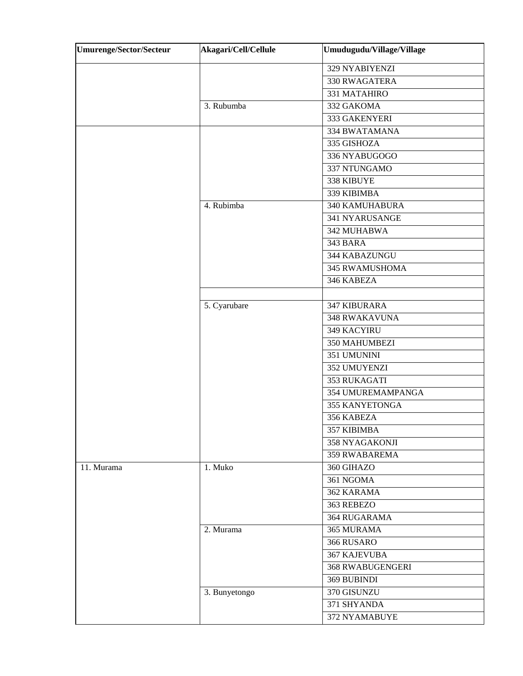| <b>Umurenge/Sector/Secteur</b> | Akagari/Cell/Cellule | Umudugudu/Village/Village |
|--------------------------------|----------------------|---------------------------|
|                                |                      | 329 NYABIYENZI            |
|                                |                      | 330 RWAGATERA             |
|                                |                      | 331 MATAHIRO              |
|                                | 3. Rubumba           | 332 GAKOMA                |
|                                |                      | 333 GAKENYERI             |
|                                |                      | 334 BWATAMANA             |
|                                |                      | 335 GISHOZA               |
|                                |                      | 336 NYABUGOGO             |
|                                |                      | 337 NTUNGAMO              |
|                                |                      | 338 KIBUYE                |
|                                |                      | 339 KIBIMBA               |
|                                | 4. Rubimba           | <b>340 KAMUHABURA</b>     |
|                                |                      | 341 NYARUSANGE            |
|                                |                      | 342 MUHABWA               |
|                                |                      | 343 BARA                  |
|                                |                      | 344 KABAZUNGU             |
|                                |                      | 345 RWAMUSHOMA            |
|                                |                      | 346 KABEZA                |
|                                |                      |                           |
|                                | 5. Cyarubare         | 347 KIBURARA              |
|                                |                      | <b>348 RWAKAVUNA</b>      |
|                                |                      | 349 KACYIRU               |
|                                |                      | 350 MAHUMBEZI             |
|                                |                      | 351 UMUNINI               |
|                                |                      | 352 UMUYENZI              |
|                                |                      | 353 RUKAGATI              |
|                                |                      | 354 UMUREMAMPANGA         |
|                                |                      | 355 KANYETONGA            |
|                                |                      | 356 KABEZA                |
|                                |                      | 357 KIBIMBA               |
|                                |                      | 358 NYAGAKONJI            |
|                                |                      | 359 RWABAREMA             |
| 11. Murama                     | 1. Muko              | 360 GIHAZO                |
|                                |                      | 361 NGOMA                 |
|                                |                      | 362 KARAMA                |
|                                |                      | 363 REBEZO                |
|                                |                      | 364 RUGARAMA              |
|                                | 2. Murama            | 365 MURAMA                |
|                                |                      | 366 RUSARO                |
|                                |                      | <b>367 KAJEVUBA</b>       |
|                                |                      | <b>368 RWABUGENGERI</b>   |
|                                |                      | 369 BUBINDI               |
|                                | 3. Bunyetongo        | 370 GISUNZU               |
|                                |                      | 371 SHYANDA               |
|                                |                      | 372 NYAMABUYE             |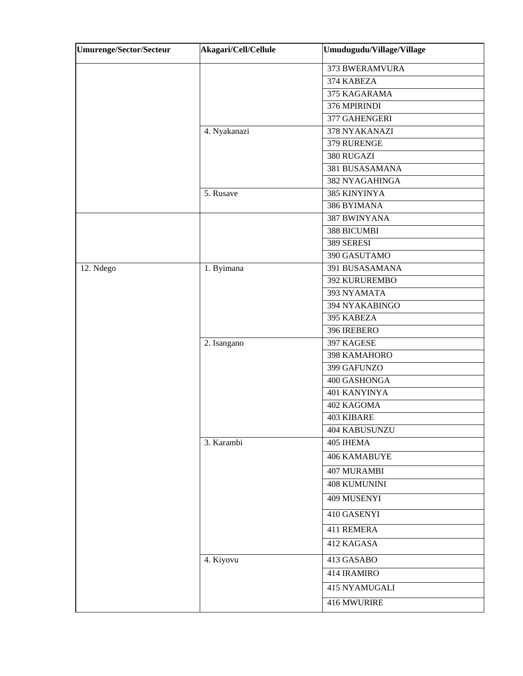| <b>Umurenge/Sector/Secteur</b> | Akagari/Cell/Cellule | Umudugudu/Village/Village |
|--------------------------------|----------------------|---------------------------|
|                                |                      | 373 BWERAMVURA            |
|                                |                      | 374 KABEZA                |
|                                |                      | 375 KAGARAMA              |
|                                |                      | 376 MPIRINDI              |
|                                |                      | 377 GAHENGERI             |
|                                | 4. Nyakanazi         | 378 NYAKANAZI             |
|                                |                      | 379 RURENGE               |
|                                |                      | 380 RUGAZI                |
|                                |                      | 381 BUSASAMANA            |
|                                |                      | 382 NYAGAHINGA            |
|                                | 5. Rusave            | 385 KINYINYA              |
|                                |                      | 386 BYIMANA               |
|                                |                      | <b>387 BWINYANA</b>       |
|                                |                      | 388 BICUMBI               |
|                                |                      | 389 SERESI                |
|                                |                      | 390 GASUTAMO              |
| 12. Ndego                      | 1. Byimana           | 391 BUSASAMANA            |
|                                |                      | <b>392 KURUREMBO</b>      |
|                                |                      | 393 NYAMATA               |
|                                |                      | 394 NYAKABINGO            |
|                                |                      | 395 KABEZA                |
|                                |                      | 396 IREBERO               |
|                                | 2. Isangano          | 397 KAGESE                |
|                                |                      | 398 KAMAHORO              |
|                                |                      | 399 GAFUNZO               |
|                                |                      | 400 GASHONGA              |
|                                |                      | 401 KANYINYA              |
|                                |                      | 402 KAGOMA                |
|                                |                      | <b>403 KIBARE</b>         |
|                                |                      | 404 KABUSUNZU             |
|                                | 3. Karambi           | 405 IHEMA                 |
|                                |                      | 406 KAMABUYE              |
|                                |                      | <b>407 MURAMBI</b>        |
|                                |                      | <b>408 KUMUNINI</b>       |
|                                |                      | 409 MUSENYI               |
|                                |                      | 410 GASENYI               |
|                                |                      | 411 REMERA                |
|                                |                      | 412 KAGASA                |
|                                | 4. Kiyovu            | 413 GASABO                |
|                                |                      | 414 IRAMIRO               |
|                                |                      | <b>415 NYAMUGALI</b>      |
|                                |                      | 416 MWURIRE               |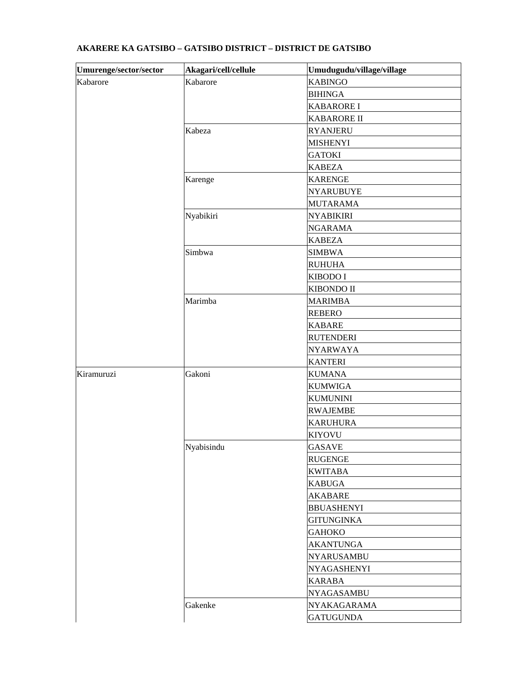| Umurenge/sector/sector | Akagari/cell/cellule | Umudugudu/village/village |
|------------------------|----------------------|---------------------------|
| Kabarore               | Kabarore             | <b>KABINGO</b>            |
|                        |                      | <b>BIHINGA</b>            |
|                        |                      | <b>KABARORE I</b>         |
|                        |                      | <b>KABARORE II</b>        |
|                        | Kabeza               | <b>RYANJERU</b>           |
|                        |                      | <b>MISHENYI</b>           |
|                        |                      | <b>GATOKI</b>             |
|                        |                      | <b>KABEZA</b>             |
|                        | Karenge              | <b>KARENGE</b>            |
|                        |                      | <b>NYARUBUYE</b>          |
|                        |                      | <b>MUTARAMA</b>           |
|                        | Nyabikiri            | <b>NYABIKIRI</b>          |
|                        |                      | <b>NGARAMA</b>            |
|                        |                      | <b>KABEZA</b>             |
|                        | Simbwa               | <b>SIMBWA</b>             |
|                        |                      | <b>RUHUHA</b>             |
|                        |                      | KIBODO I                  |
|                        |                      | KIBONDO II                |
|                        | Marimba              | <b>MARIMBA</b>            |
|                        |                      | <b>REBERO</b>             |
|                        |                      | <b>KABARE</b>             |
|                        |                      | <b>RUTENDERI</b>          |
|                        |                      | <b>NYARWAYA</b>           |
|                        |                      | <b>KANTERI</b>            |
| Kiramuruzi             | Gakoni               | <b>KUMANA</b>             |
|                        |                      | <b>KUMWIGA</b>            |
|                        |                      | <b>KUMUNINI</b>           |
|                        |                      | <b>RWAJEMBE</b>           |
|                        |                      | <b>KARUHURA</b>           |
|                        |                      | <b>KIYOVU</b>             |
|                        | Nyabisindu           | <b>GASAVE</b>             |
|                        |                      | <b>RUGENGE</b>            |
|                        |                      | <b>KWITABA</b>            |
|                        |                      | <b>KABUGA</b>             |
|                        |                      | <b>AKABARE</b>            |
|                        |                      | <b>BBUASHENYI</b>         |
|                        |                      | <b>GITUNGINKA</b>         |
|                        |                      | <b>GAHOKO</b>             |
|                        |                      | <b>AKANTUNGA</b>          |
|                        |                      | <b>NYARUSAMBU</b>         |
|                        |                      | <b>NYAGASHENYI</b>        |
|                        |                      | <b>KARABA</b>             |
|                        |                      | <b>NYAGASAMBU</b>         |
|                        | Gakenke              | NYAKAGARAMA               |
|                        |                      |                           |

## **AKARERE KA GATSIBO – GATSIBO DISTRICT – DISTRICT DE GATSIBO**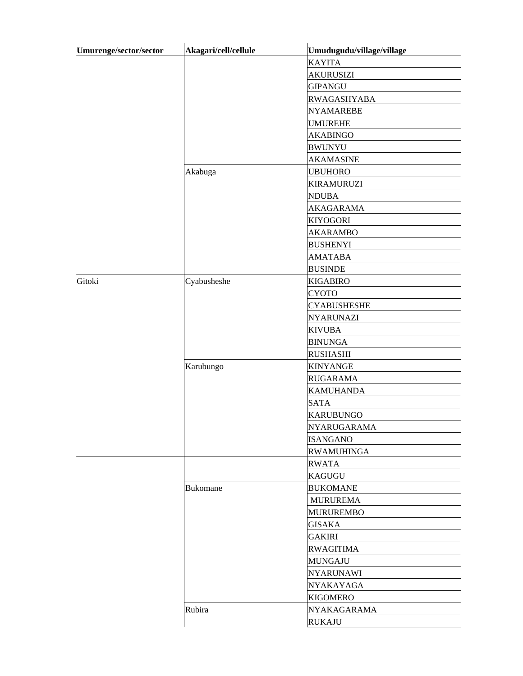| Umurenge/sector/sector | Akagari/cell/cellule | Umudugudu/village/village |
|------------------------|----------------------|---------------------------|
|                        |                      | <b>KAYITA</b>             |
|                        |                      | <b>AKURUSIZI</b>          |
|                        |                      | <b>GIPANGU</b>            |
|                        |                      | <b>RWAGASHYABA</b>        |
|                        |                      | <b>NYAMAREBE</b>          |
|                        |                      | <b>UMUREHE</b>            |
|                        |                      | <b>AKABINGO</b>           |
|                        |                      | <b>BWUNYU</b>             |
|                        |                      | <b>AKAMASINE</b>          |
|                        | Akabuga              | <b>UBUHORO</b>            |
|                        |                      | <b>KIRAMURUZI</b>         |
|                        |                      | <b>NDUBA</b>              |
|                        |                      | <b>AKAGARAMA</b>          |
|                        |                      | <b>KIYOGORI</b>           |
|                        |                      | <b>AKARAMBO</b>           |
|                        |                      | <b>BUSHENYI</b>           |
|                        |                      | <b>AMATABA</b>            |
|                        |                      | <b>BUSINDE</b>            |
| Gitoki                 | Cyabusheshe          | <b>KIGABIRO</b>           |
|                        |                      | <b>CYOTO</b>              |
|                        |                      | <b>CYABUSHESHE</b>        |
|                        |                      | <b>NYARUNAZI</b>          |
|                        |                      | <b>KIVUBA</b>             |
|                        |                      | <b>BINUNGA</b>            |
|                        |                      | <b>RUSHASHI</b>           |
|                        | Karubungo            | <b>KINYANGE</b>           |
|                        |                      | <b>RUGARAMA</b>           |
|                        |                      | <b>KAMUHANDA</b>          |
|                        |                      | <b>SATA</b>               |
|                        |                      | <b>KARUBUNGO</b>          |
|                        |                      | NYARUGARAMA               |
|                        |                      | <b>ISANGANO</b>           |
|                        |                      | <b>RWAMUHINGA</b>         |
|                        |                      | <b>RWATA</b>              |
|                        |                      | <b>KAGUGU</b>             |
|                        | <b>Bukomane</b>      | <b>BUKOMANE</b>           |
|                        |                      | <b>MURUREMA</b>           |
|                        |                      | <b>MURUREMBO</b>          |
|                        |                      | <b>GISAKA</b>             |
|                        |                      | <b>GAKIRI</b>             |
|                        |                      | <b>RWAGITIMA</b>          |
|                        |                      | <b>MUNGAJU</b>            |
|                        |                      | <b>NYARUNAWI</b>          |
|                        |                      | NYAKAYAGA                 |
|                        |                      | <b>KIGOMERO</b>           |
|                        | Rubira               | NYAKAGARAMA               |
|                        |                      | <b>RUKAJU</b>             |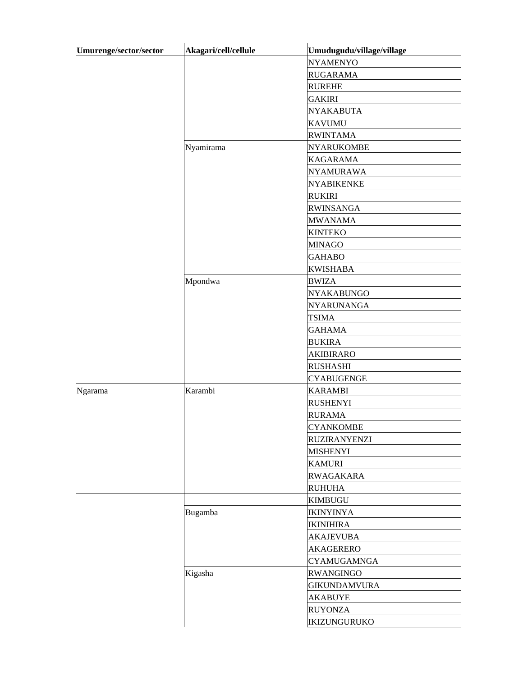| Umurenge/sector/sector | Akagari/cell/cellule | Umudugudu/village/village |
|------------------------|----------------------|---------------------------|
|                        |                      | <b>NYAMENYO</b>           |
|                        |                      | <b>RUGARAMA</b>           |
|                        |                      | <b>RUREHE</b>             |
|                        |                      | <b>GAKIRI</b>             |
|                        |                      | <b>NYAKABUTA</b>          |
|                        |                      | <b>KAVUMU</b>             |
|                        |                      | <b>RWINTAMA</b>           |
|                        | Nyamirama            | <b>NYARUKOMBE</b>         |
|                        |                      | <b>KAGARAMA</b>           |
|                        |                      | <b>NYAMURAWA</b>          |
|                        |                      | <b>NYABIKENKE</b>         |
|                        |                      | <b>RUKIRI</b>             |
|                        |                      | <b>RWINSANGA</b>          |
|                        |                      | <b>MWANAMA</b>            |
|                        |                      | <b>KINTEKO</b>            |
|                        |                      | <b>MINAGO</b>             |
|                        |                      | <b>GAHABO</b>             |
|                        |                      | <b>KWISHABA</b>           |
|                        | Mpondwa              | <b>BWIZA</b>              |
|                        |                      | <b>NYAKABUNGO</b>         |
|                        |                      | <b>NYARUNANGA</b>         |
|                        |                      | <b>TSIMA</b>              |
|                        |                      | <b>GAHAMA</b>             |
|                        |                      | <b>BUKIRA</b>             |
|                        |                      | <b>AKIBIRARO</b>          |
|                        |                      | <b>RUSHASHI</b>           |
|                        |                      | <b>CYABUGENGE</b>         |
| Ngarama                | Karambi              | <b>KARAMBI</b>            |
|                        |                      | <b>RUSHENYI</b>           |
|                        |                      | <b>RURAMA</b>             |
|                        |                      | <b>CYANKOMBE</b>          |
|                        |                      | <b>RUZIRANYENZI</b>       |
|                        |                      | <b>MISHENYI</b>           |
|                        |                      | <b>KAMURI</b>             |
|                        |                      | <b>RWAGAKARA</b>          |
|                        |                      | <b>RUHUHA</b>             |
|                        |                      | <b>KIMBUGU</b>            |
|                        | Bugamba              | <b>IKINYINYA</b>          |
|                        |                      | <b>IKINIHIRA</b>          |
|                        |                      | <b>AKAJEVUBA</b>          |
|                        |                      | <b>AKAGERERO</b>          |
|                        |                      | <b>CYAMUGAMNGA</b>        |
|                        | Kigasha              | <b>RWANGINGO</b>          |
|                        |                      | <b>GIKUNDAMVURA</b>       |
|                        |                      | <b>AKABUYE</b>            |
|                        |                      | <b>RUYONZA</b>            |
|                        |                      | IKIZUNGURUKO              |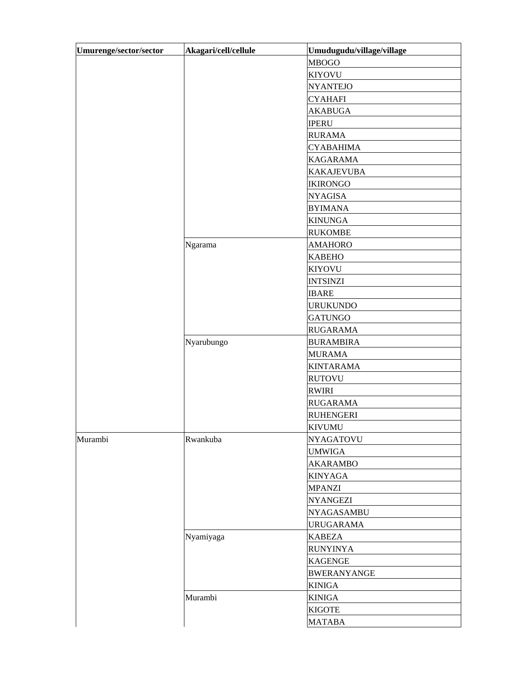| <b>MBOGO</b><br><b>KIYOVU</b><br><b>NYANTEJO</b><br><b>CYAHAFI</b><br><b>AKABUGA</b><br><b>IPERU</b><br><b>RURAMA</b><br><b>CYABAHIMA</b><br><b>KAGARAMA</b><br><b>KAKAJEVUBA</b><br><b>IKIRONGO</b><br><b>NYAGISA</b><br><b>BYIMANA</b><br><b>KINUNGA</b><br><b>RUKOMBE</b><br>Ngarama<br><b>AMAHORO</b><br><b>KABEHO</b><br><b>KIYOVU</b><br><b>INTSINZI</b><br><b>IBARE</b><br><b>URUKUNDO</b><br><b>GATUNGO</b><br><b>RUGARAMA</b><br>Nyarubungo<br><b>BURAMBIRA</b><br><b>MURAMA</b><br><b>KINTARAMA</b><br><b>RUTOVU</b><br><b>RWIRI</b><br><b>RUGARAMA</b> | Umurenge/sector/sector | Akagari/cell/cellule | Umudugudu/village/village |
|-------------------------------------------------------------------------------------------------------------------------------------------------------------------------------------------------------------------------------------------------------------------------------------------------------------------------------------------------------------------------------------------------------------------------------------------------------------------------------------------------------------------------------------------------------------------|------------------------|----------------------|---------------------------|
|                                                                                                                                                                                                                                                                                                                                                                                                                                                                                                                                                                   |                        |                      |                           |
|                                                                                                                                                                                                                                                                                                                                                                                                                                                                                                                                                                   |                        |                      |                           |
|                                                                                                                                                                                                                                                                                                                                                                                                                                                                                                                                                                   |                        |                      |                           |
|                                                                                                                                                                                                                                                                                                                                                                                                                                                                                                                                                                   |                        |                      |                           |
|                                                                                                                                                                                                                                                                                                                                                                                                                                                                                                                                                                   |                        |                      |                           |
|                                                                                                                                                                                                                                                                                                                                                                                                                                                                                                                                                                   |                        |                      |                           |
|                                                                                                                                                                                                                                                                                                                                                                                                                                                                                                                                                                   |                        |                      |                           |
|                                                                                                                                                                                                                                                                                                                                                                                                                                                                                                                                                                   |                        |                      |                           |
|                                                                                                                                                                                                                                                                                                                                                                                                                                                                                                                                                                   |                        |                      |                           |
|                                                                                                                                                                                                                                                                                                                                                                                                                                                                                                                                                                   |                        |                      |                           |
|                                                                                                                                                                                                                                                                                                                                                                                                                                                                                                                                                                   |                        |                      |                           |
|                                                                                                                                                                                                                                                                                                                                                                                                                                                                                                                                                                   |                        |                      |                           |
|                                                                                                                                                                                                                                                                                                                                                                                                                                                                                                                                                                   |                        |                      |                           |
|                                                                                                                                                                                                                                                                                                                                                                                                                                                                                                                                                                   |                        |                      |                           |
|                                                                                                                                                                                                                                                                                                                                                                                                                                                                                                                                                                   |                        |                      |                           |
|                                                                                                                                                                                                                                                                                                                                                                                                                                                                                                                                                                   |                        |                      |                           |
|                                                                                                                                                                                                                                                                                                                                                                                                                                                                                                                                                                   |                        |                      |                           |
|                                                                                                                                                                                                                                                                                                                                                                                                                                                                                                                                                                   |                        |                      |                           |
|                                                                                                                                                                                                                                                                                                                                                                                                                                                                                                                                                                   |                        |                      |                           |
|                                                                                                                                                                                                                                                                                                                                                                                                                                                                                                                                                                   |                        |                      |                           |
|                                                                                                                                                                                                                                                                                                                                                                                                                                                                                                                                                                   |                        |                      |                           |
|                                                                                                                                                                                                                                                                                                                                                                                                                                                                                                                                                                   |                        |                      |                           |
|                                                                                                                                                                                                                                                                                                                                                                                                                                                                                                                                                                   |                        |                      |                           |
|                                                                                                                                                                                                                                                                                                                                                                                                                                                                                                                                                                   |                        |                      |                           |
|                                                                                                                                                                                                                                                                                                                                                                                                                                                                                                                                                                   |                        |                      |                           |
|                                                                                                                                                                                                                                                                                                                                                                                                                                                                                                                                                                   |                        |                      |                           |
|                                                                                                                                                                                                                                                                                                                                                                                                                                                                                                                                                                   |                        |                      |                           |
|                                                                                                                                                                                                                                                                                                                                                                                                                                                                                                                                                                   |                        |                      |                           |
|                                                                                                                                                                                                                                                                                                                                                                                                                                                                                                                                                                   |                        |                      |                           |
|                                                                                                                                                                                                                                                                                                                                                                                                                                                                                                                                                                   |                        |                      | <b>RUHENGERI</b>          |
| <b>KIVUMU</b>                                                                                                                                                                                                                                                                                                                                                                                                                                                                                                                                                     |                        |                      |                           |
| Murambi<br>Rwankuba<br><b>NYAGATOVU</b>                                                                                                                                                                                                                                                                                                                                                                                                                                                                                                                           |                        |                      |                           |
| <b>UMWIGA</b>                                                                                                                                                                                                                                                                                                                                                                                                                                                                                                                                                     |                        |                      |                           |
| <b>AKARAMBO</b>                                                                                                                                                                                                                                                                                                                                                                                                                                                                                                                                                   |                        |                      |                           |
| <b>KINYAGA</b>                                                                                                                                                                                                                                                                                                                                                                                                                                                                                                                                                    |                        |                      |                           |
| <b>MPANZI</b>                                                                                                                                                                                                                                                                                                                                                                                                                                                                                                                                                     |                        |                      |                           |
| <b>NYANGEZI</b>                                                                                                                                                                                                                                                                                                                                                                                                                                                                                                                                                   |                        |                      |                           |
| <b>NYAGASAMBU</b>                                                                                                                                                                                                                                                                                                                                                                                                                                                                                                                                                 |                        |                      |                           |
| <b>URUGARAMA</b>                                                                                                                                                                                                                                                                                                                                                                                                                                                                                                                                                  |                        |                      |                           |
| Nyamiyaga<br><b>KABEZA</b>                                                                                                                                                                                                                                                                                                                                                                                                                                                                                                                                        |                        |                      |                           |
| <b>RUNYINYA</b>                                                                                                                                                                                                                                                                                                                                                                                                                                                                                                                                                   |                        |                      |                           |
| <b>KAGENGE</b>                                                                                                                                                                                                                                                                                                                                                                                                                                                                                                                                                    |                        |                      |                           |
| <b>BWERANYANGE</b>                                                                                                                                                                                                                                                                                                                                                                                                                                                                                                                                                |                        |                      |                           |
| <b>KINIGA</b>                                                                                                                                                                                                                                                                                                                                                                                                                                                                                                                                                     |                        |                      |                           |
| Murambi<br><b>KINIGA</b>                                                                                                                                                                                                                                                                                                                                                                                                                                                                                                                                          |                        |                      |                           |
| <b>KIGOTE</b>                                                                                                                                                                                                                                                                                                                                                                                                                                                                                                                                                     |                        |                      |                           |
| <b>MATABA</b>                                                                                                                                                                                                                                                                                                                                                                                                                                                                                                                                                     |                        |                      |                           |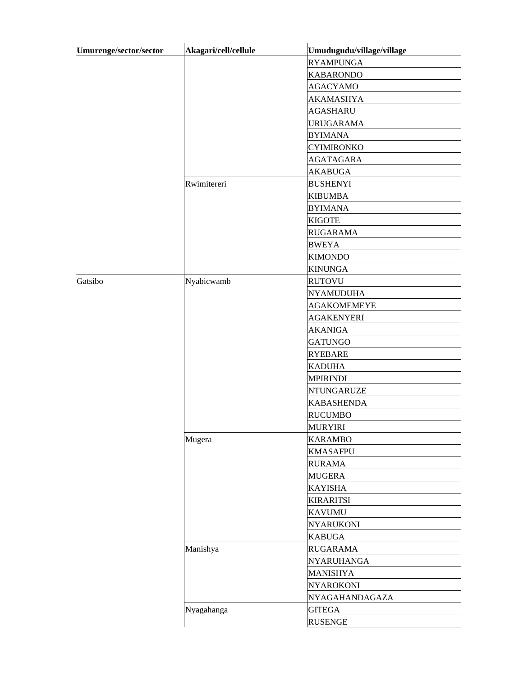| Umurenge/sector/sector | Akagari/cell/cellule | Umudugudu/village/village |
|------------------------|----------------------|---------------------------|
|                        |                      | <b>RYAMPUNGA</b>          |
|                        |                      | <b>KABARONDO</b>          |
|                        |                      | <b>AGACYAMO</b>           |
|                        |                      | <b>AKAMASHYA</b>          |
|                        |                      | <b>AGASHARU</b>           |
|                        |                      | <b>URUGARAMA</b>          |
|                        |                      | <b>BYIMANA</b>            |
|                        |                      | <b>CYIMIRONKO</b>         |
|                        |                      | <b>AGATAGARA</b>          |
|                        |                      | <b>AKABUGA</b>            |
|                        | Rwimitereri          | <b>BUSHENYI</b>           |
|                        |                      | <b>KIBUMBA</b>            |
|                        |                      | <b>BYIMANA</b>            |
|                        |                      | <b>KIGOTE</b>             |
|                        |                      | <b>RUGARAMA</b>           |
|                        |                      | <b>BWEYA</b>              |
|                        |                      | <b>KIMONDO</b>            |
|                        |                      | <b>KINUNGA</b>            |
| Gatsibo                | Nyabicwamb           | <b>RUTOVU</b>             |
|                        |                      | <b>NYAMUDUHA</b>          |
|                        |                      | <b>AGAKOMEMEYE</b>        |
|                        |                      | <b>AGAKENYERI</b>         |
|                        |                      | <b>AKANIGA</b>            |
|                        |                      | <b>GATUNGO</b>            |
|                        |                      | <b>RYEBARE</b>            |
|                        |                      | <b>KADUHA</b>             |
|                        |                      | <b>MPIRINDI</b>           |
|                        |                      | <b>NTUNGARUZE</b>         |
|                        |                      | <b>KABASHENDA</b>         |
|                        |                      | <b>RUCUMBO</b>            |
|                        |                      | <b>MURYIRI</b>            |
|                        | Mugera               | <b>KARAMBO</b>            |
|                        |                      | <b>KMASAFPU</b>           |
|                        |                      | <b>RURAMA</b>             |
|                        |                      | <b>MUGERA</b>             |
|                        |                      | <b>KAYISHA</b>            |
|                        |                      | <b>KIRARITSI</b>          |
|                        |                      | <b>KAVUMU</b>             |
|                        |                      | <b>NYARUKONI</b>          |
|                        |                      | <b>KABUGA</b>             |
|                        | Manishya             | <b>RUGARAMA</b>           |
|                        |                      | NYARUHANGA                |
|                        |                      | <b>MANISHYA</b>           |
|                        |                      | <b>NYAROKONI</b>          |
|                        |                      | NYAGAHANDAGAZA            |
|                        | Nyagahanga           | <b>GITEGA</b>             |
|                        |                      | <b>RUSENGE</b>            |
|                        |                      |                           |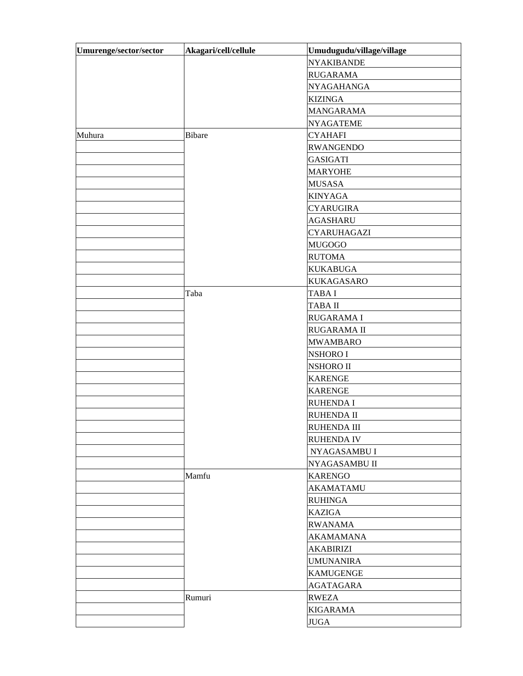| Umurenge/sector/sector | Akagari/cell/cellule | Umudugudu/village/village |
|------------------------|----------------------|---------------------------|
|                        |                      | <b>NYAKIBANDE</b>         |
|                        |                      | <b>RUGARAMA</b>           |
|                        |                      | <b>NYAGAHANGA</b>         |
|                        |                      | <b>KIZINGA</b>            |
|                        |                      | <b>MANGARAMA</b>          |
|                        |                      | <b>NYAGATEME</b>          |
| Muhura                 | <b>Bibare</b>        | <b>CYAHAFI</b>            |
|                        |                      | <b>RWANGENDO</b>          |
|                        |                      | <b>GASIGATI</b>           |
|                        |                      | <b>MARYOHE</b>            |
|                        |                      | <b>MUSASA</b>             |
|                        |                      | <b>KINYAGA</b>            |
|                        |                      | <b>CYARUGIRA</b>          |
|                        |                      | <b>AGASHARU</b>           |
|                        |                      | CYARUHAGAZI               |
|                        |                      | <b>MUGOGO</b>             |
|                        |                      | <b>RUTOMA</b>             |
|                        |                      | <b>KUKABUGA</b>           |
|                        |                      | <b>KUKAGASARO</b>         |
|                        | Taba                 | <b>TABAI</b>              |
|                        |                      | <b>TABA II</b>            |
|                        |                      | <b>RUGARAMAI</b>          |
|                        |                      | <b>RUGARAMA II</b>        |
|                        |                      | <b>MWAMBARO</b>           |
|                        |                      | <b>NSHORO I</b>           |
|                        |                      | <b>NSHORO II</b>          |
|                        |                      | <b>KARENGE</b>            |
|                        |                      | <b>KARENGE</b>            |
|                        |                      | <b>RUHENDA I</b>          |
|                        |                      | <b>RUHENDA II</b>         |
|                        |                      | RUHENDA III               |
|                        |                      | <b>RUHENDA IV</b>         |
|                        |                      | NYAGASAMBU I              |
|                        |                      | NYAGASAMBU II             |
|                        | Mamfu                | <b>KARENGO</b>            |
|                        |                      | <b>AKAMATAMU</b>          |
|                        |                      | <b>RUHINGA</b>            |
|                        |                      | <b>KAZIGA</b>             |
|                        |                      | <b>RWANAMA</b>            |
|                        |                      | <b>AKAMAMANA</b>          |
|                        |                      | <b>AKABIRIZI</b>          |
|                        |                      | <b>UMUNANIRA</b>          |
|                        |                      | <b>KAMUGENGE</b>          |
|                        |                      | <b>AGATAGARA</b>          |
|                        | Rumuri               | <b>RWEZA</b>              |
|                        |                      | <b>KIGARAMA</b>           |
|                        |                      | <b>JUGA</b>               |
|                        |                      |                           |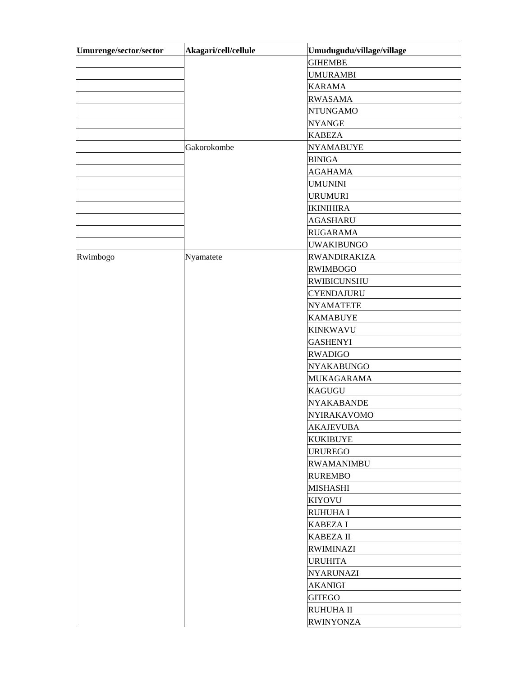| Umurenge/sector/sector | Akagari/cell/cellule | Umudugudu/village/village |
|------------------------|----------------------|---------------------------|
|                        |                      | <b>GIHEMBE</b>            |
|                        |                      | <b>UMURAMBI</b>           |
|                        |                      | <b>KARAMA</b>             |
|                        |                      | <b>RWASAMA</b>            |
|                        |                      | <b>NTUNGAMO</b>           |
|                        |                      | <b>NYANGE</b>             |
|                        |                      | <b>KABEZA</b>             |
|                        | Gakorokombe          | <b>NYAMABUYE</b>          |
|                        |                      | <b>BINIGA</b>             |
|                        |                      | <b>AGAHAMA</b>            |
|                        |                      | <b>UMUNINI</b>            |
|                        |                      | <b>URUMURI</b>            |
|                        |                      | <b>IKINIHIRA</b>          |
|                        |                      | <b>AGASHARU</b>           |
|                        |                      | <b>RUGARAMA</b>           |
|                        |                      | <b>UWAKIBUNGO</b>         |
| Rwimbogo               | Nyamatete            | <b>RWANDIRAKIZA</b>       |
|                        |                      | <b>RWIMBOGO</b>           |
|                        |                      | <b>RWIBICUNSHU</b>        |
|                        |                      | <b>CYENDAJURU</b>         |
|                        |                      | <b>NYAMATETE</b>          |
|                        |                      | <b>KAMABUYE</b>           |
|                        |                      | <b>KINKWAVU</b>           |
|                        |                      | <b>GASHENYI</b>           |
|                        |                      | <b>RWADIGO</b>            |
|                        |                      | <b>NYAKABUNGO</b>         |
|                        |                      | <b>MUKAGARAMA</b>         |
|                        |                      | <b>KAGUGU</b>             |
|                        |                      | <b>NYAKABANDE</b>         |
|                        |                      | <b>NYIRAKAVOMO</b>        |
|                        |                      | <b>AKAJEVUBA</b>          |
|                        |                      | <b>KUKIBUYE</b>           |
|                        |                      | <b>URUREGO</b>            |
|                        |                      | <b>RWAMANIMBU</b>         |
|                        |                      | <b>RUREMBO</b>            |
|                        |                      | <b>MISHASHI</b>           |
|                        |                      | <b>KIYOVU</b>             |
|                        |                      | <b>RUHUHA I</b>           |
|                        |                      | <b>KABEZA I</b>           |
|                        |                      | <b>KABEZA II</b>          |
|                        |                      | <b>RWIMINAZI</b>          |
|                        |                      | <b>URUHITA</b>            |
|                        |                      | <b>NYARUNAZI</b>          |
|                        |                      | <b>AKANIGI</b>            |
|                        |                      | <b>GITEGO</b>             |
|                        |                      | <b>RUHUHA II</b>          |
|                        |                      | <b>RWINYONZA</b>          |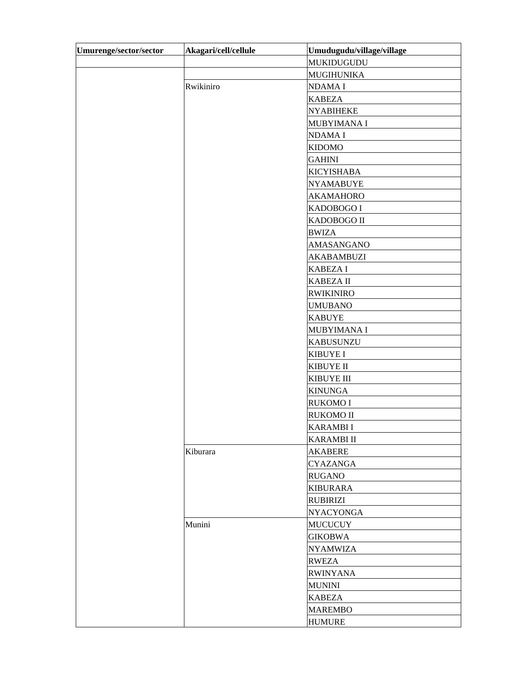| Umurenge/sector/sector | Akagari/cell/cellule | Umudugudu/village/village |
|------------------------|----------------------|---------------------------|
|                        |                      | MUKIDUGUDU                |
|                        |                      | <b>MUGIHUNIKA</b>         |
|                        | Rwikiniro            | NDAMA I                   |
|                        |                      | <b>KABEZA</b>             |
|                        |                      | <b>NYABIHEKE</b>          |
|                        |                      | MUBYIMANA I               |
|                        |                      | NDAMA I                   |
|                        |                      | <b>KIDOMO</b>             |
|                        |                      | <b>GAHINI</b>             |
|                        |                      | <b>KICYISHABA</b>         |
|                        |                      | <b>NYAMABUYE</b>          |
|                        |                      | <b>AKAMAHORO</b>          |
|                        |                      | KADOBOGO I                |
|                        |                      | KADOBOGO II               |
|                        |                      | <b>BWIZA</b>              |
|                        |                      | AMASANGANO                |
|                        |                      | <b>AKABAMBUZI</b>         |
|                        |                      | <b>KABEZA I</b>           |
|                        |                      | <b>KABEZA II</b>          |
|                        |                      | <b>RWIKINIRO</b>          |
|                        |                      | <b>UMUBANO</b>            |
|                        |                      | <b>KABUYE</b>             |
|                        |                      | MUBYIMANA I               |
|                        |                      | <b>KABUSUNZU</b>          |
|                        |                      | <b>KIBUYE I</b>           |
|                        |                      | <b>KIBUYE II</b>          |
|                        |                      | <b>KIBUYE III</b>         |
|                        |                      | <b>KINUNGA</b>            |
|                        |                      | <b>RUKOMO I</b>           |
|                        |                      | <b>RUKOMO II</b>          |
|                        |                      | <b>KARAMBI I</b>          |
|                        |                      | <b>KARAMBI II</b>         |
|                        | Kiburara             | <b>AKABERE</b>            |
|                        |                      | <b>CYAZANGA</b>           |
|                        |                      | <b>RUGANO</b>             |
|                        |                      | <b>KIBURARA</b>           |
|                        |                      | <b>RUBIRIZI</b>           |
|                        |                      | <b>NYACYONGA</b>          |
|                        | Munini               | <b>MUCUCUY</b>            |
|                        |                      | <b>GIKOBWA</b>            |
|                        |                      | <b>NYAMWIZA</b>           |
|                        |                      | <b>RWEZA</b>              |
|                        |                      | <b>RWINYANA</b>           |
|                        |                      | <b>MUNINI</b>             |
|                        |                      | <b>KABEZA</b>             |
|                        |                      | <b>MAREMBO</b>            |
|                        |                      | <b>HUMURE</b>             |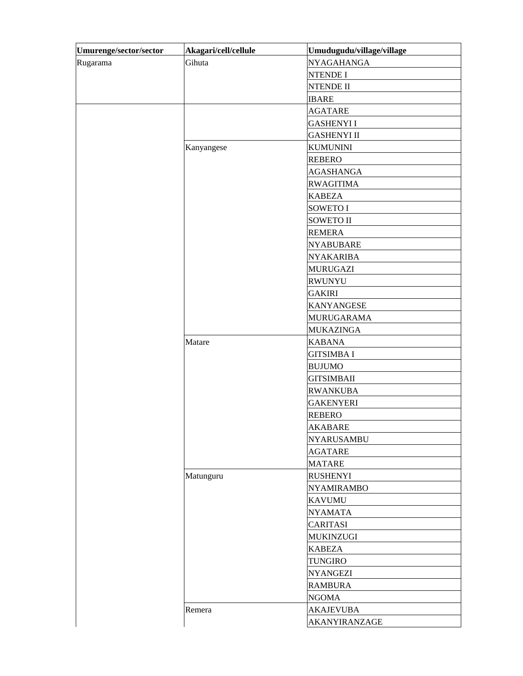| Umurenge/sector/sector | Akagari/cell/cellule | Umudugudu/village/village |
|------------------------|----------------------|---------------------------|
| Rugarama               | Gihuta               | <b>NYAGAHANGA</b>         |
|                        |                      | <b>NTENDE I</b>           |
|                        |                      | <b>NTENDE II</b>          |
|                        |                      | <b>IBARE</b>              |
|                        |                      | <b>AGATARE</b>            |
|                        |                      | <b>GASHENYI I</b>         |
|                        |                      | <b>GASHENYI II</b>        |
|                        | Kanyangese           | <b>KUMUNINI</b>           |
|                        |                      | <b>REBERO</b>             |
|                        |                      | <b>AGASHANGA</b>          |
|                        |                      | <b>RWAGITIMA</b>          |
|                        |                      | <b>KABEZA</b>             |
|                        |                      | <b>SOWETO I</b>           |
|                        |                      | <b>SOWETO II</b>          |
|                        |                      | <b>REMERA</b>             |
|                        |                      | <b>NYABUBARE</b>          |
|                        |                      | <b>NYAKARIBA</b>          |
|                        |                      | <b>MURUGAZI</b>           |
|                        |                      | <b>RWUNYU</b>             |
|                        |                      | <b>GAKIRI</b>             |
|                        |                      | <b>KANYANGESE</b>         |
|                        |                      | <b>MURUGARAMA</b>         |
|                        |                      | <b>MUKAZINGA</b>          |
|                        | Matare               | <b>KABANA</b>             |
|                        |                      | <b>GITSIMBA I</b>         |
|                        |                      | <b>BUJUMO</b>             |
|                        |                      | <b>GITSIMBAII</b>         |
|                        |                      | <b>RWANKUBA</b>           |
|                        |                      | <b>GAKENYERI</b>          |
|                        |                      | <b>REBERO</b>             |
|                        |                      | <b>AKABARE</b>            |
|                        |                      | <b>NYARUSAMBU</b>         |
|                        |                      | <b>AGATARE</b>            |
|                        |                      | <b>MATARE</b>             |
|                        | Matunguru            | <b>RUSHENYI</b>           |
|                        |                      | <b>NYAMIRAMBO</b>         |
|                        |                      | <b>KAVUMU</b>             |
|                        |                      | <b>NYAMATA</b>            |
|                        |                      | <b>CARITASI</b>           |
|                        |                      | <b>MUKINZUGI</b>          |
|                        |                      | <b>KABEZA</b>             |
|                        |                      | <b>TUNGIRO</b>            |
|                        |                      | <b>NYANGEZI</b>           |
|                        |                      | <b>RAMBURA</b>            |
|                        |                      | <b>NGOMA</b>              |
|                        | Remera               | <b>AKAJEVUBA</b>          |
|                        |                      |                           |
|                        |                      | AKANYIRANZAGE             |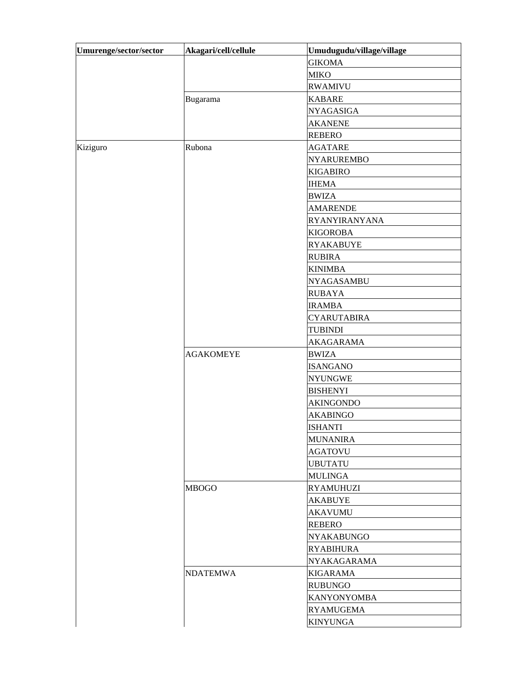| Umurenge/sector/sector | Akagari/cell/cellule | Umudugudu/village/village |
|------------------------|----------------------|---------------------------|
|                        |                      | <b>GIKOMA</b>             |
|                        |                      | <b>MIKO</b>               |
|                        |                      | <b>RWAMIVU</b>            |
|                        | Bugarama             | <b>KABARE</b>             |
|                        |                      | <b>NYAGASIGA</b>          |
|                        |                      | <b>AKANENE</b>            |
|                        |                      | <b>REBERO</b>             |
| Kiziguro               | Rubona               | <b>AGATARE</b>            |
|                        |                      | <b>NYARUREMBO</b>         |
|                        |                      | <b>KIGABIRO</b>           |
|                        |                      | <b>IHEMA</b>              |
|                        |                      | <b>BWIZA</b>              |
|                        |                      | <b>AMARENDE</b>           |
|                        |                      | RYANYIRANYANA             |
|                        |                      | <b>KIGOROBA</b>           |
|                        |                      | <b>RYAKABUYE</b>          |
|                        |                      | <b>RUBIRA</b>             |
|                        |                      | <b>KINIMBA</b>            |
|                        |                      | NYAGASAMBU                |
|                        |                      | <b>RUBAYA</b>             |
|                        |                      | <b>IRAMBA</b>             |
|                        |                      | <b>CYARUTABIRA</b>        |
|                        |                      | <b>TUBINDI</b>            |
|                        |                      | <b>AKAGARAMA</b>          |
|                        | <b>AGAKOMEYE</b>     | <b>BWIZA</b>              |
|                        |                      | <b>ISANGANO</b>           |
|                        |                      | <b>NYUNGWE</b>            |
|                        |                      | <b>BISHENYI</b>           |
|                        |                      | <b>AKINGONDO</b>          |
|                        |                      | <b>AKABINGO</b>           |
|                        |                      | <b>ISHANTI</b>            |
|                        |                      | <b>MUNANIRA</b>           |
|                        |                      | <b>AGATOVU</b>            |
|                        |                      | <b>UBUTATU</b>            |
|                        |                      | <b>MULINGA</b>            |
|                        | <b>MBOGO</b>         | <b>RYAMUHUZI</b>          |
|                        |                      | <b>AKABUYE</b>            |
|                        |                      | <b>AKAVUMU</b>            |
|                        |                      | <b>REBERO</b>             |
|                        |                      | <b>NYAKABUNGO</b>         |
|                        |                      | <b>RYABIHURA</b>          |
|                        |                      | NYAKAGARAMA               |
|                        | <b>NDATEMWA</b>      | <b>KIGARAMA</b>           |
|                        |                      | <b>RUBUNGO</b>            |
|                        |                      | <b>KANYONYOMBA</b>        |
|                        |                      | <b>RYAMUGEMA</b>          |
|                        |                      | <b>KINYUNGA</b>           |
|                        |                      |                           |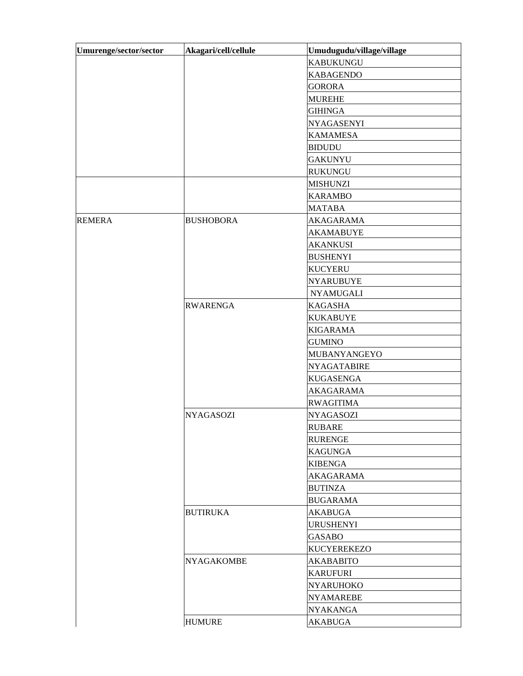| Akagari/cell/cellule | Umudugudu/village/village |
|----------------------|---------------------------|
|                      | <b>KABUKUNGU</b>          |
|                      | <b>KABAGENDO</b>          |
|                      | <b>GORORA</b>             |
|                      | <b>MUREHE</b>             |
|                      | <b>GIHINGA</b>            |
|                      | <b>NYAGASENYI</b>         |
|                      | <b>KAMAMESA</b>           |
|                      | <b>BIDUDU</b>             |
|                      | <b>GAKUNYU</b>            |
|                      | <b>RUKUNGU</b>            |
|                      | <b>MISHUNZI</b>           |
|                      | <b>KARAMBO</b>            |
|                      | <b>MATABA</b>             |
| <b>BUSHOBORA</b>     | AKAGARAMA                 |
|                      | <b>AKAMABUYE</b>          |
|                      | <b>AKANKUSI</b>           |
|                      | <b>BUSHENYI</b>           |
|                      | <b>KUCYERU</b>            |
|                      | <b>NYARUBUYE</b>          |
|                      | <b>NYAMUGALI</b>          |
| <b>RWARENGA</b>      | <b>KAGASHA</b>            |
|                      | <b>KUKABUYE</b>           |
|                      | <b>KIGARAMA</b>           |
|                      | <b>GUMINO</b>             |
|                      | MUBANYANGEYO              |
|                      | <b>NYAGATABIRE</b>        |
|                      | <b>KUGASENGA</b>          |
|                      | <b>AKAGARAMA</b>          |
|                      | <b>RWAGITIMA</b>          |
| <b>NYAGASOZI</b>     | <b>NYAGASOZI</b>          |
|                      | <b>RUBARE</b>             |
|                      | <b>RURENGE</b>            |
|                      | <b>KAGUNGA</b>            |
|                      | <b>KIBENGA</b>            |
|                      | AKAGARAMA                 |
|                      | <b>BUTINZA</b>            |
|                      | <b>BUGARAMA</b>           |
| <b>BUTIRUKA</b>      | <b>AKABUGA</b>            |
|                      | URUSHENYI                 |
|                      | <b>GASABO</b>             |
|                      | <b>KUCYEREKEZO</b>        |
| <b>NYAGAKOMBE</b>    | <b>AKABABITO</b>          |
|                      | <b>KARUFURI</b>           |
|                      | <b>NYARUHOKO</b>          |
|                      | <b>NYAMAREBE</b>          |
|                      | <b>NYAKANGA</b>           |
| <b>HUMURE</b>        | <b>AKABUGA</b>            |
|                      |                           |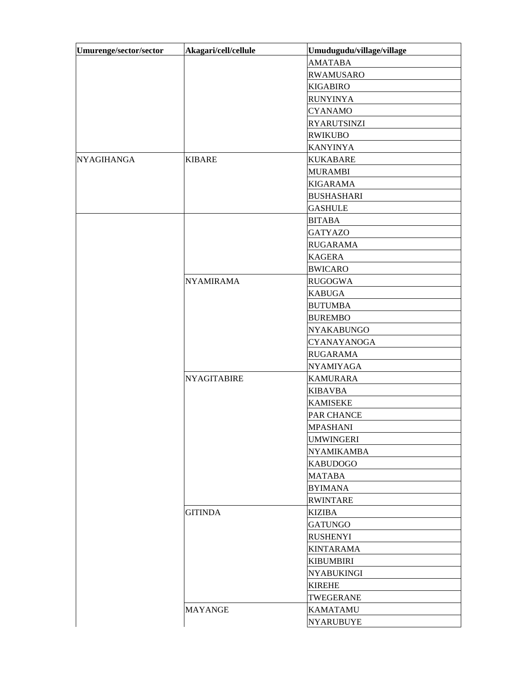| Umurenge/sector/sector | Akagari/cell/cellule | Umudugudu/village/village |
|------------------------|----------------------|---------------------------|
|                        |                      | <b>AMATABA</b>            |
|                        |                      | <b>RWAMUSARO</b>          |
|                        |                      | <b>KIGABIRO</b>           |
|                        |                      | <b>RUNYINYA</b>           |
|                        |                      | <b>CYANAMO</b>            |
|                        |                      | <b>RYARUTSINZI</b>        |
|                        |                      | <b>RWIKUBO</b>            |
|                        |                      | <b>KANYINYA</b>           |
| <b>NYAGIHANGA</b>      | <b>KIBARE</b>        | <b>KUKABARE</b>           |
|                        |                      | <b>MURAMBI</b>            |
|                        |                      | <b>KIGARAMA</b>           |
|                        |                      | <b>BUSHASHARI</b>         |
|                        |                      | <b>GASHULE</b>            |
|                        |                      | <b>BITABA</b>             |
|                        |                      | <b>GATYAZO</b>            |
|                        |                      | <b>RUGARAMA</b>           |
|                        |                      | <b>KAGERA</b>             |
|                        |                      | <b>BWICARO</b>            |
|                        | <b>NYAMIRAMA</b>     | <b>RUGOGWA</b>            |
|                        |                      | <b>KABUGA</b>             |
|                        |                      | <b>BUTUMBA</b>            |
|                        |                      | <b>BUREMBO</b>            |
|                        |                      | <b>NYAKABUNGO</b>         |
|                        |                      | CYANAYANOGA               |
|                        |                      | <b>RUGARAMA</b>           |
|                        |                      | <b>NYAMIYAGA</b>          |
|                        | <b>NYAGITABIRE</b>   | <b>KAMURARA</b>           |
|                        |                      | <b>KIBAVBA</b>            |
|                        |                      | <b>KAMISEKE</b>           |
|                        |                      | PAR CHANCE                |
|                        |                      | <b>MPASHANI</b>           |
|                        |                      | UMWINGERI                 |
|                        |                      | <b>NYAMIKAMBA</b>         |
|                        |                      | <b>KABUDOGO</b>           |
|                        |                      | <b>MATABA</b>             |
|                        |                      | <b>BYIMANA</b>            |
|                        |                      | <b>RWINTARE</b>           |
|                        | <b>GITINDA</b>       | <b>KIZIBA</b>             |
|                        |                      | <b>GATUNGO</b>            |
|                        |                      | <b>RUSHENYI</b>           |
|                        |                      | <b>KINTARAMA</b>          |
|                        |                      | <b>KIBUMBIRI</b>          |
|                        |                      | NYABUKINGI                |
|                        |                      | <b>KIREHE</b>             |
|                        |                      | TWEGERANE                 |
|                        | <b>MAYANGE</b>       | <b>KAMATAMU</b>           |
|                        |                      | <b>NYARUBUYE</b>          |
|                        |                      |                           |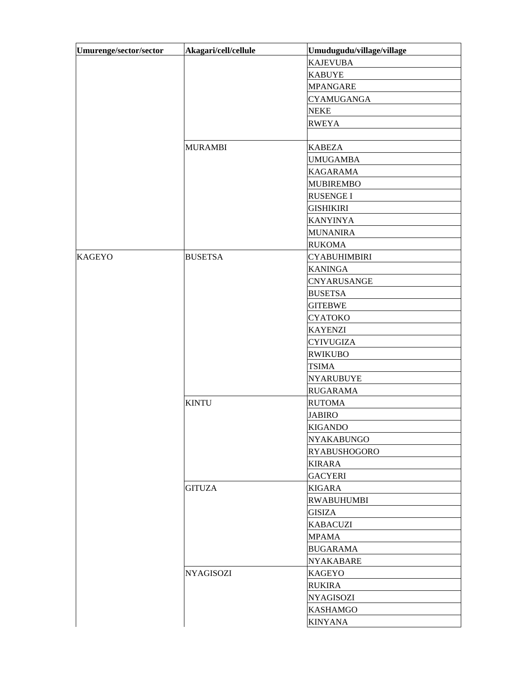| Umurenge/sector/sector | Akagari/cell/cellule | Umudugudu/village/village |  |
|------------------------|----------------------|---------------------------|--|
|                        |                      | <b>KAJEVUBA</b>           |  |
|                        |                      | <b>KABUYE</b>             |  |
|                        |                      | <b>MPANGARE</b>           |  |
|                        |                      | <b>CYAMUGANGA</b>         |  |
|                        |                      | <b>NEKE</b>               |  |
|                        |                      | <b>RWEYA</b>              |  |
|                        |                      |                           |  |
|                        | <b>MURAMBI</b>       | <b>KABEZA</b>             |  |
|                        |                      | <b>UMUGAMBA</b>           |  |
|                        |                      | <b>KAGARAMA</b>           |  |
|                        |                      | <b>MUBIREMBO</b>          |  |
|                        |                      | <b>RUSENGE I</b>          |  |
|                        |                      | <b>GISHIKIRI</b>          |  |
|                        |                      | <b>KANYINYA</b>           |  |
|                        |                      | <b>MUNANIRA</b>           |  |
|                        |                      | <b>RUKOMA</b>             |  |
| <b>KAGEYO</b>          | <b>BUSETSA</b>       | <b>CYABUHIMBIRI</b>       |  |
|                        |                      | <b>KANINGA</b>            |  |
|                        |                      | CNYARUSANGE               |  |
|                        |                      | <b>BUSETSA</b>            |  |
|                        |                      | <b>GITEBWE</b>            |  |
|                        |                      | <b>CYATOKO</b>            |  |
|                        |                      | <b>KAYENZI</b>            |  |
|                        |                      | <b>CYIVUGIZA</b>          |  |
|                        |                      | <b>RWIKUBO</b>            |  |
|                        |                      | <b>TSIMA</b>              |  |
|                        |                      | <b>NYARUBUYE</b>          |  |
|                        |                      | <b>RUGARAMA</b>           |  |
|                        | <b>KINTU</b>         | <b>RUTOMA</b>             |  |
|                        |                      | <b>JABIRO</b>             |  |
|                        |                      | <b>KIGANDO</b>            |  |
|                        |                      | NYAKABUNGO                |  |
|                        |                      | <b>RYABUSHOGORO</b>       |  |
|                        |                      | <b>KIRARA</b>             |  |
|                        |                      | <b>GACYERI</b>            |  |
|                        | <b>GITUZA</b>        | <b>KIGARA</b>             |  |
|                        |                      | <b>RWABUHUMBI</b>         |  |
|                        |                      | <b>GISIZA</b>             |  |
|                        |                      | <b>KABACUZI</b>           |  |
|                        |                      | <b>MPAMA</b>              |  |
|                        |                      | <b>BUGARAMA</b>           |  |
|                        |                      | <b>NYAKABARE</b>          |  |
|                        | <b>NYAGISOZI</b>     | <b>KAGEYO</b>             |  |
|                        |                      | <b>RUKIRA</b>             |  |
|                        |                      |                           |  |
|                        |                      | NYAGISOZI                 |  |
|                        |                      | <b>KASHAMGO</b>           |  |
|                        |                      | <b>KINYANA</b>            |  |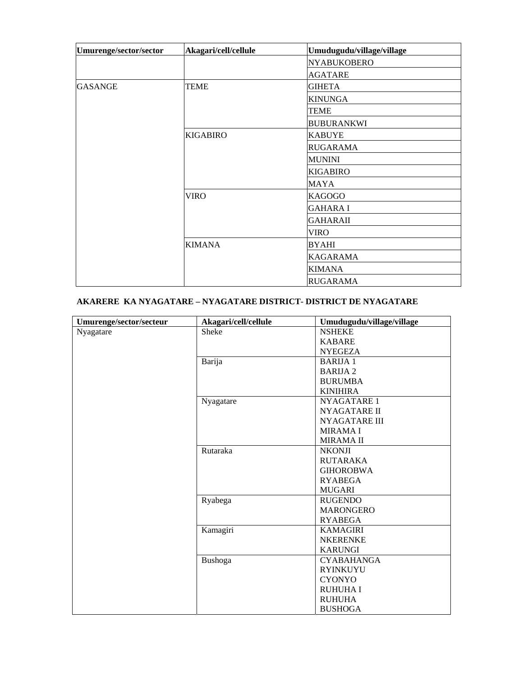| Umurenge/sector/sector | Akagari/cell/cellule | Umudugudu/village/village |
|------------------------|----------------------|---------------------------|
|                        |                      | <b>NYABUKOBERO</b>        |
|                        |                      | <b>AGATARE</b>            |
| <b>GASANGE</b>         | <b>TEME</b>          | <b>GIHETA</b>             |
|                        |                      | <b>KINUNGA</b>            |
|                        |                      | <b>TEME</b>               |
|                        |                      | <b>BUBURANKWI</b>         |
|                        | <b>KIGABIRO</b>      | <b>KABUYE</b>             |
|                        |                      | <b>RUGARAMA</b>           |
|                        |                      | <b>MUNINI</b>             |
|                        |                      | <b>KIGABIRO</b>           |
|                        |                      | <b>MAYA</b>               |
|                        | VIRO                 | <b>KAGOGO</b>             |
|                        |                      | <b>GAHARA I</b>           |
|                        |                      | <b>GAHARAII</b>           |
|                        |                      | <b>VIRO</b>               |
|                        | <b>KIMANA</b>        | <b>BYAHI</b>              |
|                        |                      | <b>KAGARAMA</b>           |
|                        |                      | <b>KIMANA</b>             |
|                        |                      | <b>RUGARAMA</b>           |

## **AKARERE KA NYAGATARE – NYAGATARE DISTRICT- DISTRICT DE NYAGATARE**

| Umurenge/sector/secteur | Akagari/cell/cellule | Umudugudu/village/village |
|-------------------------|----------------------|---------------------------|
| Nyagatare               | Sheke                | <b>NSHEKE</b>             |
|                         |                      | <b>KABARE</b>             |
|                         |                      | <b>NYEGEZA</b>            |
|                         | Barija               | <b>BARIJA1</b>            |
|                         |                      | <b>BARIJA 2</b>           |
|                         |                      | <b>BURUMBA</b>            |
|                         |                      | <b>KINIHIRA</b>           |
|                         | Nyagatare            | <b>NYAGATARE 1</b>        |
|                         |                      | <b>NYAGATARE II</b>       |
|                         |                      | <b>NYAGATARE III</b>      |
|                         |                      | <b>MIRAMAI</b>            |
|                         |                      | <b>MIRAMA II</b>          |
|                         | Rutaraka             | <b>NKONJI</b>             |
|                         |                      | <b>RUTARAKA</b>           |
|                         |                      | <b>GIHOROBWA</b>          |
|                         |                      | <b>RYABEGA</b>            |
|                         |                      | <b>MUGARI</b>             |
|                         | Ryabega              | <b>RUGENDO</b>            |
|                         |                      | <b>MARONGERO</b>          |
|                         |                      | <b>RYABEGA</b>            |
|                         | Kamagiri             | <b>KAMAGIRI</b>           |
|                         |                      | <b>NKERENKE</b>           |
|                         |                      | <b>KARUNGI</b>            |
|                         | Bushoga              | <b>CYABAHANGA</b>         |
|                         |                      | <b>RYINKUYU</b>           |
|                         |                      | <b>CYONYO</b>             |
|                         |                      | <b>RUHUHA I</b>           |
|                         |                      | <b>RUHUHA</b>             |
|                         |                      | <b>BUSHOGA</b>            |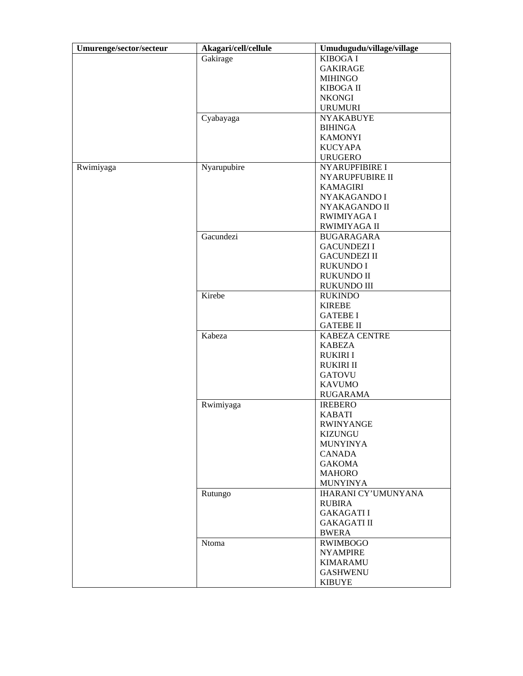| Umurenge/sector/secteur | Akagari/cell/cellule | Umudugudu/village/village  |
|-------------------------|----------------------|----------------------------|
|                         | Gakirage             | <b>KIBOGA I</b>            |
|                         |                      | <b>GAKIRAGE</b>            |
|                         |                      | <b>MIHINGO</b>             |
|                         |                      | <b>KIBOGA II</b>           |
|                         |                      | <b>NKONGI</b>              |
|                         |                      | <b>URUMURI</b>             |
|                         | Cyabayaga            | <b>NYAKABUYE</b>           |
|                         |                      | <b>BIHINGA</b>             |
|                         |                      | <b>KAMONYI</b>             |
|                         |                      | <b>KUCYAPA</b>             |
|                         |                      | <b>URUGERO</b>             |
| Rwimiyaga               | Nyarupubire          | NYARUPFIBIRE I             |
|                         |                      | NYARUPFUBIRE II            |
|                         |                      | <b>KAMAGIRI</b>            |
|                         |                      | NYAKAGANDO I               |
|                         |                      | NYAKAGANDO II              |
|                         |                      | <b>RWIMIYAGA I</b>         |
|                         |                      | RWIMIYAGA II               |
|                         | Gacundezi            | <b>BUGARAGARA</b>          |
|                         |                      | <b>GACUNDEZI I</b>         |
|                         |                      | <b>GACUNDEZI II</b>        |
|                         |                      |                            |
|                         |                      | <b>RUKUNDO I</b>           |
|                         |                      | <b>RUKUNDO II</b>          |
|                         |                      | RUKUNDO III                |
|                         | Kirebe               | <b>RUKINDO</b>             |
|                         |                      | <b>KIREBE</b>              |
|                         |                      | <b>GATEBE I</b>            |
|                         |                      | <b>GATEBE II</b>           |
|                         | Kabeza               | KABEZA CENTRE              |
|                         |                      | <b>KABEZA</b>              |
|                         |                      | <b>RUKIRI I</b>            |
|                         |                      | <b>RUKIRI II</b>           |
|                         |                      | <b>GATOVU</b>              |
|                         |                      | <b>KAVUMO</b>              |
|                         |                      | <b>RUGARAMA</b>            |
|                         | Rwimiyaga            | <b>IREBERO</b>             |
|                         |                      | <b>KABATI</b>              |
|                         |                      | <b>RWINYANGE</b>           |
|                         |                      | KIZUNGU                    |
|                         |                      | <b>MUNYINYA</b>            |
|                         |                      | <b>CANADA</b>              |
|                         |                      | <b>GAKOMA</b>              |
|                         |                      | <b>MAHORO</b>              |
|                         |                      | <b>MUNYINYA</b>            |
|                         | Rutungo              | <b>IHARANI CY'UMUNYANA</b> |
|                         |                      | <b>RUBIRA</b>              |
|                         |                      | <b>GAKAGATII</b>           |
|                         |                      | <b>GAKAGATI II</b>         |
|                         |                      | <b>BWERA</b>               |
|                         | Ntoma                | <b>RWIMBOGO</b>            |
|                         |                      | <b>NYAMPIRE</b>            |
|                         |                      | <b>KIMARAMU</b>            |
|                         |                      | <b>GASHWENU</b>            |
|                         |                      |                            |
|                         |                      | <b>KIBUYE</b>              |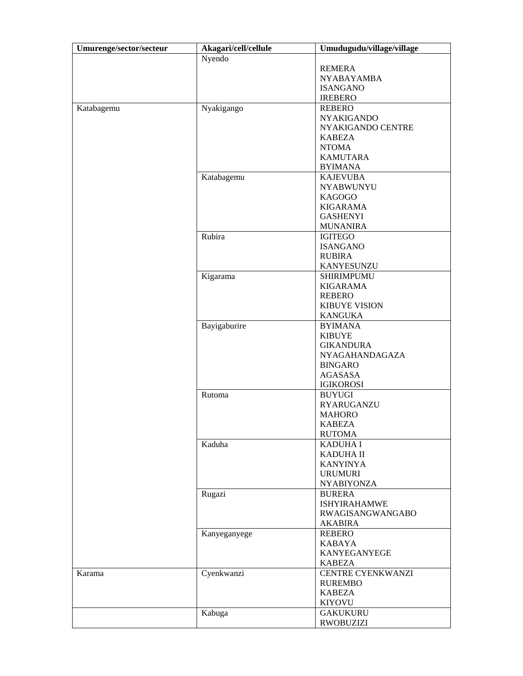| Umurenge/sector/secteur | Akagari/cell/cellule | Umudugudu/village/village |
|-------------------------|----------------------|---------------------------|
|                         | Nyendo               |                           |
|                         |                      | <b>REMERA</b>             |
|                         |                      | <b>NYABAYAMBA</b>         |
|                         |                      | <b>ISANGANO</b>           |
|                         |                      | <b>IREBERO</b>            |
| Katabagemu              | Nyakigango           | <b>REBERO</b>             |
|                         |                      | <b>NYAKIGANDO</b>         |
|                         |                      | NYAKIGANDO CENTRE         |
|                         |                      | <b>KABEZA</b>             |
|                         |                      | <b>NTOMA</b>              |
|                         |                      | <b>KAMUTARA</b>           |
|                         |                      | <b>BYIMANA</b>            |
|                         | Katabagemu           | <b>KAJEVUBA</b>           |
|                         |                      | <b>NYABWUNYU</b>          |
|                         |                      | <b>KAGOGO</b>             |
|                         |                      | <b>KIGARAMA</b>           |
|                         |                      |                           |
|                         |                      | <b>GASHENYI</b>           |
|                         |                      | <b>MUNANIRA</b>           |
|                         | Rubira               | <b>IGITEGO</b>            |
|                         |                      | <b>ISANGANO</b>           |
|                         |                      | <b>RUBIRA</b>             |
|                         |                      | <b>KANYESUNZU</b>         |
|                         | Kigarama             | <b>SHIRIMPUMU</b>         |
|                         |                      | <b>KIGARAMA</b>           |
|                         |                      | <b>REBERO</b>             |
|                         |                      | <b>KIBUYE VISION</b>      |
|                         |                      | <b>KANGUKA</b>            |
|                         | Bayigaburire         | <b>BYIMANA</b>            |
|                         |                      | <b>KIBUYE</b>             |
|                         |                      | <b>GIKANDURA</b>          |
|                         |                      | NYAGAHANDAGAZA            |
|                         |                      | <b>BINGARO</b>            |
|                         |                      | <b>AGASASA</b>            |
|                         |                      | <b>IGIKOROSI</b>          |
|                         | Rutoma               | <b>BUYUGI</b>             |
|                         |                      | <b>RYARUGANZU</b>         |
|                         |                      | <b>MAHORO</b>             |
|                         |                      | <b>KABEZA</b>             |
|                         |                      | <b>RUTOMA</b>             |
|                         | Kaduha               | <b>KADUHA I</b>           |
|                         |                      | KADUHA II                 |
|                         |                      | <b>KANYINYA</b>           |
|                         |                      | <b>URUMURI</b>            |
|                         |                      | <b>NYABIYONZA</b>         |
|                         | Rugazi               | <b>BURERA</b>             |
|                         |                      | <b>ISHYIRAHAMWE</b>       |
|                         |                      | <b>RWAGISANGWANGABO</b>   |
|                         |                      | <b>AKABIRA</b>            |
|                         | Kanyeganyege         | <b>REBERO</b>             |
|                         |                      | <b>KABAYA</b>             |
|                         |                      | KANYEGANYEGE              |
|                         |                      | <b>KABEZA</b>             |
| Karama                  | Cyenkwanzi           | <b>CENTRE CYENKWANZI</b>  |
|                         |                      | <b>RUREMBO</b>            |
|                         |                      | <b>KABEZA</b>             |
|                         |                      | <b>KIYOVU</b>             |
|                         | Kabuga               | <b>GAKUKURU</b>           |
|                         |                      | <b>RWOBUZIZI</b>          |
|                         |                      |                           |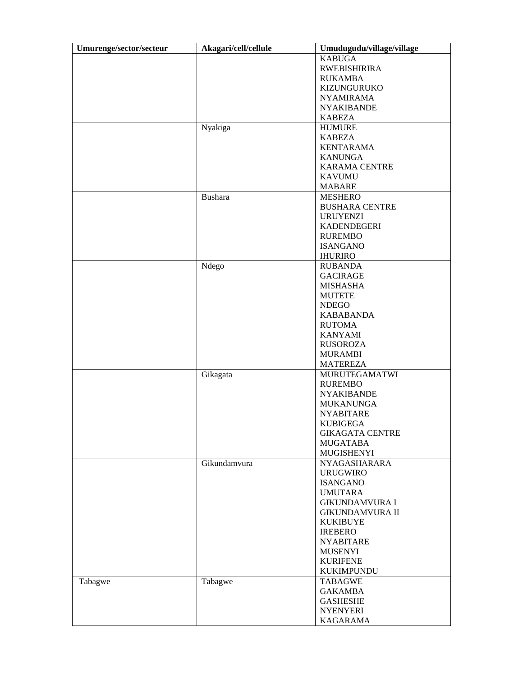| Umurenge/sector/secteur | Akagari/cell/cellule | Umudugudu/village/village |
|-------------------------|----------------------|---------------------------|
|                         |                      | <b>KABUGA</b>             |
|                         |                      | <b>RWEBISHIRIRA</b>       |
|                         |                      | <b>RUKAMBA</b>            |
|                         |                      | KIZUNGURUKO               |
|                         |                      | <b>NYAMIRAMA</b>          |
|                         |                      | <b>NYAKIBANDE</b>         |
|                         |                      | <b>KABEZA</b>             |
|                         | Nyakiga              | <b>HUMURE</b>             |
|                         |                      | <b>KABEZA</b>             |
|                         |                      | <b>KENTARAMA</b>          |
|                         |                      | <b>KANUNGA</b>            |
|                         |                      |                           |
|                         |                      | <b>KARAMA CENTRE</b>      |
|                         |                      | <b>KAVUMU</b>             |
|                         |                      | <b>MABARE</b>             |
|                         | <b>Bushara</b>       | <b>MESHERO</b>            |
|                         |                      | <b>BUSHARA CENTRE</b>     |
|                         |                      | <b>URUYENZI</b>           |
|                         |                      | <b>KADENDEGERI</b>        |
|                         |                      | <b>RUREMBO</b>            |
|                         |                      | <b>ISANGANO</b>           |
|                         |                      | <b>IHURIRO</b>            |
|                         | Ndego                | <b>RUBANDA</b>            |
|                         |                      | <b>GACIRAGE</b>           |
|                         |                      | <b>MISHASHA</b>           |
|                         |                      | <b>MUTETE</b>             |
|                         |                      | <b>NDEGO</b>              |
|                         |                      | <b>KABABANDA</b>          |
|                         |                      | <b>RUTOMA</b>             |
|                         |                      | <b>KANYAMI</b>            |
|                         |                      | <b>RUSOROZA</b>           |
|                         |                      | <b>MURAMBI</b>            |
|                         |                      |                           |
|                         |                      | <b>MATEREZA</b>           |
|                         | Gikagata             | <b>MURUTEGAMATWI</b>      |
|                         |                      | <b>RUREMBO</b>            |
|                         |                      | <b>NYAKIBANDE</b>         |
|                         |                      | <b>MUKANUNGA</b>          |
|                         |                      | <b>NYABITARE</b>          |
|                         |                      | <b>KUBIGEGA</b>           |
|                         |                      | <b>GIKAGATA CENTRE</b>    |
|                         |                      | <b>MUGATABA</b>           |
|                         |                      | <b>MUGISHENYI</b>         |
|                         | Gikundamvura         | NYAGASHARARA              |
|                         |                      | <b>URUGWIRO</b>           |
|                         |                      | <b>ISANGANO</b>           |
|                         |                      | <b>UMUTARA</b>            |
|                         |                      | <b>GIKUNDAMVURA I</b>     |
|                         |                      | <b>GIKUNDAMVURA II</b>    |
|                         |                      | <b>KUKIBUYE</b>           |
|                         |                      | <b>IREBERO</b>            |
|                         |                      | <b>NYABITARE</b>          |
|                         |                      | <b>MUSENYI</b>            |
|                         |                      | <b>KURIFENE</b>           |
|                         |                      | <b>KUKIMPUNDU</b>         |
|                         |                      | <b>TABAGWE</b>            |
| Tabagwe                 | Tabagwe              |                           |
|                         |                      | <b>GAKAMBA</b>            |
|                         |                      | <b>GASHESHE</b>           |
|                         |                      | <b>NYENYERI</b>           |
|                         |                      | <b>KAGARAMA</b>           |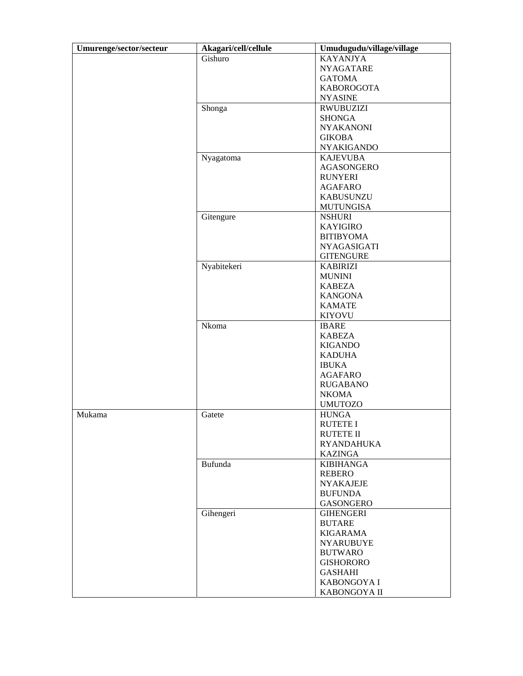| Umurenge/sector/secteur | Akagari/cell/cellule | Umudugudu/village/village |
|-------------------------|----------------------|---------------------------|
|                         | Gishuro              | <b>KAYANJYA</b>           |
|                         |                      | <b>NYAGATARE</b>          |
|                         |                      | <b>GATOMA</b>             |
|                         |                      | <b>KABOROGOTA</b>         |
|                         |                      | <b>NYASINE</b>            |
|                         | Shonga               | <b>RWUBUZIZI</b>          |
|                         |                      | <b>SHONGA</b>             |
|                         |                      | <b>NYAKANONI</b>          |
|                         |                      | <b>GIKOBA</b>             |
|                         |                      | <b>NYAKIGANDO</b>         |
|                         | Nyagatoma            | <b>KAJEVUBA</b>           |
|                         |                      | <b>AGASONGERO</b>         |
|                         |                      | <b>RUNYERI</b>            |
|                         |                      | <b>AGAFARO</b>            |
|                         |                      | <b>KABUSUNZU</b>          |
|                         |                      | <b>MUTUNGISA</b>          |
|                         | Gitengure            | <b>NSHURI</b>             |
|                         |                      | <b>KAYIGIRO</b>           |
|                         |                      | <b>BITIBYOMA</b>          |
|                         |                      |                           |
|                         |                      | <b>NYAGASIGATI</b>        |
|                         |                      | <b>GITENGURE</b>          |
|                         | Nyabitekeri          | <b>KABIRIZI</b>           |
|                         |                      | <b>MUNINI</b>             |
|                         |                      | <b>KABEZA</b>             |
|                         |                      | <b>KANGONA</b>            |
|                         |                      | <b>KAMATE</b>             |
|                         |                      | <b>KIYOVU</b>             |
|                         | Nkoma                | <b>IBARE</b>              |
|                         |                      | <b>KABEZA</b>             |
|                         |                      | <b>KIGANDO</b>            |
|                         |                      | <b>KADUHA</b>             |
|                         |                      | <b>IBUKA</b>              |
|                         |                      | <b>AGAFARO</b>            |
|                         |                      | <b>RUGABANO</b>           |
|                         |                      | <b>NKOMA</b>              |
|                         |                      | <b>UMUTOZO</b>            |
| Mukama                  | Gatete               | <b>HUNGA</b>              |
|                         |                      | <b>RUTETE I</b>           |
|                         |                      | <b>RUTETE II</b>          |
|                         |                      | <b>RYANDAHUKA</b>         |
|                         |                      | <b>KAZINGA</b>            |
|                         | Bufunda              | <b>KIBIHANGA</b>          |
|                         |                      | <b>REBERO</b>             |
|                         |                      | <b>NYAKAJEJE</b>          |
|                         |                      | <b>BUFUNDA</b>            |
|                         |                      | <b>GASONGERO</b>          |
|                         | Gihengeri            | <b>GIHENGERI</b>          |
|                         |                      | <b>BUTARE</b>             |
|                         |                      | <b>KIGARAMA</b>           |
|                         |                      | <b>NYARUBUYE</b>          |
|                         |                      | <b>BUTWARO</b>            |
|                         |                      | <b>GISHORORO</b>          |
|                         |                      | <b>GASHAHI</b>            |
|                         |                      | KABONGOYA I               |
|                         |                      | KABONGOYA II              |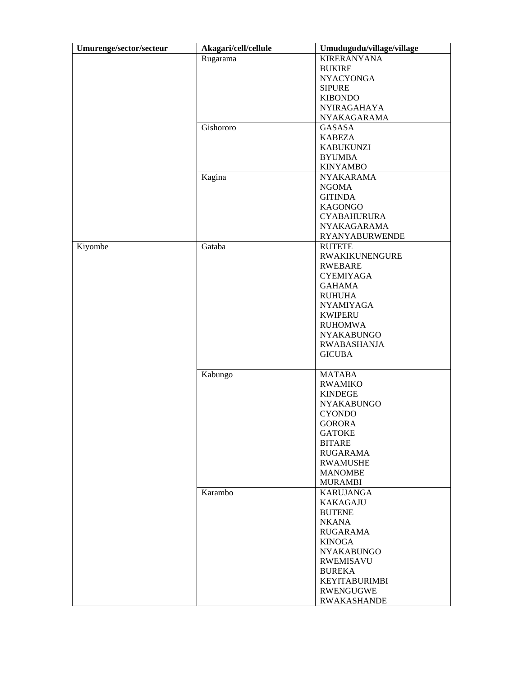| Umurenge/sector/secteur | Akagari/cell/cellule | Umudugudu/village/village |
|-------------------------|----------------------|---------------------------|
|                         | Rugarama             | <b>KIRERANYANA</b>        |
|                         |                      | <b>BUKIRE</b>             |
|                         |                      | <b>NYACYONGA</b>          |
|                         |                      | <b>SIPURE</b>             |
|                         |                      | <b>KIBONDO</b>            |
|                         |                      | <b>NYIRAGAHAYA</b>        |
|                         |                      | NYAKAGARAMA               |
|                         | Gishororo            | <b>GASASA</b>             |
|                         |                      | <b>KABEZA</b>             |
|                         |                      | <b>KABUKUNZI</b>          |
|                         |                      | <b>BYUMBA</b>             |
|                         |                      | <b>KINYAMBO</b>           |
|                         | Kagina               | <b>NYAKARAMA</b>          |
|                         |                      | <b>NGOMA</b>              |
|                         |                      | <b>GITINDA</b>            |
|                         |                      | <b>KAGONGO</b>            |
|                         |                      | <b>CYABAHURURA</b>        |
|                         |                      | <b>NYAKAGARAMA</b>        |
|                         |                      | <b>RYANYABURWENDE</b>     |
| Kiyombe                 | Gataba               | <b>RUTETE</b>             |
|                         |                      | <b>RWAKIKUNENGURE</b>     |
|                         |                      | <b>RWEBARE</b>            |
|                         |                      | <b>CYEMIYAGA</b>          |
|                         |                      | <b>GAHAMA</b>             |
|                         |                      | <b>RUHUHA</b>             |
|                         |                      |                           |
|                         |                      | <b>NYAMIYAGA</b>          |
|                         |                      | <b>KWIPERU</b>            |
|                         |                      | <b>RUHOMWA</b>            |
|                         |                      | <b>NYAKABUNGO</b>         |
|                         |                      | <b>RWABASHANJA</b>        |
|                         |                      | <b>GICUBA</b>             |
|                         | Kabungo              | <b>MATABA</b>             |
|                         |                      | <b>RWAMIKO</b>            |
|                         |                      | <b>KINDEGE</b>            |
|                         |                      | <b>NYAKABUNGO</b>         |
|                         |                      | <b>CYONDO</b>             |
|                         |                      | <b>GORORA</b>             |
|                         |                      | <b>GATOKE</b>             |
|                         |                      | <b>BITARE</b>             |
|                         |                      | <b>RUGARAMA</b>           |
|                         |                      | <b>RWAMUSHE</b>           |
|                         |                      | <b>MANOMBE</b>            |
|                         |                      | <b>MURAMBI</b>            |
|                         | Karambo              | <b>KARUJANGA</b>          |
|                         |                      | <b>KAKAGAJU</b>           |
|                         |                      | <b>BUTENE</b>             |
|                         |                      | <b>NKANA</b>              |
|                         |                      | <b>RUGARAMA</b>           |
|                         |                      | <b>KINOGA</b>             |
|                         |                      | <b>NYAKABUNGO</b>         |
|                         |                      |                           |
|                         |                      | <b>RWEMISAVU</b>          |
|                         |                      | <b>BUREKA</b>             |
|                         |                      | <b>KEYITABURIMBI</b>      |
|                         |                      | <b>RWENGUGWE</b>          |
|                         |                      | <b>RWAKASHANDE</b>        |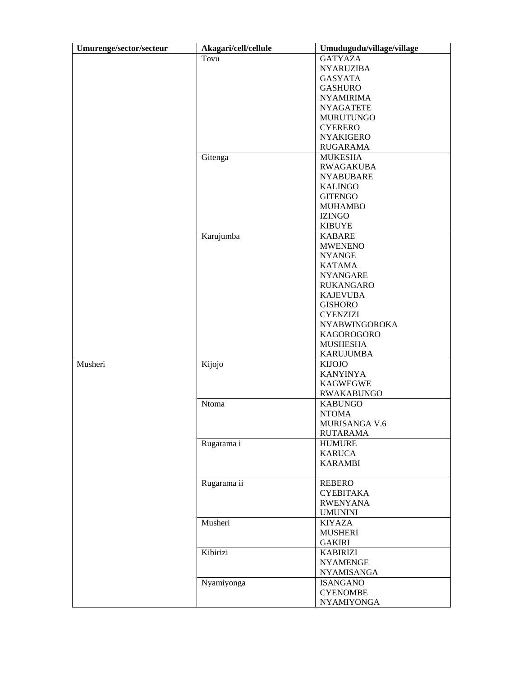| Umurenge/sector/secteur | Akagari/cell/cellule | Umudugudu/village/village |
|-------------------------|----------------------|---------------------------|
|                         | Tovu                 | <b>GATYAZA</b>            |
|                         |                      | <b>NYARUZIBA</b>          |
|                         |                      | <b>GASYATA</b>            |
|                         |                      | <b>GASHURO</b>            |
|                         |                      | <b>NYAMIRIMA</b>          |
|                         |                      | <b>NYAGATETE</b>          |
|                         |                      |                           |
|                         |                      | <b>MURUTUNGO</b>          |
|                         |                      | <b>CYERERO</b>            |
|                         |                      | <b>NYAKIGERO</b>          |
|                         |                      | RUGARAMA                  |
|                         | Gitenga              | <b>MUKESHA</b>            |
|                         |                      | <b>RWAGAKUBA</b>          |
|                         |                      | <b>NYABUBARE</b>          |
|                         |                      | <b>KALINGO</b>            |
|                         |                      | <b>GITENGO</b>            |
|                         |                      | <b>MUHAMBO</b>            |
|                         |                      | <b>IZINGO</b>             |
|                         |                      | <b>KIBUYE</b>             |
|                         | Karujumba            | <b>KABARE</b>             |
|                         |                      | <b>MWENENO</b>            |
|                         |                      | <b>NYANGE</b>             |
|                         |                      | <b>KATAMA</b>             |
|                         |                      | <b>NYANGARE</b>           |
|                         |                      | RUKANGARO                 |
|                         |                      | <b>KAJEVUBA</b>           |
|                         |                      |                           |
|                         |                      | <b>GISHORO</b>            |
|                         |                      | <b>CYENZIZI</b>           |
|                         |                      | <b>NYABWINGOROKA</b>      |
|                         |                      | KAGOROGORO                |
|                         |                      | <b>MUSHESHA</b>           |
|                         |                      | <b>KARUJUMBA</b>          |
| Musheri                 | Kijojo               | <b>KIJOJO</b>             |
|                         |                      | <b>KANYINYA</b>           |
|                         |                      | <b>KAGWEGWE</b>           |
|                         |                      | <b>RWAKABUNGO</b>         |
|                         | Ntoma                | <b>KABUNGO</b>            |
|                         |                      | <b>NTOMA</b>              |
|                         |                      | <b>MURISANGA V.6</b>      |
|                         |                      | <b>RUTARAMA</b>           |
|                         | Rugarama i           | <b>HUMURE</b>             |
|                         |                      | <b>KARUCA</b>             |
|                         |                      | <b>KARAMBI</b>            |
|                         |                      |                           |
|                         | Rugarama ii          | <b>REBERO</b>             |
|                         |                      | <b>CYEBITAKA</b>          |
|                         |                      | <b>RWENYANA</b>           |
|                         |                      | <b>UMUNINI</b>            |
|                         | Musheri              |                           |
|                         |                      | <b>KIYAZA</b>             |
|                         |                      | <b>MUSHERI</b>            |
|                         |                      | <b>GAKIRI</b>             |
|                         | Kibirizi             | <b>KABIRIZI</b>           |
|                         |                      | <b>NYAMENGE</b>           |
|                         |                      | NYAMISANGA                |
|                         | Nyamiyonga           | <b>ISANGANO</b>           |
|                         |                      | <b>CYENOMBE</b>           |
|                         |                      | <b>NYAMIYONGA</b>         |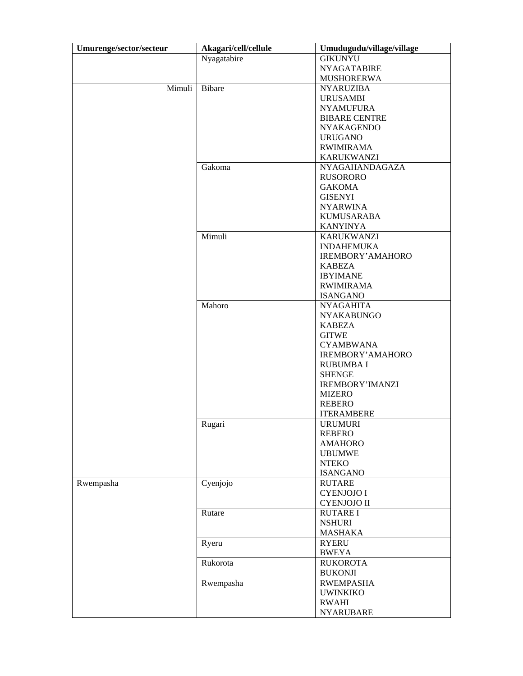| Umurenge/sector/secteur | Akagari/cell/cellule | Umudugudu/village/village |
|-------------------------|----------------------|---------------------------|
|                         | Nyagatabire          | <b>GIKUNYU</b>            |
|                         |                      | <b>NYAGATABIRE</b>        |
|                         |                      | <b>MUSHORERWA</b>         |
| Mimuli                  | <b>Bibare</b>        | <b>NYARUZIBA</b>          |
|                         |                      | <b>URUSAMBI</b>           |
|                         |                      | <b>NYAMUFURA</b>          |
|                         |                      | <b>BIBARE CENTRE</b>      |
|                         |                      | <b>NYAKAGENDO</b>         |
|                         |                      | <b>URUGANO</b>            |
|                         |                      | <b>RWIMIRAMA</b>          |
|                         |                      | <b>KARUKWANZI</b>         |
|                         | Gakoma               | <b>NYAGAHANDAGAZA</b>     |
|                         |                      | <b>RUSORORO</b>           |
|                         |                      | <b>GAKOMA</b>             |
|                         |                      |                           |
|                         |                      | <b>GISENYI</b>            |
|                         |                      | <b>NYARWINA</b>           |
|                         |                      | <b>KUMUSARABA</b>         |
|                         |                      | <b>KANYINYA</b>           |
|                         | Mimuli               | <b>KARUKWANZI</b>         |
|                         |                      | <b>INDAHEMUKA</b>         |
|                         |                      | <b>IREMBORY' AMAHORO</b>  |
|                         |                      | KABEZA                    |
|                         |                      | <b>IBYIMANE</b>           |
|                         |                      | <b>RWIMIRAMA</b>          |
|                         |                      | <b>ISANGANO</b>           |
|                         | Mahoro               | <b>NYAGAHITA</b>          |
|                         |                      | <b>NYAKABUNGO</b>         |
|                         |                      | <b>KABEZA</b>             |
|                         |                      | <b>GITWE</b>              |
|                         |                      | <b>CYAMBWANA</b>          |
|                         |                      | IREMBORY' AMAHORO         |
|                         |                      | <b>RUBUMBAI</b>           |
|                         |                      | <b>SHENGE</b>             |
|                         |                      | <b>IREMBORY'IMANZI</b>    |
|                         |                      | <b>MIZERO</b>             |
|                         |                      | <b>REBERO</b>             |
|                         |                      | <b>ITERAMBERE</b>         |
|                         | Rugari               | <b>URUMURI</b>            |
|                         |                      | <b>REBERO</b>             |
|                         |                      | <b>AMAHORO</b>            |
|                         |                      | <b>UBUMWE</b>             |
|                         |                      | <b>NTEKO</b>              |
|                         |                      | <b>ISANGANO</b>           |
| Rwempasha               | Cyenjojo             | <b>RUTARE</b>             |
|                         |                      | <b>CYENJOJO I</b>         |
|                         |                      |                           |
|                         |                      | <b>CYENJOJO II</b>        |
|                         | Rutare               | <b>RUTARE I</b>           |
|                         |                      | <b>NSHURI</b>             |
|                         |                      | <b>MASHAKA</b>            |
|                         | Ryeru                | <b>RYERU</b>              |
|                         |                      | <b>BWEYA</b>              |
|                         | Rukorota             | <b>RUKOROTA</b>           |
|                         |                      | <b>BUKONJI</b>            |
|                         | Rwempasha            | <b>RWEMPASHA</b>          |
|                         |                      | <b>UWINKIKO</b>           |
|                         |                      | <b>RWAHI</b>              |
|                         |                      | <b>NYARUBARE</b>          |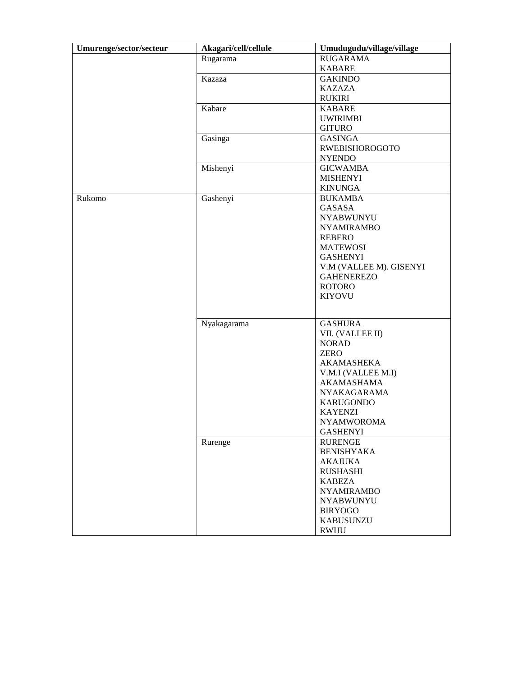| Umurenge/sector/secteur | Akagari/cell/cellule | Umudugudu/village/village |
|-------------------------|----------------------|---------------------------|
|                         | Rugarama             | <b>RUGARAMA</b>           |
|                         |                      | <b>KABARE</b>             |
|                         | Kazaza               | <b>GAKINDO</b>            |
|                         |                      | <b>KAZAZA</b>             |
|                         |                      | <b>RUKIRI</b>             |
|                         | Kabare               | KABARE                    |
|                         |                      | <b>UWIRIMBI</b>           |
|                         |                      | <b>GITURO</b>             |
|                         | Gasinga              | <b>GASINGA</b>            |
|                         |                      | <b>RWEBISHOROGOTO</b>     |
|                         |                      | <b>NYENDO</b>             |
|                         | Mishenyi             | <b>GICWAMBA</b>           |
|                         |                      | <b>MISHENYI</b>           |
|                         |                      | <b>KINUNGA</b>            |
| Rukomo                  | Gashenyi             | <b>BUKAMBA</b>            |
|                         |                      | <b>GASASA</b>             |
|                         |                      | <b>NYABWUNYU</b>          |
|                         |                      | <b>NYAMIRAMBO</b>         |
|                         |                      | <b>REBERO</b>             |
|                         |                      | <b>MATEWOSI</b>           |
|                         |                      | <b>GASHENYI</b>           |
|                         |                      | V.M (VALLEE M). GISENYI   |
|                         |                      | <b>GAHENEREZO</b>         |
|                         |                      | <b>ROTORO</b>             |
|                         |                      | <b>KIYOVU</b>             |
|                         |                      |                           |
|                         | Nyakagarama          | <b>GASHURA</b>            |
|                         |                      | VII. (VALLEE II)          |
|                         |                      | <b>NORAD</b>              |
|                         |                      | <b>ZERO</b>               |
|                         |                      | <b>AKAMASHEKA</b>         |
|                         |                      | V.M.I (VALLEE M.I)        |
|                         |                      | <b>AKAMASHAMA</b>         |
|                         |                      | <b>NYAKAGARAMA</b>        |
|                         |                      | <b>KARUGONDO</b>          |
|                         |                      | <b>KAYENZI</b>            |
|                         |                      | <b>NYAMWOROMA</b>         |
|                         |                      | <b>GASHENYI</b>           |
|                         | Rurenge              | <b>RURENGE</b>            |
|                         |                      | <b>BENISHYAKA</b>         |
|                         |                      | <b>AKAJUKA</b>            |
|                         |                      | <b>RUSHASHI</b>           |
|                         |                      | <b>KABEZA</b>             |
|                         |                      | <b>NYAMIRAMBO</b>         |
|                         |                      | <b>NYABWUNYU</b>          |
|                         |                      | <b>BIRYOGO</b>            |
|                         |                      | <b>KABUSUNZU</b>          |
|                         |                      | <b>RWIJU</b>              |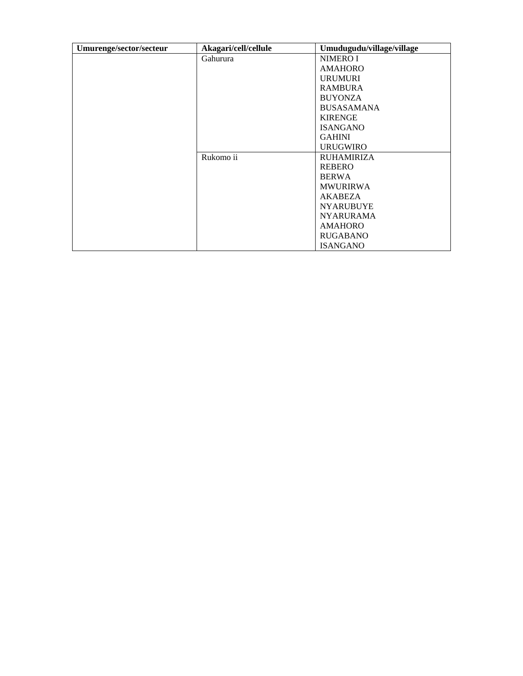| Umurenge/sector/secteur | Akagari/cell/cellule | Umudugudu/village/village |
|-------------------------|----------------------|---------------------------|
|                         | Gahurura             | <b>NIMERO I</b>           |
|                         |                      | <b>AMAHORO</b>            |
|                         |                      | <b>URUMURI</b>            |
|                         |                      | <b>RAMBURA</b>            |
|                         |                      | <b>BUYONZA</b>            |
|                         |                      | <b>BUSASAMANA</b>         |
|                         |                      | <b>KIRENGE</b>            |
|                         |                      | <b>ISANGANO</b>           |
|                         |                      | <b>GAHINI</b>             |
|                         |                      | <b>URUGWIRO</b>           |
|                         | Rukomo ii            | <b>RUHAMIRIZA</b>         |
|                         |                      | <b>REBERO</b>             |
|                         |                      | <b>BERWA</b>              |
|                         |                      | <b>MWURIRWA</b>           |
|                         |                      | <b>AKABEZA</b>            |
|                         |                      | <b>NYARUBUYE</b>          |
|                         |                      | <b>NYARURAMA</b>          |
|                         |                      | <b>AMAHORO</b>            |
|                         |                      | <b>RUGABANO</b>           |
|                         |                      | <b>ISANGANO</b>           |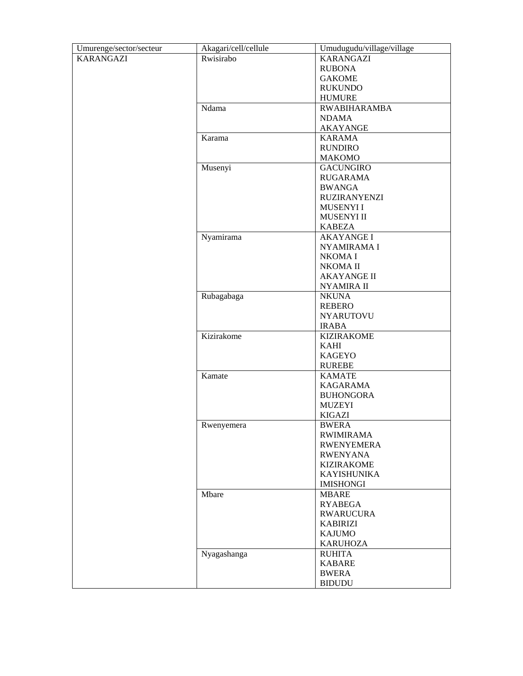| Umurenge/sector/secteur | Akagari/cell/cellule | Umudugudu/village/village |
|-------------------------|----------------------|---------------------------|
| <b>KARANGAZI</b>        | Rwisirabo            | <b>KARANGAZI</b>          |
|                         |                      | <b>RUBONA</b>             |
|                         |                      | <b>GAKOME</b>             |
|                         |                      | <b>RUKUNDO</b>            |
|                         |                      | <b>HUMURE</b>             |
|                         | Ndama                | <b>RWABIHARAMBA</b>       |
|                         |                      | <b>NDAMA</b>              |
|                         |                      | <b>AKAYANGE</b>           |
|                         | Karama               | <b>KARAMA</b>             |
|                         |                      | <b>RUNDIRO</b>            |
|                         |                      | MAKOMO                    |
|                         | Musenyi              | <b>GACUNGIRO</b>          |
|                         |                      | <b>RUGARAMA</b>           |
|                         |                      | <b>BWANGA</b>             |
|                         |                      | <b>RUZIRANYENZI</b>       |
|                         |                      | <b>MUSENYI I</b>          |
|                         |                      | MUSENYI II                |
|                         |                      | KABEZA                    |
|                         | Nyamirama            | <b>AKAYANGE I</b>         |
|                         |                      | NYAMIRAMA I               |
|                         |                      | NKOMA I                   |
|                         |                      | NKOMA II                  |
|                         |                      | <b>AKAYANGE II</b>        |
|                         |                      | <b>NYAMIRA II</b>         |
|                         | Rubagabaga           | <b>NKUNA</b>              |
|                         |                      | <b>REBERO</b>             |
|                         |                      | <b>NYARUTOVU</b>          |
|                         |                      | <b>IRABA</b>              |
|                         | Kizirakome           | <b>KIZIRAKOME</b>         |
|                         |                      | <b>KAHI</b>               |
|                         |                      | <b>KAGEYO</b>             |
|                         |                      | RUREBE                    |
|                         | Kamate               | <b>KAMATE</b>             |
|                         |                      | <b>KAGARAMA</b>           |
|                         |                      | <b>BUHONGORA</b>          |
|                         |                      | <b>MUZEYI</b>             |
|                         |                      | KIGAZI                    |
|                         | Rwenyemera           | <b>BWERA</b>              |
|                         |                      | <b>RWIMIRAMA</b>          |
|                         |                      | <b>RWENYEMERA</b>         |
|                         |                      | <b>RWENYANA</b>           |
|                         |                      | <b>KIZIRAKOME</b>         |
|                         |                      | <b>KAYISHUNIKA</b>        |
|                         |                      | <b>IMISHONGI</b>          |
|                         | Mbare                | <b>MBARE</b>              |
|                         |                      | <b>RYABEGA</b>            |
|                         |                      | <b>RWARUCURA</b>          |
|                         |                      | <b>KABIRIZI</b>           |
|                         |                      | <b>KAJUMO</b>             |
|                         |                      | <b>KARUHOZA</b>           |
|                         | Nyagashanga          | <b>RUHITA</b>             |
|                         |                      | <b>KABARE</b>             |
|                         |                      | <b>BWERA</b>              |
|                         |                      | <b>BIDUDU</b>             |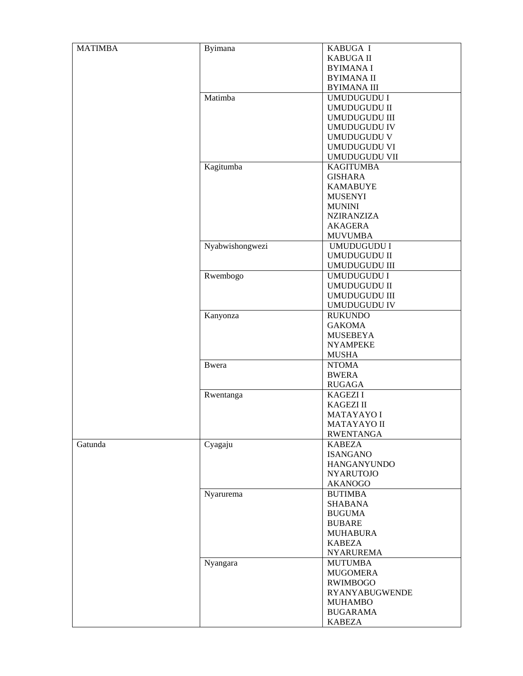| <b>MATIMBA</b> | Byimana         | KABUGA I              |
|----------------|-----------------|-----------------------|
|                |                 | <b>KABUGA II</b>      |
|                |                 | <b>BYIMANA I</b>      |
|                |                 | <b>BYIMANA II</b>     |
|                |                 | <b>BYIMANA III</b>    |
|                | Matimba         | UMUDUGUDU I           |
|                |                 |                       |
|                |                 | <b>UMUDUGUDU II</b>   |
|                |                 | <b>UMUDUGUDU III</b>  |
|                |                 | <b>UMUDUGUDU IV</b>   |
|                |                 | <b>UMUDUGUDU V</b>    |
|                |                 | <b>UMUDUGUDU VI</b>   |
|                |                 | UMUDUGUDU VII         |
|                | Kagitumba       | <b>KAGITUMBA</b>      |
|                |                 | <b>GISHARA</b>        |
|                |                 | <b>KAMABUYE</b>       |
|                |                 | <b>MUSENYI</b>        |
|                |                 | <b>MUNINI</b>         |
|                |                 | <b>NZIRANZIZA</b>     |
|                |                 | <b>AKAGERA</b>        |
|                |                 | <b>MUVUMBA</b>        |
|                | Nyabwishongwezi | UMUDUGUDU I           |
|                |                 | <b>UMUDUGUDU II</b>   |
|                |                 | <b>UMUDUGUDU III</b>  |
|                | Rwembogo        | UMUDUGUDU I           |
|                |                 | <b>UMUDUGUDU II</b>   |
|                |                 | <b>UMUDUGUDU III</b>  |
|                |                 |                       |
|                |                 | <b>UMUDUGUDU IV</b>   |
|                | Kanyonza        | <b>RUKUNDO</b>        |
|                |                 | <b>GAKOMA</b>         |
|                |                 | <b>MUSEBEYA</b>       |
|                |                 | <b>NYAMPEKE</b>       |
|                |                 | <b>MUSHA</b>          |
|                | <b>Bwera</b>    | <b>NTOMA</b>          |
|                |                 | <b>BWERA</b>          |
|                |                 | <b>RUGAGA</b>         |
|                | Rwentanga       | <b>KAGEZI I</b>       |
|                |                 | <b>KAGEZI II</b>      |
|                |                 | <b>MATAYAYO I</b>     |
|                |                 | MATAYAYO II           |
|                |                 | <b>RWENTANGA</b>      |
| Gatunda        | Cyagaju         | <b>KABEZA</b>         |
|                |                 | <b>ISANGANO</b>       |
|                |                 | <b>HANGANYUNDO</b>    |
|                |                 | <b>NYARUTOJO</b>      |
|                |                 | <b>AKANOGO</b>        |
|                | Nyarurema       | <b>BUTIMBA</b>        |
|                |                 | <b>SHABANA</b>        |
|                |                 | <b>BUGUMA</b>         |
|                |                 | <b>BUBARE</b>         |
|                |                 | <b>MUHABURA</b>       |
|                |                 |                       |
|                |                 | <b>KABEZA</b>         |
|                |                 | <b>NYARUREMA</b>      |
|                | Nyangara        | <b>MUTUMBA</b>        |
|                |                 | <b>MUGOMERA</b>       |
|                |                 | <b>RWIMBOGO</b>       |
|                |                 | <b>RYANYABUGWENDE</b> |
|                |                 | <b>MUHAMBO</b>        |
|                |                 | <b>BUGARAMA</b>       |
|                |                 | <b>KABEZA</b>         |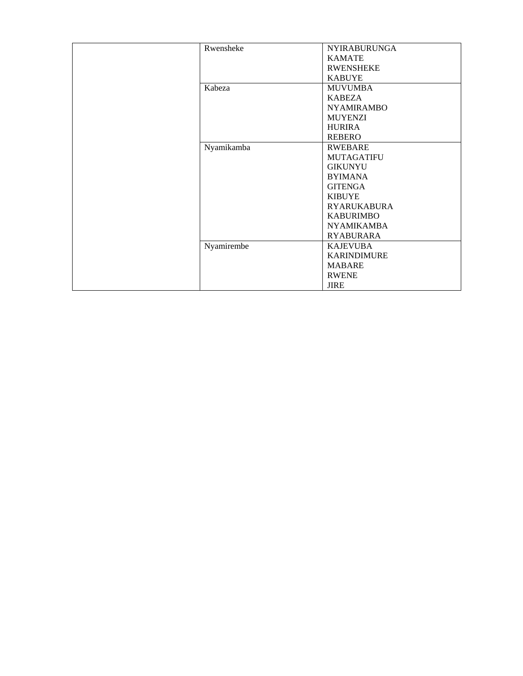| Rwensheke  | <b>NYIRABURUNGA</b> |
|------------|---------------------|
|            | <b>KAMATE</b>       |
|            | <b>RWENSHEKE</b>    |
|            | <b>KABUYE</b>       |
| Kabeza     | <b>MUVUMBA</b>      |
|            | <b>KABEZA</b>       |
|            | <b>NYAMIRAMBO</b>   |
|            | <b>MUYENZI</b>      |
|            | <b>HURIRA</b>       |
|            | <b>REBERO</b>       |
| Nyamikamba | <b>RWEBARE</b>      |
|            | <b>MUTAGATIFU</b>   |
|            | <b>GIKUNYU</b>      |
|            | <b>BYIMANA</b>      |
|            | <b>GITENGA</b>      |
|            | <b>KIBUYE</b>       |
|            | <b>RYARUKABURA</b>  |
|            | <b>KABURIMBO</b>    |
|            | <b>NYAMIKAMBA</b>   |
|            | <b>RYABURARA</b>    |
| Nyamirembe | <b>KAJEVUBA</b>     |
|            | <b>KARINDIMURE</b>  |
|            | <b>MABARE</b>       |
|            | <b>RWENE</b>        |
|            | <b>JIRE</b>         |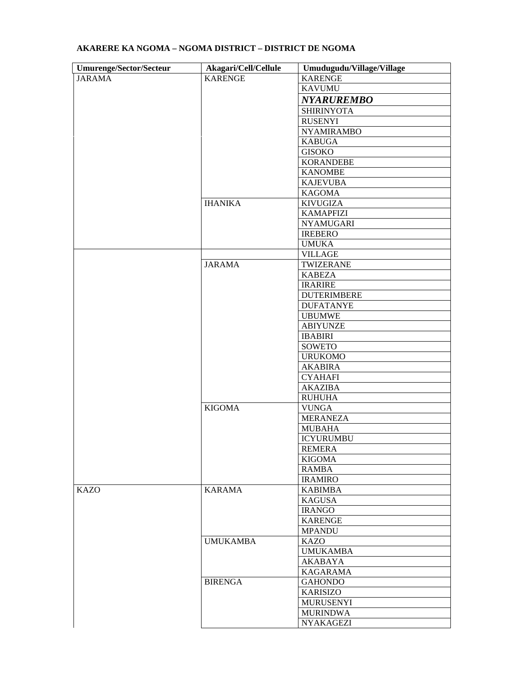| <b>Umurenge/Sector/Secteur</b> | Akagari/Cell/Cellule | Umudugudu/Village/Village |
|--------------------------------|----------------------|---------------------------|
| <b>JARAMA</b>                  | <b>KARENGE</b>       | <b>KARENGE</b>            |
|                                |                      | <b>KAVUMU</b>             |
|                                |                      | <b>NYARUREMBO</b>         |
|                                |                      | <b>SHIRINYOTA</b>         |
|                                |                      | <b>RUSENYI</b>            |
|                                |                      | <b>NYAMIRAMBO</b>         |
|                                |                      | <b>KABUGA</b>             |
|                                |                      | <b>GISOKO</b>             |
|                                |                      | <b>KORANDEBE</b>          |
|                                |                      | <b>KANOMBE</b>            |
|                                |                      | <b>KAJEVUBA</b>           |
|                                |                      | <b>KAGOMA</b>             |
|                                | <b>IHANIKA</b>       | <b>KIVUGIZA</b>           |
|                                |                      | <b>KAMAPFIZI</b>          |
|                                |                      | <b>NYAMUGARI</b>          |
|                                |                      | <b>IREBERO</b>            |
|                                |                      | <b>UMUKA</b>              |
|                                |                      | <b>VILLAGE</b>            |
|                                | <b>JARAMA</b>        | TWIZERANE                 |
|                                |                      | <b>KABEZA</b>             |
|                                |                      | <b>IRARIRE</b>            |
|                                |                      | <b>DUTERIMBERE</b>        |
|                                |                      | <b>DUFATANYE</b>          |
|                                |                      | <b>UBUMWE</b>             |
|                                |                      | <b>ABIYUNZE</b>           |
|                                |                      | <b>IBABIRI</b>            |
|                                |                      | SOWETO                    |
|                                |                      | <b>URUKOMO</b>            |
|                                |                      | <b>AKABIRA</b>            |
|                                |                      | <b>CYAHAFI</b>            |
|                                |                      | <b>AKAZIBA</b>            |
|                                |                      | <b>RUHUHA</b>             |
|                                | <b>KIGOMA</b>        | <b>VUNGA</b>              |
|                                |                      | <b>MERANEZA</b>           |
|                                |                      | <b>MUBAHA</b>             |
|                                |                      | <b>ICYURUMBU</b>          |
|                                |                      | <b>REMERA</b>             |
|                                |                      | <b>KIGOMA</b>             |
|                                |                      | <b>RAMBA</b>              |
|                                |                      | <b>IRAMIRO</b>            |
| <b>KAZO</b>                    | <b>KARAMA</b>        | <b>KABIMBA</b>            |
|                                |                      | <b>KAGUSA</b>             |
|                                |                      | <b>IRANGO</b>             |
|                                |                      | <b>KARENGE</b>            |
|                                |                      | <b>MPANDU</b>             |
|                                | <b>UMUKAMBA</b>      | <b>KAZO</b>               |
|                                |                      | <b>UMUKAMBA</b>           |
|                                |                      | <b>AKABAYA</b>            |
|                                |                      | <b>KAGARAMA</b>           |
|                                | <b>BIRENGA</b>       | <b>GAHONDO</b>            |
|                                |                      | <b>KARISIZO</b>           |
|                                |                      | <b>MURUSENYI</b>          |
|                                |                      | <b>MURINDWA</b>           |
|                                |                      | <b>NYAKAGEZI</b>          |
|                                |                      |                           |

# **AKARERE KA NGOMA – NGOMA DISTRICT – DISTRICT DE NGOMA**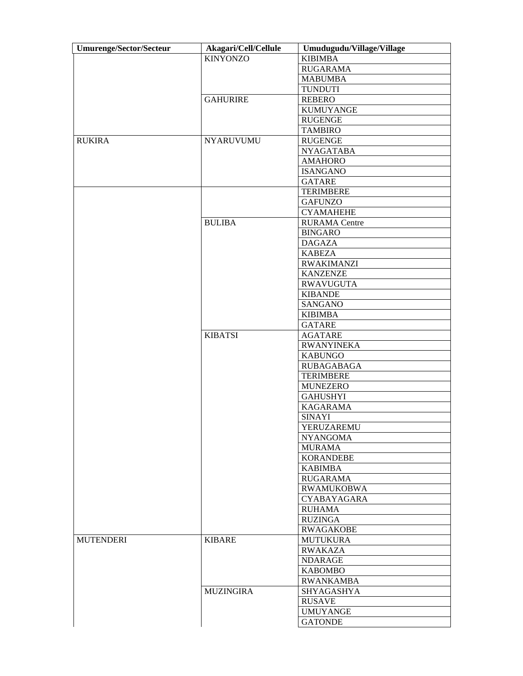| <b>Umurenge/Sector/Secteur</b> | Akagari/Cell/Cellule | Umudugudu/Village/Village |
|--------------------------------|----------------------|---------------------------|
|                                | <b>KINYONZO</b>      | <b>KIBIMBA</b>            |
|                                |                      | <b>RUGARAMA</b>           |
|                                |                      | <b>MABUMBA</b>            |
|                                |                      | <b>TUNDUTI</b>            |
|                                | <b>GAHURIRE</b>      | <b>REBERO</b>             |
|                                |                      | <b>KUMUYANGE</b>          |
|                                |                      | <b>RUGENGE</b>            |
|                                |                      | <b>TAMBIRO</b>            |
| <b>RUKIRA</b>                  | <b>NYARUVUMU</b>     | <b>RUGENGE</b>            |
|                                |                      | <b>NYAGATABA</b>          |
|                                |                      | <b>AMAHORO</b>            |
|                                |                      | <b>ISANGANO</b>           |
|                                |                      | <b>GATARE</b>             |
|                                |                      | <b>TERIMBERE</b>          |
|                                |                      | <b>GAFUNZO</b>            |
|                                |                      | <b>CYAMAHEHE</b>          |
|                                |                      |                           |
|                                | <b>BULIBA</b>        | <b>RURAMA</b> Centre      |
|                                |                      | <b>BINGARO</b>            |
|                                |                      | <b>DAGAZA</b>             |
|                                |                      | <b>KABEZA</b>             |
|                                |                      | <b>RWAKIMANZI</b>         |
|                                |                      | <b>KANZENZE</b>           |
|                                |                      | <b>RWAVUGUTA</b>          |
|                                |                      | <b>KIBANDE</b>            |
|                                |                      | SANGANO                   |
|                                |                      | <b>KIBIMBA</b>            |
|                                |                      | <b>GATARE</b>             |
|                                | <b>KIBATSI</b>       | <b>AGATARE</b>            |
|                                |                      | <b>RWANYINEKA</b>         |
|                                |                      | <b>KABUNGO</b>            |
|                                |                      | <b>RUBAGABAGA</b>         |
|                                |                      | <b>TERIMBERE</b>          |
|                                |                      | <b>MUNEZERO</b>           |
|                                |                      | <b>GAHUSHYI</b>           |
|                                |                      | <b>KAGARAMA</b>           |
|                                |                      | <b>SINAYI</b>             |
|                                |                      | YERUZAREMU                |
|                                |                      | <b>NYANGOMA</b>           |
|                                |                      | <b>MURAMA</b>             |
|                                |                      | <b>KORANDEBE</b>          |
|                                |                      | <b>KABIMBA</b>            |
|                                |                      | <b>RUGARAMA</b>           |
|                                |                      | <b>RWAMUKOBWA</b>         |
|                                |                      | CYABAYAGARA               |
|                                |                      | <b>RUHAMA</b>             |
|                                |                      |                           |
|                                |                      | <b>RUZINGA</b>            |
|                                |                      | <b>RWAGAKOBE</b>          |
| <b>MUTENDERI</b>               | <b>KIBARE</b>        | <b>MUTUKURA</b>           |
|                                |                      | <b>RWAKAZA</b>            |
|                                |                      | <b>NDARAGE</b>            |
|                                |                      | <b>KABOMBO</b>            |
|                                |                      | <b>RWANKAMBA</b>          |
|                                | <b>MUZINGIRA</b>     | <b>SHYAGASHYA</b>         |
|                                |                      | <b>RUSAVE</b>             |
|                                |                      | <b>UMUYANGE</b>           |
|                                |                      | <b>GATONDE</b>            |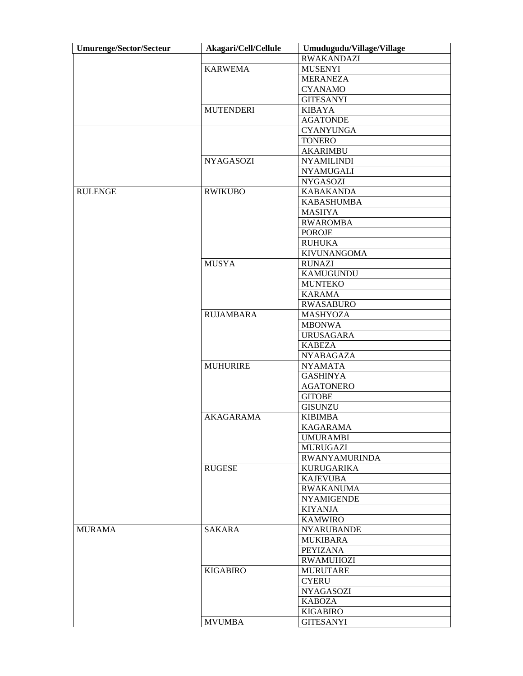| <b>Umurenge/Sector/Secteur</b> | Akagari/Cell/Cellule | Umudugudu/Village/Village |
|--------------------------------|----------------------|---------------------------|
|                                |                      | <b>RWAKANDAZI</b>         |
|                                | <b>KARWEMA</b>       | <b>MUSENYI</b>            |
|                                |                      | <b>MERANEZA</b>           |
|                                |                      | <b>CYANAMO</b>            |
|                                |                      | <b>GITESANYI</b>          |
|                                | <b>MUTENDERI</b>     | <b>KIBAYA</b>             |
|                                |                      | <b>AGATONDE</b>           |
|                                |                      | <b>CYANYUNGA</b>          |
|                                |                      | <b>TONERO</b>             |
|                                |                      | <b>AKARIMBU</b>           |
|                                | <b>NYAGASOZI</b>     | <b>NYAMILINDI</b>         |
|                                |                      | <b>NYAMUGALI</b>          |
|                                |                      | <b>NYGASOZI</b>           |
| <b>RULENGE</b>                 |                      |                           |
|                                | <b>RWIKUBO</b>       | <b>KABAKANDA</b>          |
|                                |                      | <b>KABASHUMBA</b>         |
|                                |                      | <b>MASHYA</b>             |
|                                |                      | <b>RWAROMBA</b>           |
|                                |                      | <b>POROJE</b>             |
|                                |                      | <b>RUHUKA</b>             |
|                                |                      | <b>KIVUNANGOMA</b>        |
|                                | <b>MUSYA</b>         | <b>RUNAZI</b>             |
|                                |                      | KAMUGUNDU                 |
|                                |                      | <b>MUNTEKO</b>            |
|                                |                      | <b>KARAMA</b>             |
|                                |                      | <b>RWASABURO</b>          |
|                                | <b>RUJAMBARA</b>     | <b>MASHYOZA</b>           |
|                                |                      | <b>MBONWA</b>             |
|                                |                      | <b>URUSAGARA</b>          |
|                                |                      | <b>KABEZA</b>             |
|                                |                      | <b>NYABAGAZA</b>          |
|                                | <b>MUHURIRE</b>      | <b>NYAMATA</b>            |
|                                |                      | <b>GASHINYA</b>           |
|                                |                      | <b>AGATONERO</b>          |
|                                |                      | <b>GITOBE</b>             |
|                                |                      | <b>GISUNZU</b>            |
|                                | <b>AKAGARAMA</b>     | <b>KIBIMBA</b>            |
|                                |                      | <b>KAGARAMA</b>           |
|                                |                      | <b>UMURAMBI</b>           |
|                                |                      | <b>MURUGAZI</b>           |
|                                |                      | <b>RWANYAMURINDA</b>      |
|                                | <b>RUGESE</b>        | <b>KURUGARIKA</b>         |
|                                |                      | <b>KAJEVUBA</b>           |
|                                |                      | <b>RWAKANUMA</b>          |
|                                |                      | <b>NYAMIGENDE</b>         |
|                                |                      | <b>KIYANJA</b>            |
|                                |                      | <b>KAMWIRO</b>            |
| <b>MURAMA</b>                  | SAKARA               | <b>NYARUBANDE</b>         |
|                                |                      |                           |
|                                |                      | <b>MUKIBARA</b>           |
|                                |                      | PEYIZANA                  |
|                                |                      | <b>RWAMUHOZI</b>          |
|                                | <b>KIGABIRO</b>      | <b>MURUTARE</b>           |
|                                |                      | <b>CYERU</b>              |
|                                |                      | <b>NYAGASOZI</b>          |
|                                |                      | <b>KABOZA</b>             |
|                                |                      | <b>KIGABIRO</b>           |
|                                | <b>MVUMBA</b>        | <b>GITESANYI</b>          |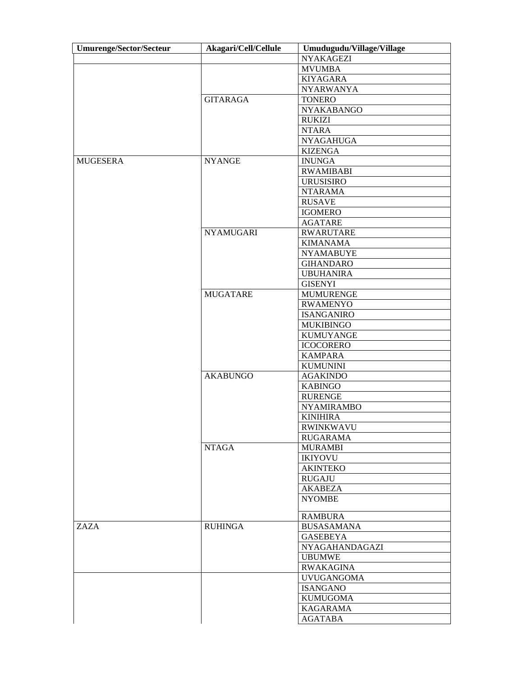| <b>Umurenge/Sector/Secteur</b> | Akagari/Cell/Cellule | Umudugudu/Village/Village |
|--------------------------------|----------------------|---------------------------|
|                                |                      | <b>NYAKAGEZI</b>          |
|                                |                      | <b>MVUMBA</b>             |
|                                |                      | <b>KIYAGARA</b>           |
|                                |                      | <b>NYARWANYA</b>          |
|                                | <b>GITARAGA</b>      | <b>TONERO</b>             |
|                                |                      | NYAKABANGO                |
|                                |                      | <b>RUKIZI</b>             |
|                                |                      | <b>NTARA</b>              |
|                                |                      | <b>NYAGAHUGA</b>          |
|                                |                      | <b>KIZENGA</b>            |
| <b>MUGESERA</b>                | <b>NYANGE</b>        | <b>INUNGA</b>             |
|                                |                      | <b>RWAMIBABI</b>          |
|                                |                      | <b>URUSISIRO</b>          |
|                                |                      | <b>NTARAMA</b>            |
|                                |                      | <b>RUSAVE</b>             |
|                                |                      | <b>IGOMERO</b>            |
|                                |                      | <b>AGATARE</b>            |
|                                | <b>NYAMUGARI</b>     | <b>RWARUTARE</b>          |
|                                |                      | <b>KIMANAMA</b>           |
|                                |                      | <b>NYAMABUYE</b>          |
|                                |                      | <b>GIHANDARO</b>          |
|                                |                      | <b>UBUHANIRA</b>          |
|                                |                      | <b>GISENYI</b>            |
|                                | <b>MUGATARE</b>      | <b>MUMURENGE</b>          |
|                                |                      | <b>RWAMENYO</b>           |
|                                |                      | <b>ISANGANIRO</b>         |
|                                |                      |                           |
|                                |                      | <b>MUKIBINGO</b>          |
|                                |                      | <b>KUMUYANGE</b>          |
|                                |                      | <b>ICOCORERO</b>          |
|                                |                      | <b>KAMPARA</b>            |
|                                |                      | <b>KUMUNINI</b>           |
|                                | <b>AKABUNGO</b>      | <b>AGAKINDO</b>           |
|                                |                      | <b>KABINGO</b>            |
|                                |                      | <b>RURENGE</b>            |
|                                |                      | <b>NYAMIRAMBO</b>         |
|                                |                      | <b>KINIHIRA</b>           |
|                                |                      | <b>RWINKWAVU</b>          |
|                                |                      | <b>RUGARAMA</b>           |
|                                | <b>NTAGA</b>         | <b>MURAMBI</b>            |
|                                |                      | <b>IKIYOVU</b>            |
|                                |                      | <b>AKINTEKO</b>           |
|                                |                      | <b>RUGAJU</b>             |
|                                |                      | <b>AKABEZA</b>            |
|                                |                      | <b>NYOMBE</b>             |
|                                |                      | <b>RAMBURA</b>            |
| ZAZA                           | <b>RUHINGA</b>       | <b>BUSASAMANA</b>         |
|                                |                      | <b>GASEBEYA</b>           |
|                                |                      |                           |
|                                |                      | <b>NYAGAHANDAGAZI</b>     |
|                                |                      | <b>UBUMWE</b>             |
|                                |                      | <b>RWAKAGINA</b>          |
|                                |                      | <b>UVUGANGOMA</b>         |
|                                |                      | <b>ISANGANO</b>           |
|                                |                      | <b>KUMUGOMA</b>           |
|                                |                      | <b>KAGARAMA</b>           |
|                                |                      | <b>AGATABA</b>            |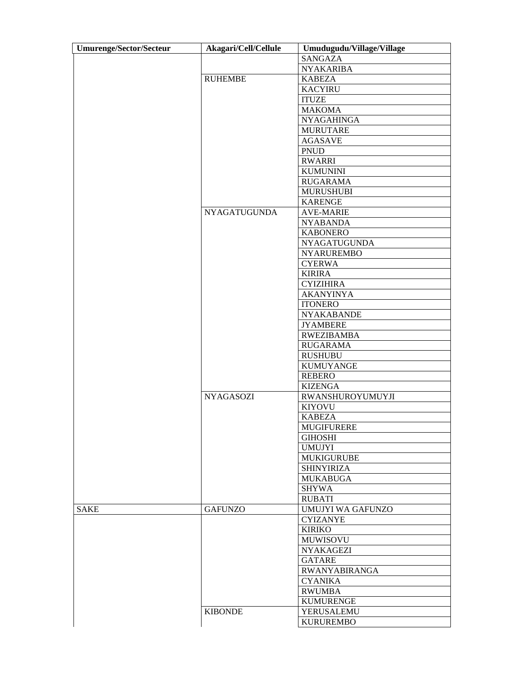| <b>Umurenge/Sector/Secteur</b> | Akagari/Cell/Cellule | Umudugudu/Village/Village |
|--------------------------------|----------------------|---------------------------|
|                                |                      | <b>SANGAZA</b>            |
|                                |                      | <b>NYAKARIBA</b>          |
|                                | <b>RUHEMBE</b>       | <b>KABEZA</b>             |
|                                |                      | <b>KACYIRU</b>            |
|                                |                      | <b>ITUZE</b>              |
|                                |                      | <b>MAKOMA</b>             |
|                                |                      | <b>NYAGAHINGA</b>         |
|                                |                      |                           |
|                                |                      | <b>MURUTARE</b>           |
|                                |                      | <b>AGASAVE</b>            |
|                                |                      | <b>PNUD</b>               |
|                                |                      | <b>RWARRI</b>             |
|                                |                      | <b>KUMUNINI</b>           |
|                                |                      | <b>RUGARAMA</b>           |
|                                |                      | <b>MURUSHUBI</b>          |
|                                |                      | <b>KARENGE</b>            |
|                                | <b>NYAGATUGUNDA</b>  | <b>AVE-MARIE</b>          |
|                                |                      | <b>NYABANDA</b>           |
|                                |                      | <b>KABONERO</b>           |
|                                |                      | NYAGATUGUNDA              |
|                                |                      | <b>NYARUREMBO</b>         |
|                                |                      | <b>CYERWA</b>             |
|                                |                      | <b>KIRIRA</b>             |
|                                |                      | <b>CYIZIHIRA</b>          |
|                                |                      | <b>AKANYINYA</b>          |
|                                |                      | <b>ITONERO</b>            |
|                                |                      | <b>NYAKABANDE</b>         |
|                                |                      | <b>JYAMBERE</b>           |
|                                |                      | <b>RWEZIBAMBA</b>         |
|                                |                      |                           |
|                                |                      | <b>RUGARAMA</b>           |
|                                |                      | <b>RUSHUBU</b>            |
|                                |                      | <b>KUMUYANGE</b>          |
|                                |                      | <b>REBERO</b>             |
|                                |                      | <b>KIZENGA</b>            |
|                                | <b>NYAGASOZI</b>     | RWANSHUROYUMUYJI          |
|                                |                      | <b>KIYOVU</b>             |
|                                |                      | <b>KABEZA</b>             |
|                                |                      | <b>MUGIFURERE</b>         |
|                                |                      | <b>GIHOSHI</b>            |
|                                |                      | <b>UMUJYI</b>             |
|                                |                      | <b>MUKIGURUBE</b>         |
|                                |                      | <b>SHINYIRIZA</b>         |
|                                |                      | <b>MUKABUGA</b>           |
|                                |                      | <b>SHYWA</b>              |
|                                |                      | <b>RUBATI</b>             |
| <b>SAKE</b>                    | <b>GAFUNZO</b>       | UMUJYI WA GAFUNZO         |
|                                |                      | <b>CYIZANYE</b>           |
|                                |                      | <b>KIRIKO</b>             |
|                                |                      | <b>MUWISOVU</b>           |
|                                |                      | <b>NYAKAGEZI</b>          |
|                                |                      | <b>GATARE</b>             |
|                                |                      | <b>RWANYABIRANGA</b>      |
|                                |                      | <b>CYANIKA</b>            |
|                                |                      | <b>RWUMBA</b>             |
|                                |                      | <b>KUMURENGE</b>          |
|                                | <b>KIBONDE</b>       | YERUSALEMU                |
|                                |                      | <b>KURUREMBO</b>          |
|                                |                      |                           |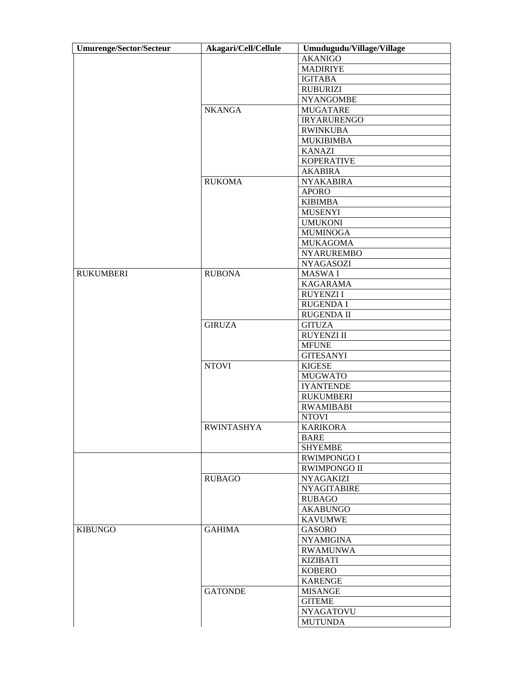| <b>Umurenge/Sector/Secteur</b> | Akagari/Cell/Cellule | Umudugudu/Village/Village |
|--------------------------------|----------------------|---------------------------|
|                                |                      | <b>AKANIGO</b>            |
|                                |                      | <b>MADIRIYE</b>           |
|                                |                      | <b>IGITABA</b>            |
|                                |                      | <b>RUBURIZI</b>           |
|                                |                      | <b>NYANGOMBE</b>          |
|                                | <b>NKANGA</b>        | <b>MUGATARE</b>           |
|                                |                      | <b>IRYARURENGO</b>        |
|                                |                      | <b>RWINKUBA</b>           |
|                                |                      | <b>MUKIBIMBA</b>          |
|                                |                      | <b>KANAZI</b>             |
|                                |                      |                           |
|                                |                      | <b>KOPERATIVE</b>         |
|                                |                      | <b>AKABIRA</b>            |
|                                | <b>RUKOMA</b>        | <b>NYAKABIRA</b>          |
|                                |                      | <b>APORO</b>              |
|                                |                      | <b>KIBIMBA</b>            |
|                                |                      | <b>MUSENYI</b>            |
|                                |                      | <b>UMUKONI</b>            |
|                                |                      | <b>MUMINOGA</b>           |
|                                |                      | <b>MUKAGOMA</b>           |
|                                |                      | <b>NYARUREMBO</b>         |
|                                |                      | <b>NYAGASOZI</b>          |
| <b>RUKUMBERI</b>               | <b>RUBONA</b>        | MASWA I                   |
|                                |                      | <b>KAGARAMA</b>           |
|                                |                      | <b>RUYENZII</b>           |
|                                |                      | RUGENDA I                 |
|                                |                      | RUGENDA II                |
|                                | <b>GIRUZA</b>        | <b>GITUZA</b>             |
|                                |                      | <b>RUYENZI II</b>         |
|                                |                      | <b>MFUNE</b>              |
|                                |                      | <b>GITESANYI</b>          |
|                                | <b>NTOVI</b>         | <b>KIGESE</b>             |
|                                |                      | <b>MUGWATO</b>            |
|                                |                      | <b>IYANTENDE</b>          |
|                                |                      | <b>RUKUMBERI</b>          |
|                                |                      | <b>RWAMIBABI</b>          |
|                                |                      | <b>NTOVI</b>              |
|                                | <b>RWINTASHYA</b>    | <b>KARIKORA</b>           |
|                                |                      | <b>BARE</b>               |
|                                |                      | <b>SHYEMBE</b>            |
|                                |                      | <b>RWIMPONGO I</b>        |
|                                |                      | <b>RWIMPONGO II</b>       |
|                                | <b>RUBAGO</b>        | <b>NYAGAKIZI</b>          |
|                                |                      | <b>NYAGITABIRE</b>        |
|                                |                      | <b>RUBAGO</b>             |
|                                |                      | <b>AKABUNGO</b>           |
|                                |                      |                           |
| <b>KIBUNGO</b>                 | <b>GAHIMA</b>        | <b>KAVUMWE</b><br>GASORO  |
|                                |                      |                           |
|                                |                      | <b>NYAMIGINA</b>          |
|                                |                      | <b>RWAMUNWA</b>           |
|                                |                      | <b>KIZIBATI</b>           |
|                                |                      | <b>KOBERO</b>             |
|                                |                      | <b>KARENGE</b>            |
|                                | <b>GATONDE</b>       | <b>MISANGE</b>            |
|                                |                      | <b>GITEME</b>             |
|                                |                      | <b>NYAGATOVU</b>          |
|                                |                      | <b>MUTUNDA</b>            |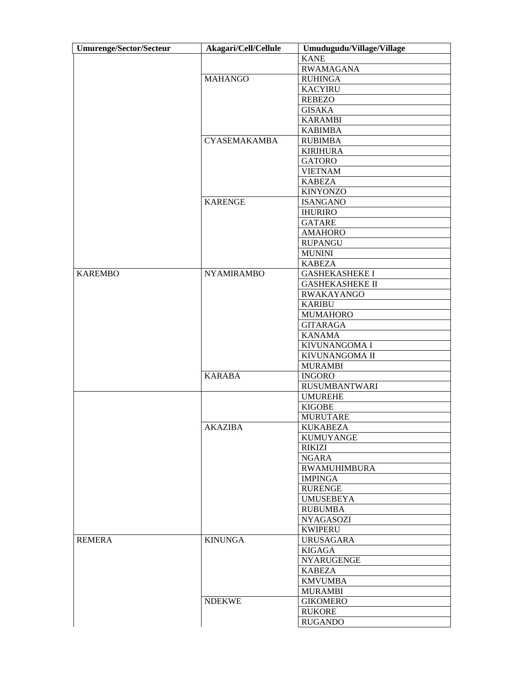| <b>Umurenge/Sector/Secteur</b> | Akagari/Cell/Cellule | Umudugudu/Village/Village |
|--------------------------------|----------------------|---------------------------|
|                                |                      | <b>KANE</b>               |
|                                |                      | <b>RWAMAGANA</b>          |
|                                | <b>MAHANGO</b>       | <b>RUHINGA</b>            |
|                                |                      | <b>KACYIRU</b>            |
|                                |                      | <b>REBEZO</b>             |
|                                |                      | <b>GISAKA</b>             |
|                                |                      | <b>KARAMBI</b>            |
|                                |                      | <b>KABIMBA</b>            |
|                                | <b>CYASEMAKAMBA</b>  | <b>RUBIMBA</b>            |
|                                |                      | <b>KIRIHURA</b>           |
|                                |                      | <b>GATORO</b>             |
|                                |                      | <b>VIETNAM</b>            |
|                                |                      |                           |
|                                |                      | <b>KABEZA</b>             |
|                                |                      | <b>KINYONZO</b>           |
|                                | <b>KARENGE</b>       | <b>ISANGANO</b>           |
|                                |                      | <b>IHURIRO</b>            |
|                                |                      | <b>GATARE</b>             |
|                                |                      | <b>AMAHORO</b>            |
|                                |                      | <b>RUPANGU</b>            |
|                                |                      | <b>MUNINI</b>             |
|                                |                      | <b>KABEZA</b>             |
| <b>KAREMBO</b>                 | <b>NYAMIRAMBO</b>    | <b>GASHEKASHEKE I</b>     |
|                                |                      | <b>GASHEKASHEKE II</b>    |
|                                |                      | RWAKAYANGO                |
|                                |                      | <b>KARIBU</b>             |
|                                |                      | <b>MUMAHORO</b>           |
|                                |                      | <b>GITARAGA</b>           |
|                                |                      | <b>KANAMA</b>             |
|                                |                      | KIVUNANGOMA I             |
|                                |                      | KIVUNANGOMA II            |
|                                |                      | <b>MURAMBI</b>            |
|                                | <b>KARABA</b>        | <b>INGORO</b>             |
|                                |                      | <b>RUSUMBANTWARI</b>      |
|                                |                      | <b>UMUREHE</b>            |
|                                |                      | <b>KIGOBE</b>             |
|                                |                      | MURUTARE                  |
|                                | <b>AKAZIBA</b>       | KUKABEZA                  |
|                                |                      | <b>KUMUYANGE</b>          |
|                                |                      | <b>RIKIZI</b>             |
|                                |                      | <b>NGARA</b>              |
|                                |                      |                           |
|                                |                      | <b>RWAMUHIMBURA</b>       |
|                                |                      | <b>IMPINGA</b>            |
|                                |                      | <b>RURENGE</b>            |
|                                |                      | <b>UMUSEBEYA</b>          |
|                                |                      | <b>RUBUMBA</b>            |
|                                |                      | <b>NYAGASOZI</b>          |
|                                |                      | <b>KWIPERU</b>            |
| <b>REMERA</b>                  | <b>KINUNGA</b>       | <b>URUSAGARA</b>          |
|                                |                      | <b>KIGAGA</b>             |
|                                |                      | <b>NYARUGENGE</b>         |
|                                |                      | <b>KABEZA</b>             |
|                                |                      | <b>KMVUMBA</b>            |
|                                |                      | <b>MURAMBI</b>            |
|                                | <b>NDEKWE</b>        | <b>GIKOMERO</b>           |
|                                |                      | <b>RUKORE</b>             |
|                                |                      | <b>RUGANDO</b>            |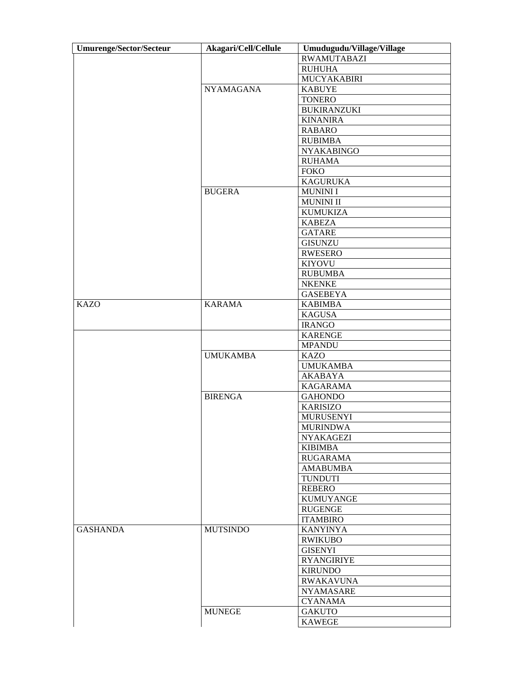| <b>Umurenge/Sector/Secteur</b> | Akagari/Cell/Cellule | Umudugudu/Village/Village |
|--------------------------------|----------------------|---------------------------|
|                                |                      | <b>RWAMUTABAZI</b>        |
|                                |                      | <b>RUHUHA</b>             |
|                                |                      | MUCYAKABIRI               |
|                                | <b>NYAMAGANA</b>     | <b>KABUYE</b>             |
|                                |                      | <b>TONERO</b>             |
|                                |                      | <b>BUKIRANZUKI</b>        |
|                                |                      | <b>KINANIRA</b>           |
|                                |                      | <b>RABARO</b>             |
|                                |                      | <b>RUBIMBA</b>            |
|                                |                      | <b>NYAKABINGO</b>         |
|                                |                      | <b>RUHAMA</b>             |
|                                |                      | <b>FOKO</b>               |
|                                |                      | <b>KAGURUKA</b>           |
|                                | <b>BUGERA</b>        | <b>MUNINI I</b>           |
|                                |                      | <b>MUNINI II</b>          |
|                                |                      |                           |
|                                |                      | <b>KUMUKIZA</b>           |
|                                |                      | <b>KABEZA</b>             |
|                                |                      | <b>GATARE</b>             |
|                                |                      | <b>GISUNZU</b>            |
|                                |                      | <b>RWESERO</b>            |
|                                |                      | <b>KIYOVU</b>             |
|                                |                      | <b>RUBUMBA</b>            |
|                                |                      | <b>NKENKE</b>             |
|                                |                      | <b>GASEBEYA</b>           |
| <b>KAZO</b>                    | <b>KARAMA</b>        | <b>KABIMBA</b>            |
|                                |                      | <b>KAGUSA</b>             |
|                                |                      | <b>IRANGO</b>             |
|                                |                      | <b>KARENGE</b>            |
|                                |                      | <b>MPANDU</b>             |
|                                | <b>UMUKAMBA</b>      | <b>KAZO</b>               |
|                                |                      | <b>UMUKAMBA</b>           |
|                                |                      | <b>AKABAYA</b>            |
|                                |                      | <b>KAGARAMA</b>           |
|                                | <b>BIRENGA</b>       | <b>GAHONDO</b>            |
|                                |                      | <b>KARISIZO</b>           |
|                                |                      | <b>MURUSENYI</b>          |
|                                |                      | <b>MURINDWA</b>           |
|                                |                      | <b>NYAKAGEZI</b>          |
|                                |                      | <b>KIBIMBA</b>            |
|                                |                      | <b>RUGARAMA</b>           |
|                                |                      | <b>AMABUMBA</b>           |
|                                |                      | <b>TUNDUTI</b>            |
|                                |                      | <b>REBERO</b>             |
|                                |                      | <b>KUMUYANGE</b>          |
|                                |                      | <b>RUGENGE</b>            |
|                                |                      | <b>ITAMBIRO</b>           |
| <b>GASHANDA</b>                | <b>MUTSINDO</b>      | <b>KANYINYA</b>           |
|                                |                      | <b>RWIKUBO</b>            |
|                                |                      |                           |
|                                |                      | <b>GISENYI</b>            |
|                                |                      | <b>RYANGIRIYE</b>         |
|                                |                      | <b>KIRUNDO</b>            |
|                                |                      | <b>RWAKAVUNA</b>          |
|                                |                      | <b>NYAMASARE</b>          |
|                                |                      | <b>CYANAMA</b>            |
|                                | <b>MUNEGE</b>        | <b>GAKUTO</b>             |
|                                |                      | <b>KAWEGE</b>             |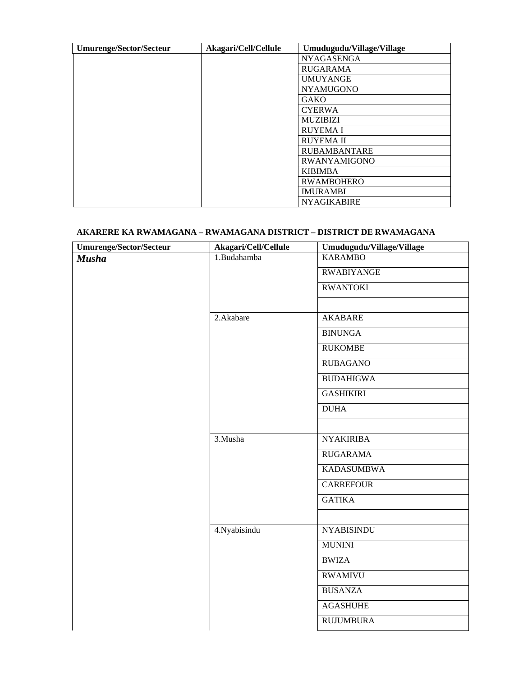| <b>Umurenge/Sector/Secteur</b> | Akagari/Cell/Cellule | Umudugudu/Village/Village |
|--------------------------------|----------------------|---------------------------|
|                                |                      | <b>NYAGASENGA</b>         |
|                                |                      | <b>RUGARAMA</b>           |
|                                |                      | <b>UMUYANGE</b>           |
|                                |                      | <b>NYAMUGONO</b>          |
|                                |                      | <b>GAKO</b>               |
|                                |                      | <b>CYERWA</b>             |
|                                |                      | <b>MUZIBIZI</b>           |
|                                |                      | <b>RUYEMA I</b>           |
|                                |                      | <b>RUYEMA II</b>          |
|                                |                      | <b>RUBAMBANTARE</b>       |
|                                |                      | <b>RWANYAMIGONO</b>       |
|                                |                      | <b>KIBIMBA</b>            |
|                                |                      | <b>RWAMBOHERO</b>         |
|                                |                      | <b>IMURAMBI</b>           |
|                                |                      | <b>NYAGIKABIRE</b>        |

### **AKARERE KA RWAMAGANA – RWAMAGANA DISTRICT – DISTRICT DE RWAMAGANA**

| <b>Umurenge/Sector/Secteur</b> | Akagari/Cell/Cellule | Umudugudu/Village/Village |
|--------------------------------|----------------------|---------------------------|
| <b>Musha</b>                   | 1.Budahamba          | <b>KARAMBO</b>            |
|                                |                      | <b>RWABIYANGE</b>         |
|                                |                      | <b>RWANTOKI</b>           |
|                                |                      |                           |
|                                | 2.Akabare            | <b>AKABARE</b>            |
|                                |                      | <b>BINUNGA</b>            |
|                                |                      | <b>RUKOMBE</b>            |
|                                |                      | <b>RUBAGANO</b>           |
|                                |                      | <b>BUDAHIGWA</b>          |
|                                |                      | <b>GASHIKIRI</b>          |
|                                |                      | <b>DUHA</b>               |
|                                |                      |                           |
|                                | 3.Musha              | <b>NYAKIRIBA</b>          |
|                                |                      | <b>RUGARAMA</b>           |
|                                |                      | <b>KADASUMBWA</b>         |
|                                |                      | <b>CARREFOUR</b>          |
|                                |                      | <b>GATIKA</b>             |
|                                |                      |                           |
|                                | 4. Nyabisindu        | <b>NYABISINDU</b>         |
|                                |                      | <b>MUNINI</b>             |
|                                |                      | <b>BWIZA</b>              |
|                                |                      | <b>RWAMIVU</b>            |
|                                |                      | <b>BUSANZA</b>            |
|                                |                      | <b>AGASHUHE</b>           |
|                                |                      | <b>RUJUMBURA</b>          |
|                                |                      |                           |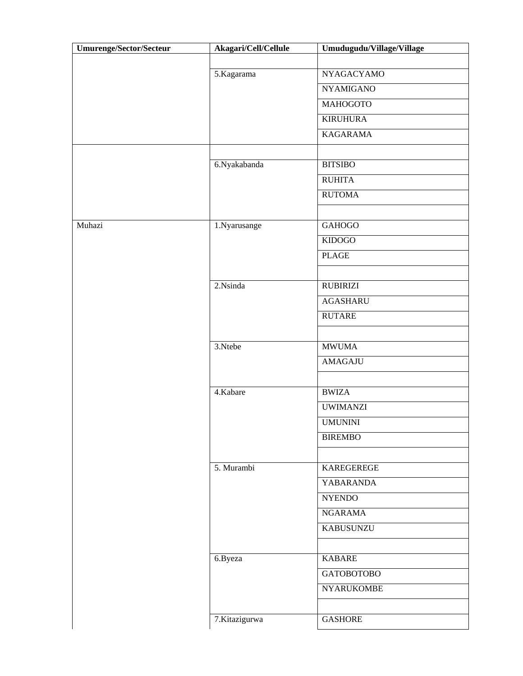| <b>Umurenge/Sector/Secteur</b> | Akagari/Cell/Cellule | Umudugudu/Village/Village |
|--------------------------------|----------------------|---------------------------|
|                                |                      |                           |
|                                | 5.Kagarama           | <b>NYAGACYAMO</b>         |
|                                |                      | <b>NYAMIGANO</b>          |
|                                |                      | <b>MAHOGOTO</b>           |
|                                |                      | <b>KIRUHURA</b>           |
|                                |                      | <b>KAGARAMA</b>           |
|                                |                      |                           |
|                                | 6.Nyakabanda         | <b>BITSIBO</b>            |
|                                |                      | <b>RUHITA</b>             |
|                                |                      | <b>RUTOMA</b>             |
|                                |                      |                           |
| Muhazi                         | 1.Nyarusange         | <b>GAHOGO</b>             |
|                                |                      | <b>KIDOGO</b>             |
|                                |                      | <b>PLAGE</b>              |
|                                |                      |                           |
|                                | 2.Nsinda             | <b>RUBIRIZI</b>           |
|                                |                      | <b>AGASHARU</b>           |
|                                |                      | <b>RUTARE</b>             |
|                                |                      |                           |
|                                | 3.Ntebe              | <b>MWUMA</b>              |
|                                |                      | AMAGAJU                   |
|                                |                      |                           |
|                                | 4.Kabare             | <b>BWIZA</b>              |
|                                |                      | <b>UWIMANZI</b>           |
|                                |                      | <b>UMUNINI</b>            |
|                                |                      | <b>BIREMBO</b>            |
|                                |                      |                           |
|                                | 5. Murambi           | KAREGEREGE                |
|                                |                      | <b>YABARANDA</b>          |
|                                |                      | <b>NYENDO</b>             |
|                                |                      | <b>NGARAMA</b>            |
|                                |                      | <b>KABUSUNZU</b>          |
|                                |                      |                           |
|                                | 6.Byeza              | <b>KABARE</b>             |
|                                |                      | <b>GATOBOTOBO</b>         |
|                                |                      | <b>NYARUKOMBE</b>         |
|                                |                      |                           |
|                                | 7.Kitazigurwa        | <b>GASHORE</b>            |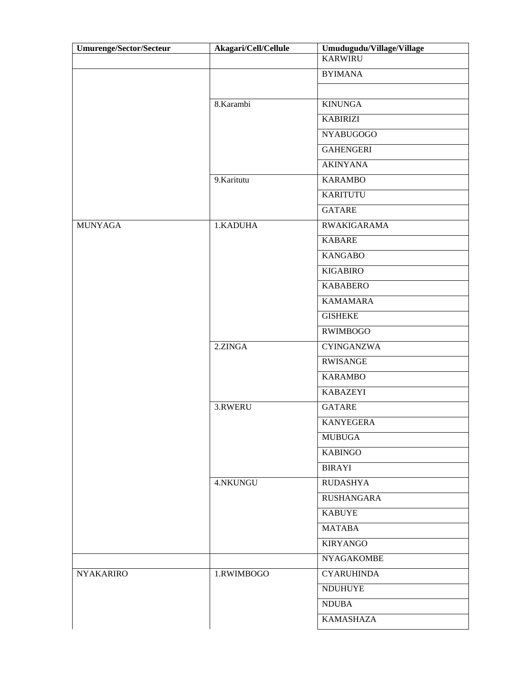| <b>Umurenge/Sector/Secteur</b> | Akagari/Cell/Cellule | Umudugudu/Village/Village |
|--------------------------------|----------------------|---------------------------|
|                                |                      | <b>KARWIRU</b>            |
|                                |                      | <b>BYIMANA</b>            |
|                                |                      |                           |
|                                | 8.Karambi            | <b>KINUNGA</b>            |
|                                |                      | <b>KABIRIZI</b>           |
|                                |                      | <b>NYABUGOGO</b>          |
|                                |                      | <b>GAHENGERI</b>          |
|                                |                      | <b>AKINYANA</b>           |
|                                | 9.Karitutu           | <b>KARAMBO</b>            |
|                                |                      | <b>KARITUTU</b>           |
|                                |                      | <b>GATARE</b>             |
| <b>MUNYAGA</b>                 | 1.KADUHA             | <b>RWAKIGARAMA</b>        |
|                                |                      | <b>KABARE</b>             |
|                                |                      | <b>KANGABO</b>            |
|                                |                      | <b>KIGABIRO</b>           |
|                                |                      | <b>KABABERO</b>           |
|                                |                      | <b>KAMAMARA</b>           |
|                                |                      | <b>GISHEKE</b>            |
|                                |                      | <b>RWIMBOGO</b>           |
|                                | 2.ZINGA              | <b>CYINGANZWA</b>         |
|                                |                      | <b>RWISANGE</b>           |
|                                |                      | <b>KARAMBO</b>            |
|                                |                      | <b>KABAZEYI</b>           |
|                                | 3.RWERU              | <b>GATARE</b>             |
|                                |                      | <b>KANYEGERA</b>          |
|                                |                      | <b>MUBUGA</b>             |
|                                |                      | <b>KABINGO</b>            |
|                                |                      | <b>BIRAYI</b>             |
|                                | 4.NKUNGU             | <b>RUDASHYA</b>           |
|                                |                      | <b>RUSHANGARA</b>         |
|                                |                      | <b>KABUYE</b>             |
|                                |                      | <b>MATABA</b>             |
|                                |                      | <b>KIRYANGO</b>           |
|                                |                      | <b>NYAGAKOMBE</b>         |
| <b>NYAKARIRO</b>               | 1.RWIMBOGO           | <b>CYARUHINDA</b>         |
|                                |                      | <b>NDUHUYE</b>            |
|                                |                      | <b>NDUBA</b>              |
|                                |                      | <b>KAMASHAZA</b>          |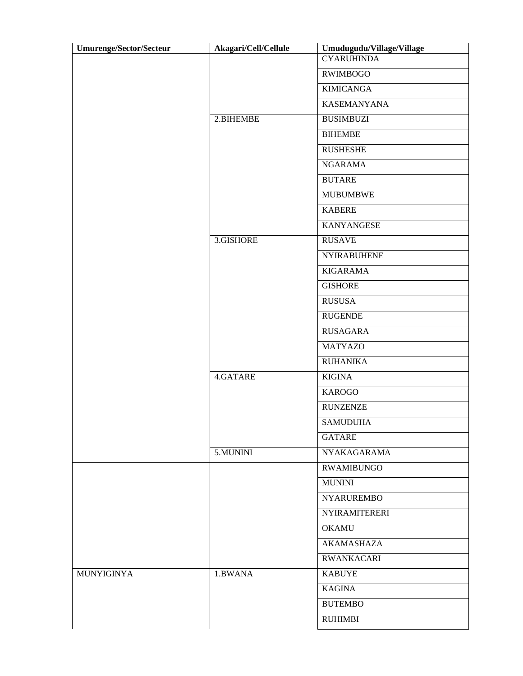| <b>Umurenge/Sector/Secteur</b> | Akagari/Cell/Cellule | Umudugudu/Village/Village |
|--------------------------------|----------------------|---------------------------|
|                                |                      | <b>CYARUHINDA</b>         |
|                                |                      | <b>RWIMBOGO</b>           |
|                                |                      | <b>KIMICANGA</b>          |
|                                |                      | <b>KASEMANYANA</b>        |
|                                | 2.BIHEMBE            | <b>BUSIMBUZI</b>          |
|                                |                      | <b>BIHEMBE</b>            |
|                                |                      | <b>RUSHESHE</b>           |
|                                |                      | <b>NGARAMA</b>            |
|                                |                      | <b>BUTARE</b>             |
|                                |                      | <b>MUBUMBWE</b>           |
|                                |                      | <b>KABERE</b>             |
|                                |                      | <b>KANYANGESE</b>         |
|                                | 3.GISHORE            | <b>RUSAVE</b>             |
|                                |                      | <b>NYIRABUHENE</b>        |
|                                |                      | <b>KIGARAMA</b>           |
|                                |                      | <b>GISHORE</b>            |
|                                |                      | <b>RUSUSA</b>             |
|                                |                      | <b>RUGENDE</b>            |
|                                |                      | <b>RUSAGARA</b>           |
|                                |                      | <b>MATYAZO</b>            |
|                                |                      | <b>RUHANIKA</b>           |
|                                | 4.GATARE             | <b>KIGINA</b>             |
|                                |                      | <b>KAROGO</b>             |
|                                |                      | <b>RUNZENZE</b>           |
|                                |                      | <b>SAMUDUHA</b>           |
|                                |                      | <b>GATARE</b>             |
|                                | 5.MUNINI             | NYAKAGARAMA               |
|                                |                      | <b>RWAMIBUNGO</b>         |
|                                |                      | <b>MUNINI</b>             |
|                                |                      | <b>NYARUREMBO</b>         |
|                                |                      | <b>NYIRAMITERERI</b>      |
|                                |                      | <b>OKAMU</b>              |
|                                |                      | AKAMASHAZA                |
|                                |                      | <b>RWANKACARI</b>         |
| MUNYIGINYA                     | 1.BWANA              | <b>KABUYE</b>             |
|                                |                      | <b>KAGINA</b>             |
|                                |                      | <b>BUTEMBO</b>            |
|                                |                      | <b>RUHIMBI</b>            |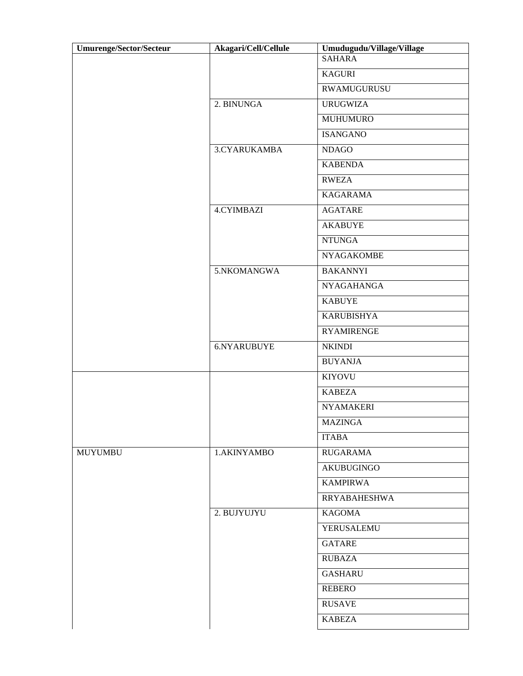| <b>Umurenge/Sector/Secteur</b> | Akagari/Cell/Cellule | Umudugudu/Village/Village |
|--------------------------------|----------------------|---------------------------|
|                                |                      | <b>SAHARA</b>             |
|                                |                      | <b>KAGURI</b>             |
|                                |                      | RWAMUGURUSU               |
|                                | 2. BINUNGA           | <b>URUGWIZA</b>           |
|                                |                      | <b>MUHUMURO</b>           |
|                                |                      | <b>ISANGANO</b>           |
|                                | 3.CYARUKAMBA         | <b>NDAGO</b>              |
|                                |                      | <b>KABENDA</b>            |
|                                |                      | <b>RWEZA</b>              |
|                                |                      | <b>KAGARAMA</b>           |
|                                | <b>4.CYIMBAZI</b>    | <b>AGATARE</b>            |
|                                |                      | <b>AKABUYE</b>            |
|                                |                      | <b>NTUNGA</b>             |
|                                |                      | <b>NYAGAKOMBE</b>         |
|                                | 5.NKOMANGWA          | <b>BAKANNYI</b>           |
|                                |                      | <b>NYAGAHANGA</b>         |
|                                |                      | <b>KABUYE</b>             |
|                                |                      | <b>KARUBISHYA</b>         |
|                                |                      | <b>RYAMIRENGE</b>         |
|                                | 6.NYARUBUYE          | <b>NKINDI</b>             |
|                                |                      | <b>BUYANJA</b>            |
|                                |                      | <b>KIYOVU</b>             |
|                                |                      | <b>KABEZA</b>             |
|                                |                      | <b>NYAMAKERI</b>          |
|                                |                      | <b>MAZINGA</b>            |
|                                |                      | <b>ITABA</b>              |
| <b>MUYUMBU</b>                 | 1.AKINYAMBO          | <b>RUGARAMA</b>           |
|                                |                      | <b>AKUBUGINGO</b>         |
|                                |                      | <b>KAMPIRWA</b>           |
|                                |                      | <b>RRYABAHESHWA</b>       |
|                                | 2. BUJYUJYU          | <b>KAGOMA</b>             |
|                                |                      | YERUSALEMU                |
|                                |                      | <b>GATARE</b>             |
|                                |                      | <b>RUBAZA</b>             |
|                                |                      | <b>GASHARU</b>            |
|                                |                      | <b>REBERO</b>             |
|                                |                      | <b>RUSAVE</b>             |
|                                |                      | <b>KABEZA</b>             |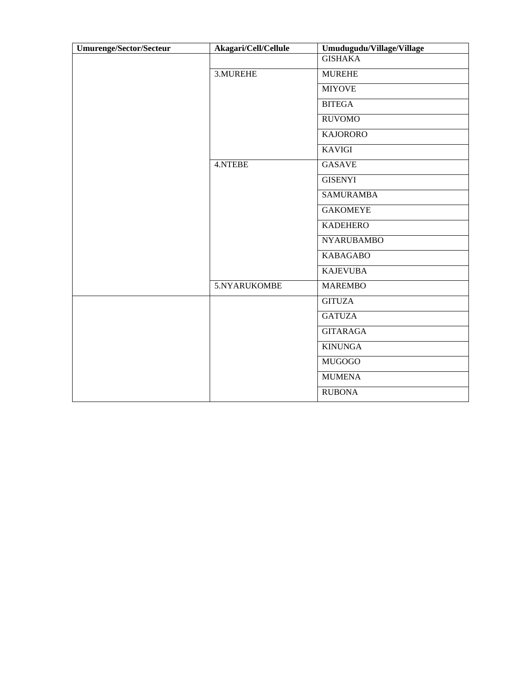| <b>Umurenge/Sector/Secteur</b> | Akagari/Cell/Cellule | Umudugudu/Village/Village |
|--------------------------------|----------------------|---------------------------|
|                                |                      | <b>GISHAKA</b>            |
|                                | 3.MUREHE             | <b>MUREHE</b>             |
|                                |                      | <b>MIYOVE</b>             |
|                                |                      | <b>BITEGA</b>             |
|                                |                      | <b>RUVOMO</b>             |
|                                |                      | <b>KAJORORO</b>           |
|                                |                      | <b>KAVIGI</b>             |
|                                | 4.NTEBE              | <b>GASAVE</b>             |
|                                |                      | <b>GISENYI</b>            |
|                                |                      | <b>SAMURAMBA</b>          |
|                                |                      | <b>GAKOMEYE</b>           |
|                                |                      | <b>KADEHERO</b>           |
|                                |                      | <b>NYARUBAMBO</b>         |
|                                |                      | <b>KABAGABO</b>           |
|                                |                      | <b>KAJEVUBA</b>           |
|                                | 5.NYARUKOMBE         | <b>MAREMBO</b>            |
|                                |                      | <b>GITUZA</b>             |
|                                |                      | <b>GATUZA</b>             |
|                                |                      | <b>GITARAGA</b>           |
|                                |                      | <b>KINUNGA</b>            |
|                                |                      | <b>MUGOGO</b>             |
|                                |                      | <b>MUMENA</b>             |
|                                |                      | <b>RUBONA</b>             |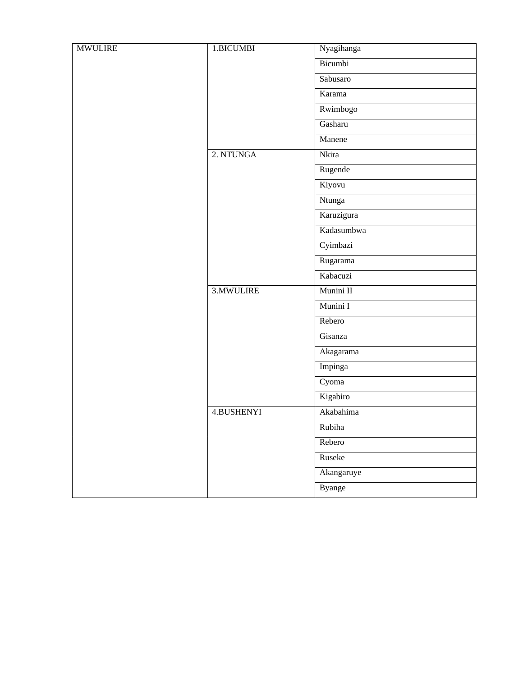| <b>MWULIRE</b> | 1.BICUMBI  | Nyagihanga    |
|----------------|------------|---------------|
|                |            | Bicumbi       |
|                |            | Sabusaro      |
|                |            | Karama        |
|                |            | Rwimbogo      |
|                |            | Gasharu       |
|                |            | Manene        |
|                | 2. NTUNGA  | Nkira         |
|                |            | Rugende       |
|                |            | Kiyovu        |
|                |            | Ntunga        |
|                |            | Karuzigura    |
|                |            | Kadasumbwa    |
|                |            | Cyimbazi      |
|                |            | Rugarama      |
|                |            | Kabacuzi      |
|                | 3. MWULIRE | Munini II     |
|                |            | Munini I      |
|                |            | Rebero        |
|                |            | Gisanza       |
|                |            | Akagarama     |
|                |            | Impinga       |
|                |            | Cyoma         |
|                |            | Kigabiro      |
|                | 4.BUSHENYI | Akabahima     |
|                |            | Rubiha        |
|                |            | Rebero        |
|                |            | Ruseke        |
|                |            | Akangaruye    |
|                |            | <b>Byange</b> |
|                |            |               |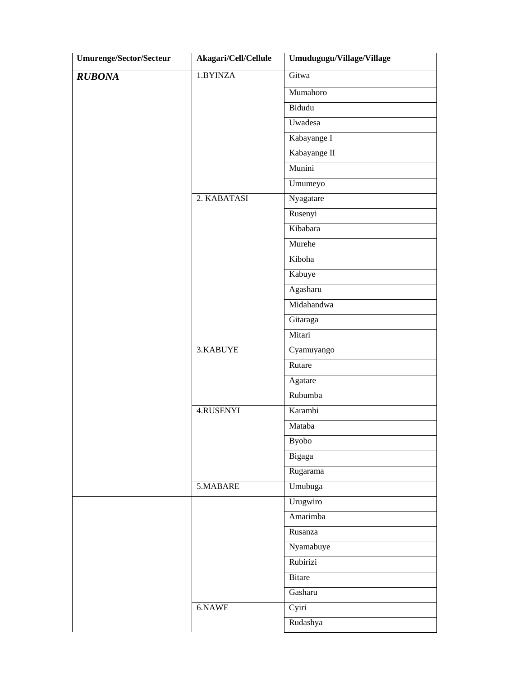| Umurenge/Sector/Secteur | Akagari/Cell/Cellule | Umudugugu/Village/Village |
|-------------------------|----------------------|---------------------------|
| <b>RUBONA</b>           | 1.BYINZA             | Gitwa                     |
|                         |                      | Mumahoro                  |
|                         |                      | Bidudu                    |
|                         |                      | Uwadesa                   |
|                         |                      | Kabayange I               |
|                         |                      | Kabayange II              |
|                         |                      | Munini                    |
|                         |                      | Umumeyo                   |
|                         | 2. KABATASI          | Nyagatare                 |
|                         |                      | Rusenyi                   |
|                         |                      | Kibabara                  |
|                         |                      | Murehe                    |
|                         |                      | Kiboha                    |
|                         |                      | Kabuye                    |
|                         |                      | Agasharu                  |
|                         |                      | Midahandwa                |
|                         |                      | Gitaraga                  |
|                         |                      | Mitari                    |
|                         | 3.KABUYE             | Cyamuyango                |
|                         |                      | Rutare                    |
|                         |                      | Agatare                   |
|                         |                      | Rubumba                   |
|                         | 4.RUSENYI            | Karambi                   |
|                         |                      | Mataba                    |
|                         |                      | <b>Byobo</b>              |
|                         |                      | Bigaga                    |
|                         |                      | Rugarama                  |
|                         | 5.MABARE             | Umubuga                   |
|                         |                      | Urugwiro                  |
|                         |                      | Amarimba                  |
|                         |                      | Rusanza                   |
|                         |                      | Nyamabuye                 |
|                         |                      | Rubirizi                  |
|                         |                      | <b>Bitare</b>             |
|                         |                      | Gasharu                   |
|                         | $6.$ NAWE            | Cyiri                     |
|                         |                      | Rudashya                  |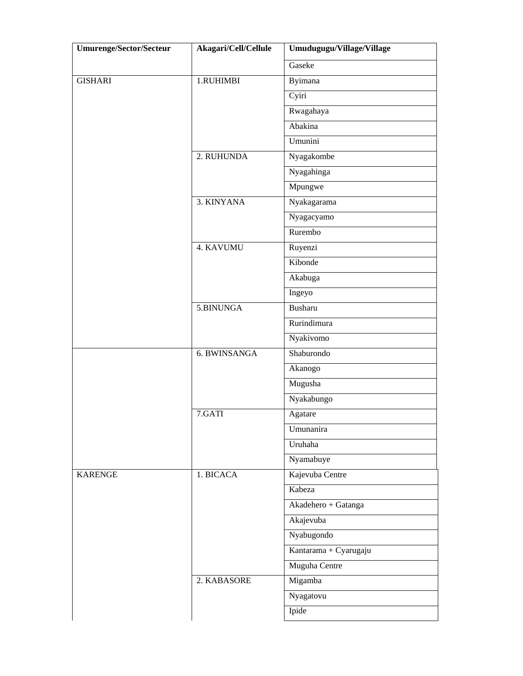| <b>Umurenge/Sector/Secteur</b> | Akagari/Cell/Cellule | Umudugugu/Village/Village |
|--------------------------------|----------------------|---------------------------|
|                                |                      | Gaseke                    |
| <b>GISHARI</b>                 | 1.RUHIMBI            | Byimana                   |
|                                |                      | Cyiri                     |
|                                |                      | Rwagahaya                 |
|                                |                      | Abakina                   |
|                                |                      | Umunini                   |
|                                | 2. RUHUNDA           | Nyagakombe                |
|                                |                      | Nyagahinga                |
|                                |                      | Mpungwe                   |
|                                | 3. KINYANA           | Nyakagarama               |
|                                |                      | Nyagacyamo                |
|                                |                      | Rurembo                   |
|                                | 4. KAVUMU            | Ruyenzi                   |
|                                |                      | Kibonde                   |
|                                |                      | Akabuga                   |
|                                |                      | Ingeyo                    |
|                                | 5.BINUNGA            | Busharu                   |
|                                |                      | Rurindimura               |
|                                |                      | Nyakivomo                 |
|                                | 6. BWINSANGA         | Shaburondo                |
|                                |                      | Akanogo                   |
|                                |                      | Mugusha                   |
|                                |                      | Nyakabungo                |
|                                | 7.GATI               | Agatare                   |
|                                |                      | Umunanira                 |
|                                |                      | Uruhaha                   |
|                                |                      | Nyamabuye                 |
| <b>KARENGE</b>                 | 1. BICACA            | Kajevuba Centre           |
|                                |                      | Kabeza                    |
|                                |                      | Akadehero + Gatanga       |
|                                |                      | Akajevuba                 |
|                                |                      | Nyabugondo                |
|                                |                      | Kantarama + Cyarugaju     |
|                                |                      | Muguha Centre             |
|                                | 2. KABASORE          | Migamba                   |
|                                |                      | Nyagatovu                 |
|                                |                      | Ipide                     |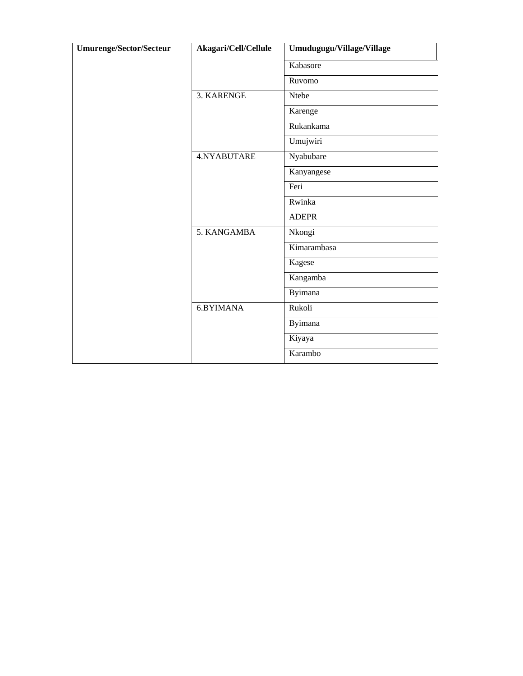| Umurenge/Sector/Secteur | Akagari/Cell/Cellule | Umudugugu/Village/Village |
|-------------------------|----------------------|---------------------------|
|                         |                      | Kabasore                  |
|                         |                      | Ruvomo                    |
|                         | 3. KARENGE           | Ntebe                     |
|                         |                      | Karenge                   |
|                         |                      | Rukankama                 |
|                         |                      | Umujwiri                  |
|                         | 4.NYABUTARE          | Nyabubare                 |
|                         |                      | Kanyangese                |
|                         |                      | Feri                      |
|                         |                      | Rwinka                    |
|                         |                      | <b>ADEPR</b>              |
|                         | 5. KANGAMBA          | Nkongi                    |
|                         |                      | Kimarambasa               |
|                         |                      | Kagese                    |
|                         |                      | Kangamba                  |
|                         |                      | Byimana                   |
|                         | 6.BYIMANA            | Rukoli                    |
|                         |                      | <b>Byimana</b>            |
|                         |                      | Kiyaya                    |
|                         |                      | Karambo                   |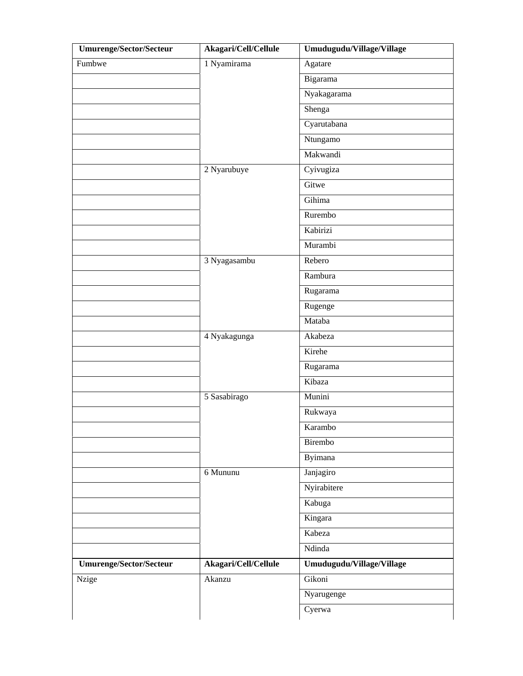| <b>Umurenge/Sector/Secteur</b> | Akagari/Cell/Cellule | Umudugudu/Village/Village |
|--------------------------------|----------------------|---------------------------|
| Fumbwe                         | 1 Nyamirama          | Agatare                   |
|                                |                      | Bigarama                  |
|                                |                      | Nyakagarama               |
|                                |                      | Shenga                    |
|                                |                      | Cyarutabana               |
|                                |                      | Ntungamo                  |
|                                |                      | Makwandi                  |
|                                | 2 Nyarubuye          | Cyivugiza                 |
|                                |                      | Gitwe                     |
|                                |                      | Gihima                    |
|                                |                      | Rurembo                   |
|                                |                      | Kabirizi                  |
|                                |                      | Murambi                   |
|                                | 3 Nyagasambu         | Rebero                    |
|                                |                      | Rambura                   |
|                                |                      | Rugarama                  |
|                                |                      | Rugenge                   |
|                                |                      | Mataba                    |
|                                | 4 Nyakagunga         | Akabeza                   |
|                                |                      | Kirehe                    |
|                                |                      | Rugarama                  |
|                                |                      | Kibaza                    |
|                                | 5 Sasabirago         | Munini                    |
|                                |                      | Rukwaya                   |
|                                |                      | Karambo                   |
|                                |                      | Birembo                   |
|                                |                      | Byimana                   |
|                                | 6 Mununu             | Janjagiro                 |
|                                |                      | Nyirabitere               |
|                                |                      | Kabuga                    |
|                                |                      | Kingara                   |
|                                |                      | Kabeza                    |
|                                |                      | Ndinda                    |
| <b>Umurenge/Sector/Secteur</b> | Akagari/Cell/Cellule | Umudugudu/Village/Village |
| Nzige                          | Akanzu               | Gikoni                    |
|                                |                      | Nyarugenge                |
|                                |                      | Cyerwa                    |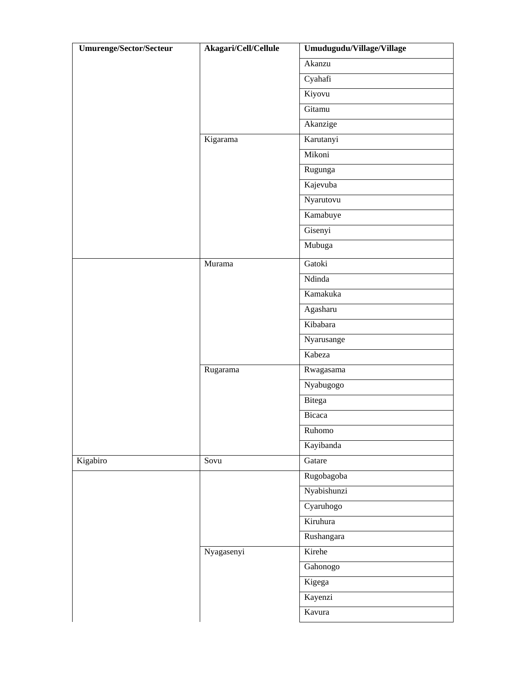| <b>Umurenge/Sector/Secteur</b> | Akagari/Cell/Cellule | Umudugudu/Village/Village |
|--------------------------------|----------------------|---------------------------|
|                                |                      | Akanzu                    |
|                                |                      | Cyahafi                   |
|                                |                      | Kiyovu                    |
|                                |                      | Gitamu                    |
|                                |                      | Akanzige                  |
|                                | Kigarama             | Karutanyi                 |
|                                |                      | Mikoni                    |
|                                |                      | Rugunga                   |
|                                |                      | Kajevuba                  |
|                                |                      | Nyarutovu                 |
|                                |                      | Kamabuye                  |
|                                |                      | Gisenyi                   |
|                                |                      | Mubuga                    |
|                                | Murama               | Gatoki                    |
|                                |                      | Ndinda                    |
|                                |                      | Kamakuka                  |
|                                |                      | Agasharu                  |
|                                |                      | Kibabara                  |
|                                |                      | Nyarusange                |
|                                |                      | Kabeza                    |
|                                | Rugarama             | Rwagasama                 |
|                                |                      | Nyabugogo                 |
|                                |                      | Bitega                    |
|                                |                      | Bicaca                    |
|                                |                      | Ruhomo                    |
|                                |                      | Kayibanda                 |
| Kigabiro                       | Sovu                 | Gatare                    |
|                                |                      | Rugobagoba                |
|                                |                      | Nyabishunzi               |
|                                |                      | Cyaruhogo                 |
|                                |                      | Kiruhura                  |
|                                |                      | Rushangara                |
|                                | Nyagasenyi           | Kirehe                    |
|                                |                      | Gahonogo                  |
|                                |                      | Kigega                    |
|                                |                      | Kayenzi                   |
|                                |                      | Kavura                    |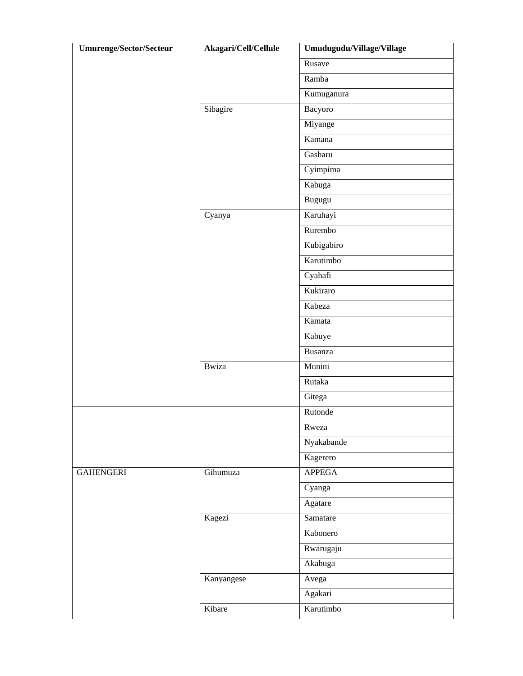| Umurenge/Sector/Secteur | Akagari/Cell/Cellule | Umudugudu/Village/Village |
|-------------------------|----------------------|---------------------------|
|                         |                      | Rusave                    |
|                         |                      | Ramba                     |
|                         |                      | Kumuganura                |
|                         | Sibagire             | Bacyoro                   |
|                         |                      | Miyange                   |
|                         |                      | Kamana                    |
|                         |                      | Gasharu                   |
|                         |                      | Cyimpima                  |
|                         |                      | Kabuga                    |
|                         |                      | Bugugu                    |
|                         | Cyanya               | Karuhayi                  |
|                         |                      | Rurembo                   |
|                         |                      | Kubigabiro                |
|                         |                      | Karutimbo                 |
|                         |                      | Cyahafi                   |
|                         |                      | Kukiraro                  |
|                         |                      | Kabeza                    |
|                         |                      | Kamata                    |
|                         |                      | Kabuye                    |
|                         |                      | <b>Busanza</b>            |
|                         | <b>Bwiza</b>         | Munini                    |
|                         |                      | Rutaka                    |
|                         |                      | Gitega                    |
|                         |                      | Rutonde                   |
|                         |                      | Rweza                     |
|                         |                      | Nyakabande                |
|                         |                      | Kagerero                  |
| <b>GAHENGERI</b>        | Gihumuza             | <b>APPEGA</b>             |
|                         |                      | Cyanga                    |
|                         |                      | Agatare                   |
|                         | Kagezi               | Samatare                  |
|                         |                      | Kabonero                  |
|                         |                      | Rwarugaju                 |
|                         |                      | Akabuga                   |
|                         | Kanyangese           | Avega                     |
|                         |                      | Agakari                   |
|                         | Kibare               | Karutimbo                 |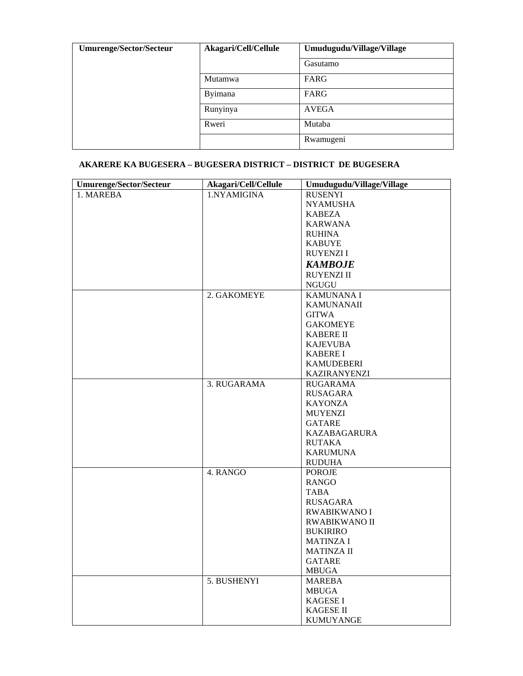| <b>Umurenge/Sector/Secteur</b> | Akagari/Cell/Cellule | Umudugudu/Village/Village |
|--------------------------------|----------------------|---------------------------|
|                                |                      | Gasutamo                  |
|                                | Mutamwa              | FARG                      |
|                                | Byimana              | FARG                      |
|                                | Runyinya             | <b>AVEGA</b>              |
|                                | Rweri                | Mutaba                    |
|                                |                      | Rwamugeni                 |

### **AKARERE KA BUGESERA – BUGESERA DISTRICT – DISTRICT DE BUGESERA**

| Umurenge/Sector/Secteur | Akagari/Cell/Cellule | Umudugudu/Village/Village |
|-------------------------|----------------------|---------------------------|
| 1. MAREBA               | 1.NYAMIGINA          | <b>RUSENYI</b>            |
|                         |                      | <b>NYAMUSHA</b>           |
|                         |                      | <b>KABEZA</b>             |
|                         |                      | <b>KARWANA</b>            |
|                         |                      | <b>RUHINA</b>             |
|                         |                      | <b>KABUYE</b>             |
|                         |                      | <b>RUYENZII</b>           |
|                         |                      | <b>KAMBOJE</b>            |
|                         |                      | <b>RUYENZI II</b>         |
|                         |                      | <b>NGUGU</b>              |
|                         | 2. GAKOMEYE          | <b>KAMUNANAI</b>          |
|                         |                      | <b>KAMUNANAII</b>         |
|                         |                      | <b>GITWA</b>              |
|                         |                      | <b>GAKOMEYE</b>           |
|                         |                      | <b>KABERE II</b>          |
|                         |                      | <b>KAJEVUBA</b>           |
|                         |                      | <b>KABERE I</b>           |
|                         |                      | <b>KAMUDEBERI</b>         |
|                         |                      | KAZIRANYENZI              |
|                         | 3. RUGARAMA          | <b>RUGARAMA</b>           |
|                         |                      | RUSAGARA                  |
|                         |                      | KAYONZA                   |
|                         |                      | <b>MUYENZI</b>            |
|                         |                      | <b>GATARE</b>             |
|                         |                      | <b>KAZABAGARURA</b>       |
|                         |                      | <b>RUTAKA</b>             |
|                         |                      | <b>KARUMUNA</b>           |
|                         |                      | <b>RUDUHA</b>             |
|                         | 4. RANGO             | <b>POROJE</b>             |
|                         |                      | <b>RANGO</b>              |
|                         |                      | <b>TABA</b>               |
|                         |                      | <b>RUSAGARA</b>           |
|                         |                      | <b>RWABIKWANO I</b>       |
|                         |                      | <b>RWABIKWANO II</b>      |
|                         |                      | <b>BUKIRIRO</b>           |
|                         |                      | <b>MATINZA I</b>          |
|                         |                      | <b>MATINZA II</b>         |
|                         |                      | <b>GATARE</b>             |
|                         |                      | <b>MBUGA</b>              |
|                         | 5. BUSHENYI          | <b>MAREBA</b>             |
|                         |                      | <b>MBUGA</b>              |
|                         |                      | <b>KAGESE I</b>           |
|                         |                      | KAGESE II                 |
|                         |                      | <b>KUMUYANGE</b>          |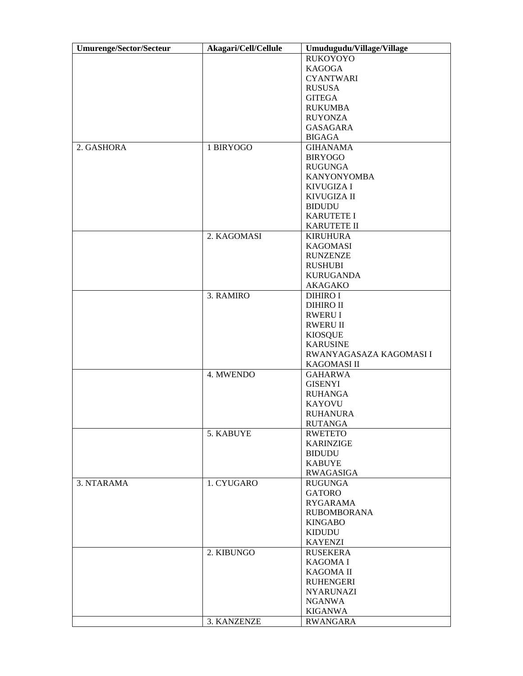| <b>Umurenge/Sector/Secteur</b> | Akagari/Cell/Cellule | Umudugudu/Village/Village |  |  |  |
|--------------------------------|----------------------|---------------------------|--|--|--|
|                                |                      | <b>RUKOYOYO</b>           |  |  |  |
|                                |                      | <b>KAGOGA</b>             |  |  |  |
|                                |                      | <b>CYANTWARI</b>          |  |  |  |
|                                |                      | <b>RUSUSA</b>             |  |  |  |
|                                |                      | <b>GITEGA</b>             |  |  |  |
|                                |                      | <b>RUKUMBA</b>            |  |  |  |
|                                |                      | <b>RUYONZA</b>            |  |  |  |
|                                |                      | <b>GASAGARA</b>           |  |  |  |
|                                |                      | <b>BIGAGA</b>             |  |  |  |
| 2. GASHORA                     | 1 BIRYOGO            | <b>GIHANAMA</b>           |  |  |  |
|                                |                      |                           |  |  |  |
|                                |                      | <b>BIRYOGO</b>            |  |  |  |
|                                |                      | <b>RUGUNGA</b>            |  |  |  |
|                                |                      | <b>KANYONYOMBA</b>        |  |  |  |
|                                |                      | <b>KIVUGIZA I</b>         |  |  |  |
|                                |                      | <b>KIVUGIZA II</b>        |  |  |  |
|                                |                      | <b>BIDUDU</b>             |  |  |  |
|                                |                      | <b>KARUTETE I</b>         |  |  |  |
|                                |                      | <b>KARUTETE II</b>        |  |  |  |
|                                | 2. KAGOMASI          | <b>KIRUHURA</b>           |  |  |  |
|                                |                      | <b>KAGOMASI</b>           |  |  |  |
|                                |                      | <b>RUNZENZE</b>           |  |  |  |
|                                |                      | <b>RUSHUBI</b>            |  |  |  |
|                                |                      | <b>KURUGANDA</b>          |  |  |  |
|                                |                      | AKAGAKO                   |  |  |  |
|                                | 3. RAMIRO            | <b>DIHIRO I</b>           |  |  |  |
|                                |                      | <b>DIHIRO II</b>          |  |  |  |
|                                |                      | <b>RWERU I</b>            |  |  |  |
|                                |                      | <b>RWERU II</b>           |  |  |  |
|                                |                      |                           |  |  |  |
|                                |                      | <b>KIOSQUE</b>            |  |  |  |
|                                |                      | <b>KARUSINE</b>           |  |  |  |
|                                |                      | RWANYAGASAZA KAGOMASI I   |  |  |  |
|                                |                      | KAGOMASI II               |  |  |  |
|                                | 4. MWENDO            | <b>GAHARWA</b>            |  |  |  |
|                                |                      | <b>GISENYI</b>            |  |  |  |
|                                |                      | <b>RUHANGA</b>            |  |  |  |
|                                |                      | <b>KAYOVU</b>             |  |  |  |
|                                |                      | <b>RUHANURA</b>           |  |  |  |
|                                |                      | <b>RUTANGA</b>            |  |  |  |
|                                | 5. KABUYE            | <b>RWETETO</b>            |  |  |  |
|                                |                      | KARINZIGE                 |  |  |  |
|                                |                      | <b>BIDUDU</b>             |  |  |  |
|                                |                      | <b>KABUYE</b>             |  |  |  |
|                                |                      | RWAGASIGA                 |  |  |  |
| 3. NTARAMA                     | 1. CYUGARO           | <b>RUGUNGA</b>            |  |  |  |
|                                |                      | <b>GATORO</b>             |  |  |  |
|                                |                      | <b>RYGARAMA</b>           |  |  |  |
|                                |                      | <b>RUBOMBORANA</b>        |  |  |  |
|                                |                      | <b>KINGABO</b>            |  |  |  |
|                                |                      | <b>KIDUDU</b>             |  |  |  |
|                                |                      | <b>KAYENZI</b>            |  |  |  |
|                                | 2. KIBUNGO           | <b>RUSEKERA</b>           |  |  |  |
|                                |                      | <b>KAGOMA I</b>           |  |  |  |
|                                |                      |                           |  |  |  |
|                                |                      | <b>KAGOMA II</b>          |  |  |  |
|                                |                      | <b>RUHENGERI</b>          |  |  |  |
|                                |                      | <b>NYARUNAZI</b>          |  |  |  |
|                                |                      | <b>NGANWA</b>             |  |  |  |
|                                |                      | KIGANWA                   |  |  |  |
|                                | 3. KANZENZE          | <b>RWANGARA</b>           |  |  |  |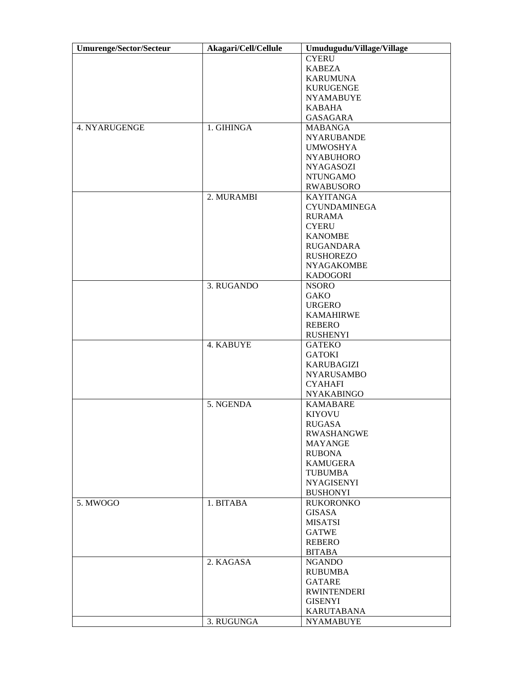| <b>Umurenge/Sector/Secteur</b> | Akagari/Cell/Cellule | Umudugudu/Village/Village |  |  |
|--------------------------------|----------------------|---------------------------|--|--|
|                                |                      | <b>CYERU</b>              |  |  |
|                                |                      | <b>KABEZA</b>             |  |  |
|                                |                      | <b>KARUMUNA</b>           |  |  |
|                                |                      | <b>KURUGENGE</b>          |  |  |
|                                |                      | <b>NYAMABUYE</b>          |  |  |
|                                |                      |                           |  |  |
|                                |                      | <b>KABAHA</b>             |  |  |
|                                |                      | <b>GASAGARA</b>           |  |  |
| 4. NYARUGENGE                  | 1. GIHINGA           | <b>MABANGA</b>            |  |  |
|                                |                      | <b>NYARUBANDE</b>         |  |  |
|                                |                      | <b>UMWOSHYA</b>           |  |  |
|                                |                      | <b>NYABUHORO</b>          |  |  |
|                                |                      | <b>NYAGASOZI</b>          |  |  |
|                                |                      | <b>NTUNGAMO</b>           |  |  |
|                                |                      | <b>RWABUSORO</b>          |  |  |
|                                | 2. MURAMBI           | <b>KAYITANGA</b>          |  |  |
|                                |                      | <b>CYUNDAMINEGA</b>       |  |  |
|                                |                      |                           |  |  |
|                                |                      | <b>RURAMA</b>             |  |  |
|                                |                      | <b>CYERU</b>              |  |  |
|                                |                      | <b>KANOMBE</b>            |  |  |
|                                |                      | <b>RUGANDARA</b>          |  |  |
|                                |                      | <b>RUSHOREZO</b>          |  |  |
|                                |                      | <b>NYAGAKOMBE</b>         |  |  |
|                                |                      | <b>KADOGORI</b>           |  |  |
|                                | 3. RUGANDO           | <b>NSORO</b>              |  |  |
|                                |                      | <b>GAKO</b>               |  |  |
|                                |                      | <b>URGERO</b>             |  |  |
|                                |                      | <b>KAMAHIRWE</b>          |  |  |
|                                |                      | <b>REBERO</b>             |  |  |
|                                |                      |                           |  |  |
|                                |                      | <b>RUSHENYI</b>           |  |  |
|                                | 4. KABUYE            | <b>GATEKO</b>             |  |  |
|                                |                      | <b>GATOKI</b>             |  |  |
|                                |                      | <b>KARUBAGIZI</b>         |  |  |
|                                |                      | <b>NYARUSAMBO</b>         |  |  |
|                                |                      | <b>CYAHAFI</b>            |  |  |
|                                |                      | <b>NYAKABINGO</b>         |  |  |
|                                | 5. NGENDA            | <b>KAMABARE</b>           |  |  |
|                                |                      | <b>KIYOVU</b>             |  |  |
|                                |                      | <b>RUGASA</b>             |  |  |
|                                |                      | <b>RWASHANGWE</b>         |  |  |
|                                |                      | MAYANGE                   |  |  |
|                                |                      | <b>RUBONA</b>             |  |  |
|                                |                      | <b>KAMUGERA</b>           |  |  |
|                                |                      |                           |  |  |
|                                |                      | <b>TUBUMBA</b>            |  |  |
|                                |                      | <b>NYAGISENYI</b>         |  |  |
|                                |                      | <b>BUSHONYI</b>           |  |  |
| 5. MWOGO                       | 1. BITABA            | <b>RUKORONKO</b>          |  |  |
|                                |                      | <b>GISASA</b>             |  |  |
|                                |                      | <b>MISATSI</b>            |  |  |
|                                |                      | <b>GATWE</b>              |  |  |
|                                |                      | <b>REBERO</b>             |  |  |
|                                |                      | <b>BITABA</b>             |  |  |
|                                | 2. KAGASA            | <b>NGANDO</b>             |  |  |
|                                |                      | <b>RUBUMBA</b>            |  |  |
|                                |                      | <b>GATARE</b>             |  |  |
|                                |                      | <b>RWINTENDERI</b>        |  |  |
|                                |                      |                           |  |  |
|                                |                      | <b>GISENYI</b>            |  |  |
|                                |                      | <b>KARUTABANA</b>         |  |  |
|                                | 3. RUGUNGA           | <b>NYAMABUYE</b>          |  |  |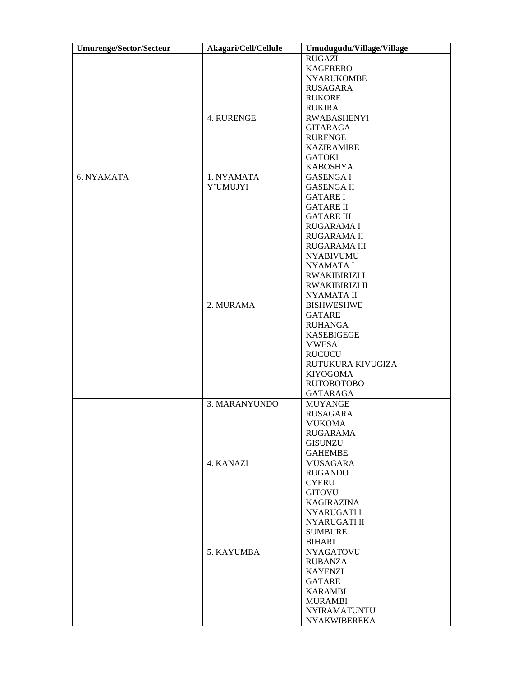| <b>Umurenge/Sector/Secteur</b> | Akagari/Cell/Cellule | Umudugudu/Village/Village |  |  |  |
|--------------------------------|----------------------|---------------------------|--|--|--|
|                                |                      | <b>RUGAZI</b>             |  |  |  |
|                                |                      | <b>KAGERERO</b>           |  |  |  |
|                                |                      | <b>NYARUKOMBE</b>         |  |  |  |
|                                |                      | <b>RUSAGARA</b>           |  |  |  |
|                                |                      | <b>RUKORE</b>             |  |  |  |
|                                |                      | <b>RUKIRA</b>             |  |  |  |
|                                | 4. RURENGE           | <b>RWABASHENYI</b>        |  |  |  |
|                                |                      | <b>GITARAGA</b>           |  |  |  |
|                                |                      | <b>RURENGE</b>            |  |  |  |
|                                |                      | <b>KAZIRAMIRE</b>         |  |  |  |
|                                |                      | <b>GATOKI</b>             |  |  |  |
|                                |                      | <b>KABOSHYA</b>           |  |  |  |
| 6. NYAMATA                     | 1. NYAMATA           | <b>GASENGAI</b>           |  |  |  |
|                                |                      |                           |  |  |  |
|                                | Y'UMUJYI             | <b>GASENGA II</b>         |  |  |  |
|                                |                      | <b>GATARE I</b>           |  |  |  |
|                                |                      | <b>GATARE II</b>          |  |  |  |
|                                |                      | <b>GATARE III</b>         |  |  |  |
|                                |                      | <b>RUGARAMAI</b>          |  |  |  |
|                                |                      | RUGARAMA II               |  |  |  |
|                                |                      | RUGARAMA III              |  |  |  |
|                                |                      | <b>NYABIVUMU</b>          |  |  |  |
|                                |                      | <b>NYAMATAI</b>           |  |  |  |
|                                |                      | <b>RWAKIBIRIZI I</b>      |  |  |  |
|                                |                      | <b>RWAKIBIRIZI II</b>     |  |  |  |
|                                |                      | NYAMATA II                |  |  |  |
|                                | 2. MURAMA            | <b>BISHWESHWE</b>         |  |  |  |
|                                |                      | <b>GATARE</b>             |  |  |  |
|                                |                      | <b>RUHANGA</b>            |  |  |  |
|                                |                      | <b>KASEBIGEGE</b>         |  |  |  |
|                                |                      | <b>MWESA</b>              |  |  |  |
|                                |                      | <b>RUCUCU</b>             |  |  |  |
|                                |                      | RUTUKURA KIVUGIZA         |  |  |  |
|                                |                      | <b>KIYOGOMA</b>           |  |  |  |
|                                |                      | <b>RUTOBOTOBO</b>         |  |  |  |
|                                |                      | <b>GATARAGA</b>           |  |  |  |
|                                | 3. MARANYUNDO        | <b>MUYANGE</b>            |  |  |  |
|                                |                      | <b>RUSAGARA</b>           |  |  |  |
|                                |                      | <b>MUKOMA</b>             |  |  |  |
|                                |                      | <b>RUGARAMA</b>           |  |  |  |
|                                |                      | <b>GISUNZU</b>            |  |  |  |
|                                |                      |                           |  |  |  |
|                                |                      | <b>GAHEMBE</b>            |  |  |  |
|                                | 4. KANAZI            | MUSAGARA                  |  |  |  |
|                                |                      | <b>RUGANDO</b>            |  |  |  |
|                                |                      | <b>CYERU</b>              |  |  |  |
|                                |                      | <b>GITOVU</b>             |  |  |  |
|                                |                      | <b>KAGIRAZINA</b>         |  |  |  |
|                                |                      | <b>NYARUGATII</b>         |  |  |  |
|                                |                      | NYARUGATI II              |  |  |  |
|                                |                      | <b>SUMBURE</b>            |  |  |  |
|                                |                      | <b>BIHARI</b>             |  |  |  |
|                                | 5. KAYUMBA           | <b>NYAGATOVU</b>          |  |  |  |
|                                |                      | RUBANZA                   |  |  |  |
|                                |                      | <b>KAYENZI</b>            |  |  |  |
|                                |                      | GATARE                    |  |  |  |
|                                |                      | <b>KARAMBI</b>            |  |  |  |
|                                |                      | <b>MURAMBI</b>            |  |  |  |
|                                |                      | <b>NYIRAMATUNTU</b>       |  |  |  |
|                                |                      | <b>NYAKWIBEREKA</b>       |  |  |  |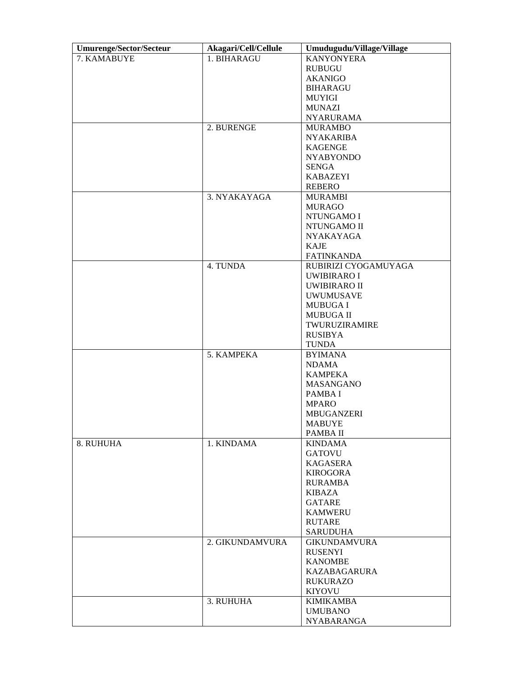| <b>Umurenge/Sector/Secteur</b> | Akagari/Cell/Cellule | Umudugudu/Village/Village                 |  |  |  |
|--------------------------------|----------------------|-------------------------------------------|--|--|--|
| 7. KAMABUYE                    | 1. BIHARAGU          | <b>KANYONYERA</b>                         |  |  |  |
|                                |                      | <b>RUBUGU</b>                             |  |  |  |
|                                |                      | <b>AKANIGO</b>                            |  |  |  |
|                                |                      | <b>BIHARAGU</b>                           |  |  |  |
|                                |                      | MUYIGI                                    |  |  |  |
|                                |                      | <b>MUNAZI</b>                             |  |  |  |
|                                |                      | <b>NYARURAMA</b>                          |  |  |  |
|                                | 2. BURENGE           | <b>MURAMBO</b>                            |  |  |  |
|                                |                      | <b>NYAKARIBA</b>                          |  |  |  |
|                                |                      | <b>KAGENGE</b>                            |  |  |  |
|                                |                      | <b>NYABYONDO</b>                          |  |  |  |
|                                |                      | <b>SENGA</b>                              |  |  |  |
|                                |                      | <b>KABAZEYI</b>                           |  |  |  |
|                                |                      | <b>REBERO</b>                             |  |  |  |
|                                | 3. NYAKAYAGA         | <b>MURAMBI</b>                            |  |  |  |
|                                |                      | <b>MURAGO</b>                             |  |  |  |
|                                |                      | NTUNGAMO I                                |  |  |  |
|                                |                      | NTUNGAMO II                               |  |  |  |
|                                |                      |                                           |  |  |  |
|                                |                      | <b>NYAKAYAGA</b><br><b>KAJE</b>           |  |  |  |
|                                |                      |                                           |  |  |  |
|                                |                      | <b>FATINKANDA</b>                         |  |  |  |
|                                | 4. TUNDA             | RUBIRIZI CYOGAMUYAGA                      |  |  |  |
|                                |                      | <b>UWIBIRARO I</b><br><b>UWIBIRARO II</b> |  |  |  |
|                                |                      | <b>UWUMUSAVE</b>                          |  |  |  |
|                                |                      |                                           |  |  |  |
|                                |                      | <b>MUBUGAI</b><br><b>MUBUGA II</b>        |  |  |  |
|                                |                      | TWURUZIRAMIRE                             |  |  |  |
|                                |                      | <b>RUSIBYA</b>                            |  |  |  |
|                                |                      |                                           |  |  |  |
|                                | 5. KAMPEKA           | <b>TUNDA</b><br><b>BYIMANA</b>            |  |  |  |
|                                |                      | <b>NDAMA</b>                              |  |  |  |
|                                |                      | <b>KAMPEKA</b>                            |  |  |  |
|                                |                      | <b>MASANGANO</b>                          |  |  |  |
|                                |                      | PAMBA I                                   |  |  |  |
|                                |                      | <b>MPARO</b>                              |  |  |  |
|                                |                      | <b>MBUGANZERI</b>                         |  |  |  |
|                                |                      | <b>MABUYE</b>                             |  |  |  |
|                                |                      |                                           |  |  |  |
|                                |                      | PAMBA II                                  |  |  |  |
| 8. RUHUHA                      | 1. KINDAMA           | <b>KINDAMA</b><br><b>GATOVU</b>           |  |  |  |
|                                |                      |                                           |  |  |  |
|                                |                      | <b>KAGASERA</b>                           |  |  |  |
|                                |                      | <b>KIROGORA</b>                           |  |  |  |
|                                |                      | <b>RURAMBA</b>                            |  |  |  |
|                                |                      | KIBAZA                                    |  |  |  |
|                                |                      | <b>GATARE</b>                             |  |  |  |
|                                |                      | <b>KAMWERU</b>                            |  |  |  |
|                                |                      | <b>RUTARE</b>                             |  |  |  |
|                                |                      | <b>SARUDUHA</b>                           |  |  |  |
|                                | 2. GIKUNDAMVURA      | <b>GIKUNDAMVURA</b>                       |  |  |  |
|                                |                      | <b>RUSENYI</b>                            |  |  |  |
|                                |                      | <b>KANOMBE</b>                            |  |  |  |
|                                |                      | KAZABAGARURA                              |  |  |  |
|                                |                      | <b>RUKURAZO</b>                           |  |  |  |
|                                |                      | <b>KIYOVU</b>                             |  |  |  |
|                                | 3. RUHUHA            | <b>KIMIKAMBA</b>                          |  |  |  |
|                                |                      | <b>UMUBANO</b>                            |  |  |  |
|                                |                      | <b>NYABARANGA</b>                         |  |  |  |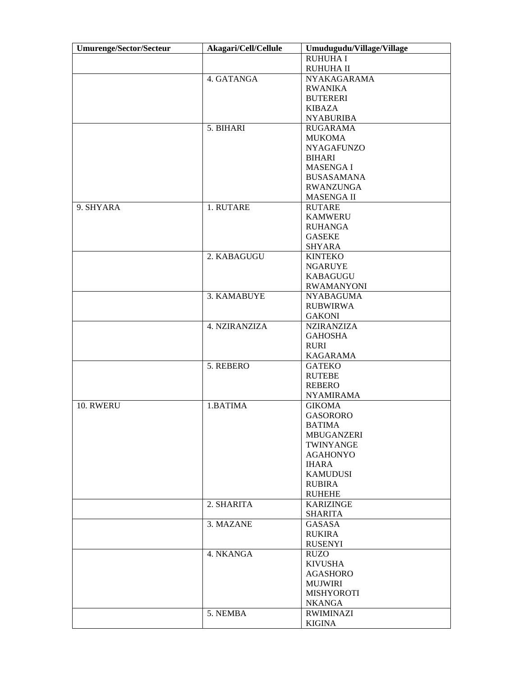| <b>Umurenge/Sector/Secteur</b> | Akagari/Cell/Cellule | Umudugudu/Village/Village |  |  |  |
|--------------------------------|----------------------|---------------------------|--|--|--|
|                                |                      | <b>RUHUHA I</b>           |  |  |  |
|                                |                      | <b>RUHUHA II</b>          |  |  |  |
|                                | 4. GATANGA           | NYAKAGARAMA               |  |  |  |
|                                |                      | <b>RWANIKA</b>            |  |  |  |
|                                |                      | <b>BUTERERI</b>           |  |  |  |
|                                |                      | <b>KIBAZA</b>             |  |  |  |
|                                |                      | <b>NYABURIBA</b>          |  |  |  |
|                                | 5. BIHARI            | <b>RUGARAMA</b>           |  |  |  |
|                                |                      | <b>MUKOMA</b>             |  |  |  |
|                                |                      | <b>NYAGAFUNZO</b>         |  |  |  |
|                                |                      | <b>BIHARI</b>             |  |  |  |
|                                |                      | <b>MASENGAI</b>           |  |  |  |
|                                |                      | <b>BUSASAMANA</b>         |  |  |  |
|                                |                      |                           |  |  |  |
|                                |                      | <b>RWANZUNGA</b>          |  |  |  |
|                                |                      | <b>MASENGA II</b>         |  |  |  |
| 9. SHYARA                      | 1. RUTARE            | <b>RUTARE</b>             |  |  |  |
|                                |                      | <b>KAMWERU</b>            |  |  |  |
|                                |                      | RUHANGA                   |  |  |  |
|                                |                      | <b>GASEKE</b>             |  |  |  |
|                                |                      | <b>SHYARA</b>             |  |  |  |
|                                | 2. KABAGUGU          | <b>KINTEKO</b>            |  |  |  |
|                                |                      | <b>NGARUYE</b>            |  |  |  |
|                                |                      | <b>KABAGUGU</b>           |  |  |  |
|                                |                      | <b>RWAMANYONI</b>         |  |  |  |
|                                | 3. KAMABUYE          | <b>NYABAGUMA</b>          |  |  |  |
|                                |                      | <b>RUBWIRWA</b>           |  |  |  |
|                                |                      | <b>GAKONI</b>             |  |  |  |
|                                | 4. NZIRANZIZA        | <b>NZIRANZIZA</b>         |  |  |  |
|                                |                      | <b>GAHOSHA</b>            |  |  |  |
|                                |                      | <b>RURI</b>               |  |  |  |
|                                |                      | <b>KAGARAMA</b>           |  |  |  |
|                                | 5. REBERO            | <b>GATEKO</b>             |  |  |  |
|                                |                      | <b>RUTEBE</b>             |  |  |  |
|                                |                      | <b>REBERO</b>             |  |  |  |
|                                |                      | <b>NYAMIRAMA</b>          |  |  |  |
| 10. RWERU                      | 1.BATIMA             | <b>GIKOMA</b>             |  |  |  |
|                                |                      | <b>GASORORO</b>           |  |  |  |
|                                |                      | <b>BATIMA</b>             |  |  |  |
|                                |                      | MBUGANZERI                |  |  |  |
|                                |                      | TWINYANGE                 |  |  |  |
|                                |                      | <b>AGAHONYO</b>           |  |  |  |
|                                |                      | <b>IHARA</b>              |  |  |  |
|                                |                      | <b>KAMUDUSI</b>           |  |  |  |
|                                |                      | <b>RUBIRA</b>             |  |  |  |
|                                |                      | <b>RUHEHE</b>             |  |  |  |
|                                | 2. SHARITA           | KARIZINGE                 |  |  |  |
|                                |                      | <b>SHARITA</b>            |  |  |  |
|                                | 3. MAZANE            | GASASA                    |  |  |  |
|                                |                      | <b>RUKIRA</b>             |  |  |  |
|                                |                      | <b>RUSENYI</b>            |  |  |  |
|                                | 4. NKANGA            |                           |  |  |  |
|                                |                      | RUZO<br><b>KIVUSHA</b>    |  |  |  |
|                                |                      |                           |  |  |  |
|                                |                      | <b>AGASHORO</b>           |  |  |  |
|                                |                      | <b>MUJWIRI</b>            |  |  |  |
|                                |                      | <b>MISHYOROTI</b>         |  |  |  |
|                                |                      | <b>NKANGA</b>             |  |  |  |
|                                | 5. NEMBA             | <b>RWIMINAZI</b>          |  |  |  |
|                                |                      | <b>KIGINA</b>             |  |  |  |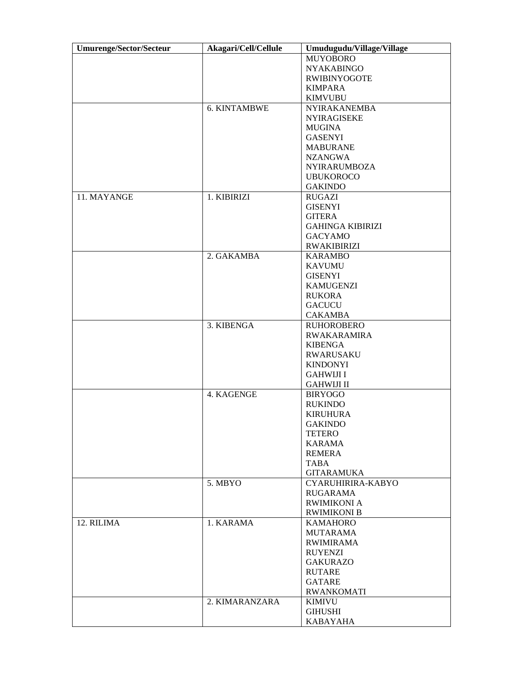| <b>Umurenge/Sector/Secteur</b> | Akagari/Cell/Cellule     | Umudugudu/Village/Village |  |  |  |
|--------------------------------|--------------------------|---------------------------|--|--|--|
|                                |                          | <b>MUYOBORO</b>           |  |  |  |
|                                |                          | <b>NYAKABINGO</b>         |  |  |  |
|                                |                          | <b>RWIBINYOGOTE</b>       |  |  |  |
|                                |                          | <b>KIMPARA</b>            |  |  |  |
|                                |                          | <b>KIMVUBU</b>            |  |  |  |
|                                | <b>6. KINTAMBWE</b>      | <b>NYIRAKANEMBA</b>       |  |  |  |
|                                |                          | <b>NYIRAGISEKE</b>        |  |  |  |
|                                |                          | <b>MUGINA</b>             |  |  |  |
|                                |                          | <b>GASENYI</b>            |  |  |  |
|                                |                          | <b>MABURANE</b>           |  |  |  |
|                                |                          | <b>NZANGWA</b>            |  |  |  |
|                                |                          |                           |  |  |  |
|                                |                          | <b>NYIRARUMBOZA</b>       |  |  |  |
|                                |                          | <b>UBUKOROCO</b>          |  |  |  |
|                                |                          | <b>GAKINDO</b>            |  |  |  |
| 11. MAYANGE                    | 1. KIBIRIZI              | <b>RUGAZI</b>             |  |  |  |
|                                |                          | <b>GISENYI</b>            |  |  |  |
|                                |                          | <b>GITERA</b>             |  |  |  |
|                                |                          | <b>GAHINGA KIBIRIZI</b>   |  |  |  |
|                                |                          | <b>GACYAMO</b>            |  |  |  |
|                                |                          | <b>RWAKIBIRIZI</b>        |  |  |  |
|                                | 2. GAKAMBA               | <b>KARAMBO</b>            |  |  |  |
|                                |                          | <b>KAVUMU</b>             |  |  |  |
|                                |                          | <b>GISENYI</b>            |  |  |  |
|                                |                          | <b>KAMUGENZI</b>          |  |  |  |
|                                |                          | <b>RUKORA</b>             |  |  |  |
|                                |                          | <b>GACUCU</b>             |  |  |  |
|                                |                          | <b>CAKAMBA</b>            |  |  |  |
|                                | 3. KIBENGA               | <b>RUHOROBERO</b>         |  |  |  |
|                                |                          | <b>RWAKARAMIRA</b>        |  |  |  |
|                                |                          | <b>KIBENGA</b>            |  |  |  |
|                                |                          | <b>RWARUSAKU</b>          |  |  |  |
|                                |                          | <b>KINDONYI</b>           |  |  |  |
|                                |                          | <b>GAHWIJI I</b>          |  |  |  |
|                                |                          | <b>GAHWIJI II</b>         |  |  |  |
|                                | 4. KAGENGE               |                           |  |  |  |
|                                |                          | <b>BIRYOGO</b>            |  |  |  |
|                                |                          | <b>RUKINDO</b>            |  |  |  |
|                                |                          | <b>KIRUHURA</b>           |  |  |  |
|                                |                          | <b>GAKINDO</b>            |  |  |  |
|                                |                          | <b>TETERO</b>             |  |  |  |
|                                |                          | <b>KARAMA</b>             |  |  |  |
|                                |                          | <b>REMERA</b>             |  |  |  |
|                                |                          | TABA                      |  |  |  |
|                                |                          | <b>GITARAMUKA</b>         |  |  |  |
|                                | 5. MBYO                  | CYARUHIRIRA-KABYO         |  |  |  |
|                                |                          | RUGARAMA                  |  |  |  |
|                                |                          | <b>RWIMIKONI A</b>        |  |  |  |
|                                |                          | <b>RWIMIKONI B</b>        |  |  |  |
| 12. RILIMA                     | 1. KARAMA                | <b>KAMAHORO</b>           |  |  |  |
|                                |                          | <b>MUTARAMA</b>           |  |  |  |
|                                |                          | <b>RWIMIRAMA</b>          |  |  |  |
|                                |                          | <b>RUYENZI</b>            |  |  |  |
|                                |                          | <b>GAKURAZO</b>           |  |  |  |
|                                |                          | RUTARE                    |  |  |  |
|                                |                          | <b>GATARE</b>             |  |  |  |
|                                |                          | <b>RWANKOMATI</b>         |  |  |  |
|                                | 2. KIMARANZARA<br>KIMIVU |                           |  |  |  |
|                                |                          | <b>GIHUSHI</b>            |  |  |  |
|                                |                          | <b>KABAYAHA</b>           |  |  |  |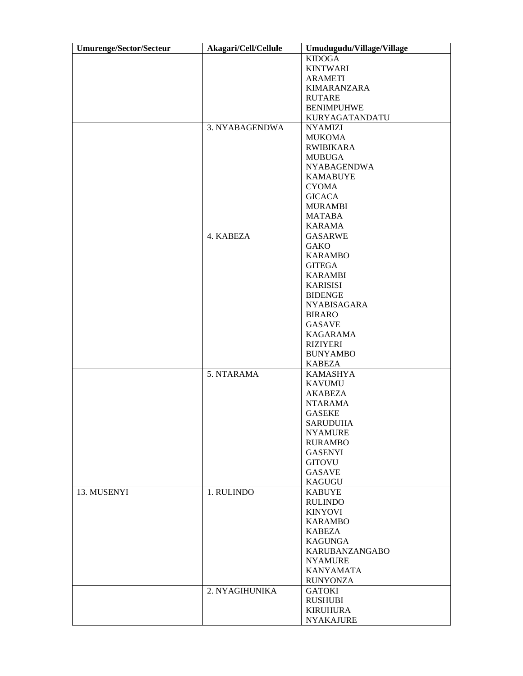| <b>Umurenge/Sector/Secteur</b> | Akagari/Cell/Cellule | Umudugudu/Village/Village |  |  |  |
|--------------------------------|----------------------|---------------------------|--|--|--|
|                                |                      | <b>KIDOGA</b>             |  |  |  |
|                                |                      | <b>KINTWARI</b>           |  |  |  |
|                                |                      | <b>ARAMETI</b>            |  |  |  |
|                                |                      | <b>KIMARANZARA</b>        |  |  |  |
|                                |                      | <b>RUTARE</b>             |  |  |  |
|                                |                      | <b>BENIMPUHWE</b>         |  |  |  |
|                                |                      | KURYAGATANDATU            |  |  |  |
|                                |                      |                           |  |  |  |
|                                | 3. NYABAGENDWA       | <b>NYAMIZI</b>            |  |  |  |
|                                |                      | <b>MUKOMA</b>             |  |  |  |
|                                |                      | <b>RWIBIKARA</b>          |  |  |  |
|                                |                      | <b>MUBUGA</b>             |  |  |  |
|                                |                      | <b>NYABAGENDWA</b>        |  |  |  |
|                                |                      | <b>KAMABUYE</b>           |  |  |  |
|                                |                      | <b>CYOMA</b>              |  |  |  |
|                                |                      | <b>GICACA</b>             |  |  |  |
|                                |                      | <b>MURAMBI</b>            |  |  |  |
|                                |                      | MATABA                    |  |  |  |
|                                |                      | <b>KARAMA</b>             |  |  |  |
|                                | 4. KABEZA            |                           |  |  |  |
|                                |                      | <b>GASARWE</b>            |  |  |  |
|                                |                      | <b>GAKO</b>               |  |  |  |
|                                |                      | <b>KARAMBO</b>            |  |  |  |
|                                |                      | <b>GITEGA</b>             |  |  |  |
|                                |                      | <b>KARAMBI</b>            |  |  |  |
|                                |                      | <b>KARISISI</b>           |  |  |  |
|                                |                      | <b>BIDENGE</b>            |  |  |  |
|                                |                      | <b>NYABISAGARA</b>        |  |  |  |
|                                |                      | <b>BIRARO</b>             |  |  |  |
|                                |                      | <b>GASAVE</b>             |  |  |  |
|                                |                      | <b>KAGARAMA</b>           |  |  |  |
|                                |                      | <b>RIZIYERI</b>           |  |  |  |
|                                |                      | <b>BUNYAMBO</b>           |  |  |  |
|                                |                      | <b>KABEZA</b>             |  |  |  |
|                                | 5. NTARAMA           | <b>KAMASHYA</b>           |  |  |  |
|                                |                      |                           |  |  |  |
|                                |                      | <b>KAVUMU</b>             |  |  |  |
|                                |                      | <b>AKABEZA</b>            |  |  |  |
|                                |                      | <b>NTARAMA</b>            |  |  |  |
|                                |                      | <b>GASEKE</b>             |  |  |  |
|                                |                      | <b>SARUDUHA</b>           |  |  |  |
|                                |                      | <b>NYAMURE</b>            |  |  |  |
|                                |                      | <b>RURAMBO</b>            |  |  |  |
|                                |                      | <b>GASENYI</b>            |  |  |  |
|                                |                      | <b>GITOVU</b>             |  |  |  |
|                                |                      | <b>GASAVE</b>             |  |  |  |
|                                |                      | KAGUGU                    |  |  |  |
| 13. MUSENYI                    | 1. RULINDO           | <b>KABUYE</b>             |  |  |  |
|                                |                      | <b>RULINDO</b>            |  |  |  |
|                                |                      | <b>KINYOVI</b>            |  |  |  |
|                                |                      |                           |  |  |  |
|                                |                      | <b>KARAMBO</b>            |  |  |  |
|                                |                      | <b>KABEZA</b>             |  |  |  |
|                                |                      | <b>KAGUNGA</b>            |  |  |  |
|                                |                      | KARUBANZANGABO            |  |  |  |
|                                |                      | <b>NYAMURE</b>            |  |  |  |
|                                |                      | <b>KANYAMATA</b>          |  |  |  |
|                                |                      | <b>RUNYONZA</b>           |  |  |  |
|                                | 2. NYAGIHUNIKA       | <b>GATOKI</b>             |  |  |  |
|                                |                      | <b>RUSHUBI</b>            |  |  |  |
|                                |                      | <b>KIRUHURA</b>           |  |  |  |
|                                |                      | <b>NYAKAJURE</b>          |  |  |  |
|                                |                      |                           |  |  |  |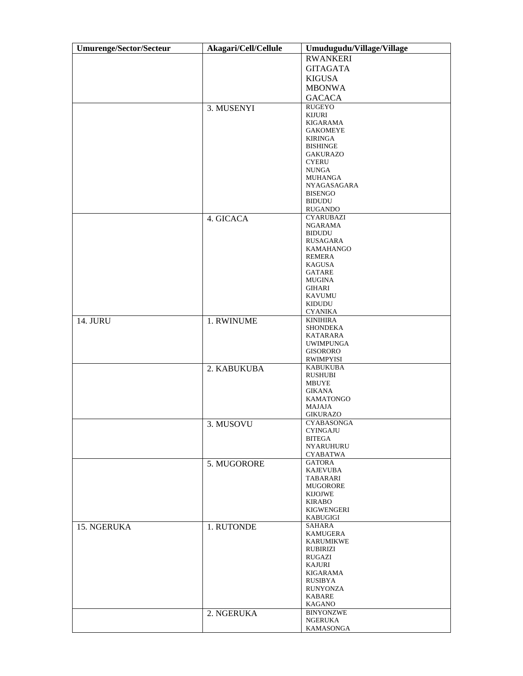| <b>Umurenge/Sector/Secteur</b> | Akagari/Cell/Cellule | Umudugudu/Village/Village           |  |  |  |
|--------------------------------|----------------------|-------------------------------------|--|--|--|
|                                |                      | <b>RWANKERI</b>                     |  |  |  |
|                                |                      | <b>GITAGATA</b>                     |  |  |  |
|                                |                      | <b>KIGUSA</b>                       |  |  |  |
|                                |                      | <b>MBONWA</b>                       |  |  |  |
|                                |                      | <b>GACACA</b>                       |  |  |  |
|                                | 3. MUSENYI           | RUGEYO                              |  |  |  |
|                                |                      | KIJURI                              |  |  |  |
|                                |                      | KIGARAMA                            |  |  |  |
|                                |                      | GAKOMEYE<br><b>KIRINGA</b>          |  |  |  |
|                                |                      | <b>BISHINGE</b>                     |  |  |  |
|                                |                      | <b>GAKURAZO</b>                     |  |  |  |
|                                |                      | <b>CYERU</b>                        |  |  |  |
|                                |                      | <b>NUNGA</b>                        |  |  |  |
|                                |                      | MUHANGA<br>NYAGASAGARA              |  |  |  |
|                                |                      | <b>BISENGO</b>                      |  |  |  |
|                                |                      | <b>BIDUDU</b>                       |  |  |  |
|                                |                      | <b>RUGANDO</b>                      |  |  |  |
|                                | 4. GICACA            | <b>CYARUBAZI</b>                    |  |  |  |
|                                |                      | NGARAMA<br><b>BIDUDU</b>            |  |  |  |
|                                |                      | RUSAGARA                            |  |  |  |
|                                |                      | KAMAHANGO                           |  |  |  |
|                                |                      | REMERA                              |  |  |  |
|                                |                      | KAGUSA                              |  |  |  |
|                                |                      | GATARE<br>MUGINA                    |  |  |  |
|                                |                      | GIHARI                              |  |  |  |
|                                |                      | KAVUMU                              |  |  |  |
|                                |                      | KIDUDU                              |  |  |  |
|                                |                      | <b>CYANIKA</b>                      |  |  |  |
| <b>14. JURU</b>                | 1. RWINUME           | <b>KINIHIRA</b><br>SHONDEKA         |  |  |  |
|                                |                      | KATARARA                            |  |  |  |
|                                |                      | UWIMPUNGA                           |  |  |  |
|                                |                      | <b>GISORORO</b>                     |  |  |  |
|                                |                      | <b>RWIMPYISI</b><br><b>KABUKUBA</b> |  |  |  |
|                                | 2. KABUKUBA          | <b>RUSHUBI</b>                      |  |  |  |
|                                |                      | MBUYE                               |  |  |  |
|                                |                      | <b>GIKANA</b>                       |  |  |  |
|                                |                      | KAMATONGO                           |  |  |  |
|                                |                      | MAJAJA<br><b>GIKURAZO</b>           |  |  |  |
|                                | 3. MUSOVU            | CYABASONGA                          |  |  |  |
|                                |                      | <b>CYINGAJU</b>                     |  |  |  |
|                                |                      | <b>BITEGA</b>                       |  |  |  |
|                                |                      | <b>NYARUHURU</b><br><b>CYABATWA</b> |  |  |  |
|                                | 5. MUGORORE          | <b>GATORA</b>                       |  |  |  |
|                                |                      | <b>KAJEVUBA</b>                     |  |  |  |
|                                |                      | TABARARI                            |  |  |  |
|                                |                      | MUGORORE                            |  |  |  |
|                                |                      | KIJOJWE<br><b>KIRABO</b>            |  |  |  |
|                                |                      | <b>KIGWENGERI</b>                   |  |  |  |
|                                |                      | KABUGIGI                            |  |  |  |
| 15. NGERUKA                    | 1. RUTONDE           | <b>SAHARA</b>                       |  |  |  |
|                                |                      | KAMUGERA                            |  |  |  |
|                                |                      | KARUMIKWE<br>RUBIRIZI               |  |  |  |
|                                |                      | RUGAZI                              |  |  |  |
|                                |                      | KAJURI                              |  |  |  |
|                                |                      | KIGARAMA                            |  |  |  |
|                                |                      | RUSIBYA<br><b>RUNYONZA</b>          |  |  |  |
|                                |                      | KABARE                              |  |  |  |
|                                |                      | KAGANO                              |  |  |  |
|                                | 2. NGERUKA           | <b>BINYONZWE</b>                    |  |  |  |
|                                |                      | <b>NGERUKA</b>                      |  |  |  |
|                                |                      | KAMASONGA                           |  |  |  |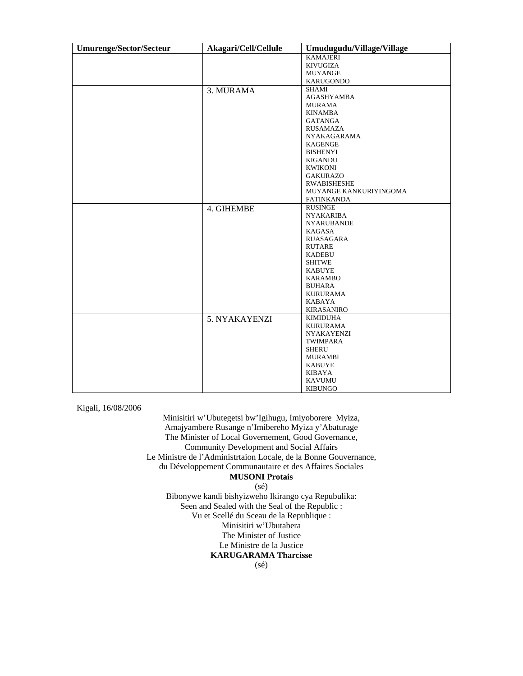| <b>Umurenge/Sector/Secteur</b> | Akagari/Cell/Cellule | Umudugudu/Village/Village |  |  |
|--------------------------------|----------------------|---------------------------|--|--|
|                                |                      | <b>KAMAJERI</b>           |  |  |
|                                |                      | <b>KIVUGIZA</b>           |  |  |
|                                |                      | <b>MUYANGE</b>            |  |  |
|                                |                      | <b>KARUGONDO</b>          |  |  |
|                                | 3. MURAMA            | SHAMI                     |  |  |
|                                |                      | AGASHYAMBA                |  |  |
|                                |                      | <b>MURAMA</b>             |  |  |
|                                |                      | <b>KINAMBA</b>            |  |  |
|                                |                      | <b>GATANGA</b>            |  |  |
|                                |                      | <b>RUSAMAZA</b>           |  |  |
|                                |                      | <b>NYAKAGARAMA</b>        |  |  |
|                                |                      | <b>KAGENGE</b>            |  |  |
|                                |                      | <b>BISHENYI</b>           |  |  |
|                                |                      | <b>KIGANDU</b>            |  |  |
|                                |                      | <b>KWIKONI</b>            |  |  |
|                                |                      | <b>GAKURAZO</b>           |  |  |
|                                |                      | <b>RWABISHESHE</b>        |  |  |
|                                |                      | MUYANGE KANKURIYINGOMA    |  |  |
|                                |                      | <b>FATINKANDA</b>         |  |  |
|                                | 4. GIHEMBE           | <b>RUSINGE</b>            |  |  |
|                                |                      | <b>NYAKARIBA</b>          |  |  |
|                                |                      | <b>NYARUBANDE</b>         |  |  |
|                                |                      | <b>KAGASA</b>             |  |  |
|                                |                      | <b>RUASAGARA</b>          |  |  |
|                                |                      | <b>RUTARE</b>             |  |  |
|                                |                      | <b>KADEBU</b>             |  |  |
|                                |                      | <b>SHITWE</b>             |  |  |
|                                |                      | <b>KABUYE</b>             |  |  |
|                                |                      | <b>KARAMBO</b>            |  |  |
|                                |                      | <b>BUHARA</b>             |  |  |
|                                |                      | <b>KURURAMA</b>           |  |  |
|                                |                      | <b>KABAYA</b>             |  |  |
|                                |                      | <b>KIRASANIRO</b>         |  |  |
|                                | 5. NYAKAYENZI        | <b>KIMIDUHA</b>           |  |  |
|                                |                      | <b>KURURAMA</b>           |  |  |
|                                |                      | <b>NYAKAYENZI</b>         |  |  |
|                                |                      | TWIMPARA                  |  |  |
|                                |                      | <b>SHERU</b>              |  |  |
|                                |                      | <b>MURAMBI</b>            |  |  |
|                                |                      | <b>KABUYE</b>             |  |  |
|                                |                      | KIBAYA                    |  |  |
|                                |                      | <b>KAVUMU</b>             |  |  |
|                                |                      | <b>KIBUNGO</b>            |  |  |

Kigali, 16/08/2006

Minisitiri w'Ubutegetsi bw'Igihugu, Imiyoborere Myiza, Amajyambere Rusange n'Imibereho Myiza y'Abaturage The Minister of Local Governement, Good Governance, Community Development and Social Affairs Le Ministre de l'Administrtaion Locale, de la Bonne Gouvernance, du Développement Communautaire et des Affaires Sociales **MUSONI Protais**   $(s\acute{e})$ 

Bibonywe kandi bishyizweho Ikirango cya Repubulika: Seen and Sealed with the Seal of the Republic : Vu et Scellé du Sceau de la Republique : Minisitiri w'Ubutabera The Minister of Justice Le Ministre de la Justice **KARUGARAMA Tharcisse**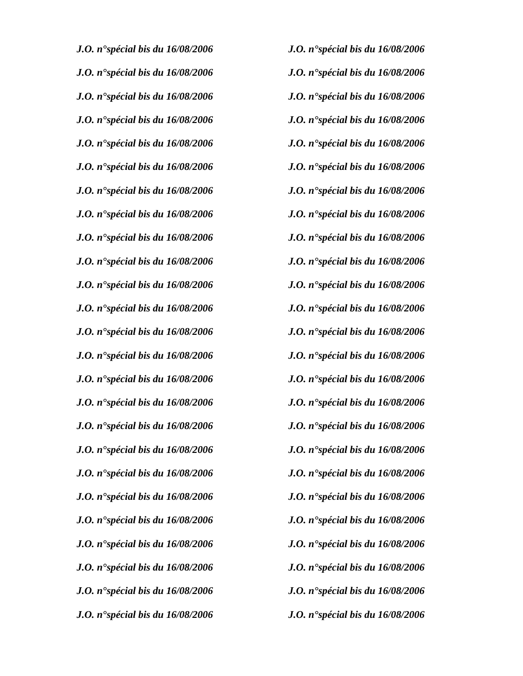| J.O. n <sup>o</sup> spécial bis du $16/08/2006$        | <b>J.O.</b> n <sup>o</sup> spécial bis du $16/08/2006$ |
|--------------------------------------------------------|--------------------------------------------------------|
| <b>J.O.</b> n <sup>o</sup> spécial bis du $16/08/2006$ | <b>J.O.</b> n <sup>o</sup> spécial bis du $16/08/2006$ |
| <b>J.O.</b> n <sup>o</sup> spécial bis du $16/08/2006$ | <b>J.O.</b> n <sup>o</sup> spécial bis du $16/08/2006$ |
| J.O. n°spécial bis du 16/08/2006                       | <b>J.O.</b> n <sup>o</sup> spécial bis du $16/08/2006$ |
| J.O. n <sup>o</sup> spécial bis du $16/08/2006$        | J.O. $n^{\bullet}$ spécial bis du 16/08/2006           |
| J.O. n <sup>o</sup> spécial bis du $16/08/2006$        | <b>J.O.</b> n <sup>o</sup> spécial bis du $16/08/2006$ |
| J.O. n <sup>o</sup> spécial bis du $16/08/2006$        | <b>J.O.</b> n <sup>o</sup> spécial bis du $16/08/2006$ |
| J.O. n <sup>o</sup> spécial bis du 16/08/2006          | <b>J.O.</b> n <sup>o</sup> spécial bis du $16/08/2006$ |
| J.O. n <sup>•</sup> spécial bis du 16/08/2006          | J.O. n'spécial bis du 16/08/2006                       |
| J.O. n°spécial bis du 16/08/2006                       | J.O. n'spécial bis du 16/08/2006                       |
| J.O. n <sup>o</sup> spécial bis du $16/08/2006$        | J.O. n <sup>o</sup> spécial bis du $16/08/2006$        |
| J.O. n <sup>•</sup> spécial bis du 16/08/2006          | J.O. n'spécial bis du 16/08/2006                       |
| J.O. n <sup>o</sup> spécial bis du $16/08/2006$        | <b>J.O.</b> n <sup>o</sup> spécial bis du $16/08/2006$ |
| J.O. n <sup>•</sup> spécial bis du 16/08/2006          | J.O. n°spécial bis du 16/08/2006                       |
| J.O. n'spécial bis du 16/08/2006                       | J.O. n°spécial bis du 16/08/2006                       |
| J.O. n <sup>o</sup> spécial bis du $16/08/2006$        | J.O. n <sup>o</sup> spécial bis du $16/08/2006$        |
| <b>J.O.</b> n <sup>•</sup> spécial bis du 16/08/2006   | J.O. n'spécial bis du 16/08/2006                       |
| <b>J.O.</b> n <sup>o</sup> spécial bis du $16/08/2006$ | J.O. n <sup>o</sup> spécial bis du $16/08/2006$        |
| J.O. n <sup>o</sup> spécial bis du $16/08/2006$        | <b>J.O.</b> n <sup>o</sup> spécial bis du $16/08/2006$ |
| J.O. n <sup>o</sup> spécial bis du 16/08/2006          | <b>J.O.</b> n <sup>o</sup> spécial bis du $16/08/2006$ |
| J.O. n <sup>o</sup> spécial bis du $16/08/2006$        | <b>J.O.</b> n <sup>o</sup> spécial bis du $16/08/2006$ |
| J.O. n <sup>o</sup> spécial bis du $16/08/2006$        | <b>J.O.</b> n <sup>o</sup> spécial bis du $16/08/2006$ |
| J.O. n <sup>o</sup> spécial bis du 16/08/2006          | <b>J.O.</b> n <sup>o</sup> spécial bis du $16/08/2006$ |
| J.O. n <sup>o</sup> spécial bis du $16/08/2006$        | J.O. n'spécial bis du 16/08/2006                       |
| J.O. n°spécial bis du 16/08/2006                       | J.O. n'spécial bis du 16/08/2006                       |

| <b>J.O.</b> n <sup>o</sup> spécial bis du $16/08/2006$ |
|--------------------------------------------------------|
| J.O. n <sup>o</sup> spécial bis du $16/08/2006$        |
| <b>J.O.</b> n <sup>o</sup> spécial bis du $16/08/2006$ |
| <b>J.O.</b> n <sup>o</sup> spécial bis du $16/08/2006$ |
| <b>J.O.</b> n <sup>o</sup> spécial bis du $16/08/2006$ |
| <b>J.O.</b> n <sup>o</sup> spécial bis du $16/08/2006$ |
| <b>J.O.</b> n <sup>o</sup> spécial bis du $16/08/2006$ |
| J.O. n <sup>o</sup> spécial bis du $16/08/2006$        |
| <b>J.O.</b> n <sup>o</sup> spécial bis du $16/08/2006$ |
| J.O. n°spécial bis du 16/08/2006                       |
| <b>J.O.</b> n <sup>o</sup> spécial bis du $16/08/2006$ |
| J.O. n <sup>o</sup> spécial bis du $16/08/2006$        |
| J.O. n'spécial bis du 16/08/2006                       |
| J.O. n <sup>o</sup> spécial bis du $16/08/2006$        |
| J.O. n <sup>o</sup> spécial bis du $16/08/2006$        |
| J.O. n <sup>o</sup> spécial bis du $16/08/2006$        |
| <b>J.O.</b> n <sup>o</sup> spécial bis du $16/08/2006$ |
| J.O. n <sup>o</sup> spécial bis du $16/08/2006$        |
| <b>J.O.</b> n <sup>o</sup> spécial bis du $16/08/2006$ |
| <b>J.O.</b> n <sup>o</sup> spécial bis du $16/08/2006$ |
| <b>J.O.</b> n <sup>o</sup> spécial bis du $16/08/2006$ |
| J.O. n <sup>o</sup> spécial bis du $16/08/2006$        |
| J.O. n <sup>o</sup> spécial bis du $16/08/2006$        |
| J.O. n <sup>o</sup> spécial bis du $16/08/2006$        |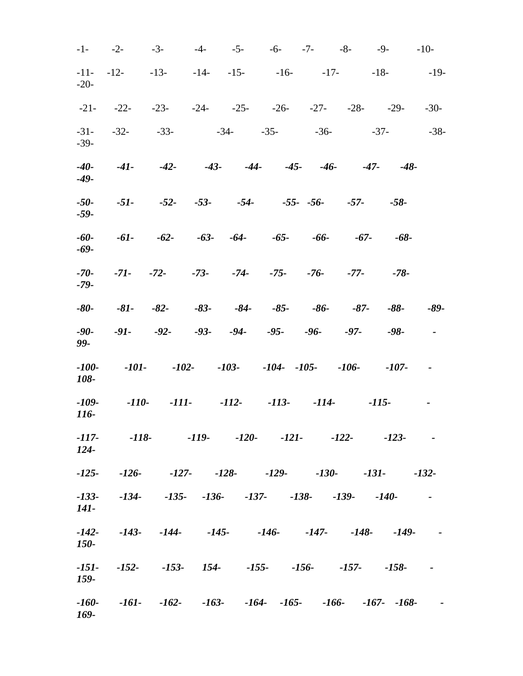| $-1-$             | $-2-$   | $-3-$               | $-4-$      | $-5-$      | $-6 - 7 -$                                                                | $-8-$      | $-9-$   |                  | $-10-$               |
|-------------------|---------|---------------------|------------|------------|---------------------------------------------------------------------------|------------|---------|------------------|----------------------|
| $-11-$<br>$-20-$  | $-12-$  | $-13-$              | $-14 - 15$ |            | $-16$ - $-17$ -                                                           |            |         | $-18-$           | $-19-$               |
| $-21-$            | $-22-$  |                     |            |            | $-23$ - $-24$ - $-25$ - $-26$ - $-27$ - $-28$ - $-29$ -                   |            |         |                  | $-30-$               |
| $-31-$<br>$-39-$  | $-32-$  | $-33-$              |            |            | $-34 - 35 -$                                                              | $-36-$     |         | $-37-$           | $-38-$               |
| $-40-$<br>$-49-$  | $-41-$  | $-42-$              | $-43 -44-$ |            |                                                                           | $-45 - 46$ |         | $-47-$<br>$-48-$ |                      |
| $-50-$<br>$-59-$  | $-51-$  |                     |            |            | $-52$ - $-53$ - $-54$ - $-55$ - $-56$ - $-57$ -                           |            |         | $-58-$           |                      |
| $-60-$<br>-69-    | $-61-$  | $-62-$              |            |            | $-63 - 64 - 65 - 66$                                                      |            | $-67-$  | $-68-$           |                      |
| $-70-$<br>$-79-$  |         |                     |            |            | $-71$ - $-72$ - $-73$ - $-74$ - $-75$ - $-76$ - $-77$ -                   |            |         | $-78-$           |                      |
| $-80-$            | $-81-$  | $-82-$              | $-83-$     |            | $-84 - 85$                                                                | $-86-$     | $-87-$  | $-88-$           | $-89-$               |
| $-90-$<br>99-     | $-91-$  | $-92-$              |            | $-93 - 94$ | $-95-$                                                                    | $-96-$     | $-97-$  | $-98-$           |                      |
| $-100-$<br>108-   | -101-   | $-102-$             |            |            | $-103$ - $-104$ - $-105$ - $-106$ -                                       |            |         | $-107-$          | $\sim 100$ m $^{-1}$ |
| $-109-$<br>116-   | $-110-$ | -111-               |            |            | $-112-113-$                                                               | $-114-$    |         | $-115-$          | $\blacksquare$       |
| $-117-$<br>$124-$ |         |                     |            |            | $-118$ - $-119$ - $-120$ - $-121$ -                                       |            | $-122-$ | $-123-$          |                      |
| $-125-$           |         |                     |            |            | $-126$ - $-127$ - $-128$ - $-129$ -                                       | $-130-$    |         | $-131-$          | $-132-$              |
| $-133-$<br>141-   |         |                     |            |            | $-134$ $-135$ $-136$ $-137$ $-138$ $-139$ $-140$                          |            |         |                  | $\sim 100$           |
| $-142-$<br>150-   |         |                     |            |            | $-143$ - $-144$ - $-145$ - $-146$ - $-147$ - $-148$ -                     |            |         | $-149-$          |                      |
| $-151-$<br>159-   |         | $-152$ $-153$ $154$ |            |            | $-155$ - $-156$ - $-157$ -                                                |            |         | $-158-$          | $\sim 100$           |
| $-160-$<br>169-   |         |                     |            |            | $-161$ - $-162$ - $-163$ - $-164$ - $-165$ - $-166$ - $-167$ - $-168$ - - |            |         |                  |                      |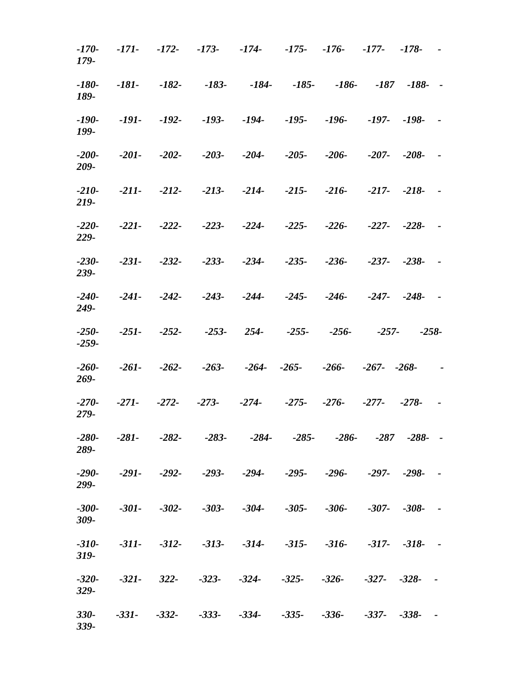| $-170-$<br>179-    | -171-   | $-172-$        | $-173-$ | $-174-$                                                                   | -175- -176- -177- |                    |                            | $-178-$       |               |
|--------------------|---------|----------------|---------|---------------------------------------------------------------------------|-------------------|--------------------|----------------------------|---------------|---------------|
| $-180-$<br>189-    | $-181-$ | $-182-$        | $-183-$ | $-184-$                                                                   | $-185-$           | $-186 - 187 - 188$ |                            |               | $\sim$        |
| $-190-$<br>199-    | -191-   |                |         | -192- -193- -194- -195- -196-                                             |                   |                    |                            | $-197 - -198$ | $\sim$ $\sim$ |
| $-200-$<br>209-    | $-201-$ | $-202-$        |         | $-203$ - $-204$ - $-205$ - $-206$ -                                       |                   |                    |                            | $-207 - -208$ | $\sim$ $-$    |
| $-210-$<br>219-    |         | $-211 - 212$   |         | $-213$ - $-214$ - $-215$ - $-216$ - $-217$ - $-218$ -                     |                   |                    |                            |               | $\sim$        |
| $-220-$<br>229-    |         | $-221 - 222 -$ |         | $-223$ - $-224$ - $-225$ - $-226$ -                                       |                   |                    | $-227 - -228$              |               | $\sim$        |
| $-230-$<br>239-    | $-231-$ | $-232-$        |         | $-233$ - $-234$ - $-235$ - $-236$ - $-237$ - $-238$ -                     |                   |                    |                            |               | $\sim$ $-$    |
| $-240-$<br>249-    | $-241-$ |                |         | $-242$ - $-243$ - $-244$ - $-245$ - $-246$ - $-247$ - $-248$ -            |                   |                    |                            |               | $\sim$ $-$    |
| $-250-$<br>$-259-$ | $-251-$ | $-252-$        |         | $-253 - 254 - 255$                                                        |                   | $-256-$            | $-257-$                    |               | $-258-$       |
| $-260-$<br>269-    | $-261-$ | $-262-$        |         | $-263$ - $-264$ - $-265$ -                                                |                   |                    | $-266$ - $-267$ - $-268$ - |               | $\sim$        |
| $-270-$<br>279-    | $-271-$ |                |         | -272- -273- -274- -275- -276- -277-                                       |                   |                    |                            | $-278-$       | $\sim$ $-$    |
| $-280-$<br>289-    | $-281-$ | $-282-$        |         | $-283$ - $-284$ - $-285$ - $-286$ - $-287$ $-288$ -                       |                   |                    |                            |               | $\sim$        |
| $-290-$<br>299-    |         |                |         | $-291 - 292 - 293 - 294$                                                  |                   | $-295 - 296$       |                            | $-297 - -298$ |               |
| $-300-$<br>309-    |         |                |         | $-301$ - $-302$ - $-303$ - $-304$ - $-305$ - $-306$ -                     |                   |                    | $-307 - -308$              |               |               |
| $-310-$<br>319-    |         |                |         | $-311$ - $-312$ - $-313$ - $-314$ - $-315$ - $-316$ - $-317$ - $-318$ - - |                   |                    |                            |               |               |
| $-320-$<br>329-    |         | $-321 - 322 -$ |         | $-323 - 324$                                                              | $-325-$           | $-326-$            | $-327 - -328 - -$          |               |               |
| $330-$<br>339-     | $-331-$ |                |         | $-332$ $-333$ $-334$ $-335$ $-336$ $-337$ $-338$ $-$                      |                   |                    |                            |               |               |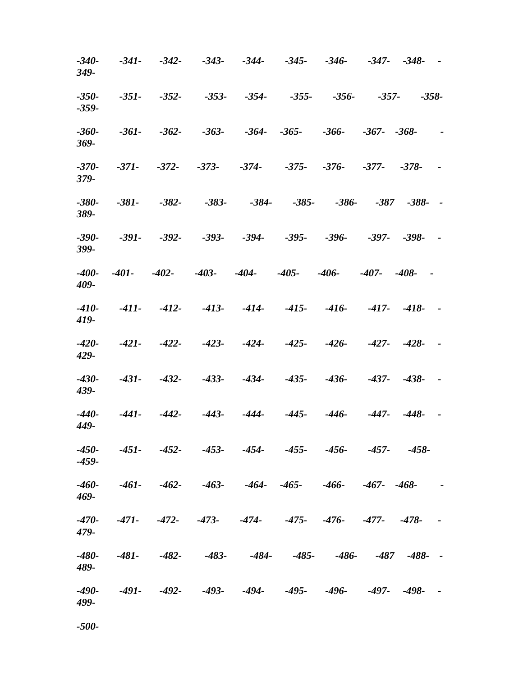| -340-<br>349-   | $-341-$      | $-342-$        | $-343-$            | $-344-$                                                                   | $-345-$ | $-346-$                  |                     | $-347 - -348 - -$ |               |
|-----------------|--------------|----------------|--------------------|---------------------------------------------------------------------------|---------|--------------------------|---------------------|-------------------|---------------|
| -350-<br>-359-  | $-351-$      | $-352-$        | $-353-$            | $-354-$                                                                   | $-355-$ | $-356-$                  | $-357-$             |                   | $-358-$       |
| -360-<br>369-   | $-361-$      | $-362-$        | $-363-$            | $-364 - 365$                                                              |         | -366-                    | $-367 - -368$       |                   | $\sim$        |
| $-370-$<br>379- | $-371-$      |                | $-372 - 373 - 374$ |                                                                           |         | $-375 - -376$            | -377-               | $-378-$           |               |
| $-380-$<br>389- | $-381-$      | $-382-$        | $-383-$            | $-384-$                                                                   | $-385-$ |                          | $-386 - -387 - 388$ |                   | $\sim$        |
| -390-<br>399-   | $-391-$      | $-392 - 393 -$ |                    | -394-                                                                     |         | $-395 - 396 - 397 - 398$ |                     |                   |               |
| -400-<br>409-   | $-401 - 402$ |                |                    | $-403$ - $-404$ - $-405$ - $-406$ -                                       |         |                          | $-407 - -408$       | $\sim$            |               |
| -410-<br>419-   |              | $-411 - 412$   |                    | $-413 -414 -415-$                                                         |         | -416-                    |                     | $-417 - -418$     |               |
| -420-<br>429-   |              |                |                    | $-421 - 422 - 423 - 424 - 425 - 426 - 427 - 428$                          |         |                          |                     |                   | $\sim$ $-$    |
| -430-<br>439-   | $-431-$      | $-432-$        | $-433-$            | -434-                                                                     | -435-   | -436-                    |                     | $-437 - -438$     | $\sim$ $-$    |
| -440-<br>449-   | -441-        |                |                    | -442- -443- -444- -445- -446- -447- -448-                                 |         |                          |                     |                   | $\sim$ $\sim$ |
| -450-<br>-459-  |              |                |                    | -451- -452- -453- -454- -455- -456- -457- -458-                           |         |                          |                     |                   |               |
| -460-<br>469-   |              |                |                    | $-461$ - $-462$ - $-463$ - $-464$ - $-465$ - $-466$ - $-467$ - $-468$ - - |         |                          |                     |                   |               |
| $-470-$<br>479- |              |                |                    | -471- -472- -473- -474- -475- -476- -477- -478- -                         |         |                          |                     |                   |               |
| -480-<br>489-   |              |                |                    | $-481$ - $-482$ - $-483$ - $-484$ - $-485$ - $-486$ - $-487$ $-488$ - -   |         |                          |                     |                   |               |
| -490-<br>499-   |              |                |                    | -491- -492- -493- -494- -495- -496- -497- -498- -                         |         |                          |                     |                   |               |

*-500-*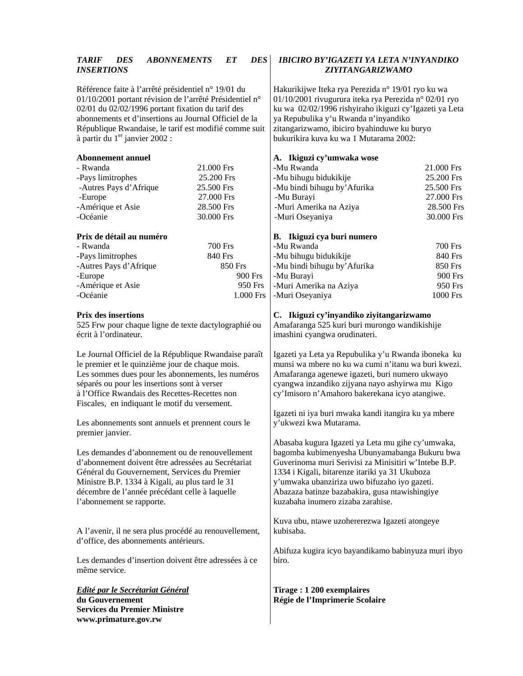#### *TARIF DES ABONNEMENTS ET DES INSERTIONS*

Référence faite à l'arrêté présidentiel n° 19/01 du 01/10/2001 portant révision de l'arrêté Présidentiel n° 02/01 du 02/02/1996 portant fixation du tarif des abonnements et d'insertions au Journal Officiel de la République Rwandaise, le tarif est modifié comme suit à partir du  $1<sup>er</sup>$  janvier 2002 :

| <b>Abonnement annuel</b> |                | A. Ikiguzi cy'ui        |
|--------------------------|----------------|-------------------------|
| - Rwanda                 | 21.000 Frs     | -Mu Rwanda              |
| -Pays limitrophes        | 25.200 Frs     | -Mu bihugu biduk        |
| -Autres Pays d'Afrique   | 25.500 Frs     | -Mu bindi bihugu        |
| -Europe                  | 27.000 Frs     | -Mu Burayi              |
| -Amérique et Asie        | 28.500 Frs     | -Muri Amerika na        |
| -Océanie                 | 30.000 Frs     | -Muri Oseyaniya         |
|                          |                |                         |
|                          |                |                         |
| Prix de détail au numéro |                | <b>B.</b> Ikiguzi cya b |
| - Rwanda                 | <b>700 Frs</b> | -Mu Rwanda              |
| -Pays limitrophes        | 840 Frs        | -Mu bihugu biduk        |
| -Autres Pays d'Afrique   | 850 Frs        | -Mu bindi bihugu        |
| -Europe                  | 900 Frs        | -Mu Burayi              |
| -Amérique et Asie        | 950 Frs        | -Muri Amerika na        |

#### **Prix des insertions**

525 Frw pour chaque ligne de texte dactylographié ou écrit à l'ordinateur.

Le Journal Officiel de la République Rwandaise paraît le premier et le quinzième jour de chaque mois. Les sommes dues pour les abonnements, les numéros séparés ou pour les insertions sont à verser à l'Office Rwandais des Recettes-Recettes non Fiscales, en indiquant le motif du versement.

Les abonnements sont annuels et prennent cours le premier janvier.

Les demandes d'abonnement ou de renouvellement d'abonnement doivent être adressées au Secrétariat Général du Gouvernement, Services du Premier Ministre B.P. 1334 à Kigali, au plus tard le 31 décembre de l'année précédant celle à laquelle l'abonnement se rapporte.

A l'avenir, il ne sera plus procédé au renouvellement, d'office, des abonnements antérieurs.

Les demandes d'insertion doivent être adressées à ce même service.

#### *Edité par le Secrétariat Général* **du Gouvernement Services du Premier Ministre www.primature.gov.rw**

### *IBICIRO BY'IGAZETI YA LETA N'INYANDIKO ZIYITANGARIZWAMO*

Hakurikijwe Iteka rya Perezida n° 19/01 ryo ku wa 01/10/2001 rivugurura iteka rya Perezida n° 02/01 ryo ku wa 02/02/1996 rishyiraho ikiguzi cy'Igazeti ya Leta ya Repubulika y'u Rwanda n'inyandiko zitangarizwamo, ibiciro byahinduwe ku buryo bukurikira kuva ku wa 1 Mutarama 2002:

## **A. Ikiguzi cy'umwaka wose**

| -Mu Rwanda                   | 21.000 Frs |
|------------------------------|------------|
| -Mu bihugu bidukikije        | 25.200 Frs |
| -Mu bindi bihugu by' Afurika | 25.500 Frs |
| -Mu Burayi                   | 27.000 Frs |
| -Muri Amerika na Aziya       | 28.500 Frs |
| -Muri Oseyaniya              | 30.000 Frs |

#### **B. Ikiguzi cya buri numero**

| -Mu Rwanda                   | 700 Frs  |
|------------------------------|----------|
| -Mu bihugu bidukikije        | 840 Frs  |
| -Mu bindi bihugu by' Afurika | 850 Frs  |
| -Mu Burayi                   | 900 Frs  |
| -Muri Amerika na Aziya       | 950 Frs  |
| -Muri Oseyaniya              | 1000 Frs |

**C. Ikiguzi cy'inyandiko ziyitangarizwamo** 

Amafaranga 525 kuri buri murongo wandikishije imashini cyangwa orudinateri.

Igazeti ya Leta ya Repubulika y'u Rwanda iboneka ku munsi wa mbere no ku wa cumi n'itanu wa buri kwezi. Amafaranga agenewe igazeti, buri numero ukwayo cyangwa inzandiko zijyana nayo ashyirwa mu Kigo cy'Imisoro n'Amahoro bakerekana icyo atangiwe.

Igazeti ni iya buri mwaka kandi itangira ku ya mbere y'ukwezi kwa Mutarama.

Abasaba kugura Igazeti ya Leta mu gihe cy'umwaka, bagomba kubimenyesha Ubunyamabanga Bukuru bwa Guverinoma muri Serivisi za Minisitiri w'Intebe B.P. 1334 i Kigali, bitarenze itariki ya 31 Ukuboza y'umwaka ubanziriza uwo bifuzaho iyo gazeti. Abazaza batinze bazabakira, gusa ntawishingiye kuzabaha inumero zizaba zarahise.

Kuva ubu, ntawe uzohererezwa Igazeti atongeye kubisaba.

Abifuza kugira icyo bayandikamo babinyuza muri ibyo biro.

**Tirage : 1 200 exemplaires Régie de l'Imprimerie Scolaire**